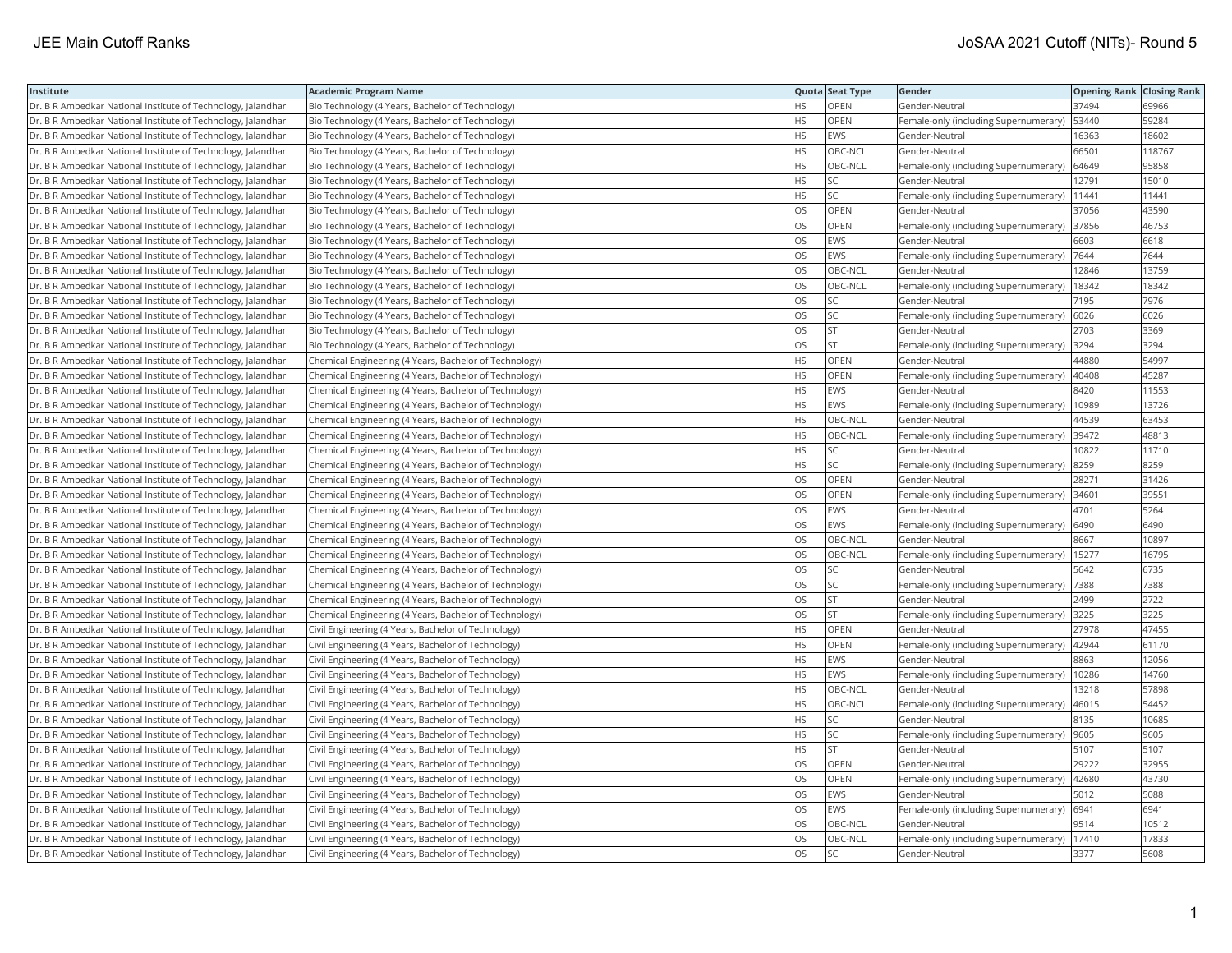| Institute                                                    | <b>Academic Program Name</b>                           |           | Quota Seat Type | Gender                                        | <b>Opening Rank Closing Rank</b> |        |
|--------------------------------------------------------------|--------------------------------------------------------|-----------|-----------------|-----------------------------------------------|----------------------------------|--------|
| Dr. B R Ambedkar National Institute of Technology, Jalandhar | Bio Technology (4 Years, Bachelor of Technology)       | HS        | OPEN            | Gender-Neutral                                | 37494                            | 69966  |
| Dr. B R Ambedkar National Institute of Technology, Jalandhar | Bio Technology (4 Years, Bachelor of Technology)       | ΗS        | OPEN            | Female-only (including Supernumerary)         | 53440                            | 59284  |
| Dr. B R Ambedkar National Institute of Technology, Jalandhar | Bio Technology (4 Years, Bachelor of Technology)       | HS        | <b>EWS</b>      | Gender-Neutral                                | 16363                            | 18602  |
| Dr. B R Ambedkar National Institute of Technology, Jalandhar | Bio Technology (4 Years, Bachelor of Technology)       | HS        | OBC-NCL         | Gender-Neutral                                | 66501                            | 118767 |
| Dr. B R Ambedkar National Institute of Technology, Jalandhar | Bio Technology (4 Years, Bachelor of Technology)       | HS        | OBC-NCL         | Female-only (including Supernumerary)         | 64649                            | 95858  |
| Dr. B R Ambedkar National Institute of Technology, Jalandhar | Bio Technology (4 Years, Bachelor of Technology)       | HS        | <b>SC</b>       | Gender-Neutral                                | 12791                            | 15010  |
| Dr. B R Ambedkar National Institute of Technology, Jalandhar | Bio Technology (4 Years, Bachelor of Technology)       | HS        | <b>SC</b>       | Female-only (including Supernumerary)         | 11441                            | 11441  |
| Dr. B R Ambedkar National Institute of Technology, Jalandhar | Bio Technology (4 Years, Bachelor of Technology)       | OS        | OPEN            | Gender-Neutral                                | 37056                            | 43590  |
| Dr. B R Ambedkar National Institute of Technology, Jalandhar | Bio Technology (4 Years, Bachelor of Technology)       | OS.       | OPEN            | Female-only (including Supernumerary)         | 37856                            | 46753  |
| Dr. B R Ambedkar National Institute of Technology, Jalandhar | Bio Technology (4 Years, Bachelor of Technology)       | OS        | EWS             | Gender-Neutral                                | 6603                             | 6618   |
| Dr. B R Ambedkar National Institute of Technology, Jalandhar | Bio Technology (4 Years, Bachelor of Technology)       | OS        | EWS             | Female-only (including Supernumerary)         | 7644                             | 7644   |
| Dr. B R Ambedkar National Institute of Technology, Jalandhar | Bio Technology (4 Years, Bachelor of Technology)       | OS.       | OBC-NCL         | Gender-Neutral                                | 12846                            | 13759  |
| Dr. B R Ambedkar National Institute of Technology, Jalandhar | Bio Technology (4 Years, Bachelor of Technology)       | OS.       | OBC-NCL         | Female-only (including Supernumerary)         | 18342                            | 18342  |
| Dr. B R Ambedkar National Institute of Technology, Jalandhar | Bio Technology (4 Years, Bachelor of Technology)       | OS        | <b>SC</b>       | Gender-Neutral                                | 7195                             | 7976   |
| Dr. B R Ambedkar National Institute of Technology, Jalandhar | Bio Technology (4 Years, Bachelor of Technology)       | OS        | <b>SC</b>       | Female-only (including Supernumerary)         | 6026                             | 6026   |
| Dr. B R Ambedkar National Institute of Technology, Jalandhar | Bio Technology (4 Years, Bachelor of Technology)       | OS        | <b>ST</b>       | Gender-Neutral                                | 2703                             | 3369   |
| Dr. B R Ambedkar National Institute of Technology, Jalandhar | Bio Technology (4 Years, Bachelor of Technology)       | OS        | <b>ST</b>       | Female-only (including Supernumerary)         | 3294                             | 3294   |
| Dr. B R Ambedkar National Institute of Technology, Jalandhar | Chemical Engineering (4 Years, Bachelor of Technology) | HS.       | <b>OPEN</b>     | Gender-Neutral                                | 44880                            | 54997  |
| Dr. B R Ambedkar National Institute of Technology, Jalandhar | Chemical Engineering (4 Years, Bachelor of Technology) | HS        | OPEN            | Female-only (including Supernumerary)         | 40408                            | 45287  |
| Dr. B R Ambedkar National Institute of Technology, Jalandhar | Chemical Engineering (4 Years, Bachelor of Technology) | HS        | <b>EWS</b>      | Gender-Neutral                                | 8420                             | 11553  |
| Dr. B R Ambedkar National Institute of Technology, Jalandhar | Chemical Engineering (4 Years, Bachelor of Technology) | HS        | <b>EWS</b>      | Female-only (including Supernumerary)         | 10989                            | 13726  |
| Dr. B R Ambedkar National Institute of Technology, Jalandhar | Chemical Engineering (4 Years, Bachelor of Technology) | HS        | OBC-NCL         | Gender-Neutral                                | 44539                            | 63453  |
| Dr. B R Ambedkar National Institute of Technology, Jalandhar | Chemical Engineering (4 Years, Bachelor of Technology) | ΗS        | OBC-NCL         | Female-only (including Supernumerary)         | 39472                            | 48813  |
| Dr. B R Ambedkar National Institute of Technology, Jalandhar | Chemical Engineering (4 Years, Bachelor of Technology) | HS        | SC              | Gender-Neutral                                | 10822                            | 11710  |
| Dr. B R Ambedkar National Institute of Technology, Jalandhar | Chemical Engineering (4 Years, Bachelor of Technology) | HS        | SC              | Female-only (including Supernumerary)         | 8259                             | 8259   |
| Dr. B R Ambedkar National Institute of Technology, Jalandhar | Chemical Engineering (4 Years, Bachelor of Technology) | OS        | OPEN            | Gender-Neutral                                | 28271                            | 31426  |
| Dr. B R Ambedkar National Institute of Technology, Jalandhar | Chemical Engineering (4 Years, Bachelor of Technology) | OS        | OPEN            | Female-only (including Supernumerary)         | 34601                            | 39551  |
| Dr. B R Ambedkar National Institute of Technology, Jalandhar | Chemical Engineering (4 Years, Bachelor of Technology) | OS.       | <b>EWS</b>      | Gender-Neutral                                | 4701                             | 5264   |
| Dr. B R Ambedkar National Institute of Technology, Jalandhar | Chemical Engineering (4 Years, Bachelor of Technology) | OS        | EWS             | Female-only (including Supernumerary)         | 6490                             | 6490   |
| Dr. B R Ambedkar National Institute of Technology, Jalandhar | Chemical Engineering (4 Years, Bachelor of Technology) | OS        | OBC-NCL         | Gender-Neutral                                | 8667                             | 10897  |
| Dr. B R Ambedkar National Institute of Technology, Jalandhar | Chemical Engineering (4 Years, Bachelor of Technology) | OS        | OBC-NCL         | Female-only (including Supernumerary)   15277 |                                  | 16795  |
| Dr. B R Ambedkar National Institute of Technology, Jalandhar | Chemical Engineering (4 Years, Bachelor of Technology) | OS        | <b>SC</b>       | Gender-Neutral                                | 5642                             | 6735   |
| Dr. B R Ambedkar National Institute of Technology, Jalandhar | Chemical Engineering (4 Years, Bachelor of Technology) | OS        | <b>SC</b>       | Female-only (including Supernumerary)         | 7388                             | 7388   |
| Dr. B R Ambedkar National Institute of Technology, Jalandhar | Chemical Engineering (4 Years, Bachelor of Technology) | OS        | <b>ST</b>       | Gender-Neutral                                | 2499                             | 2722   |
| Dr. B R Ambedkar National Institute of Technology, Jalandhar | Chemical Engineering (4 Years, Bachelor of Technology) | OS        | <b>ST</b>       | Female-only (including Supernumerary)         | 3225                             | 3225   |
| Dr. B R Ambedkar National Institute of Technology, Jalandhar | Civil Engineering (4 Years, Bachelor of Technology)    | HS        | OPEN            | Gender-Neutral                                | 27978                            | 47455  |
| Dr. B R Ambedkar National Institute of Technology, Jalandhar | Civil Engineering (4 Years, Bachelor of Technology)    | HS.       | <b>OPEN</b>     | Female-only (including Supernumerary)         | 42944                            | 61170  |
| Dr. B R Ambedkar National Institute of Technology, Jalandhar | Civil Engineering (4 Years, Bachelor of Technology)    | HS        | <b>EWS</b>      | Gender-Neutral                                | 8863                             | 12056  |
| Dr. B R Ambedkar National Institute of Technology, Jalandhar | Civil Engineering (4 Years, Bachelor of Technology)    | ΗS        | <b>EWS</b>      | Female-only (including Supernumerary)         | 10286                            | 14760  |
| Dr. B R Ambedkar National Institute of Technology, Jalandhar | Civil Engineering (4 Years, Bachelor of Technology)    | HS.       | OBC-NCL         | Gender-Neutral                                | 13218                            | 57898  |
| Dr. B R Ambedkar National Institute of Technology, Jalandhar | Civil Engineering (4 Years, Bachelor of Technology)    | HS        | OBC-NCL         | Female-only (including Supernumerary)         | 46015                            | 54452  |
| Dr. B R Ambedkar National Institute of Technology, Jalandhar | Civil Engineering (4 Years, Bachelor of Technology)    | HS        | SC              | Gender-Neutral                                | 8135                             | 10685  |
| Dr. B R Ambedkar National Institute of Technology, Jalandhar | Civil Engineering (4 Years, Bachelor of Technology)    | HS.       | lsc             | Female-only (including Supernumerary)         | 9605                             | 9605   |
| Dr. B R Ambedkar National Institute of Technology, Jalandhar | Civil Engineering (4 Years, Bachelor of Technology)    | HS        | lst.            | Gender-Neutral                                | 5107                             | 5107   |
| Dr. B R Ambedkar National Institute of Technology, Jalandhar | Civil Engineering (4 Years, Bachelor of Technology)    | OS        | OPEN            | Gender-Neutral                                | 29222                            | 32955  |
| Dr. B R Ambedkar National Institute of Technology, Jalandhar | Civil Engineering (4 Years, Bachelor of Technology)    | OS        | OPEN            | Female-only (including Supernumerary)         | 42680                            | 43730  |
| Dr. B R Ambedkar National Institute of Technology, Jalandhar | Civil Engineering (4 Years, Bachelor of Technology)    | OS.       | <b>EWS</b>      | Gender-Neutral                                | 5012                             | 5088   |
| Dr. B R Ambedkar National Institute of Technology, Jalandhar | Civil Engineering (4 Years, Bachelor of Technology)    | OS        | EWS             | Female-only (including Supernumerary)         | 6941                             | 6941   |
| Dr. B R Ambedkar National Institute of Technology, Jalandhar | Civil Engineering (4 Years, Bachelor of Technology)    | OS        | OBC-NCL         | Gender-Neutral                                | 9514                             | 10512  |
| Dr. B R Ambedkar National Institute of Technology, Jalandhar | Civil Engineering (4 Years, Bachelor of Technology)    | OS        | OBC-NCL         | Female-only (including Supernumerary)         | 17410                            | 17833  |
| Dr. B R Ambedkar National Institute of Technology, Jalandhar | Civil Engineering (4 Years, Bachelor of Technology)    | <b>OS</b> | lsc             | Gender-Neutral                                | 3377                             | 5608   |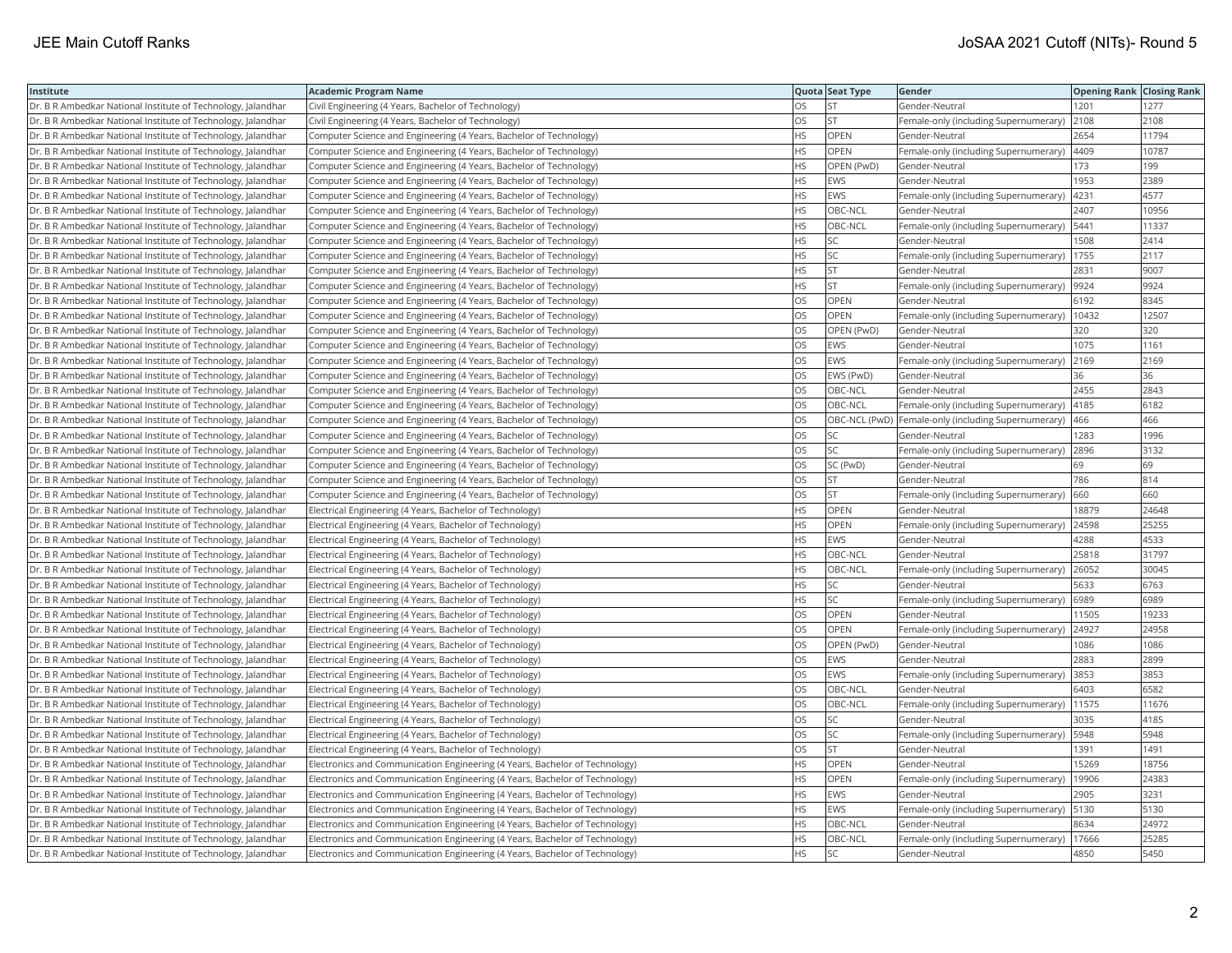| Institute                                                    | <b>Academic Program Name</b>                                                |           | Quota Seat Type | Gender                                              | <b>Opening Rank Closing Rank</b> |       |
|--------------------------------------------------------------|-----------------------------------------------------------------------------|-----------|-----------------|-----------------------------------------------------|----------------------------------|-------|
| Dr. B R Ambedkar National Institute of Technology, Jalandhar | Civil Engineering (4 Years, Bachelor of Technology)                         | OS        | <b>ST</b>       | Gender-Neutral                                      | 1201                             | 1277  |
| Dr. B R Ambedkar National Institute of Technology, Jalandhar | Civil Engineering (4 Years, Bachelor of Technology)                         | OS.       | lst             | Female-only (including Supernumerary)               | 2108                             | 2108  |
| Dr. B R Ambedkar National Institute of Technology, Jalandhar | Computer Science and Engineering (4 Years, Bachelor of Technology)          | HS        | OPEN            | Gender-Neutral                                      | 2654                             | 11794 |
| Dr. B R Ambedkar National Institute of Technology, Jalandhar | Computer Science and Engineering (4 Years, Bachelor of Technology)          | HS        | OPEN            | Female-only (including Supernumerary)               | 4409                             | 10787 |
| Dr. B R Ambedkar National Institute of Technology, Jalandhar | Computer Science and Engineering (4 Years, Bachelor of Technology)          | HS.       | OPEN (PwD)      | Gender-Neutral                                      | 173                              | 199   |
| Dr. B R Ambedkar National Institute of Technology, Jalandhar | Computer Science and Engineering (4 Years, Bachelor of Technology)          | HS        | EWS             | Gender-Neutral                                      | 1953                             | 2389  |
| Dr. B R Ambedkar National Institute of Technology, Jalandhar | Computer Science and Engineering (4 Years, Bachelor of Technology)          | ΗS        | EWS             | Female-only (including Supernumerary)               | 4231                             | 4577  |
| Dr. B R Ambedkar National Institute of Technology, Jalandhar | Computer Science and Engineering (4 Years, Bachelor of Technology)          | HS.       | OBC-NCL         | Gender-Neutral                                      | 2407                             | 10956 |
| Dr. B R Ambedkar National Institute of Technology, Jalandhar | Computer Science and Engineering (4 Years, Bachelor of Technology)          | HS        | OBC-NCL         | Female-only (including Supernumerary)               | 5441                             | 11337 |
| Dr. B R Ambedkar National Institute of Technology, Jalandhar | Computer Science and Engineering (4 Years, Bachelor of Technology)          | HS        | SC              | Gender-Neutral                                      | 1508                             | 2414  |
| Dr. B R Ambedkar National Institute of Technology, Jalandhar | Computer Science and Engineering (4 Years, Bachelor of Technology)          | HS        | <b>SC</b>       | Female-only (including Supernumerary)               | 1755                             | 2117  |
| Dr. B R Ambedkar National Institute of Technology, Jalandhar | Computer Science and Engineering (4 Years, Bachelor of Technology)          | HS        | <b>ST</b>       | Gender-Neutral                                      | 2831                             | 9007  |
| Dr. B R Ambedkar National Institute of Technology, Jalandhar | Computer Science and Engineering (4 Years, Bachelor of Technology)          | HS        | <b>ST</b>       | Female-only (including Supernumerary)               | 9924                             | 9924  |
| Dr. B R Ambedkar National Institute of Technology, Jalandhar | Computer Science and Engineering (4 Years, Bachelor of Technology)          | OS        | OPEN            | Gender-Neutral                                      | 6192                             | 8345  |
| Dr. B R Ambedkar National Institute of Technology, Jalandhar | Computer Science and Engineering (4 Years, Bachelor of Technology)          | OS        | OPEN            | Female-only (including Supernumerary)               | 10432                            | 12507 |
| Dr. B R Ambedkar National Institute of Technology, Jalandhar | Computer Science and Engineering (4 Years, Bachelor of Technology)          | OS.       | OPEN (PwD)      | Gender-Neutral                                      | 320                              | 320   |
| Dr. B R Ambedkar National Institute of Technology, Jalandhar | Computer Science and Engineering (4 Years, Bachelor of Technology)          | OS        | EWS             | Gender-Neutral                                      | 1075                             | 1161  |
| Dr. B R Ambedkar National Institute of Technology, Jalandhar | Computer Science and Engineering (4 Years, Bachelor of Technology)          | OS        | <b>EWS</b>      | Female-only (including Supernumerary)               | 2169                             | 2169  |
| Dr. B R Ambedkar National Institute of Technology, Jalandhar | Computer Science and Engineering (4 Years, Bachelor of Technology)          | OS        | EWS (PwD)       | Gender-Neutral                                      | 36                               | 36    |
| Dr. B R Ambedkar National Institute of Technology, Jalandhar | Computer Science and Engineering (4 Years, Bachelor of Technology)          | <b>OS</b> | OBC-NCL         | Gender-Neutral                                      | 2455                             | 2843  |
| Dr. B R Ambedkar National Institute of Technology, Jalandhar | Computer Science and Engineering (4 Years, Bachelor of Technology)          | OS        | OBC-NCL         | Female-only (including Supernumerary)               | 4185                             | 6182  |
| Dr. B R Ambedkar National Institute of Technology, Jalandhar | Computer Science and Engineering (4 Years, Bachelor of Technology)          | OS        |                 | OBC-NCL (PwD) Female-only (including Supernumerary) | 466                              | 466   |
| Dr. B R Ambedkar National Institute of Technology, Jalandhar | Computer Science and Engineering (4 Years, Bachelor of Technology)          | OS        | <b>SC</b>       | Gender-Neutral                                      | 1283                             | 1996  |
| Dr. B R Ambedkar National Institute of Technology, Jalandhar | Computer Science and Engineering (4 Years, Bachelor of Technology)          | OS        | <b>SC</b>       | Female-only (including Supernumerary)               | 2896                             | 3132  |
| Dr. B R Ambedkar National Institute of Technology, Jalandhar | Computer Science and Engineering (4 Years, Bachelor of Technology)          | OS        | SC (PwD)        | Gender-Neutral                                      | 69                               | 69    |
| Dr. B R Ambedkar National Institute of Technology, Jalandhar | Computer Science and Engineering (4 Years, Bachelor of Technology)          | OS        | <b>ST</b>       | Gender-Neutral                                      | 786                              | 814   |
| Dr. B R Ambedkar National Institute of Technology, Jalandhar | Computer Science and Engineering (4 Years, Bachelor of Technology)          | OS        | <b>ST</b>       | Female-only (including Supernumerary)               | 660                              | 660   |
| Dr. B R Ambedkar National Institute of Technology, Jalandhar | Electrical Engineering (4 Years, Bachelor of Technology)                    | HS.       | <b>OPEN</b>     | Gender-Neutral                                      | 18879                            | 24648 |
| Dr. B R Ambedkar National Institute of Technology, Jalandhar | Electrical Engineering (4 Years, Bachelor of Technology)                    | HS        | OPEN            | Female-only (including Supernumerary)               | 24598                            | 25255 |
| Dr. B R Ambedkar National Institute of Technology, Jalandhar | Electrical Engineering (4 Years, Bachelor of Technology)                    | HS        | EWS             | Gender-Neutral                                      | 4288                             | 4533  |
| Dr. B R Ambedkar National Institute of Technology, Jalandhar | Electrical Engineering (4 Years, Bachelor of Technology)                    | HS        | OBC-NCL         | Gender-Neutral                                      | 25818                            | 31797 |
| Dr. B R Ambedkar National Institute of Technology, Jalandhar | Electrical Engineering (4 Years, Bachelor of Technology)                    | HS        | OBC-NCL         | Female-only (including Supernumerary)               | 26052                            | 30045 |
| Dr. B R Ambedkar National Institute of Technology, Jalandhar | Electrical Engineering (4 Years, Bachelor of Technology)                    | HS.       | <b>SC</b>       | Gender-Neutral                                      | 5633                             | 6763  |
| Dr. B R Ambedkar National Institute of Technology, Jalandhar | Electrical Engineering (4 Years, Bachelor of Technology)                    | HS        | <b>SC</b>       | Female-only (including Supernumerary)               | 6989                             | 6989  |
| Dr. B R Ambedkar National Institute of Technology, Jalandhar | Electrical Engineering (4 Years, Bachelor of Technology)                    | OS        | OPEN            | Gender-Neutral                                      | 11505                            | 19233 |
| Dr. B R Ambedkar National Institute of Technology, Jalandhar | Electrical Engineering (4 Years, Bachelor of Technology)                    | OS.       | <b>OPEN</b>     | Female-only (including Supernumerary)               | 24927                            | 24958 |
| Dr. B R Ambedkar National Institute of Technology, Jalandhar | Electrical Engineering (4 Years, Bachelor of Technology)                    | OS        | OPEN (PwD)      | Gender-Neutral                                      | 1086                             | 1086  |
| Dr. B R Ambedkar National Institute of Technology, Jalandhar | Electrical Engineering (4 Years, Bachelor of Technology)                    | OS        | EWS             | Gender-Neutral                                      | 2883                             | 2899  |
| Dr. B R Ambedkar National Institute of Technology, Jalandhar | Electrical Engineering (4 Years, Bachelor of Technology)                    | OS        | EWS             | Female-only (including Supernumerary)               | 3853                             | 3853  |
| Dr. B R Ambedkar National Institute of Technology, Jalandhar | Electrical Engineering (4 Years, Bachelor of Technology)                    | OS.       | OBC-NCL         | Gender-Neutral                                      | 6403                             | 6582  |
| Dr. B R Ambedkar National Institute of Technology, Jalandhar | Electrical Engineering (4 Years, Bachelor of Technology)                    | OS.       | OBC-NCL         | Female-only (including Supernumerary)               | 11575                            | 11676 |
| Dr. B R Ambedkar National Institute of Technology, Jalandhar | Electrical Engineering (4 Years, Bachelor of Technology)                    | OS        | SC              | Gender-Neutral                                      | 3035                             | 4185  |
| Dr. B R Ambedkar National Institute of Technology, Jalandhar | Electrical Engineering (4 Years, Bachelor of Technology)                    | OS        | <b>SC</b>       | Female-only (including Supernumerary)               | 5948                             | 5948  |
| Dr. B R Ambedkar National Institute of Technology, Jalandhar | Electrical Engineering (4 Years, Bachelor of Technology)                    | OS.       | lst.            | Gender-Neutral                                      | 1391                             | 1491  |
| Dr. B R Ambedkar National Institute of Technology, Jalandhar | Electronics and Communication Engineering (4 Years, Bachelor of Technology) | HS.       | <b>OPEN</b>     | Gender-Neutral                                      | 15269                            | 18756 |
| Dr. B R Ambedkar National Institute of Technology, Jalandhar | Electronics and Communication Engineering (4 Years, Bachelor of Technology) | HS        | OPEN            | Female-only (including Supernumerary)               | 19906                            | 24383 |
| Dr. B R Ambedkar National Institute of Technology, Jalandhar | Electronics and Communication Engineering (4 Years, Bachelor of Technology) | HS        | <b>EWS</b>      | Gender-Neutral                                      | 2905                             | 3231  |
| Dr. B R Ambedkar National Institute of Technology, Jalandhar | Electronics and Communication Engineering (4 Years, Bachelor of Technology) | НS        | EWS             | Female-only (including Supernumerary)               | 5130                             | 5130  |
| Dr. B R Ambedkar National Institute of Technology, Jalandhar | Electronics and Communication Engineering (4 Years, Bachelor of Technology) | HS        | OBC-NCL         | Gender-Neutral                                      | 8634                             | 24972 |
| Dr. B R Ambedkar National Institute of Technology, Jalandhar | Electronics and Communication Engineering (4 Years, Bachelor of Technology) | HS.       | OBC-NCL         | Female-only (including Supernumerary)               | 17666                            | 25285 |
| Dr. B R Ambedkar National Institute of Technology, Jalandhar | Electronics and Communication Engineering (4 Years, Bachelor of Technology) | <b>HS</b> | <b>SC</b>       | Gender-Neutral                                      | 4850                             | 5450  |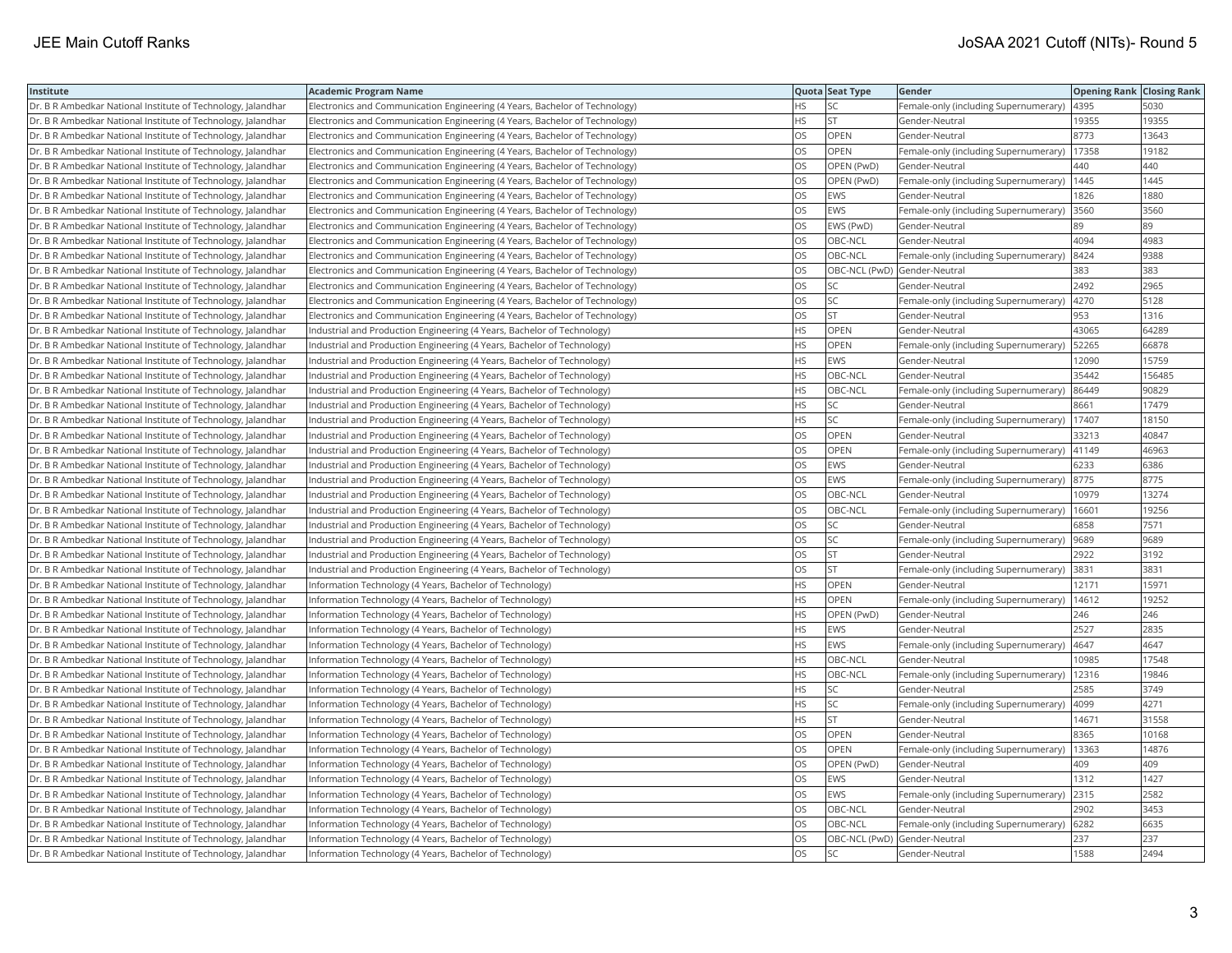| Institute                                                    | <b>Academic Program Name</b>                                                |           | Quota Seat Type              | Gender                                        | <b>Opening Rank Closing Rank</b> |        |
|--------------------------------------------------------------|-----------------------------------------------------------------------------|-----------|------------------------------|-----------------------------------------------|----------------------------------|--------|
| Dr. B R Ambedkar National Institute of Technology, Jalandhar | Electronics and Communication Engineering (4 Years, Bachelor of Technology) | HS.       | <b>SC</b>                    | Female-only (including Supernumerary)         | 4395                             | 5030   |
| Dr. B R Ambedkar National Institute of Technology, Jalandhar | Electronics and Communication Engineering (4 Years, Bachelor of Technology) | ΗS        | <b>ST</b>                    | Gender-Neutral                                | 19355                            | 19355  |
| Dr. B R Ambedkar National Institute of Technology, Jalandhar | Electronics and Communication Engineering (4 Years, Bachelor of Technology) | OS        | OPEN                         | Gender-Neutral                                | 8773                             | 13643  |
| Dr. B R Ambedkar National Institute of Technology, Jalandhar | Electronics and Communication Engineering (4 Years, Bachelor of Technology) | OS        | OPEN                         | Female-only (including Supernumerary)         | 17358                            | 19182  |
| Dr. B R Ambedkar National Institute of Technology, Jalandhar | Electronics and Communication Engineering (4 Years, Bachelor of Technology) | OS        | OPEN (PwD)                   | Gender-Neutral                                | 440                              | 440    |
| Dr. B R Ambedkar National Institute of Technology, Jalandhar | Electronics and Communication Engineering (4 Years, Bachelor of Technology) | OS        | OPEN (PwD)                   | Female-only (including Supernumerary)         | 1445                             | 1445   |
| Dr. B R Ambedkar National Institute of Technology, Jalandhar | Electronics and Communication Engineering (4 Years, Bachelor of Technology) | OS        | EWS                          | Gender-Neutral                                | 1826                             | 1880   |
| Dr. B R Ambedkar National Institute of Technology, Jalandhar | Electronics and Communication Engineering (4 Years, Bachelor of Technology) | OS        | <b>EWS</b>                   | Female-only (including Supernumerary)         | 3560                             | 3560   |
| Dr. B R Ambedkar National Institute of Technology, Jalandhar | Electronics and Communication Engineering (4 Years, Bachelor of Technology) | OS.       | EWS (PwD)                    | Gender-Neutral                                | 89                               | 89     |
| Dr. B R Ambedkar National Institute of Technology, Jalandhar | Electronics and Communication Engineering (4 Years, Bachelor of Technology) | OS        | OBC-NCL                      | Gender-Neutral                                | 4094                             | 4983   |
| Dr. B R Ambedkar National Institute of Technology, Jalandhar | Electronics and Communication Engineering (4 Years, Bachelor of Technology) | OS        | OBC-NCL                      | Female-only (including Supernumerary)         | 8424                             | 9388   |
| Dr. B R Ambedkar National Institute of Technology, Jalandhar | Electronics and Communication Engineering (4 Years, Bachelor of Technology) | OS.       | OBC-NCL (PwD) Gender-Neutral |                                               | 383                              | 383    |
| Dr. B R Ambedkar National Institute of Technology, Jalandhar | Electronics and Communication Engineering (4 Years, Bachelor of Technology) | OS.       | lsc                          | Gender-Neutral                                | 2492                             | 2965   |
| Dr. B R Ambedkar National Institute of Technology, Jalandhar | Electronics and Communication Engineering (4 Years, Bachelor of Technology) | OS.       | <b>SC</b>                    | Female-only (including Supernumerary)         | 4270                             | 5128   |
| Dr. B R Ambedkar National Institute of Technology, Jalandhar | Electronics and Communication Engineering (4 Years, Bachelor of Technology) | OS        | <b>ST</b>                    | Gender-Neutral                                | 953                              | 1316   |
| Dr. B R Ambedkar National Institute of Technology, Jalandhar | Industrial and Production Engineering (4 Years, Bachelor of Technology)     | НS        | OPEN                         | Gender-Neutral                                | 43065                            | 64289  |
| Dr. B R Ambedkar National Institute of Technology, Jalandhar | Industrial and Production Engineering (4 Years, Bachelor of Technology)     | HS.       | OPEN                         | Female-only (including Supernumerary)         | 52265                            | 66878  |
| Dr. B R Ambedkar National Institute of Technology, Jalandhar | Industrial and Production Engineering (4 Years, Bachelor of Technology)     | HS        | EWS                          | Gender-Neutral                                | 12090                            | 15759  |
| Dr. B R Ambedkar National Institute of Technology, Jalandhar | Industrial and Production Engineering (4 Years, Bachelor of Technology)     | HS        | OBC-NCL                      | Gender-Neutral                                | 35442                            | 156485 |
| Dr. B R Ambedkar National Institute of Technology, Jalandhar | Industrial and Production Engineering (4 Years, Bachelor of Technology)     | HS.       | OBC-NCL                      | Female-only (including Supernumerary)         | 86449                            | 90829  |
| Dr. B R Ambedkar National Institute of Technology, Jalandhar | Industrial and Production Engineering (4 Years, Bachelor of Technology)     | HS.       | <b>SC</b>                    | Gender-Neutral                                | 8661                             | 17479  |
| Dr. B R Ambedkar National Institute of Technology, Jalandhar | Industrial and Production Engineering (4 Years, Bachelor of Technology)     | HS        | <b>SC</b>                    | Female-only (including Supernumerary)         | 17407                            | 18150  |
| Dr. B R Ambedkar National Institute of Technology, Jalandhar | Industrial and Production Engineering (4 Years, Bachelor of Technology)     | OS        | OPEN                         | Gender-Neutral                                | 33213                            | 40847  |
| Dr. B R Ambedkar National Institute of Technology, Jalandhar | Industrial and Production Engineering (4 Years, Bachelor of Technology)     | OS        | <b>OPEN</b>                  | Female-only (including Supernumerary)   41149 |                                  | 46963  |
| Dr. B R Ambedkar National Institute of Technology, Jalandhar | Industrial and Production Engineering (4 Years, Bachelor of Technology)     | OS        | <b>EWS</b>                   | Gender-Neutral                                | 6233                             | 6386   |
| Dr. B R Ambedkar National Institute of Technology, Jalandhar | Industrial and Production Engineering (4 Years, Bachelor of Technology)     | OS.       | EWS                          | Female-only (including Supernumerary)         | 8775                             | 8775   |
| Dr. B R Ambedkar National Institute of Technology, Jalandhar | Industrial and Production Engineering (4 Years, Bachelor of Technology)     | OS        | OBC-NCL                      | Gender-Neutral                                | 10979                            | 13274  |
| Dr. B R Ambedkar National Institute of Technology, Jalandhar | Industrial and Production Engineering (4 Years, Bachelor of Technology)     | OS        | OBC-NCL                      | Female-only (including Supernumerary)         | 16601                            | 19256  |
| Dr. B R Ambedkar National Institute of Technology, Jalandhar | Industrial and Production Engineering (4 Years, Bachelor of Technology)     | OS.       | lsc                          | Gender-Neutral                                | 6858                             | 7571   |
| Dr. B R Ambedkar National Institute of Technology, Jalandhar | Industrial and Production Engineering (4 Years, Bachelor of Technology)     | OS        | <b>SC</b>                    | Female-only (including Supernumerary)         | 9689                             | 9689   |
| Dr. B R Ambedkar National Institute of Technology, Jalandhar | Industrial and Production Engineering (4 Years, Bachelor of Technology)     | OS        | <b>ST</b>                    | Gender-Neutral                                | 2922                             | 3192   |
| Dr. B R Ambedkar National Institute of Technology, Jalandhar | Industrial and Production Engineering (4 Years, Bachelor of Technology)     | OS.       | lst                          | Female-only (including Supernumerary)         | 3831                             | 3831   |
| Dr. B R Ambedkar National Institute of Technology, Jalandhar | Information Technology (4 Years, Bachelor of Technology)                    | HS        | OPEN                         | Gender-Neutral                                | 12171                            | 15971  |
| Dr. B R Ambedkar National Institute of Technology, Jalandhar | Information Technology (4 Years, Bachelor of Technology)                    | HS        | OPEN                         | Female-only (including Supernumerary)         | 14612                            | 19252  |
| Dr. B R Ambedkar National Institute of Technology, Jalandhar | Information Technology (4 Years, Bachelor of Technology)                    | НS        | OPEN (PwD)                   | Gender-Neutral                                | 246                              | 246    |
| Dr. B R Ambedkar National Institute of Technology, Jalandhar | Information Technology (4 Years, Bachelor of Technology)                    | HS        | <b>EWS</b>                   | Gender-Neutral                                | 2527                             | 2835   |
| Dr. B R Ambedkar National Institute of Technology, Jalandhar | Information Technology (4 Years, Bachelor of Technology)                    | HS        | EWS                          | Female-only (including Supernumerary)         | 4647                             | 4647   |
| Dr. B R Ambedkar National Institute of Technology, Jalandhar | Information Technology (4 Years, Bachelor of Technology)                    | НS        | OBC-NCL                      | Gender-Neutral                                | 10985                            | 17548  |
| Dr. B R Ambedkar National Institute of Technology, Jalandhar | Information Technology (4 Years, Bachelor of Technology)                    | НS        | OBC-NCL                      | Female-only (including Supernumerary)         | 12316                            | 19846  |
| Dr. B R Ambedkar National Institute of Technology, Jalandhar | Information Technology (4 Years, Bachelor of Technology)                    | HS        | SC                           | Gender-Neutral                                | 2585                             | 3749   |
| Dr. B R Ambedkar National Institute of Technology, Jalandhar | Information Technology (4 Years, Bachelor of Technology)                    | HS        | <b>SC</b>                    | Female-only (including Supernumerary)         | 4099                             | 4271   |
| Dr. B R Ambedkar National Institute of Technology, Jalandhar | Information Technology (4 Years, Bachelor of Technology)                    | HS        | <b>ST</b>                    | Gender-Neutral                                | 14671                            | 31558  |
| Dr. B R Ambedkar National Institute of Technology, Jalandhar | Information Technology (4 Years, Bachelor of Technology)                    | OS        | OPEN                         | Gender-Neutral                                | 8365                             | 10168  |
| Dr. B R Ambedkar National Institute of Technology, Jalandhar | Information Technology (4 Years, Bachelor of Technology)                    | OS.       | <b>OPEN</b>                  | Female-only (including Supernumerary)         | 13363                            | 14876  |
| Dr. B R Ambedkar National Institute of Technology, Jalandhar | Information Technology (4 Years, Bachelor of Technology)                    | OS        | OPEN (PwD)                   | Gender-Neutral                                | 409                              | 409    |
| Dr. B R Ambedkar National Institute of Technology, Jalandhar | Information Technology (4 Years, Bachelor of Technology)                    | OS        | EWS                          | Gender-Neutral                                | 1312                             | 1427   |
| Dr. B R Ambedkar National Institute of Technology, Jalandhar | Information Technology (4 Years, Bachelor of Technology)                    | OS        | EWS                          | Female-only (including Supernumerary)         | 2315                             | 2582   |
| Dr. B R Ambedkar National Institute of Technology, Jalandhar | Information Technology (4 Years, Bachelor of Technology)                    | OS        | OBC-NCL                      | Gender-Neutral                                | 2902                             | 3453   |
| Dr. B R Ambedkar National Institute of Technology, Jalandhar | Information Technology (4 Years, Bachelor of Technology)                    | OS        | OBC-NCL                      | Female-only (including Supernumerary)         | 6282                             | 6635   |
| Dr. B R Ambedkar National Institute of Technology, Jalandhar | Information Technology (4 Years, Bachelor of Technology)                    | OS.       | OBC-NCL (PwD) Gender-Neutral |                                               | 237                              | 237    |
| Dr. B R Ambedkar National Institute of Technology, Jalandhar | Information Technology (4 Years, Bachelor of Technology)                    | <b>OS</b> | <b>SC</b>                    | Gender-Neutral                                | 1588                             | 2494   |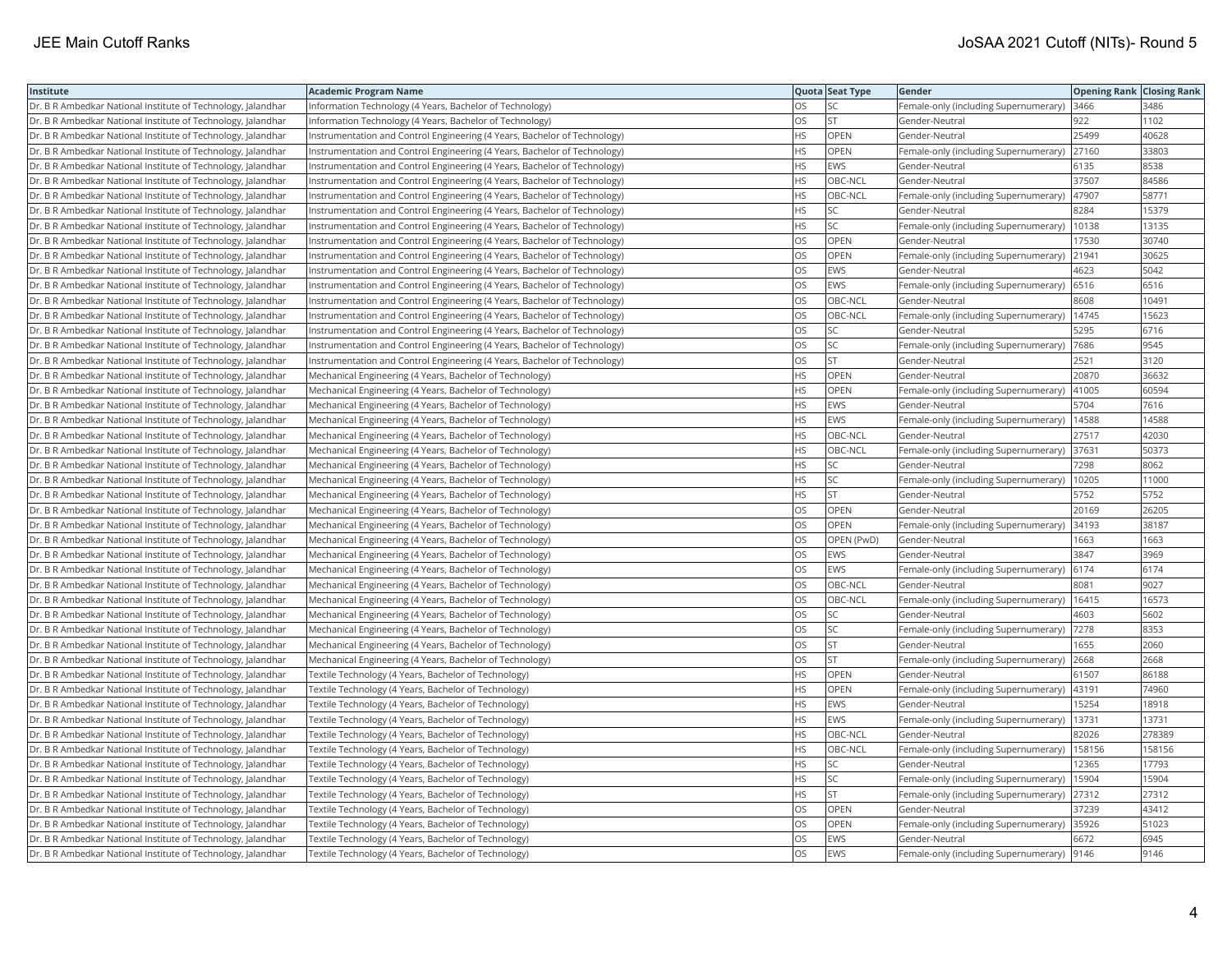| Institute                                                    | <b>Academic Program Name</b>                                              |           | Quota Seat Type | Gender                                      | <b>Opening Rank Closing Rank</b> |        |
|--------------------------------------------------------------|---------------------------------------------------------------------------|-----------|-----------------|---------------------------------------------|----------------------------------|--------|
| Dr. B R Ambedkar National Institute of Technology, Jalandhar | Information Technology (4 Years, Bachelor of Technology)                  | OS        | SC              | Female-only (including Supernumerary)       | 3466                             | 3486   |
| Dr. B R Ambedkar National Institute of Technology, Jalandhar | Information Technology (4 Years, Bachelor of Technology)                  | OS.       | lst             | Gender-Neutral                              | 922                              | 1102   |
| Dr. B R Ambedkar National Institute of Technology, Jalandhar | Instrumentation and Control Engineering (4 Years, Bachelor of Technology) | HS        | <b>OPEN</b>     | Gender-Neutral                              | 25499                            | 40628  |
| Dr. B R Ambedkar National Institute of Technology, Jalandhar | Instrumentation and Control Engineering (4 Years, Bachelor of Technology) | HS        | OPEN            | Female-only (including Supernumerary)       | 27160                            | 33803  |
| Dr. B R Ambedkar National Institute of Technology, Jalandhar | Instrumentation and Control Engineering (4 Years, Bachelor of Technology) | HS.       | <b>EWS</b>      | Gender-Neutral                              | 6135                             | 8538   |
| Dr. B R Ambedkar National Institute of Technology, Jalandhar | Instrumentation and Control Engineering (4 Years, Bachelor of Technology) | HS        | OBC-NCL         | Gender-Neutral                              | 37507                            | 84586  |
| Dr. B R Ambedkar National Institute of Technology, Jalandhar | Instrumentation and Control Engineering (4 Years, Bachelor of Technology) | НS        | OBC-NCL         | Female-only (including Supernumerary)       | 47907                            | 58771  |
| Dr. B R Ambedkar National Institute of Technology, Jalandhar | Instrumentation and Control Engineering (4 Years, Bachelor of Technology) | HS.       | <b>SC</b>       | Gender-Neutral                              | 8284                             | 15379  |
| Dr. B R Ambedkar National Institute of Technology, Jalandhar | Instrumentation and Control Engineering (4 Years, Bachelor of Technology) | HS        | SC              | Female-only (including Supernumerary)       | 10138                            | 13135  |
| Dr. B R Ambedkar National Institute of Technology, Jalandhar | Instrumentation and Control Engineering (4 Years, Bachelor of Technology) | OS        | OPEN            | Gender-Neutral                              | 17530                            | 30740  |
| Dr. B R Ambedkar National Institute of Technology, Jalandhar | Instrumentation and Control Engineering (4 Years, Bachelor of Technology) | OS        | <b>OPEN</b>     | Female-only (including Supernumerary)       | 21941                            | 30625  |
| Dr. B R Ambedkar National Institute of Technology, Jalandhar | Instrumentation and Control Engineering (4 Years, Bachelor of Technology) | OS        | <b>EWS</b>      | Gender-Neutral                              | 4623                             | 5042   |
| Dr. B R Ambedkar National Institute of Technology, Jalandhar | Instrumentation and Control Engineering (4 Years, Bachelor of Technology) | OS        | <b>EWS</b>      | Female-only (including Supernumerary)       | 6516                             | 6516   |
| Dr. B R Ambedkar National Institute of Technology, Jalandhar | Instrumentation and Control Engineering (4 Years, Bachelor of Technology) | OS        | OBC-NCL         | Gender-Neutral                              | 8608                             | 10491  |
| Dr. B R Ambedkar National Institute of Technology, Jalandhar | Instrumentation and Control Engineering (4 Years, Bachelor of Technology) | OS        | OBC-NCL         | Female-only (including Supernumerary)       | 14745                            | 15623  |
| Dr. B R Ambedkar National Institute of Technology, Jalandhar | Instrumentation and Control Engineering (4 Years, Bachelor of Technology) | OS.       | <b>SC</b>       | Gender-Neutral                              | 5295                             | 6716   |
| Dr. B R Ambedkar National Institute of Technology, Jalandhar | Instrumentation and Control Engineering (4 Years, Bachelor of Technology) | OS        | SC              | Female-only (including Supernumerary)       | 7686                             | 9545   |
| Dr. B R Ambedkar National Institute of Technology, Jalandhar | Instrumentation and Control Engineering (4 Years, Bachelor of Technology) | OS        | <b>ST</b>       | Gender-Neutral                              | 2521                             | 3120   |
| Dr. B R Ambedkar National Institute of Technology, Jalandhar | Mechanical Engineering (4 Years, Bachelor of Technology)                  | HS        | <b>OPEN</b>     | Gender-Neutral                              | 20870                            | 36632  |
| Dr. B R Ambedkar National Institute of Technology, Jalandhar | Mechanical Engineering (4 Years, Bachelor of Technology)                  | HS.       | <b>OPEN</b>     | Female-only (including Supernumerary)       | 41005                            | 60594  |
| Dr. B R Ambedkar National Institute of Technology, Jalandhar | Mechanical Engineering (4 Years, Bachelor of Technology)                  | HS        | <b>EWS</b>      | Gender-Neutral                              | 5704                             | 7616   |
| Dr. B R Ambedkar National Institute of Technology, Jalandhar | Mechanical Engineering (4 Years, Bachelor of Technology)                  | HS        | EWS             | Female-only (including Supernumerary)       | 14588                            | 14588  |
| Dr. B R Ambedkar National Institute of Technology, Jalandhar | Mechanical Engineering (4 Years, Bachelor of Technology)                  | ΗS        | OBC-NCL         | Gender-Neutral                              | 27517                            | 42030  |
| Dr. B R Ambedkar National Institute of Technology, Jalandhar | Mechanical Engineering (4 Years, Bachelor of Technology)                  | HS        | OBC-NCL         | Female-only (including Supernumerary)       | 37631                            | 50373  |
| Dr. B R Ambedkar National Institute of Technology, Jalandhar | Mechanical Engineering (4 Years, Bachelor of Technology)                  | HS        | SC              | Gender-Neutral                              | 7298                             | 8062   |
| Dr. B R Ambedkar National Institute of Technology, Jalandhar | Mechanical Engineering (4 Years, Bachelor of Technology)                  | HS        | <b>SC</b>       | Female-only (including Supernumerary)       | 10205                            | 11000  |
| Dr. B R Ambedkar National Institute of Technology, Jalandhar | Mechanical Engineering (4 Years, Bachelor of Technology)                  | ΗS        | <b>ST</b>       | Gender-Neutral                              | 5752                             | 5752   |
| Dr. B R Ambedkar National Institute of Technology, Jalandhar | Mechanical Engineering (4 Years, Bachelor of Technology)                  | OS.       | <b>OPEN</b>     | Gender-Neutral                              | 20169                            | 26205  |
| Dr. B R Ambedkar National Institute of Technology, Jalandhar | Mechanical Engineering (4 Years, Bachelor of Technology)                  | OS        | OPEN            | Female-only (including Supernumerary)       | 34193                            | 38187  |
| Dr. B R Ambedkar National Institute of Technology, Jalandhar | Mechanical Engineering (4 Years, Bachelor of Technology)                  | OS        | OPEN (PwD)      | Gender-Neutral                              | 1663                             | 1663   |
| Dr. B R Ambedkar National Institute of Technology, Jalandhar | Mechanical Engineering (4 Years, Bachelor of Technology)                  | OS        | <b>EWS</b>      | Gender-Neutral                              | 3847                             | 3969   |
| Dr. B R Ambedkar National Institute of Technology, Jalandhar | Mechanical Engineering (4 Years, Bachelor of Technology)                  | OS        | EWS             | Female-only (including Supernumerary)       | 6174                             | 6174   |
| Dr. B R Ambedkar National Institute of Technology, Jalandhar | Mechanical Engineering (4 Years, Bachelor of Technology)                  | OS        | OBC-NCL         | Gender-Neutral                              | 8081                             | 9027   |
| Dr. B R Ambedkar National Institute of Technology, Jalandhar | Mechanical Engineering (4 Years, Bachelor of Technology)                  | OS        | OBC-NCL         | Female-only (including Supernumerary)       | 16415                            | 16573  |
| Dr. B R Ambedkar National Institute of Technology, Jalandhar | Mechanical Engineering (4 Years, Bachelor of Technology)                  | OS        | SC              | Gender-Neutral                              | 4603                             | 5602   |
| Dr. B R Ambedkar National Institute of Technology, Jalandhar | Mechanical Engineering (4 Years, Bachelor of Technology)                  | OS.       | lsc             | Female-only (including Supernumerary)       | 7278                             | 8353   |
| Dr. B R Ambedkar National Institute of Technology, Jalandhar | Mechanical Engineering (4 Years, Bachelor of Technology)                  | OS        | <b>ST</b>       | Gender-Neutral                              | 1655                             | 2060   |
| Dr. B R Ambedkar National Institute of Technology, Jalandhar | Mechanical Engineering (4 Years, Bachelor of Technology)                  | OS        | <b>ST</b>       | Female-only (including Supernumerary)       | 2668                             | 2668   |
| Dr. B R Ambedkar National Institute of Technology, Jalandhar | Textile Technology (4 Years, Bachelor of Technology)                      | HS        | <b>OPEN</b>     | Gender-Neutral                              | 61507                            | 86188  |
| Dr. B R Ambedkar National Institute of Technology, Jalandhar | Textile Technology (4 Years, Bachelor of Technology)                      | <b>HS</b> | <b>OPEN</b>     | Female-only (including Supernumerary)       | 43191                            | 74960  |
| Dr. B R Ambedkar National Institute of Technology, Jalandhar | Textile Technology (4 Years, Bachelor of Technology)                      | HS.       | <b>EWS</b>      | Gender-Neutral                              | 15254                            | 18918  |
| Dr. B R Ambedkar National Institute of Technology, Jalandhar | Textile Technology (4 Years, Bachelor of Technology)                      | HS        | <b>EWS</b>      | Female-only (including Supernumerary)       | 13731                            | 13731  |
| Dr. B R Ambedkar National Institute of Technology, Jalandhar | Textile Technology (4 Years, Bachelor of Technology)                      | HS        | OBC-NCL         | Gender-Neutral                              | 82026                            | 278389 |
| Dr. B R Ambedkar National Institute of Technology, Jalandhar | Textile Technology (4 Years, Bachelor of Technology)                      | HS.       | OBC-NCL         | Female-only (including Supernumerary)       | 158156                           | 158156 |
| Dr. B R Ambedkar National Institute of Technology, Jalandhar | Textile Technology (4 Years, Bachelor of Technology)                      | HS        | <b>SC</b>       | Gender-Neutral                              | 12365                            | 17793  |
| Dr. B R Ambedkar National Institute of Technology, Jalandhar | Textile Technology (4 Years, Bachelor of Technology)                      | HS        | <b>SC</b>       | Female-only (including Supernumerary)       | 15904                            | 15904  |
| Dr. B R Ambedkar National Institute of Technology, Jalandhar | Textile Technology (4 Years, Bachelor of Technology)                      | HS        | <b>ST</b>       | Female-only (including Supernumerary)       | 27312                            | 27312  |
| Dr. B R Ambedkar National Institute of Technology, Jalandhar | Textile Technology (4 Years, Bachelor of Technology)                      | OS.       | <b>OPEN</b>     | Gender-Neutral                              | 37239                            | 43412  |
| Dr. B R Ambedkar National Institute of Technology, Jalandhar | Textile Technology (4 Years, Bachelor of Technology)                      | OS        | OPEN            | Female-only (including Supernumerary)       | 35926                            | 51023  |
| Dr. B R Ambedkar National Institute of Technology, Jalandhar | Textile Technology (4 Years, Bachelor of Technology)                      | OS.       | EWS             | Gender-Neutral                              | 6672                             | 6945   |
| Dr. B R Ambedkar National Institute of Technology, Jalandhar | Textile Technology (4 Years, Bachelor of Technology)                      | <b>OS</b> | <b>EWS</b>      | Female-only (including Supernumerary)  9146 |                                  | 9146   |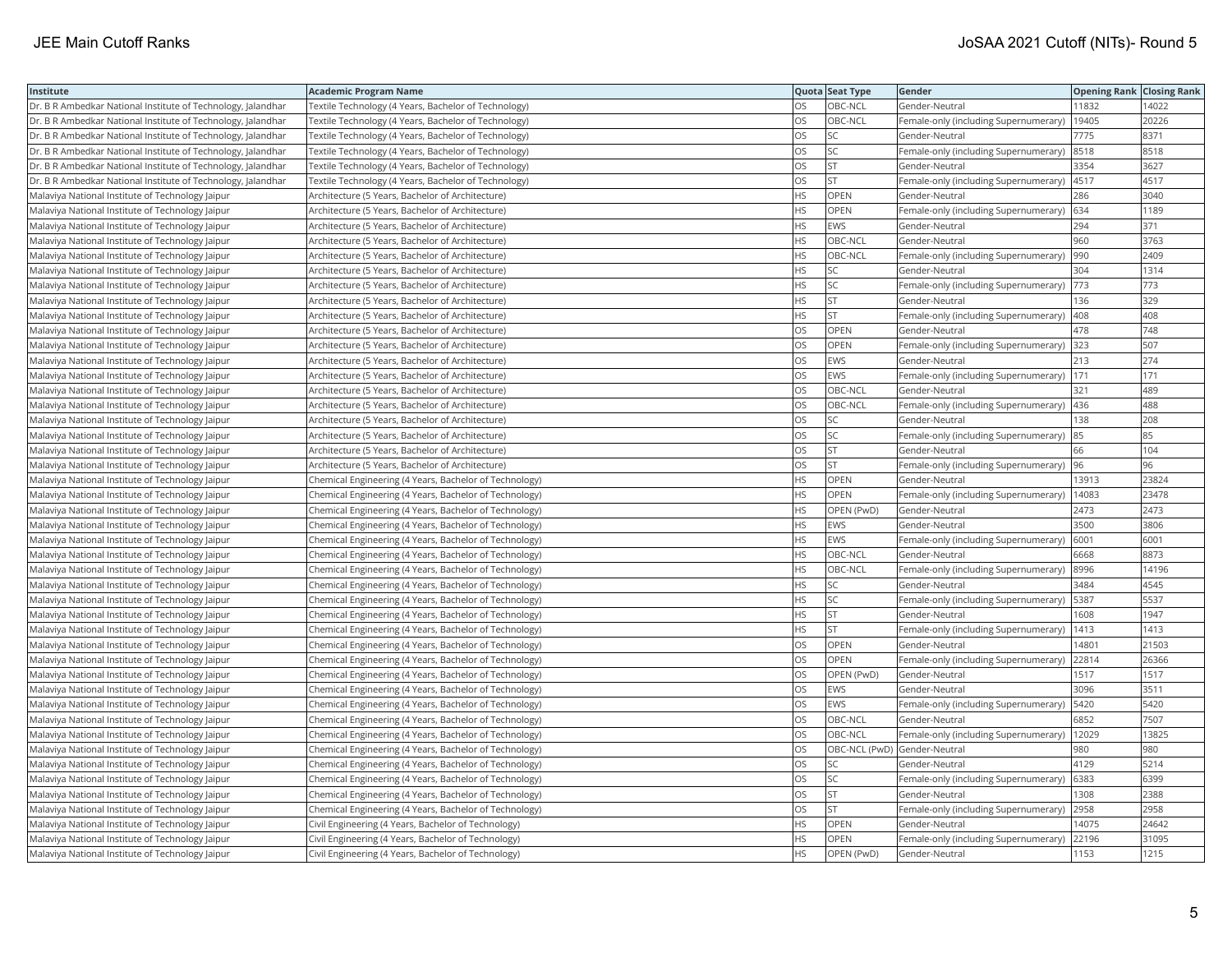| Institute                                                    | <b>Academic Program Name</b>                           |           | Quota Seat Type              | Gender                                      | <b>Opening Rank Closing Rank</b> |       |
|--------------------------------------------------------------|--------------------------------------------------------|-----------|------------------------------|---------------------------------------------|----------------------------------|-------|
| Dr. B R Ambedkar National Institute of Technology, Jalandhar | Textile Technology (4 Years, Bachelor of Technology)   | OS        | OBC-NCL                      | Gender-Neutral                              | 11832                            | 14022 |
| Dr. B R Ambedkar National Institute of Technology, Jalandhar | Textile Technology (4 Years, Bachelor of Technology)   | OS        | OBC-NCL                      | Female-only (including Supernumerary)       | 19405                            | 20226 |
| Dr. B R Ambedkar National Institute of Technology, Jalandhar | Textile Technology (4 Years, Bachelor of Technology)   | OS        | SC                           | Gender-Neutral                              | 7775                             | 8371  |
| Dr. B R Ambedkar National Institute of Technology, Jalandhar | Textile Technology (4 Years, Bachelor of Technology)   | OS        | lsc                          | Female-only (including Supernumerary)       | 8518                             | 8518  |
| Dr. B R Ambedkar National Institute of Technology, Jalandhar | Textile Technology (4 Years, Bachelor of Technology)   | OS        | <b>ST</b>                    | Gender-Neutral                              | 3354                             | 3627  |
| Dr. B R Ambedkar National Institute of Technology, Jalandhar | Textile Technology (4 Years, Bachelor of Technology)   | OS        | <b>ST</b>                    | Female-only (including Supernumerary)       | 4517                             | 4517  |
| Malaviya National Institute of Technology Jaipur             | Architecture (5 Years, Bachelor of Architecture)       | <b>HS</b> | <b>OPEN</b>                  | Gender-Neutral                              | 286                              | 3040  |
| Malaviya National Institute of Technology Jaipur             | Architecture (5 Years, Bachelor of Architecture)       | <b>HS</b> | OPEN                         | Female-only (including Supernumerary)   634 |                                  | 1189  |
| Malaviya National Institute of Technology Jaipur             | Architecture (5 Years, Bachelor of Architecture)       | <b>HS</b> | EWS                          | Gender-Neutral                              | 294                              | 371   |
| Malaviya National Institute of Technology Jaipur             | Architecture (5 Years, Bachelor of Architecture)       | <b>HS</b> | OBC-NCL                      | Gender-Neutral                              | 960                              | 3763  |
| Malaviya National Institute of Technology Jaipur             | Architecture (5 Years, Bachelor of Architecture)       | <b>HS</b> | OBC-NCL                      | Female-only (including Supernumerary)       | 990                              | 2409  |
| Malaviya National Institute of Technology Jaipur             | Architecture (5 Years, Bachelor of Architecture)       | <b>HS</b> | SC                           | Gender-Neutral                              | 304                              | 1314  |
| Malaviya National Institute of Technology Jaipur             | Architecture (5 Years, Bachelor of Architecture)       | <b>HS</b> | lsc                          | Female-only (including Supernumerary)       | 773                              | 773   |
| Malaviya National Institute of Technology Jaipur             | Architecture (5 Years, Bachelor of Architecture)       | <b>HS</b> | <b>ST</b>                    | Gender-Neutral                              | 136                              | 329   |
| Malaviya National Institute of Technology Jaipur             | Architecture (5 Years, Bachelor of Architecture)       | <b>HS</b> | <b>ST</b>                    | Female-only (including Supernumerary)       | 408                              | 408   |
| Malaviya National Institute of Technology Jaipur             | Architecture (5 Years, Bachelor of Architecture)       | OS        | OPEN                         | Gender-Neutral                              | 478                              | 748   |
| Malaviya National Institute of Technology Jaipur             | Architecture (5 Years, Bachelor of Architecture)       | <b>OS</b> | <b>OPEN</b>                  | Female-only (including Supernumerary)       | 323                              | 507   |
| Malaviya National Institute of Technology Jaipur             | Architecture (5 Years, Bachelor of Architecture)       | OS        | EWS                          | Gender-Neutral                              | 213                              | 274   |
| Malaviya National Institute of Technology Jaipur             | Architecture (5 Years, Bachelor of Architecture)       | OS        | EWS                          | Female-only (including Supernumerary)       | 171                              | 171   |
| Malaviya National Institute of Technology Jaipur             | Architecture (5 Years, Bachelor of Architecture)       | <b>OS</b> | OBC-NCL                      | Gender-Neutral                              | 321                              | 489   |
| Malaviya National Institute of Technology Jaipur             | Architecture (5 Years, Bachelor of Architecture)       | <b>OS</b> | OBC-NCL                      | Female-only (including Supernumerary)       | 436                              | 488   |
| Malaviya National Institute of Technology Jaipur             | Architecture (5 Years, Bachelor of Architecture)       | OS        | SC.                          | Gender-Neutral                              | 138                              | 208   |
| Malaviya National Institute of Technology Jaipur             | Architecture (5 Years, Bachelor of Architecture)       | OS        | <b>SC</b>                    | Female-only (including Supernumerary) 85    |                                  | 85    |
| Malaviya National Institute of Technology Jaipur             | Architecture (5 Years, Bachelor of Architecture)       | OS        | <b>ST</b>                    | Gender-Neutral                              | 66                               | 104   |
| Malaviya National Institute of Technology Jaipur             | Architecture (5 Years, Bachelor of Architecture)       | OS        | ST                           | Female-only (including Supernumerary)       | 96                               | 96    |
| Malaviya National Institute of Technology Jaipur             | Chemical Engineering (4 Years, Bachelor of Technology) | <b>HS</b> | <b>OPEN</b>                  | Gender-Neutral                              | 13913                            | 23824 |
| Malaviya National Institute of Technology Jaipur             | Chemical Engineering (4 Years, Bachelor of Technology) | <b>HS</b> | OPEN                         | Female-only (including Supernumerary)       | 14083                            | 23478 |
| Malaviya National Institute of Technology Jaipur             | Chemical Engineering (4 Years, Bachelor of Technology) | <b>HS</b> | OPEN (PwD)                   | Gender-Neutral                              | 2473                             | 2473  |
| Malaviya National Institute of Technology Jaipur             | Chemical Engineering (4 Years, Bachelor of Technology) | <b>HS</b> | EWS                          | Gender-Neutral                              | 3500                             | 3806  |
| Malaviya National Institute of Technology Jaipur             | Chemical Engineering (4 Years, Bachelor of Technology) | <b>HS</b> | EWS                          | Female-only (including Supernumerary)       | 6001                             | 6001  |
| Malaviya National Institute of Technology Jaipur             | Chemical Engineering (4 Years, Bachelor of Technology) | <b>HS</b> | OBC-NCL                      | Gender-Neutral                              | 6668                             | 8873  |
| Malaviya National Institute of Technology Jaipur             | Chemical Engineering (4 Years, Bachelor of Technology) | HS.       | OBC-NCL                      | Female-only (including Supernumerary)       | 8996                             | 14196 |
| Malaviya National Institute of Technology Jaipur             | Chemical Engineering (4 Years, Bachelor of Technology) | <b>HS</b> | SC                           | Gender-Neutral                              | 3484                             | 4545  |
| Malaviya National Institute of Technology Jaipur             | Chemical Engineering (4 Years, Bachelor of Technology) | <b>HS</b> | <b>SC</b>                    | Female-only (including Supernumerary)       | 5387                             | 5537  |
| Malaviya National Institute of Technology Jaipur             | Chemical Engineering (4 Years, Bachelor of Technology) | <b>HS</b> | <b>ST</b>                    | Gender-Neutral                              | 1608                             | 1947  |
| Malaviya National Institute of Technology Jaipur             | Chemical Engineering (4 Years, Bachelor of Technology) | <b>HS</b> | lst                          | Female-only (including Supernumerary)       | 1413                             | 1413  |
| Malaviya National Institute of Technology Jaipur             | Chemical Engineering (4 Years, Bachelor of Technology) | OS        | OPEN                         | Gender-Neutral                              | 14801                            | 21503 |
| Malaviya National Institute of Technology Jaipur             | Chemical Engineering (4 Years, Bachelor of Technology) | <b>OS</b> | OPEN                         | Female-only (including Supernumerary)       | 22814                            | 26366 |
| Malaviya National Institute of Technology Jaipur             | Chemical Engineering (4 Years, Bachelor of Technology) | OS        | OPEN (PwD)                   | Gender-Neutral                              | 1517                             | 1517  |
| Malaviya National Institute of Technology Jaipur             | Chemical Engineering (4 Years, Bachelor of Technology) | <b>OS</b> | <b>EWS</b>                   | Gender-Neutral                              | 3096                             | 3511  |
| Malaviya National Institute of Technology Jaipur             | Chemical Engineering (4 Years, Bachelor of Technology) | OS        | EWS                          | Female-only (including Supernumerary)       | 5420                             | 5420  |
| Malaviya National Institute of Technology Jaipur             | Chemical Engineering (4 Years, Bachelor of Technology) | OS        | OBC-NCL                      | Gender-Neutral                              | 6852                             | 7507  |
| Malaviya National Institute of Technology Jaipur             | Chemical Engineering (4 Years, Bachelor of Technology) | OS        | OBC-NCL                      | Female-only (including Supernumerary)       | 12029                            | 13825 |
| Malaviya National Institute of Technology Jaipur             | Chemical Engineering (4 Years, Bachelor of Technology) | <b>OS</b> | OBC-NCL (PwD) Gender-Neutral |                                             | 980                              | 980   |
| Malaviya National Institute of Technology Jaipur             | Chemical Engineering (4 Years, Bachelor of Technology) | OS        | SC.                          | Gender-Neutral                              | 4129                             | 5214  |
| Malaviya National Institute of Technology Jaipur             | Chemical Engineering (4 Years, Bachelor of Technology) | OS        | SC.                          | Female-only (including Supernumerary)       | 6383                             | 6399  |
| Malaviya National Institute of Technology Jaipur             | Chemical Engineering (4 Years, Bachelor of Technology) | <b>OS</b> | <b>ST</b>                    | Gender-Neutral                              | 1308                             | 2388  |
| Malaviya National Institute of Technology Jaipur             | Chemical Engineering (4 Years, Bachelor of Technology) | OS        | ST                           | Female-only (including Supernumerary)       | 2958                             | 2958  |
| Malaviya National Institute of Technology Jaipur             | Civil Engineering (4 Years, Bachelor of Technology)    | <b>HS</b> | OPEN                         | Gender-Neutral                              | 14075                            | 24642 |
| Malaviya National Institute of Technology Jaipur             | Civil Engineering (4 Years, Bachelor of Technology)    | <b>HS</b> | OPEN                         | Female-only (including Supernumerary)       | 22196                            | 31095 |
| Malaviya National Institute of Technology Jaipur             | Civil Engineering (4 Years, Bachelor of Technology)    | <b>HS</b> | OPEN (PwD)                   | Gender-Neutral                              | 1153                             | 1215  |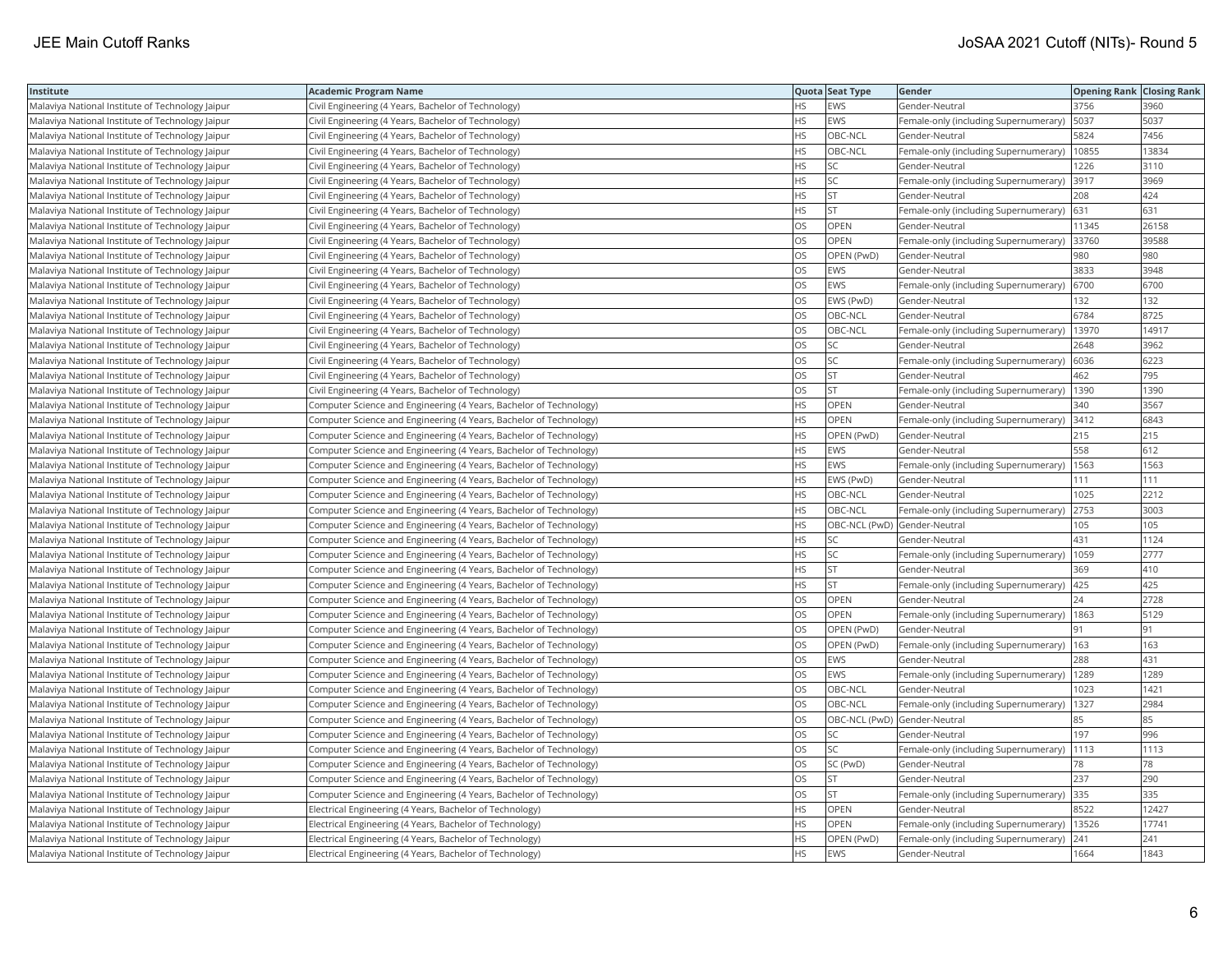| Institute                                        | <b>Academic Program Name</b>                                       |           | Quota Seat Type              | Gender                                      | <b>Opening Rank   Closing Rank</b> |       |
|--------------------------------------------------|--------------------------------------------------------------------|-----------|------------------------------|---------------------------------------------|------------------------------------|-------|
| Malaviya National Institute of Technology Jaipur | Civil Engineering (4 Years, Bachelor of Technology)                | <b>HS</b> | EWS                          | Gender-Neutral                              | 3756                               | 3960  |
| Malaviya National Institute of Technology Jaipur | Civil Engineering (4 Years, Bachelor of Technology)                | <b>HS</b> | EWS                          | Female-only (including Supernumerary)       | 5037                               | 5037  |
| Malaviya National Institute of Technology Jaipur | Civil Engineering (4 Years, Bachelor of Technology)                | <b>HS</b> | OBC-NCL                      | Gender-Neutral                              | 5824                               | 7456  |
| Malaviya National Institute of Technology Jaipur | Civil Engineering (4 Years, Bachelor of Technology)                | <b>HS</b> | OBC-NCL                      | Female-only (including Supernumerary)       | 10855                              | 13834 |
| Malaviya National Institute of Technology Jaipur | Civil Engineering (4 Years, Bachelor of Technology)                | <b>HS</b> | SC.                          | Gender-Neutral                              | 1226                               | 3110  |
| Malaviya National Institute of Technology Jaipur | Civil Engineering (4 Years, Bachelor of Technology)                | HS        | SC.                          | Female-only (including Supernumerary)       | 3917                               | 3969  |
| Malaviya National Institute of Technology Jaipur | Civil Engineering (4 Years, Bachelor of Technology)                | <b>HS</b> | İst                          | Gender-Neutral                              | 208                                | 424   |
| Malaviya National Institute of Technology Jaipur | Civil Engineering (4 Years, Bachelor of Technology)                | <b>HS</b> | <b>ST</b>                    | Female-only (including Supernumerary)       | 631                                | 631   |
| Malaviya National Institute of Technology Jaipur | Civil Engineering (4 Years, Bachelor of Technology)                | OS        | OPEN                         | Gender-Neutral                              | 11345                              | 26158 |
| Malaviya National Institute of Technology Jaipur | Civil Engineering (4 Years, Bachelor of Technology)                | <b>OS</b> | <b>OPEN</b>                  | Female-only (including Supernumerary)       | 33760                              | 39588 |
| Malaviya National Institute of Technology Jaipur | Civil Engineering (4 Years, Bachelor of Technology)                | OS        | OPEN (PwD)                   | Gender-Neutral                              | 980                                | 980   |
| Malaviya National Institute of Technology Jaipur | Civil Engineering (4 Years, Bachelor of Technology)                | OS        | EWS                          | Gender-Neutral                              | 3833                               | 3948  |
| Malaviya National Institute of Technology Jaipur | Civil Engineering (4 Years, Bachelor of Technology)                | OS        | EWS                          | Female-only (including Supernumerary)       | 6700                               | 6700  |
| Malaviya National Institute of Technology Jaipur | Civil Engineering (4 Years, Bachelor of Technology)                | OS        | EWS (PwD)                    | Gender-Neutral                              | 132                                | 132   |
| Malaviya National Institute of Technology Jaipur | Civil Engineering (4 Years, Bachelor of Technology)                | <b>OS</b> | OBC-NCL                      | Gender-Neutral                              | 6784                               | 8725  |
| Malaviya National Institute of Technology Jaipur | Civil Engineering (4 Years, Bachelor of Technology)                | OS        | OBC-NCL                      | Female-only (including Supernumerary)       | 13970                              | 14917 |
| Malaviya National Institute of Technology Jaipur | Civil Engineering (4 Years, Bachelor of Technology)                | OS        | SC                           | Gender-Neutral                              | 2648                               | 3962  |
| Malaviya National Institute of Technology Jaipur | Civil Engineering (4 Years, Bachelor of Technology)                | OS        | SC.                          | Female-only (including Supernumerary)       | 6036                               | 6223  |
| Malaviya National Institute of Technology Jaipur | Civil Engineering (4 Years, Bachelor of Technology)                | OS        | <b>ST</b>                    | Gender-Neutral                              | 462                                | 795   |
| Malaviya National Institute of Technology Jaipur | Civil Engineering (4 Years, Bachelor of Technology)                | OS        | lst                          | Female-only (including Supernumerary)       | 1390                               | 1390  |
| Malaviya National Institute of Technology Jaipur | Computer Science and Engineering (4 Years, Bachelor of Technology) | <b>HS</b> | OPEN                         | Gender-Neutral                              | 340                                | 3567  |
| Malaviya National Institute of Technology Jaipur | Computer Science and Engineering (4 Years, Bachelor of Technology) | <b>HS</b> | OPEN                         | Female-only (including Supernumerary) 3412  |                                    | 6843  |
| Malaviya National Institute of Technology Jaipur | Computer Science and Engineering (4 Years, Bachelor of Technology) | HS.       | OPEN (PwD)                   | Gender-Neutral                              | 215                                | 215   |
| Malaviya National Institute of Technology Jaipur | Computer Science and Engineering (4 Years, Bachelor of Technology) | <b>HS</b> | <b>EWS</b>                   | Gender-Neutral                              | 558                                | 612   |
| Malaviya National Institute of Technology Jaipur | Computer Science and Engineering (4 Years, Bachelor of Technology) | <b>HS</b> | EWS                          | Female-only (including Supernumerary)       | 1563                               | 1563  |
| Malaviya National Institute of Technology Jaipur | Computer Science and Engineering (4 Years, Bachelor of Technology) | <b>HS</b> | EWS (PwD)                    | Gender-Neutral                              | 111                                | 111   |
| Malaviya National Institute of Technology Jaipur | Computer Science and Engineering (4 Years, Bachelor of Technology) | <b>HS</b> | OBC-NCL                      | Gender-Neutral                              | 1025                               | 2212  |
| Malaviya National Institute of Technology Jaipur | Computer Science and Engineering (4 Years, Bachelor of Technology) | <b>HS</b> | OBC-NCL                      | Female-only (including Supernumerary)       | 2753                               | 3003  |
| Malaviya National Institute of Technology Jaipur | Computer Science and Engineering (4 Years, Bachelor of Technology) | <b>HS</b> | OBC-NCL (PwD) Gender-Neutral |                                             | 105                                | 105   |
| Malaviya National Institute of Technology Jaipur | Computer Science and Engineering (4 Years, Bachelor of Technology) | <b>HS</b> | SC                           | Gender-Neutral                              | 431                                | 1124  |
| Malaviya National Institute of Technology Jaipur | Computer Science and Engineering (4 Years, Bachelor of Technology) | <b>HS</b> | SC                           | Female-only (including Supernumerary)       | 1059                               | 2777  |
| Malaviya National Institute of Technology Jaipur | Computer Science and Engineering (4 Years, Bachelor of Technology) | HS        | <b>ST</b>                    | Gender-Neutral                              | 369                                | 410   |
| Malaviya National Institute of Technology Jaipur | Computer Science and Engineering (4 Years, Bachelor of Technology) | <b>HS</b> | <b>ST</b>                    | Female-only (including Supernumerary)       | 425                                | 425   |
| Malaviya National Institute of Technology Jaipur | Computer Science and Engineering (4 Years, Bachelor of Technology) | OS        | OPEN                         | Gender-Neutral                              | 24                                 | 2728  |
| Malaviya National Institute of Technology Jaipur | Computer Science and Engineering (4 Years, Bachelor of Technology) | <b>OS</b> | OPEN                         | Female-only (including Supernumerary)       | 1863                               | 5129  |
| Malaviya National Institute of Technology Jaipur | Computer Science and Engineering (4 Years, Bachelor of Technology) | <b>OS</b> | OPEN (PwD)                   | Gender-Neutral                              | 91                                 | 91    |
| Malaviya National Institute of Technology Jaipur | Computer Science and Engineering (4 Years, Bachelor of Technology) | OS        | OPEN (PwD)                   | Female-only (including Supernumerary)   163 |                                    | 163   |
| Malaviya National Institute of Technology Jaipur | Computer Science and Engineering (4 Years, Bachelor of Technology) | OS        | EWS                          | Gender-Neutral                              | 288                                | 431   |
| Malaviya National Institute of Technology Jaipur | Computer Science and Engineering (4 Years, Bachelor of Technology) | <b>OS</b> | EWS                          | Female-only (including Supernumerary)       | 1289                               | 1289  |
| Malaviya National Institute of Technology Jaipur | Computer Science and Engineering (4 Years, Bachelor of Technology) | OS        | OBC-NCL                      | Gender-Neutral                              | 1023                               | 1421  |
| Malaviya National Institute of Technology Jaipur | Computer Science and Engineering (4 Years, Bachelor of Technology) | OS        | OBC-NCL                      | Female-only (including Supernumerary)       | 1327                               | 2984  |
| Malaviya National Institute of Technology Jaipur | Computer Science and Engineering (4 Years, Bachelor of Technology) | OS        | OBC-NCL (PwD) Gender-Neutral |                                             | 85                                 | 85    |
| Malaviya National Institute of Technology Jaipur | Computer Science and Engineering (4 Years, Bachelor of Technology) | OS        | SC.                          | Gender-Neutral                              | 197                                | 996   |
| Malaviya National Institute of Technology Jaipur | Computer Science and Engineering (4 Years, Bachelor of Technology) | OS        | SC                           | Female-only (including Supernumerary)       | 1113                               | 1113  |
| Malaviya National Institute of Technology Jaipur | Computer Science and Engineering (4 Years, Bachelor of Technology) | OS        | SC (PwD)                     | Gender-Neutral                              | 78                                 | 78    |
| Malaviya National Institute of Technology Jaipur | Computer Science and Engineering (4 Years, Bachelor of Technology) | OS        | <b>ST</b>                    | Gender-Neutral                              | 237                                | 290   |
| Malaviya National Institute of Technology Jaipur | Computer Science and Engineering (4 Years, Bachelor of Technology) | <b>OS</b> | İst                          | Female-only (including Supernumerary)       | 335                                | 335   |
| Malaviya National Institute of Technology Jaipur | Electrical Engineering (4 Years, Bachelor of Technology)           | HS        | OPEN                         | Gender-Neutral                              | 8522                               | 12427 |
| Malaviya National Institute of Technology Jaipur | Electrical Engineering (4 Years, Bachelor of Technology)           | <b>HS</b> | OPEN                         | Female-only (including Supernumerary)       | 13526                              | 17741 |
| Malaviya National Institute of Technology Jaipur | Electrical Engineering (4 Years, Bachelor of Technology)           | <b>HS</b> | OPEN (PwD)                   | Female-only (including Supernumerary)       | 241                                | 241   |
| Malaviya National Institute of Technology Jaipur | Electrical Engineering (4 Years, Bachelor of Technology)           | <b>HS</b> | <b>EWS</b>                   | Gender-Neutral                              | 1664                               | 1843  |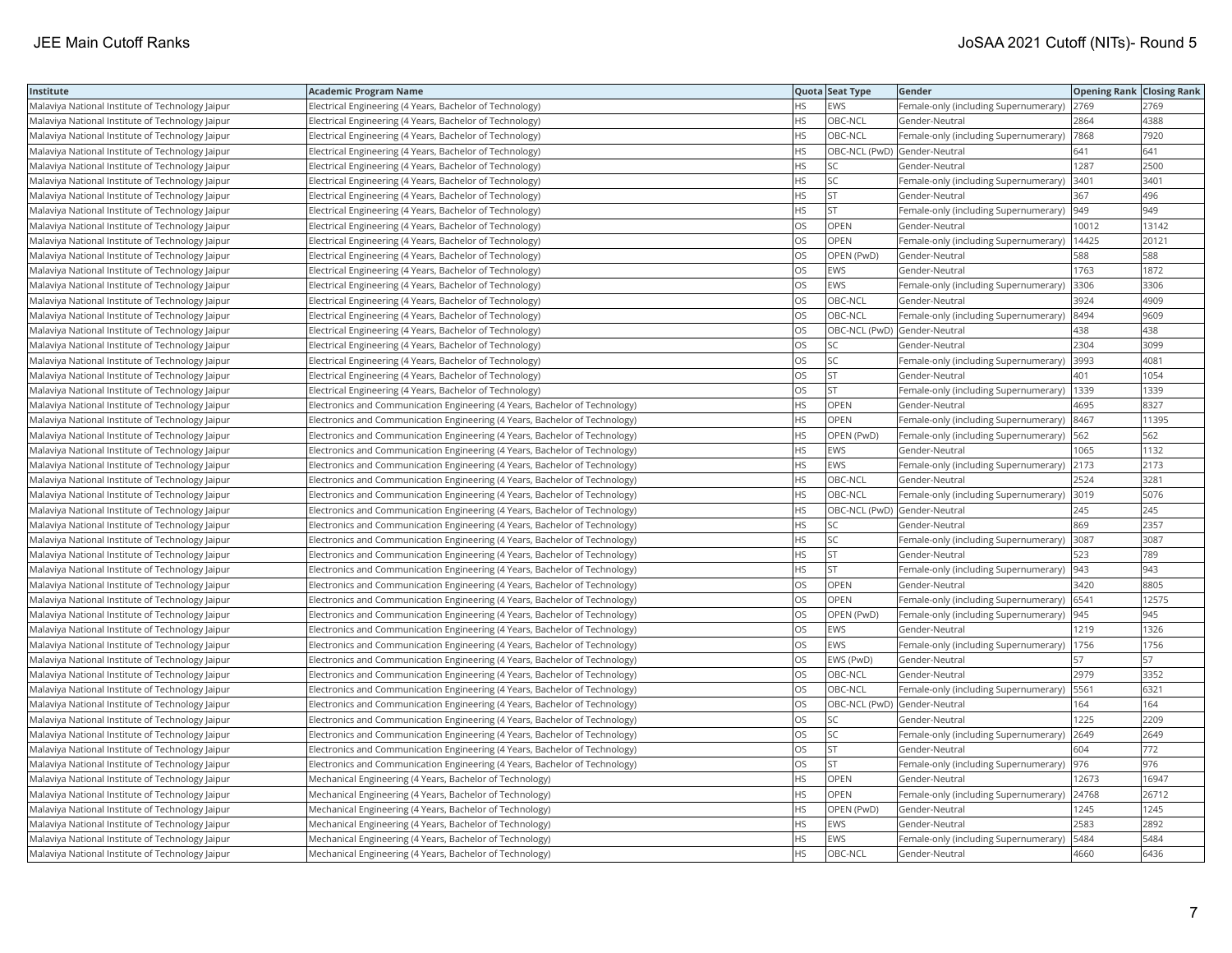| Institute                                        | <b>Academic Program Name</b>                                                |           | Quota Seat Type              | Gender                                       | <b>Opening Rank Closing Rank</b> |       |
|--------------------------------------------------|-----------------------------------------------------------------------------|-----------|------------------------------|----------------------------------------------|----------------------------------|-------|
| Malaviya National Institute of Technology Jaipur | Electrical Engineering (4 Years, Bachelor of Technology)                    | ΗS        | EWS                          | Female-only (including Supernumerary)        | 2769                             | 2769  |
| Malaviya National Institute of Technology Jaipur | Electrical Engineering (4 Years, Bachelor of Technology)                    | HS        | OBC-NCL                      | Gender-Neutral                               | 2864                             | 4388  |
| Malaviya National Institute of Technology Jaipur | Electrical Engineering (4 Years, Bachelor of Technology)                    | НS        | OBC-NCL                      | Female-only (including Supernumerary)        | 7868                             | 7920  |
| Malaviya National Institute of Technology Jaipur | Electrical Engineering (4 Years, Bachelor of Technology)                    | HS        | OBC-NCL (PwD) Gender-Neutral |                                              | 641                              | 641   |
| Malaviya National Institute of Technology Jaipur | Electrical Engineering (4 Years, Bachelor of Technology)                    | <b>HS</b> | SC                           | Gender-Neutral                               | 1287                             | 2500  |
| Malaviya National Institute of Technology Jaipur | Electrical Engineering (4 Years, Bachelor of Technology)                    | HS        | SC                           | Female-only (including Supernumerary)        | 3401                             | 3401  |
| Malaviya National Institute of Technology Jaipur | Electrical Engineering (4 Years, Bachelor of Technology)                    | ΗS        | <b>ST</b>                    | Gender-Neutral                               | 367                              | 496   |
| Malaviya National Institute of Technology Jaipur | Electrical Engineering (4 Years, Bachelor of Technology)                    | <b>HS</b> | <b>ST</b>                    | Female-only (including Supernumerary)        | 949                              | 949   |
| Malaviya National Institute of Technology Jaipur | Electrical Engineering (4 Years, Bachelor of Technology)                    | OS        | <b>OPEN</b>                  | Gender-Neutral                               | 10012                            | 13142 |
| Malaviya National Institute of Technology Jaipur | Electrical Engineering (4 Years, Bachelor of Technology)                    | OS        | OPEN                         | Female-only (including Supernumerary)        | 14425                            | 20121 |
| Malaviya National Institute of Technology Jaipur | Electrical Engineering (4 Years, Bachelor of Technology)                    | OS        | OPEN (PwD)                   | Gender-Neutral                               | 588                              | 588   |
| Malaviya National Institute of Technology Jaipur | Electrical Engineering (4 Years, Bachelor of Technology)                    | OS        | <b>EWS</b>                   | Gender-Neutral                               | 1763                             | 1872  |
| Malaviya National Institute of Technology Jaipur | Electrical Engineering (4 Years, Bachelor of Technology)                    | OS        | <b>EWS</b>                   | Female-only (including Supernumerary)        | 3306                             | 3306  |
| Malaviya National Institute of Technology Jaipur | Electrical Engineering (4 Years, Bachelor of Technology)                    | OS        | OBC-NCL                      | Gender-Neutral                               | 3924                             | 4909  |
| Malaviya National Institute of Technology Jaipur | Electrical Engineering (4 Years, Bachelor of Technology)                    | OS        | OBC-NCL                      | Female-only (including Supernumerary) 8494   |                                  | 9609  |
| Malaviya National Institute of Technology Jaipur | Electrical Engineering (4 Years, Bachelor of Technology)                    | OS        | OBC-NCL (PwD) Gender-Neutral |                                              | 438                              | 438   |
| Malaviya National Institute of Technology Jaipur | Electrical Engineering (4 Years, Bachelor of Technology)                    | OS        | SC                           | Gender-Neutral                               | 2304                             | 3099  |
| Malaviya National Institute of Technology Jaipur | Electrical Engineering (4 Years, Bachelor of Technology)                    | OS        | SC                           | Female-only (including Supernumerary)        | 3993                             | 4081  |
| Malaviya National Institute of Technology Jaipur | Electrical Engineering (4 Years, Bachelor of Technology)                    | OS        | <b>ST</b>                    | Gender-Neutral                               | 401                              | 1054  |
| Malaviya National Institute of Technology Jaipur | Electrical Engineering (4 Years, Bachelor of Technology)                    | OS        | <b>ST</b>                    | Female-only (including Supernumerary)        | 1339                             | 1339  |
| Malaviya National Institute of Technology Jaipur | Electronics and Communication Engineering (4 Years, Bachelor of Technology) | HS        | <b>OPEN</b>                  | Gender-Neutral                               | 4695                             | 8327  |
| Malaviya National Institute of Technology Jaipur | Electronics and Communication Engineering (4 Years, Bachelor of Technology) | HS        | OPEN                         | Female-only (including Supernumerary) 8467   |                                  | 11395 |
| Malaviya National Institute of Technology Jaipur | Electronics and Communication Engineering (4 Years, Bachelor of Technology) | HS        | OPEN (PwD)                   | Female-only (including Supernumerary)   562  |                                  | 562   |
| Malaviya National Institute of Technology Jaipur | Electronics and Communication Engineering (4 Years, Bachelor of Technology) | HS        | <b>EWS</b>                   | Gender-Neutral                               | 1065                             | 1132  |
| Malaviya National Institute of Technology Jaipur | Electronics and Communication Engineering (4 Years, Bachelor of Technology) | HS        | EWS                          | Female-only (including Supernumerary)        | 2173                             | 2173  |
| Malaviya National Institute of Technology Jaipur | Electronics and Communication Engineering (4 Years, Bachelor of Technology) | <b>HS</b> | OBC-NCL                      | Gender-Neutral                               | 2524                             | 3281  |
| Malaviya National Institute of Technology Jaipur | Electronics and Communication Engineering (4 Years, Bachelor of Technology) | НS        | OBC-NCL                      | Female-only (including Supernumerary)        | 3019                             | 5076  |
| Malaviya National Institute of Technology Jaipur | Electronics and Communication Engineering (4 Years, Bachelor of Technology) | HS        | OBC-NCL (PwD) Gender-Neutral |                                              | 245                              | 245   |
| Malaviya National Institute of Technology Jaipur | Electronics and Communication Engineering (4 Years, Bachelor of Technology) | HS        | <b>SC</b>                    | Gender-Neutral                               | 869                              | 2357  |
| Malaviya National Institute of Technology Jaipur | Electronics and Communication Engineering (4 Years, Bachelor of Technology) | ΗS        | SC                           | Female-only (including Supernumerary) 3087   |                                  | 3087  |
| Malaviya National Institute of Technology Jaipur | Electronics and Communication Engineering (4 Years, Bachelor of Technology) | HS        | ST                           | Gender-Neutral                               | 523                              | 789   |
| Malaviya National Institute of Technology Jaipur | Electronics and Communication Engineering (4 Years, Bachelor of Technology) | HS        | <b>ST</b>                    | Female-only (including Supernumerary)        | 943                              | 943   |
| Malaviya National Institute of Technology Jaipur | Electronics and Communication Engineering (4 Years, Bachelor of Technology) | OS        | OPEN                         | Gender-Neutral                               | 3420                             | 8805  |
| Malaviya National Institute of Technology Jaipur | Electronics and Communication Engineering (4 Years, Bachelor of Technology) | OS        | OPEN                         | Female-only (including Supernumerary)  6541  |                                  | 12575 |
| Malaviya National Institute of Technology Jaipur | Electronics and Communication Engineering (4 Years, Bachelor of Technology) | OS        | OPEN (PwD)                   | Female-only (including Supernumerary)  945   |                                  | 945   |
| Malaviya National Institute of Technology Jaipur | Electronics and Communication Engineering (4 Years, Bachelor of Technology) | OS        | <b>EWS</b>                   | Gender-Neutral                               | 1219                             | 1326  |
| Malaviya National Institute of Technology Jaipur | Electronics and Communication Engineering (4 Years, Bachelor of Technology) | OS        | EWS                          | Female-only (including Supernumerary)   1756 |                                  | 1756  |
| Malaviya National Institute of Technology Jaipur | Electronics and Communication Engineering (4 Years, Bachelor of Technology) | OS        | EWS (PwD)                    | Gender-Neutral                               | 57                               | 57    |
| Malaviya National Institute of Technology Jaipur | Electronics and Communication Engineering (4 Years, Bachelor of Technology) | OS        | OBC-NCL                      | Gender-Neutral                               | 2979                             | 3352  |
| Malaviya National Institute of Technology Jaipur | Electronics and Communication Engineering (4 Years, Bachelor of Technology) | OS        | OBC-NCL                      | Female-only (including Supernumerary)        | 5561                             | 6321  |
| Malaviya National Institute of Technology Jaipur | Electronics and Communication Engineering (4 Years, Bachelor of Technology) | OS        | OBC-NCL (PwD) Gender-Neutral |                                              | 164                              | 164   |
| Malaviya National Institute of Technology Jaipur | Electronics and Communication Engineering (4 Years, Bachelor of Technology) | OS        | SC                           | Gender-Neutral                               | 1225                             | 2209  |
| Malaviya National Institute of Technology Jaipur | Electronics and Communication Engineering (4 Years, Bachelor of Technology) | OS        | SC                           | Female-only (including Supernumerary)        | 2649                             | 2649  |
| Malaviya National Institute of Technology Jaipur | Electronics and Communication Engineering (4 Years, Bachelor of Technology) | OS        | <b>ST</b>                    | Gender-Neutral                               | 604                              | 772   |
| Malaviya National Institute of Technology Jaipur | Electronics and Communication Engineering (4 Years, Bachelor of Technology) | OS        | <b>ST</b>                    | Female-only (including Supernumerary)  976   |                                  | 976   |
| Malaviya National Institute of Technology Jaipur | Mechanical Engineering (4 Years, Bachelor of Technology)                    | ΗS        | OPEN                         | Gender-Neutral                               | 12673                            | 16947 |
| Malaviya National Institute of Technology Jaipur | Mechanical Engineering (4 Years, Bachelor of Technology)                    | <b>HS</b> | OPEN                         | Female-only (including Supernumerary)        | 24768                            | 26712 |
| Malaviya National Institute of Technology Jaipur | Mechanical Engineering (4 Years, Bachelor of Technology)                    | HS        | OPEN (PwD)                   | Gender-Neutral                               | 1245                             | 1245  |
| Malaviya National Institute of Technology Jaipur | Mechanical Engineering (4 Years, Bachelor of Technology)                    | HS        | EWS                          | Gender-Neutral                               | 2583                             | 2892  |
| Malaviya National Institute of Technology Jaipur | Mechanical Engineering (4 Years, Bachelor of Technology)                    | HS.       | EWS                          | Female-only (including Supernumerary)        | 5484                             | 5484  |
| Malaviya National Institute of Technology Jaipur | Mechanical Engineering (4 Years, Bachelor of Technology)                    | <b>HS</b> | OBC-NCL                      | Gender-Neutral                               | 4660                             | 6436  |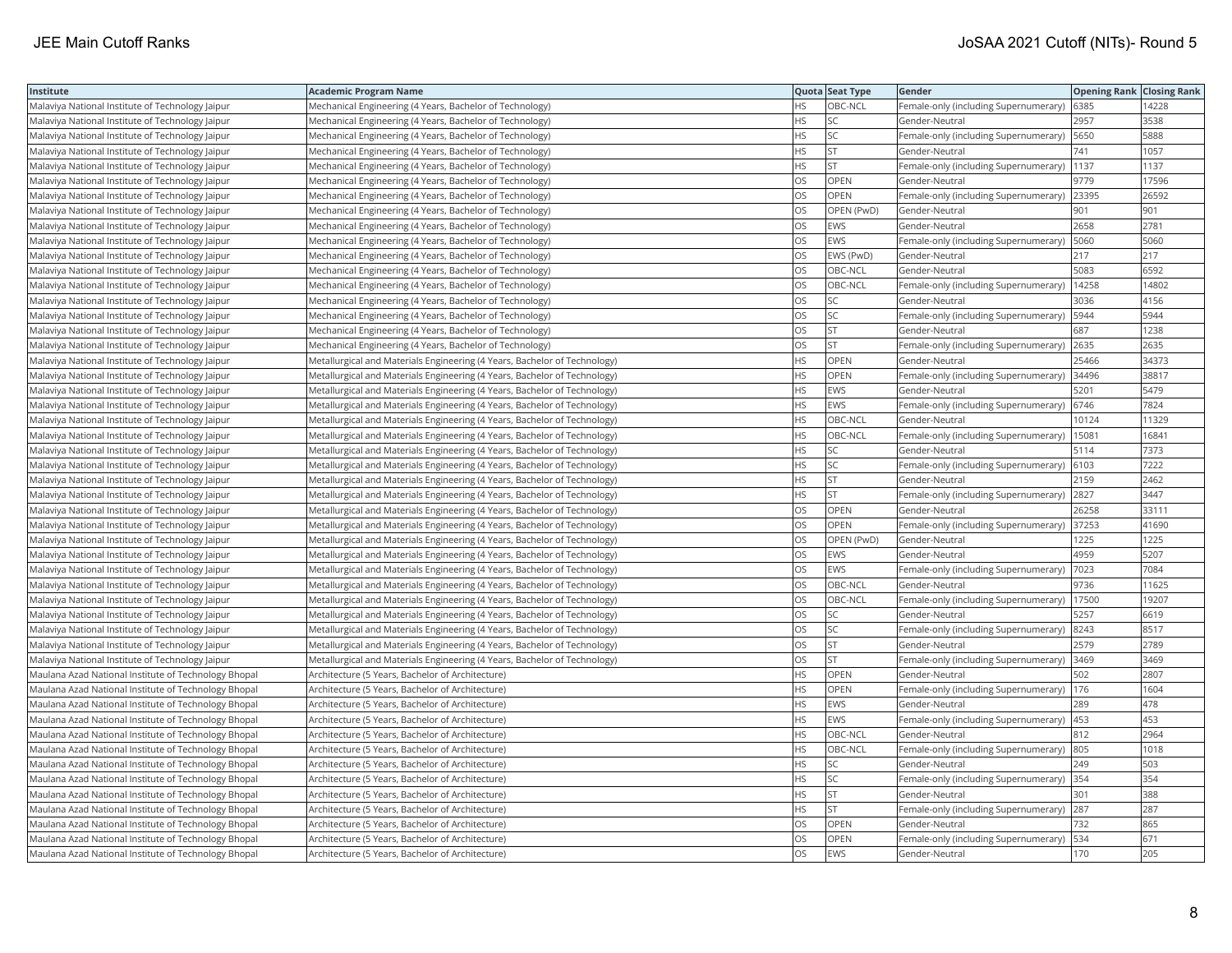| Institute                                            | <b>Academic Program Name</b>                                              |           | Quota Seat Type | Gender                                     | <b>Opening Rank Closing Rank</b> |       |
|------------------------------------------------------|---------------------------------------------------------------------------|-----------|-----------------|--------------------------------------------|----------------------------------|-------|
| Malaviya National Institute of Technology Jaipur     | Mechanical Engineering (4 Years, Bachelor of Technology)                  | <b>HS</b> | OBC-NCL         | Female-only (including Supernumerary)      | 6385                             | 4228  |
| Malaviya National Institute of Technology Jaipur     | Mechanical Engineering (4 Years, Bachelor of Technology)                  | <b>HS</b> | lsc             | Gender-Neutral                             | 2957                             | 3538  |
| Malaviya National Institute of Technology Jaipur     | Mechanical Engineering (4 Years, Bachelor of Technology)                  | HS        | <b>SC</b>       | Female-only (including Supernumerary)      | 5650                             | 5888  |
| Malaviya National Institute of Technology Jaipur     | Mechanical Engineering (4 Years, Bachelor of Technology)                  | <b>HS</b> | <b>ST</b>       | Gender-Neutral                             | 741                              | 1057  |
| Malaviya National Institute of Technology Jaipur     | Mechanical Engineering (4 Years, Bachelor of Technology)                  | <b>HS</b> | lst             | Female-only (including Supernumerary)      | 1137                             | 1137  |
| Malaviya National Institute of Technology Jaipur     | Mechanical Engineering (4 Years, Bachelor of Technology)                  | OS        | OPEN            | Gender-Neutral                             | 9779                             | 17596 |
| Malaviya National Institute of Technology Jaipur     | Mechanical Engineering (4 Years, Bachelor of Technology)                  | OS        | OPEN            | Female-only (including Supernumerary)      | 23395                            | 26592 |
| Malaviya National Institute of Technology Jaipur     | Mechanical Engineering (4 Years, Bachelor of Technology)                  | <b>OS</b> | OPEN (PwD)      | Gender-Neutral                             | 901                              | 901   |
| Malaviya National Institute of Technology Jaipur     | Mechanical Engineering (4 Years, Bachelor of Technology)                  | OS        | EWS             | Gender-Neutral                             | 2658                             | 2781  |
| Malaviya National Institute of Technology Jaipur     | Mechanical Engineering (4 Years, Bachelor of Technology)                  | OS        | <b>EWS</b>      | Female-only (including Supernumerary)      | 5060                             | 5060  |
| Malaviya National Institute of Technology Jaipur     | Mechanical Engineering (4 Years, Bachelor of Technology)                  | <b>OS</b> | EWS (PwD)       | Gender-Neutral                             | 217                              | 217   |
| Malaviya National Institute of Technology Jaipur     | Mechanical Engineering (4 Years, Bachelor of Technology)                  | <b>OS</b> | OBC-NCL         | Gender-Neutral                             | 5083                             | 6592  |
| Malaviya National Institute of Technology Jaipur     | Mechanical Engineering (4 Years, Bachelor of Technology)                  | OS        | OBC-NCL         | Female-only (including Supernumerary)      | 14258                            | 14802 |
| Malaviya National Institute of Technology Jaipur     | Mechanical Engineering (4 Years, Bachelor of Technology)                  | OS        | <b>SC</b>       | Gender-Neutral                             | 3036                             | 4156  |
| Malaviya National Institute of Technology Jaipur     | Mechanical Engineering (4 Years, Bachelor of Technology)                  | OS        | SC              | Female-only (including Supernumerary)      | 5944                             | 5944  |
| Malaviya National Institute of Technology Jaipur     | Mechanical Engineering (4 Years, Bachelor of Technology)                  | OS        | <b>ST</b>       | Gender-Neutral                             | 687                              | 1238  |
| Malaviya National Institute of Technology Jaipur     | Mechanical Engineering (4 Years, Bachelor of Technology)                  | <b>OS</b> | lst             | Female-only (including Supernumerary)      | 2635                             | 2635  |
| Malaviya National Institute of Technology Jaipur     | Metallurgical and Materials Engineering (4 Years, Bachelor of Technology) | HS        | OPEN            | Gender-Neutral                             | 25466                            | 34373 |
| Malaviya National Institute of Technology Jaipur     | Metallurgical and Materials Engineering (4 Years, Bachelor of Technology) | <b>HS</b> | OPEN            | Female-only (including Supernumerary)      | 34496                            | 38817 |
| Malaviya National Institute of Technology Jaipur     | Metallurgical and Materials Engineering (4 Years, Bachelor of Technology) | <b>HS</b> | <b>EWS</b>      | Gender-Neutral                             | 5201                             | 5479  |
| Malaviya National Institute of Technology Jaipur     | Metallurgical and Materials Engineering (4 Years, Bachelor of Technology) | <b>HS</b> | <b>EWS</b>      | Female-only (including Supernumerary)      | 6746                             | 7824  |
| Malaviya National Institute of Technology Jaipur     | Metallurgical and Materials Engineering (4 Years, Bachelor of Technology) | <b>HS</b> | OBC-NCL         | Gender-Neutral                             | 10124                            | 11329 |
| Malaviya National Institute of Technology Jaipur     | Metallurgical and Materials Engineering (4 Years, Bachelor of Technology) | HS        | OBC-NCL         | Female-only (including Supernumerary)      | 15081                            | 16841 |
| Malaviya National Institute of Technology Jaipur     | Metallurgical and Materials Engineering (4 Years, Bachelor of Technology) | HS.       | lsc             | Gender-Neutral                             | 5114                             | 7373  |
| Malaviya National Institute of Technology Jaipur     | Metallurgical and Materials Engineering (4 Years, Bachelor of Technology) | <b>HS</b> | <b>SC</b>       | Female-only (including Supernumerary)      | 6103                             | 7222  |
| Malaviya National Institute of Technology Jaipur     | Metallurgical and Materials Engineering (4 Years, Bachelor of Technology) | <b>HS</b> | <b>ST</b>       | Gender-Neutral                             | 2159                             | 2462  |
| Malaviya National Institute of Technology Jaipur     | Metallurgical and Materials Engineering (4 Years, Bachelor of Technology) | <b>HS</b> | <b>ST</b>       | Female-only (including Supernumerary)      | 2827                             | 3447  |
| Malaviya National Institute of Technology Jaipur     | Metallurgical and Materials Engineering (4 Years, Bachelor of Technology) | OS        | OPEN            | Gender-Neutral                             | 26258                            | 33111 |
| Malaviya National Institute of Technology Jaipur     | Metallurgical and Materials Engineering (4 Years, Bachelor of Technology) | <b>OS</b> | <b>OPEN</b>     | Female-only (including Supernumerary)      | 37253                            | 41690 |
| Malaviya National Institute of Technology Jaipur     | Metallurgical and Materials Engineering (4 Years, Bachelor of Technology) | OS        | OPEN (PwD)      | Gender-Neutral                             | 1225                             | 1225  |
| Malaviya National Institute of Technology Jaipur     | Metallurgical and Materials Engineering (4 Years, Bachelor of Technology) | OS        | <b>EWS</b>      | Gender-Neutral                             | 4959                             | 5207  |
| Malaviya National Institute of Technology Jaipur     | Metallurgical and Materials Engineering (4 Years, Bachelor of Technology) | OS.       | <b>EWS</b>      | Female-only (including Supernumerary)      | 7023                             | 7084  |
| Malaviya National Institute of Technology Jaipur     | Metallurgical and Materials Engineering (4 Years, Bachelor of Technology) | OS        | OBC-NCL         | Gender-Neutral                             | 9736                             | 11625 |
| Malaviya National Institute of Technology Jaipur     | Metallurgical and Materials Engineering (4 Years, Bachelor of Technology) | OS        | OBC-NCL         | Female-only (including Supernumerary)      | 17500                            | 19207 |
| Malaviya National Institute of Technology Jaipur     | Metallurgical and Materials Engineering (4 Years, Bachelor of Technology) | <b>OS</b> | lsc             | Gender-Neutral                             | 5257                             | 6619  |
| Malaviya National Institute of Technology Jaipur     | Metallurgical and Materials Engineering (4 Years, Bachelor of Technology) | OS        | <b>SC</b>       | Female-only (including Supernumerary)      | 8243                             | 8517  |
| Malaviya National Institute of Technology Jaipur     | Metallurgical and Materials Engineering (4 Years, Bachelor of Technology) | OS        | <b>ST</b>       | Gender-Neutral                             | 2579                             | 2789  |
| Malaviya National Institute of Technology Jaipur     | Metallurgical and Materials Engineering (4 Years, Bachelor of Technology) | OS        | <b>ST</b>       | Female-only (including Supernumerary) 3469 |                                  | 3469  |
| Maulana Azad National Institute of Technology Bhopal | Architecture (5 Years, Bachelor of Architecture)                          | <b>HS</b> | OPEN            | Gender-Neutral                             | 502                              | 2807  |
| Maulana Azad National Institute of Technology Bhopal | Architecture (5 Years, Bachelor of Architecture)                          | HS.       | OPEN            | Female-only (including Supernumerary)      | 176                              | 1604  |
| Maulana Azad National Institute of Technology Bhopal | Architecture (5 Years, Bachelor of Architecture)                          | <b>HS</b> | <b>EWS</b>      | Gender-Neutral                             | 289                              | 478   |
| Maulana Azad National Institute of Technology Bhopal | Architecture (5 Years, Bachelor of Architecture)                          | <b>HS</b> | <b>EWS</b>      | Female-only (including Supernumerary)      | 453                              | 453   |
| Maulana Azad National Institute of Technology Bhopal | Architecture (5 Years, Bachelor of Architecture)                          | <b>HS</b> | OBC-NCL         | Gender-Neutral                             | 812                              | 2964  |
| Maulana Azad National Institute of Technology Bhopal | Architecture (5 Years, Bachelor of Architecture)                          | <b>HS</b> | OBC-NCL         | Female-only (including Supernumerary)      | 805                              | 1018  |
| Maulana Azad National Institute of Technology Bhopal | Architecture (5 Years, Bachelor of Architecture)                          | <b>HS</b> | <b>SC</b>       | Gender-Neutral                             | 249                              | 503   |
| Maulana Azad National Institute of Technology Bhopal | Architecture (5 Years, Bachelor of Architecture)                          | <b>HS</b> | SC              | Female-only (including Supernumerary)      | 354                              | 354   |
| Maulana Azad National Institute of Technology Bhopal | Architecture (5 Years, Bachelor of Architecture)                          | <b>HS</b> | İst             | Gender-Neutral                             | 301                              | 388   |
| Maulana Azad National Institute of Technology Bhopal | Architecture (5 Years, Bachelor of Architecture)                          | HS.       | <b>ST</b>       | Female-only (including Supernumerary)      | 287                              | 287   |
| Maulana Azad National Institute of Technology Bhopal | Architecture (5 Years, Bachelor of Architecture)                          | OS        | OPEN            | Gender-Neutral                             | 732                              | 865   |
| Maulana Azad National Institute of Technology Bhopal | Architecture (5 Years, Bachelor of Architecture)                          | OS        | <b>OPEN</b>     | Female-only (including Supernumerary)      | 534                              | 671   |
| Maulana Azad National Institute of Technology Bhopal | Architecture (5 Years, Bachelor of Architecture)                          | <b>OS</b> | <b>EWS</b>      | Gender-Neutral                             | 170                              | 205   |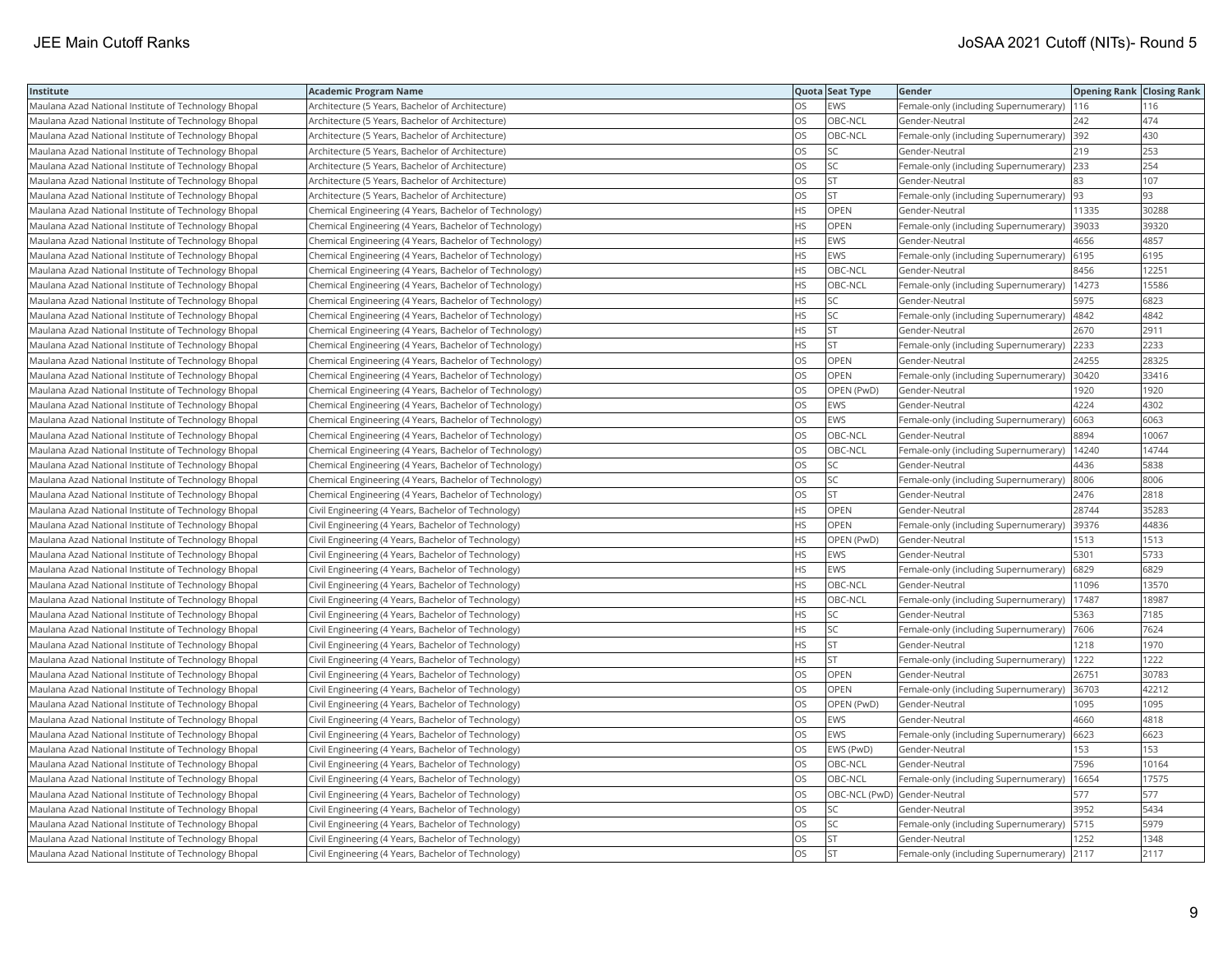| Institute                                            | <b>Academic Program Name</b>                           |           | Quota Seat Type              | Gender                                        | <b>Opening Rank   Closing Rank</b> |       |
|------------------------------------------------------|--------------------------------------------------------|-----------|------------------------------|-----------------------------------------------|------------------------------------|-------|
| Maulana Azad National Institute of Technology Bhopal | Architecture (5 Years, Bachelor of Architecture)       | OS        | EWS                          | Female-only (including Supernumerary)         | 116                                | 116   |
| Maulana Azad National Institute of Technology Bhopal | Architecture (5 Years, Bachelor of Architecture)       | OS.       | OBC-NCL                      | Gender-Neutral                                | 242                                | 474   |
| Maulana Azad National Institute of Technology Bhopal | Architecture (5 Years, Bachelor of Architecture)       | <b>OS</b> | OBC-NCL                      | Female-only (including Supernumerary)         | 392                                | 430   |
| Maulana Azad National Institute of Technology Bhopal | Architecture (5 Years, Bachelor of Architecture)       | OS        | SC                           | Gender-Neutral                                | 219                                | 253   |
| Maulana Azad National Institute of Technology Bhopal | Architecture (5 Years, Bachelor of Architecture)       | OS        | SC                           | Female-only (including Supernumerary)         | 233                                | 254   |
| Maulana Azad National Institute of Technology Bhopal | Architecture (5 Years, Bachelor of Architecture)       | OS        | <b>ST</b>                    | Gender-Neutral                                | 83                                 | 107   |
| Maulana Azad National Institute of Technology Bhopal | Architecture (5 Years, Bachelor of Architecture)       | OS        | <b>ST</b>                    | Female-only (including Supernumerary)         | 93                                 | 93    |
| Maulana Azad National Institute of Technology Bhopal | Chemical Engineering (4 Years, Bachelor of Technology) | HS.       | OPEN                         | Gender-Neutral                                | 11335                              | 30288 |
| Maulana Azad National Institute of Technology Bhopal | Chemical Engineering (4 Years, Bachelor of Technology) | HS        | OPEN                         | Female-only (including Supernumerary)         | 39033                              | 39320 |
| Maulana Azad National Institute of Technology Bhopal | Chemical Engineering (4 Years, Bachelor of Technology) | <b>HS</b> | EWS                          | Gender-Neutral                                | 4656                               | 4857  |
| Maulana Azad National Institute of Technology Bhopal | Chemical Engineering (4 Years, Bachelor of Technology) | <b>HS</b> | <b>EWS</b>                   | Female-only (including Supernumerary)         | 6195                               | 6195  |
| Maulana Azad National Institute of Technology Bhopal | Chemical Engineering (4 Years, Bachelor of Technology) | HS        | OBC-NCL                      | Gender-Neutral                                | 8456                               | 12251 |
| Maulana Azad National Institute of Technology Bhopal | Chemical Engineering (4 Years, Bachelor of Technology) | <b>HS</b> | OBC-NCL                      | Female-only (including Supernumerary)   14273 |                                    | 15586 |
| Maulana Azad National Institute of Technology Bhopal | Chemical Engineering (4 Years, Bachelor of Technology) | HS        | SC                           | Gender-Neutral                                | 5975                               | 6823  |
| Maulana Azad National Institute of Technology Bhopal | Chemical Engineering (4 Years, Bachelor of Technology) | HS        | SC                           | Female-only (including Supernumerary)         | 4842                               | 4842  |
| Maulana Azad National Institute of Technology Bhopal | Chemical Engineering (4 Years, Bachelor of Technology) | <b>HS</b> | <b>ST</b>                    | Gender-Neutral                                | 2670                               | 2911  |
| Maulana Azad National Institute of Technology Bhopal | Chemical Engineering (4 Years, Bachelor of Technology) | HS        | <b>ST</b>                    | Female-only (including Supernumerary)         | 2233                               | 2233  |
| Maulana Azad National Institute of Technology Bhopal | Chemical Engineering (4 Years, Bachelor of Technology) | OS        | OPEN                         | Gender-Neutral                                | 24255                              | 28325 |
| Maulana Azad National Institute of Technology Bhopal | Chemical Engineering (4 Years, Bachelor of Technology) | OS        | <b>OPEN</b>                  | Female-only (including Supernumerary)         | 30420                              | 33416 |
| Maulana Azad National Institute of Technology Bhopal | Chemical Engineering (4 Years, Bachelor of Technology) | OS        | OPEN (PwD)                   | Gender-Neutral                                | 1920                               | 1920  |
| Maulana Azad National Institute of Technology Bhopal | Chemical Engineering (4 Years, Bachelor of Technology) | OS        | EWS                          | Gender-Neutral                                | 4224                               | 4302  |
| Maulana Azad National Institute of Technology Bhopal | Chemical Engineering (4 Years, Bachelor of Technology) | OS        | <b>EWS</b>                   | Female-only (including Supernumerary)         | 6063                               | 6063  |
| Maulana Azad National Institute of Technology Bhopal | Chemical Engineering (4 Years, Bachelor of Technology) | OS        | OBC-NCL                      | Gender-Neutral                                | 8894                               | 10067 |
| Maulana Azad National Institute of Technology Bhopal | Chemical Engineering (4 Years, Bachelor of Technology) | OS        | OBC-NCL                      | Female-only (including Supernumerary)         | 14240                              | 14744 |
| Maulana Azad National Institute of Technology Bhopal | Chemical Engineering (4 Years, Bachelor of Technology) | OS        | SC                           | Gender-Neutral                                | 4436                               | 5838  |
| Maulana Azad National Institute of Technology Bhopal | Chemical Engineering (4 Years, Bachelor of Technology) | OS        | SC                           | Female-only (including Supernumerary)         | 8006                               | 8006  |
| Maulana Azad National Institute of Technology Bhopal | Chemical Engineering (4 Years, Bachelor of Technology) | <b>OS</b> | <b>ST</b>                    | Gender-Neutral                                | 2476                               | 2818  |
| Maulana Azad National Institute of Technology Bhopal | Civil Engineering (4 Years, Bachelor of Technology)    | HS        | OPEN                         | Gender-Neutral                                | 28744                              | 35283 |
| Maulana Azad National Institute of Technology Bhopal | Civil Engineering (4 Years, Bachelor of Technology)    | HS        | OPEN                         | Female-only (including Supernumerary)         | 39376                              | 44836 |
| Maulana Azad National Institute of Technology Bhopal | Civil Engineering (4 Years, Bachelor of Technology)    | НS        | OPEN (PwD)                   | Gender-Neutral                                | 1513                               | 1513  |
| Maulana Azad National Institute of Technology Bhopal | Civil Engineering (4 Years, Bachelor of Technology)    | <b>HS</b> | <b>EWS</b>                   | Gender-Neutral                                | 5301                               | 5733  |
| Maulana Azad National Institute of Technology Bhopal | Civil Engineering (4 Years, Bachelor of Technology)    | HS        | EWS                          | Female-only (including Supernumerary)         | 6829                               | 6829  |
| Maulana Azad National Institute of Technology Bhopal | Civil Engineering (4 Years, Bachelor of Technology)    | HS        | OBC-NCL                      | Gender-Neutral                                | 11096                              | 13570 |
| Maulana Azad National Institute of Technology Bhopal | Civil Engineering (4 Years, Bachelor of Technology)    | HS        | OBC-NCL                      | Female-only (including Supernumerary)         | 17487                              | 18987 |
| Maulana Azad National Institute of Technology Bhopal | Civil Engineering (4 Years, Bachelor of Technology)    | HS        | SC.                          | Gender-Neutral                                | 5363                               | 7185  |
| Maulana Azad National Institute of Technology Bhopal | Civil Engineering (4 Years, Bachelor of Technology)    | HS        | SC                           | Female-only (including Supernumerary)         | 7606                               | 7624  |
| Maulana Azad National Institute of Technology Bhopal | Civil Engineering (4 Years, Bachelor of Technology)    | HS        | <b>ST</b>                    | Gender-Neutral                                | 1218                               | 1970  |
| Maulana Azad National Institute of Technology Bhopal | Civil Engineering (4 Years, Bachelor of Technology)    | HS        | <b>ST</b>                    | Female-only (including Supernumerary)   1222  |                                    | 1222  |
| Maulana Azad National Institute of Technology Bhopal | Civil Engineering (4 Years, Bachelor of Technology)    | OS        | <b>OPEN</b>                  | Gender-Neutral                                | 26751                              | 30783 |
| Maulana Azad National Institute of Technology Bhopal | Civil Engineering (4 Years, Bachelor of Technology)    | OS        | OPEN                         | Female-only (including Supernumerary)         | 36703                              | 42212 |
| Maulana Azad National Institute of Technology Bhopal | Civil Engineering (4 Years, Bachelor of Technology)    | OS        | OPEN (PwD)                   | Gender-Neutral                                | 1095                               | 1095  |
| Maulana Azad National Institute of Technology Bhopal | Civil Engineering (4 Years, Bachelor of Technology)    | OS        | EWS                          | Gender-Neutral                                | 4660                               | 4818  |
| Maulana Azad National Institute of Technology Bhopal | Civil Engineering (4 Years, Bachelor of Technology)    | OS        | <b>EWS</b>                   | Female-only (including Supernumerary)         | 6623                               | 6623  |
| Maulana Azad National Institute of Technology Bhopal | Civil Engineering (4 Years, Bachelor of Technology)    | OS        | EWS (PwD)                    | Gender-Neutral                                | 153                                | 153   |
| Maulana Azad National Institute of Technology Bhopal | Civil Engineering (4 Years, Bachelor of Technology)    | OS        | OBC-NCL                      | Gender-Neutral                                | 7596                               | 10164 |
| Maulana Azad National Institute of Technology Bhopal | Civil Engineering (4 Years, Bachelor of Technology)    | OS        | OBC-NCL                      | Female-only (including Supernumerary)         | 16654                              | 17575 |
| Maulana Azad National Institute of Technology Bhopal | Civil Engineering (4 Years, Bachelor of Technology)    | OS        | OBC-NCL (PwD) Gender-Neutral |                                               | 577                                | 577   |
| Maulana Azad National Institute of Technology Bhopal | Civil Engineering (4 Years, Bachelor of Technology)    | OS        | SC                           | Gender-Neutral                                | 3952                               | 5434  |
| Maulana Azad National Institute of Technology Bhopal | Civil Engineering (4 Years, Bachelor of Technology)    | OS        | SC                           | Female-only (including Supernumerary)         | 5715                               | 5979  |
| Maulana Azad National Institute of Technology Bhopal | Civil Engineering (4 Years, Bachelor of Technology)    | OS        | <b>ST</b>                    | Gender-Neutral                                | 1252                               | 1348  |
| Maulana Azad National Institute of Technology Bhopal | Civil Engineering (4 Years, Bachelor of Technology)    | <b>OS</b> | İst                          | Female-only (including Supernumerary) 2117    |                                    | 2117  |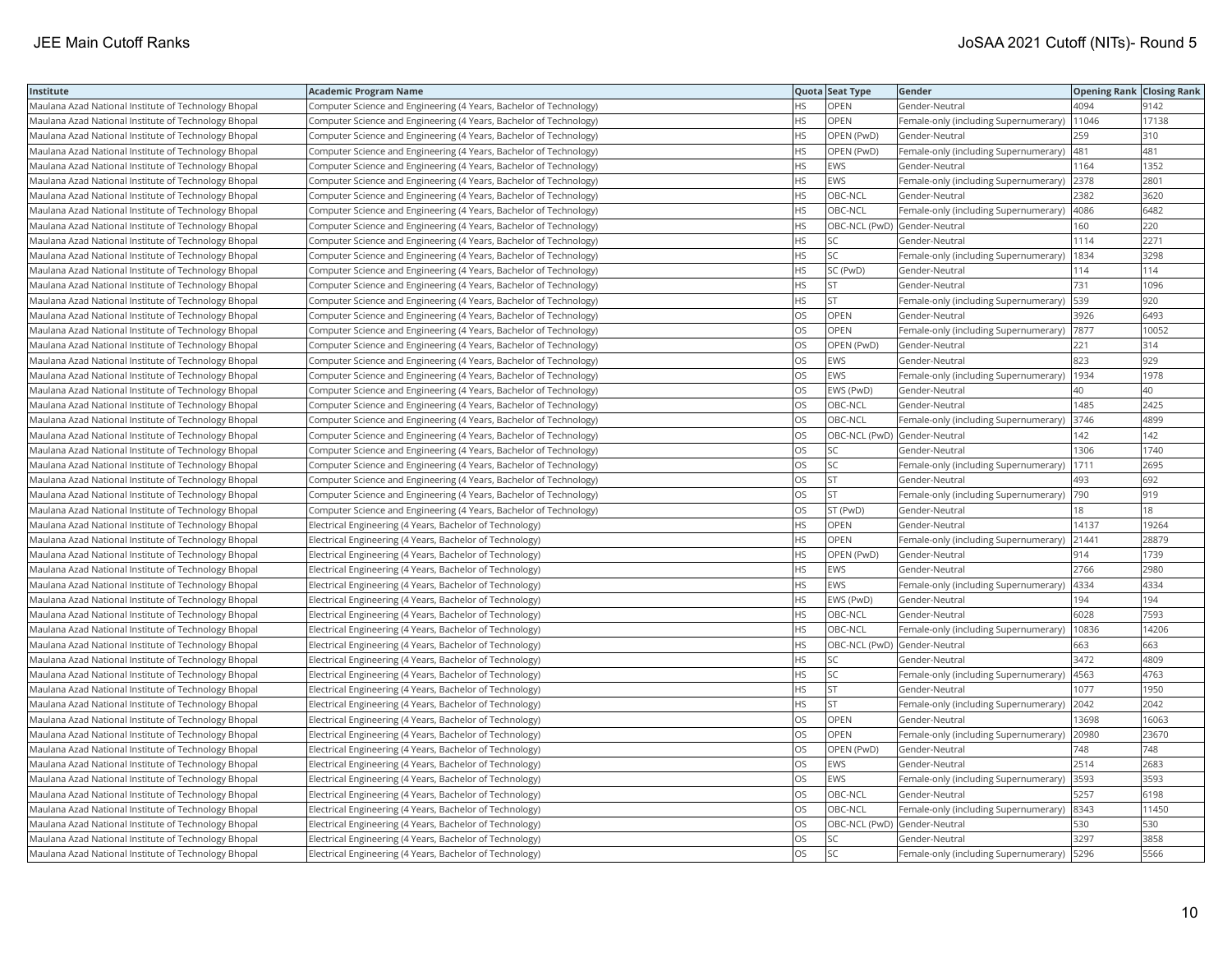| Institute                                            | <b>Academic Program Name</b>                                       |           | Quota Seat Type              | Gender                                       | <b>Opening Rank Closing Rank</b> |       |
|------------------------------------------------------|--------------------------------------------------------------------|-----------|------------------------------|----------------------------------------------|----------------------------------|-------|
| Maulana Azad National Institute of Technology Bhopal | Computer Science and Engineering (4 Years, Bachelor of Technology) | <b>HS</b> | OPEN                         | Gender-Neutral                               | 4094                             | 9142  |
| Maulana Azad National Institute of Technology Bhopal | Computer Science and Engineering (4 Years, Bachelor of Technology) | HS.       | <b>OPEN</b>                  | Female-only (including Supernumerary)        | 11046                            | 17138 |
| Maulana Azad National Institute of Technology Bhopal | Computer Science and Engineering (4 Years, Bachelor of Technology) | HS        | OPEN (PwD)                   | Gender-Neutral                               | 259                              | 310   |
| Maulana Azad National Institute of Technology Bhopal | Computer Science and Engineering (4 Years, Bachelor of Technology) | <b>HS</b> | OPEN (PwD)                   | Female-only (including Supernumerary)        | 481                              | 481   |
| Maulana Azad National Institute of Technology Bhopal | Computer Science and Engineering (4 Years, Bachelor of Technology) | <b>HS</b> | <b>EWS</b>                   | Gender-Neutral                               | 1164                             | 1352  |
| Maulana Azad National Institute of Technology Bhopal | Computer Science and Engineering (4 Years, Bachelor of Technology) | <b>HS</b> | <b>EWS</b>                   | Female-only (including Supernumerary) 2378   |                                  | 2801  |
| Maulana Azad National Institute of Technology Bhopal | Computer Science and Engineering (4 Years, Bachelor of Technology) | <b>HS</b> | OBC-NCL                      | Gender-Neutral                               | 2382                             | 3620  |
| Maulana Azad National Institute of Technology Bhopal | Computer Science and Engineering (4 Years, Bachelor of Technology) | <b>HS</b> | OBC-NCL                      | Female-only (including Supernumerary)  4086  |                                  | 6482  |
| Maulana Azad National Institute of Technology Bhopal | Computer Science and Engineering (4 Years, Bachelor of Technology) | НS        | OBC-NCL (PwD) Gender-Neutral |                                              | 160                              | 220   |
| Maulana Azad National Institute of Technology Bhopal | Computer Science and Engineering (4 Years, Bachelor of Technology) | <b>HS</b> | SC.                          | Gender-Neutral                               | 1114                             | 2271  |
| Maulana Azad National Institute of Technology Bhopal | Computer Science and Engineering (4 Years, Bachelor of Technology) | <b>HS</b> | <b>SC</b>                    | Female-only (including Supernumerary)        | 1834                             | 3298  |
| Maulana Azad National Institute of Technology Bhopal | Computer Science and Engineering (4 Years, Bachelor of Technology) | <b>HS</b> | SC (PwD)                     | Gender-Neutral                               | 114                              | 114   |
| Maulana Azad National Institute of Technology Bhopal | Computer Science and Engineering (4 Years, Bachelor of Technology) | HS.       | <b>ST</b>                    | Gender-Neutral                               | 731                              | 1096  |
| Maulana Azad National Institute of Technology Bhopal | Computer Science and Engineering (4 Years, Bachelor of Technology) | <b>HS</b> | <b>ST</b>                    | Female-only (including Supernumerary)        | 539                              | 920   |
| Maulana Azad National Institute of Technology Bhopal | Computer Science and Engineering (4 Years, Bachelor of Technology) | OS        | OPEN                         | Gender-Neutral                               | 3926                             | 6493  |
| Maulana Azad National Institute of Technology Bhopal | Computer Science and Engineering (4 Years, Bachelor of Technology) | <b>OS</b> | <b>OPEN</b>                  | Female-only (including Supernumerary)  7877  |                                  | 10052 |
| Maulana Azad National Institute of Technology Bhopal | Computer Science and Engineering (4 Years, Bachelor of Technology) | OS        | OPEN (PwD)                   | Gender-Neutral                               | 221                              | 314   |
| Maulana Azad National Institute of Technology Bhopal | Computer Science and Engineering (4 Years, Bachelor of Technology) | OS        | <b>EWS</b>                   | Gender-Neutral                               | 823                              | 929   |
| Maulana Azad National Institute of Technology Bhopal | Computer Science and Engineering (4 Years, Bachelor of Technology) | OS        | <b>EWS</b>                   | Female-only (including Supernumerary)        | 1934                             | 1978  |
| Maulana Azad National Institute of Technology Bhopal | Computer Science and Engineering (4 Years, Bachelor of Technology) | <b>OS</b> | EWS (PwD)                    | Gender-Neutral                               | 40                               | 40    |
| Maulana Azad National Institute of Technology Bhopal | Computer Science and Engineering (4 Years, Bachelor of Technology) | OS        | OBC-NCL                      | Gender-Neutral                               | 1485                             | 2425  |
| Maulana Azad National Institute of Technology Bhopal | Computer Science and Engineering (4 Years, Bachelor of Technology) | <b>OS</b> | OBC-NCL                      | Female-only (including Supernumerary) 3746   |                                  | 4899  |
| Maulana Azad National Institute of Technology Bhopal | Computer Science and Engineering (4 Years, Bachelor of Technology) | OS        | OBC-NCL (PwD) Gender-Neutral |                                              | 142                              | 142   |
| Maulana Azad National Institute of Technology Bhopal | Computer Science and Engineering (4 Years, Bachelor of Technology) | OS        | SC                           | Gender-Neutral                               | 1306                             | 1740  |
| Maulana Azad National Institute of Technology Bhopal | Computer Science and Engineering (4 Years, Bachelor of Technology) | OS        | SC.                          | Female-only (including Supernumerary)        | 1711                             | 2695  |
| Maulana Azad National Institute of Technology Bhopal | Computer Science and Engineering (4 Years, Bachelor of Technology) | OS        | <b>ST</b>                    | Gender-Neutral                               | 493                              | 692   |
| Maulana Azad National Institute of Technology Bhopal | Computer Science and Engineering (4 Years, Bachelor of Technology) | OS        | <b>ST</b>                    | Female-only (including Supernumerary)        | 790                              | 919   |
| Maulana Azad National Institute of Technology Bhopal | Computer Science and Engineering (4 Years, Bachelor of Technology) | <b>OS</b> | ST (PwD)                     | Gender-Neutral                               | 18                               | 18    |
| Maulana Azad National Institute of Technology Bhopal | Electrical Engineering (4 Years, Bachelor of Technology)           | <b>HS</b> | OPEN                         | Gender-Neutral                               | 14137                            | 19264 |
| Maulana Azad National Institute of Technology Bhopal | Electrical Engineering (4 Years, Bachelor of Technology)           | <b>HS</b> | <b>OPEN</b>                  | Female-only (including Supernumerary) 21441  |                                  | 28879 |
| Maulana Azad National Institute of Technology Bhopal | Electrical Engineering (4 Years, Bachelor of Technology)           | HS        | OPEN (PwD)                   | Gender-Neutral                               | 914                              | 1739  |
| Maulana Azad National Institute of Technology Bhopal | Electrical Engineering (4 Years, Bachelor of Technology)           | HS.       | <b>EWS</b>                   | Gender-Neutral                               | 2766                             | 2980  |
| Maulana Azad National Institute of Technology Bhopal | Electrical Engineering (4 Years, Bachelor of Technology)           | <b>HS</b> | <b>EWS</b>                   | Female-only (including Supernumerary)        | 4334                             | 4334  |
| Maulana Azad National Institute of Technology Bhopal | Electrical Engineering (4 Years, Bachelor of Technology)           | HS        | EWS (PwD)                    | Gender-Neutral                               | 194                              | 194   |
| Maulana Azad National Institute of Technology Bhopal | Electrical Engineering (4 Years, Bachelor of Technology)           | <b>HS</b> | OBC-NCL                      | Gender-Neutral                               | 6028                             | 7593  |
| Maulana Azad National Institute of Technology Bhopal | Electrical Engineering (4 Years, Bachelor of Technology)           | <b>HS</b> | OBC-NCL                      | Female-only (including Supernumerary)        | 10836                            | 14206 |
| Maulana Azad National Institute of Technology Bhopal | Electrical Engineering (4 Years, Bachelor of Technology)           | HS        | OBC-NCL (PwD) Gender-Neutral |                                              | 663                              | 663   |
| Maulana Azad National Institute of Technology Bhopal | Electrical Engineering (4 Years, Bachelor of Technology)           | <b>HS</b> | <b>SC</b>                    | Gender-Neutral                               | 3472                             | 4809  |
| Maulana Azad National Institute of Technology Bhopal | Electrical Engineering (4 Years, Bachelor of Technology)           | <b>HS</b> | SC                           | Female-only (including Supernumerary)        | 4563                             | 4763  |
| Maulana Azad National Institute of Technology Bhopal | Electrical Engineering (4 Years, Bachelor of Technology)           | <b>HS</b> | <b>ST</b>                    | Gender-Neutral                               | 1077                             | 1950  |
| Maulana Azad National Institute of Technology Bhopal | Electrical Engineering (4 Years, Bachelor of Technology)           | <b>HS</b> | lst                          | Female-only (including Supernumerary)        | 2042                             | 2042  |
| Maulana Azad National Institute of Technology Bhopal | Electrical Engineering (4 Years, Bachelor of Technology)           | OS        | <b>OPEN</b>                  | Gender-Neutral                               | 13698                            | 16063 |
| Maulana Azad National Institute of Technology Bhopal | Electrical Engineering (4 Years, Bachelor of Technology)           | OS        | OPEN                         | Female-only (including Supernumerary)        | 20980                            | 23670 |
| Maulana Azad National Institute of Technology Bhopal | Electrical Engineering (4 Years, Bachelor of Technology)           | <b>OS</b> | OPEN (PwD)                   | Gender-Neutral                               | 748                              | 748   |
| Maulana Azad National Institute of Technology Bhopal | Electrical Engineering (4 Years, Bachelor of Technology)           | OS        | <b>EWS</b>                   | Gender-Neutral                               | 2514                             | 2683  |
| Maulana Azad National Institute of Technology Bhopal | Electrical Engineering (4 Years, Bachelor of Technology)           | OS        | <b>EWS</b>                   | Female-only (including Supernumerary)        | 3593                             | 3593  |
| Maulana Azad National Institute of Technology Bhopal | Electrical Engineering (4 Years, Bachelor of Technology)           | <b>OS</b> | OBC-NCL                      | Gender-Neutral                               | 5257                             | 6198  |
| Maulana Azad National Institute of Technology Bhopal | Electrical Engineering (4 Years, Bachelor of Technology)           | OS.       | OBC-NCL                      | Female-only (including Supernumerary)        | 8343                             | 11450 |
| Maulana Azad National Institute of Technology Bhopal | Electrical Engineering (4 Years, Bachelor of Technology)           | OS        | OBC-NCL (PwD) Gender-Neutral |                                              | 530                              | 530   |
| Maulana Azad National Institute of Technology Bhopal | Electrical Engineering (4 Years, Bachelor of Technology)           | OS        | SC.                          | Gender-Neutral                               | 3297                             | 3858  |
| Maulana Azad National Institute of Technology Bhopal | Electrical Engineering (4 Years, Bachelor of Technology)           | <b>OS</b> | <b>SC</b>                    | Female-only (including Supernumerary)   5296 |                                  | 5566  |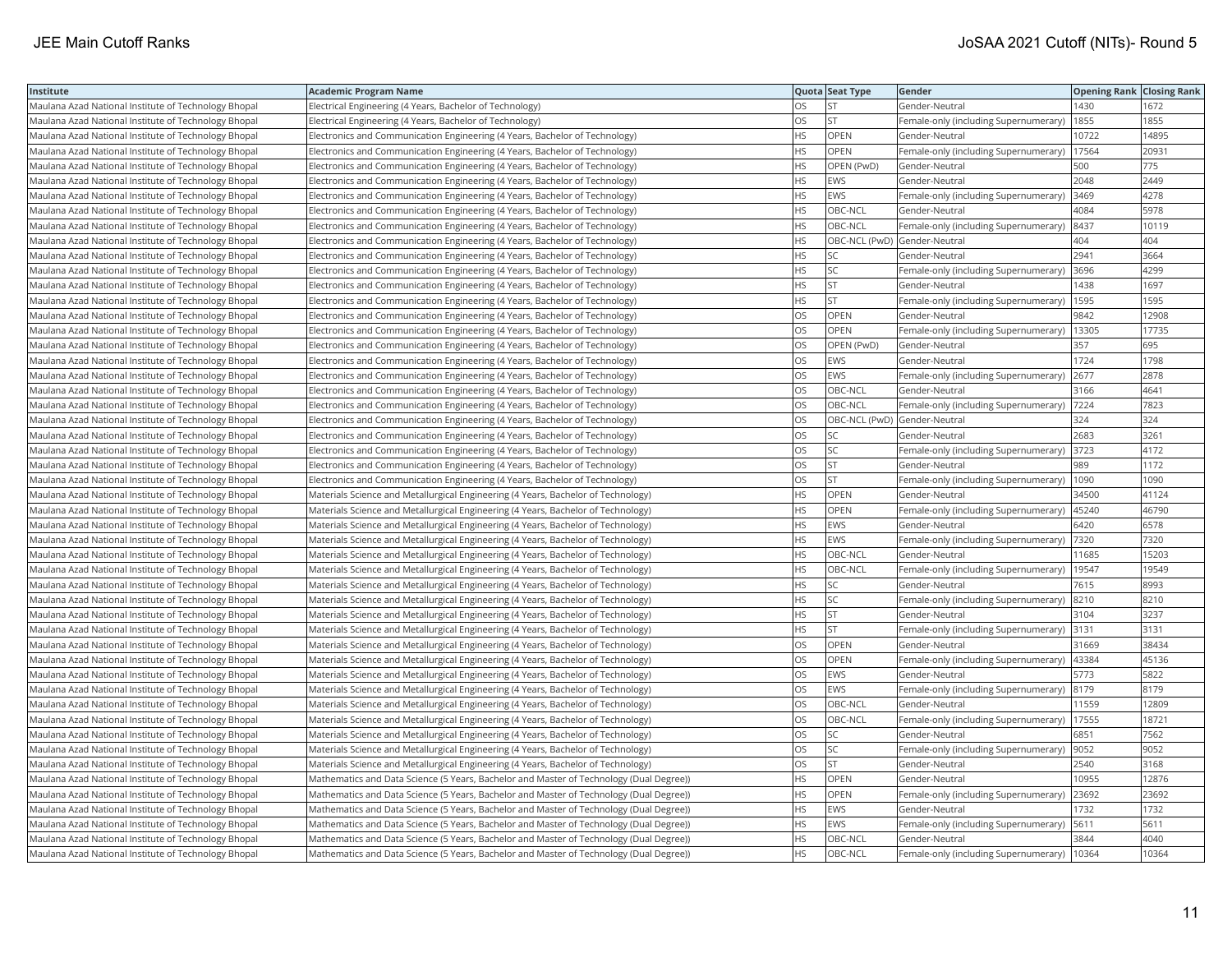| Institute                                            | <b>Academic Program Name</b>                                                            |           | Quota Seat Type              | Gender                                        | <b>Opening Rank Closing Rank</b> |       |
|------------------------------------------------------|-----------------------------------------------------------------------------------------|-----------|------------------------------|-----------------------------------------------|----------------------------------|-------|
| Maulana Azad National Institute of Technology Bhopal | Electrical Engineering (4 Years, Bachelor of Technology)                                | OS        | <b>ST</b>                    | Gender-Neutral                                | 1430                             | 1672  |
| Maulana Azad National Institute of Technology Bhopal | Electrical Engineering (4 Years, Bachelor of Technology)                                | OS.       | <b>ST</b>                    | Female-only (including Supernumerary)         | 1855                             | 1855  |
| Maulana Azad National Institute of Technology Bhopal | Electronics and Communication Engineering (4 Years, Bachelor of Technology)             | HS.       | OPEN                         | Gender-Neutral                                | 10722                            | 14895 |
| Maulana Azad National Institute of Technology Bhopal | Electronics and Communication Engineering (4 Years, Bachelor of Technology)             | HS.       | <b>OPEN</b>                  | Female-only (including Supernumerary)         | 17564                            | 20931 |
| Maulana Azad National Institute of Technology Bhopal | Electronics and Communication Engineering (4 Years, Bachelor of Technology)             | HS        | OPEN (PwD)                   | Gender-Neutral                                | 500                              | 775   |
| Maulana Azad National Institute of Technology Bhopal | Electronics and Communication Engineering (4 Years, Bachelor of Technology)             | HS        | EWS                          | Gender-Neutral                                | 2048                             | 2449  |
| Maulana Azad National Institute of Technology Bhopal | Electronics and Communication Engineering (4 Years, Bachelor of Technology)             | HS        | EWS                          | Female-only (including Supernumerary)         | 3469                             | 4278  |
| Maulana Azad National Institute of Technology Bhopal | Electronics and Communication Engineering (4 Years, Bachelor of Technology)             | HS.       | OBC-NCL                      | Gender-Neutral                                | 4084                             | 5978  |
| Maulana Azad National Institute of Technology Bhopal | Electronics and Communication Engineering (4 Years, Bachelor of Technology)             | HS.       | OBC-NCL                      | Female-only (including Supernumerary)         | 8437                             | 10119 |
| Maulana Azad National Institute of Technology Bhopal | Electronics and Communication Engineering (4 Years, Bachelor of Technology)             | HS        | OBC-NCL (PwD) Gender-Neutral |                                               | 404                              | 404   |
| Maulana Azad National Institute of Technology Bhopal | Electronics and Communication Engineering (4 Years, Bachelor of Technology)             | HS        | <b>SC</b>                    | Gender-Neutral                                | 2941                             | 3664  |
| Maulana Azad National Institute of Technology Bhopal | Electronics and Communication Engineering (4 Years, Bachelor of Technology)             | HS.       | lsc                          | Female-only (including Supernumerary)         | 3696                             | 4299  |
| Maulana Azad National Institute of Technology Bhopal | Electronics and Communication Engineering (4 Years, Bachelor of Technology)             | HS        | <b>ST</b>                    | Gender-Neutral                                | 1438                             | 1697  |
| Maulana Azad National Institute of Technology Bhopal | Electronics and Communication Engineering (4 Years, Bachelor of Technology)             | НS        | <b>ST</b>                    | Female-only (including Supernumerary)   1595  |                                  | 1595  |
| Maulana Azad National Institute of Technology Bhopal | Electronics and Communication Engineering (4 Years, Bachelor of Technology)             | OS        | <b>OPEN</b>                  | Gender-Neutral                                | 9842                             | 12908 |
| Maulana Azad National Institute of Technology Bhopal | Electronics and Communication Engineering (4 Years, Bachelor of Technology)             | OS        | OPEN                         | Female-only (including Supernumerary)         | 13305                            | 17735 |
| Maulana Azad National Institute of Technology Bhopal | Electronics and Communication Engineering (4 Years, Bachelor of Technology)             | OS.       | OPEN (PwD)                   | Gender-Neutral                                | 357                              | 695   |
| Maulana Azad National Institute of Technology Bhopal | Electronics and Communication Engineering (4 Years, Bachelor of Technology)             | OS        | <b>EWS</b>                   | Gender-Neutral                                | 1724                             | 1798  |
| Maulana Azad National Institute of Technology Bhopal | Electronics and Communication Engineering (4 Years, Bachelor of Technology)             | OS        | <b>EWS</b>                   | Female-only (including Supernumerary)         | 2677                             | 2878  |
| Maulana Azad National Institute of Technology Bhopal | Electronics and Communication Engineering (4 Years, Bachelor of Technology)             | OS.       | OBC-NCL                      | Gender-Neutral                                | 3166                             | 4641  |
| Maulana Azad National Institute of Technology Bhopal | Electronics and Communication Engineering (4 Years, Bachelor of Technology)             | OS        | OBC-NCL                      | Female-only (including Supernumerary)         | 7224                             | 7823  |
| Maulana Azad National Institute of Technology Bhopal | Electronics and Communication Engineering (4 Years, Bachelor of Technology)             | OS.       | OBC-NCL (PwD) Gender-Neutral |                                               | 324                              | 324   |
| Maulana Azad National Institute of Technology Bhopal | Electronics and Communication Engineering (4 Years, Bachelor of Technology)             | OS        | <b>SC</b>                    | Gender-Neutral                                | 2683                             | 3261  |
| Maulana Azad National Institute of Technology Bhopal | Electronics and Communication Engineering (4 Years, Bachelor of Technology)             | OS.       | SC                           | Female-only (including Supernumerary)         | 3723                             | 4172  |
| Maulana Azad National Institute of Technology Bhopal | Electronics and Communication Engineering (4 Years, Bachelor of Technology)             | OS        | <b>ST</b>                    | Gender-Neutral                                | 989                              | 1172  |
| Maulana Azad National Institute of Technology Bhopal | Electronics and Communication Engineering (4 Years, Bachelor of Technology)             | OS        | <b>ST</b>                    | Female-only (including Supernumerary)         | 1090                             | 1090  |
| Maulana Azad National Institute of Technology Bhopal | Materials Science and Metallurgical Engineering (4 Years, Bachelor of Technology)       | HS.       | <b>OPEN</b>                  | Gender-Neutral                                | 34500                            | 41124 |
| Maulana Azad National Institute of Technology Bhopal | Materials Science and Metallurgical Engineering (4 Years, Bachelor of Technology)       | HS.       | <b>OPEN</b>                  | Female-only (including Supernumerary)         | 45240                            | 46790 |
| Maulana Azad National Institute of Technology Bhopal | Materials Science and Metallurgical Engineering (4 Years, Bachelor of Technology)       | HS        | <b>EWS</b>                   | Gender-Neutral                                | 6420                             | 6578  |
| Maulana Azad National Institute of Technology Bhopal | Materials Science and Metallurgical Engineering (4 Years, Bachelor of Technology)       | HS        | EWS                          | Female-only (including Supernumerary)  7320   |                                  | 7320  |
| Maulana Azad National Institute of Technology Bhopal | Materials Science and Metallurgical Engineering (4 Years, Bachelor of Technology)       | HS        | OBC-NCL                      | Gender-Neutral                                | 11685                            | 15203 |
| Maulana Azad National Institute of Technology Bhopal | Materials Science and Metallurgical Engineering (4 Years, Bachelor of Technology)       | НS        | OBC-NCL                      | Female-only (including Supernumerary)         | 19547                            | 19549 |
| Maulana Azad National Institute of Technology Bhopal | Materials Science and Metallurgical Engineering (4 Years, Bachelor of Technology)       | HS        | SC                           | Gender-Neutral                                | 7615                             | 8993  |
| Maulana Azad National Institute of Technology Bhopal | Materials Science and Metallurgical Engineering (4 Years, Bachelor of Technology)       | HS        | <b>SC</b>                    | Female-only (including Supernumerary)         | 8210                             | 8210  |
| Maulana Azad National Institute of Technology Bhopal | Materials Science and Metallurgical Engineering (4 Years, Bachelor of Technology)       | HS        | <b>ST</b>                    | Gender-Neutral                                | 3104                             | 3237  |
| Maulana Azad National Institute of Technology Bhopal | Materials Science and Metallurgical Engineering (4 Years, Bachelor of Technology)       | HS.       | lst.                         | Female-only (including Supernumerary)         | 3131                             | 3131  |
| Maulana Azad National Institute of Technology Bhopal | Materials Science and Metallurgical Engineering (4 Years, Bachelor of Technology)       | OS        | <b>OPEN</b>                  | Gender-Neutral                                | 31669                            | 38434 |
| Maulana Azad National Institute of Technology Bhopal | Materials Science and Metallurgical Engineering (4 Years, Bachelor of Technology)       | OS.       | <b>OPEN</b>                  | Female-only (including Supernumerary)   43384 |                                  | 45136 |
| Maulana Azad National Institute of Technology Bhopal | Materials Science and Metallurgical Engineering (4 Years, Bachelor of Technology)       | OS        | EWS                          | Gender-Neutral                                | 5773                             | 5822  |
| Maulana Azad National Institute of Technology Bhopal | Materials Science and Metallurgical Engineering (4 Years, Bachelor of Technology)       | OS        | <b>EWS</b>                   | Female-only (including Supernumerary) 8179    |                                  | 8179  |
| Maulana Azad National Institute of Technology Bhopal | Materials Science and Metallurgical Engineering (4 Years, Bachelor of Technology)       | OS        | OBC-NCL                      | Gender-Neutral                                | 11559                            | 12809 |
| Maulana Azad National Institute of Technology Bhopal | Materials Science and Metallurgical Engineering (4 Years, Bachelor of Technology)       | OS        | OBC-NCL                      | Female-only (including Supernumerary)         | 17555                            | 18721 |
| Maulana Azad National Institute of Technology Bhopal | Materials Science and Metallurgical Engineering (4 Years, Bachelor of Technology)       | OS        | <b>SC</b>                    | Gender-Neutral                                | 6851                             | 7562  |
| Maulana Azad National Institute of Technology Bhopal | Materials Science and Metallurgical Engineering (4 Years, Bachelor of Technology)       | OS        | lsc                          | Female-only (including Supernumerary)         | 9052                             | 9052  |
| Maulana Azad National Institute of Technology Bhopal | Materials Science and Metallurgical Engineering (4 Years, Bachelor of Technology)       | OS.       | lst.                         | Gender-Neutral                                | 2540                             | 3168  |
| Maulana Azad National Institute of Technology Bhopal | Mathematics and Data Science (5 Years, Bachelor and Master of Technology (Dual Degree)) | HS        | <b>OPEN</b>                  | Gender-Neutral                                | 10955                            | 12876 |
| Maulana Azad National Institute of Technology Bhopal | Mathematics and Data Science (5 Years, Bachelor and Master of Technology (Dual Degree)) | HS        | <b>OPEN</b>                  | Female-only (including Supernumerary)         | 23692                            | 23692 |
| Maulana Azad National Institute of Technology Bhopal | Mathematics and Data Science (5 Years, Bachelor and Master of Technology (Dual Degree)) | HS        | <b>EWS</b>                   | Gender-Neutral                                | 1732                             | 1732  |
| Maulana Azad National Institute of Technology Bhopal | Mathematics and Data Science (5 Years, Bachelor and Master of Technology (Dual Degree)) | <b>HS</b> | <b>EWS</b>                   | Female-only (including Supernumerary)         | 5611                             | 5611  |
| Maulana Azad National Institute of Technology Bhopal | Mathematics and Data Science (5 Years, Bachelor and Master of Technology (Dual Degree)) | <b>HS</b> | OBC-NCL                      | Gender-Neutral                                | 3844                             | 4040  |
| Maulana Azad National Institute of Technology Bhopal | Mathematics and Data Science (5 Years, Bachelor and Master of Technology (Dual Degree)) | <b>HS</b> | OBC-NCL                      | Female-only (including Supernumerary)   10364 |                                  | 10364 |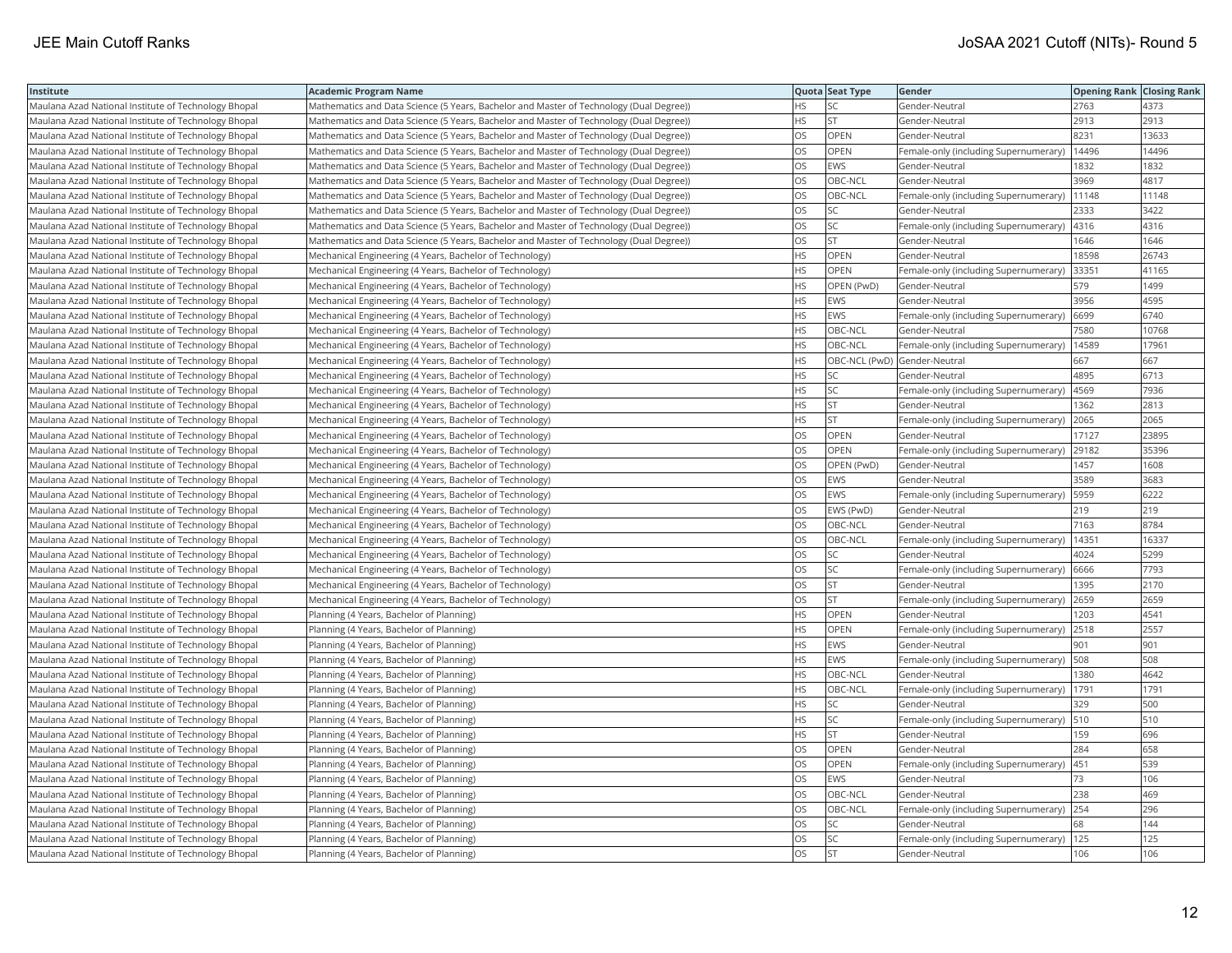| Institute                                            | <b>Academic Program Name</b>                                                            |           | Quota Seat Type              | Gender                                      | <b>Opening Rank Closing Rank</b> |       |
|------------------------------------------------------|-----------------------------------------------------------------------------------------|-----------|------------------------------|---------------------------------------------|----------------------------------|-------|
| Maulana Azad National Institute of Technology Bhopal | Mathematics and Data Science (5 Years, Bachelor and Master of Technology (Dual Degree)) | HS        | <b>SC</b>                    | Gender-Neutral                              | 2763                             | 4373  |
| Maulana Azad National Institute of Technology Bhopal | Mathematics and Data Science (5 Years, Bachelor and Master of Technology (Dual Degree)) | <b>HS</b> | <b>ST</b>                    | Gender-Neutral                              | 2913                             | 2913  |
| Maulana Azad National Institute of Technology Bhopal | Mathematics and Data Science (5 Years, Bachelor and Master of Technology (Dual Degree)) | <b>OS</b> | <b>OPEN</b>                  | Gender-Neutral                              | 8231                             | 13633 |
| Maulana Azad National Institute of Technology Bhopal | Mathematics and Data Science (5 Years, Bachelor and Master of Technology (Dual Degree)) | OS        | OPEN                         | Female-only (including Supernumerary)       | 14496                            | 14496 |
| Maulana Azad National Institute of Technology Bhopal | Mathematics and Data Science (5 Years, Bachelor and Master of Technology (Dual Degree)) | OS        | <b>EWS</b>                   | Gender-Neutral                              | 1832                             | 1832  |
| Maulana Azad National Institute of Technology Bhopal | Mathematics and Data Science (5 Years, Bachelor and Master of Technology (Dual Degree)) | OS        | OBC-NCL                      | Gender-Neutral                              | 3969                             | 4817  |
| Maulana Azad National Institute of Technology Bhopal | Mathematics and Data Science (5 Years, Bachelor and Master of Technology (Dual Degree)) | OS        | OBC-NCL                      | Female-only (including Supernumerary)       | 11148                            | 11148 |
| Maulana Azad National Institute of Technology Bhopal | Mathematics and Data Science (5 Years, Bachelor and Master of Technology (Dual Degree)) | OS        | SC.                          | Gender-Neutral                              | 2333                             | 3422  |
| Maulana Azad National Institute of Technology Bhopal | Mathematics and Data Science (5 Years, Bachelor and Master of Technology (Dual Degree)) | OS        | <b>SC</b>                    | Female-only (including Supernumerary)       | 4316                             | 4316  |
| Maulana Azad National Institute of Technology Bhopal | Mathematics and Data Science (5 Years, Bachelor and Master of Technology (Dual Degree)) | OS        | <b>ST</b>                    | Gender-Neutral                              | 1646                             | 1646  |
| Maulana Azad National Institute of Technology Bhopal | Mechanical Engineering (4 Years, Bachelor of Technology)                                | <b>HS</b> | <b>OPEN</b>                  | Gender-Neutral                              | 18598                            | 26743 |
| Maulana Azad National Institute of Technology Bhopal | Mechanical Engineering (4 Years, Bachelor of Technology)                                | <b>HS</b> | <b>OPEN</b>                  | Female-only (including Supernumerary)       | 33351                            | 41165 |
| Maulana Azad National Institute of Technology Bhopal | Mechanical Engineering (4 Years, Bachelor of Technology)                                | <b>HS</b> | OPEN (PwD)                   | Gender-Neutral                              | 579                              | 1499  |
| Maulana Azad National Institute of Technology Bhopal | Mechanical Engineering (4 Years, Bachelor of Technology)                                | HS        | <b>EWS</b>                   | Gender-Neutral                              | 3956                             | 4595  |
| Maulana Azad National Institute of Technology Bhopal | Mechanical Engineering (4 Years, Bachelor of Technology)                                | <b>HS</b> | <b>EWS</b>                   | Female-only (including Supernumerary)       | 6699                             | 6740  |
| Maulana Azad National Institute of Technology Bhopal | Mechanical Engineering (4 Years, Bachelor of Technology)                                | <b>HS</b> | OBC-NCL                      | Gender-Neutral                              | 7580                             | 10768 |
| Maulana Azad National Institute of Technology Bhopal | Mechanical Engineering (4 Years, Bachelor of Technology)                                | HS        | OBC-NCL                      | Female-only (including Supernumerary)       | 14589                            | 17961 |
| Maulana Azad National Institute of Technology Bhopal | Mechanical Engineering (4 Years, Bachelor of Technology)                                | <b>HS</b> | OBC-NCL (PwD) Gender-Neutral |                                             | 667                              | 667   |
| Maulana Azad National Institute of Technology Bhopal | Mechanical Engineering (4 Years, Bachelor of Technology)                                | <b>HS</b> | lsc                          | Gender-Neutral                              | 4895                             | 6713  |
| Maulana Azad National Institute of Technology Bhopal | Mechanical Engineering (4 Years, Bachelor of Technology)                                | HS        | <b>SC</b>                    | Female-only (including Supernumerary)       | 4569                             | 7936  |
| Maulana Azad National Institute of Technology Bhopal | Mechanical Engineering (4 Years, Bachelor of Technology)                                | <b>HS</b> | <b>ST</b>                    | Gender-Neutral                              | 1362                             | 2813  |
| Maulana Azad National Institute of Technology Bhopal | Mechanical Engineering (4 Years, Bachelor of Technology)                                | <b>HS</b> | <b>ST</b>                    | Female-only (including Supernumerary)       | 2065                             | 2065  |
| Maulana Azad National Institute of Technology Bhopal | Mechanical Engineering (4 Years, Bachelor of Technology)                                | OS        | OPEN                         | Gender-Neutral                              | 17127                            | 23895 |
| Maulana Azad National Institute of Technology Bhopal | Mechanical Engineering (4 Years, Bachelor of Technology)                                | OS        | OPEN                         | Female-only (including Supernumerary)       | 29182                            | 35396 |
| Maulana Azad National Institute of Technology Bhopal | Mechanical Engineering (4 Years, Bachelor of Technology)                                | OS        | OPEN (PwD)                   | Gender-Neutral                              | 1457                             | 1608  |
| Maulana Azad National Institute of Technology Bhopal | Mechanical Engineering (4 Years, Bachelor of Technology)                                | OS        | <b>EWS</b>                   | Gender-Neutral                              | 3589                             | 3683  |
| Maulana Azad National Institute of Technology Bhopal | Mechanical Engineering (4 Years, Bachelor of Technology)                                | <b>OS</b> | <b>EWS</b>                   | Female-only (including Supernumerary)       | 5959                             | 6222  |
| Maulana Azad National Institute of Technology Bhopal | Mechanical Engineering (4 Years, Bachelor of Technology)                                | OS        | EWS (PwD)                    | Gender-Neutral                              | 219                              | 219   |
| Maulana Azad National Institute of Technology Bhopal | Mechanical Engineering (4 Years, Bachelor of Technology)                                | OS        | OBC-NCL                      | Gender-Neutral                              | 7163                             | 8784  |
| Maulana Azad National Institute of Technology Bhopal | Mechanical Engineering (4 Years, Bachelor of Technology)                                | OS        | OBC-NCL                      | Female-only (including Supernumerary)       | 14351                            | 16337 |
| Maulana Azad National Institute of Technology Bhopal | Mechanical Engineering (4 Years, Bachelor of Technology)                                | OS        | SC.                          | Gender-Neutral                              | 4024                             | 5299  |
| Maulana Azad National Institute of Technology Bhopal | Mechanical Engineering (4 Years, Bachelor of Technology)                                | OS        | SC.                          | Female-only (including Supernumerary)       | 6666                             | 7793  |
| Maulana Azad National Institute of Technology Bhopal | Mechanical Engineering (4 Years, Bachelor of Technology)                                | OS        | <b>ST</b>                    | Gender-Neutral                              | 1395                             | 2170  |
| Maulana Azad National Institute of Technology Bhopal | Mechanical Engineering (4 Years, Bachelor of Technology)                                | OS        | <b>ST</b>                    | Female-only (including Supernumerary)       | 2659                             | 2659  |
| Maulana Azad National Institute of Technology Bhopal | Planning (4 Years, Bachelor of Planning)                                                | <b>HS</b> | OPEN                         | Gender-Neutral                              | 1203                             | 4541  |
| Maulana Azad National Institute of Technology Bhopal | Planning (4 Years, Bachelor of Planning)                                                | <b>HS</b> | <b>OPEN</b>                  | Female-only (including Supernumerary)       | 2518                             | 2557  |
| Maulana Azad National Institute of Technology Bhopal | Planning (4 Years, Bachelor of Planning)                                                | <b>HS</b> | <b>EWS</b>                   | Gender-Neutral                              | 901                              | 901   |
| Maulana Azad National Institute of Technology Bhopal | Planning (4 Years, Bachelor of Planning)                                                | <b>HS</b> | <b>EWS</b>                   | Female-only (including Supernumerary)   508 |                                  | 508   |
| Maulana Azad National Institute of Technology Bhopal | Planning (4 Years, Bachelor of Planning)                                                | HS.       | OBC-NCL                      | Gender-Neutral                              | 1380                             | 4642  |
| Maulana Azad National Institute of Technology Bhopal | Planning (4 Years, Bachelor of Planning)                                                | HS.       | OBC-NCL                      | Female-only (including Supernumerary)       | 1791                             | 1791  |
| Maulana Azad National Institute of Technology Bhopal | Planning (4 Years, Bachelor of Planning)                                                | <b>HS</b> | <b>SC</b>                    | Gender-Neutral                              | 329                              | 500   |
| Maulana Azad National Institute of Technology Bhopal | Planning (4 Years, Bachelor of Planning)                                                | HS        | <b>SC</b>                    | Female-only (including Supernumerary)       | 510                              | 510   |
| Maulana Azad National Institute of Technology Bhopal | Planning (4 Years, Bachelor of Planning)                                                | <b>HS</b> | <b>ST</b>                    | Gender-Neutral                              | 159                              | 696   |
| Maulana Azad National Institute of Technology Bhopal | Planning (4 Years, Bachelor of Planning)                                                | OS        | <b>OPEN</b>                  | Gender-Neutral                              | 284                              | 658   |
| Maulana Azad National Institute of Technology Bhopal | Planning (4 Years, Bachelor of Planning)                                                | <b>OS</b> | OPEN                         | Female-only (including Supernumerary)       | 451                              | 539   |
| Maulana Azad National Institute of Technology Bhopal | Planning (4 Years, Bachelor of Planning)                                                | OS        | <b>EWS</b>                   | Gender-Neutral                              | 73                               | 106   |
| Maulana Azad National Institute of Technology Bhopal | Planning (4 Years, Bachelor of Planning)                                                | <b>OS</b> | OBC-NCL                      | Gender-Neutral                              | 238                              | 469   |
| Maulana Azad National Institute of Technology Bhopal | Planning (4 Years, Bachelor of Planning)                                                | OS        | OBC-NCL                      | Female-only (including Supernumerary)       | 254                              | 296   |
| Maulana Azad National Institute of Technology Bhopal | Planning (4 Years, Bachelor of Planning)                                                | OS        | SC.                          | Gender-Neutral                              | 68                               | 144   |
| Maulana Azad National Institute of Technology Bhopal | Planning (4 Years, Bachelor of Planning)                                                | OS        | <b>SC</b>                    | Female-only (including Supernumerary)       | 125                              | 125   |
| Maulana Azad National Institute of Technology Bhopal | Planning (4 Years, Bachelor of Planning)                                                | <b>OS</b> | <b>ST</b>                    | Gender-Neutral                              | 106                              | 106   |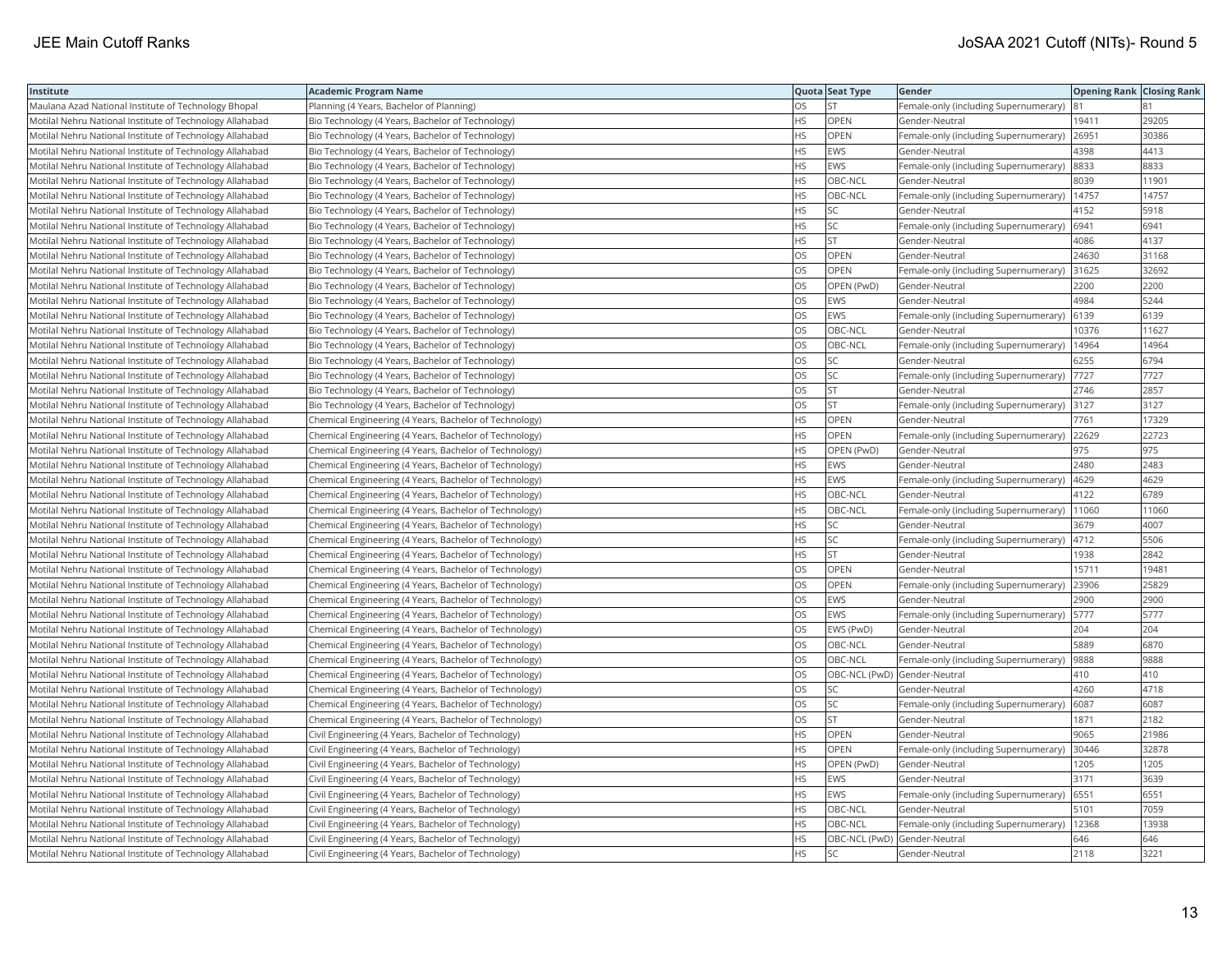| Institute                                                | <b>Academic Program Name</b>                           |           | Quota Seat Type              | Gender                                | <b>Opening Rank Closing Rank</b> |       |
|----------------------------------------------------------|--------------------------------------------------------|-----------|------------------------------|---------------------------------------|----------------------------------|-------|
| Maulana Azad National Institute of Technology Bhopal     | Planning (4 Years, Bachelor of Planning)               | OS        | <b>ST</b>                    | Female-only (including Supernumerary) |                                  |       |
| Motilal Nehru National Institute of Technology Allahabad | Bio Technology (4 Years, Bachelor of Technology)       | HS.       | <b>OPEN</b>                  | Gender-Neutral                        | 19411                            | 29205 |
| Motilal Nehru National Institute of Technology Allahabad | Bio Technology (4 Years, Bachelor of Technology)       | HS        | <b>OPEN</b>                  | Female-only (including Supernumerary) | 26951                            | 30386 |
| Motilal Nehru National Institute of Technology Allahabad | Bio Technology (4 Years, Bachelor of Technology)       | <b>HS</b> | EWS                          | Gender-Neutral                        | 4398                             | 4413  |
| Motilal Nehru National Institute of Technology Allahabad | Bio Technology (4 Years, Bachelor of Technology)       | <b>HS</b> | <b>EWS</b>                   | Female-only (including Supernumerary) | 8833                             | 8833  |
| Motilal Nehru National Institute of Technology Allahabad | Bio Technology (4 Years, Bachelor of Technology)       | HS        | OBC-NCL                      | Gender-Neutral                        | 8039                             | 11901 |
| Motilal Nehru National Institute of Technology Allahabad | Bio Technology (4 Years, Bachelor of Technology)       | <b>HS</b> | OBC-NCL                      | Female-only (including Supernumerary) | 14757                            | 14757 |
| Motilal Nehru National Institute of Technology Allahabad | Bio Technology (4 Years, Bachelor of Technology)       | <b>HS</b> | lsc                          | Gender-Neutral                        | 4152                             | 5918  |
| Motilal Nehru National Institute of Technology Allahabad | Bio Technology (4 Years, Bachelor of Technology)       | HS.       | SC.                          | Female-only (including Supernumerary) | 6941                             | 6941  |
| Motilal Nehru National Institute of Technology Allahabad | Bio Technology (4 Years, Bachelor of Technology)       | <b>HS</b> | <b>ST</b>                    | Gender-Neutral                        | 4086                             | 4137  |
| Motilal Nehru National Institute of Technology Allahabad | Bio Technology (4 Years, Bachelor of Technology)       | OS        | <b>OPEN</b>                  | Gender-Neutral                        | 24630                            | 31168 |
| Motilal Nehru National Institute of Technology Allahabad | Bio Technology (4 Years, Bachelor of Technology)       | <b>OS</b> | OPEN                         | Female-only (including Supernumerary) | 31625                            | 32692 |
| Motilal Nehru National Institute of Technology Allahabad | Bio Technology (4 Years, Bachelor of Technology)       | OS        | OPEN (PwD)                   | Gender-Neutral                        | 2200                             | 2200  |
| Motilal Nehru National Institute of Technology Allahabad | Bio Technology (4 Years, Bachelor of Technology)       | OS        | <b>EWS</b>                   | Gender-Neutral                        | 4984                             | 5244  |
| Motilal Nehru National Institute of Technology Allahabad | Bio Technology (4 Years, Bachelor of Technology)       | OS        | <b>EWS</b>                   | Female-only (including Supernumerary) | 6139                             | 6139  |
| Motilal Nehru National Institute of Technology Allahabad | Bio Technology (4 Years, Bachelor of Technology)       | <b>OS</b> | OBC-NCL                      | Gender-Neutral                        | 10376                            | 11627 |
| Motilal Nehru National Institute of Technology Allahabad | Bio Technology (4 Years, Bachelor of Technology)       | OS        | OBC-NCL                      | Female-only (including Supernumerary) | 14964                            | 14964 |
| Motilal Nehru National Institute of Technology Allahabad | Bio Technology (4 Years, Bachelor of Technology)       | OS        | <b>SC</b>                    | Gender-Neutral                        | 6255                             | 6794  |
| Motilal Nehru National Institute of Technology Allahabad | Bio Technology (4 Years, Bachelor of Technology)       | OS        | <b>SC</b>                    | Female-only (including Supernumerary) | 7727                             | 7727  |
| Motilal Nehru National Institute of Technology Allahabad | Bio Technology (4 Years, Bachelor of Technology)       | OS.       | <b>ST</b>                    | Gender-Neutral                        | 2746                             | 2857  |
| Motilal Nehru National Institute of Technology Allahabad | Bio Technology (4 Years, Bachelor of Technology)       | OS        | <b>ST</b>                    | Female-only (including Supernumerary) | 3127                             | 3127  |
| Motilal Nehru National Institute of Technology Allahabad | Chemical Engineering (4 Years, Bachelor of Technology) | <b>HS</b> | OPEN                         | Gender-Neutral                        | 7761                             | 17329 |
| Motilal Nehru National Institute of Technology Allahabad | Chemical Engineering (4 Years, Bachelor of Technology) | <b>HS</b> | <b>OPEN</b>                  | Female-only (including Supernumerary) | 22629                            | 22723 |
| Motilal Nehru National Institute of Technology Allahabad | Chemical Engineering (4 Years, Bachelor of Technology) | <b>HS</b> | OPEN (PwD)                   | Gender-Neutral                        | 975                              | 975   |
| Motilal Nehru National Institute of Technology Allahabad | Chemical Engineering (4 Years, Bachelor of Technology) | HS        | EWS                          | Gender-Neutral                        | 2480                             | 2483  |
| Motilal Nehru National Institute of Technology Allahabad | Chemical Engineering (4 Years, Bachelor of Technology) | <b>HS</b> | <b>EWS</b>                   | Female-only (including Supernumerary) | 4629                             | 4629  |
| Motilal Nehru National Institute of Technology Allahabad | Chemical Engineering (4 Years, Bachelor of Technology) | <b>HS</b> | OBC-NCL                      | Gender-Neutral                        | 4122                             | 6789  |
| Motilal Nehru National Institute of Technology Allahabad | Chemical Engineering (4 Years, Bachelor of Technology) | <b>HS</b> | OBC-NCL                      | Female-only (including Supernumerary) | 11060                            | 11060 |
| Motilal Nehru National Institute of Technology Allahabad | Chemical Engineering (4 Years, Bachelor of Technology) | <b>HS</b> | <b>SC</b>                    | Gender-Neutral                        | 3679                             | 4007  |
| Motilal Nehru National Institute of Technology Allahabad | Chemical Engineering (4 Years, Bachelor of Technology) | <b>HS</b> | <b>SC</b>                    | Female-only (including Supernumerary) | 4712                             | 5506  |
| Motilal Nehru National Institute of Technology Allahabad | Chemical Engineering (4 Years, Bachelor of Technology) | HS        | <b>ST</b>                    | Gender-Neutral                        | 1938                             | 2842  |
| Motilal Nehru National Institute of Technology Allahabad | Chemical Engineering (4 Years, Bachelor of Technology) | OS        | <b>OPEN</b>                  | Gender-Neutral                        | 15711                            | 19481 |
| Motilal Nehru National Institute of Technology Allahabad | Chemical Engineering (4 Years, Bachelor of Technology) | OS.       | OPEN                         | Female-only (including Supernumerary) | 23906                            | 25829 |
| Motilal Nehru National Institute of Technology Allahabad | Chemical Engineering (4 Years, Bachelor of Technology) | OS        | <b>EWS</b>                   | Gender-Neutral                        | 2900                             | 2900  |
| Motilal Nehru National Institute of Technology Allahabad | Chemical Engineering (4 Years, Bachelor of Technology) | OS        | <b>EWS</b>                   | Female-only (including Supernumerary) | 5777                             | 5777  |
| Motilal Nehru National Institute of Technology Allahabad | Chemical Engineering (4 Years, Bachelor of Technology) | <b>OS</b> | EWS (PwD)                    | Gender-Neutral                        | 204                              | 204   |
| Motilal Nehru National Institute of Technology Allahabad | Chemical Engineering (4 Years, Bachelor of Technology) | OS        | OBC-NCL                      | Gender-Neutral                        | 5889                             | 6870  |
| Motilal Nehru National Institute of Technology Allahabad | Chemical Engineering (4 Years, Bachelor of Technology) | OS        | OBC-NCL                      | Female-only (including Supernumerary) | 9888                             | 9888  |
| Motilal Nehru National Institute of Technology Allahabad | Chemical Engineering (4 Years, Bachelor of Technology) | OS        | OBC-NCL (PwD) Gender-Neutral |                                       | 410                              | 410   |
| Motilal Nehru National Institute of Technology Allahabad | Chemical Engineering (4 Years, Bachelor of Technology) | <b>OS</b> | SC.                          | Gender-Neutral                        | 4260                             | 4718  |
| Motilal Nehru National Institute of Technology Allahabad | Chemical Engineering (4 Years, Bachelor of Technology) | <b>OS</b> | SC                           | Female-only (including Supernumerary) | 6087                             | 6087  |
| Motilal Nehru National Institute of Technology Allahabad | Chemical Engineering (4 Years, Bachelor of Technology) | OS        | <b>ST</b>                    | Gender-Neutral                        | 1871                             | 2182  |
| Motilal Nehru National Institute of Technology Allahabad | Civil Engineering (4 Years, Bachelor of Technology)    | <b>HS</b> | OPEN                         | Gender-Neutral                        | 9065                             | 21986 |
| Motilal Nehru National Institute of Technology Allahabad | Civil Engineering (4 Years, Bachelor of Technology)    | <b>HS</b> | <b>OPEN</b>                  | Female-only (including Supernumerary) | 30446                            | 32878 |
| Motilal Nehru National Institute of Technology Allahabad | Civil Engineering (4 Years, Bachelor of Technology)    | <b>HS</b> | OPEN (PwD)                   | Gender-Neutral                        | 1205                             | 1205  |
| Motilal Nehru National Institute of Technology Allahabad | Civil Engineering (4 Years, Bachelor of Technology)    | <b>HS</b> | <b>EWS</b>                   | Gender-Neutral                        | 3171                             | 3639  |
| Motilal Nehru National Institute of Technology Allahabad | Civil Engineering (4 Years, Bachelor of Technology)    | HS        | <b>EWS</b>                   | Female-only (including Supernumerary) | 6551                             | 6551  |
| Motilal Nehru National Institute of Technology Allahabad | Civil Engineering (4 Years, Bachelor of Technology)    | <b>HS</b> | OBC-NCL                      | Gender-Neutral                        | 5101                             | 7059  |
| Motilal Nehru National Institute of Technology Allahabad | Civil Engineering (4 Years, Bachelor of Technology)    | HS        | OBC-NCL                      | Female-only (including Supernumerary) | 12368                            | 13938 |
| Motilal Nehru National Institute of Technology Allahabad | Civil Engineering (4 Years, Bachelor of Technology)    | <b>HS</b> | OBC-NCL (PwD) Gender-Neutral |                                       | 646                              | 646   |
| Motilal Nehru National Institute of Technology Allahabad | Civil Engineering (4 Years, Bachelor of Technology)    | <b>HS</b> | <b>SC</b>                    | Gender-Neutral                        | 2118                             | 3221  |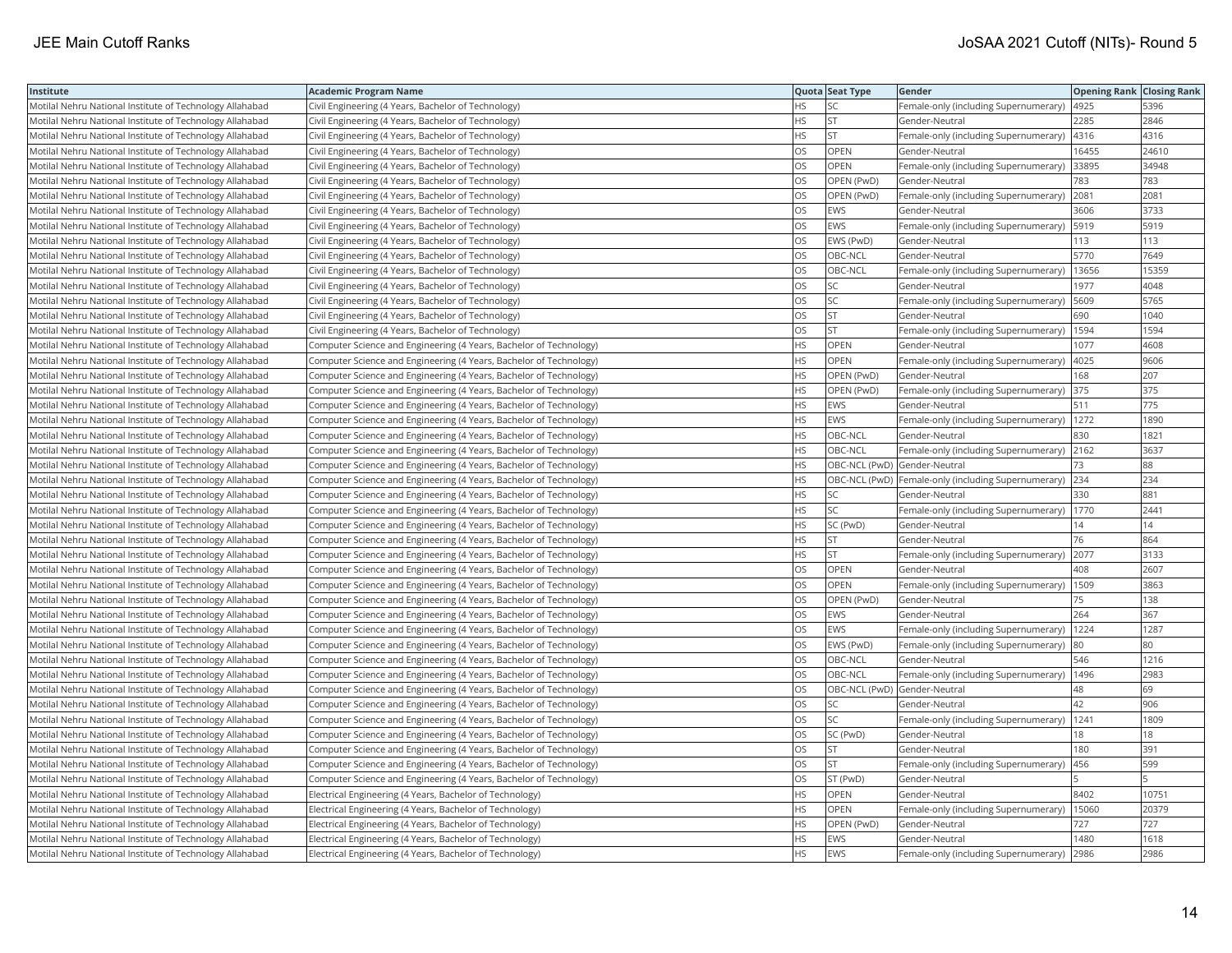| Institute                                                | <b>Academic Program Name</b>                                       |           | Quota Seat Type              | <b>Gender</b>                                         | <b>Opening Rank Closing Rank</b> |       |
|----------------------------------------------------------|--------------------------------------------------------------------|-----------|------------------------------|-------------------------------------------------------|----------------------------------|-------|
| Motilal Nehru National Institute of Technology Allahabad | Civil Engineering (4 Years, Bachelor of Technology)                | HS        | SC                           | Female-only (including Supernumerary)                 | 4925                             | 5396  |
| Motilal Nehru National Institute of Technology Allahabad | Civil Engineering (4 Years, Bachelor of Technology)                | <b>HS</b> | İst                          | Gender-Neutral                                        | 2285                             | 2846  |
| Motilal Nehru National Institute of Technology Allahabad | Civil Engineering (4 Years, Bachelor of Technology)                | <b>HS</b> | <b>ST</b>                    | Female-only (including Supernumerary)                 | 4316                             | 4316  |
| Motilal Nehru National Institute of Technology Allahabad | Civil Engineering (4 Years, Bachelor of Technology)                | OS        | OPEN                         | Gender-Neutral                                        | 16455                            | 24610 |
| Motilal Nehru National Institute of Technology Allahabad | Civil Engineering (4 Years, Bachelor of Technology)                | <b>OS</b> | <b>OPEN</b>                  | Female-only (including Supernumerary)                 | 33895                            | 34948 |
| Motilal Nehru National Institute of Technology Allahabad | Civil Engineering (4 Years, Bachelor of Technology)                | OS        | OPEN (PwD)                   | Gender-Neutral                                        | 783                              | 783   |
| Motilal Nehru National Institute of Technology Allahabad | Civil Engineering (4 Years, Bachelor of Technology)                | OS        | OPEN (PwD)                   | Female-only (including Supernumerary)                 | 2081                             | 2081  |
| Motilal Nehru National Institute of Technology Allahabad | Civil Engineering (4 Years, Bachelor of Technology)                | <b>OS</b> | EWS                          | Gender-Neutral                                        | 3606                             | 3733  |
| Motilal Nehru National Institute of Technology Allahabad | Civil Engineering (4 Years, Bachelor of Technology)                | OS        | EWS                          | Female-only (including Supernumerary)                 | 5919                             | 5919  |
| Motilal Nehru National Institute of Technology Allahabad | Civil Engineering (4 Years, Bachelor of Technology)                | OS        | EWS (PwD)                    | Gender-Neutral                                        | 113                              | 113   |
| Motilal Nehru National Institute of Technology Allahabad | Civil Engineering (4 Years, Bachelor of Technology)                | OS        | OBC-NCL                      | Gender-Neutral                                        | 5770                             | 7649  |
| Motilal Nehru National Institute of Technology Allahabad | Civil Engineering (4 Years, Bachelor of Technology)                | <b>OS</b> | OBC-NCL                      | Female-only (including Supernumerary)                 | 13656                            | 15359 |
| Motilal Nehru National Institute of Technology Allahabad | Civil Engineering (4 Years, Bachelor of Technology)                | OS        | SC.                          | Gender-Neutral                                        | 1977                             | 4048  |
| Motilal Nehru National Institute of Technology Allahabad | Civil Engineering (4 Years, Bachelor of Technology)                | OS        | SC.                          | Female-only (including Supernumerary)                 | 5609                             | 5765  |
| Motilal Nehru National Institute of Technology Allahabad | Civil Engineering (4 Years, Bachelor of Technology)                | OS        | <b>ST</b>                    | Gender-Neutral                                        | 690                              | 1040  |
| Motilal Nehru National Institute of Technology Allahabad | Civil Engineering (4 Years, Bachelor of Technology)                | OS        | İst                          | Female-only (including Supernumerary)                 | 1594                             | 1594  |
| Motilal Nehru National Institute of Technology Allahabad | Computer Science and Engineering (4 Years, Bachelor of Technology) | <b>HS</b> | OPEN                         | Gender-Neutral                                        | 1077                             | 4608  |
| Motilal Nehru National Institute of Technology Allahabad | Computer Science and Engineering (4 Years, Bachelor of Technology) | <b>HS</b> | OPEN                         | Female-only (including Supernumerary)                 | 4025                             | 9606  |
| Motilal Nehru National Institute of Technology Allahabad | Computer Science and Engineering (4 Years, Bachelor of Technology) | <b>HS</b> | OPEN (PwD)                   | Gender-Neutral                                        | 168                              | 207   |
| Motilal Nehru National Institute of Technology Allahabad | Computer Science and Engineering (4 Years, Bachelor of Technology) | <b>HS</b> | OPEN (PwD)                   | Female-only (including Supernumerary)                 | 375                              | 375   |
| Motilal Nehru National Institute of Technology Allahabad | Computer Science and Engineering (4 Years, Bachelor of Technology) | <b>HS</b> | EWS                          | Gender-Neutral                                        | 511                              | 775   |
| Motilal Nehru National Institute of Technology Allahabad | Computer Science and Engineering (4 Years, Bachelor of Technology) | <b>HS</b> | <b>EWS</b>                   | Female-only (including Supernumerary)   1272          |                                  | 1890  |
| Motilal Nehru National Institute of Technology Allahabad | Computer Science and Engineering (4 Years, Bachelor of Technology) | <b>HS</b> | OBC-NCL                      | Gender-Neutral                                        | 830                              | 1821  |
| Motilal Nehru National Institute of Technology Allahabad | Computer Science and Engineering (4 Years, Bachelor of Technology) | <b>HS</b> | OBC-NCL                      | Female-only (including Supernumerary) 2162            |                                  | 3637  |
| Motilal Nehru National Institute of Technology Allahabad | Computer Science and Engineering (4 Years, Bachelor of Technology) | <b>HS</b> | OBC-NCL (PwD) Gender-Neutral |                                                       | 73                               | 88    |
| Motilal Nehru National Institute of Technology Allahabad | Computer Science and Engineering (4 Years, Bachelor of Technology) | <b>HS</b> |                              | OBC-NCL (PwD)   Female-only (including Supernumerary) | 234                              | 234   |
| Motilal Nehru National Institute of Technology Allahabad | Computer Science and Engineering (4 Years, Bachelor of Technology) | <b>HS</b> | SC                           | Gender-Neutral                                        | 330                              | 881   |
| Motilal Nehru National Institute of Technology Allahabad | Computer Science and Engineering (4 Years, Bachelor of Technology) | <b>HS</b> | lsc                          | Female-only (including Supernumerary)                 | 1770                             | 2441  |
| Motilal Nehru National Institute of Technology Allahabad | Computer Science and Engineering (4 Years, Bachelor of Technology) | <b>HS</b> | SC (PwD)                     | Gender-Neutral                                        | 14                               | 14    |
| Motilal Nehru National Institute of Technology Allahabad | Computer Science and Engineering (4 Years, Bachelor of Technology) | <b>HS</b> | <b>ST</b>                    | Gender-Neutral                                        | 76                               | 864   |
| Motilal Nehru National Institute of Technology Allahabad | Computer Science and Engineering (4 Years, Bachelor of Technology) | <b>HS</b> | <b>ST</b>                    | Female-only (including Supernumerary)                 | 2077                             | 3133  |
| Motilal Nehru National Institute of Technology Allahabad | Computer Science and Engineering (4 Years, Bachelor of Technology) | OS        | OPEN                         | Gender-Neutral                                        | 408                              | 2607  |
| Motilal Nehru National Institute of Technology Allahabad | Computer Science and Engineering (4 Years, Bachelor of Technology) | <b>OS</b> | <b>OPEN</b>                  | Female-only (including Supernumerary)                 | 1509                             | 3863  |
| Motilal Nehru National Institute of Technology Allahabad | Computer Science and Engineering (4 Years, Bachelor of Technology) | OS        | OPEN (PwD)                   | Gender-Neutral                                        | 75                               | 138   |
| Motilal Nehru National Institute of Technology Allahabad | Computer Science and Engineering (4 Years, Bachelor of Technology) | OS        | EWS                          | Gender-Neutral                                        | 264                              | 367   |
| Motilal Nehru National Institute of Technology Allahabad | Computer Science and Engineering (4 Years, Bachelor of Technology) | <b>OS</b> | EWS                          | Female-only (including Supernumerary)                 | 1224                             | 1287  |
| Motilal Nehru National Institute of Technology Allahabad | Computer Science and Engineering (4 Years, Bachelor of Technology) | OS        | EWS (PwD)                    | Female-only (including Supernumerary)                 | 80                               | 80    |
| Motilal Nehru National Institute of Technology Allahabad | Computer Science and Engineering (4 Years, Bachelor of Technology) | OS        | OBC-NCL                      | Gender-Neutral                                        | 546                              | 1216  |
| Motilal Nehru National Institute of Technology Allahabad | Computer Science and Engineering (4 Years, Bachelor of Technology) | OS        | OBC-NCL                      | Female-only (including Supernumerary)                 | 1496                             | 2983  |
| Motilal Nehru National Institute of Technology Allahabad | Computer Science and Engineering (4 Years, Bachelor of Technology) | <b>OS</b> | OBC-NCL (PwD) Gender-Neutral |                                                       | 48                               | 69    |
| Motilal Nehru National Institute of Technology Allahabad | Computer Science and Engineering (4 Years, Bachelor of Technology) | OS        | SC                           | Gender-Neutral                                        | 42                               | 906   |
| Motilal Nehru National Institute of Technology Allahabad | Computer Science and Engineering (4 Years, Bachelor of Technology) | OS        | SC.                          | Female-only (including Supernumerary)                 | 1241                             | 1809  |
| Motilal Nehru National Institute of Technology Allahabad | Computer Science and Engineering (4 Years, Bachelor of Technology) | OS        | SC (PwD)                     | Gender-Neutral                                        | 18                               | 18    |
| Motilal Nehru National Institute of Technology Allahabad | Computer Science and Engineering (4 Years, Bachelor of Technology) | <b>OS</b> | lst.                         | Gender-Neutral                                        | 180                              | 391   |
| Motilal Nehru National Institute of Technology Allahabad | Computer Science and Engineering (4 Years, Bachelor of Technology) | <b>OS</b> | lst                          | Female-only (including Supernumerary)                 | 456                              | 599   |
| Motilal Nehru National Institute of Technology Allahabad | Computer Science and Engineering (4 Years, Bachelor of Technology) | OS        | ST (PwD)                     | Gender-Neutral                                        |                                  |       |
| Motilal Nehru National Institute of Technology Allahabad | Electrical Engineering (4 Years, Bachelor of Technology)           | <b>HS</b> | <b>OPEN</b>                  | Gender-Neutral                                        | 8402                             | 10751 |
| Motilal Nehru National Institute of Technology Allahabad | Electrical Engineering (4 Years, Bachelor of Technology)           | <b>HS</b> | OPEN                         | Female-only (including Supernumerary)                 | 15060                            | 20379 |
| Motilal Nehru National Institute of Technology Allahabad | Electrical Engineering (4 Years, Bachelor of Technology)           | HS        | OPEN (PwD)                   | Gender-Neutral                                        | 727                              | 727   |
| Motilal Nehru National Institute of Technology Allahabad | Electrical Engineering (4 Years, Bachelor of Technology)           | <b>HS</b> | <b>EWS</b>                   | Gender-Neutral                                        | 1480                             | 1618  |
| Motilal Nehru National Institute of Technology Allahabad | Electrical Engineering (4 Years, Bachelor of Technology)           | <b>HS</b> | <b>EWS</b>                   | Female-only (including Supernumerary)                 | 2986                             | 2986  |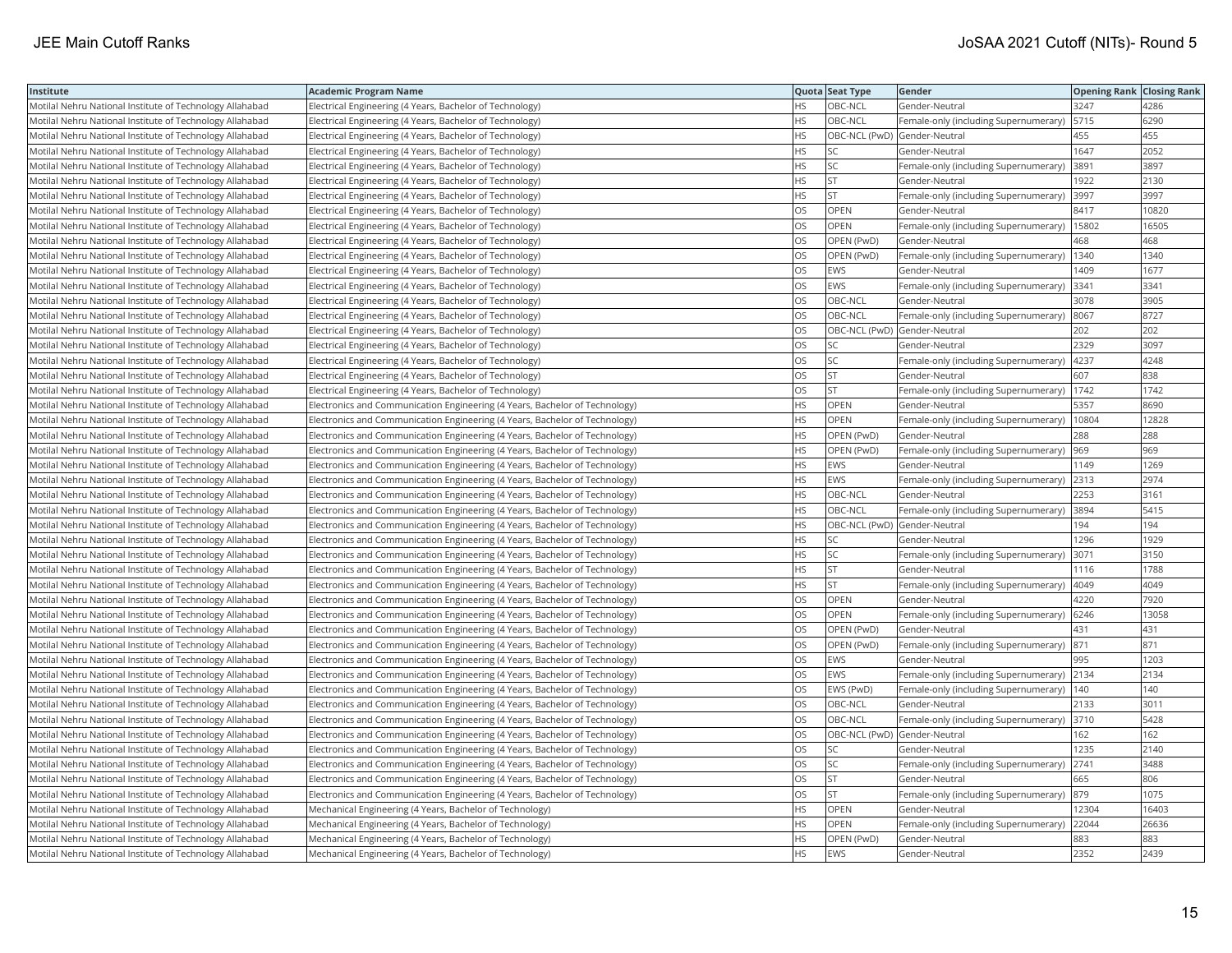| Institute                                                | Academic Program Name                                                       |           | Quota Seat Type              | Gender                                      | <b>Opening Rank Closing Rank</b> |       |
|----------------------------------------------------------|-----------------------------------------------------------------------------|-----------|------------------------------|---------------------------------------------|----------------------------------|-------|
| Motilal Nehru National Institute of Technology Allahabad | Electrical Engineering (4 Years, Bachelor of Technology)                    | HS.       | OBC-NCL                      | Gender-Neutral                              | 3247                             | 4286  |
| Motilal Nehru National Institute of Technology Allahabad | Electrical Engineering (4 Years, Bachelor of Technology)                    | HS.       | OBC-NCL                      | Female-only (including Supernumerary)       | 5715                             | 6290  |
| Motilal Nehru National Institute of Technology Allahabad | Electrical Engineering (4 Years, Bachelor of Technology)                    | HS        | OBC-NCL (PwD) Gender-Neutral |                                             | 455                              | 455   |
| Motilal Nehru National Institute of Technology Allahabad | Electrical Engineering (4 Years, Bachelor of Technology)                    | HS        | SC                           | Gender-Neutral                              | 1647                             | 2052  |
| Motilal Nehru National Institute of Technology Allahabad | Electrical Engineering (4 Years, Bachelor of Technology)                    | HS.       | <b>SC</b>                    | Female-only (including Supernumerary)       | 3891                             | 3897  |
| Motilal Nehru National Institute of Technology Allahabad | Electrical Engineering (4 Years, Bachelor of Technology)                    | HS        | <b>ST</b>                    | Gender-Neutral                              | 1922                             | 2130  |
| Motilal Nehru National Institute of Technology Allahabad | Electrical Engineering (4 Years, Bachelor of Technology)                    | HS        | <b>ST</b>                    | Female-only (including Supernumerary)       | 3997                             | 3997  |
| Motilal Nehru National Institute of Technology Allahabad | Electrical Engineering (4 Years, Bachelor of Technology)                    | OS.       | <b>OPEN</b>                  | Gender-Neutral                              | 8417                             | 10820 |
| Motilal Nehru National Institute of Technology Allahabad | Electrical Engineering (4 Years, Bachelor of Technology)                    | OS        | OPEN                         | Female-only (including Supernumerary)       | 15802                            | 16505 |
| Motilal Nehru National Institute of Technology Allahabad | Electrical Engineering (4 Years, Bachelor of Technology)                    | OS        | OPEN (PwD)                   | Gender-Neutral                              | 468                              | 468   |
| Motilal Nehru National Institute of Technology Allahabad | Electrical Engineering (4 Years, Bachelor of Technology)                    | OS.       | OPEN (PwD)                   | Female-only (including Supernumerary)       | 1340                             | 1340  |
| Motilal Nehru National Institute of Technology Allahabad | Electrical Engineering (4 Years, Bachelor of Technology)                    | OS.       | <b>EWS</b>                   | Gender-Neutral                              | 1409                             | 1677  |
| Motilal Nehru National Institute of Technology Allahabad | Electrical Engineering (4 Years, Bachelor of Technology)                    | OS        | <b>EWS</b>                   | Female-only (including Supernumerary)       | 3341                             | 3341  |
| Motilal Nehru National Institute of Technology Allahabad | Electrical Engineering (4 Years, Bachelor of Technology)                    | OS        | OBC-NCL                      | Gender-Neutral                              | 3078                             | 3905  |
| Motilal Nehru National Institute of Technology Allahabad | Electrical Engineering (4 Years, Bachelor of Technology)                    | OS        | OBC-NCL                      | Female-only (including Supernumerary)  8067 |                                  | 8727  |
| Motilal Nehru National Institute of Technology Allahabad | Electrical Engineering (4 Years, Bachelor of Technology)                    | OS        | OBC-NCL (PwD) Gender-Neutral |                                             | 202                              | 202   |
| Motilal Nehru National Institute of Technology Allahabad | Electrical Engineering (4 Years, Bachelor of Technology)                    | OS.       | SC                           | Gender-Neutral                              | 2329                             | 3097  |
| Motilal Nehru National Institute of Technology Allahabad | Electrical Engineering (4 Years, Bachelor of Technology)                    | OS        | SC                           | Female-only (including Supernumerary)       | 4237                             | 4248  |
| Motilal Nehru National Institute of Technology Allahabad | Electrical Engineering (4 Years, Bachelor of Technology)                    | OS        | <b>ST</b>                    | Gender-Neutral                              | 607                              | 838   |
| Motilal Nehru National Institute of Technology Allahabad | Electrical Engineering (4 Years, Bachelor of Technology)                    | OS.       | <b>ST</b>                    | Female-only (including Supernumerary)       | 1742                             | 1742  |
| Motilal Nehru National Institute of Technology Allahabad | Electronics and Communication Engineering (4 Years, Bachelor of Technology) | HS        | <b>OPEN</b>                  | Gender-Neutral                              | 5357                             | 8690  |
| Motilal Nehru National Institute of Technology Allahabad | Electronics and Communication Engineering (4 Years, Bachelor of Technology) | HS        | OPEN                         | Female-only (including Supernumerary)       | 10804                            | 12828 |
| Motilal Nehru National Institute of Technology Allahabad | Electronics and Communication Engineering (4 Years, Bachelor of Technology) | HS        | OPEN (PwD)                   | Gender-Neutral                              | 288                              | 288   |
| Motilal Nehru National Institute of Technology Allahabad | Electronics and Communication Engineering (4 Years, Bachelor of Technology) | HS.       | OPEN (PwD)                   | Female-only (including Supernumerary)       | 969                              | 969   |
| Motilal Nehru National Institute of Technology Allahabad | Electronics and Communication Engineering (4 Years, Bachelor of Technology) | HS        | <b>EWS</b>                   | Gender-Neutral                              | 1149                             | 1269  |
| Motilal Nehru National Institute of Technology Allahabad | Electronics and Communication Engineering (4 Years, Bachelor of Technology) | <b>HS</b> | <b>EWS</b>                   | Female-only (including Supernumerary)       | 2313                             | 2974  |
| Motilal Nehru National Institute of Technology Allahabad | Electronics and Communication Engineering (4 Years, Bachelor of Technology) | HS        | OBC-NCL                      | Gender-Neutral                              | 2253                             | 3161  |
| Motilal Nehru National Institute of Technology Allahabad | Electronics and Communication Engineering (4 Years, Bachelor of Technology) | HS        | OBC-NCL                      | Female-only (including Supernumerary)       | 3894                             | 5415  |
| Motilal Nehru National Institute of Technology Allahabad | Electronics and Communication Engineering (4 Years, Bachelor of Technology) | <b>HS</b> | OBC-NCL (PwD) Gender-Neutral |                                             | 194                              | 194   |
| Motilal Nehru National Institute of Technology Allahabad | Electronics and Communication Engineering (4 Years, Bachelor of Technology) | HS        | SC                           | Gender-Neutral                              | 1296                             | 1929  |
| Motilal Nehru National Institute of Technology Allahabad | Electronics and Communication Engineering (4 Years, Bachelor of Technology) | HS        | SC                           | Female-only (including Supernumerary)       | 3071                             | 3150  |
| Motilal Nehru National Institute of Technology Allahabad | Electronics and Communication Engineering (4 Years, Bachelor of Technology) | HS.       | <b>ST</b>                    | Gender-Neutral                              | 1116                             | 1788  |
| Motilal Nehru National Institute of Technology Allahabad | Electronics and Communication Engineering (4 Years, Bachelor of Technology) | HS        | <b>ST</b>                    | Female-only (including Supernumerary)       | 4049                             | 4049  |
| Motilal Nehru National Institute of Technology Allahabad | Electronics and Communication Engineering (4 Years, Bachelor of Technology) | OS        | OPEN                         | Gender-Neutral                              | 4220                             | 7920  |
| Motilal Nehru National Institute of Technology Allahabad | Electronics and Communication Engineering (4 Years, Bachelor of Technology) | OS.       | <b>OPEN</b>                  | Female-only (including Supernumerary)       | 6246                             | 13058 |
| Motilal Nehru National Institute of Technology Allahabad | Electronics and Communication Engineering (4 Years, Bachelor of Technology) | OS        | OPEN (PwD)                   | Gender-Neutral                              | 431                              | 431   |
| Motilal Nehru National Institute of Technology Allahabad | Electronics and Communication Engineering (4 Years, Bachelor of Technology) | OS        | OPEN (PwD)                   | Female-only (including Supernumerary) 871   |                                  | 871   |
| Motilal Nehru National Institute of Technology Allahabad | Electronics and Communication Engineering (4 Years, Bachelor of Technology) | OS        | EWS                          | Gender-Neutral                              | 995                              | 1203  |
| Motilal Nehru National Institute of Technology Allahabad | Electronics and Communication Engineering (4 Years, Bachelor of Technology) | OS        | <b>EWS</b>                   | Female-only (including Supernumerary) 2134  |                                  | 2134  |
| Motilal Nehru National Institute of Technology Allahabad | Electronics and Communication Engineering (4 Years, Bachelor of Technology) | OS        | EWS (PwD)                    | Female-only (including Supernumerary)       | 140                              | 140   |
| Motilal Nehru National Institute of Technology Allahabad | Electronics and Communication Engineering (4 Years, Bachelor of Technology) | OS        | OBC-NCL                      | Gender-Neutral                              | 2133                             | 3011  |
| Motilal Nehru National Institute of Technology Allahabad | Electronics and Communication Engineering (4 Years, Bachelor of Technology) | OS        | OBC-NCL                      | Female-only (including Supernumerary)       | 3710                             | 5428  |
| Motilal Nehru National Institute of Technology Allahabad | Electronics and Communication Engineering (4 Years, Bachelor of Technology) | OS        | OBC-NCL (PwD) Gender-Neutral |                                             | 162                              | 162   |
| Motilal Nehru National Institute of Technology Allahabad | Electronics and Communication Engineering (4 Years, Bachelor of Technology) | OS        | <b>SC</b>                    | Gender-Neutral                              | 1235                             | 2140  |
| Motilal Nehru National Institute of Technology Allahabad | Electronics and Communication Engineering (4 Years, Bachelor of Technology) | OS        | SC                           | Female-only (including Supernumerary)       | 2741                             | 3488  |
| Motilal Nehru National Institute of Technology Allahabad | Electronics and Communication Engineering (4 Years, Bachelor of Technology) | OS        | <b>ST</b>                    | Gender-Neutral                              | 665                              | 806   |
| Motilal Nehru National Institute of Technology Allahabad | Electronics and Communication Engineering (4 Years, Bachelor of Technology) | OS.       | <b>ST</b>                    | Female-only (including Supernumerary)       | 879                              | 1075  |
| Motilal Nehru National Institute of Technology Allahabad | Mechanical Engineering (4 Years, Bachelor of Technology)                    | ΗS        | OPEN                         | Gender-Neutral                              | 12304                            | 16403 |
| Motilal Nehru National Institute of Technology Allahabad | Mechanical Engineering (4 Years, Bachelor of Technology)                    | HS        | OPEN                         | Female-only (including Supernumerary)       | 22044                            | 26636 |
| Motilal Nehru National Institute of Technology Allahabad | Mechanical Engineering (4 Years, Bachelor of Technology)                    | HS.       | OPEN (PwD)                   | Gender-Neutral                              | 883                              | 883   |
| Motilal Nehru National Institute of Technology Allahabad | Mechanical Engineering (4 Years, Bachelor of Technology)                    | <b>HS</b> | <b>EWS</b>                   | lGender-Neutral                             | 2352                             | 2439  |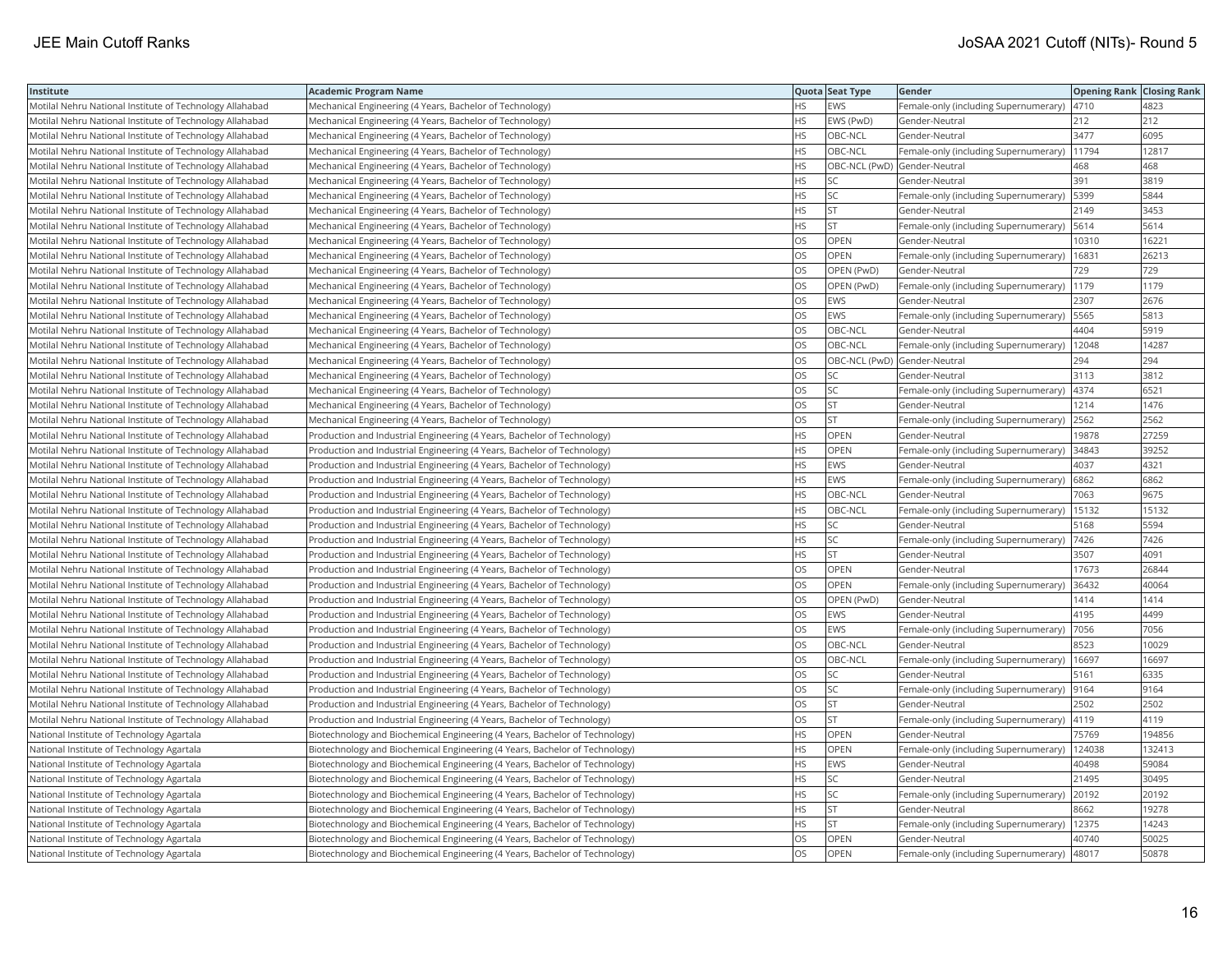| Institute                                                | <b>Academic Program Name</b>                                                |           | Quota Seat Type              | <b>Gender</b>                                 | <b>Opening Rank Closing Rank</b> |        |
|----------------------------------------------------------|-----------------------------------------------------------------------------|-----------|------------------------------|-----------------------------------------------|----------------------------------|--------|
| Motilal Nehru National Institute of Technology Allahabad | Mechanical Engineering (4 Years, Bachelor of Technology)                    | <b>HS</b> | EWS                          | Female-only (including Supernumerary)         | 4710                             | 4823   |
| Motilal Nehru National Institute of Technology Allahabad | Mechanical Engineering (4 Years, Bachelor of Technology)                    | HS.       | EWS (PwD)                    | Gender-Neutral                                | 212                              | 212    |
| Motilal Nehru National Institute of Technology Allahabad | Mechanical Engineering (4 Years, Bachelor of Technology)                    | HS        | OBC-NCL                      | Gender-Neutral                                | 3477                             | 6095   |
| Motilal Nehru National Institute of Technology Allahabad | Mechanical Engineering (4 Years, Bachelor of Technology)                    | <b>HS</b> | OBC-NCL                      | Female-only (including Supernumerary)         | 11794                            | 12817  |
| Motilal Nehru National Institute of Technology Allahabad | Mechanical Engineering (4 Years, Bachelor of Technology)                    | <b>HS</b> | OBC-NCL (PwD) Gender-Neutral |                                               | 468                              | 468    |
| Motilal Nehru National Institute of Technology Allahabad | Mechanical Engineering (4 Years, Bachelor of Technology)                    | HS        | <b>SC</b>                    | Gender-Neutral                                | 391                              | 3819   |
| Motilal Nehru National Institute of Technology Allahabad | Mechanical Engineering (4 Years, Bachelor of Technology)                    | <b>HS</b> | <b>SC</b>                    | Female-only (including Supernumerary)   5399  |                                  | 5844   |
| Motilal Nehru National Institute of Technology Allahabad | Mechanical Engineering (4 Years, Bachelor of Technology)                    | HS.       | İst                          | Gender-Neutral                                | 2149                             | 3453   |
| Motilal Nehru National Institute of Technology Allahabad | Mechanical Engineering (4 Years, Bachelor of Technology)                    | <b>HS</b> | <b>ST</b>                    | Female-only (including Supernumerary)         | 5614                             | 5614   |
| Motilal Nehru National Institute of Technology Allahabad | Mechanical Engineering (4 Years, Bachelor of Technology)                    | OS        | OPEN                         | Gender-Neutral                                | 10310                            | 16221  |
| Motilal Nehru National Institute of Technology Allahabad | Mechanical Engineering (4 Years, Bachelor of Technology)                    | <b>OS</b> | <b>OPEN</b>                  | Female-only (including Supernumerary)         | 16831                            | 26213  |
| Motilal Nehru National Institute of Technology Allahabad | Mechanical Engineering (4 Years, Bachelor of Technology)                    | <b>OS</b> | OPEN (PwD)                   | Gender-Neutral                                | 729                              | 729    |
| Motilal Nehru National Institute of Technology Allahabad | Mechanical Engineering (4 Years, Bachelor of Technology)                    | OS        | OPEN (PwD)                   | Female-only (including Supernumerary)         | 1179                             | 1179   |
| Motilal Nehru National Institute of Technology Allahabad | Mechanical Engineering (4 Years, Bachelor of Technology)                    | OS        | <b>EWS</b>                   | Gender-Neutral                                | 2307                             | 2676   |
| Motilal Nehru National Institute of Technology Allahabad | Mechanical Engineering (4 Years, Bachelor of Technology)                    | OS        | <b>EWS</b>                   | Female-only (including Supernumerary)         | 5565                             | 5813   |
| Motilal Nehru National Institute of Technology Allahabad | Mechanical Engineering (4 Years, Bachelor of Technology)                    | OS        | OBC-NCL                      | Gender-Neutral                                | 4404                             | 5919   |
| Motilal Nehru National Institute of Technology Allahabad | Mechanical Engineering (4 Years, Bachelor of Technology)                    | <b>OS</b> | OBC-NCL                      | Female-only (including Supernumerary)         | 12048                            | 14287  |
| Motilal Nehru National Institute of Technology Allahabad | Mechanical Engineering (4 Years, Bachelor of Technology)                    | OS        | OBC-NCL (PwD) Gender-Neutral |                                               | 294                              | 294    |
| Motilal Nehru National Institute of Technology Allahabad | Mechanical Engineering (4 Years, Bachelor of Technology)                    | OS        | SC.                          | Gender-Neutral                                | 3113                             | 3812   |
| Motilal Nehru National Institute of Technology Allahabad | Mechanical Engineering (4 Years, Bachelor of Technology)                    | <b>OS</b> | lsc                          | Female-only (including Supernumerary)         | 4374                             | 6521   |
| Motilal Nehru National Institute of Technology Allahabad | Mechanical Engineering (4 Years, Bachelor of Technology)                    | OS        | <b>ST</b>                    | Gender-Neutral                                | 1214                             | 1476   |
| Motilal Nehru National Institute of Technology Allahabad | Mechanical Engineering (4 Years, Bachelor of Technology)                    | OS        | <b>ST</b>                    | Female-only (including Supernumerary)         | 2562                             | 2562   |
| Motilal Nehru National Institute of Technology Allahabad | Production and Industrial Engineering (4 Years, Bachelor of Technology)     | HS        | <b>OPEN</b>                  | Gender-Neutral                                | 19878                            | 27259  |
| Motilal Nehru National Institute of Technology Allahabad | Production and Industrial Engineering (4 Years, Bachelor of Technology)     | HS.       | <b>OPEN</b>                  | Female-only (including Supernumerary)         | 34843                            | 39252  |
| Motilal Nehru National Institute of Technology Allahabad | Production and Industrial Engineering (4 Years, Bachelor of Technology)     | <b>HS</b> | <b>EWS</b>                   | Gender-Neutral                                | 4037                             | 4321   |
| Motilal Nehru National Institute of Technology Allahabad | Production and Industrial Engineering (4 Years, Bachelor of Technology)     | <b>HS</b> | <b>EWS</b>                   | Female-only (including Supernumerary)         | 6862                             | 6862   |
| Motilal Nehru National Institute of Technology Allahabad | Production and Industrial Engineering (4 Years, Bachelor of Technology)     | HS        | OBC-NCL                      | Gender-Neutral                                | 7063                             | 9675   |
| Motilal Nehru National Institute of Technology Allahabad | Production and Industrial Engineering (4 Years, Bachelor of Technology)     | <b>HS</b> | OBC-NCL                      | Female-only (including Supernumerary)         | 15132                            | 15132  |
| Motilal Nehru National Institute of Technology Allahabad | Production and Industrial Engineering (4 Years, Bachelor of Technology)     | <b>HS</b> | <b>SC</b>                    | Gender-Neutral                                | 5168                             | 5594   |
| Motilal Nehru National Institute of Technology Allahabad | Production and Industrial Engineering (4 Years, Bachelor of Technology)     | <b>HS</b> | <b>SC</b>                    | Female-only (including Supernumerary)         | 7426                             | 7426   |
| Motilal Nehru National Institute of Technology Allahabad | Production and Industrial Engineering (4 Years, Bachelor of Technology)     | <b>HS</b> | <b>ST</b>                    | Gender-Neutral                                | 3507                             | 4091   |
| Motilal Nehru National Institute of Technology Allahabad | Production and Industrial Engineering (4 Years, Bachelor of Technology)     | OS.       | <b>OPEN</b>                  | Gender-Neutral                                | 17673                            | 26844  |
| Motilal Nehru National Institute of Technology Allahabad | Production and Industrial Engineering (4 Years, Bachelor of Technology)     | OS        | OPEN                         | Female-only (including Supernumerary)         | 36432                            | 40064  |
| Motilal Nehru National Institute of Technology Allahabad | Production and Industrial Engineering (4 Years, Bachelor of Technology)     | OS        | OPEN (PwD)                   | Gender-Neutral                                | 1414                             | 1414   |
| Motilal Nehru National Institute of Technology Allahabad | Production and Industrial Engineering (4 Years, Bachelor of Technology)     | <b>OS</b> | <b>EWS</b>                   | Gender-Neutral                                | 4195                             | 4499   |
| Motilal Nehru National Institute of Technology Allahabad | Production and Industrial Engineering (4 Years, Bachelor of Technology)     | OS        | <b>EWS</b>                   | Female-only (including Supernumerary)         | 7056                             | 7056   |
| Motilal Nehru National Institute of Technology Allahabad | Production and Industrial Engineering (4 Years, Bachelor of Technology)     | OS        | OBC-NCL                      | Gender-Neutral                                | 8523                             | 10029  |
| Motilal Nehru National Institute of Technology Allahabad | Production and Industrial Engineering (4 Years, Bachelor of Technology)     | OS        | OBC-NCL                      | Female-only (including Supernumerary)   16697 |                                  | 16697  |
| Motilal Nehru National Institute of Technology Allahabad | Production and Industrial Engineering (4 Years, Bachelor of Technology)     | OS        | <b>SC</b>                    | Gender-Neutral                                | 5161                             | 6335   |
| Motilal Nehru National Institute of Technology Allahabad | Production and Industrial Engineering (4 Years, Bachelor of Technology)     | OS        | SC.                          | Female-only (including Supernumerary)         | 9164                             | 9164   |
| Motilal Nehru National Institute of Technology Allahabad | Production and Industrial Engineering (4 Years, Bachelor of Technology)     | OS        | <b>ST</b>                    | Gender-Neutral                                | 2502                             | 2502   |
| Motilal Nehru National Institute of Technology Allahabad | Production and Industrial Engineering (4 Years, Bachelor of Technology)     | OS        | <b>ST</b>                    | Female-only (including Supernumerary)         | 4119                             | 4119   |
| National Institute of Technology Agartala                | Biotechnology and Biochemical Engineering (4 Years, Bachelor of Technology) | <b>HS</b> | OPEN                         | Gender-Neutral                                | 75769                            | 194856 |
| National Institute of Technology Agartala                | Biotechnology and Biochemical Engineering (4 Years, Bachelor of Technology) | <b>HS</b> | <b>OPEN</b>                  | Female-only (including Supernumerary)         | 124038                           | 132413 |
| National Institute of Technology Agartala                | Biotechnology and Biochemical Engineering (4 Years, Bachelor of Technology) | <b>HS</b> | EWS                          | Gender-Neutral                                | 40498                            | 59084  |
| National Institute of Technology Agartala                | Biotechnology and Biochemical Engineering (4 Years, Bachelor of Technology) | <b>HS</b> | SC                           | Gender-Neutral                                | 21495                            | 30495  |
| National Institute of Technology Agartala                | Biotechnology and Biochemical Engineering (4 Years, Bachelor of Technology) | <b>HS</b> | lsc                          | Female-only (including Supernumerary)         | 20192                            | 20192  |
| National Institute of Technology Agartala                | Biotechnology and Biochemical Engineering (4 Years, Bachelor of Technology) | HS.       | <b>ST</b>                    | Gender-Neutral                                | 8662                             | 19278  |
| National Institute of Technology Agartala                | Biotechnology and Biochemical Engineering (4 Years, Bachelor of Technology) | <b>HS</b> | <b>ST</b>                    | Female-only (including Supernumerary)         | 12375                            | 14243  |
| National Institute of Technology Agartala                | Biotechnology and Biochemical Engineering (4 Years, Bachelor of Technology) | OS        | <b>OPEN</b>                  | Gender-Neutral                                | 40740                            | 50025  |
| National Institute of Technology Agartala                | Biotechnology and Biochemical Engineering (4 Years, Bachelor of Technology) | <b>OS</b> | <b>OPEN</b>                  | Female-only (including Supernumerary)         | 48017                            | 50878  |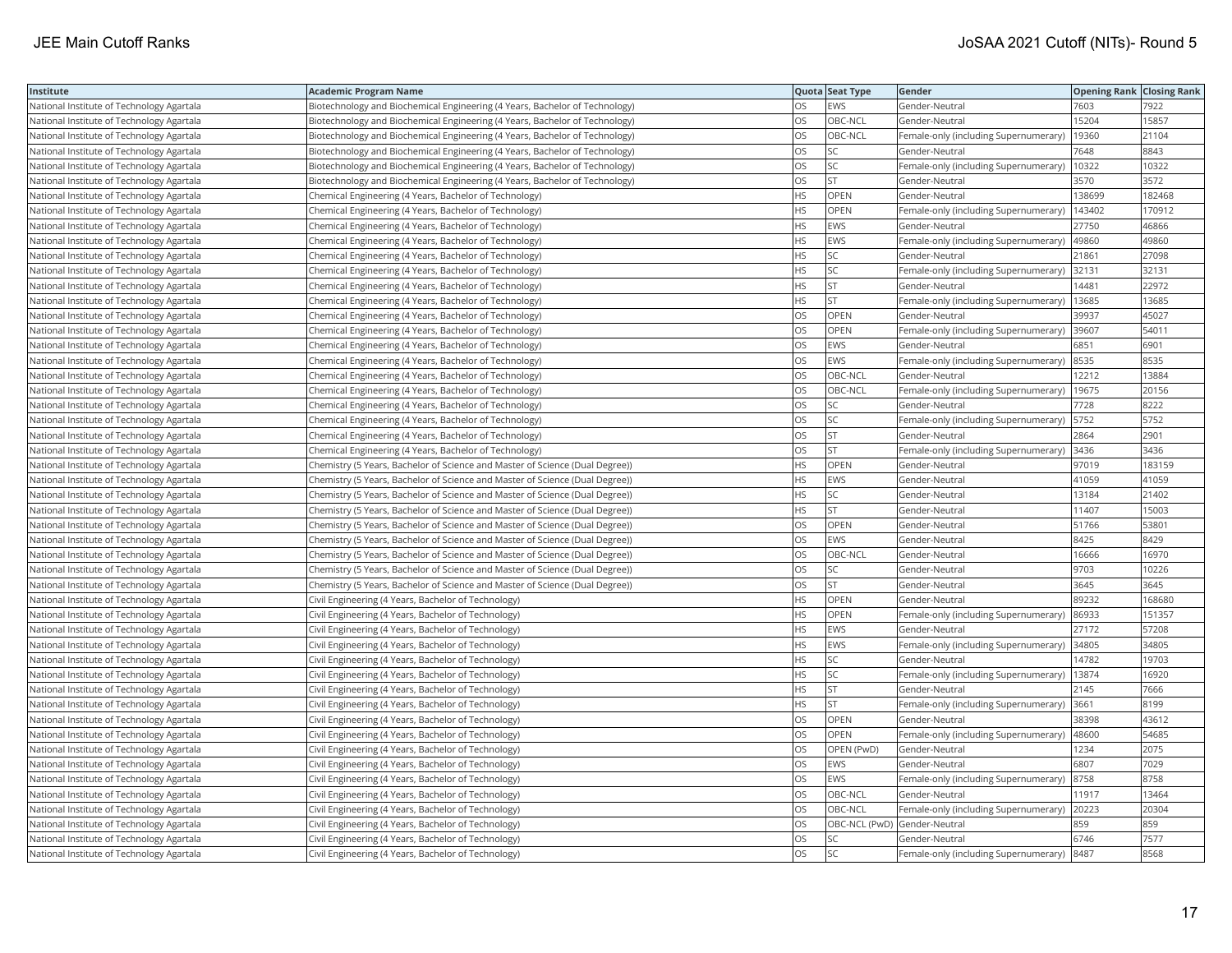| Institute                                 | <b>Academic Program Name</b>                                                 |           | Quota Seat Type              | Gender                                        | <b>Opening Rank   Closing Rank</b> |        |
|-------------------------------------------|------------------------------------------------------------------------------|-----------|------------------------------|-----------------------------------------------|------------------------------------|--------|
| National Institute of Technology Agartala | Biotechnology and Biochemical Engineering (4 Years, Bachelor of Technology)  | OS.       | EWS                          | Gender-Neutral                                | 7603                               | 7922   |
| National Institute of Technology Agartala | Biotechnology and Biochemical Engineering (4 Years, Bachelor of Technology)  | <b>OS</b> | OBC-NCL                      | Gender-Neutral                                | 15204                              | 15857  |
| National Institute of Technology Agartala | Biotechnology and Biochemical Engineering (4 Years, Bachelor of Technology)  | OS        | OBC-NCL                      | Female-only (including Supernumerary)         | 19360                              | 21104  |
| National Institute of Technology Agartala | Biotechnology and Biochemical Engineering (4 Years, Bachelor of Technology)  | OS        | SC.                          | Gender-Neutral                                | 7648                               | 8843   |
| National Institute of Technology Agartala | Biotechnology and Biochemical Engineering (4 Years, Bachelor of Technology)  | OS        | SC.                          | Female-only (including Supernumerary)         | 10322                              | 10322  |
| National Institute of Technology Agartala | Biotechnology and Biochemical Engineering (4 Years, Bachelor of Technology)  | <b>OS</b> | lst                          | Gender-Neutral                                | 3570                               | 3572   |
| National Institute of Technology Agartala | Chemical Engineering (4 Years, Bachelor of Technology)                       | <b>HS</b> | OPEN                         | Gender-Neutral                                | 138699                             | 182468 |
| National Institute of Technology Agartala | Chemical Engineering (4 Years, Bachelor of Technology)                       | <b>HS</b> | OPEN                         | Female-only (including Supernumerary)         | 143402                             | 170912 |
| National Institute of Technology Agartala | Chemical Engineering (4 Years, Bachelor of Technology)                       | <b>HS</b> | <b>EWS</b>                   | Gender-Neutral                                | 27750                              | 46866  |
| National Institute of Technology Agartala | Chemical Engineering (4 Years, Bachelor of Technology)                       | <b>HS</b> | EWS                          | Female-only (including Supernumerary)         | 49860                              | 49860  |
| National Institute of Technology Agartala | Chemical Engineering (4 Years, Bachelor of Technology)                       | <b>HS</b> | SC                           | Gender-Neutral                                | 21861                              | 27098  |
| National Institute of Technology Agartala | Chemical Engineering (4 Years, Bachelor of Technology)                       | <b>HS</b> | SC.                          | Female-only (including Supernumerary)         | 32131                              | 32131  |
| National Institute of Technology Agartala | Chemical Engineering (4 Years, Bachelor of Technology)                       | <b>HS</b> | ST.                          | Gender-Neutral                                | 14481                              | 22972  |
| National Institute of Technology Agartala | Chemical Engineering (4 Years, Bachelor of Technology)                       | <b>HS</b> | İst                          | Female-only (including Supernumerary)         | 13685                              | 13685  |
| National Institute of Technology Agartala | Chemical Engineering (4 Years, Bachelor of Technology)                       | OS        | OPEN                         | Gender-Neutral                                | 39937                              | 45027  |
| National Institute of Technology Agartala | Chemical Engineering (4 Years, Bachelor of Technology)                       | OS        | OPEN                         | Female-only (including Supernumerary)         | 39607                              | 54011  |
| National Institute of Technology Agartala | Chemical Engineering (4 Years, Bachelor of Technology)                       | OS        | EWS                          | Gender-Neutral                                | 6851                               | 6901   |
| National Institute of Technology Agartala | Chemical Engineering (4 Years, Bachelor of Technology)                       | <b>OS</b> | EWS                          | Female-only (including Supernumerary)         | 8535                               | 8535   |
| National Institute of Technology Agartala | Chemical Engineering (4 Years, Bachelor of Technology)                       | OS        | OBC-NCL                      | Gender-Neutral                                | 12212                              | 13884  |
| National Institute of Technology Agartala | Chemical Engineering (4 Years, Bachelor of Technology)                       | <b>OS</b> | OBC-NCL                      | Female-only (including Supernumerary)   19675 |                                    | 20156  |
| National Institute of Technology Agartala | Chemical Engineering (4 Years, Bachelor of Technology)                       | OS        | SC                           | Gender-Neutral                                | 7728                               | 8222   |
| National Institute of Technology Agartala | Chemical Engineering (4 Years, Bachelor of Technology)                       | <b>OS</b> | lsc                          | Female-only (including Supernumerary)   5752  |                                    | 5752   |
| National Institute of Technology Agartala | Chemical Engineering (4 Years, Bachelor of Technology)                       | OS        | <b>ST</b>                    | Gender-Neutral                                | 2864                               | 2901   |
| National Institute of Technology Agartala | Chemical Engineering (4 Years, Bachelor of Technology)                       | OS        | lst                          | Female-only (including Supernumerary)   3436  |                                    | 3436   |
| National Institute of Technology Agartala | Chemistry (5 Years, Bachelor of Science and Master of Science (Dual Degree)) | <b>HS</b> | OPEN                         | Gender-Neutral                                | 97019                              | 183159 |
| National Institute of Technology Agartala | Chemistry (5 Years, Bachelor of Science and Master of Science (Dual Degree)) | <b>HS</b> | EWS                          | Gender-Neutral                                | 41059                              | 41059  |
| National Institute of Technology Agartala | Chemistry (5 Years, Bachelor of Science and Master of Science (Dual Degree)) | <b>HS</b> | lsc                          | Gender-Neutral                                | 13184                              | 21402  |
| National Institute of Technology Agartala | Chemistry (5 Years, Bachelor of Science and Master of Science (Dual Degree)) | <b>HS</b> | <b>ST</b>                    | Gender-Neutral                                | 11407                              | 15003  |
| National Institute of Technology Agartala | Chemistry (5 Years, Bachelor of Science and Master of Science (Dual Degree)) | OS        | <b>OPEN</b>                  | Gender-Neutral                                | 51766                              | 53801  |
| National Institute of Technology Agartala | Chemistry (5 Years, Bachelor of Science and Master of Science (Dual Degree)) | OS        | <b>EWS</b>                   | Gender-Neutral                                | 8425                               | 8429   |
| National Institute of Technology Agartala | Chemistry (5 Years, Bachelor of Science and Master of Science (Dual Degree)) | OS        | OBC-NCL                      | Gender-Neutral                                | 16666                              | 16970  |
| National Institute of Technology Agartala | Chemistry (5 Years, Bachelor of Science and Master of Science (Dual Degree)) | OS        | SC                           | Gender-Neutral                                | 9703                               | 10226  |
| National Institute of Technology Agartala | Chemistry (5 Years, Bachelor of Science and Master of Science (Dual Degree)) | <b>OS</b> | ST                           | Gender-Neutral                                | 3645                               | 3645   |
| National Institute of Technology Agartala | Civil Engineering (4 Years, Bachelor of Technology)                          | <b>HS</b> | OPEN                         | Gender-Neutral                                | 89232                              | 168680 |
| National Institute of Technology Agartala | Civil Engineering (4 Years, Bachelor of Technology)                          | <b>HS</b> | <b>OPEN</b>                  | Female-only (including Supernumerary)         | 86933                              | 151357 |
| National Institute of Technology Agartala | Civil Engineering (4 Years, Bachelor of Technology)                          | <b>HS</b> | <b>EWS</b>                   | Gender-Neutral                                | 27172                              | 57208  |
| National Institute of Technology Agartala | Civil Engineering (4 Years, Bachelor of Technology)                          | <b>HS</b> | EWS                          | Female-only (including Supernumerary)         | 34805                              | 34805  |
| National Institute of Technology Agartala | Civil Engineering (4 Years, Bachelor of Technology)                          | <b>HS</b> | SC.                          | Gender-Neutral                                | 14782                              | 19703  |
| National Institute of Technology Agartala | Civil Engineering (4 Years, Bachelor of Technology)                          | HS.       | SC                           | Female-only (including Supernumerary)         | 13874                              | 16920  |
| National Institute of Technology Agartala | Civil Engineering (4 Years, Bachelor of Technology)                          | <b>HS</b> | İst                          | Gender-Neutral                                | 2145                               | 7666   |
| National Institute of Technology Agartala | Civil Engineering (4 Years, Bachelor of Technology)                          | <b>HS</b> | <b>ST</b>                    | Female-only (including Supernumerary)         | 3661                               | 8199   |
| National Institute of Technology Agartala | Civil Engineering (4 Years, Bachelor of Technology)                          | OS        | OPEN                         | Gender-Neutral                                | 38398                              | 43612  |
| National Institute of Technology Agartala | Civil Engineering (4 Years, Bachelor of Technology)                          | <b>OS</b> | OPEN                         | Female-only (including Supernumerary)         | 48600                              | 54685  |
| National Institute of Technology Agartala | Civil Engineering (4 Years, Bachelor of Technology)                          | OS        | OPEN (PwD)                   | Gender-Neutral                                | 1234                               | 2075   |
| National Institute of Technology Agartala | Civil Engineering (4 Years, Bachelor of Technology)                          | OS        | <b>EWS</b>                   | Gender-Neutral                                | 6807                               | 7029   |
| National Institute of Technology Agartala | Civil Engineering (4 Years, Bachelor of Technology)                          | OS        | EWS                          | Female-only (including Supernumerary)         | 8758                               | 8758   |
| National Institute of Technology Agartala | Civil Engineering (4 Years, Bachelor of Technology)                          | <b>OS</b> | OBC-NCL                      | Gender-Neutral                                | 11917                              | 13464  |
| National Institute of Technology Agartala | Civil Engineering (4 Years, Bachelor of Technology)                          | OS        | OBC-NCL                      | Female-only (including Supernumerary)         | 20223                              | 20304  |
| National Institute of Technology Agartala | Civil Engineering (4 Years, Bachelor of Technology)                          | OS        | OBC-NCL (PwD) Gender-Neutral |                                               | 859                                | 859    |
| National Institute of Technology Agartala | Civil Engineering (4 Years, Bachelor of Technology)                          | OS        | lsc                          | Gender-Neutral                                | 6746                               | 7577   |
| National Institute of Technology Agartala | Civil Engineering (4 Years, Bachelor of Technology)                          | <b>OS</b> | lsc                          | Female-only (including Supernumerary) 8487    |                                    | 8568   |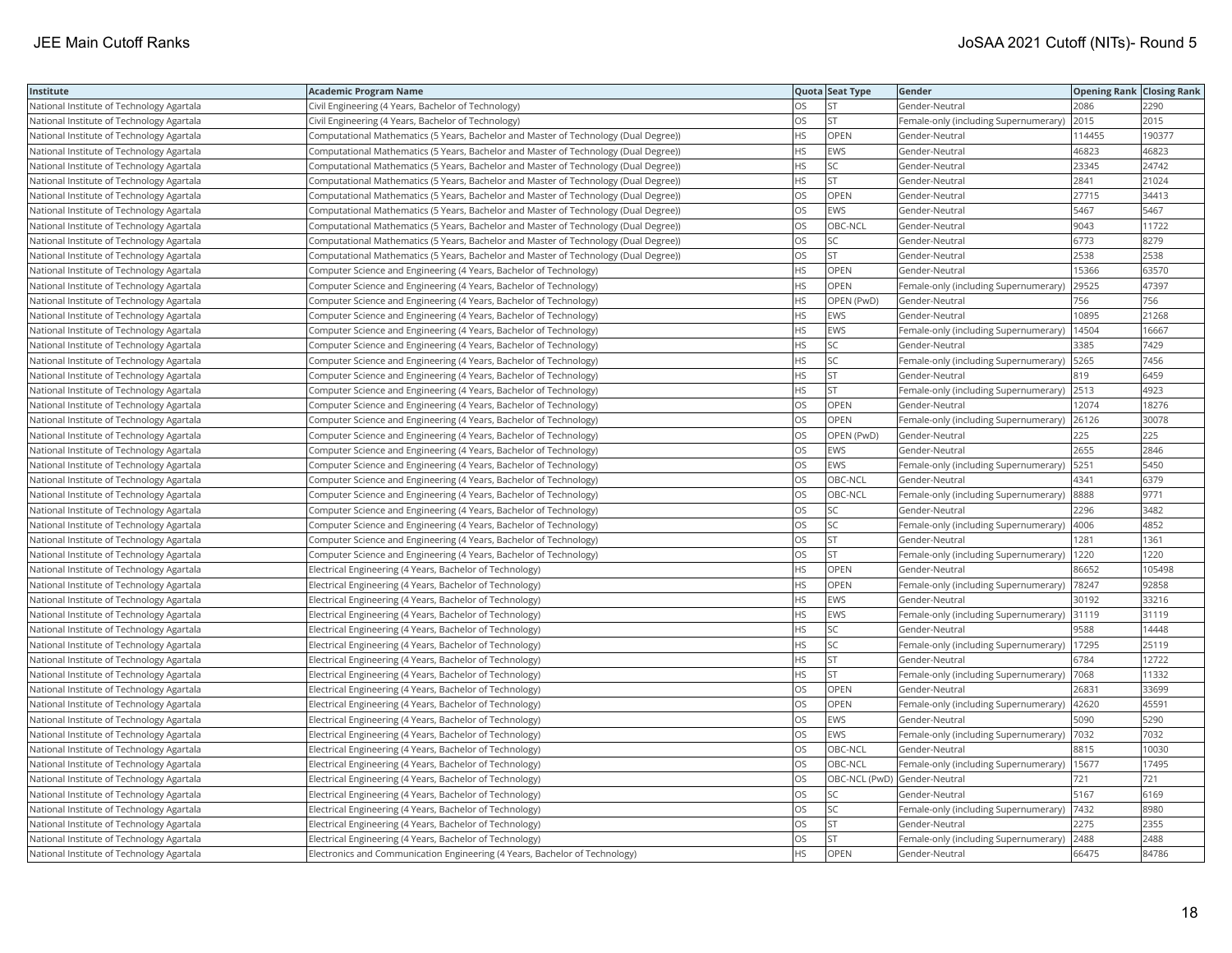| Institute                                 | <b>Academic Program Name</b>                                                         |           | Quota Seat Type              | Gender                                       | <b>Opening Rank   Closing Rank</b> |        |
|-------------------------------------------|--------------------------------------------------------------------------------------|-----------|------------------------------|----------------------------------------------|------------------------------------|--------|
| National Institute of Technology Agartala | Civil Engineering (4 Years, Bachelor of Technology)                                  | <b>OS</b> | ST <sup></sup>               | Gender-Neutral                               | 2086                               | 2290   |
| National Institute of Technology Agartala | Civil Engineering (4 Years, Bachelor of Technology)                                  | OS        | <b>ST</b>                    | Female-only (including Supernumerary)        | 2015                               | 2015   |
| National Institute of Technology Agartala | Computational Mathematics (5 Years, Bachelor and Master of Technology (Dual Degree)) | <b>HS</b> | OPEN                         | Gender-Neutral                               | 114455                             | 190377 |
| National Institute of Technology Agartala | Computational Mathematics (5 Years, Bachelor and Master of Technology (Dual Degree)) | <b>HS</b> | <b>EWS</b>                   | Gender-Neutral                               | 46823                              | 46823  |
| National Institute of Technology Agartala | Computational Mathematics (5 Years, Bachelor and Master of Technology (Dual Degree)) | <b>HS</b> | SC.                          | Gender-Neutral                               | 23345                              | 24742  |
| National Institute of Technology Agartala | Computational Mathematics (5 Years, Bachelor and Master of Technology (Dual Degree)) | <b>HS</b> | <b>ST</b>                    | Gender-Neutral                               | 2841                               | 21024  |
| National Institute of Technology Agartala | Computational Mathematics (5 Years, Bachelor and Master of Technology (Dual Degree)) | OS.       | <b>OPEN</b>                  | Gender-Neutral                               | 27715                              | 34413  |
| National Institute of Technology Agartala | Computational Mathematics (5 Years, Bachelor and Master of Technology (Dual Degree)) | OS        | EWS                          | Gender-Neutral                               | 5467                               | 5467   |
| National Institute of Technology Agartala | Computational Mathematics (5 Years, Bachelor and Master of Technology (Dual Degree)) | OS        | OBC-NCL                      | Gender-Neutral                               | 9043                               | 11722  |
| National Institute of Technology Agartala | Computational Mathematics (5 Years, Bachelor and Master of Technology (Dual Degree)) | <b>OS</b> | SC                           | Gender-Neutral                               | 6773                               | 8279   |
| National Institute of Technology Agartala | Computational Mathematics (5 Years, Bachelor and Master of Technology (Dual Degree)) | OS        | <b>ST</b>                    | Gender-Neutral                               | 2538                               | 2538   |
| National Institute of Technology Agartala | Computer Science and Engineering (4 Years, Bachelor of Technology)                   | <b>HS</b> | OPEN                         | Gender-Neutral                               | 15366                              | 63570  |
| National Institute of Technology Agartala | Computer Science and Engineering (4 Years, Bachelor of Technology)                   | <b>HS</b> | OPEN                         | Female-only (including Supernumerary)        | 29525                              | 47397  |
| National Institute of Technology Agartala | Computer Science and Engineering (4 Years, Bachelor of Technology)                   | <b>HS</b> | OPEN (PwD)                   | Gender-Neutral                               | 756                                | 756    |
| National Institute of Technology Agartala | Computer Science and Engineering (4 Years, Bachelor of Technology)                   | <b>HS</b> | <b>EWS</b>                   | Gender-Neutral                               | 10895                              | 21268  |
| National Institute of Technology Agartala | Computer Science and Engineering (4 Years, Bachelor of Technology)                   | HS.       | <b>EWS</b>                   | Female-only (including Supernumerary)        | 14504                              | 16667  |
| National Institute of Technology Agartala | Computer Science and Engineering (4 Years, Bachelor of Technology)                   | <b>HS</b> | SC                           | Gender-Neutral                               | 3385                               | 7429   |
| National Institute of Technology Agartala | Computer Science and Engineering (4 Years, Bachelor of Technology)                   | <b>HS</b> | SC.                          | Female-only (including Supernumerary)        | 5265                               | 7456   |
| National Institute of Technology Agartala | Computer Science and Engineering (4 Years, Bachelor of Technology)                   | <b>HS</b> | İst                          | Gender-Neutral                               | 819                                | 6459   |
| National Institute of Technology Agartala | Computer Science and Engineering (4 Years, Bachelor of Technology)                   | <b>HS</b> | lst                          | Female-only (including Supernumerary)        | 2513                               | 4923   |
| National Institute of Technology Agartala | Computer Science and Engineering (4 Years, Bachelor of Technology)                   | OS        | <b>OPEN</b>                  | Gender-Neutral                               | 12074                              | 18276  |
| National Institute of Technology Agartala | Computer Science and Engineering (4 Years, Bachelor of Technology)                   | OS        | OPEN                         | Female-only (including Supernumerary)        | 26126                              | 30078  |
| National Institute of Technology Agartala | Computer Science and Engineering (4 Years, Bachelor of Technology)                   | OS        | OPEN (PwD)                   | Gender-Neutral                               | 225                                | 225    |
| National Institute of Technology Agartala | Computer Science and Engineering (4 Years, Bachelor of Technology)                   | OS        | <b>EWS</b>                   | Gender-Neutral                               | 2655                               | 2846   |
| National Institute of Technology Agartala | Computer Science and Engineering (4 Years, Bachelor of Technology)                   | OS        | EWS                          | Female-only (including Supernumerary)        | 5251                               | 5450   |
| National Institute of Technology Agartala | Computer Science and Engineering (4 Years, Bachelor of Technology)                   | OS        | OBC-NCL                      | Gender-Neutral                               | 4341                               | 6379   |
| National Institute of Technology Agartala | Computer Science and Engineering (4 Years, Bachelor of Technology)                   | <b>OS</b> | <b>OBC-NCL</b>               | Female-only (including Supernumerary)        | 8888                               | 9771   |
| National Institute of Technology Agartala | Computer Science and Engineering (4 Years, Bachelor of Technology)                   | <b>OS</b> | SC.                          | Gender-Neutral                               | 2296                               | 3482   |
| National Institute of Technology Agartala | Computer Science and Engineering (4 Years, Bachelor of Technology)                   | <b>OS</b> | SC.                          | Female-only (including Supernumerary)        | 4006                               | 4852   |
| National Institute of Technology Agartala | Computer Science and Engineering (4 Years, Bachelor of Technology)                   | OS        | <b>ST</b>                    | Gender-Neutral                               | 1281                               | 1361   |
| National Institute of Technology Agartala | Computer Science and Engineering (4 Years, Bachelor of Technology)                   | OS        | lst                          | Female-only (including Supernumerary)   1220 |                                    | 1220   |
| National Institute of Technology Agartala | Electrical Engineering (4 Years, Bachelor of Technology)                             | <b>HS</b> | OPEN                         | Gender-Neutral                               | 86652                              | 105498 |
| National Institute of Technology Agartala | Electrical Engineering (4 Years, Bachelor of Technology)                             | <b>HS</b> | OPEN                         | Female-only (including Supernumerary)        | 78247                              | 92858  |
| National Institute of Technology Agartala | Electrical Engineering (4 Years, Bachelor of Technology)                             | <b>HS</b> | EWS                          | Gender-Neutral                               | 30192                              | 33216  |
| National Institute of Technology Agartala | Electrical Engineering (4 Years, Bachelor of Technology)                             | <b>HS</b> | <b>EWS</b>                   | Female-only (including Supernumerary)        | 31119                              | 31119  |
| National Institute of Technology Agartala | Electrical Engineering (4 Years, Bachelor of Technology)                             | <b>HS</b> | <b>SC</b>                    | Gender-Neutral                               | 9588                               | 14448  |
| National Institute of Technology Agartala | Electrical Engineering (4 Years, Bachelor of Technology)                             | <b>HS</b> | SC                           | Female-only (including Supernumerary)        | 17295                              | 25119  |
| National Institute of Technology Agartala | Electrical Engineering (4 Years, Bachelor of Technology)                             | <b>HS</b> | <b>ST</b>                    | Gender-Neutral                               | 6784                               | 12722  |
| National Institute of Technology Agartala | Electrical Engineering (4 Years, Bachelor of Technology)                             | HS        | ST.                          | Female-only (including Supernumerary)        | 7068                               | 11332  |
| National Institute of Technology Agartala | Electrical Engineering (4 Years, Bachelor of Technology)                             | <b>OS</b> | <b>OPEN</b>                  | Gender-Neutral                               | 26831                              | 33699  |
| National Institute of Technology Agartala | Electrical Engineering (4 Years, Bachelor of Technology)                             | OS        | OPEN                         | Female-only (including Supernumerary)        | 42620                              | 45591  |
| National Institute of Technology Agartala | Electrical Engineering (4 Years, Bachelor of Technology)                             | <b>OS</b> | EWS                          | Gender-Neutral                               | 5090                               | 5290   |
| National Institute of Technology Agartala | Electrical Engineering (4 Years, Bachelor of Technology)                             | <b>OS</b> | <b>EWS</b>                   | Female-only (including Supernumerary)        | 7032                               | 7032   |
| National Institute of Technology Agartala | Electrical Engineering (4 Years, Bachelor of Technology)                             | OS        | OBC-NCL                      | Gender-Neutral                               | 8815                               | 10030  |
| National Institute of Technology Agartala | Electrical Engineering (4 Years, Bachelor of Technology)                             | <b>OS</b> | OBC-NCL                      | Female-only (including Supernumerary)        | 15677                              | 17495  |
| National Institute of Technology Agartala | Electrical Engineering (4 Years, Bachelor of Technology)                             | OS        | OBC-NCL (PwD) Gender-Neutral |                                              | 721                                | 721    |
| National Institute of Technology Agartala | Electrical Engineering (4 Years, Bachelor of Technology)                             | OS        | SC                           | Gender-Neutral                               | 5167                               | 6169   |
| National Institute of Technology Agartala | Electrical Engineering (4 Years, Bachelor of Technology)                             | OS        | SC.                          | Female-only (including Supernumerary)        | 7432                               | 8980   |
| National Institute of Technology Agartala | Electrical Engineering (4 Years, Bachelor of Technology)                             | OS        | <b>ST</b>                    | Gender-Neutral                               | 2275                               | 2355   |
| National Institute of Technology Agartala | Electrical Engineering (4 Years, Bachelor of Technology)                             | OS        | <b>ST</b>                    | Female-only (including Supernumerary)        | 2488                               | 2488   |
| National Institute of Technology Agartala | Electronics and Communication Engineering (4 Years, Bachelor of Technology)          | <b>HS</b> | OPEN                         | Gender-Neutral                               | 66475                              | 84786  |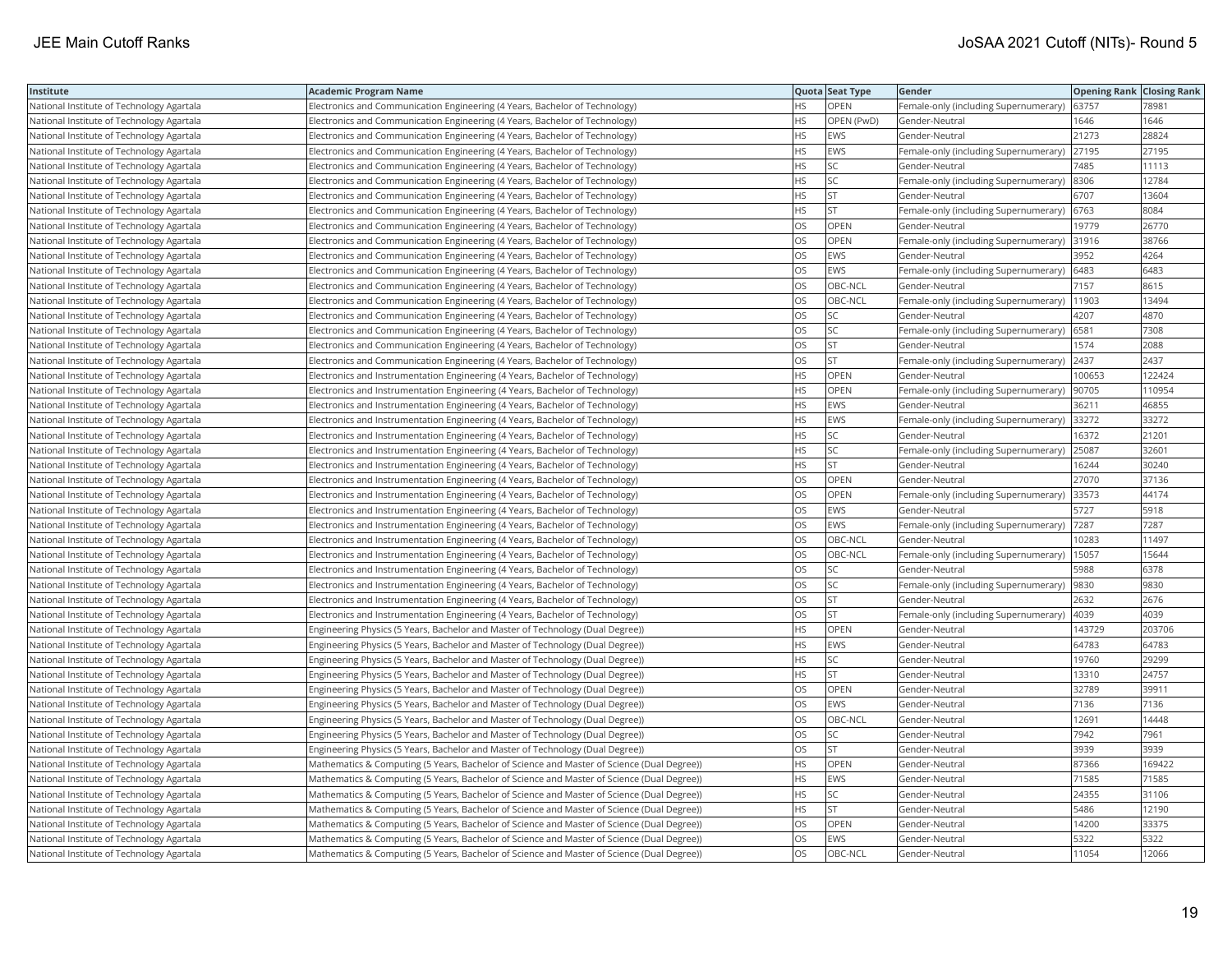| Institute                                 | <b>Academic Program Name</b>                                                                |           | Quota Seat Type | Gender                                      | <b>Opening Rank   Closing Rank</b> |        |
|-------------------------------------------|---------------------------------------------------------------------------------------------|-----------|-----------------|---------------------------------------------|------------------------------------|--------|
| National Institute of Technology Agartala | Electronics and Communication Engineering (4 Years, Bachelor of Technology)                 | HS.       | OPEN            | Female-only (including Supernumerary)       | 63757                              | 78981  |
| National Institute of Technology Agartala | Electronics and Communication Engineering (4 Years, Bachelor of Technology)                 | HS.       | OPEN (PwD)      | Gender-Neutral                              | 1646                               | 1646   |
| National Institute of Technology Agartala | Electronics and Communication Engineering (4 Years, Bachelor of Technology)                 | HS        | EWS             | Gender-Neutral                              | 21273                              | 28824  |
| National Institute of Technology Agartala | Electronics and Communication Engineering (4 Years, Bachelor of Technology)                 | HS.       | EWS             | Female-only (including Supernumerary) 27195 |                                    | 27195  |
| National Institute of Technology Agartala | Electronics and Communication Engineering (4 Years, Bachelor of Technology)                 | HS        | SC              | Gender-Neutral                              | 7485                               | 11113  |
| National Institute of Technology Agartala | Electronics and Communication Engineering (4 Years, Bachelor of Technology)                 | HS.       | <b>SC</b>       | Female-only (including Supernumerary)  8306 |                                    | 12784  |
| National Institute of Technology Agartala | Electronics and Communication Engineering (4 Years, Bachelor of Technology)                 | ΗS        | <b>ST</b>       | Gender-Neutral                              | 6707                               | 13604  |
| National Institute of Technology Agartala | Electronics and Communication Engineering (4 Years, Bachelor of Technology)                 | <b>HS</b> | ST              | Female-only (including Supernumerary)       | 6763                               | 8084   |
| National Institute of Technology Agartala | Electronics and Communication Engineering (4 Years, Bachelor of Technology)                 | OS.       | OPEN            | Gender-Neutral                              | 19779                              | 26770  |
| National Institute of Technology Agartala | Electronics and Communication Engineering (4 Years, Bachelor of Technology)                 | OS        | OPEN            | Female-only (including Supernumerary)       | 31916                              | 38766  |
| National Institute of Technology Agartala | Electronics and Communication Engineering (4 Years, Bachelor of Technology)                 | OS        | <b>EWS</b>      | Gender-Neutral                              | 3952                               | 4264   |
| National Institute of Technology Agartala | Electronics and Communication Engineering (4 Years, Bachelor of Technology)                 | OS        | <b>EWS</b>      | Female-only (including Supernumerary) 6483  |                                    | 6483   |
| National Institute of Technology Agartala | Electronics and Communication Engineering (4 Years, Bachelor of Technology)                 | OS        | OBC-NCL         | Gender-Neutral                              | 7157                               | 8615   |
| National Institute of Technology Agartala | Electronics and Communication Engineering (4 Years, Bachelor of Technology)                 | OS        | OBC-NCL         | Female-only (including Supernumerary)       | 11903                              | 13494  |
| National Institute of Technology Agartala | Electronics and Communication Engineering (4 Years, Bachelor of Technology)                 | OS        | SC              | Gender-Neutral                              | 4207                               | 4870   |
| National Institute of Technology Agartala | Electronics and Communication Engineering (4 Years, Bachelor of Technology)                 | OS        | SC              | Female-only (including Supernumerary)       | 6581                               | 7308   |
| National Institute of Technology Agartala | Electronics and Communication Engineering (4 Years, Bachelor of Technology)                 | OS        | <b>ST</b>       | Gender-Neutral                              | 1574                               | 2088   |
| National Institute of Technology Agartala | Electronics and Communication Engineering (4 Years, Bachelor of Technology)                 | OS.       | <b>ST</b>       | Female-only (including Supernumerary)       | 2437                               | 2437   |
| National Institute of Technology Agartala | Electronics and Instrumentation Engineering (4 Years, Bachelor of Technology)               | HS        | <b>OPEN</b>     | Gender-Neutral                              | 100653                             | 122424 |
| National Institute of Technology Agartala | Electronics and Instrumentation Engineering (4 Years, Bachelor of Technology)               | HS.       | OPEN            | Female-only (including Supernumerary)       | 90705                              | 110954 |
| National Institute of Technology Agartala | Electronics and Instrumentation Engineering (4 Years, Bachelor of Technology)               | HS.       | <b>EWS</b>      | Gender-Neutral                              | 36211                              | 46855  |
| National Institute of Technology Agartala | Electronics and Instrumentation Engineering (4 Years, Bachelor of Technology)               | HS        | EWS             | Female-only (including Supernumerary)       | 33272                              | 33272  |
| National Institute of Technology Agartala | Electronics and Instrumentation Engineering (4 Years, Bachelor of Technology)               | HS.       | <b>SC</b>       | Gender-Neutral                              | 16372                              | 21201  |
| National Institute of Technology Agartala | Electronics and Instrumentation Engineering (4 Years, Bachelor of Technology)               | HS        | SC              | Female-only (including Supernumerary)       | 25087                              | 32601  |
| National Institute of Technology Agartala | Electronics and Instrumentation Engineering (4 Years, Bachelor of Technology)               | HS.       | ST.             | Gender-Neutral                              | 16244                              | 30240  |
| National Institute of Technology Agartala | Electronics and Instrumentation Engineering (4 Years, Bachelor of Technology)               | OS.       | OPEN            | Gender-Neutral                              | 27070                              | 37136  |
| National Institute of Technology Agartala | Electronics and Instrumentation Engineering (4 Years, Bachelor of Technology)               | OS.       | OPEN            | Female-only (including Supernumerary)       | 33573                              | 44174  |
| National Institute of Technology Agartala | Electronics and Instrumentation Engineering (4 Years, Bachelor of Technology)               | OS        | <b>EWS</b>      | Gender-Neutral                              | 5727                               | 5918   |
| National Institute of Technology Agartala | Electronics and Instrumentation Engineering (4 Years, Bachelor of Technology)               | OS        | EWS             | Female-only (including Supernumerary)  7287 |                                    | 7287   |
| National Institute of Technology Agartala | Electronics and Instrumentation Engineering (4 Years, Bachelor of Technology)               | OS.       | OBC-NCL         | Gender-Neutral                              | 0283                               | 11497  |
| National Institute of Technology Agartala | Electronics and Instrumentation Engineering (4 Years, Bachelor of Technology)               | OS.       | OBC-NCL         | Female-only (including Supernumerary)       | 15057                              | 15644  |
| National Institute of Technology Agartala | Electronics and Instrumentation Engineering (4 Years, Bachelor of Technology)               | OS        | SC              | Gender-Neutral                              | 5988                               | 6378   |
| National Institute of Technology Agartala | Electronics and Instrumentation Engineering (4 Years, Bachelor of Technology)               | OS        | SC              | Female-only (including Supernumerary)       | 9830                               | 9830   |
| National Institute of Technology Agartala | Electronics and Instrumentation Engineering (4 Years, Bachelor of Technology)               | OS        | <b>ST</b>       | Gender-Neutral                              | 2632                               | 2676   |
| National Institute of Technology Agartala | Electronics and Instrumentation Engineering (4 Years, Bachelor of Technology)               | OS        | <b>ST</b>       | Female-only (including Supernumerary)       | 4039                               | 4039   |
| National Institute of Technology Agartala | (Engineering Physics (5 Years, Bachelor and Master of Technology (Dual Degree))             | HS        | <b>OPEN</b>     | Gender-Neutral                              | 143729                             | 203706 |
| National Institute of Technology Agartala | Engineering Physics (5 Years, Bachelor and Master of Technology (Dual Degree))              | HS        | <b>EWS</b>      | Gender-Neutral                              | 64783                              | 64783  |
| National Institute of Technology Agartala | Engineering Physics (5 Years, Bachelor and Master of Technology (Dual Degree))              | HS        | SC              | Gender-Neutral                              | 19760                              | 29299  |
| National Institute of Technology Agartala | (Engineering Physics (5 Years, Bachelor and Master of Technology (Dual Degree))             | HS        | <b>ST</b>       | Gender-Neutral                              | 13310                              | 24757  |
| National Institute of Technology Agartala | Engineering Physics (5 Years, Bachelor and Master of Technology (Dual Degree))              | OS.       | <b>OPEN</b>     | Gender-Neutral                              | 32789                              | 39911  |
| National Institute of Technology Agartala | (Engineering Physics (5 Years, Bachelor and Master of Technology (Dual Degree))             | OS        | <b>EWS</b>      | Gender-Neutral                              | 7136                               | 7136   |
| National Institute of Technology Agartala | Engineering Physics (5 Years, Bachelor and Master of Technology (Dual Degree))              | OS        | OBC-NCL         | Gender-Neutral                              | 12691                              | 14448  |
| National Institute of Technology Agartala | Engineering Physics (5 Years, Bachelor and Master of Technology (Dual Degree))              | OS.       | <b>SC</b>       | Gender-Neutral                              | 7942                               | 7961   |
| National Institute of Technology Agartala | Engineering Physics (5 Years, Bachelor and Master of Technology (Dual Degree))              | OS        | <b>ST</b>       | Gender-Neutral                              | 3939                               | 3939   |
| National Institute of Technology Agartala | Mathematics & Computing (5 Years, Bachelor of Science and Master of Science (Dual Degree))  | HS.       | OPEN            | Gender-Neutral                              | 87366                              | 169422 |
| National Institute of Technology Agartala | (Mathematics & Computing (5 Years, Bachelor of Science and Master of Science (Dual Degree)) | НS        | <b>EWS</b>      | Gender-Neutral                              | 71585                              | 71585  |
| National Institute of Technology Agartala | Mathematics & Computing (5 Years, Bachelor of Science and Master of Science (Dual Degree))  | HS        | SC              | Gender-Neutral                              | 24355                              | 31106  |
| National Institute of Technology Agartala | (Mathematics & Computing (5 Years, Bachelor of Science and Master of Science (Dual Degree)) | HS.       | <b>ST</b>       | Gender-Neutral                              | 5486                               | 12190  |
| National Institute of Technology Agartala | Mathematics & Computing (5 Years, Bachelor of Science and Master of Science (Dual Degree))  | OS        | OPEN            | Gender-Neutral                              | 14200                              | 33375  |
| National Institute of Technology Agartala | Mathematics & Computing (5 Years, Bachelor of Science and Master of Science (Dual Degree))  | OS.       | <b>EWS</b>      | Gender-Neutral                              | 5322                               | 5322   |
| National Institute of Technology Agartala | Mathematics & Computing (5 Years, Bachelor of Science and Master of Science (Dual Degree))  | <b>OS</b> | OBC-NCL         | Gender-Neutral                              | 11054                              | 12066  |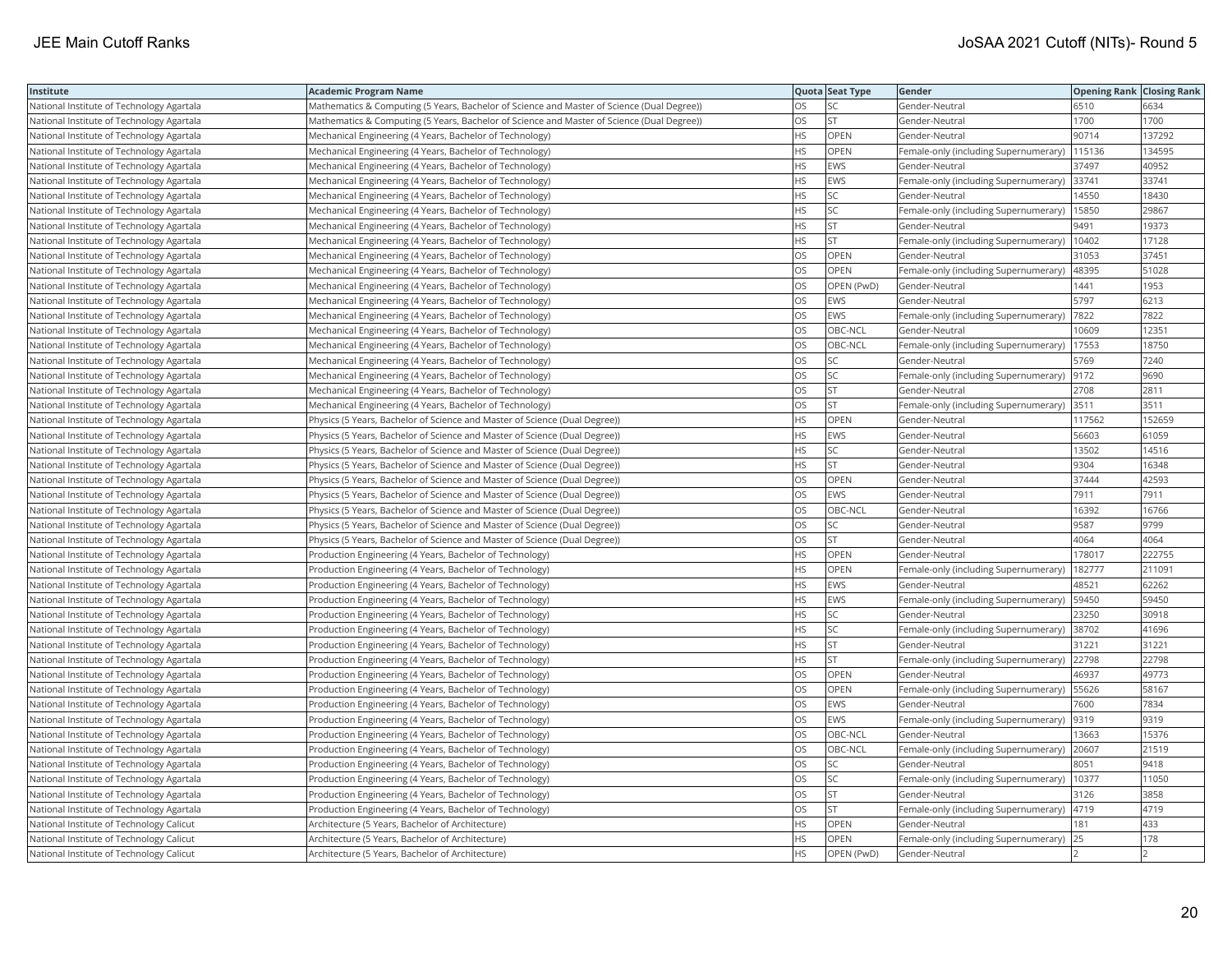| Institute                                 | Academic Program Name                                                                      |           | Quota Seat Type | Gender                                      | <b>Opening Rank Closing Rank</b> |        |
|-------------------------------------------|--------------------------------------------------------------------------------------------|-----------|-----------------|---------------------------------------------|----------------------------------|--------|
| National Institute of Technology Agartala | Mathematics & Computing (5 Years, Bachelor of Science and Master of Science (Dual Degree)) | OS        | SC              | Gender-Neutral                              | 6510                             | 6634   |
| National Institute of Technology Agartala | Mathematics & Computing (5 Years, Bachelor of Science and Master of Science (Dual Degree)) | OS.       | <b>ST</b>       | Gender-Neutral                              | 1700                             | 1700   |
| National Institute of Technology Agartala | Mechanical Engineering (4 Years, Bachelor of Technology)                                   | HS        | OPEN            | Gender-Neutral                              | 90714                            | 137292 |
| National Institute of Technology Agartala | Mechanical Engineering (4 Years, Bachelor of Technology)                                   | HS        | OPEN            | Female-only (including Supernumerary)       | 115136                           | 134595 |
| National Institute of Technology Agartala | Mechanical Engineering (4 Years, Bachelor of Technology)                                   | HS.       | <b>EWS</b>      | Gender-Neutral                              | 37497                            | 40952  |
| National Institute of Technology Agartala | Mechanical Engineering (4 Years, Bachelor of Technology)                                   | HS        | <b>EWS</b>      | Female-only (including Supernumerary) 33741 |                                  | 33741  |
| National Institute of Technology Agartala | Mechanical Engineering (4 Years, Bachelor of Technology)                                   | HS        | SC              | Gender-Neutral                              | 14550                            | 18430  |
| National Institute of Technology Agartala | Mechanical Engineering (4 Years, Bachelor of Technology)                                   | HS.       | <b>SC</b>       | Female-only (including Supernumerary)       | 15850                            | 29867  |
| National Institute of Technology Agartala | Mechanical Engineering (4 Years, Bachelor of Technology)                                   | ΗS        | <b>ST</b>       | Gender-Neutral                              | 9491                             | 19373  |
| National Institute of Technology Agartala | Mechanical Engineering (4 Years, Bachelor of Technology)                                   | HS        | <b>ST</b>       | Female-only (including Supernumerary)       | 10402                            | 17128  |
| National Institute of Technology Agartala | Mechanical Engineering (4 Years, Bachelor of Technology)                                   | OS.       | OPEN            | Gender-Neutral                              | 31053                            | 37451  |
| National Institute of Technology Agartala | Mechanical Engineering (4 Years, Bachelor of Technology)                                   | <b>OS</b> | <b>OPEN</b>     | Female-only (including Supernumerary)       | 48395                            | 51028  |
| National Institute of Technology Agartala | Mechanical Engineering (4 Years, Bachelor of Technology)                                   | OS        | OPEN (PwD)      | Gender-Neutral                              | 1441                             | 1953   |
| National Institute of Technology Agartala | Mechanical Engineering (4 Years, Bachelor of Technology)                                   | OS        | <b>EWS</b>      | Gender-Neutral                              | 5797                             | 6213   |
| National Institute of Technology Agartala | Mechanical Engineering (4 Years, Bachelor of Technology)                                   | OS        | <b>EWS</b>      | Female-only (including Supernumerary)       | 7822                             | 7822   |
| National Institute of Technology Agartala | Mechanical Engineering (4 Years, Bachelor of Technology)                                   | OS        | OBC-NCL         | Gender-Neutral                              | 10609                            | 12351  |
| National Institute of Technology Agartala | Mechanical Engineering (4 Years, Bachelor of Technology)                                   | OS.       | OBC-NCL         | Female-only (including Supernumerary)       | 17553                            | 18750  |
| National Institute of Technology Agartala | Mechanical Engineering (4 Years, Bachelor of Technology)                                   | OS        | SC              | Gender-Neutral                              | 5769                             | 7240   |
| National Institute of Technology Agartala | Mechanical Engineering (4 Years, Bachelor of Technology)                                   | OS        | SC              | Female-only (including Supernumerary)       | 9172                             | 9690   |
| National Institute of Technology Agartala | Mechanical Engineering (4 Years, Bachelor of Technology)                                   | OS.       | lst             | Gender-Neutral                              | 2708                             | 2811   |
| National Institute of Technology Agartala | Mechanical Engineering (4 Years, Bachelor of Technology)                                   | OS        | <b>ST</b>       | Female-only (including Supernumerary) 3511  |                                  | 3511   |
| National Institute of Technology Agartala | Physics (5 Years, Bachelor of Science and Master of Science (Dual Degree))                 | HS.       | OPEN            | Gender-Neutral                              | 117562                           | 152659 |
| National Institute of Technology Agartala | Physics (5 Years, Bachelor of Science and Master of Science (Dual Degree))                 | HS        | <b>EWS</b>      | Gender-Neutral                              | 56603                            | 61059  |
| National Institute of Technology Agartala | (Physics (5 Years, Bachelor of Science and Master of Science (Dual Degree))                | HS.       | <b>SC</b>       | Gender-Neutral                              | 13502                            | 14516  |
| National Institute of Technology Agartala | Physics (5 Years, Bachelor of Science and Master of Science (Dual Degree))                 | HS        | <b>ST</b>       | Gender-Neutral                              | 9304                             | 16348  |
| National Institute of Technology Agartala | (Physics (5 Years, Bachelor of Science and Master of Science (Dual Degree))                | OS        | OPEN            | Gender-Neutral                              | 37444                            | 42593  |
| National Institute of Technology Agartala | Physics (5 Years, Bachelor of Science and Master of Science (Dual Degree))                 | OS        | <b>EWS</b>      | Gender-Neutral                              | 7911                             | 7911   |
| National Institute of Technology Agartala | Physics (5 Years, Bachelor of Science and Master of Science (Dual Degree))                 | OS        | OBC-NCL         | Gender-Neutral                              | 16392                            | 16766  |
| National Institute of Technology Agartala | (Physics (5 Years, Bachelor of Science and Master of Science (Dual Degree))                | OS        | SC              | Gender-Neutral                              | 9587                             | 9799   |
| National Institute of Technology Agartala | (Physics (5 Years, Bachelor of Science and Master of Science (Dual Degree))                | OS        | <b>ST</b>       | Gender-Neutral                              | 4064                             | 4064   |
| National Institute of Technology Agartala | Production Engineering (4 Years, Bachelor of Technology)                                   | HS        | OPEN            | Gender-Neutral                              | 178017                           | 222755 |
| National Institute of Technology Agartala | Production Engineering (4 Years, Bachelor of Technology)                                   | HS.       | <b>OPEN</b>     | Female-only (including Supernumerary)       | 182777                           | 211091 |
| National Institute of Technology Agartala | Production Engineering (4 Years, Bachelor of Technology)                                   | HS        | EWS             | Gender-Neutral                              | 48521                            | 62262  |
| National Institute of Technology Agartala | Production Engineering (4 Years, Bachelor of Technology)                                   | HS.       | EWS             | Female-only (including Supernumerary)       | 59450                            | 59450  |
| National Institute of Technology Agartala | Production Engineering (4 Years, Bachelor of Technology)                                   | HS.       | <b>SC</b>       | Gender-Neutral                              | 23250                            | 30918  |
| National Institute of Technology Agartala | Production Engineering (4 Years, Bachelor of Technology)                                   | HS        | SC              | Female-only (including Supernumerary)       | 38702                            | 41696  |
| National Institute of Technology Agartala | Production Engineering (4 Years, Bachelor of Technology)                                   | HS        | <b>ST</b>       | Gender-Neutral                              | 31221                            | 31221  |
| National Institute of Technology Agartala | Production Engineering (4 Years, Bachelor of Technology)                                   | HS.       | <b>ST</b>       | Female-only (including Supernumerary) 22798 |                                  | 22798  |
| National Institute of Technology Agartala | Production Engineering (4 Years, Bachelor of Technology)                                   | OS        | OPEN            | Gender-Neutral                              | 46937                            | 49773  |
| National Institute of Technology Agartala | Production Engineering (4 Years, Bachelor of Technology)                                   | OS        | OPEN            | Female-only (including Supernumerary)       | 55626                            | 58167  |
| National Institute of Technology Agartala | Production Engineering (4 Years, Bachelor of Technology)                                   | OS        | <b>EWS</b>      | Gender-Neutral                              | 7600                             | 7834   |
| National Institute of Technology Agartala | Production Engineering (4 Years, Bachelor of Technology)                                   | OS        | <b>EWS</b>      | Female-only (including Supernumerary)       | 9319                             | 9319   |
| National Institute of Technology Agartala | Production Engineering (4 Years, Bachelor of Technology)                                   | OS        | OBC-NCL         | Gender-Neutral                              | 13663                            | 15376  |
| National Institute of Technology Agartala | Production Engineering (4 Years, Bachelor of Technology)                                   | OS        | OBC-NCL         | Female-only (including Supernumerary)       | 20607                            | 21519  |
| National Institute of Technology Agartala | Production Engineering (4 Years, Bachelor of Technology)                                   | OS        | SC              | Gender-Neutral                              | 8051                             | 9418   |
| National Institute of Technology Agartala | Production Engineering (4 Years, Bachelor of Technology)                                   | OS        | SC              | Female-only (including Supernumerary)       | 10377                            | 11050  |
| National Institute of Technology Agartala | Production Engineering (4 Years, Bachelor of Technology)                                   | OS.       | <b>ST</b>       | Gender-Neutral                              | 3126                             | 3858   |
| National Institute of Technology Agartala | Production Engineering (4 Years, Bachelor of Technology)                                   | OS        | <b>ST</b>       | Female-only (including Supernumerary)       | 4719                             | 4719   |
| National Institute of Technology Calicut  | Architecture (5 Years, Bachelor of Architecture)                                           | HS        | OPEN            | Gender-Neutral                              | 181                              | 433    |
| National Institute of Technology Calicut  | Architecture (5 Years, Bachelor of Architecture)                                           | HS.       | OPEN            | Female-only (including Supernumerary)       | 25                               | 178    |
| National Institute of Technology Calicut  | Architecture (5 Years, Bachelor of Architecture)                                           | <b>HS</b> | OPEN (PwD)      | Gender-Neutral                              |                                  |        |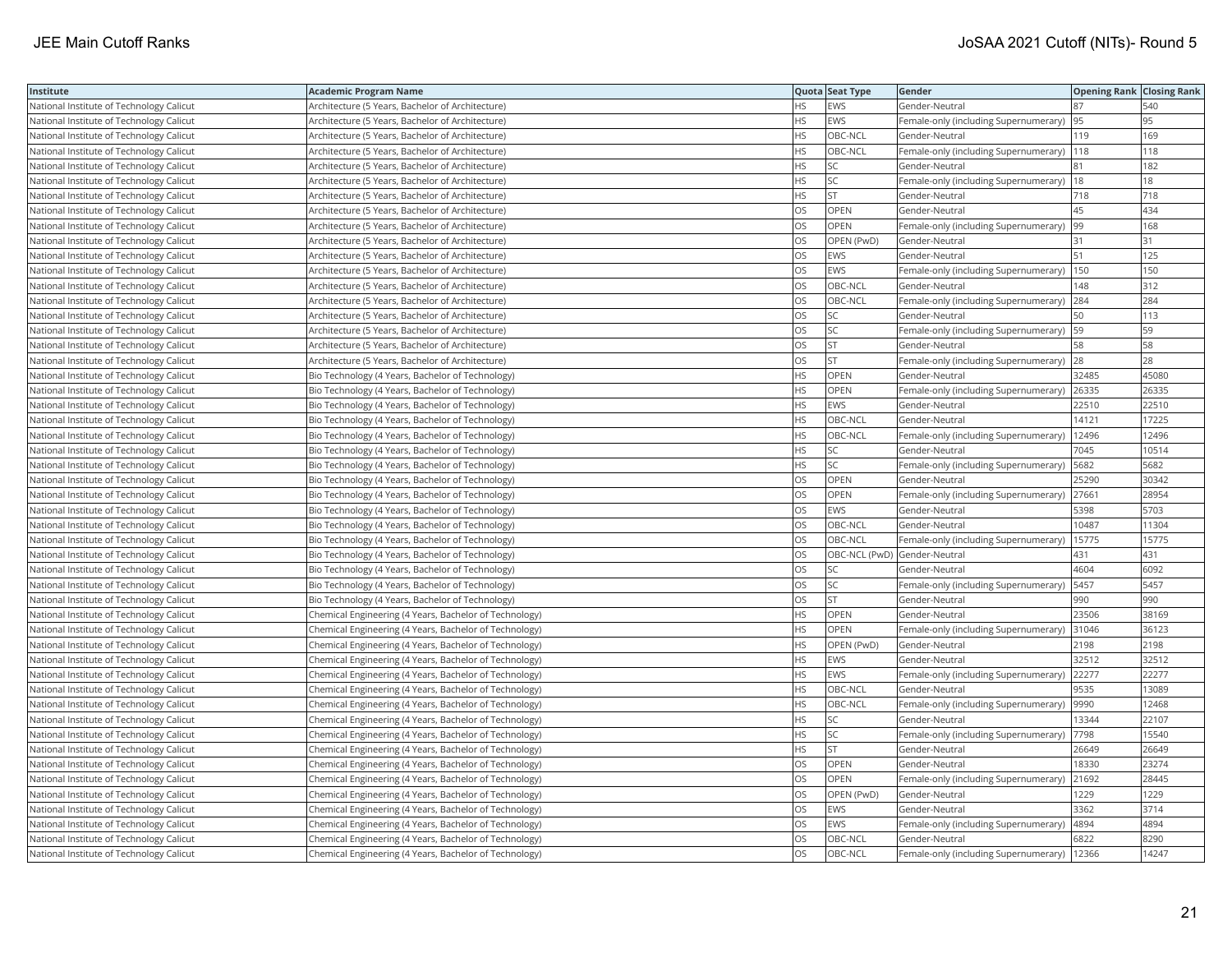| Institute                                | Academic Program Name                                  |           | Quota Seat Type              | Gender                                        | <b>Opening Rank Closing Rank</b> |       |
|------------------------------------------|--------------------------------------------------------|-----------|------------------------------|-----------------------------------------------|----------------------------------|-------|
| National Institute of Technology Calicut | Architecture (5 Years, Bachelor of Architecture)       | HS.       | EWS                          | Gender-Neutral                                | 87                               | 540   |
| National Institute of Technology Calicut | Architecture (5 Years, Bachelor of Architecture)       | HS.       | <b>EWS</b>                   | Female-only (including Supernumerary)         | 95                               | 95    |
| National Institute of Technology Calicut | Architecture (5 Years, Bachelor of Architecture)       | HS.       | OBC-NCL                      | Gender-Neutral                                | 119                              | 169   |
| National Institute of Technology Calicut | Architecture (5 Years, Bachelor of Architecture)       | <b>HS</b> | OBC-NCL                      | Female-only (including Supernumerary)   118   |                                  | 118   |
| National Institute of Technology Calicut | Architecture (5 Years, Bachelor of Architecture)       | HS.       | SC                           | Gender-Neutral                                | 81                               | 182   |
| National Institute of Technology Calicut | Architecture (5 Years, Bachelor of Architecture)       | HS        | SC                           | Female-only (including Supernumerary)  18     |                                  | 18    |
| National Institute of Technology Calicut | Architecture (5 Years, Bachelor of Architecture)       | HS.       | <b>ST</b>                    | Gender-Neutral                                | 718                              | 718   |
| National Institute of Technology Calicut | Architecture (5 Years, Bachelor of Architecture)       | OS        | OPEN                         | Gender-Neutral                                | 45                               | 434   |
| National Institute of Technology Calicut | Architecture (5 Years, Bachelor of Architecture)       | OS        | OPEN                         | Female-only (including Supernumerary)         | 99                               | 168   |
| National Institute of Technology Calicut | Architecture (5 Years, Bachelor of Architecture)       | OS        | OPEN (PwD)                   | Gender-Neutral                                | 31                               | 31    |
| National Institute of Technology Calicut | Architecture (5 Years, Bachelor of Architecture)       | OS.       | <b>EWS</b>                   | Gender-Neutral                                | 51                               | 125   |
| National Institute of Technology Calicut | Architecture (5 Years, Bachelor of Architecture)       | OS        | <b>EWS</b>                   | Female-only (including Supernumerary)  150    |                                  | 150   |
| National Institute of Technology Calicut | Architecture (5 Years, Bachelor of Architecture)       | OS        | OBC-NCL                      | Gender-Neutral                                | 148                              | 312   |
| National Institute of Technology Calicut | Architecture (5 Years, Bachelor of Architecture)       | OS        | OBC-NCL                      | Female-only (including Supernumerary) 284     |                                  | 284   |
| National Institute of Technology Calicut | Architecture (5 Years, Bachelor of Architecture)       | OS        | <b>SC</b>                    | Gender-Neutral                                | 50                               | 113   |
| National Institute of Technology Calicut | Architecture (5 Years, Bachelor of Architecture)       | OS.       | <b>SC</b>                    | Female-only (including Supernumerary)         | 59                               | 59    |
| National Institute of Technology Calicut | Architecture (5 Years, Bachelor of Architecture)       | OS        | <b>ST</b>                    | Gender-Neutral                                | 58                               | 58    |
| National Institute of Technology Calicut | Architecture (5 Years, Bachelor of Architecture)       | OS        | ST                           | Female-only (including Supernumerary)         | 28                               | 28    |
| National Institute of Technology Calicut | Bio Technology (4 Years, Bachelor of Technology)       | <b>HS</b> | <b>OPEN</b>                  | Gender-Neutral                                | 32485                            | 45080 |
| National Institute of Technology Calicut | Bio Technology (4 Years, Bachelor of Technology)       | HS.       | OPEN                         | Female-only (including Supernumerary)         | 26335                            | 26335 |
| National Institute of Technology Calicut | Bio Technology (4 Years, Bachelor of Technology)       | HS.       | <b>EWS</b>                   | Gender-Neutral                                | 22510                            | 22510 |
| National Institute of Technology Calicut | Bio Technology (4 Years, Bachelor of Technology)       | HS        | OBC-NCL                      | Gender-Neutral                                | 14121                            | 17225 |
| National Institute of Technology Calicut | Bio Technology (4 Years, Bachelor of Technology)       | ΗS        | OBC-NCL                      | Female-only (including Supernumerary)         | 12496                            | 12496 |
| National Institute of Technology Calicut | Bio Technology (4 Years, Bachelor of Technology)       | HS.       | <b>SC</b>                    | Gender-Neutral                                | 7045                             | 10514 |
| National Institute of Technology Calicut | Bio Technology (4 Years, Bachelor of Technology)       | HS        | SC                           | Female-only (including Supernumerary)         | 5682                             | 5682  |
| National Institute of Technology Calicut | Bio Technology (4 Years, Bachelor of Technology)       | OS        | OPEN                         | Gender-Neutral                                | 25290                            | 30342 |
| National Institute of Technology Calicut | Bio Technology (4 Years, Bachelor of Technology)       | OS        | OPEN                         | Female-only (including Supernumerary)         | 27661                            | 28954 |
| National Institute of Technology Calicut | Bio Technology (4 Years, Bachelor of Technology)       | OS.       | <b>EWS</b>                   | Gender-Neutral                                | 5398                             | 5703  |
| National Institute of Technology Calicut | Bio Technology (4 Years, Bachelor of Technology)       | OS        | OBC-NCL                      | Gender-Neutral                                | 10487                            | 11304 |
| National Institute of Technology Calicut | Bio Technology (4 Years, Bachelor of Technology)       | OS        | OBC-NCL                      | Female-only (including Supernumerary)         | 15775                            | 15775 |
| National Institute of Technology Calicut | Bio Technology (4 Years, Bachelor of Technology)       | OS        | OBC-NCL (PwD) Gender-Neutral |                                               | 431                              | 431   |
| National Institute of Technology Calicut | Bio Technology (4 Years, Bachelor of Technology)       | OS        | SC                           | Gender-Neutral                                | 4604                             | 6092  |
| National Institute of Technology Calicut | Bio Technology (4 Years, Bachelor of Technology)       | OS.       | SC                           | Female-only (including Supernumerary)         | 5457                             | 5457  |
| National Institute of Technology Calicut | Bio Technology (4 Years, Bachelor of Technology)       | OS        | <b>ST</b>                    | Gender-Neutral                                | 990                              | 990   |
| National Institute of Technology Calicut | Chemical Engineering (4 Years, Bachelor of Technology) | HS.       | OPEN                         | Gender-Neutral                                | 23506                            | 38169 |
| National Institute of Technology Calicut | Chemical Engineering (4 Years, Bachelor of Technology) | <b>HS</b> | <b>OPEN</b>                  | Female-only (including Supernumerary)         | 31046                            | 36123 |
| National Institute of Technology Calicut | Chemical Engineering (4 Years, Bachelor of Technology) | HS.       | OPEN (PwD)                   | Gender-Neutral                                | 2198                             | 2198  |
| National Institute of Technology Calicut | Chemical Engineering (4 Years, Bachelor of Technology) | ΗS        | EWS                          | Gender-Neutral                                | 32512                            | 32512 |
| National Institute of Technology Calicut | Chemical Engineering (4 Years, Bachelor of Technology) | HS        | EWS                          | Female-only (including Supernumerary)         | 22277                            | 22277 |
| National Institute of Technology Calicut | Chemical Engineering (4 Years, Bachelor of Technology) | HS        | OBC-NCL                      | Gender-Neutral                                | 9535                             | 13089 |
| National Institute of Technology Calicut | Chemical Engineering (4 Years, Bachelor of Technology) | HS        | OBC-NCL                      | Female-only (including Supernumerary)         | 9990                             | 12468 |
| National Institute of Technology Calicut | Chemical Engineering (4 Years, Bachelor of Technology) | HS.       | SC                           | Gender-Neutral                                | 13344                            | 22107 |
| National Institute of Technology Calicut | Chemical Engineering (4 Years, Bachelor of Technology) | HS        | SC                           | Female-only (including Supernumerary)         | 7798                             | 15540 |
| National Institute of Technology Calicut | Chemical Engineering (4 Years, Bachelor of Technology) | HS.       | <b>ST</b>                    | Gender-Neutral                                | 26649                            | 26649 |
| National Institute of Technology Calicut | Chemical Engineering (4 Years, Bachelor of Technology) | OS        | OPEN                         | Gender-Neutral                                | 18330                            | 23274 |
| National Institute of Technology Calicut | Chemical Engineering (4 Years, Bachelor of Technology) | OS        | <b>OPEN</b>                  | Female-only (including Supernumerary)         | 21692                            | 28445 |
| National Institute of Technology Calicut | Chemical Engineering (4 Years, Bachelor of Technology) | OS        | OPEN (PwD)                   | Gender-Neutral                                | 1229                             | 1229  |
| National Institute of Technology Calicut | Chemical Engineering (4 Years, Bachelor of Technology) | OS        | EWS                          | Gender-Neutral                                | 3362                             | 3714  |
| National Institute of Technology Calicut | Chemical Engineering (4 Years, Bachelor of Technology) | <b>OS</b> | <b>EWS</b>                   | Female-only (including Supernumerary)  4894   |                                  | 4894  |
| National Institute of Technology Calicut | Chemical Engineering (4 Years, Bachelor of Technology) | OS.       | OBC-NCL                      | Gender-Neutral                                | 6822                             | 8290  |
| National Institute of Technology Calicut | Chemical Engineering (4 Years, Bachelor of Technology) | <b>OS</b> | OBC-NCL                      | Female-only (including Supernumerary)   12366 |                                  | 14247 |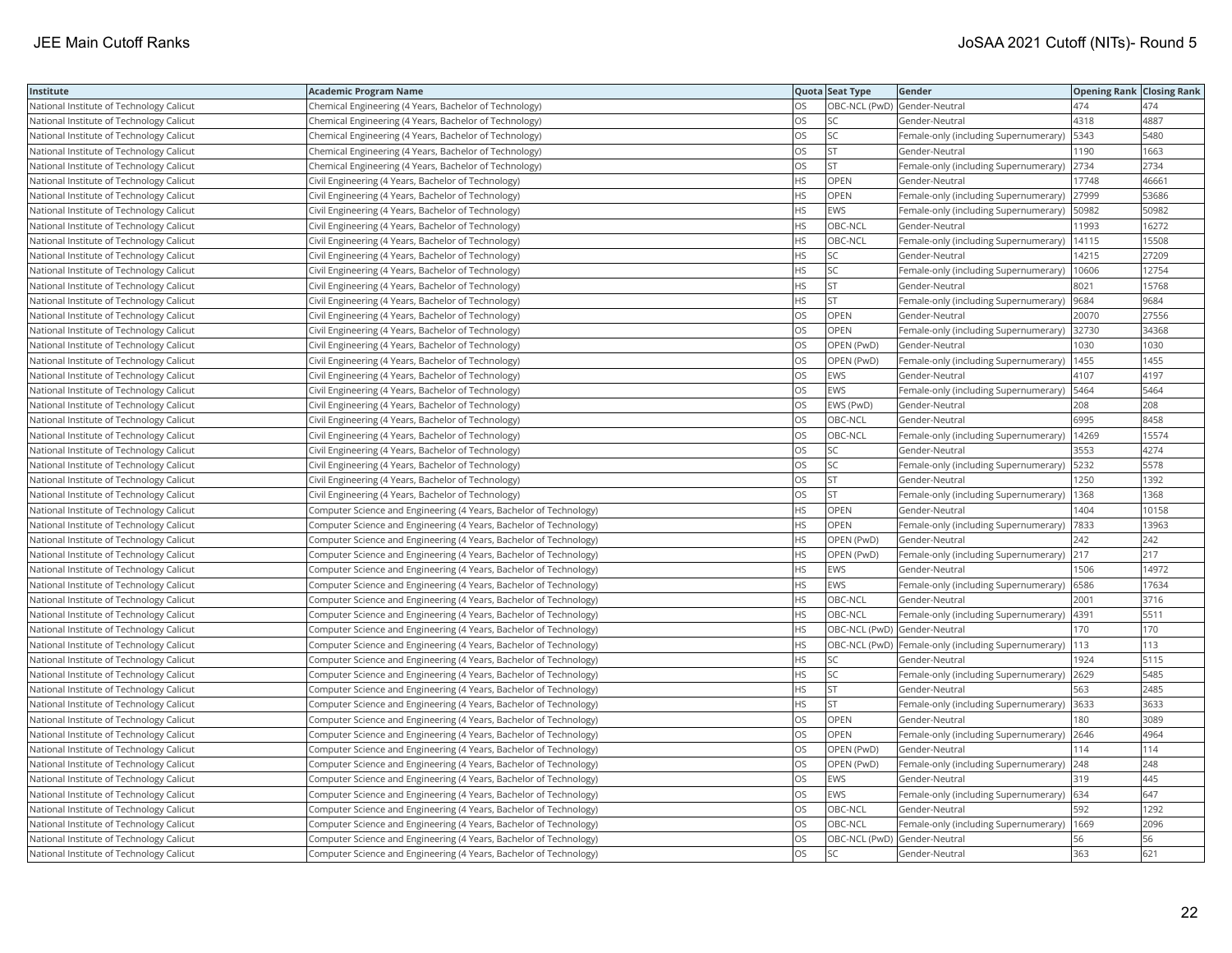| Institute                                | Academic Program Name                                              |           | Quota Seat Type              | Gender                                                   | <b>Opening Rank Closing Rank</b> |       |
|------------------------------------------|--------------------------------------------------------------------|-----------|------------------------------|----------------------------------------------------------|----------------------------------|-------|
| National Institute of Technology Calicut | Chemical Engineering (4 Years, Bachelor of Technology)             | OS        | OBC-NCL (PwD) Gender-Neutral |                                                          | 474                              | 474   |
| National Institute of Technology Calicut | Chemical Engineering (4 Years, Bachelor of Technology)             | OS.       | <b>SC</b>                    | Gender-Neutral                                           | 4318                             | 4887  |
| National Institute of Technology Calicut | Chemical Engineering (4 Years, Bachelor of Technology)             | <b>OS</b> | <b>SC</b>                    | Female-only (including Supernumerary)                    | 5343                             | 5480  |
| National Institute of Technology Calicut | Chemical Engineering (4 Years, Bachelor of Technology)             | OS        | <b>ST</b>                    | Gender-Neutral                                           | 1190                             | 1663  |
| National Institute of Technology Calicut | Chemical Engineering (4 Years, Bachelor of Technology)             | OS        | <b>ST</b>                    | Female-only (including Supernumerary) 2734               |                                  | 2734  |
| National Institute of Technology Calicut | Civil Engineering (4 Years, Bachelor of Technology)                | HS        | OPEN                         | Gender-Neutral                                           | 17748                            | 46661 |
| National Institute of Technology Calicut | Civil Engineering (4 Years, Bachelor of Technology)                | HS        | OPEN                         | Female-only (including Supernumerary)                    | 27999                            | 53686 |
| National Institute of Technology Calicut | Civil Engineering (4 Years, Bachelor of Technology)                | HS.       | EWS                          | Female-only (including Supernumerary)                    | 50982                            | 50982 |
| National Institute of Technology Calicut | Civil Engineering (4 Years, Bachelor of Technology)                | HS        | OBC-NCL                      | Gender-Neutral                                           | 11993                            | 16272 |
| National Institute of Technology Calicut | Civil Engineering (4 Years, Bachelor of Technology)                | <b>HS</b> | OBC-NCL                      | Female-only (including Supernumerary)                    | 14115                            | 15508 |
| National Institute of Technology Calicut | Civil Engineering (4 Years, Bachelor of Technology)                | HS.       | <b>SC</b>                    | Gender-Neutral                                           | 14215                            | 27209 |
| National Institute of Technology Calicut | Civil Engineering (4 Years, Bachelor of Technology)                | HS        | SC                           | Female-only (including Supernumerary)                    | 10606                            | 12754 |
| National Institute of Technology Calicut | Civil Engineering (4 Years, Bachelor of Technology)                | HS.       | lst                          | Gender-Neutral                                           | 8021                             | 15768 |
| National Institute of Technology Calicut | Civil Engineering (4 Years, Bachelor of Technology)                | НS        | <b>ST</b>                    | Female-only (including Supernumerary)                    | 9684                             | 9684  |
| National Institute of Technology Calicut | Civil Engineering (4 Years, Bachelor of Technology)                | OS        | OPEN                         | Gender-Neutral                                           | 20070                            | 27556 |
| National Institute of Technology Calicut | Civil Engineering (4 Years, Bachelor of Technology)                | OS.       | OPEN                         | Female-only (including Supernumerary)                    | 32730                            | 34368 |
| National Institute of Technology Calicut | Civil Engineering (4 Years, Bachelor of Technology)                | OS        | OPEN (PwD)                   | Gender-Neutral                                           | 1030                             | 1030  |
| National Institute of Technology Calicut | Civil Engineering (4 Years, Bachelor of Technology)                | OS        | OPEN (PwD)                   | Female-only (including Supernumerary)                    | 1455                             | 1455  |
| National Institute of Technology Calicut | Civil Engineering (4 Years, Bachelor of Technology)                | OS.       | <b>EWS</b>                   | Gender-Neutral                                           | 4107                             | 4197  |
| National Institute of Technology Calicut | Civil Engineering (4 Years, Bachelor of Technology)                | OS        | EWS                          | Female-only (including Supernumerary)                    | 5464                             | 5464  |
| National Institute of Technology Calicut | Civil Engineering (4 Years, Bachelor of Technology)                | OS        | EWS (PwD)                    | Gender-Neutral                                           | 208                              | 208   |
| National Institute of Technology Calicut | Civil Engineering (4 Years, Bachelor of Technology)                | OS        | OBC-NCL                      | Gender-Neutral                                           | 6995                             | 8458  |
| National Institute of Technology Calicut | Civil Engineering (4 Years, Bachelor of Technology)                | OS        | OBC-NCL                      | Female-only (including Supernumerary)                    | 14269                            | 15574 |
| National Institute of Technology Calicut | Civil Engineering (4 Years, Bachelor of Technology)                | OS        | SC                           | Gender-Neutral                                           | 3553                             | 4274  |
| National Institute of Technology Calicut | Civil Engineering (4 Years, Bachelor of Technology)                | OS        | SC                           | Female-only (including Supernumerary)                    | 5232                             | 5578  |
| National Institute of Technology Calicut | Civil Engineering (4 Years, Bachelor of Technology)                | OS        | <b>ST</b>                    | Gender-Neutral                                           | 1250                             | 1392  |
| National Institute of Technology Calicut | Civil Engineering (4 Years, Bachelor of Technology)                | OS.       | <b>ST</b>                    | Female-only (including Supernumerary)                    | 1368                             | 1368  |
| National Institute of Technology Calicut | Computer Science and Engineering (4 Years, Bachelor of Technology) | HS        | <b>OPEN</b>                  | Gender-Neutral                                           | 1404                             | 10158 |
| National Institute of Technology Calicut | Computer Science and Engineering (4 Years, Bachelor of Technology) | HS        | OPEN                         | Female-only (including Supernumerary)                    | 7833                             | 13963 |
| National Institute of Technology Calicut | Computer Science and Engineering (4 Years, Bachelor of Technology) | HS        | OPEN (PwD)                   | Gender-Neutral                                           | 242                              | 242   |
| National Institute of Technology Calicut | Computer Science and Engineering (4 Years, Bachelor of Technology) | HS        | OPEN (PwD)                   | Female-only (including Supernumerary) 217                |                                  | 217   |
| National Institute of Technology Calicut | Computer Science and Engineering (4 Years, Bachelor of Technology) | HS        | EWS                          | Gender-Neutral                                           | 1506                             | 14972 |
| National Institute of Technology Calicut | Computer Science and Engineering (4 Years, Bachelor of Technology) | HS.       | EWS                          | Female-only (including Supernumerary)   6586             |                                  | 17634 |
| National Institute of Technology Calicut | Computer Science and Engineering (4 Years, Bachelor of Technology) | HS.       | OBC-NCL                      | Gender-Neutral                                           | 2001                             | 3716  |
| National Institute of Technology Calicut | Computer Science and Engineering (4 Years, Bachelor of Technology) | HS.       | OBC-NCL                      | Female-only (including Supernumerary)  4391              |                                  | 5511  |
| National Institute of Technology Calicut | Computer Science and Engineering (4 Years, Bachelor of Technology) | HS.       |                              | OBC-NCL (PwD) Gender-Neutral                             | 170                              | 170   |
| National Institute of Technology Calicut | Computer Science and Engineering (4 Years, Bachelor of Technology) | HS.       |                              | OBC-NCL (PwD) Female-only (including Supernumerary)  113 |                                  | 113   |
| National Institute of Technology Calicut | Computer Science and Engineering (4 Years, Bachelor of Technology) | HS        | SC                           | Gender-Neutral                                           | 1924                             | 5115  |
| National Institute of Technology Calicut | Computer Science and Engineering (4 Years, Bachelor of Technology) | <b>HS</b> | <b>SC</b>                    | Female-only (including Supernumerary)                    | 2629                             | 5485  |
| National Institute of Technology Calicut | Computer Science and Engineering (4 Years, Bachelor of Technology) | HS        | <b>ST</b>                    | Gender-Neutral                                           | 563                              | 2485  |
| National Institute of Technology Calicut | Computer Science and Engineering (4 Years, Bachelor of Technology) | <b>HS</b> | <b>ST</b>                    | Female-only (including Supernumerary)                    | 3633                             | 3633  |
| National Institute of Technology Calicut | Computer Science and Engineering (4 Years, Bachelor of Technology) | OS        | OPEN                         | Gender-Neutral                                           | 180                              | 3089  |
| National Institute of Technology Calicut | Computer Science and Engineering (4 Years, Bachelor of Technology) | OS        | OPEN                         | Female-only (including Supernumerary)                    | 2646                             | 4964  |
| National Institute of Technology Calicut | Computer Science and Engineering (4 Years, Bachelor of Technology) | OS        | OPEN (PwD)                   | Gender-Neutral                                           | 114                              | 114   |
| National Institute of Technology Calicut | Computer Science and Engineering (4 Years, Bachelor of Technology) | OS        | OPEN (PwD)                   | Female-only (including Supernumerary) 248                |                                  | 248   |
| National Institute of Technology Calicut | Computer Science and Engineering (4 Years, Bachelor of Technology) | OS        | EWS                          | Gender-Neutral                                           | 319                              | 445   |
| National Institute of Technology Calicut | Computer Science and Engineering (4 Years, Bachelor of Technology) | OS.       | <b>EWS</b>                   | Female-only (including Supernumerary) 634                |                                  | 647   |
| National Institute of Technology Calicut | Computer Science and Engineering (4 Years, Bachelor of Technology) | OS        | OBC-NCL                      | Gender-Neutral                                           | 592                              | 1292  |
| National Institute of Technology Calicut | Computer Science and Engineering (4 Years, Bachelor of Technology) | OS        | OBC-NCL                      | Female-only (including Supernumerary)                    | 1669                             | 2096  |
| National Institute of Technology Calicut | Computer Science and Engineering (4 Years, Bachelor of Technology) | OS.       |                              | OBC-NCL (PwD) Gender-Neutral                             | 56                               | 56    |
| National Institute of Technology Calicut | Computer Science and Engineering (4 Years, Bachelor of Technology) | <b>OS</b> | <b>SC</b>                    | Gender-Neutral                                           | 363                              | 621   |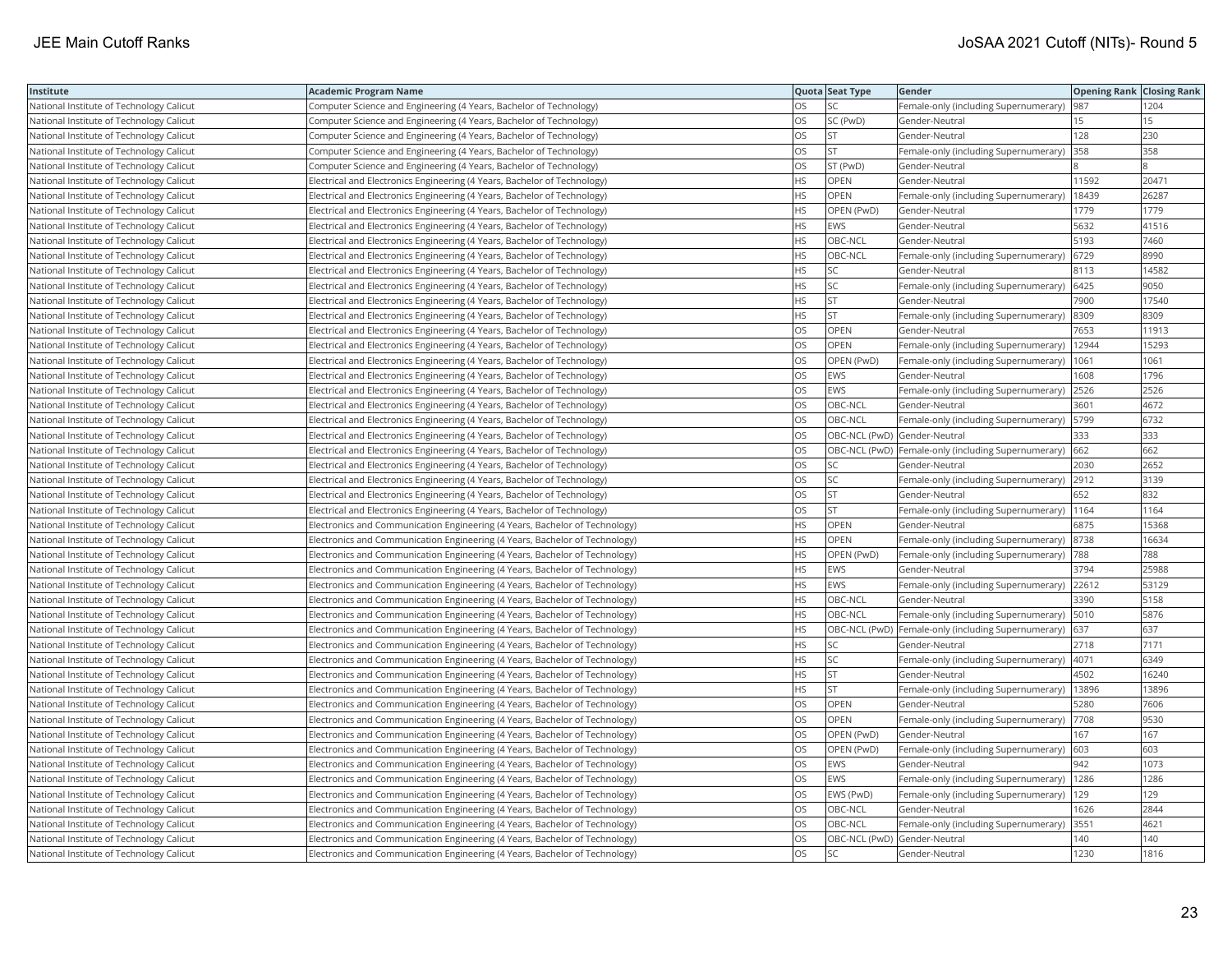| Institute                                | Academic Program Name                                                        |           | Quota Seat Type              | Gender                                                    | <b>Opening Rank   Closing Rank</b> |       |
|------------------------------------------|------------------------------------------------------------------------------|-----------|------------------------------|-----------------------------------------------------------|------------------------------------|-------|
| National Institute of Technology Calicut | Computer Science and Engineering (4 Years, Bachelor of Technology)           | OS.       | <b>SC</b>                    | Female-only (including Supernumerary)                     | 987                                | 1204  |
| National Institute of Technology Calicut | Computer Science and Engineering (4 Years, Bachelor of Technology)           | OS.       | SC (PwD)                     | Gender-Neutral                                            | 15                                 | 15    |
| National Institute of Technology Calicut | Computer Science and Engineering (4 Years, Bachelor of Technology)           | OS        | <b>ST</b>                    | Gender-Neutral                                            | 128                                | 230   |
| National Institute of Technology Calicut | Computer Science and Engineering (4 Years, Bachelor of Technology)           | OS        | <b>ST</b>                    | Female-only (including Supernumerary)                     | 358                                | 358   |
| National Institute of Technology Calicut | Computer Science and Engineering (4 Years, Bachelor of Technology)           | OS        | ST (PwD)                     | Gender-Neutral                                            |                                    |       |
| National Institute of Technology Calicut | Electrical and Electronics Engineering (4 Years, Bachelor of Technology)     | HS.       | <b>OPEN</b>                  | Gender-Neutral                                            | 11592                              | 20471 |
| National Institute of Technology Calicut | Electrical and Electronics Engineering (4 Years, Bachelor of Technology)     | НS        | OPEN                         | Female-only (including Supernumerary)                     | 18439                              | 26287 |
| National Institute of Technology Calicut | Electrical and Electronics Engineering (4 Years, Bachelor of Technology)     | <b>HS</b> | OPEN (PwD)                   | Gender-Neutral                                            | 1779                               | 1779  |
| National Institute of Technology Calicut | Electrical and Electronics Engineering (4 Years, Bachelor of Technology)     | HS.       | <b>EWS</b>                   | Gender-Neutral                                            | 5632                               | 41516 |
| National Institute of Technology Calicut | Electrical and Electronics Engineering (4 Years, Bachelor of Technology)     | HS        | OBC-NCL                      | Gender-Neutral                                            | 5193                               | 7460  |
| National Institute of Technology Calicut | Electrical and Electronics Engineering (4 Years, Bachelor of Technology)     | <b>HS</b> | OBC-NCL                      | Female-only (including Supernumerary)                     | 6729                               | 8990  |
| National Institute of Technology Calicut | Electrical and Electronics Engineering (4 Years, Bachelor of Technology)     | HS        | SC                           | Gender-Neutral                                            | 8113                               | 14582 |
| National Institute of Technology Calicut | Electrical and Electronics Engineering (4 Years, Bachelor of Technology)     | HS        | SC                           | Female-only (including Supernumerary)   6425              |                                    | 9050  |
| National Institute of Technology Calicut | Electrical and Electronics Engineering (4 Years, Bachelor of Technology)     | HS        | <b>ST</b>                    | Gender-Neutral                                            | 7900                               | 17540 |
| National Institute of Technology Calicut | Electrical and Electronics Engineering (4 Years, Bachelor of Technology)     | HS        | <b>ST</b>                    | Female-only (including Supernumerary)                     | 8309                               | 8309  |
| National Institute of Technology Calicut | Electrical and Electronics Engineering (4 Years, Bachelor of Technology)     | OS        | OPEN                         | Gender-Neutral                                            | 7653                               | 11913 |
| National Institute of Technology Calicut | Electrical and Electronics Engineering (4 Years, Bachelor of Technology)     | OS        | OPEN                         | Female-only (including Supernumerary)                     | 12944                              | 15293 |
| National Institute of Technology Calicut | Electrical and Electronics Engineering (4 Years, Bachelor of Technology)     | OS.       | OPEN (PwD)                   | Female-only (including Supernumerary)                     | 1061                               | 1061  |
| National Institute of Technology Calicut | Electrical and Electronics Engineering (4 Years, Bachelor of Technology)     | OS        | EWS                          | Gender-Neutral                                            | 1608                               | 1796  |
| National Institute of Technology Calicut | Electrical and Electronics Engineering (4 Years, Bachelor of Technology)     | OS        | EWS                          | Female-only (including Supernumerary) 2526                |                                    | 2526  |
| National Institute of Technology Calicut | Electrical and Electronics Engineering (4 Years, Bachelor of Technology)     | OS        | OBC-NCL                      | Gender-Neutral                                            | 3601                               | 4672  |
| National Institute of Technology Calicut | Electrical and Electronics Engineering (4 Years, Bachelor of Technology)     | OS        | OBC-NCL                      | Female-only (including Supernumerary)                     | 5799                               | 6732  |
| National Institute of Technology Calicut | Electrical and Electronics Engineering (4 Years, Bachelor of Technology)     | OS.       | OBC-NCL (PwD) Gender-Neutral |                                                           | 333                                | 333   |
| National Institute of Technology Calicut | Electrical and Electronics Engineering (4 Years, Bachelor of Technology)     | OS.       |                              | OBC-NCL (PwD)  Female-only (including Supernumerary)  662 |                                    | 662   |
| National Institute of Technology Calicut | Electrical and Electronics Engineering (4 Years, Bachelor of Technology)     | OS        | SC                           | Gender-Neutral                                            | 2030                               | 2652  |
| National Institute of Technology Calicut | Electrical and Electronics Engineering (4 Years, Bachelor of Technology)     | OS.       | <b>SC</b>                    | Female-only (including Supernumerary) 2912                |                                    | 3139  |
| National Institute of Technology Calicut | Electrical and Electronics Engineering (4 Years, Bachelor of Technology)     | OS.       | <b>ST</b>                    | Gender-Neutral                                            | 652                                | 832   |
| National Institute of Technology Calicut | Electrical and Electronics Engineering (4 Years, Bachelor of Technology)     | OS.       | <b>ST</b>                    | Female-only (including Supernumerary)   1164              |                                    | 1164  |
| National Institute of Technology Calicut | Electronics and Communication Engineering (4 Years, Bachelor of Technology)  | HS        | <b>OPEN</b>                  | Gender-Neutral                                            | 6875                               | 15368 |
| National Institute of Technology Calicut | Electronics and Communication Engineering (4 Years, Bachelor of Technology)  | HS        | OPEN                         | Female-only (including Supernumerary) 8738                |                                    | 16634 |
| National Institute of Technology Calicut | Electronics and Communication Engineering (4 Years, Bachelor of Technology)  | <b>HS</b> | OPEN (PwD)                   | Female-only (including Supernumerary)  788                |                                    | 788   |
| National Institute of Technology Calicut | Electronics and Communication Engineering (4 Years, Bachelor of Technology)  | ΗS        | EWS                          | Gender-Neutral                                            | 3794                               | 25988 |
| National Institute of Technology Calicut | Electronics and Communication Engineering (4 Years, Bachelor of Technology)  | <b>HS</b> | EWS                          | Female-only (including Supernumerary)                     | 22612                              | 53129 |
| National Institute of Technology Calicut | Electronics and Communication Engineering (4 Years, Bachelor of Technology)  | HS.       | OBC-NCL                      | Gender-Neutral                                            | 3390                               | 5158  |
| National Institute of Technology Calicut | Electronics and Communication Engineering (4 Years, Bachelor of Technology)  | HS.       | OBC-NCL                      | Female-only (including Supernumerary)                     | 5010                               | 5876  |
| National Institute of Technology Calicut | Electronics and Communication Engineering (4 Years, Bachelor of Technology)  | HS.       |                              | OBC-NCL (PwD)  Female-only (including Supernumerary)      | 637                                | 637   |
| National Institute of Technology Calicut | Electronics and Communication Engineering (4 Years, Bachelor of Technology)  | HS.       | SC                           | Gender-Neutral                                            | 2718                               | 7171  |
| National Institute of Technology Calicut | Electronics and Communication Engineering (4 Years, Bachelor of Technology)  | HS        | SC                           | Female-only (including Supernumerary)  4071               |                                    | 6349  |
| National Institute of Technology Calicut | [Electronics and Communication Engineering (4 Years, Bachelor of Technology) | ΗS        | <b>ST</b>                    | Gender-Neutral                                            | 4502                               | 16240 |
| National Institute of Technology Calicut | Electronics and Communication Engineering (4 Years, Bachelor of Technology)  | HS.       | <b>ST</b>                    | Female-only (including Supernumerary)                     | 13896                              | 13896 |
| National Institute of Technology Calicut | Electronics and Communication Engineering (4 Years, Bachelor of Technology)  | OS        | OPEN                         | Gender-Neutral                                            | 5280                               | 7606  |
| National Institute of Technology Calicut | Electronics and Communication Engineering (4 Years, Bachelor of Technology)  | OS        | OPEN                         | Female-only (including Supernumerary)                     | 7708                               | 9530  |
| National Institute of Technology Calicut | Electronics and Communication Engineering (4 Years, Bachelor of Technology)  | OS.       | OPEN (PwD)                   | Gender-Neutral                                            | 167                                | 167   |
| National Institute of Technology Calicut | [Electronics and Communication Engineering (4 Years, Bachelor of Technology) | OS        | OPEN (PwD)                   | Female-only (including Supernumerary)                     | 603                                | 603   |
| National Institute of Technology Calicut | Electronics and Communication Engineering (4 Years, Bachelor of Technology)  | OS        | EWS                          | Gender-Neutral                                            | 942                                | 1073  |
| National Institute of Technology Calicut | [Electronics and Communication Engineering (4 Years, Bachelor of Technology) | OS        | EWS                          | Female-only (including Supernumerary)   1286              |                                    | 1286  |
| National Institute of Technology Calicut | Electronics and Communication Engineering (4 Years, Bachelor of Technology)  | OS        | EWS (PwD)                    | Female-only (including Supernumerary)   129               |                                    | 129   |
| National Institute of Technology Calicut | Electronics and Communication Engineering (4 Years, Bachelor of Technology)  | OS        | OBC-NCL                      | Gender-Neutral                                            | 1626                               | 2844  |
| National Institute of Technology Calicut | Electronics and Communication Engineering (4 Years, Bachelor of Technology)  | OS        | OBC-NCL                      | Female-only (including Supernumerary)                     | 3551                               | 4621  |
| National Institute of Technology Calicut | Electronics and Communication Engineering (4 Years, Bachelor of Technology)  | OS.       | OBC-NCL (PwD) Gender-Neutral |                                                           | 140                                | 140   |
| National Institute of Technology Calicut | Electronics and Communication Engineering (4 Years, Bachelor of Technology)  | OS        | <b>SC</b>                    | Gender-Neutral                                            | 1230                               | 1816  |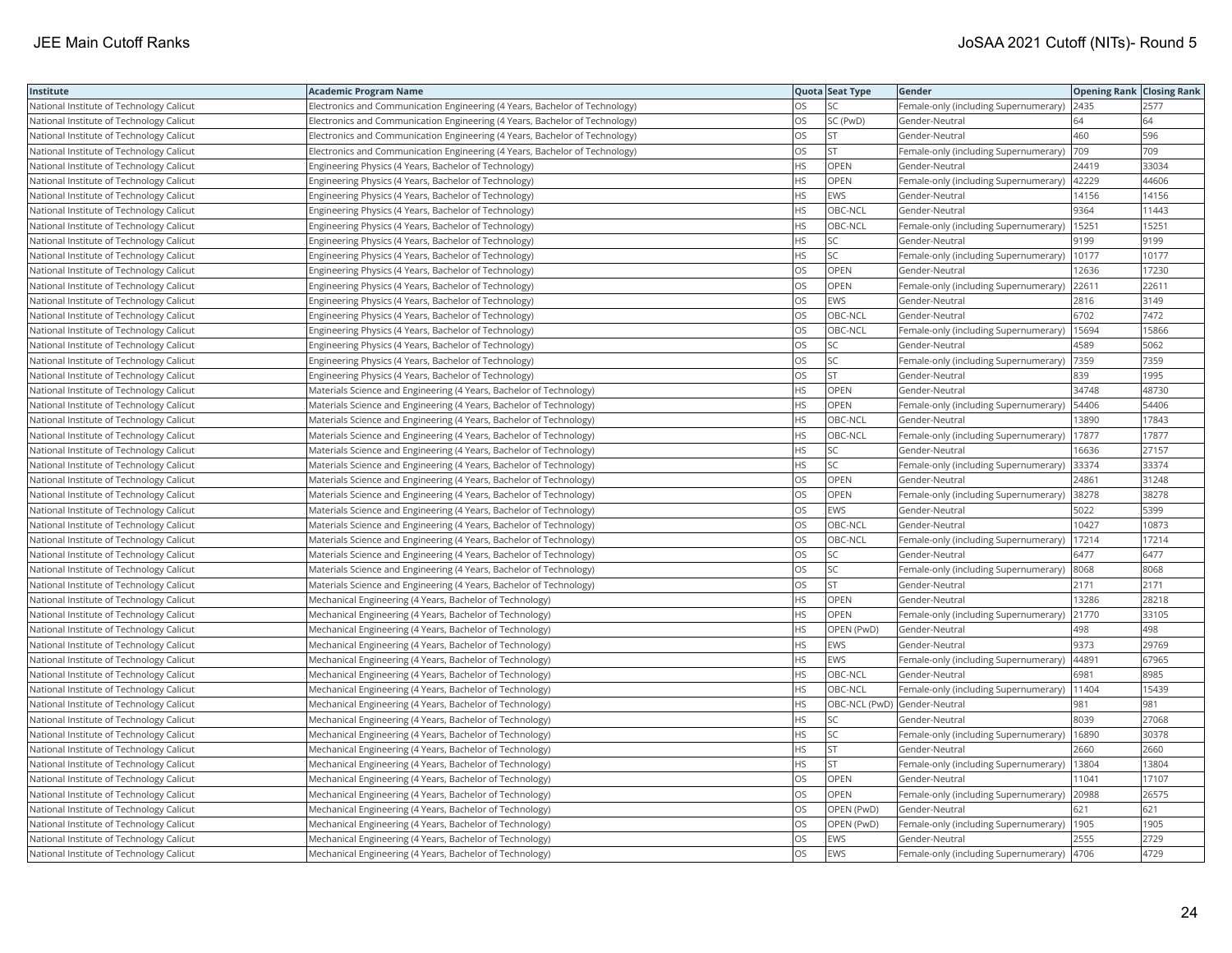| Institute                                | <b>Academic Program Name</b>                                                |           | Quota Seat Type              | Gender                                        | <b>Opening Rank   Closing Rank</b> |       |
|------------------------------------------|-----------------------------------------------------------------------------|-----------|------------------------------|-----------------------------------------------|------------------------------------|-------|
| National Institute of Technology Calicut | Electronics and Communication Engineering (4 Years, Bachelor of Technology) | OS.       | <b>SC</b>                    | Female-only (including Supernumerary)   2435  |                                    | 2577  |
| National Institute of Technology Calicut | Electronics and Communication Engineering (4 Years, Bachelor of Technology) | OS        | SC (PwD)                     | Gender-Neutral                                | 64                                 | 64    |
| National Institute of Technology Calicut | Electronics and Communication Engineering (4 Years, Bachelor of Technology) | OS        | <b>ST</b>                    | Gender-Neutral                                | 460                                | 596   |
| National Institute of Technology Calicut | Electronics and Communication Engineering (4 Years, Bachelor of Technology) | OS        | <b>ST</b>                    | Female-only (including Supernumerary)         | 709                                | 709   |
| National Institute of Technology Calicut | Engineering Physics (4 Years, Bachelor of Technology)                       | HS        | <b>OPEN</b>                  | Gender-Neutral                                | 24419                              | 33034 |
| National Institute of Technology Calicut | Engineering Physics (4 Years, Bachelor of Technology)                       | HS        | OPEN                         | Female-only (including Supernumerary)   42229 |                                    | 44606 |
| National Institute of Technology Calicut | Engineering Physics (4 Years, Bachelor of Technology)                       | HS.       | <b>EWS</b>                   | Gender-Neutral                                | 14156                              | 14156 |
| National Institute of Technology Calicut | Engineering Physics (4 Years, Bachelor of Technology)                       | HS.       | OBC-NCL                      | Gender-Neutral                                | 9364                               | 11443 |
| National Institute of Technology Calicut | Engineering Physics (4 Years, Bachelor of Technology)                       | <b>HS</b> | OBC-NCL                      | Female-only (including Supernumerary)         | 15251                              | 15251 |
| National Institute of Technology Calicut | Engineering Physics (4 Years, Bachelor of Technology)                       | HS        | <b>SC</b>                    | Gender-Neutral                                | 9199                               | 9199  |
| National Institute of Technology Calicut | Engineering Physics (4 Years, Bachelor of Technology)                       | HS.       | SC                           | Female-only (including Supernumerary)         | 10177                              | 10177 |
| National Institute of Technology Calicut | Engineering Physics (4 Years, Bachelor of Technology)                       | OS.       | <b>OPEN</b>                  | Gender-Neutral                                | 12636                              | 17230 |
| National Institute of Technology Calicut | Engineering Physics (4 Years, Bachelor of Technology)                       | OS        | OPEN                         | Female-only (including Supernumerary) 22611   |                                    | 22611 |
| National Institute of Technology Calicut | Engineering Physics (4 Years, Bachelor of Technology)                       | OS        | <b>EWS</b>                   | Gender-Neutral                                | 2816                               | 3149  |
| National Institute of Technology Calicut | Engineering Physics (4 Years, Bachelor of Technology)                       | OS.       | OBC-NCL                      | Gender-Neutral                                | 6702                               | 7472  |
| National Institute of Technology Calicut | Engineering Physics (4 Years, Bachelor of Technology)                       | OS        | OBC-NCL                      | Female-only (including Supernumerary)         | 15694                              | 15866 |
| National Institute of Technology Calicut | Engineering Physics (4 Years, Bachelor of Technology)                       | OS        | SC                           | Gender-Neutral                                | 4589                               | 5062  |
| National Institute of Technology Calicut | Engineering Physics (4 Years, Bachelor of Technology)                       | OS        | SC                           | Female-only (including Supernumerary)         | 7359                               | 7359  |
| National Institute of Technology Calicut | Engineering Physics (4 Years, Bachelor of Technology)                       | OS.       | <b>ST</b>                    | Gender-Neutral                                | 839                                | 1995  |
| National Institute of Technology Calicut | Materials Science and Engineering (4 Years, Bachelor of Technology)         | HS        | <b>OPEN</b>                  | Gender-Neutral                                | 34748                              | 48730 |
| National Institute of Technology Calicut | Materials Science and Engineering (4 Years, Bachelor of Technology)         | HS.       | OPEN                         | Female-only (including Supernumerary)         | 54406                              | 54406 |
| National Institute of Technology Calicut | Materials Science and Engineering (4 Years, Bachelor of Technology)         | HS.       | OBC-NCL                      | Gender-Neutral                                | 13890                              | 17843 |
| National Institute of Technology Calicut | Materials Science and Engineering (4 Years, Bachelor of Technology)         | HS        | OBC-NCL                      | Female-only (including Supernumerary)         | 17877                              | 17877 |
| National Institute of Technology Calicut | Materials Science and Engineering (4 Years, Bachelor of Technology)         | HS        | SC                           | Gender-Neutral                                | 16636                              | 27157 |
| National Institute of Technology Calicut | Materials Science and Engineering (4 Years, Bachelor of Technology)         | HS.       | SC                           | Female-only (including Supernumerary)         | 33374                              | 33374 |
| National Institute of Technology Calicut | Materials Science and Engineering (4 Years, Bachelor of Technology)         | OS        | OPEN                         | Gender-Neutral                                | 24861                              | 31248 |
| National Institute of Technology Calicut | Materials Science and Engineering (4 Years, Bachelor of Technology)         | OS.       | <b>OPEN</b>                  | Female-only (including Supernumerary)         | 38278                              | 38278 |
| National Institute of Technology Calicut | Materials Science and Engineering (4 Years, Bachelor of Technology)         | OS        | EWS                          | Gender-Neutral                                | 5022                               | 5399  |
| National Institute of Technology Calicut | Materials Science and Engineering (4 Years, Bachelor of Technology)         | OS        | <b>OBC-NCL</b>               | Gender-Neutral                                | 10427                              | 10873 |
| National Institute of Technology Calicut | Materials Science and Engineering (4 Years, Bachelor of Technology)         | OS        | OBC-NCL                      | Female-only (including Supernumerary)         | 17214                              | 17214 |
| National Institute of Technology Calicut | Materials Science and Engineering (4 Years, Bachelor of Technology)         | OS        | <b>SC</b>                    | Gender-Neutral                                | 6477                               | 6477  |
| National Institute of Technology Calicut | Materials Science and Engineering (4 Years, Bachelor of Technology)         | OS.       | <b>SC</b>                    | Female-only (including Supernumerary)         | 8068                               | 8068  |
| National Institute of Technology Calicut | Materials Science and Engineering (4 Years, Bachelor of Technology)         | OS        | <b>ST</b>                    | Gender-Neutral                                | 2171                               | 2171  |
| National Institute of Technology Calicut | Mechanical Engineering (4 Years, Bachelor of Technology)                    | HS.       | OPEN                         | Gender-Neutral                                | 13286                              | 28218 |
| National Institute of Technology Calicut | Mechanical Engineering (4 Years, Bachelor of Technology)                    | HS.       | <b>OPEN</b>                  | Female-only (including Supernumerary)         | 21770                              | 33105 |
| National Institute of Technology Calicut | Mechanical Engineering (4 Years, Bachelor of Technology)                    | HS.       | OPEN (PwD)                   | Gender-Neutral                                | 498                                | 498   |
| National Institute of Technology Calicut | Mechanical Engineering (4 Years, Bachelor of Technology)                    | <b>HS</b> | EWS                          | Gender-Neutral                                | 9373                               | 29769 |
| National Institute of Technology Calicut | Mechanical Engineering (4 Years, Bachelor of Technology)                    | HS.       | <b>EWS</b>                   | Female-only (including Supernumerary)         | 44891                              | 67965 |
| National Institute of Technology Calicut | Mechanical Engineering (4 Years, Bachelor of Technology)                    | HS        | OBC-NCL                      | Gender-Neutral                                | 6981                               | 8985  |
| National Institute of Technology Calicut | Mechanical Engineering (4 Years, Bachelor of Technology)                    | HS.       | OBC-NCL                      | Female-only (including Supernumerary)         | 11404                              | 15439 |
| National Institute of Technology Calicut | Mechanical Engineering (4 Years, Bachelor of Technology)                    | HS        | OBC-NCL (PwD) Gender-Neutral |                                               | 981                                | 981   |
| National Institute of Technology Calicut | Mechanical Engineering (4 Years, Bachelor of Technology)                    | <b>HS</b> | <b>SC</b>                    | Gender-Neutral                                | 8039                               | 27068 |
| National Institute of Technology Calicut | Mechanical Engineering (4 Years, Bachelor of Technology)                    | HS        | <b>SC</b>                    | Female-only (including Supernumerary)         | 16890                              | 30378 |
| National Institute of Technology Calicut | Mechanical Engineering (4 Years, Bachelor of Technology)                    | HS        | <b>ST</b>                    | Gender-Neutral                                | 2660                               | 2660  |
| National Institute of Technology Calicut | Mechanical Engineering (4 Years, Bachelor of Technology)                    | <b>HS</b> | <b>ST</b>                    | Female-only (including Supernumerary)         | 13804                              | 13804 |
| National Institute of Technology Calicut | Mechanical Engineering (4 Years, Bachelor of Technology)                    | OS        | <b>OPEN</b>                  | Gender-Neutral                                | 11041                              | 17107 |
| National Institute of Technology Calicut | Mechanical Engineering (4 Years, Bachelor of Technology)                    | OS        | OPEN                         | Female-only (including Supernumerary) 20988   |                                    | 26575 |
| National Institute of Technology Calicut | Mechanical Engineering (4 Years, Bachelor of Technology)                    | OS        | OPEN (PwD)                   | Gender-Neutral                                | 621                                | 621   |
| National Institute of Technology Calicut | Mechanical Engineering (4 Years, Bachelor of Technology)                    | OS        | OPEN (PwD)                   | Female-only (including Supernumerary)         | 1905                               | 1905  |
| National Institute of Technology Calicut | Mechanical Engineering (4 Years, Bachelor of Technology)                    | OS        | EWS                          | Gender-Neutral                                | 2555                               | 2729  |
| National Institute of Technology Calicut | Mechanical Engineering (4 Years, Bachelor of Technology)                    | OS        | <b>EWS</b>                   | Female-only (including Supernumerary) 4706    |                                    | 4729  |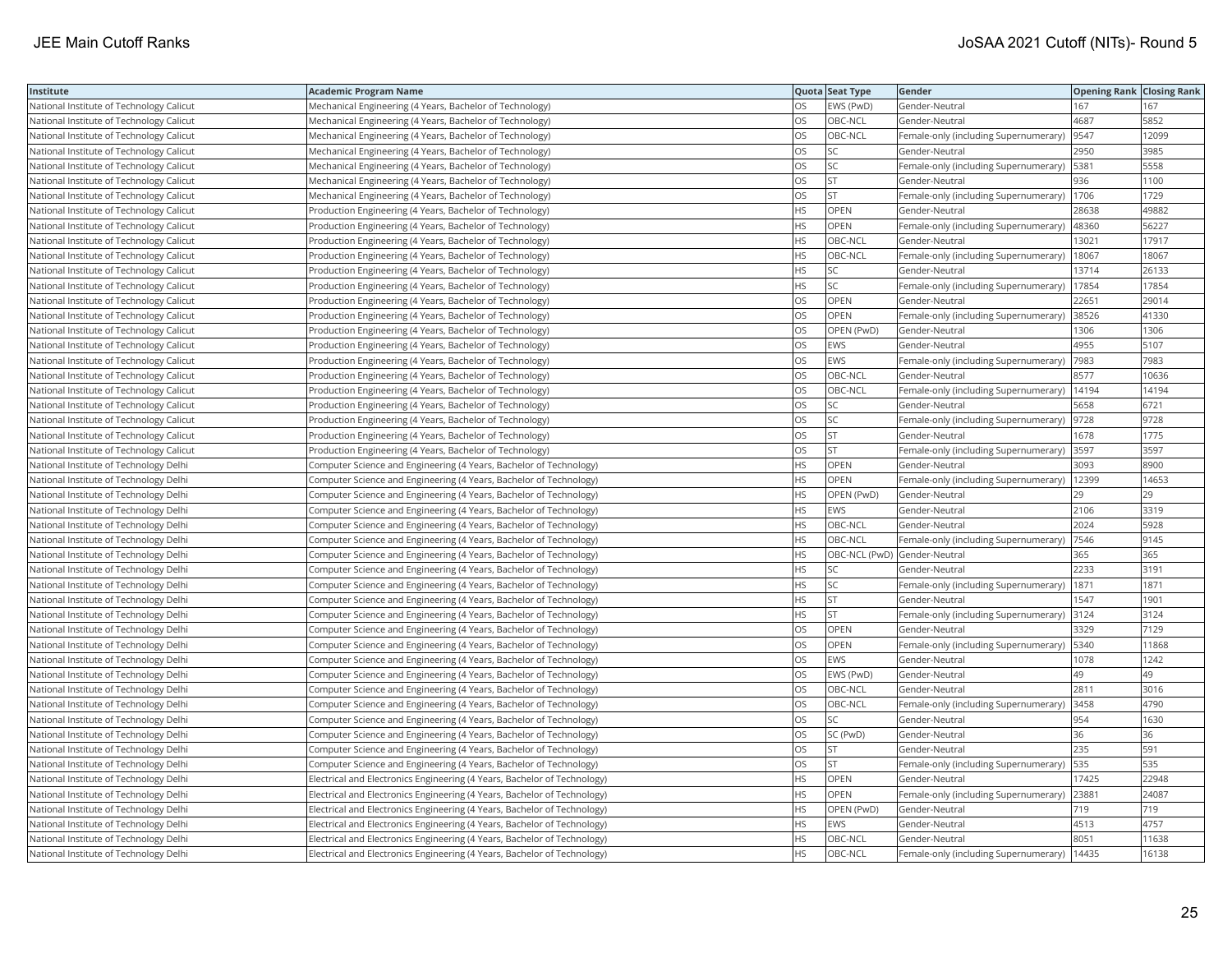| Institute                                | <b>Academic Program Name</b>                                             |           | Quota Seat Type              | Gender                                        | <b>Opening Rank Closing Rank</b> |       |
|------------------------------------------|--------------------------------------------------------------------------|-----------|------------------------------|-----------------------------------------------|----------------------------------|-------|
| National Institute of Technology Calicut | Mechanical Engineering (4 Years, Bachelor of Technology)                 | OS        | EWS (PwD)                    | Gender-Neutral                                | 167                              | 167   |
| National Institute of Technology Calicut | Mechanical Engineering (4 Years, Bachelor of Technology)                 | OS        | OBC-NCL                      | Gender-Neutral                                | 4687                             | 5852  |
| National Institute of Technology Calicut | Mechanical Engineering (4 Years, Bachelor of Technology)                 | OS        | OBC-NCL                      | Female-only (including Supernumerary)  9547   |                                  | 12099 |
| National Institute of Technology Calicut | Mechanical Engineering (4 Years, Bachelor of Technology)                 | OS        | SC                           | Gender-Neutral                                | 2950                             | 3985  |
| National Institute of Technology Calicut | Mechanical Engineering (4 Years, Bachelor of Technology)                 | OS        | <b>SC</b>                    | Female-only (including Supernumerary)   5381  |                                  | 5558  |
| National Institute of Technology Calicut | Mechanical Engineering (4 Years, Bachelor of Technology)                 | OS        | <b>ST</b>                    | Gender-Neutral                                | 936                              | 1100  |
| National Institute of Technology Calicut | Mechanical Engineering (4 Years, Bachelor of Technology)                 | OS        | <b>ST</b>                    | Female-only (including Supernumerary)   1706  |                                  | 1729  |
| National Institute of Technology Calicut | Production Engineering (4 Years, Bachelor of Technology)                 | НS        | OPEN                         | Gender-Neutral                                | 28638                            | 49882 |
| National Institute of Technology Calicut | Production Engineering (4 Years, Bachelor of Technology)                 | HS        | OPEN                         | Female-only (including Supernumerary)         | 48360                            | 56227 |
| National Institute of Technology Calicut | Production Engineering (4 Years, Bachelor of Technology)                 | <b>HS</b> | OBC-NCL                      | Gender-Neutral                                | 13021                            | 17917 |
| National Institute of Technology Calicut | Production Engineering (4 Years, Bachelor of Technology)                 | <b>HS</b> | OBC-NCL                      | Female-only (including Supernumerary)         | 18067                            | 18067 |
| National Institute of Technology Calicut | Production Engineering (4 Years, Bachelor of Technology)                 | HS        | SC                           | Gender-Neutral                                | 13714                            | 26133 |
| National Institute of Technology Calicut | Production Engineering (4 Years, Bachelor of Technology)                 | ΗS        | <b>SC</b>                    | Female-only (including Supernumerary)   17854 |                                  | 17854 |
| National Institute of Technology Calicut | Production Engineering (4 Years, Bachelor of Technology)                 | OS        | <b>OPEN</b>                  | Gender-Neutral                                | 22651                            | 29014 |
| National Institute of Technology Calicut | Production Engineering (4 Years, Bachelor of Technology)                 | OS        | OPEN                         | Female-only (including Supernumerary) 38526   |                                  | 41330 |
| National Institute of Technology Calicut | Production Engineering (4 Years, Bachelor of Technology)                 | OS        | OPEN (PwD)                   | Gender-Neutral                                | 1306                             | 1306  |
| National Institute of Technology Calicut | Production Engineering (4 Years, Bachelor of Technology)                 | OS        | <b>EWS</b>                   | Gender-Neutral                                | 4955                             | 5107  |
| National Institute of Technology Calicut | Production Engineering (4 Years, Bachelor of Technology)                 | OS        | <b>EWS</b>                   | Female-only (including Supernumerary)         | 7983                             | 7983  |
| National Institute of Technology Calicut | Production Engineering (4 Years, Bachelor of Technology)                 | OS        | OBC-NCL                      | Gender-Neutral                                | 8577                             | 10636 |
| National Institute of Technology Calicut | Production Engineering (4 Years, Bachelor of Technology)                 | OS        | OBC-NCL                      | Female-only (including Supernumerary)   14194 |                                  | 14194 |
| National Institute of Technology Calicut | Production Engineering (4 Years, Bachelor of Technology)                 | OS        | SC                           | Gender-Neutral                                | 5658                             | 6721  |
| National Institute of Technology Calicut | Production Engineering (4 Years, Bachelor of Technology)                 | OS        | SC                           | Female-only (including Supernumerary)  9728   |                                  | 9728  |
| National Institute of Technology Calicut | Production Engineering (4 Years, Bachelor of Technology)                 | OS        | <b>ST</b>                    | Gender-Neutral                                | 1678                             | 1775  |
| National Institute of Technology Calicut | Production Engineering (4 Years, Bachelor of Technology)                 | OS        | <b>ST</b>                    | Female-only (including Supernumerary) 3597    |                                  | 3597  |
| National Institute of Technology Delhi   | Computer Science and Engineering (4 Years, Bachelor of Technology)       | НS        | OPEN                         | Gender-Neutral                                | 3093                             | 8900  |
| National Institute of Technology Delhi   | Computer Science and Engineering (4 Years, Bachelor of Technology)       | HS        | OPEN                         | Female-only (including Supernumerary)         | 12399                            | 14653 |
| National Institute of Technology Delhi   | Computer Science and Engineering (4 Years, Bachelor of Technology)       | <b>HS</b> | OPEN (PwD)                   | Gender-Neutral                                | 29                               | 29    |
| National Institute of Technology Delhi   | Computer Science and Engineering (4 Years, Bachelor of Technology)       | НS        | <b>EWS</b>                   | Gender-Neutral                                | 2106                             | 3319  |
| National Institute of Technology Delhi   | Computer Science and Engineering (4 Years, Bachelor of Technology)       | HS        | OBC-NCL                      | Gender-Neutral                                | 2024                             | 5928  |
| National Institute of Technology Delhi   | Computer Science and Engineering (4 Years, Bachelor of Technology)       | НS        | OBC-NCL                      | Female-only (including Supernumerary)         | 7546                             | 9145  |
| National Institute of Technology Delhi   | Computer Science and Engineering (4 Years, Bachelor of Technology)       | HS        | OBC-NCL (PwD) Gender-Neutral |                                               | 365                              | 365   |
| National Institute of Technology Delhi   | Computer Science and Engineering (4 Years, Bachelor of Technology)       | HS        | SC                           | Gender-Neutral                                | 2233                             | 3191  |
| National Institute of Technology Delhi   | Computer Science and Engineering (4 Years, Bachelor of Technology)       | HS        | SC                           | Female-only (including Supernumerary)         | 1871                             | 1871  |
| National Institute of Technology Delhi   | Computer Science and Engineering (4 Years, Bachelor of Technology)       | HS        | <b>ST</b>                    | Gender-Neutral                                | 1547                             | 1901  |
| National Institute of Technology Delhi   | Computer Science and Engineering (4 Years, Bachelor of Technology)       | HS.       | <b>ST</b>                    | Female-only (including Supernumerary) 3124    |                                  | 3124  |
| National Institute of Technology Delhi   | Computer Science and Engineering (4 Years, Bachelor of Technology)       | OS        | <b>OPEN</b>                  | Gender-Neutral                                | 3329                             | 7129  |
| National Institute of Technology Delhi   | Computer Science and Engineering (4 Years, Bachelor of Technology)       | OS        | OPEN                         | Female-only (including Supernumerary)   5340  |                                  | 11868 |
| National Institute of Technology Delhi   | Computer Science and Engineering (4 Years, Bachelor of Technology)       | OS        | EWS                          | Gender-Neutral                                | 1078                             | 1242  |
| National Institute of Technology Delhi   | Computer Science and Engineering (4 Years, Bachelor of Technology)       | OS        | EWS (PwD)                    | Gender-Neutral                                | 49                               | 49    |
| National Institute of Technology Delhi   | Computer Science and Engineering (4 Years, Bachelor of Technology)       | OS        | OBC-NCL                      | Gender-Neutral                                | 2811                             | 3016  |
| National Institute of Technology Delhi   | Computer Science and Engineering (4 Years, Bachelor of Technology)       | OS        | OBC-NCL                      | Female-only (including Supernumerary)         | 3458                             | 4790  |
| National Institute of Technology Delhi   | Computer Science and Engineering (4 Years, Bachelor of Technology)       | OS        | <b>SC</b>                    | Gender-Neutral                                | 954                              | 1630  |
| National Institute of Technology Delhi   | Computer Science and Engineering (4 Years, Bachelor of Technology)       | OS        | SC (PwD)                     | Gender-Neutral                                | 36                               | 36    |
| National Institute of Technology Delhi   | Computer Science and Engineering (4 Years, Bachelor of Technology)       | OS        | <b>ST</b>                    | Gender-Neutral                                | 235                              | 591   |
| National Institute of Technology Delhi   | Computer Science and Engineering (4 Years, Bachelor of Technology)       | OS        | <b>ST</b>                    | Female-only (including Supernumerary)   535   |                                  | 535   |
| National Institute of Technology Delhi   | Electrical and Electronics Engineering (4 Years, Bachelor of Technology) | ΗS        | OPEN                         | Gender-Neutral                                | 17425                            | 22948 |
| National Institute of Technology Delhi   | Electrical and Electronics Engineering (4 Years, Bachelor of Technology) | HS.       | <b>OPEN</b>                  | Female-only (including Supernumerary)         | 2388                             | 24087 |
| National Institute of Technology Delhi   | Electrical and Electronics Engineering (4 Years, Bachelor of Technology) | HS        | OPEN (PwD)                   | Gender-Neutral                                | 719                              | 719   |
| National Institute of Technology Delhi   | Electrical and Electronics Engineering (4 Years, Bachelor of Technology) | HS        | <b>EWS</b>                   | Gender-Neutral                                | 4513                             | 4757  |
| National Institute of Technology Delhi   | Electrical and Electronics Engineering (4 Years, Bachelor of Technology) | HS.       | OBC-NCL                      | Gender-Neutral                                | 8051                             | 11638 |
| National Institute of Technology Delhi   | Electrical and Electronics Engineering (4 Years, Bachelor of Technology) | <b>HS</b> | OBC-NCL                      | Female-only (including Supernumerary)   14435 |                                  | 16138 |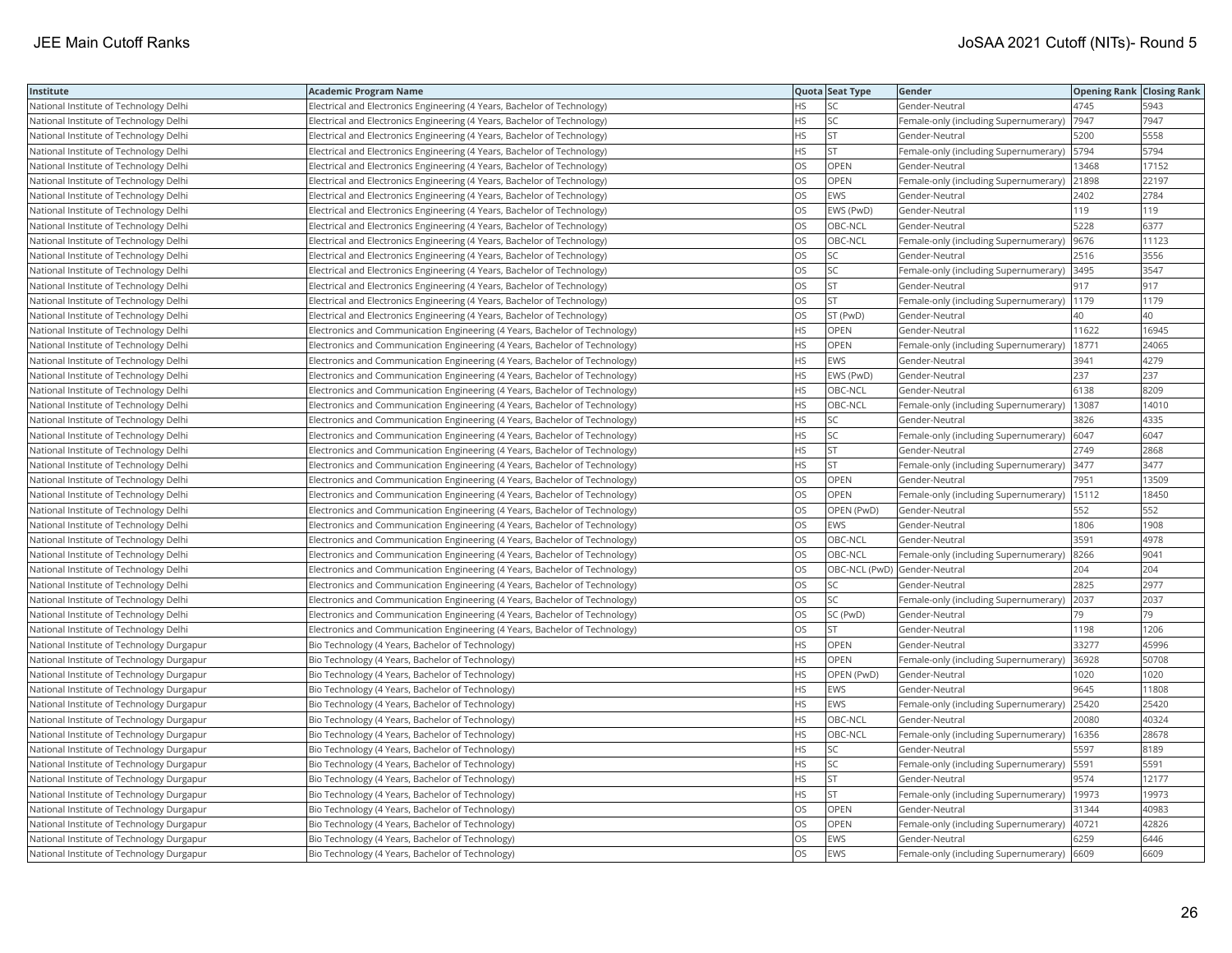| Institute                                 | <b>Academic Program Name</b>                                                |           | Quota Seat Type              | Gender                                        | <b>Opening Rank   Closing Rank</b> |       |
|-------------------------------------------|-----------------------------------------------------------------------------|-----------|------------------------------|-----------------------------------------------|------------------------------------|-------|
| National Institute of Technology Delhi    | Electrical and Electronics Engineering (4 Years, Bachelor of Technology)    | <b>HS</b> | SC.                          | Gender-Neutral                                | 4745                               | 5943  |
| National Institute of Technology Delhi    | Electrical and Electronics Engineering (4 Years, Bachelor of Technology)    | <b>HS</b> | <b>SC</b>                    | Female-only (including Supernumerary)         | 7947                               | 7947  |
| National Institute of Technology Delhi    | Electrical and Electronics Engineering (4 Years, Bachelor of Technology)    | <b>HS</b> | <b>ST</b>                    | Gender-Neutral                                | 5200                               | 5558  |
| National Institute of Technology Delhi    | Electrical and Electronics Engineering (4 Years, Bachelor of Technology)    | <b>HS</b> | <b>ST</b>                    | Female-only (including Supernumerary)   5794  |                                    | 5794  |
| National Institute of Technology Delhi    | Electrical and Electronics Engineering (4 Years, Bachelor of Technology)    | OS        | OPEN                         | Gender-Neutral                                | 13468                              | 17152 |
| National Institute of Technology Delhi    | Electrical and Electronics Engineering (4 Years, Bachelor of Technology)    | <b>OS</b> | <b>OPEN</b>                  | Female-only (including Supernumerary) 21898   |                                    | 22197 |
| National Institute of Technology Delhi    | Electrical and Electronics Engineering (4 Years, Bachelor of Technology)    | OS        | <b>EWS</b>                   | Gender-Neutral                                | 2402                               | 2784  |
| National Institute of Technology Delhi    | Electrical and Electronics Engineering (4 Years, Bachelor of Technology)    | OS        | EWS (PwD)                    | Gender-Neutral                                | 119                                | 119   |
| National Institute of Technology Delhi    | Electrical and Electronics Engineering (4 Years, Bachelor of Technology)    | <b>OS</b> | OBC-NCL                      | Gender-Neutral                                | 5228                               | 6377  |
| National Institute of Technology Delhi    | Electrical and Electronics Engineering (4 Years, Bachelor of Technology)    | <b>OS</b> | OBC-NCL                      | Female-only (including Supernumerary)         | 9676                               | 11123 |
| National Institute of Technology Delhi    | Electrical and Electronics Engineering (4 Years, Bachelor of Technology)    | OS        | SC                           | Gender-Neutral                                | 2516                               | 3556  |
| National Institute of Technology Delhi    | Electrical and Electronics Engineering (4 Years, Bachelor of Technology)    | OS        | SC.                          | Female-only (including Supernumerary) 3495    |                                    | 3547  |
| National Institute of Technology Delhi    | Electrical and Electronics Engineering (4 Years, Bachelor of Technology)    | OS        | <b>ST</b>                    | Gender-Neutral                                | 917                                | 917   |
| National Institute of Technology Delhi    | Electrical and Electronics Engineering (4 Years, Bachelor of Technology)    | OS        | İst                          | Female-only (including Supernumerary)         | 1179                               | 1179  |
| National Institute of Technology Delhi    | Electrical and Electronics Engineering (4 Years, Bachelor of Technology)    | OS        | ST (PwD)                     | Gender-Neutral                                | 40                                 | 40    |
| National Institute of Technology Delhi    | Electronics and Communication Engineering (4 Years, Bachelor of Technology) | <b>HS</b> | OPEN                         | Gender-Neutral                                | 11622                              | 16945 |
| National Institute of Technology Delhi    | Electronics and Communication Engineering (4 Years, Bachelor of Technology) | <b>HS</b> | OPEN                         | Female-only (including Supernumerary)         | 18771                              | 24065 |
| National Institute of Technology Delhi    | Electronics and Communication Engineering (4 Years, Bachelor of Technology) | <b>HS</b> | <b>EWS</b>                   | Gender-Neutral                                | 3941                               | 4279  |
| National Institute of Technology Delhi    | Electronics and Communication Engineering (4 Years, Bachelor of Technology) | <b>HS</b> | EWS (PwD)                    | Gender-Neutral                                | 237                                | 237   |
| National Institute of Technology Delhi    | Electronics and Communication Engineering (4 Years, Bachelor of Technology) | <b>HS</b> | OBC-NCL                      | Gender-Neutral                                | 6138                               | 8209  |
| National Institute of Technology Delhi    | Electronics and Communication Engineering (4 Years, Bachelor of Technology) | <b>HS</b> | OBC-NCL                      | Female-only (including Supernumerary)   13087 |                                    | 14010 |
| National Institute of Technology Delhi    | Electronics and Communication Engineering (4 Years, Bachelor of Technology) | <b>HS</b> | lsc                          | Gender-Neutral                                | 3826                               | 4335  |
| National Institute of Technology Delhi    | Electronics and Communication Engineering (4 Years, Bachelor of Technology) | HS        | SC                           | Female-only (including Supernumerary)         | 6047                               | 6047  |
| National Institute of Technology Delhi    | Electronics and Communication Engineering (4 Years, Bachelor of Technology) | <b>HS</b> | İst                          | Gender-Neutral                                | 2749                               | 2868  |
| National Institute of Technology Delhi    | Electronics and Communication Engineering (4 Years, Bachelor of Technology) | <b>HS</b> | <b>ST</b>                    | Female-only (including Supernumerary)         | 3477                               | 3477  |
| National Institute of Technology Delhi    | Electronics and Communication Engineering (4 Years, Bachelor of Technology) | OS        | OPEN                         | Gender-Neutral                                | 7951                               | 13509 |
| National Institute of Technology Delhi    | Electronics and Communication Engineering (4 Years, Bachelor of Technology) | <b>OS</b> | <b>OPEN</b>                  | Female-only (including Supernumerary)         | 15112                              | 18450 |
| National Institute of Technology Delhi    | Electronics and Communication Engineering (4 Years, Bachelor of Technology) | <b>OS</b> | OPEN (PwD)                   | Gender-Neutral                                | 552                                | 552   |
| National Institute of Technology Delhi    | Electronics and Communication Engineering (4 Years, Bachelor of Technology) | <b>OS</b> | <b>EWS</b>                   | Gender-Neutral                                | 1806                               | 1908  |
| National Institute of Technology Delhi    | Electronics and Communication Engineering (4 Years, Bachelor of Technology) | OS        | OBC-NCL                      | Gender-Neutral                                | 3591                               | 4978  |
| National Institute of Technology Delhi    | Electronics and Communication Engineering (4 Years, Bachelor of Technology) | OS        | OBC-NCL                      | Female-only (including Supernumerary)         | 8266                               | 9041  |
| National Institute of Technology Delhi    | Electronics and Communication Engineering (4 Years, Bachelor of Technology) | OS        | OBC-NCL (PwD) Gender-Neutral |                                               | 204                                | 204   |
| National Institute of Technology Delhi    | Electronics and Communication Engineering (4 Years, Bachelor of Technology) | <b>OS</b> | SC                           | Gender-Neutral                                | 2825                               | 2977  |
| National Institute of Technology Delhi    | Electronics and Communication Engineering (4 Years, Bachelor of Technology) | OS        | lsc.                         | Female-only (including Supernumerary)         | 2037                               | 2037  |
| National Institute of Technology Delhi    | Electronics and Communication Engineering (4 Years, Bachelor of Technology) | los       | SC (PwD)                     | Gender-Neutral                                | 79                                 | 79    |
| National Institute of Technology Delhi    | Electronics and Communication Engineering (4 Years, Bachelor of Technology) | <b>OS</b> | <b>ST</b>                    | Gender-Neutral                                | 1198                               | 1206  |
| National Institute of Technology Durgapur | Bio Technology (4 Years, Bachelor of Technology)                            | <b>HS</b> | OPEN                         | Gender-Neutral                                | 33277                              | 45996 |
| National Institute of Technology Durgapur | Bio Technology (4 Years, Bachelor of Technology)                            | <b>HS</b> | OPEN                         | Female-only (including Supernumerary) 36928   |                                    | 50708 |
| National Institute of Technology Durgapur | Bio Technology (4 Years, Bachelor of Technology)                            | <b>HS</b> | OPEN (PwD)                   | Gender-Neutral                                | 1020                               | 1020  |
| National Institute of Technology Durgapur | Bio Technology (4 Years, Bachelor of Technology)                            | <b>HS</b> | <b>EWS</b>                   | Gender-Neutral                                | 9645                               | 11808 |
| National Institute of Technology Durgapur | Bio Technology (4 Years, Bachelor of Technology)                            | <b>HS</b> | EWS                          | Female-only (including Supernumerary) 25420   |                                    | 25420 |
| National Institute of Technology Durgapur | Bio Technology (4 Years, Bachelor of Technology)                            | <b>HS</b> | OBC-NCL                      | Gender-Neutral                                | 20080                              | 40324 |
| National Institute of Technology Durgapur | Bio Technology (4 Years, Bachelor of Technology)                            | <b>HS</b> | OBC-NCL                      | Female-only (including Supernumerary)         | 16356                              | 28678 |
| National Institute of Technology Durgapur | Bio Technology (4 Years, Bachelor of Technology)                            | <b>HS</b> | SC                           | Gender-Neutral                                | 5597                               | 8189  |
| National Institute of Technology Durgapur | Bio Technology (4 Years, Bachelor of Technology)                            | <b>HS</b> | SC.                          | Female-only (including Supernumerary)   5591  |                                    | 5591  |
| National Institute of Technology Durgapur | Bio Technology (4 Years, Bachelor of Technology)                            | <b>HS</b> | <b>ST</b>                    | Gender-Neutral                                | 9574                               | 12177 |
| National Institute of Technology Durgapur | Bio Technology (4 Years, Bachelor of Technology)                            | <b>HS</b> | İst                          | Female-only (including Supernumerary)         | 19973                              | 19973 |
| National Institute of Technology Durgapur | Bio Technology (4 Years, Bachelor of Technology)                            | OS        | OPEN                         | Gender-Neutral                                | 31344                              | 40983 |
| National Institute of Technology Durgapur | Bio Technology (4 Years, Bachelor of Technology)                            | OS        | OPEN                         | Female-only (including Supernumerary)  40721  |                                    | 42826 |
| National Institute of Technology Durgapur | Bio Technology (4 Years, Bachelor of Technology)                            | OS        | <b>EWS</b>                   | Gender-Neutral                                | 6259                               | 6446  |
| National Institute of Technology Durgapur | Bio Technology (4 Years, Bachelor of Technology)                            | los       | <b>EWS</b>                   | Female-only (including Supernumerary) 6609    |                                    | 6609  |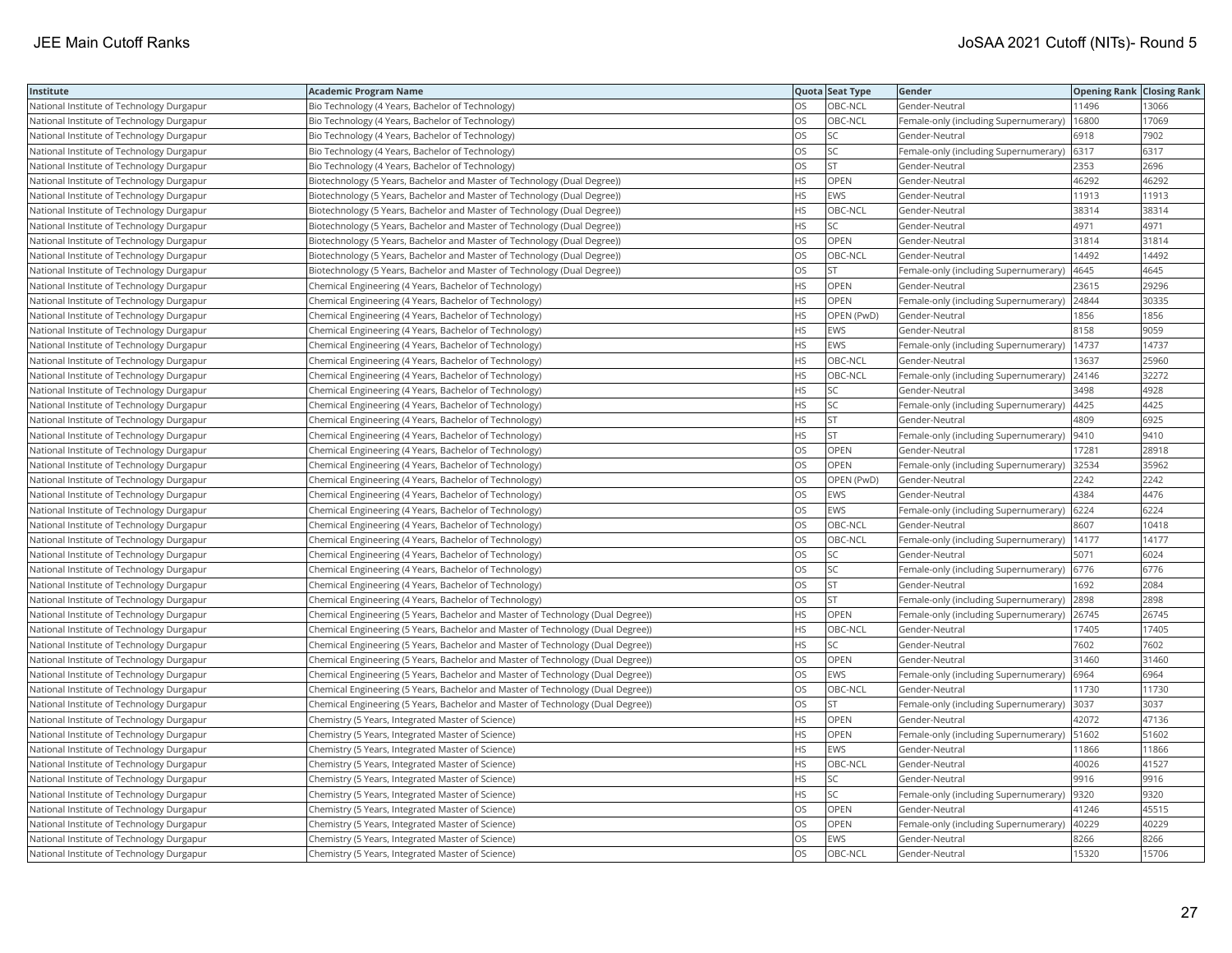| Institute                                 | <b>Academic Program Name</b>                                                    |           | Quota Seat Type | Gender                                       | <b>Opening Rank   Closing Rank</b> |       |
|-------------------------------------------|---------------------------------------------------------------------------------|-----------|-----------------|----------------------------------------------|------------------------------------|-------|
| National Institute of Technology Durgapur | Bio Technology (4 Years, Bachelor of Technology)                                | <b>OS</b> | OBC-NCL         | Gender-Neutral                               | 11496                              | 13066 |
| National Institute of Technology Durgapur | Bio Technology (4 Years, Bachelor of Technology)                                | <b>OS</b> | OBC-NCL         | Female-only (including Supernumerary)        | 16800                              | 17069 |
| National Institute of Technology Durgapur | Bio Technology (4 Years, Bachelor of Technology)                                | OS        | SC.             | Gender-Neutral                               | 6918                               | 7902  |
| National Institute of Technology Durgapur | Bio Technology (4 Years, Bachelor of Technology)                                | OS        | <b>SC</b>       | Female-only (including Supernumerary)   6317 |                                    | 6317  |
| National Institute of Technology Durgapur | Bio Technology (4 Years, Bachelor of Technology)                                | OS        | <b>ST</b>       | Gender-Neutral                               | 2353                               | 2696  |
| National Institute of Technology Durgapur | Biotechnology (5 Years, Bachelor and Master of Technology (Dual Degree))        | <b>HS</b> | OPEN            | Gender-Neutral                               | 46292                              | 46292 |
| National Institute of Technology Durgapur | Biotechnology (5 Years, Bachelor and Master of Technology (Dual Degree))        | <b>HS</b> | EWS             | Gender-Neutral                               | 11913                              | 11913 |
| National Institute of Technology Durgapur | Biotechnology (5 Years, Bachelor and Master of Technology (Dual Degree))        | <b>HS</b> | OBC-NCL         | Gender-Neutral                               | 38314                              | 38314 |
| National Institute of Technology Durgapur | Biotechnology (5 Years, Bachelor and Master of Technology (Dual Degree))        | <b>HS</b> | SC.             | Gender-Neutral                               | 4971                               | 4971  |
| National Institute of Technology Durgapur | Biotechnology (5 Years, Bachelor and Master of Technology (Dual Degree))        | <b>OS</b> | OPEN            | Gender-Neutral                               | 31814                              | 31814 |
| National Institute of Technology Durgapur | Biotechnology (5 Years, Bachelor and Master of Technology (Dual Degree))        | <b>OS</b> | OBC-NCL         | Gender-Neutral                               | 14492                              | 14492 |
| National Institute of Technology Durgapur | Biotechnology (5 Years, Bachelor and Master of Technology (Dual Degree))        | OS        | <b>ST</b>       | Female-only (including Supernumerary)        | 4645                               | 4645  |
| National Institute of Technology Durgapur | Chemical Engineering (4 Years, Bachelor of Technology)                          | <b>HS</b> | OPEN            | Gender-Neutral                               | 23615                              | 29296 |
| National Institute of Technology Durgapur | Chemical Engineering (4 Years, Bachelor of Technology)                          | HS        | OPEN            | Female-only (including Supernumerary)        | 24844                              | 30335 |
| National Institute of Technology Durgapur | Chemical Engineering (4 Years, Bachelor of Technology)                          | <b>HS</b> | OPEN (PwD)      | Gender-Neutral                               | 1856                               | 1856  |
| National Institute of Technology Durgapur | Chemical Engineering (4 Years, Bachelor of Technology)                          | <b>HS</b> | EWS             | Gender-Neutral                               | 8158                               | 9059  |
| National Institute of Technology Durgapur | Chemical Engineering (4 Years, Bachelor of Technology)                          | <b>HS</b> | EWS             | Female-only (including Supernumerary)        | 14737                              | 14737 |
| National Institute of Technology Durgapur | Chemical Engineering (4 Years, Bachelor of Technology)                          | <b>HS</b> | OBC-NCL         | Gender-Neutral                               | 13637                              | 25960 |
| National Institute of Technology Durgapur | Chemical Engineering (4 Years, Bachelor of Technology)                          | <b>HS</b> | OBC-NCL         | Female-only (including Supernumerary)        | 24146                              | 32272 |
| National Institute of Technology Durgapur | Chemical Engineering (4 Years, Bachelor of Technology)                          | <b>HS</b> | SC              | Gender-Neutral                               | 3498                               | 4928  |
| National Institute of Technology Durgapur | Chemical Engineering (4 Years, Bachelor of Technology)                          | <b>HS</b> | SC.             | Female-only (including Supernumerary)        | 4425                               | 4425  |
| National Institute of Technology Durgapur | Chemical Engineering (4 Years, Bachelor of Technology)                          | HS        | <b>ST</b>       | Gender-Neutral                               | 4809                               | 6925  |
| National Institute of Technology Durgapur | Chemical Engineering (4 Years, Bachelor of Technology)                          | <b>HS</b> | <b>ST</b>       | Female-only (including Supernumerary)        | 9410                               | 9410  |
| National Institute of Technology Durgapur | Chemical Engineering (4 Years, Bachelor of Technology)                          | OS        | OPEN            | Gender-Neutral                               | 17281                              | 28918 |
| National Institute of Technology Durgapur | Chemical Engineering (4 Years, Bachelor of Technology)                          | <b>OS</b> | OPEN            | Female-only (including Supernumerary)        | 32534                              | 35962 |
| National Institute of Technology Durgapur | Chemical Engineering (4 Years, Bachelor of Technology)                          | OS        | OPEN (PwD)      | Gender-Neutral                               | 2242                               | 2242  |
| National Institute of Technology Durgapur | Chemical Engineering (4 Years, Bachelor of Technology)                          | OS        | <b>EWS</b>      | Gender-Neutral                               | 4384                               | 4476  |
| National Institute of Technology Durgapur | Chemical Engineering (4 Years, Bachelor of Technology)                          | OS        | EWS             | Female-only (including Supernumerary)        | 6224                               | 6224  |
| National Institute of Technology Durgapur | Chemical Engineering (4 Years, Bachelor of Technology)                          | OS        | OBC-NCL         | Gender-Neutral                               | 8607                               | 10418 |
| National Institute of Technology Durgapur | Chemical Engineering (4 Years, Bachelor of Technology)                          | OS        | OBC-NCL         | Female-only (including Supernumerary)        | 14177                              | 14177 |
| National Institute of Technology Durgapur | Chemical Engineering (4 Years, Bachelor of Technology)                          | OS        | SC              | Gender-Neutral                               | 5071                               | 6024  |
| National Institute of Technology Durgapur | Chemical Engineering (4 Years, Bachelor of Technology)                          | OS        | SC.             | Female-only (including Supernumerary)        | 6776                               | 6776  |
| National Institute of Technology Durgapur | Chemical Engineering (4 Years, Bachelor of Technology)                          | <b>OS</b> | lst             | Gender-Neutral                               | 1692                               | 2084  |
| National Institute of Technology Durgapur | Chemical Engineering (4 Years, Bachelor of Technology)                          | OS        | <b>ST</b>       | Female-only (including Supernumerary)        | 2898                               | 2898  |
| National Institute of Technology Durgapur | Chemical Engineering (5 Years, Bachelor and Master of Technology (Dual Degree)) | <b>HS</b> | OPEN            | Female-only (including Supernumerary)        | 26745                              | 26745 |
| National Institute of Technology Durgapur | Chemical Engineering (5 Years, Bachelor and Master of Technology (Dual Degree)) | <b>HS</b> | OBC-NCL         | Gender-Neutral                               | 17405                              | 17405 |
| National Institute of Technology Durgapur | Chemical Engineering (5 Years, Bachelor and Master of Technology (Dual Degree)) | <b>HS</b> | SC              | Gender-Neutral                               | 7602                               | 7602  |
| National Institute of Technology Durgapur | Chemical Engineering (5 Years, Bachelor and Master of Technology (Dual Degree)) | <b>OS</b> | <b>OPEN</b>     | Gender-Neutral                               | 31460                              | 31460 |
| National Institute of Technology Durgapur | Chemical Engineering (5 Years, Bachelor and Master of Technology (Dual Degree)) | OS        | EWS             | Female-only (including Supernumerary)        | 6964                               | 6964  |
| National Institute of Technology Durgapur | Chemical Engineering (5 Years, Bachelor and Master of Technology (Dual Degree)) | OS        | OBC-NCL         | Gender-Neutral                               | 11730                              | 11730 |
| National Institute of Technology Durgapur | Chemical Engineering (5 Years, Bachelor and Master of Technology (Dual Degree)) | <b>OS</b> | lst             | Female-only (including Supernumerary)        | 3037                               | 3037  |
| National Institute of Technology Durgapur | Chemistry (5 Years, Integrated Master of Science)                               | <b>HS</b> | OPEN            | Gender-Neutral                               | 42072                              | 47136 |
| National Institute of Technology Durgapur | Chemistry (5 Years, Integrated Master of Science)                               | <b>HS</b> | OPEN            | Female-only (including Supernumerary)        | 51602                              | 51602 |
| National Institute of Technology Durgapur | Chemistry (5 Years, Integrated Master of Science)                               | <b>HS</b> | EWS             | Gender-Neutral                               | 11866                              | 11866 |
| National Institute of Technology Durgapur | Chemistry (5 Years, Integrated Master of Science)                               | <b>HS</b> | OBC-NCL         | Gender-Neutral                               | 40026                              | 41527 |
| National Institute of Technology Durgapur | Chemistry (5 Years, Integrated Master of Science)                               | <b>HS</b> | SC              | Gender-Neutral                               | 9916                               | 9916  |
| National Institute of Technology Durgapur | Chemistry (5 Years, Integrated Master of Science)                               | <b>HS</b> | SC.             | Female-only (including Supernumerary)        | 9320                               | 9320  |
| National Institute of Technology Durgapur | Chemistry (5 Years, Integrated Master of Science)                               | OS        | OPEN            | Gender-Neutral                               | 41246                              | 45515 |
| National Institute of Technology Durgapur | Chemistry (5 Years, Integrated Master of Science)                               | <b>OS</b> | OPEN            | Female-only (including Supernumerary)        | 40229                              | 40229 |
| National Institute of Technology Durgapur | Chemistry (5 Years, Integrated Master of Science)                               | OS        | EWS             | Gender-Neutral                               | 8266                               | 8266  |
| National Institute of Technology Durgapur | Chemistry (5 Years, Integrated Master of Science)                               | <b>OS</b> | OBC-NCL         | Gender-Neutral                               | 15320                              | 15706 |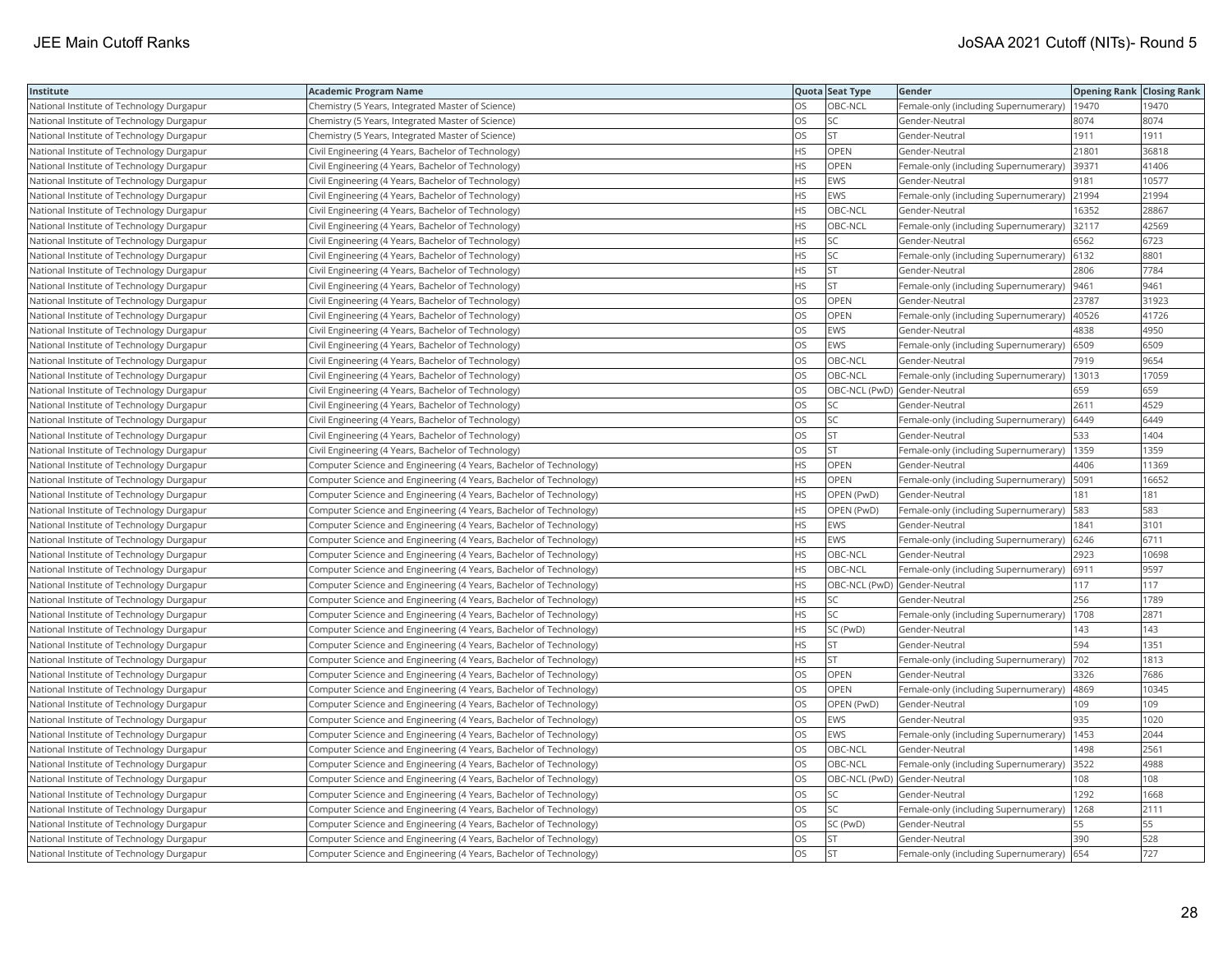| Institute                                 | <b>Academic Program Name</b>                                       |           | Quota Seat Type              | Gender                                        | <b>Opening Rank Closing Rank</b> |       |
|-------------------------------------------|--------------------------------------------------------------------|-----------|------------------------------|-----------------------------------------------|----------------------------------|-------|
| National Institute of Technology Durgapur | Chemistry (5 Years, Integrated Master of Science)                  | OS        | OBC-NCL                      | Female-only (including Supernumerary)         | 19470                            | 19470 |
| National Institute of Technology Durgapur | Chemistry (5 Years, Integrated Master of Science)                  | OS        | <b>SC</b>                    | Gender-Neutral                                | 8074                             | 8074  |
| National Institute of Technology Durgapur | Chemistry (5 Years, Integrated Master of Science)                  | OS        | <b>ST</b>                    | Gender-Neutral                                | 1911                             | 1911  |
| National Institute of Technology Durgapur | Civil Engineering (4 Years, Bachelor of Technology)                | HS        | OPEN                         | Gender-Neutral                                | 21801                            | 36818 |
| National Institute of Technology Durgapur | Civil Engineering (4 Years, Bachelor of Technology)                | <b>HS</b> | <b>OPEN</b>                  | Female-only (including Supernumerary)         | 39371                            | 41406 |
| National Institute of Technology Durgapur | Civil Engineering (4 Years, Bachelor of Technology)                | HS        | <b>EWS</b>                   | Gender-Neutral                                | 9181                             | 10577 |
| National Institute of Technology Durgapur | Civil Engineering (4 Years, Bachelor of Technology)                | ΗS        | EWS                          | Female-only (including Supernumerary) 21994   |                                  | 21994 |
| National Institute of Technology Durgapur | Civil Engineering (4 Years, Bachelor of Technology)                | <b>HS</b> | OBC-NCL                      | Gender-Neutral                                | 16352                            | 28867 |
| National Institute of Technology Durgapur | Civil Engineering (4 Years, Bachelor of Technology)                | HS        | OBC-NCL                      | Female-only (including Supernumerary)         | 32117                            | 42569 |
| National Institute of Technology Durgapur | Civil Engineering (4 Years, Bachelor of Technology)                | <b>HS</b> | <b>SC</b>                    | Gender-Neutral                                | 6562                             | 6723  |
| National Institute of Technology Durgapur | Civil Engineering (4 Years, Bachelor of Technology)                | HS        | SC                           | Female-only (including Supernumerary)         | 6132                             | 8801  |
| National Institute of Technology Durgapur | Civil Engineering (4 Years, Bachelor of Technology)                | HS        | <b>ST</b>                    | Gender-Neutral                                | 2806                             | 7784  |
| National Institute of Technology Durgapur | Civil Engineering (4 Years, Bachelor of Technology)                | <b>HS</b> | <b>ST</b>                    | Female-only (including Supernumerary)         | 9461                             | 9461  |
| National Institute of Technology Durgapur | Civil Engineering (4 Years, Bachelor of Technology)                | OS        | OPEN                         | Gender-Neutral                                | 23787                            | 31923 |
| National Institute of Technology Durgapur | Civil Engineering (4 Years, Bachelor of Technology)                | OS        | OPEN                         | Female-only (including Supernumerary)   40526 |                                  | 41726 |
| National Institute of Technology Durgapur | Civil Engineering (4 Years, Bachelor of Technology)                | OS        | <b>EWS</b>                   | Gender-Neutral                                | 4838                             | 4950  |
| National Institute of Technology Durgapur | Civil Engineering (4 Years, Bachelor of Technology)                | OS        | <b>EWS</b>                   | Female-only (including Supernumerary)         | 6509                             | 6509  |
| National Institute of Technology Durgapur | Civil Engineering (4 Years, Bachelor of Technology)                | OS        | OBC-NCL                      | Gender-Neutral                                | 7919                             | 9654  |
| National Institute of Technology Durgapur | Civil Engineering (4 Years, Bachelor of Technology)                | OS        | OBC-NCL                      | Female-only (including Supernumerary)         | 13013                            | 17059 |
| National Institute of Technology Durgapur | Civil Engineering (4 Years, Bachelor of Technology)                | OS        | OBC-NCL (PwD) Gender-Neutral |                                               | 659                              | 659   |
| National Institute of Technology Durgapur | Civil Engineering (4 Years, Bachelor of Technology)                | OS        | <b>SC</b>                    | Gender-Neutral                                | 2611                             | 4529  |
| National Institute of Technology Durgapur | Civil Engineering (4 Years, Bachelor of Technology)                | OS        | SC                           | Female-only (including Supernumerary) 6449    |                                  | 6449  |
| National Institute of Technology Durgapur | Civil Engineering (4 Years, Bachelor of Technology)                | OS        | ST                           | Gender-Neutral                                | 533                              | 1404  |
| National Institute of Technology Durgapur | Civil Engineering (4 Years, Bachelor of Technology)                | OS        | <b>ST</b>                    | Female-only (including Supernumerary)   1359  |                                  | 1359  |
| National Institute of Technology Durgapur | Computer Science and Engineering (4 Years, Bachelor of Technology) | HS        | OPEN                         | Gender-Neutral                                | 4406                             | 11369 |
| National Institute of Technology Durgapur | Computer Science and Engineering (4 Years, Bachelor of Technology) | <b>HS</b> | OPEN                         | Female-only (including Supernumerary)         | 5091                             | 16652 |
| National Institute of Technology Durgapur | Computer Science and Engineering (4 Years, Bachelor of Technology) | HS        | OPEN (PwD)                   | Gender-Neutral                                | 181                              | 181   |
| National Institute of Technology Durgapur | Computer Science and Engineering (4 Years, Bachelor of Technology) | HS        | OPEN (PwD)                   | Female-only (including Supernumerary)         | 583                              | 583   |
| National Institute of Technology Durgapur | Computer Science and Engineering (4 Years, Bachelor of Technology) | <b>HS</b> | <b>EWS</b>                   | Gender-Neutral                                | 1841                             | 3101  |
| National Institute of Technology Durgapur | Computer Science and Engineering (4 Years, Bachelor of Technology) | HS        | <b>EWS</b>                   | Female-only (including Supernumerary)   6246  |                                  | 6711  |
| National Institute of Technology Durgapur | Computer Science and Engineering (4 Years, Bachelor of Technology) | ΗS        | OBC-NCL                      | Gender-Neutral                                | 2923                             | 10698 |
| National Institute of Technology Durgapur | Computer Science and Engineering (4 Years, Bachelor of Technology) | HS        | OBC-NCL                      | Female-only (including Supernumerary) 6911    |                                  | 9597  |
| National Institute of Technology Durgapur | Computer Science and Engineering (4 Years, Bachelor of Technology) | HS        | OBC-NCL (PwD) Gender-Neutral |                                               | 117                              | 117   |
| National Institute of Technology Durgapur | Computer Science and Engineering (4 Years, Bachelor of Technology) | ΗS        | <b>SC</b>                    | Gender-Neutral                                | 256                              | 1789  |
| National Institute of Technology Durgapur | Computer Science and Engineering (4 Years, Bachelor of Technology) | HS        | SC                           | Female-only (including Supernumerary)   1708  |                                  | 2871  |
| National Institute of Technology Durgapur | Computer Science and Engineering (4 Years, Bachelor of Technology) | HS        | SC (PwD)                     | Gender-Neutral                                | 143                              | 143   |
| National Institute of Technology Durgapur | Computer Science and Engineering (4 Years, Bachelor of Technology) | <b>HS</b> | <b>ST</b>                    | Gender-Neutral                                | 594                              | 1351  |
| National Institute of Technology Durgapur | Computer Science and Engineering (4 Years, Bachelor of Technology) | HS        | <b>ST</b>                    | Female-only (including Supernumerary)         | 702                              | 1813  |
| National Institute of Technology Durgapur | Computer Science and Engineering (4 Years, Bachelor of Technology) | OS        | OPEN                         | Gender-Neutral                                | 3326                             | 7686  |
| National Institute of Technology Durgapur | Computer Science and Engineering (4 Years, Bachelor of Technology) | OS        | <b>OPEN</b>                  | Female-only (including Supernumerary)   4869  |                                  | 10345 |
| National Institute of Technology Durgapur | Computer Science and Engineering (4 Years, Bachelor of Technology) | OS        | OPEN (PwD)                   | Gender-Neutral                                | 109                              | 109   |
| National Institute of Technology Durgapur | Computer Science and Engineering (4 Years, Bachelor of Technology) | OS        | EWS                          | Gender-Neutral                                | 935                              | 1020  |
| National Institute of Technology Durgapur | Computer Science and Engineering (4 Years, Bachelor of Technology) | OS        | <b>EWS</b>                   | Female-only (including Supernumerary)         | 1453                             | 2044  |
| National Institute of Technology Durgapur | Computer Science and Engineering (4 Years, Bachelor of Technology) | OS        | OBC-NCL                      | Gender-Neutral                                | 1498                             | 2561  |
| National Institute of Technology Durgapur | Computer Science and Engineering (4 Years, Bachelor of Technology) | OS        | OBC-NCL                      | Female-only (including Supernumerary)         | 3522                             | 4988  |
| National Institute of Technology Durgapur | Computer Science and Engineering (4 Years, Bachelor of Technology) | OS        | OBC-NCL (PwD) Gender-Neutral |                                               | 108                              | 108   |
| National Institute of Technology Durgapur | Computer Science and Engineering (4 Years, Bachelor of Technology) | OS        | SC                           | Gender-Neutral                                | 1292                             | 1668  |
| National Institute of Technology Durgapur | Computer Science and Engineering (4 Years, Bachelor of Technology) | OS        | SC                           | Female-only (including Supernumerary)   1268  |                                  | 2111  |
| National Institute of Technology Durgapur | Computer Science and Engineering (4 Years, Bachelor of Technology) | OS        | SC (PwD)                     | Gender-Neutral                                | 55                               | 55    |
| National Institute of Technology Durgapur | Computer Science and Engineering (4 Years, Bachelor of Technology) | OS        | <b>ST</b>                    | Gender-Neutral                                | 390                              | 528   |
| National Institute of Technology Durgapur | Computer Science and Engineering (4 Years, Bachelor of Technology) | <b>OS</b> | İst                          | Female-only (including Supernumerary) 654     |                                  | 727   |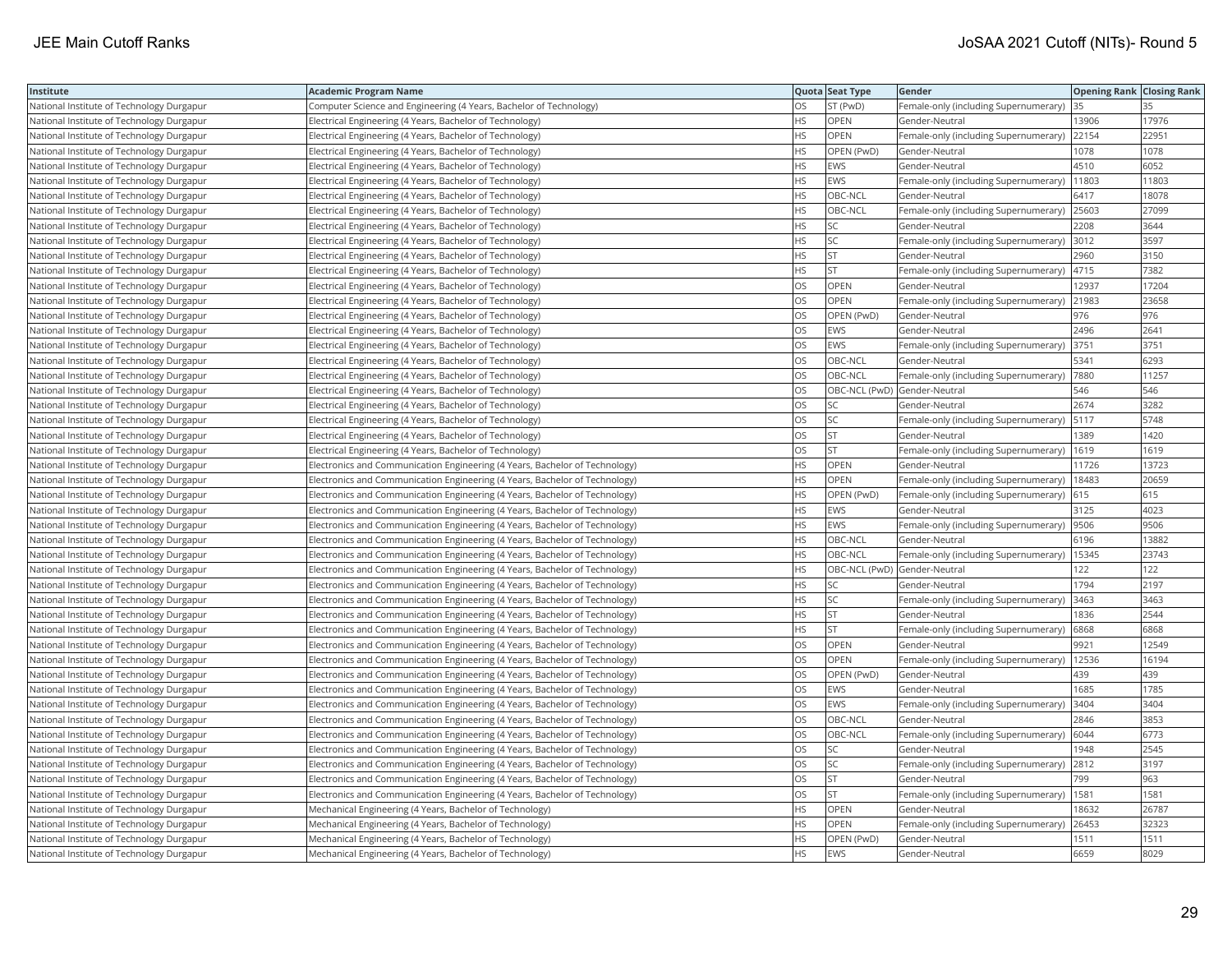| Institute                                 | Academic Program Name                                                       |           | Quota Seat Type | Gender                                        | <b>Opening Rank   Closing Rank</b> |       |
|-------------------------------------------|-----------------------------------------------------------------------------|-----------|-----------------|-----------------------------------------------|------------------------------------|-------|
| National Institute of Technology Durgapur | Computer Science and Engineering (4 Years, Bachelor of Technology)          | OS        | ST (PwD)        | Female-only (including Supernumerary)         | 35                                 |       |
| National Institute of Technology Durgapur | Electrical Engineering (4 Years, Bachelor of Technology)                    | <b>HS</b> | OPEN            | Gender-Neutral                                | 13906                              | 17976 |
| National Institute of Technology Durgapur | Electrical Engineering (4 Years, Bachelor of Technology)                    | HS.       | <b>OPEN</b>     | Female-only (including Supernumerary)         | 22154                              | 22951 |
| National Institute of Technology Durgapur | Electrical Engineering (4 Years, Bachelor of Technology)                    | HS        | OPEN (PwD)      | Gender-Neutral                                | 1078                               | 1078  |
| National Institute of Technology Durgapur | Electrical Engineering (4 Years, Bachelor of Technology)                    | HS.       | <b>EWS</b>      | Gender-Neutral                                | 4510                               | 6052  |
| National Institute of Technology Durgapur | Electrical Engineering (4 Years, Bachelor of Technology)                    | HS        | <b>EWS</b>      | Female-only (including Supernumerary)         | 11803                              | 11803 |
| National Institute of Technology Durgapur | Electrical Engineering (4 Years, Bachelor of Technology)                    | HS        | OBC-NCL         | Gender-Neutral                                | 6417                               | 18078 |
| National Institute of Technology Durgapur | Electrical Engineering (4 Years, Bachelor of Technology)                    | HS.       | OBC-NCL         | Female-only (including Supernumerary)         | 25603                              | 27099 |
| National Institute of Technology Durgapur | Electrical Engineering (4 Years, Bachelor of Technology)                    | HS        | SC              | Gender-Neutral                                | 2208                               | 3644  |
| National Institute of Technology Durgapur | Electrical Engineering (4 Years, Bachelor of Technology)                    | ΗS        | SC              | Female-only (including Supernumerary)         | 3012                               | 3597  |
| National Institute of Technology Durgapur | Electrical Engineering (4 Years, Bachelor of Technology)                    | <b>HS</b> | <b>ST</b>       | Gender-Neutral                                | 2960                               | 3150  |
| National Institute of Technology Durgapur | Electrical Engineering (4 Years, Bachelor of Technology)                    | HS        | <b>ST</b>       | Female-only (including Supernumerary)         | 4715                               | 7382  |
| National Institute of Technology Durgapur | Electrical Engineering (4 Years, Bachelor of Technology)                    | OS        | OPEN            | Gender-Neutral                                | 12937                              | 17204 |
| National Institute of Technology Durgapur | Electrical Engineering (4 Years, Bachelor of Technology)                    | OS        | OPEN            | Female-only (including Supernumerary)         | 21983                              | 23658 |
| National Institute of Technology Durgapur | Electrical Engineering (4 Years, Bachelor of Technology)                    | OS        | OPEN (PwD)      | Gender-Neutral                                | 976                                | 976   |
| National Institute of Technology Durgapur | Electrical Engineering (4 Years, Bachelor of Technology)                    | OS        | EWS             | Gender-Neutral                                | 2496                               | 2641  |
| National Institute of Technology Durgapur | Electrical Engineering (4 Years, Bachelor of Technology)                    | OS        | <b>EWS</b>      | Female-only (including Supernumerary)         | 3751                               | 3751  |
| National Institute of Technology Durgapur | Electrical Engineering (4 Years, Bachelor of Technology)                    | OS        | OBC-NCL         | Gender-Neutral                                | 5341                               | 6293  |
| National Institute of Technology Durgapur | Electrical Engineering (4 Years, Bachelor of Technology)                    | OS        | OBC-NCL         | Female-only (including Supernumerary)         | 7880                               | 11257 |
| National Institute of Technology Durgapur | Electrical Engineering (4 Years, Bachelor of Technology)                    | OS        |                 | OBC-NCL (PwD) Gender-Neutral                  | 546                                | 546   |
| National Institute of Technology Durgapur | Electrical Engineering (4 Years, Bachelor of Technology)                    | OS        | SC              | Gender-Neutral                                | 2674                               | 3282  |
| National Institute of Technology Durgapur | Electrical Engineering (4 Years, Bachelor of Technology)                    | OS        | SC              | Female-only (including Supernumerary)  5117   |                                    | 5748  |
| National Institute of Technology Durgapur | Electrical Engineering (4 Years, Bachelor of Technology)                    | OS.       | <b>ST</b>       | Gender-Neutral                                | 1389                               | 1420  |
| National Institute of Technology Durgapur | Electrical Engineering (4 Years, Bachelor of Technology)                    | OS        | <b>ST</b>       | Female-only (including Supernumerary)         | 1619                               | 1619  |
| National Institute of Technology Durgapur | Electronics and Communication Engineering (4 Years, Bachelor of Technology) | HS.       | OPEN            | Gender-Neutral                                | 11726                              | 13723 |
| National Institute of Technology Durgapur | Electronics and Communication Engineering (4 Years, Bachelor of Technology) | <b>HS</b> | <b>OPEN</b>     | Female-only (including Supernumerary)         | 18483                              | 20659 |
| National Institute of Technology Durgapur | Electronics and Communication Engineering (4 Years, Bachelor of Technology) | HS.       | OPEN (PwD)      | Female-only (including Supernumerary)         | 615                                | 615   |
| National Institute of Technology Durgapur | Electronics and Communication Engineering (4 Years, Bachelor of Technology) | HS.       | EWS             | Gender-Neutral                                | 3125                               | 4023  |
| National Institute of Technology Durgapur | Electronics and Communication Engineering (4 Years, Bachelor of Technology) | HS.       | <b>EWS</b>      | Female-only (including Supernumerary)  9506   |                                    | 9506  |
| National Institute of Technology Durgapur | Electronics and Communication Engineering (4 Years, Bachelor of Technology) | HS.       | OBC-NCL         | Gender-Neutral                                | 6196                               | 13882 |
| National Institute of Technology Durgapur | Electronics and Communication Engineering (4 Years, Bachelor of Technology) | HS.       | OBC-NCL         | Female-only (including Supernumerary)   15345 |                                    | 23743 |
| National Institute of Technology Durgapur | Electronics and Communication Engineering (4 Years, Bachelor of Technology) | HS        |                 | OBC-NCL (PwD) Gender-Neutral                  | 122                                | 122   |
| National Institute of Technology Durgapur | Electronics and Communication Engineering (4 Years, Bachelor of Technology) | HS        | SC              | Gender-Neutral                                | 1794                               | 2197  |
| National Institute of Technology Durgapur | Electronics and Communication Engineering (4 Years, Bachelor of Technology) | HS        | SC              | Female-only (including Supernumerary)         | 3463                               | 3463  |
| National Institute of Technology Durgapur | Electronics and Communication Engineering (4 Years, Bachelor of Technology) | HS.       | <b>ST</b>       | Gender-Neutral                                | 1836                               | 2544  |
| National Institute of Technology Durgapur | Electronics and Communication Engineering (4 Years, Bachelor of Technology) | HS.       | <b>ST</b>       | Female-only (including Supernumerary)         | 6868                               | 6868  |
| National Institute of Technology Durgapur | Electronics and Communication Engineering (4 Years, Bachelor of Technology) | OS        | OPEN            | Gender-Neutral                                | 9921                               | 12549 |
| National Institute of Technology Durgapur | Electronics and Communication Engineering (4 Years, Bachelor of Technology) | OS.       | <b>OPEN</b>     | Female-only (including Supernumerary)   12536 |                                    | 16194 |
| National Institute of Technology Durgapur | Electronics and Communication Engineering (4 Years, Bachelor of Technology) | OS        | OPEN (PwD)      | Gender-Neutral                                | 439                                | 439   |
| National Institute of Technology Durgapur | Electronics and Communication Engineering (4 Years, Bachelor of Technology) | OS.       | EWS             | Gender-Neutral                                | 1685                               | 1785  |
| National Institute of Technology Durgapur | Electronics and Communication Engineering (4 Years, Bachelor of Technology) | OS        | <b>EWS</b>      | Female-only (including Supernumerary)         | 3404                               | 3404  |
| National Institute of Technology Durgapur | Electronics and Communication Engineering (4 Years, Bachelor of Technology) | <b>OS</b> | OBC-NCL         | Gender-Neutral                                | 2846                               | 3853  |
| National Institute of Technology Durgapur | Electronics and Communication Engineering (4 Years, Bachelor of Technology) | OS.       | OBC-NCL         | Female-only (including Supernumerary)         | 6044                               | 6773  |
| National Institute of Technology Durgapur | Electronics and Communication Engineering (4 Years, Bachelor of Technology) | OS        | SC              | Gender-Neutral                                | 1948                               | 2545  |
| National Institute of Technology Durgapur | Electronics and Communication Engineering (4 Years, Bachelor of Technology) | OS        | SC.             | Female-only (including Supernumerary) 2812    |                                    | 3197  |
| National Institute of Technology Durgapur | Electronics and Communication Engineering (4 Years, Bachelor of Technology) | OS        | <b>ST</b>       | Gender-Neutral                                | 799                                | 963   |
| National Institute of Technology Durgapur | Electronics and Communication Engineering (4 Years, Bachelor of Technology) | OS        | <b>ST</b>       | Female-only (including Supernumerary)         | 1581                               | 1581  |
| National Institute of Technology Durgapur | Mechanical Engineering (4 Years, Bachelor of Technology)                    | HS.       | OPEN            | Gender-Neutral                                | 18632                              | 26787 |
| National Institute of Technology Durgapur | Mechanical Engineering (4 Years, Bachelor of Technology)                    | <b>HS</b> | OPEN            | Female-only (including Supernumerary)         | 26453                              | 32323 |
| National Institute of Technology Durgapur | Mechanical Engineering (4 Years, Bachelor of Technology)                    | HS.       | OPEN (PwD)      | Gender-Neutral                                | 1511                               | 1511  |
| National Institute of Technology Durgapur | Mechanical Engineering (4 Years, Bachelor of Technology)                    | HS        | <b>EWS</b>      | Gender-Neutral                                | 6659                               | 8029  |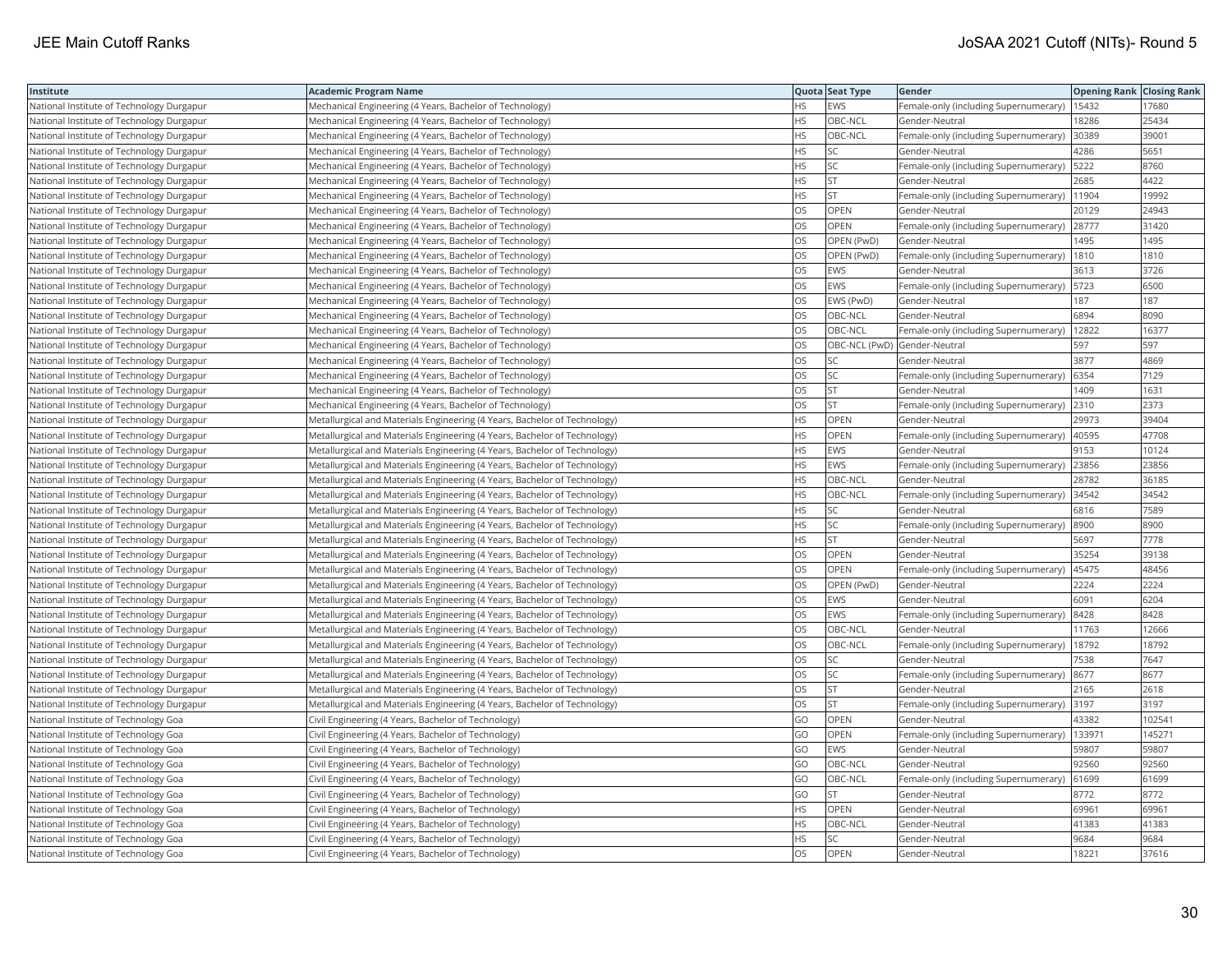| Institute                                 | Academic Program Name                                                     |           | Quota Seat Type              | Gender                                       | <b>Opening Rank Closing Rank</b> |        |
|-------------------------------------------|---------------------------------------------------------------------------|-----------|------------------------------|----------------------------------------------|----------------------------------|--------|
| National Institute of Technology Durgapur | Mechanical Engineering (4 Years, Bachelor of Technology)                  | HS.       | <b>EWS</b>                   | Female-only (including Supernumerary)        | 15432                            | 17680  |
| National Institute of Technology Durgapur | Mechanical Engineering (4 Years, Bachelor of Technology)                  | <b>HS</b> | OBC-NCL                      | Gender-Neutral                               | 8286                             | 25434  |
| National Institute of Technology Durgapur | Mechanical Engineering (4 Years, Bachelor of Technology)                  | <b>HS</b> | OBC-NCL                      | Female-only (including Supernumerary)        | 30389                            | 39001  |
| National Institute of Technology Durgapur | Mechanical Engineering (4 Years, Bachelor of Technology)                  | HS.       | SC                           | Gender-Neutral                               | 4286                             | 5651   |
| National Institute of Technology Durgapur | Mechanical Engineering (4 Years, Bachelor of Technology)                  | HS.       | SC                           | Female-only (including Supernumerary)        | 5222                             | 8760   |
| National Institute of Technology Durgapur | Mechanical Engineering (4 Years, Bachelor of Technology)                  | ΗS        | <b>ST</b>                    | Gender-Neutral                               | 2685                             | 4422   |
| National Institute of Technology Durgapur | Mechanical Engineering (4 Years, Bachelor of Technology)                  | HS        | <b>ST</b>                    | Female-only (including Supernumerary)        | 11904                            | 19992  |
| National Institute of Technology Durgapur | Mechanical Engineering (4 Years, Bachelor of Technology)                  | OS        | OPEN                         | Gender-Neutral                               | 20129                            | 24943  |
| National Institute of Technology Durgapur | Mechanical Engineering (4 Years, Bachelor of Technology)                  | OS        | OPEN                         | Female-only (including Supernumerary)        | 28777                            | 31420  |
| National Institute of Technology Durgapur | Mechanical Engineering (4 Years, Bachelor of Technology)                  | OS        | OPEN (PwD)                   | Gender-Neutral                               | 1495                             | 1495   |
| National Institute of Technology Durgapur | Mechanical Engineering (4 Years, Bachelor of Technology)                  | OS.       | OPEN (PwD)                   | Female-only (including Supernumerary)        | 1810                             | 1810   |
| National Institute of Technology Durgapur | Mechanical Engineering (4 Years, Bachelor of Technology)                  | OS        | <b>EWS</b>                   | Gender-Neutral                               | 3613                             | 3726   |
| National Institute of Technology Durgapur | Mechanical Engineering (4 Years, Bachelor of Technology)                  | OS        | <b>EWS</b>                   | Female-only (including Supernumerary)   5723 |                                  | 6500   |
| National Institute of Technology Durgapur | Mechanical Engineering (4 Years, Bachelor of Technology)                  | OS        | EWS (PwD)                    | Gender-Neutral                               | 187                              | 187    |
| National Institute of Technology Durgapur | Mechanical Engineering (4 Years, Bachelor of Technology)                  | OS        | OBC-NCL                      | Gender-Neutral                               | 6894                             | 8090   |
| National Institute of Technology Durgapur | Mechanical Engineering (4 Years, Bachelor of Technology)                  | OS.       | OBC-NCL                      | Female-only (including Supernumerary)        | 12822                            | 16377  |
| National Institute of Technology Durgapur | Mechanical Engineering (4 Years, Bachelor of Technology)                  | OS        | OBC-NCL (PwD) Gender-Neutral |                                              | 597                              | 597    |
| National Institute of Technology Durgapur | Mechanical Engineering (4 Years, Bachelor of Technology)                  | OS        | SC                           | Gender-Neutral                               | 3877                             | 4869   |
| National Institute of Technology Durgapur | Mechanical Engineering (4 Years, Bachelor of Technology)                  | OS.       | <b>SC</b>                    | Female-only (including Supernumerary)        | 6354                             | 7129   |
| National Institute of Technology Durgapur | Mechanical Engineering (4 Years, Bachelor of Technology)                  | OS        | <b>ST</b>                    | Gender-Neutral                               | 1409                             | 1631   |
| National Institute of Technology Durgapur | Mechanical Engineering (4 Years, Bachelor of Technology)                  | OS        | <b>ST</b>                    | Female-only (including Supernumerary)        | 2310                             | 2373   |
| National Institute of Technology Durgapur | Metallurgical and Materials Engineering (4 Years, Bachelor of Technology) | HS        | <b>OPEN</b>                  | Gender-Neutral                               | 29973                            | 39404  |
| National Institute of Technology Durgapur | Metallurgical and Materials Engineering (4 Years, Bachelor of Technology) | HS        | OPEN                         | Female-only (including Supernumerary)        | 40595                            | 47708  |
| National Institute of Technology Durgapur | Metallurgical and Materials Engineering (4 Years, Bachelor of Technology) | HS        | <b>EWS</b>                   | Gender-Neutral                               | 9153                             | 10124  |
| National Institute of Technology Durgapur | Metallurgical and Materials Engineering (4 Years, Bachelor of Technology) | HS        | <b>EWS</b>                   | Female-only (including Supernumerary)        | 23856                            | 23856  |
| National Institute of Technology Durgapur | Metallurgical and Materials Engineering (4 Years, Bachelor of Technology) | HS        | OBC-NCL                      | Gender-Neutral                               | 28782                            | 36185  |
| National Institute of Technology Durgapur | Metallurgical and Materials Engineering (4 Years, Bachelor of Technology) | HS.       | OBC-NCL                      | Female-only (including Supernumerary)        | 34542                            | 34542  |
| National Institute of Technology Durgapur | Metallurgical and Materials Engineering (4 Years, Bachelor of Technology) | HS        | SC                           | Gender-Neutral                               | 6816                             | 7589   |
| National Institute of Technology Durgapur | Metallurgical and Materials Engineering (4 Years, Bachelor of Technology) | HS        | SC                           | Female-only (including Supernumerary) 8900   |                                  | 8900   |
| National Institute of Technology Durgapur | Metallurgical and Materials Engineering (4 Years, Bachelor of Technology) | HS        | <b>ST</b>                    | Gender-Neutral                               | 5697                             | 7778   |
| National Institute of Technology Durgapur | Metallurgical and Materials Engineering (4 Years, Bachelor of Technology) | OS        | <b>OPEN</b>                  | Gender-Neutral                               | 35254                            | 39138  |
| National Institute of Technology Durgapur | Metallurgical and Materials Engineering (4 Years, Bachelor of Technology) | OS        | OPEN                         | Female-only (including Supernumerary)        | 45475                            | 48456  |
| National Institute of Technology Durgapur | Metallurgical and Materials Engineering (4 Years, Bachelor of Technology) | OS        | OPEN (PwD)                   | Gender-Neutral                               | 2224                             | 2224   |
| National Institute of Technology Durgapur | Metallurgical and Materials Engineering (4 Years, Bachelor of Technology) | OS        | <b>EWS</b>                   | Gender-Neutral                               | 6091                             | 6204   |
| National Institute of Technology Durgapur | Metallurgical and Materials Engineering (4 Years, Bachelor of Technology) | <b>OS</b> | <b>EWS</b>                   | Female-only (including Supernumerary)        | 8428                             | 8428   |
| National Institute of Technology Durgapur | Metallurgical and Materials Engineering (4 Years, Bachelor of Technology) | OS        | OBC-NCL                      | Gender-Neutral                               | 11763                            | 12666  |
| National Institute of Technology Durgapur | Metallurgical and Materials Engineering (4 Years, Bachelor of Technology) | OS        | OBC-NCL                      | Female-only (including Supernumerary)        | 18792                            | 18792  |
| National Institute of Technology Durgapur | Metallurgical and Materials Engineering (4 Years, Bachelor of Technology) | OS        | SC                           | Gender-Neutral                               | 7538                             | 7647   |
| National Institute of Technology Durgapur | Metallurgical and Materials Engineering (4 Years, Bachelor of Technology) | OS.       | <b>SC</b>                    | Female-only (including Supernumerary)        | 8677                             | 8677   |
| National Institute of Technology Durgapur | Metallurgical and Materials Engineering (4 Years, Bachelor of Technology) | OS        | <b>ST</b>                    | Gender-Neutral                               | 2165                             | 2618   |
| National Institute of Technology Durgapur | Metallurgical and Materials Engineering (4 Years, Bachelor of Technology) | OS        | <b>ST</b>                    | Female-only (including Supernumerary)        | 3197                             | 3197   |
| National Institute of Technology Goa      | Civil Engineering (4 Years, Bachelor of Technology)                       | GO        | OPEN                         | Gender-Neutral                               | 43382                            | 102541 |
| National Institute of Technology Goa      | Civil Engineering (4 Years, Bachelor of Technology)                       | GO        | OPEN                         | Female-only (including Supernumerary)        | 133971                           | 145271 |
| National Institute of Technology Goa      | Civil Engineering (4 Years, Bachelor of Technology)                       | GO        | <b>EWS</b>                   | Gender-Neutral                               | 59807                            | 59807  |
| National Institute of Technology Goa      | Civil Engineering (4 Years, Bachelor of Technology)                       | GO        | OBC-NCL                      | Gender-Neutral                               | 92560                            | 92560  |
| National Institute of Technology Goa      | Civil Engineering (4 Years, Bachelor of Technology)                       | GO        | OBC-NCL                      | Female-only (including Supernumerary)        | 61699                            | 61699  |
| National Institute of Technology Goa      | Civil Engineering (4 Years, Bachelor of Technology)                       | GO        | <b>ST</b>                    | Gender-Neutral                               | 8772                             | 8772   |
| National Institute of Technology Goa      | Civil Engineering (4 Years, Bachelor of Technology)                       | ΗS        | OPEN                         | Gender-Neutral                               | 69961                            | 69961  |
| National Institute of Technology Goa      | Civil Engineering (4 Years, Bachelor of Technology)                       | HS        | OBC-NCL                      | Gender-Neutral                               | 41383                            | 41383  |
| National Institute of Technology Goa      | Civil Engineering (4 Years, Bachelor of Technology)                       | HS.       | <b>SC</b>                    | Gender-Neutral                               | 9684                             | 9684   |
| National Institute of Technology Goa      | Civil Engineering (4 Years, Bachelor of Technology)                       | <b>OS</b> | OPEN                         | Gender-Neutral                               | 18221                            | 37616  |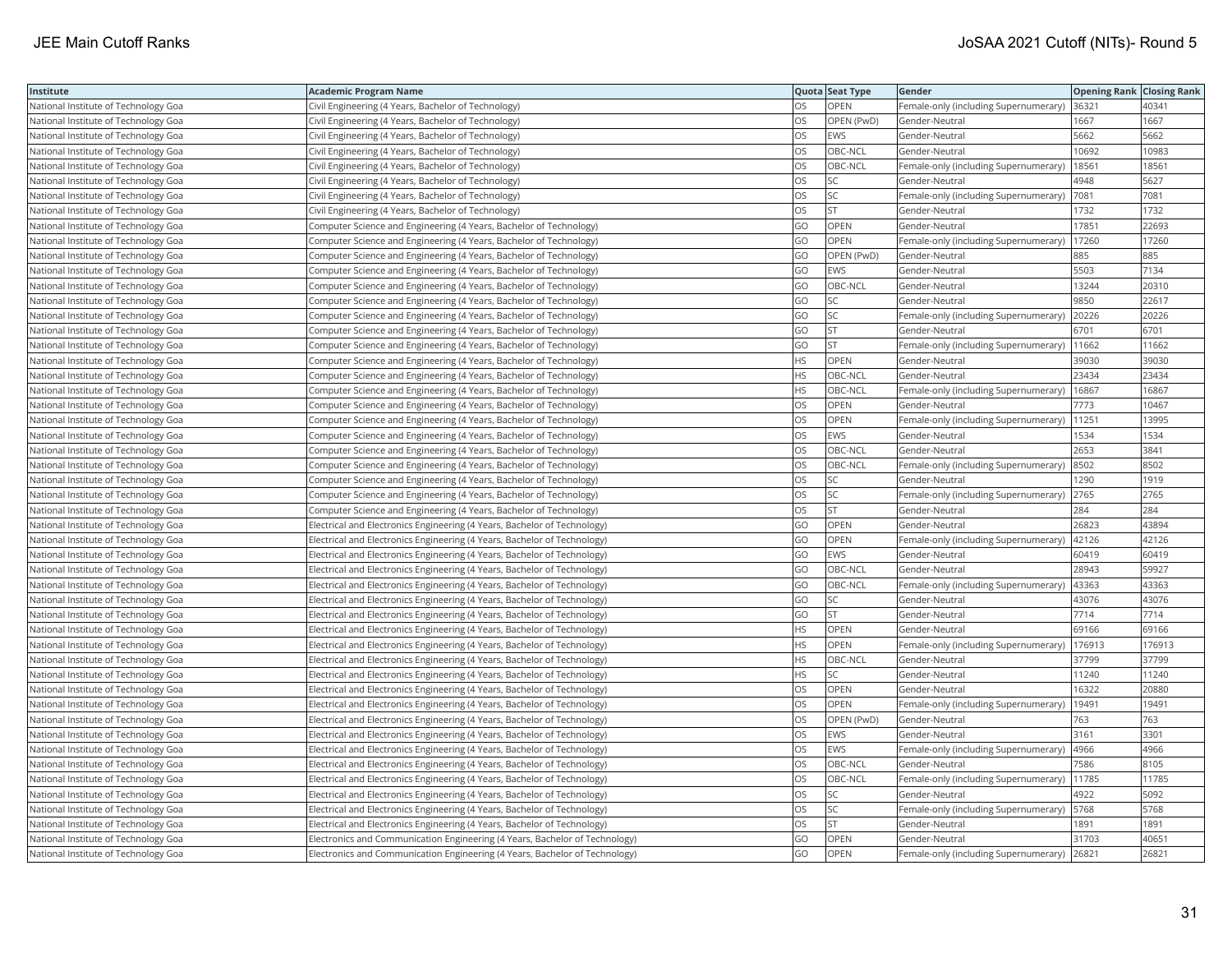| Institute                            | <b>Academic Program Name</b>                                                |           | Quota Seat Type | Gender                                       | <b>Opening Rank   Closing Rank</b> |        |
|--------------------------------------|-----------------------------------------------------------------------------|-----------|-----------------|----------------------------------------------|------------------------------------|--------|
| National Institute of Technology Goa | Civil Engineering (4 Years, Bachelor of Technology)                         | <b>OS</b> | OPEN            | Female-only (including Supernumerary)        | 36321                              | 40341  |
| National Institute of Technology Goa | Civil Engineering (4 Years, Bachelor of Technology)                         | OS        | OPEN (PwD)      | Gender-Neutral                               | 1667                               | 1667   |
| National Institute of Technology Goa | Civil Engineering (4 Years, Bachelor of Technology)                         | OS        | EWS             | Gender-Neutral                               | 5662                               | 5662   |
| National Institute of Technology Goa | Civil Engineering (4 Years, Bachelor of Technology)                         | OS        | OBC-NCL         | Gender-Neutral                               | 10692                              | 10983  |
| National Institute of Technology Goa | Civil Engineering (4 Years, Bachelor of Technology)                         | OS        | OBC-NCL         | Female-only (including Supernumerary)        | 18561                              | 18561  |
| National Institute of Technology Goa | Civil Engineering (4 Years, Bachelor of Technology)                         | OS        | SC.             | Gender-Neutral                               | 4948                               | 5627   |
| National Institute of Technology Goa | Civil Engineering (4 Years, Bachelor of Technology)                         | OS        | SC              | Female-only (including Supernumerary)        | 7081                               | 7081   |
| National Institute of Technology Goa | Civil Engineering (4 Years, Bachelor of Technology)                         | <b>OS</b> | <b>ST</b>       | Gender-Neutral                               | 1732                               | 1732   |
| National Institute of Technology Goa | Computer Science and Engineering (4 Years, Bachelor of Technology)          | GO        | OPEN            | Gender-Neutral                               | 17851                              | 22693  |
| National Institute of Technology Goa | Computer Science and Engineering (4 Years, Bachelor of Technology)          | GO        | OPEN            | Female-only (including Supernumerary)        | 17260                              | 17260  |
| National Institute of Technology Goa | Computer Science and Engineering (4 Years, Bachelor of Technology)          | GO        | OPEN (PwD)      | Gender-Neutral                               | 885                                | 885    |
| National Institute of Technology Goa | Computer Science and Engineering (4 Years, Bachelor of Technology)          | GO        | EWS             | Gender-Neutral                               | 5503                               | 7134   |
| National Institute of Technology Goa | Computer Science and Engineering (4 Years, Bachelor of Technology)          | GO        | OBC-NCL         | Gender-Neutral                               | 13244                              | 20310  |
| National Institute of Technology Goa | Computer Science and Engineering (4 Years, Bachelor of Technology)          | GO        | SC              | Gender-Neutral                               | 9850                               | 22617  |
| National Institute of Technology Goa | Computer Science and Engineering (4 Years, Bachelor of Technology)          | GO        | SC              | Female-only (including Supernumerary)        | 20226                              | 20226  |
| National Institute of Technology Goa | Computer Science and Engineering (4 Years, Bachelor of Technology)          | GO        | İst             | Gender-Neutral                               | 6701                               | 6701   |
| National Institute of Technology Goa | Computer Science and Engineering (4 Years, Bachelor of Technology)          | GO        | <b>ST</b>       | Female-only (including Supernumerary)        | 11662                              | 11662  |
| National Institute of Technology Goa | Computer Science and Engineering (4 Years, Bachelor of Technology)          | <b>HS</b> | OPEN            | Gender-Neutral                               | 39030                              | 39030  |
| National Institute of Technology Goa | Computer Science and Engineering (4 Years, Bachelor of Technology)          | <b>HS</b> | OBC-NCL         | Gender-Neutral                               | 23434                              | 23434  |
| National Institute of Technology Goa | Computer Science and Engineering (4 Years, Bachelor of Technology)          | <b>HS</b> | OBC-NCL         | Female-only (including Supernumerary)        | 16867                              | 16867  |
| National Institute of Technology Goa | Computer Science and Engineering (4 Years, Bachelor of Technology)          | <b>OS</b> | OPEN            | Gender-Neutral                               | 7773                               | 10467  |
| National Institute of Technology Goa | Computer Science and Engineering (4 Years, Bachelor of Technology)          | OS        | OPEN            | Female-only (including Supernumerary)        | 11251                              | 13995  |
| National Institute of Technology Goa | Computer Science and Engineering (4 Years, Bachelor of Technology)          | OS        | EWS             | Gender-Neutral                               | 1534                               | 1534   |
| National Institute of Technology Goa | Computer Science and Engineering (4 Years, Bachelor of Technology)          | OS        | OBC-NCL         | Gender-Neutral                               | 2653                               | 3841   |
| National Institute of Technology Goa | Computer Science and Engineering (4 Years, Bachelor of Technology)          | OS        | OBC-NCL         | Female-only (including Supernumerary)        | 8502                               | 8502   |
| National Institute of Technology Goa | Computer Science and Engineering (4 Years, Bachelor of Technology)          | OS        | SC              | Gender-Neutral                               | 1290                               | 1919   |
| National Institute of Technology Goa | Computer Science and Engineering (4 Years, Bachelor of Technology)          | OS        | SC.             | Female-only (including Supernumerary)        | 2765                               | 2765   |
| National Institute of Technology Goa | Computer Science and Engineering (4 Years, Bachelor of Technology)          | <b>OS</b> | lst.            | Gender-Neutral                               | 284                                | 284    |
| National Institute of Technology Goa | Electrical and Electronics Engineering (4 Years, Bachelor of Technology)    | GO        | OPEN            | Gender-Neutral                               | 26823                              | 43894  |
| National Institute of Technology Goa | Electrical and Electronics Engineering (4 Years, Bachelor of Technology)    | GO        | OPEN            | Female-only (including Supernumerary)        | 42126                              | 42126  |
| National Institute of Technology Goa | Electrical and Electronics Engineering (4 Years, Bachelor of Technology)    | GO        | <b>EWS</b>      | Gender-Neutral                               | 60419                              | 60419  |
| National Institute of Technology Goa | Electrical and Electronics Engineering (4 Years, Bachelor of Technology)    | GO        | OBC-NCL         | Gender-Neutral                               | 28943                              | 59927  |
| National Institute of Technology Goa | Electrical and Electronics Engineering (4 Years, Bachelor of Technology)    | GO        | OBC-NCL         | Female-only (including Supernumerary)        | 43363                              | 43363  |
| National Institute of Technology Goa | Electrical and Electronics Engineering (4 Years, Bachelor of Technology)    | GO        | SC              | Gender-Neutral                               | 43076                              | 43076  |
| National Institute of Technology Goa | Electrical and Electronics Engineering (4 Years, Bachelor of Technology)    | GO        | <b>ST</b>       | Gender-Neutral                               | 7714                               | 7714   |
| National Institute of Technology Goa | Electrical and Electronics Engineering (4 Years, Bachelor of Technology)    | <b>HS</b> | OPEN            | Gender-Neutral                               | 69166                              | 69166  |
| National Institute of Technology Goa | Electrical and Electronics Engineering (4 Years, Bachelor of Technology)    | <b>HS</b> | OPEN            | Female-only (including Supernumerary)        | 176913                             | 176913 |
| National Institute of Technology Goa | Electrical and Electronics Engineering (4 Years, Bachelor of Technology)    | <b>HS</b> | OBC-NCL         | Gender-Neutral                               | 37799                              | 37799  |
| National Institute of Technology Goa | Electrical and Electronics Engineering (4 Years, Bachelor of Technology)    | <b>HS</b> | SC.             | Gender-Neutral                               | 11240                              | 11240  |
| National Institute of Technology Goa | Electrical and Electronics Engineering (4 Years, Bachelor of Technology)    | OS        | OPEN            | Gender-Neutral                               | 16322                              | 20880  |
| National Institute of Technology Goa | Electrical and Electronics Engineering (4 Years, Bachelor of Technology)    | <b>OS</b> | <b>OPEN</b>     | Female-only (including Supernumerary)        | 19491                              | 19491  |
| National Institute of Technology Goa | Electrical and Electronics Engineering (4 Years, Bachelor of Technology)    | OS        | OPEN (PwD)      | Gender-Neutral                               | 763                                | 763    |
| National Institute of Technology Goa | Electrical and Electronics Engineering (4 Years, Bachelor of Technology)    | OS        | EWS             | Gender-Neutral                               | 3161                               | 3301   |
| National Institute of Technology Goa | Electrical and Electronics Engineering (4 Years, Bachelor of Technology)    | OS        | EWS             | Female-only (including Supernumerary)        | 4966                               | 4966   |
| National Institute of Technology Goa | Electrical and Electronics Engineering (4 Years, Bachelor of Technology)    | <b>OS</b> | OBC-NCL         | Gender-Neutral                               | 7586                               | 8105   |
| National Institute of Technology Goa | Electrical and Electronics Engineering (4 Years, Bachelor of Technology)    | <b>OS</b> | OBC-NCL         | Female-only (including Supernumerary)        | 11785                              | 11785  |
| National Institute of Technology Goa | Electrical and Electronics Engineering (4 Years, Bachelor of Technology)    | <b>OS</b> | SC.             | Gender-Neutral                               | 4922                               | 5092   |
| National Institute of Technology Goa | Electrical and Electronics Engineering (4 Years, Bachelor of Technology)    | OS        | SC              | Female-only (including Supernumerary)   5768 |                                    | 5768   |
| National Institute of Technology Goa | Electrical and Electronics Engineering (4 Years, Bachelor of Technology)    | OS        | <b>ST</b>       | Gender-Neutral                               | 1891                               | 1891   |
| National Institute of Technology Goa | Electronics and Communication Engineering (4 Years, Bachelor of Technology) | GO        | OPEN            | Gender-Neutral                               | 31703                              | 40651  |
| National Institute of Technology Goa | Electronics and Communication Engineering (4 Years, Bachelor of Technology) | GO        | OPEN            | Female-only (including Supernumerary)        | 26821                              | 26821  |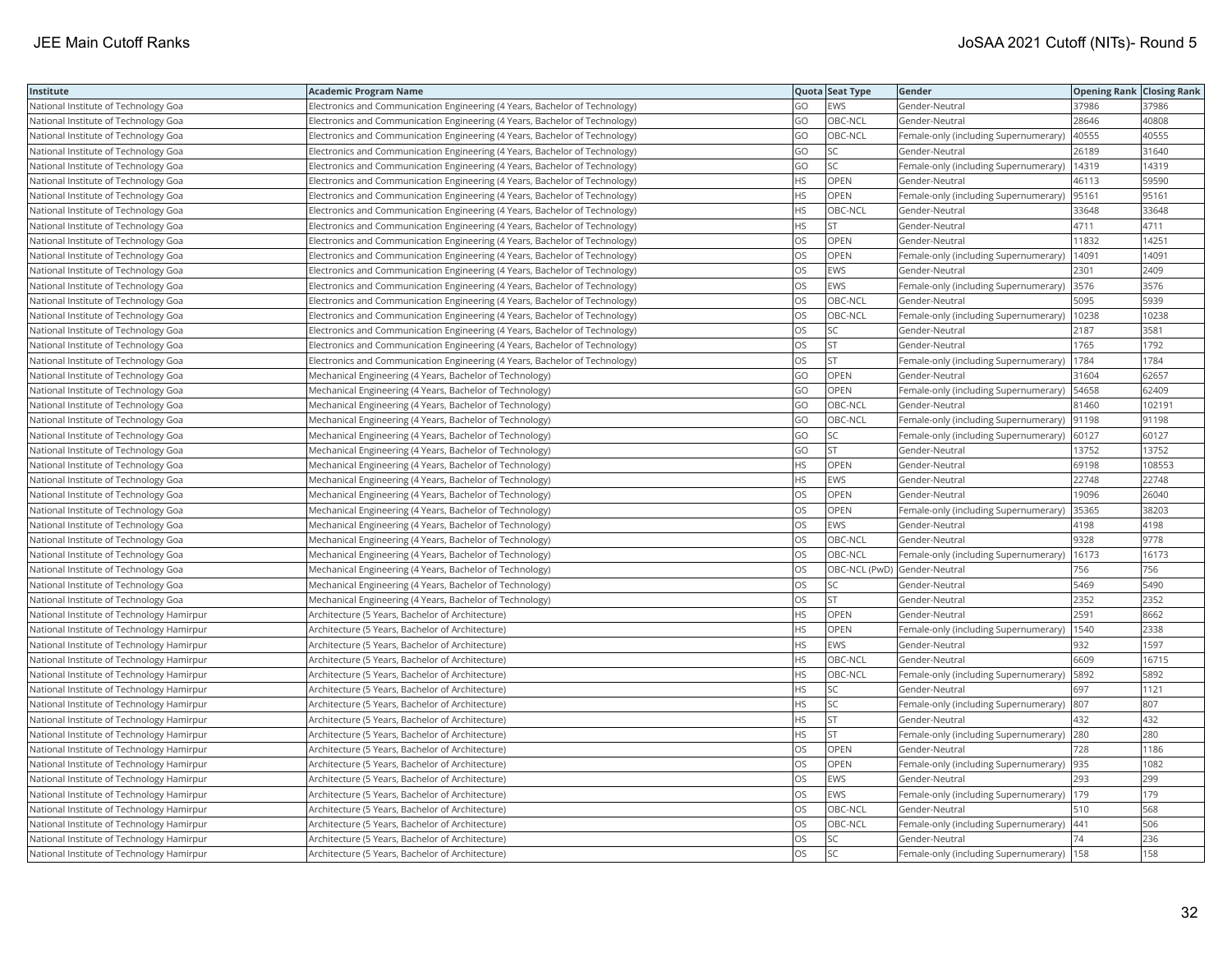| Institute                                 | <b>Academic Program Name</b>                                                |           | Quota Seat Type              | Gender                                        | <b>Opening Rank   Closing Rank</b> |        |
|-------------------------------------------|-----------------------------------------------------------------------------|-----------|------------------------------|-----------------------------------------------|------------------------------------|--------|
| National Institute of Technology Goa      | Electronics and Communication Engineering (4 Years, Bachelor of Technology) | GO        | <b>EWS</b>                   | Gender-Neutral                                | 37986                              | 37986  |
| National Institute of Technology Goa      | Electronics and Communication Engineering (4 Years, Bachelor of Technology) | GO        | OBC-NCL                      | Gender-Neutral                                | 28646                              | 40808  |
| National Institute of Technology Goa      | Electronics and Communication Engineering (4 Years, Bachelor of Technology) | GO        | OBC-NCL                      | Female-only (including Supernumerary)         | 40555                              | 40555  |
| National Institute of Technology Goa      | Electronics and Communication Engineering (4 Years, Bachelor of Technology) | GO        | <b>SC</b>                    | Gender-Neutral                                | 26189                              | 31640  |
| National Institute of Technology Goa      | Electronics and Communication Engineering (4 Years, Bachelor of Technology) | GO        | SC                           | Female-only (including Supernumerary)         | 14319                              | 14319  |
| National Institute of Technology Goa      | Electronics and Communication Engineering (4 Years, Bachelor of Technology) | HS.       | OPEN                         | Gender-Neutral                                | 46113                              | 59590  |
| National Institute of Technology Goa      | Electronics and Communication Engineering (4 Years, Bachelor of Technology) | HS        | OPEN                         | Female-only (including Supernumerary)         | 95161                              | 95161  |
| National Institute of Technology Goa      | Electronics and Communication Engineering (4 Years, Bachelor of Technology) | <b>HS</b> | OBC-NCL                      | Gender-Neutral                                | 33648                              | 33648  |
| National Institute of Technology Goa      | Electronics and Communication Engineering (4 Years, Bachelor of Technology) | <b>HS</b> | lst.                         | Gender-Neutral                                | 4711                               | 4711   |
| National Institute of Technology Goa      | Electronics and Communication Engineering (4 Years, Bachelor of Technology) | OS        | OPEN                         | Gender-Neutral                                | 11832                              | 14251  |
| National Institute of Technology Goa      | Electronics and Communication Engineering (4 Years, Bachelor of Technology) | <b>OS</b> | <b>OPEN</b>                  | Female-only (including Supernumerary)         | 14091                              | 14091  |
| National Institute of Technology Goa      | Electronics and Communication Engineering (4 Years, Bachelor of Technology) | OS        | <b>EWS</b>                   | Gender-Neutral                                | 2301                               | 2409   |
| National Institute of Technology Goa      | Electronics and Communication Engineering (4 Years, Bachelor of Technology) | OS        | <b>EWS</b>                   | Female-only (including Supernumerary) 3576    |                                    | 3576   |
| National Institute of Technology Goa      | Electronics and Communication Engineering (4 Years, Bachelor of Technology) | OS        | OBC-NCL                      | Gender-Neutral                                | 5095                               | 5939   |
| National Institute of Technology Goa      | Electronics and Communication Engineering (4 Years, Bachelor of Technology) | OS        | OBC-NCL                      | Female-only (including Supernumerary)         | 10238                              | 10238  |
| National Institute of Technology Goa      | Electronics and Communication Engineering (4 Years, Bachelor of Technology) | OS        | <b>SC</b>                    | Gender-Neutral                                | 2187                               | 3581   |
| National Institute of Technology Goa      | Electronics and Communication Engineering (4 Years, Bachelor of Technology) | OS        | <b>ST</b>                    | Gender-Neutral                                | 1765                               | 1792   |
| National Institute of Technology Goa      | Electronics and Communication Engineering (4 Years, Bachelor of Technology) | <b>OS</b> | <b>ST</b>                    | Female-only (including Supernumerary)         | 1784                               | 1784   |
| National Institute of Technology Goa      | Mechanical Engineering (4 Years, Bachelor of Technology)                    | GO        | <b>OPEN</b>                  | Gender-Neutral                                | 31604                              | 62657  |
| National Institute of Technology Goa      | Mechanical Engineering (4 Years, Bachelor of Technology)                    | GO        | <b>OPEN</b>                  | Female-only (including Supernumerary)   54658 |                                    | 62409  |
| National Institute of Technology Goa      | Mechanical Engineering (4 Years, Bachelor of Technology)                    | GO        | OBC-NCL                      | Gender-Neutral                                | 81460                              | 102191 |
| National Institute of Technology Goa      | Mechanical Engineering (4 Years, Bachelor of Technology)                    | GO        | OBC-NCL                      | Female-only (including Supernumerary)         | 91198                              | 91198  |
| National Institute of Technology Goa      | Mechanical Engineering (4 Years, Bachelor of Technology)                    | GO        | SC.                          | Female-only (including Supernumerary)         | 60127                              | 60127  |
| National Institute of Technology Goa      | Mechanical Engineering (4 Years, Bachelor of Technology)                    | GO        | lst                          | Gender-Neutral                                | 13752                              | 13752  |
| National Institute of Technology Goa      | Mechanical Engineering (4 Years, Bachelor of Technology)                    | HS        | <b>OPEN</b>                  | Gender-Neutral                                | 69198                              | 108553 |
| National Institute of Technology Goa      | Mechanical Engineering (4 Years, Bachelor of Technology)                    | <b>HS</b> | <b>EWS</b>                   | Gender-Neutral                                | 22748                              | 22748  |
| National Institute of Technology Goa      | Mechanical Engineering (4 Years, Bachelor of Technology)                    | <b>OS</b> | <b>OPEN</b>                  | Gender-Neutral                                | 19096                              | 26040  |
| National Institute of Technology Goa      | Mechanical Engineering (4 Years, Bachelor of Technology)                    | OS        | OPEN                         | Female-only (including Supernumerary)         | 35365                              | 38203  |
| National Institute of Technology Goa      | Mechanical Engineering (4 Years, Bachelor of Technology)                    | OS        | EWS                          | Gender-Neutral                                | 4198                               | 4198   |
| National Institute of Technology Goa      | Mechanical Engineering (4 Years, Bachelor of Technology)                    | OS        | OBC-NCL                      | Gender-Neutral                                | 9328                               | 9778   |
| National Institute of Technology Goa      | Mechanical Engineering (4 Years, Bachelor of Technology)                    | OS        | OBC-NCL                      | Female-only (including Supernumerary)         | 16173                              | 16173  |
| National Institute of Technology Goa      | Mechanical Engineering (4 Years, Bachelor of Technology)                    | OS        | OBC-NCL (PwD) Gender-Neutral |                                               | 756                                | 756    |
| National Institute of Technology Goa      | Mechanical Engineering (4 Years, Bachelor of Technology)                    | OS        | SC.                          | Gender-Neutral                                | 5469                               | 5490   |
| National Institute of Technology Goa      | Mechanical Engineering (4 Years, Bachelor of Technology)                    | OS        | <b>ST</b>                    | Gender-Neutral                                | 2352                               | 2352   |
| National Institute of Technology Hamirpur | Architecture (5 Years, Bachelor of Architecture)                            | <b>HS</b> | <b>OPEN</b>                  | Gender-Neutral                                | 2591                               | 8662   |
| National Institute of Technology Hamirpur | Architecture (5 Years, Bachelor of Architecture)                            | <b>HS</b> | OPEN                         | Female-only (including Supernumerary)         | 1540                               | 2338   |
| National Institute of Technology Hamirpur | Architecture (5 Years, Bachelor of Architecture)                            | <b>HS</b> | <b>EWS</b>                   | Gender-Neutral                                | 932                                | 1597   |
| National Institute of Technology Hamirpur | Architecture (5 Years, Bachelor of Architecture)                            | HS        | OBC-NCL                      | Gender-Neutral                                | 6609                               | 16715  |
| National Institute of Technology Hamirpur | Architecture (5 Years, Bachelor of Architecture)                            | HS        | OBC-NCL                      | Female-only (including Supernumerary)         | 5892                               | 5892   |
| National Institute of Technology Hamirpur | Architecture (5 Years, Bachelor of Architecture)                            | HS.       | SC                           | Gender-Neutral                                | 697                                | 1121   |
| National Institute of Technology Hamirpur | Architecture (5 Years, Bachelor of Architecture)                            | HS.       | <b>SC</b>                    | Female-only (including Supernumerary)         | 807                                | 807    |
| National Institute of Technology Hamirpur | Architecture (5 Years, Bachelor of Architecture)                            | <b>HS</b> | <b>ST</b>                    | Gender-Neutral                                | 432                                | 432    |
| National Institute of Technology Hamirpur | Architecture (5 Years, Bachelor of Architecture)                            | <b>HS</b> | <b>ST</b>                    | Female-only (including Supernumerary)         | 280                                | 280    |
| National Institute of Technology Hamirpur | Architecture (5 Years, Bachelor of Architecture)                            | OS        | OPEN                         | Gender-Neutral                                | 728                                | 1186   |
| National Institute of Technology Hamirpur | Architecture (5 Years, Bachelor of Architecture)                            | OS        | <b>OPEN</b>                  | Female-only (including Supernumerary)  935    |                                    | 1082   |
| National Institute of Technology Hamirpur | Architecture (5 Years, Bachelor of Architecture)                            | OS        | <b>EWS</b>                   | Gender-Neutral                                | 293                                | 299    |
| National Institute of Technology Hamirpur | Architecture (5 Years, Bachelor of Architecture)                            | <b>OS</b> | <b>EWS</b>                   | Female-only (including Supernumerary)         | 179                                | 179    |
| National Institute of Technology Hamirpur | Architecture (5 Years, Bachelor of Architecture)                            | OS        | OBC-NCL                      | Gender-Neutral                                | 510                                | 568    |
| National Institute of Technology Hamirpur | Architecture (5 Years, Bachelor of Architecture)                            | OS        | OBC-NCL                      | Female-only (including Supernumerary)         | 441                                | 506    |
| National Institute of Technology Hamirpur | Architecture (5 Years, Bachelor of Architecture)                            | OS        | <b>SC</b>                    | Gender-Neutral                                | 74                                 | 236    |
| National Institute of Technology Hamirpur | Architecture (5 Years, Bachelor of Architecture)                            | <b>OS</b> | lsc                          | Female-only (including Supernumerary)   158   |                                    | 158    |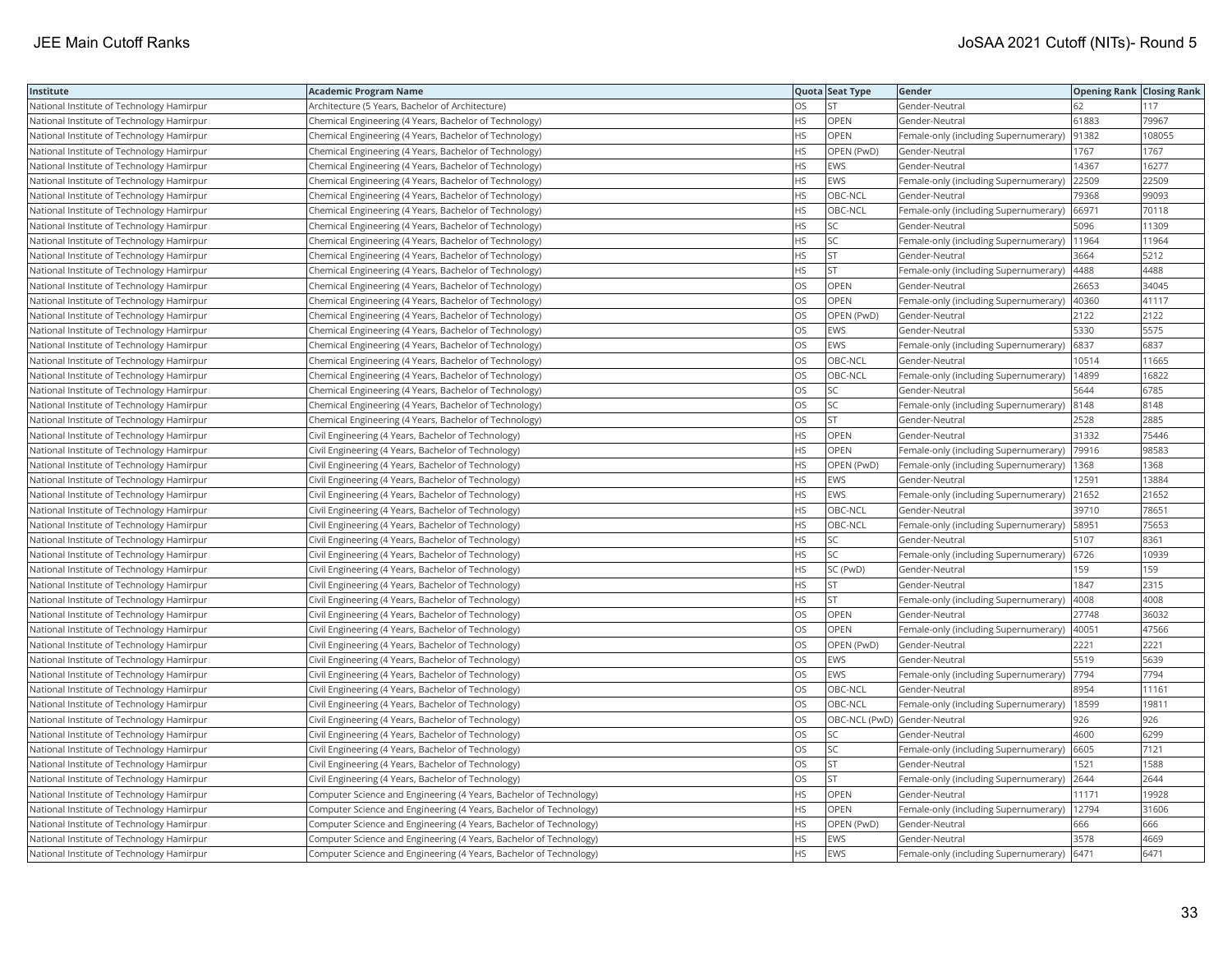| Institute                                 | Academic Program Name                                              |           | Quota Seat Type              | Gender                                       | <b>Opening Rank Closing Rank</b> |        |
|-------------------------------------------|--------------------------------------------------------------------|-----------|------------------------------|----------------------------------------------|----------------------------------|--------|
| National Institute of Technology Hamirpur | Architecture (5 Years, Bachelor of Architecture)                   | OS        | <b>ST</b>                    | Gender-Neutral                               | 62                               | 117    |
| National Institute of Technology Hamirpur | Chemical Engineering (4 Years, Bachelor of Technology)             | <b>HS</b> | OPEN                         | Gender-Neutral                               | 61883                            | 79967  |
| National Institute of Technology Hamirpur | Chemical Engineering (4 Years, Bachelor of Technology)             | HS        | OPEN                         | Female-only (including Supernumerary)        | 91382                            | 108055 |
| National Institute of Technology Hamirpur | Chemical Engineering (4 Years, Bachelor of Technology)             | HS.       | OPEN (PwD)                   | Gender-Neutral                               | 1767                             | 1767   |
| National Institute of Technology Hamirpur | Chemical Engineering (4 Years, Bachelor of Technology)             | HS.       | EWS                          | Gender-Neutral                               | 14367                            | 16277  |
| National Institute of Technology Hamirpur | Chemical Engineering (4 Years, Bachelor of Technology)             | HS        | EWS                          | Female-only (including Supernumerary)        | 22509                            | 22509  |
| National Institute of Technology Hamirpur | Chemical Engineering (4 Years, Bachelor of Technology)             | HS        | OBC-NCL                      | Gender-Neutral                               | 79368                            | 99093  |
| National Institute of Technology Hamirpur | Chemical Engineering (4 Years, Bachelor of Technology)             | HS        | OBC-NCL                      | Female-only (including Supernumerary)        | 66971                            | 70118  |
| National Institute of Technology Hamirpur | Chemical Engineering (4 Years, Bachelor of Technology)             | HS        | SC                           | Gender-Neutral                               | 5096                             | 11309  |
| National Institute of Technology Hamirpur | Chemical Engineering (4 Years, Bachelor of Technology)             | ΗS        | SC                           | Female-only (including Supernumerary)        | 11964                            | 11964  |
| National Institute of Technology Hamirpur | Chemical Engineering (4 Years, Bachelor of Technology)             | <b>HS</b> | <b>ST</b>                    | Gender-Neutral                               | 3664                             | 5212   |
| National Institute of Technology Hamirpur | Chemical Engineering (4 Years, Bachelor of Technology)             | HS        | <b>ST</b>                    | Female-only (including Supernumerary)        | 4488                             | 4488   |
| National Institute of Technology Hamirpur | Chemical Engineering (4 Years, Bachelor of Technology)             | OS        | OPEN                         | Gender-Neutral                               | 26653                            | 34045  |
| National Institute of Technology Hamirpur | Chemical Engineering (4 Years, Bachelor of Technology)             | OS        | OPEN                         | Female-only (including Supernumerary)        | 40360                            | 41117  |
| National Institute of Technology Hamirpur | Chemical Engineering (4 Years, Bachelor of Technology)             | OS        | OPEN (PwD)                   | Gender-Neutral                               | 2122                             | 2122   |
| National Institute of Technology Hamirpur | Chemical Engineering (4 Years, Bachelor of Technology)             | OS.       | <b>EWS</b>                   | Gender-Neutral                               | 5330                             | 5575   |
| National Institute of Technology Hamirpur | Chemical Engineering (4 Years, Bachelor of Technology)             | OS        | EWS                          | Female-only (including Supernumerary)        | 6837                             | 6837   |
| National Institute of Technology Hamirpur | Chemical Engineering (4 Years, Bachelor of Technology)             | OS        | OBC-NCL                      | Gender-Neutral                               | 10514                            | 11665  |
| National Institute of Technology Hamirpur | Chemical Engineering (4 Years, Bachelor of Technology)             | OS.       | OBC-NCL                      | Female-only (including Supernumerary)        | 14899                            | 16822  |
| National Institute of Technology Hamirpur | Chemical Engineering (4 Years, Bachelor of Technology)             | OS        | SC                           | Gender-Neutral                               | 5644                             | 6785   |
| National Institute of Technology Hamirpur | Chemical Engineering (4 Years, Bachelor of Technology)             | OS        | SC                           | Female-only (including Supernumerary)  8148  |                                  | 8148   |
| National Institute of Technology Hamirpur | Chemical Engineering (4 Years, Bachelor of Technology)             | OS        | <b>ST</b>                    | Gender-Neutral                               | 2528                             | 2885   |
| National Institute of Technology Hamirpur | Civil Engineering (4 Years, Bachelor of Technology)                | HS        | OPEN                         | Gender-Neutral                               | 31332                            | 75446  |
| National Institute of Technology Hamirpur | Civil Engineering (4 Years, Bachelor of Technology)                | HS        | OPEN                         | Female-only (including Supernumerary)        | 79916                            | 98583  |
| National Institute of Technology Hamirpur | Civil Engineering (4 Years, Bachelor of Technology)                | HS        | OPEN (PwD)                   | Female-only (including Supernumerary)        | 1368                             | 1368   |
| National Institute of Technology Hamirpur | Civil Engineering (4 Years, Bachelor of Technology)                | HS        | EWS                          | Gender-Neutral                               | 12591                            | 13884  |
| National Institute of Technology Hamirpur | Civil Engineering (4 Years, Bachelor of Technology)                | <b>HS</b> | <b>EWS</b>                   | Female-only (including Supernumerary)        | 21652                            | 21652  |
| National Institute of Technology Hamirpur | Civil Engineering (4 Years, Bachelor of Technology)                | HS        | OBC-NCL                      | Gender-Neutral                               | 39710                            | 78651  |
| National Institute of Technology Hamirpur | Civil Engineering (4 Years, Bachelor of Technology)                | HS        | OBC-NCL                      | Female-only (including Supernumerary)        | 58951                            | 75653  |
| National Institute of Technology Hamirpur | Civil Engineering (4 Years, Bachelor of Technology)                | HS        | SC                           | Gender-Neutral                               | 5107                             | 8361   |
| National Institute of Technology Hamirpur | Civil Engineering (4 Years, Bachelor of Technology)                | HS        | <b>SC</b>                    | Female-only (including Supernumerary)   6726 |                                  | 10939  |
| National Institute of Technology Hamirpur | Civil Engineering (4 Years, Bachelor of Technology)                | HS        | SC (PwD)                     | Gender-Neutral                               | 159                              | 159    |
| National Institute of Technology Hamirpur | Civil Engineering (4 Years, Bachelor of Technology)                | HS        | <b>ST</b>                    | Gender-Neutral                               | 1847                             | 2315   |
| National Institute of Technology Hamirpur | Civil Engineering (4 Years, Bachelor of Technology)                | HS        | <b>ST</b>                    | Female-only (including Supernumerary)        | 4008                             | 4008   |
| National Institute of Technology Hamirpur | Civil Engineering (4 Years, Bachelor of Technology)                | <b>OS</b> | OPEN                         | Gender-Neutral                               | 27748                            | 36032  |
| National Institute of Technology Hamirpur | Civil Engineering (4 Years, Bachelor of Technology)                | OS        | <b>OPEN</b>                  | Female-only (including Supernumerary)        | 40051                            | 47566  |
| National Institute of Technology Hamirpur | Civil Engineering (4 Years, Bachelor of Technology)                | OS        | OPEN (PwD)                   | Gender-Neutral                               | 2221                             | 2221   |
| National Institute of Technology Hamirpur | Civil Engineering (4 Years, Bachelor of Technology)                | OS        | EWS                          | Gender-Neutral                               | 5519                             | 5639   |
| National Institute of Technology Hamirpur | Civil Engineering (4 Years, Bachelor of Technology)                | OS        | <b>EWS</b>                   | Female-only (including Supernumerary)        | 7794                             | 7794   |
| National Institute of Technology Hamirpur | Civil Engineering (4 Years, Bachelor of Technology)                | OS        | OBC-NCL                      | Gender-Neutral                               | 8954                             | 11161  |
| National Institute of Technology Hamirpur | Civil Engineering (4 Years, Bachelor of Technology)                | OS        | OBC-NCL                      | Female-only (including Supernumerary)        | 18599                            | 19811  |
| National Institute of Technology Hamirpur | Civil Engineering (4 Years, Bachelor of Technology)                | OS        | OBC-NCL (PwD) Gender-Neutral |                                              | 926                              | 926    |
| National Institute of Technology Hamirpur | Civil Engineering (4 Years, Bachelor of Technology)                | OS        | SC                           | Gender-Neutral                               | 4600                             | 6299   |
| National Institute of Technology Hamirpur | Civil Engineering (4 Years, Bachelor of Technology)                | OS        | SC                           | Female-only (including Supernumerary)        | 6605                             | 7121   |
| National Institute of Technology Hamirpur | Civil Engineering (4 Years, Bachelor of Technology)                | OS        | <b>ST</b>                    | Gender-Neutral                               | 1521                             | 1588   |
| National Institute of Technology Hamirpur | Civil Engineering (4 Years, Bachelor of Technology)                | OS        | <b>ST</b>                    | Female-only (including Supernumerary)        | 2644                             | 2644   |
| National Institute of Technology Hamirpur | Computer Science and Engineering (4 Years, Bachelor of Technology) | <b>HS</b> | OPEN                         | Gender-Neutral                               | 11171                            | 19928  |
| National Institute of Technology Hamirpur | Computer Science and Engineering (4 Years, Bachelor of Technology) | HS        | OPEN                         | Female-only (including Supernumerary)        | 12794                            | 31606  |
| National Institute of Technology Hamirpur | Computer Science and Engineering (4 Years, Bachelor of Technology) | HS        | OPEN (PwD)                   | Gender-Neutral                               | 666                              | 666    |
| National Institute of Technology Hamirpur | Computer Science and Engineering (4 Years, Bachelor of Technology) | HS        | <b>EWS</b>                   | Gender-Neutral                               | 3578                             | 4669   |
| National Institute of Technology Hamirpur | Computer Science and Engineering (4 Years, Bachelor of Technology) | <b>HS</b> | <b>EWS</b>                   | Female-only (including Supernumerary)   6471 |                                  | 6471   |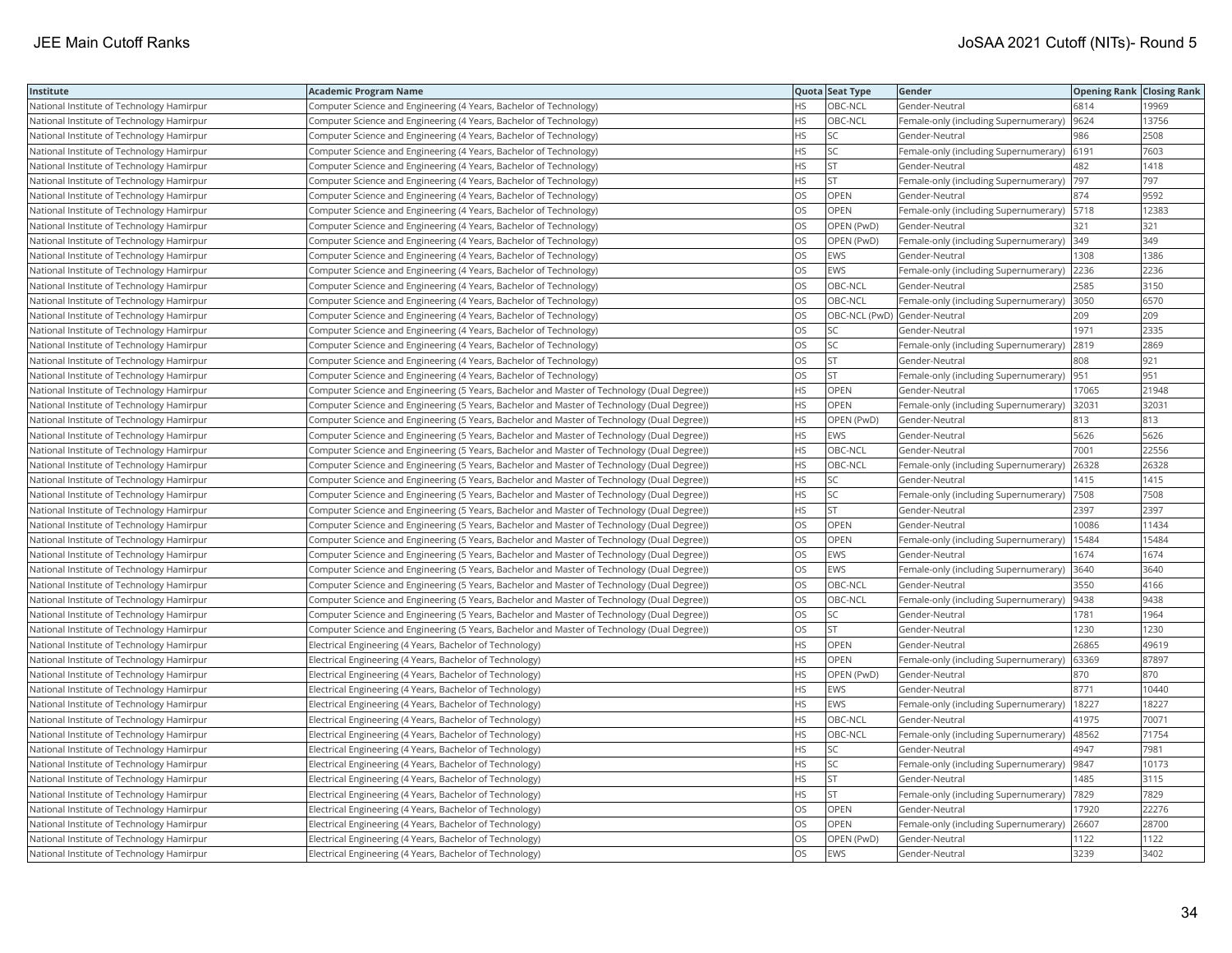| Institute                                 | Academic Program Name                                                                        |           | Quota Seat Type              | Gender                                       | <b>Opening Rank   Closing Rank</b> |       |
|-------------------------------------------|----------------------------------------------------------------------------------------------|-----------|------------------------------|----------------------------------------------|------------------------------------|-------|
| National Institute of Technology Hamirpur | Computer Science and Engineering (4 Years, Bachelor of Technology)                           | HS        | OBC-NCL                      | Gender-Neutral                               | 6814                               | 19969 |
| National Institute of Technology Hamirpur | Computer Science and Engineering (4 Years, Bachelor of Technology)                           | HS.       | OBC-NCL                      | Female-only (including Supernumerary)        | 9624                               | 13756 |
| National Institute of Technology Hamirpur | Computer Science and Engineering (4 Years, Bachelor of Technology)                           | HS        | SC                           | Gender-Neutral                               | 986                                | 2508  |
| National Institute of Technology Hamirpur | Computer Science and Engineering (4 Years, Bachelor of Technology)                           | HS        | SC                           | Female-only (including Supernumerary) 6191   |                                    | 7603  |
| National Institute of Technology Hamirpur | Computer Science and Engineering (4 Years, Bachelor of Technology)                           | HS        | <b>ST</b>                    | Gender-Neutral                               | 482                                | 1418  |
| National Institute of Technology Hamirpur | Computer Science and Engineering (4 Years, Bachelor of Technology)                           | HS        | <b>ST</b>                    | Female-only (including Supernumerary)  797   |                                    | 797   |
| National Institute of Technology Hamirpur | Computer Science and Engineering (4 Years, Bachelor of Technology)                           | OS.       | <b>OPEN</b>                  | Gender-Neutral                               | 874                                | 9592  |
| National Institute of Technology Hamirpur | Computer Science and Engineering (4 Years, Bachelor of Technology)                           | OS        | OPEN                         | Female-only (including Supernumerary)        | 5718                               | 12383 |
| National Institute of Technology Hamirpur | Computer Science and Engineering (4 Years, Bachelor of Technology)                           | OS        | OPEN (PwD)                   | Gender-Neutral                               | 321                                | 321   |
| National Institute of Technology Hamirpur | Computer Science and Engineering (4 Years, Bachelor of Technology)                           | OS.       | OPEN (PwD)                   | Female-only (including Supernumerary)        | 349                                | 349   |
| National Institute of Technology Hamirpur | Computer Science and Engineering (4 Years, Bachelor of Technology)                           | OS        | <b>EWS</b>                   | Gender-Neutral                               | 1308                               | 1386  |
| National Institute of Technology Hamirpur | Computer Science and Engineering (4 Years, Bachelor of Technology)                           | OS.       | EWS                          | Female-only (including Supernumerary) 2236   |                                    | 2236  |
| National Institute of Technology Hamirpur | Computer Science and Engineering (4 Years, Bachelor of Technology)                           | OS        | OBC-NCL                      | Gender-Neutral                               | 2585                               | 3150  |
| National Institute of Technology Hamirpur | Computer Science and Engineering (4 Years, Bachelor of Technology)                           | OS        | OBC-NCL                      | Female-only (including Supernumerary)        | 3050                               | 6570  |
| National Institute of Technology Hamirpur | Computer Science and Engineering (4 Years, Bachelor of Technology)                           | <b>OS</b> | OBC-NCL (PwD) Gender-Neutral |                                              | 209                                | 209   |
| National Institute of Technology Hamirpur | Computer Science and Engineering (4 Years, Bachelor of Technology)                           | OS        | <b>SC</b>                    | Gender-Neutral                               | 1971                               | 2335  |
| National Institute of Technology Hamirpur | Computer Science and Engineering (4 Years, Bachelor of Technology)                           | OS        | SC                           | Female-only (including Supernumerary)        | 2819                               | 2869  |
| National Institute of Technology Hamirpur | Computer Science and Engineering (4 Years, Bachelor of Technology)                           | OS.       | <b>ST</b>                    | Gender-Neutral                               | 808                                | 921   |
| National Institute of Technology Hamirpur | Computer Science and Engineering (4 Years, Bachelor of Technology)                           | OS        | <b>ST</b>                    | Female-only (including Supernumerary)  951   |                                    | 951   |
| National Institute of Technology Hamirpur | (Computer Science and Engineering (5 Years, Bachelor and Master of Technology (Dual Degree)) | HS.       | <b>OPEN</b>                  | Gender-Neutral                               | 17065                              | 21948 |
| National Institute of Technology Hamirpur | (Computer Science and Engineering (5 Years, Bachelor and Master of Technology (Dual Degree)) | HS.       | <b>OPEN</b>                  | Female-only (including Supernumerary)        | 32031                              | 32031 |
| National Institute of Technology Hamirpur | (Computer Science and Engineering (5 Years, Bachelor and Master of Technology (Dual Degree)) | HS        | OPEN (PwD)                   | Gender-Neutral                               | 813                                | 813   |
| National Institute of Technology Hamirpur | (Computer Science and Engineering (5 Years, Bachelor and Master of Technology (Dual Degree)) | HS        | <b>EWS</b>                   | Gender-Neutral                               | 5626                               | 5626  |
| National Institute of Technology Hamirpur | (Computer Science and Engineering (5 Years, Bachelor and Master of Technology (Dual Degree)) | HS        | OBC-NCL                      | Gender-Neutral                               | 7001                               | 22556 |
| National Institute of Technology Hamirpur | (Computer Science and Engineering (5 Years, Bachelor and Master of Technology (Dual Degree)) | HS.       | OBC-NCL                      | Female-only (including Supernumerary)        | 26328                              | 26328 |
| National Institute of Technology Hamirpur | (Computer Science and Engineering (5 Years, Bachelor and Master of Technology (Dual Degree)) | HS        | <b>SC</b>                    | Gender-Neutral                               | 1415                               | 1415  |
| National Institute of Technology Hamirpur | (Computer Science and Engineering (5 Years, Bachelor and Master of Technology (Dual Degree)) | HS        | SC                           | Female-only (including Supernumerary)        | 7508                               | 7508  |
| National Institute of Technology Hamirpur | (Computer Science and Engineering (5 Years, Bachelor and Master of Technology (Dual Degree)) | HS.       | <b>ST</b>                    | Gender-Neutral                               | 2397                               | 2397  |
| National Institute of Technology Hamirpur | (Computer Science and Engineering (5 Years, Bachelor and Master of Technology (Dual Degree)) | OS        | <b>OPEN</b>                  | Gender-Neutral                               | 10086                              | 11434 |
| National Institute of Technology Hamirpur | (Computer Science and Engineering (5 Years, Bachelor and Master of Technology (Dual Degree)) | OS        | OPEN                         | Female-only (including Supernumerary)        | 15484                              | 15484 |
| National Institute of Technology Hamirpur | (Computer Science and Engineering (5 Years, Bachelor and Master of Technology (Dual Degree)) | OS.       | <b>EWS</b>                   | Gender-Neutral                               | 1674                               | 1674  |
| National Institute of Technology Hamirpur | (Computer Science and Engineering (5 Years, Bachelor and Master of Technology (Dual Degree)) | OS        | EWS                          | Female-only (including Supernumerary)        | 3640                               | 3640  |
| National Institute of Technology Hamirpur | (Computer Science and Engineering (5 Years, Bachelor and Master of Technology (Dual Degree)) | OS        | OBC-NCL                      | Gender-Neutral                               | 3550                               | 4166  |
| National Institute of Technology Hamirpur | (Computer Science and Engineering (5 Years, Bachelor and Master of Technology (Dual Degree)) | OS.       | OBC-NCL                      | Female-only (including Supernumerary)        | 9438                               | 9438  |
| National Institute of Technology Hamirpur | (Computer Science and Engineering (5 Years, Bachelor and Master of Technology (Dual Degree)) | <b>OS</b> | <b>SC</b>                    | Gender-Neutral                               | 1781                               | 1964  |
| National Institute of Technology Hamirpur | (Computer Science and Engineering (5 Years, Bachelor and Master of Technology (Dual Degree)) | OS.       | <b>ST</b>                    | Gender-Neutral                               | 1230                               | 1230  |
| National Institute of Technology Hamirpur | Electrical Engineering (4 Years, Bachelor of Technology)                                     | HS.       | OPEN                         | Gender-Neutral                               | 26865                              | 49619 |
| National Institute of Technology Hamirpur | Electrical Engineering (4 Years, Bachelor of Technology)                                     | HS        | OPEN                         | Female-only (including Supernumerary) (63369 |                                    | 87897 |
| National Institute of Technology Hamirpur | Electrical Engineering (4 Years, Bachelor of Technology)                                     | HS.       | OPEN (PwD)                   | Gender-Neutral                               | 870                                | 870   |
| National Institute of Technology Hamirpur | Electrical Engineering (4 Years, Bachelor of Technology)                                     | HS        | <b>EWS</b>                   | Gender-Neutral                               | 8771                               | 10440 |
| National Institute of Technology Hamirpur | Electrical Engineering (4 Years, Bachelor of Technology)                                     | HS.       | <b>EWS</b>                   | Female-only (including Supernumerary)        | 18227                              | 18227 |
| National Institute of Technology Hamirpur | Electrical Engineering (4 Years, Bachelor of Technology)                                     | HS.       | OBC-NCL                      | Gender-Neutral                               | 41975                              | 70071 |
| National Institute of Technology Hamirpur | Electrical Engineering (4 Years, Bachelor of Technology)                                     | HS.       | OBC-NCL                      | Female-only (including Supernumerary)        | 48562                              | 71754 |
| National Institute of Technology Hamirpur | Electrical Engineering (4 Years, Bachelor of Technology)                                     | HS        | <b>SC</b>                    | Gender-Neutral                               | 4947                               | 7981  |
| National Institute of Technology Hamirpur | Electrical Engineering (4 Years, Bachelor of Technology)                                     | HS.       | SC                           | Female-only (including Supernumerary)  9847  |                                    | 10173 |
| National Institute of Technology Hamirpur | Electrical Engineering (4 Years, Bachelor of Technology)                                     | HS        | <b>ST</b>                    | Gender-Neutral                               | 1485                               | 3115  |
| National Institute of Technology Hamirpur | Electrical Engineering (4 Years, Bachelor of Technology)                                     | HS.       | <b>ST</b>                    | Female-only (including Supernumerary)        | 7829                               | 7829  |
| National Institute of Technology Hamirpur | Electrical Engineering (4 Years, Bachelor of Technology)                                     | OS        | <b>OPEN</b>                  | Gender-Neutral                               | 17920                              | 22276 |
| National Institute of Technology Hamirpur | Electrical Engineering (4 Years, Bachelor of Technology)                                     | OS        | OPEN                         | Female-only (including Supernumerary)        | 26607                              | 28700 |
| National Institute of Technology Hamirpur | Electrical Engineering (4 Years, Bachelor of Technology)                                     | OS.       | OPEN (PwD)                   | Gender-Neutral                               | 1122                               | 1122  |
| National Institute of Technology Hamirpur | Electrical Engineering (4 Years, Bachelor of Technology)                                     | <b>OS</b> | <b>EWS</b>                   | Gender-Neutral                               | 3239                               | 3402  |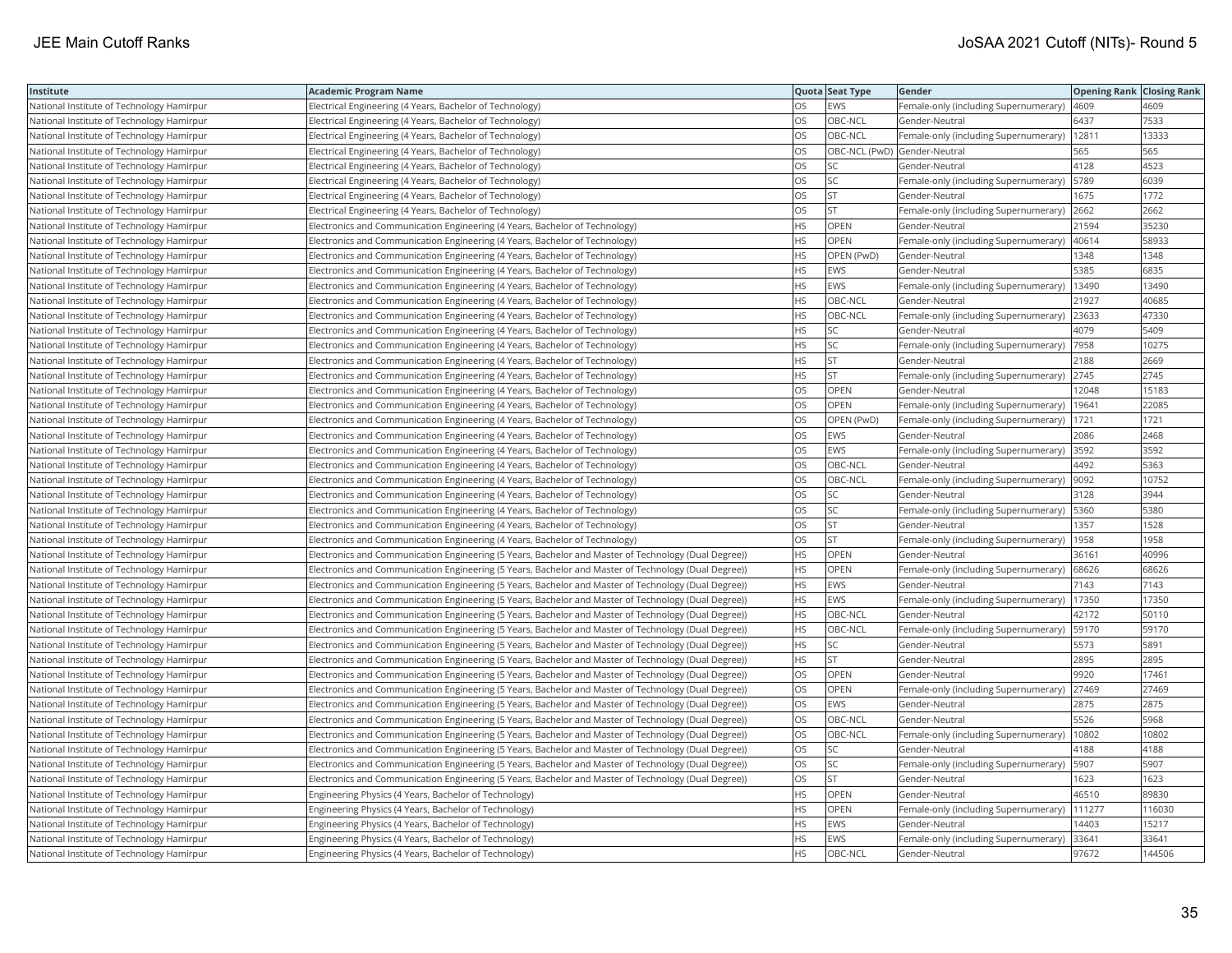| Institute                                 | Academic Program Name                                                                                 |           | Quota Seat Type              | Gender                                        | <b>Opening Rank   Closing Rank</b> |        |
|-------------------------------------------|-------------------------------------------------------------------------------------------------------|-----------|------------------------------|-----------------------------------------------|------------------------------------|--------|
| National Institute of Technology Hamirpur | Electrical Engineering (4 Years, Bachelor of Technology)                                              | OS        | EWS                          | Female-only (including Supernumerary)         | 4609                               | 4609   |
| National Institute of Technology Hamirpur | Electrical Engineering (4 Years, Bachelor of Technology)                                              | OS.       | OBC-NCL                      | Gender-Neutral                                | 6437                               | 7533   |
| National Institute of Technology Hamirpur | Electrical Engineering (4 Years, Bachelor of Technology)                                              | OS        | OBC-NCL                      | Female-only (including Supernumerary)         | 12811                              | 13333  |
| National Institute of Technology Hamirpur | Electrical Engineering (4 Years, Bachelor of Technology)                                              | OS        | OBC-NCL (PwD) Gender-Neutral |                                               | 565                                | 565    |
| National Institute of Technology Hamirpur | Electrical Engineering (4 Years, Bachelor of Technology)                                              | OS        | SC                           | Gender-Neutral                                | 4128                               | 4523   |
| National Institute of Technology Hamirpur | Electrical Engineering (4 Years, Bachelor of Technology)                                              | OS        | SC                           | Female-only (including Supernumerary)         | 5789                               | 6039   |
| National Institute of Technology Hamirpur | Electrical Engineering (4 Years, Bachelor of Technology)                                              | OS        | <b>ST</b>                    | Gender-Neutral                                | 1675                               | 1772   |
| National Institute of Technology Hamirpur | Electrical Engineering (4 Years, Bachelor of Technology)                                              | OS        | <b>ST</b>                    | Female-only (including Supernumerary)         | 2662                               | 2662   |
| National Institute of Technology Hamirpur | Electronics and Communication Engineering (4 Years, Bachelor of Technology)                           | HS        | OPEN                         | Gender-Neutral                                | 21594                              | 35230  |
| National Institute of Technology Hamirpur | Electronics and Communication Engineering (4 Years, Bachelor of Technology)                           | HS        | OPEN                         | Female-only (including Supernumerary)         | 40614                              | 58933  |
| National Institute of Technology Hamirpur | Electronics and Communication Engineering (4 Years, Bachelor of Technology)                           | HS        | OPEN (PwD)                   | Gender-Neutral                                | 1348                               | 1348   |
| National Institute of Technology Hamirpur | Electronics and Communication Engineering (4 Years, Bachelor of Technology)                           | HS        | <b>EWS</b>                   | Gender-Neutral                                | 5385                               | 6835   |
| National Institute of Technology Hamirpur | Electronics and Communication Engineering (4 Years, Bachelor of Technology)                           | HS        | <b>EWS</b>                   | Female-only (including Supernumerary)   13490 |                                    | 13490  |
| National Institute of Technology Hamirpur | Electronics and Communication Engineering (4 Years, Bachelor of Technology)                           | HS        | OBC-NCL                      | Gender-Neutral                                | 21927                              | 40685  |
| National Institute of Technology Hamirpur | Electronics and Communication Engineering (4 Years, Bachelor of Technology)                           | HS        | OBC-NCL                      | Female-only (including Supernumerary)         | 23633                              | 47330  |
| National Institute of Technology Hamirpur | Electronics and Communication Engineering (4 Years, Bachelor of Technology)                           | HS        | SC                           | Gender-Neutral                                | 4079                               | 5409   |
| National Institute of Technology Hamirpur | Electronics and Communication Engineering (4 Years, Bachelor of Technology)                           | HS.       | SC                           | Female-only (including Supernumerary)         | 7958                               | 10275  |
| National Institute of Technology Hamirpur | Electronics and Communication Engineering (4 Years, Bachelor of Technology)                           | <b>HS</b> | lst                          | Gender-Neutral                                | 2188                               | 2669   |
| National Institute of Technology Hamirpur | Electronics and Communication Engineering (4 Years, Bachelor of Technology)                           | <b>HS</b> | <b>ST</b>                    | Female-only (including Supernumerary)         | 2745                               | 2745   |
| National Institute of Technology Hamirpur | Electronics and Communication Engineering (4 Years, Bachelor of Technology)                           | OS        | OPEN                         | Gender-Neutral                                | 12048                              | 15183  |
| National Institute of Technology Hamirpur | Electronics and Communication Engineering (4 Years, Bachelor of Technology)                           | OS        | OPEN                         | Female-only (including Supernumerary)         | 19641                              | 22085  |
| National Institute of Technology Hamirpur | Electronics and Communication Engineering (4 Years, Bachelor of Technology)                           | <b>OS</b> | OPEN (PwD)                   | Female-only (including Supernumerary)   1721  |                                    | 1721   |
| National Institute of Technology Hamirpur | Electronics and Communication Engineering (4 Years, Bachelor of Technology)                           | OS        | <b>EWS</b>                   | Gender-Neutral                                | 2086                               | 2468   |
| National Institute of Technology Hamirpur | Electronics and Communication Engineering (4 Years, Bachelor of Technology)                           | OS        | <b>EWS</b>                   | Female-only (including Supernumerary) 3592    |                                    | 3592   |
| National Institute of Technology Hamirpur | Electronics and Communication Engineering (4 Years, Bachelor of Technology)                           | OS.       | OBC-NCL                      | Gender-Neutral                                | 4492                               | 5363   |
| National Institute of Technology Hamirpur | Electronics and Communication Engineering (4 Years, Bachelor of Technology)                           | OS.       | OBC-NCL                      | Female-only (including Supernumerary)         | 9092                               | 10752  |
| National Institute of Technology Hamirpur | Electronics and Communication Engineering (4 Years, Bachelor of Technology)                           | OS        | SC                           | Gender-Neutral                                | 3128                               | 3944   |
| National Institute of Technology Hamirpur | Electronics and Communication Engineering (4 Years, Bachelor of Technology)                           | OS        | SC                           | Female-only (including Supernumerary)         | 5360                               | 5380   |
| National Institute of Technology Hamirpur | Electronics and Communication Engineering (4 Years, Bachelor of Technology)                           | OS        | <b>ST</b>                    | Gender-Neutral                                | 1357                               | 1528   |
| National Institute of Technology Hamirpur | Electronics and Communication Engineering (4 Years, Bachelor of Technology)                           | OS        | <b>ST</b>                    | Female-only (including Supernumerary)         | 1958                               | 1958   |
| National Institute of Technology Hamirpur | (Electronics and Communication Engineering (5 Years, Bachelor and Master of Technology (Dual Degree)) | <b>HS</b> | OPEN                         | Gender-Neutral                                | 36161                              | 40996  |
| National Institute of Technology Hamirpur | (Electronics and Communication Engineering (5 Years, Bachelor and Master of Technology (Dual Degree)) | HS        | OPEN                         | Female-only (including Supernumerary)         | 68626                              | 68626  |
| National Institute of Technology Hamirpur | (Electronics and Communication Engineering (5 Years, Bachelor and Master of Technology (Dual Degree)) | HS        | <b>EWS</b>                   | Gender-Neutral                                | 7143                               | 7143   |
| National Institute of Technology Hamirpur | (Electronics and Communication Engineering (5 Years, Bachelor and Master of Technology (Dual Degree)) | <b>HS</b> | <b>EWS</b>                   | Female-only (including Supernumerary)         | 17350                              | 17350  |
| National Institute of Technology Hamirpur | (Electronics and Communication Engineering (5 Years, Bachelor and Master of Technology (Dual Degree)) | HS        | OBC-NCL                      | Gender-Neutral                                | 42172                              | 50110  |
| National Institute of Technology Hamirpur | (Electronics and Communication Engineering (5 Years, Bachelor and Master of Technology (Dual Degree)) | HS        | OBC-NCL                      | Female-only (including Supernumerary)   59170 |                                    | 59170  |
| National Institute of Technology Hamirpur | (Electronics and Communication Engineering (5 Years, Bachelor and Master of Technology (Dual Degree)) | HS        | <b>SC</b>                    | Gender-Neutral                                | 5573                               | 5891   |
| National Institute of Technology Hamirpur | (Electronics and Communication Engineering (5 Years, Bachelor and Master of Technology (Dual Degree)) | HS.       | <b>ST</b>                    | Gender-Neutral                                | 2895                               | 2895   |
| National Institute of Technology Hamirpur | (Electronics and Communication Engineering (5 Years, Bachelor and Master of Technology (Dual Degree)) | OS        | OPEN                         | Gender-Neutral                                | 9920                               | 17461  |
| National Institute of Technology Hamirpur | (Electronics and Communication Engineering (5 Years, Bachelor and Master of Technology (Dual Degree)) | OS        | OPEN                         | Female-only (including Supernumerary)         | 27469                              | 27469  |
| National Institute of Technology Hamirpur | (Electronics and Communication Engineering (5 Years, Bachelor and Master of Technology (Dual Degree)) | <b>OS</b> | <b>EWS</b>                   | Gender-Neutral                                | 2875                               | 2875   |
| National Institute of Technology Hamirpur | (Electronics and Communication Engineering (5 Years, Bachelor and Master of Technology (Dual Degree)) | OS        | OBC-NCL                      | Gender-Neutral                                | 5526                               | 5968   |
| National Institute of Technology Hamirpur | (Electronics and Communication Engineering (5 Years, Bachelor and Master of Technology (Dual Degree)) | OS        | OBC-NCL                      | Female-only (including Supernumerary)         | 10802                              | 10802  |
| National Institute of Technology Hamirpur | (Electronics and Communication Engineering (5 Years, Bachelor and Master of Technology (Dual Degree)) | OS        | SC                           | Gender-Neutral                                | 4188                               | 4188   |
| National Institute of Technology Hamirpur | (Electronics and Communication Engineering (5 Years, Bachelor and Master of Technology (Dual Degree)) | OS        | SC                           | Female-only (including Supernumerary)         | 5907                               | 5907   |
| National Institute of Technology Hamirpur | (Electronics and Communication Engineering (5 Years, Bachelor and Master of Technology (Dual Degree)) | OS        | <b>ST</b>                    | Gender-Neutral                                | 1623                               | 1623   |
| National Institute of Technology Hamirpur | Engineering Physics (4 Years, Bachelor of Technology)                                                 | HS        | OPEN                         | Gender-Neutral                                | 46510                              | 89830  |
| National Institute of Technology Hamirpur | Engineering Physics (4 Years, Bachelor of Technology)                                                 | HS.       | OPEN                         | Female-only (including Supernumerary)         | 111277                             | 116030 |
| National Institute of Technology Hamirpur | Engineering Physics (4 Years, Bachelor of Technology)                                                 | HS.       | EWS                          | Gender-Neutral                                | 14403                              | 15217  |
| National Institute of Technology Hamirpur | Engineering Physics (4 Years, Bachelor of Technology)                                                 | HS        | EWS                          | Female-only (including Supernumerary)         | 33641                              | 33641  |
| National Institute of Technology Hamirpur | Engineering Physics (4 Years, Bachelor of Technology)                                                 | HS        | OBC-NCL                      | Gender-Neutral                                | 97672                              | 144506 |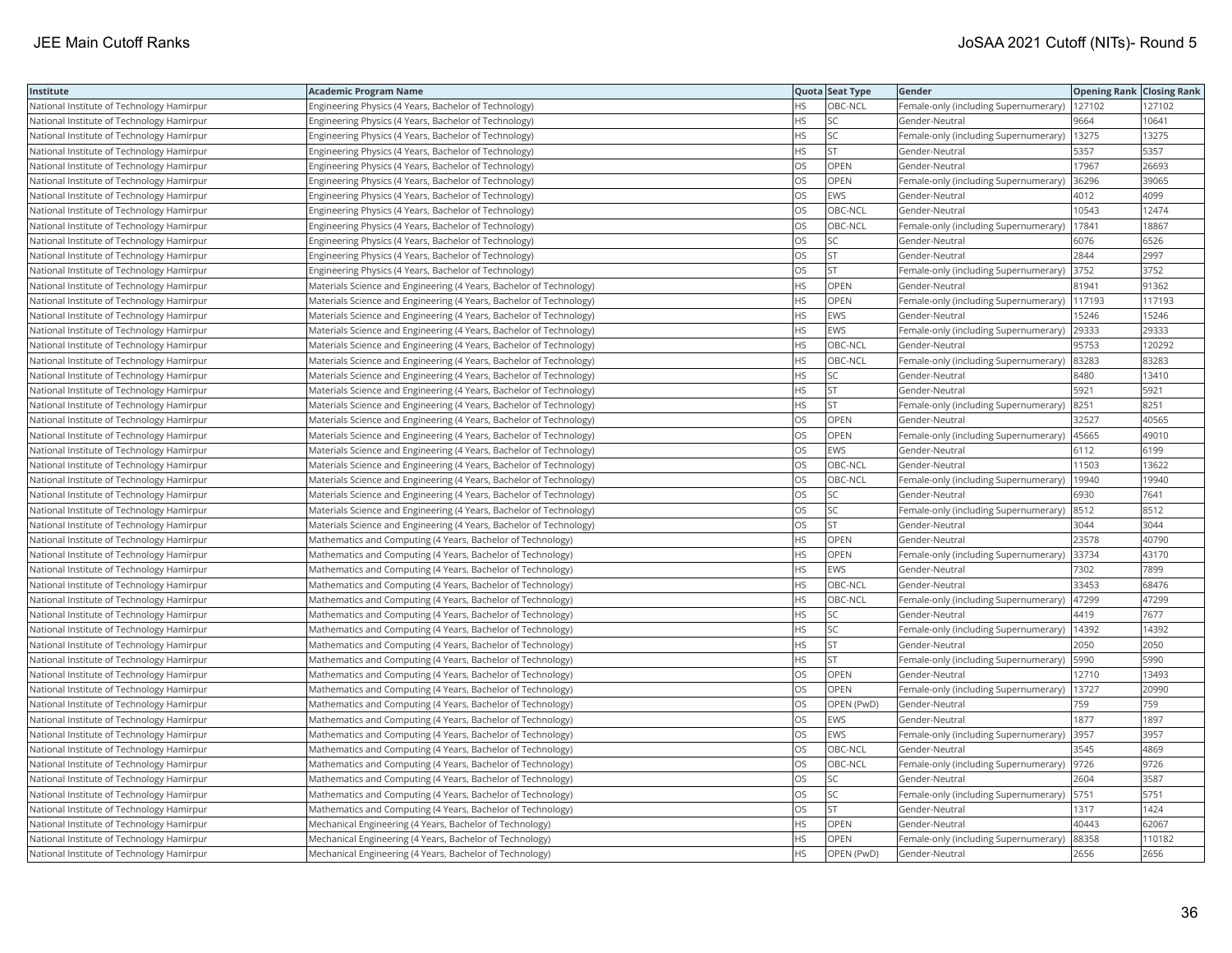| Institute                                 | Academic Program Name                                               |           | Quota Seat Type | Gender                                         | <b>Opening Rank Closing Rank</b> |        |
|-------------------------------------------|---------------------------------------------------------------------|-----------|-----------------|------------------------------------------------|----------------------------------|--------|
| National Institute of Technology Hamirpur | Engineering Physics (4 Years, Bachelor of Technology)               | HS.       | OBC-NCL         | Female-only (including Supernumerary)   127102 |                                  | 127102 |
| National Institute of Technology Hamirpur | Engineering Physics (4 Years, Bachelor of Technology)               | НS        | SC              | Gender-Neutral                                 | 9664                             | 10641  |
| National Institute of Technology Hamirpur | Engineering Physics (4 Years, Bachelor of Technology)               | HS.       | SC              | Female-only (including Supernumerary)          | 13275                            | 13275  |
| National Institute of Technology Hamirpur | Engineering Physics (4 Years, Bachelor of Technology)               | <b>HS</b> | <b>ST</b>       | Gender-Neutral                                 | 5357                             | 5357   |
| National Institute of Technology Hamirpur | Engineering Physics (4 Years, Bachelor of Technology)               | OS        | <b>OPEN</b>     | Gender-Neutral                                 | 17967                            | 26693  |
| National Institute of Technology Hamirpur | Engineering Physics (4 Years, Bachelor of Technology)               | OS        | OPEN            | Female-only (including Supernumerary)          | 36296                            | 39065  |
| National Institute of Technology Hamirpur | Engineering Physics (4 Years, Bachelor of Technology)               | OS        | <b>EWS</b>      | Gender-Neutral                                 | 4012                             | 4099   |
| National Institute of Technology Hamirpur | Engineering Physics (4 Years, Bachelor of Technology)               | OS        | OBC-NCL         | Gender-Neutral                                 | 10543                            | 12474  |
| National Institute of Technology Hamirpur | Engineering Physics (4 Years, Bachelor of Technology)               | OS.       | OBC-NCL         | Female-only (including Supernumerary)          | 17841                            | 18867  |
| National Institute of Technology Hamirpur | Engineering Physics (4 Years, Bachelor of Technology)               | <b>OS</b> | <b>SC</b>       | Gender-Neutral                                 | 6076                             | 6526   |
| National Institute of Technology Hamirpur | Engineering Physics (4 Years, Bachelor of Technology)               | OS        | <b>ST</b>       | Gender-Neutral                                 | 2844                             | 2997   |
| National Institute of Technology Hamirpur | Engineering Physics (4 Years, Bachelor of Technology)               | OS        | <b>ST</b>       | Female-only (including Supernumerary) 3752     |                                  | 3752   |
| National Institute of Technology Hamirpur | Materials Science and Engineering (4 Years, Bachelor of Technology) | HS        | OPEN            | Gender-Neutral                                 | 81941                            | 91362  |
| National Institute of Technology Hamirpur | Materials Science and Engineering (4 Years, Bachelor of Technology) | HS        | OPEN            | Female-only (including Supernumerary)          | 117193                           | 117193 |
| National Institute of Technology Hamirpur | Materials Science and Engineering (4 Years, Bachelor of Technology) | <b>HS</b> | <b>EWS</b>      | Gender-Neutral                                 | 15246                            | 15246  |
| National Institute of Technology Hamirpur | Materials Science and Engineering (4 Years, Bachelor of Technology) | HS        | EWS             | Female-only (including Supernumerary)          | 29333                            | 29333  |
| National Institute of Technology Hamirpur | Materials Science and Engineering (4 Years, Bachelor of Technology) | <b>HS</b> | OBC-NCL         | Gender-Neutral                                 | 95753                            | 120292 |
| National Institute of Technology Hamirpur | Materials Science and Engineering (4 Years, Bachelor of Technology) | HS.       | OBC-NCL         | Female-only (including Supernumerary)          | 83283                            | 83283  |
| National Institute of Technology Hamirpur | Materials Science and Engineering (4 Years, Bachelor of Technology) | <b>HS</b> | <b>SC</b>       | Gender-Neutral                                 | 8480                             | 13410  |
| National Institute of Technology Hamirpur | Materials Science and Engineering (4 Years, Bachelor of Technology) | HS        | <b>ST</b>       | Gender-Neutral                                 | 5921                             | 5921   |
| National Institute of Technology Hamirpur | Materials Science and Engineering (4 Years, Bachelor of Technology) | HS.       | <b>ST</b>       | Female-only (including Supernumerary)          | 8251                             | 8251   |
| National Institute of Technology Hamirpur | Materials Science and Engineering (4 Years, Bachelor of Technology) | OS        | OPEN            | Gender-Neutral                                 | 32527                            | 40565  |
| National Institute of Technology Hamirpur | Materials Science and Engineering (4 Years, Bachelor of Technology) | OS        | OPEN            | Female-only (including Supernumerary)  45665   |                                  | 49010  |
| National Institute of Technology Hamirpur | Materials Science and Engineering (4 Years, Bachelor of Technology) | OS        | <b>EWS</b>      | Gender-Neutral                                 | 6112                             | 6199   |
| National Institute of Technology Hamirpur | Materials Science and Engineering (4 Years, Bachelor of Technology) | OS        | OBC-NCL         | Gender-Neutral                                 | 11503                            | 13622  |
| National Institute of Technology Hamirpur | Materials Science and Engineering (4 Years, Bachelor of Technology) | OS        | OBC-NCL         | Female-only (including Supernumerary)          | 19940                            | 19940  |
| National Institute of Technology Hamirpur | Materials Science and Engineering (4 Years, Bachelor of Technology) | OS.       | <b>SC</b>       | Gender-Neutral                                 | 6930                             | 7641   |
| National Institute of Technology Hamirpur | Materials Science and Engineering (4 Years, Bachelor of Technology) | OS        | SC              | Female-only (including Supernumerary)  8512    |                                  | 8512   |
| National Institute of Technology Hamirpur | Materials Science and Engineering (4 Years, Bachelor of Technology) | OS        | <b>ST</b>       | Gender-Neutral                                 | 3044                             | 3044   |
| National Institute of Technology Hamirpur | Mathematics and Computing (4 Years, Bachelor of Technology)         | HS        | OPEN            | Gender-Neutral                                 | 23578                            | 40790  |
| National Institute of Technology Hamirpur | Mathematics and Computing (4 Years, Bachelor of Technology)         | HS        | OPEN            | Female-only (including Supernumerary) 33734    |                                  | 43170  |
| National Institute of Technology Hamirpur | Mathematics and Computing (4 Years, Bachelor of Technology)         | HS.       | <b>EWS</b>      | Gender-Neutral                                 | 7302                             | 7899   |
| National Institute of Technology Hamirpur | Mathematics and Computing (4 Years, Bachelor of Technology)         | HS        | OBC-NCL         | Gender-Neutral                                 | 33453                            | 68476  |
| National Institute of Technology Hamirpur | Mathematics and Computing (4 Years, Bachelor of Technology)         | HS        | OBC-NCL         | Female-only (including Supernumerary)          | 47299                            | 47299  |
| National Institute of Technology Hamirpur | Mathematics and Computing (4 Years, Bachelor of Technology)         | HS        | <b>SC</b>       | Gender-Neutral                                 | 4419                             | 7677   |
| National Institute of Technology Hamirpur | Mathematics and Computing (4 Years, Bachelor of Technology)         | HS        | SC              | Female-only (including Supernumerary)          | 14392                            | 14392  |
| National Institute of Technology Hamirpur | Mathematics and Computing (4 Years, Bachelor of Technology)         | HS.       | <b>ST</b>       | Gender-Neutral                                 | 2050                             | 2050   |
| National Institute of Technology Hamirpur | Mathematics and Computing (4 Years, Bachelor of Technology)         | HS        | <b>ST</b>       | Female-only (including Supernumerary)   5990   |                                  | 5990   |
| National Institute of Technology Hamirpur | Mathematics and Computing (4 Years, Bachelor of Technology)         | OS        | OPEN            | Gender-Neutral                                 | 12710                            | 13493  |
| National Institute of Technology Hamirpur | Mathematics and Computing (4 Years, Bachelor of Technology)         | OS.       | <b>OPEN</b>     | Female-only (including Supernumerary)          | 13727                            | 20990  |
| National Institute of Technology Hamirpur | Mathematics and Computing (4 Years, Bachelor of Technology)         | OS        | OPEN (PwD)      | Gender-Neutral                                 | 759                              | 759    |
| National Institute of Technology Hamirpur | Mathematics and Computing (4 Years, Bachelor of Technology)         | OS        | EWS             | Gender-Neutral                                 | 1877                             | 1897   |
| National Institute of Technology Hamirpur | Mathematics and Computing (4 Years, Bachelor of Technology)         | OS.       | <b>EWS</b>      | Female-only (including Supernumerary)          | 3957                             | 3957   |
| National Institute of Technology Hamirpur | Mathematics and Computing (4 Years, Bachelor of Technology)         | OS        | OBC-NCL         | Gender-Neutral                                 | 3545                             | 4869   |
| National Institute of Technology Hamirpur | Mathematics and Computing (4 Years, Bachelor of Technology)         | OS.       | OBC-NCL         | Female-only (including Supernumerary)  9726    |                                  | 9726   |
| National Institute of Technology Hamirpur | Mathematics and Computing (4 Years, Bachelor of Technology)         | OS        | SC              | Gender-Neutral                                 | 2604                             | 3587   |
| National Institute of Technology Hamirpur | Mathematics and Computing (4 Years, Bachelor of Technology)         | OS        | SC              | Female-only (including Supernumerary)  5751    |                                  | 5751   |
| National Institute of Technology Hamirpur | Mathematics and Computing (4 Years, Bachelor of Technology)         | OS        | <b>ST</b>       | Gender-Neutral                                 | 1317                             | 1424   |
| National Institute of Technology Hamirpur | Mechanical Engineering (4 Years, Bachelor of Technology)            | HS        | OPEN            | Gender-Neutral                                 | 40443                            | 62067  |
| National Institute of Technology Hamirpur | Mechanical Engineering (4 Years, Bachelor of Technology)            | <b>HS</b> | OPEN            | Female-only (including Supernumerary)          | 88358                            | 110182 |
| National Institute of Technology Hamirpur | Mechanical Engineering (4 Years, Bachelor of Technology)            | <b>HS</b> | OPEN (PwD)      | Gender-Neutral                                 | 2656                             | 2656   |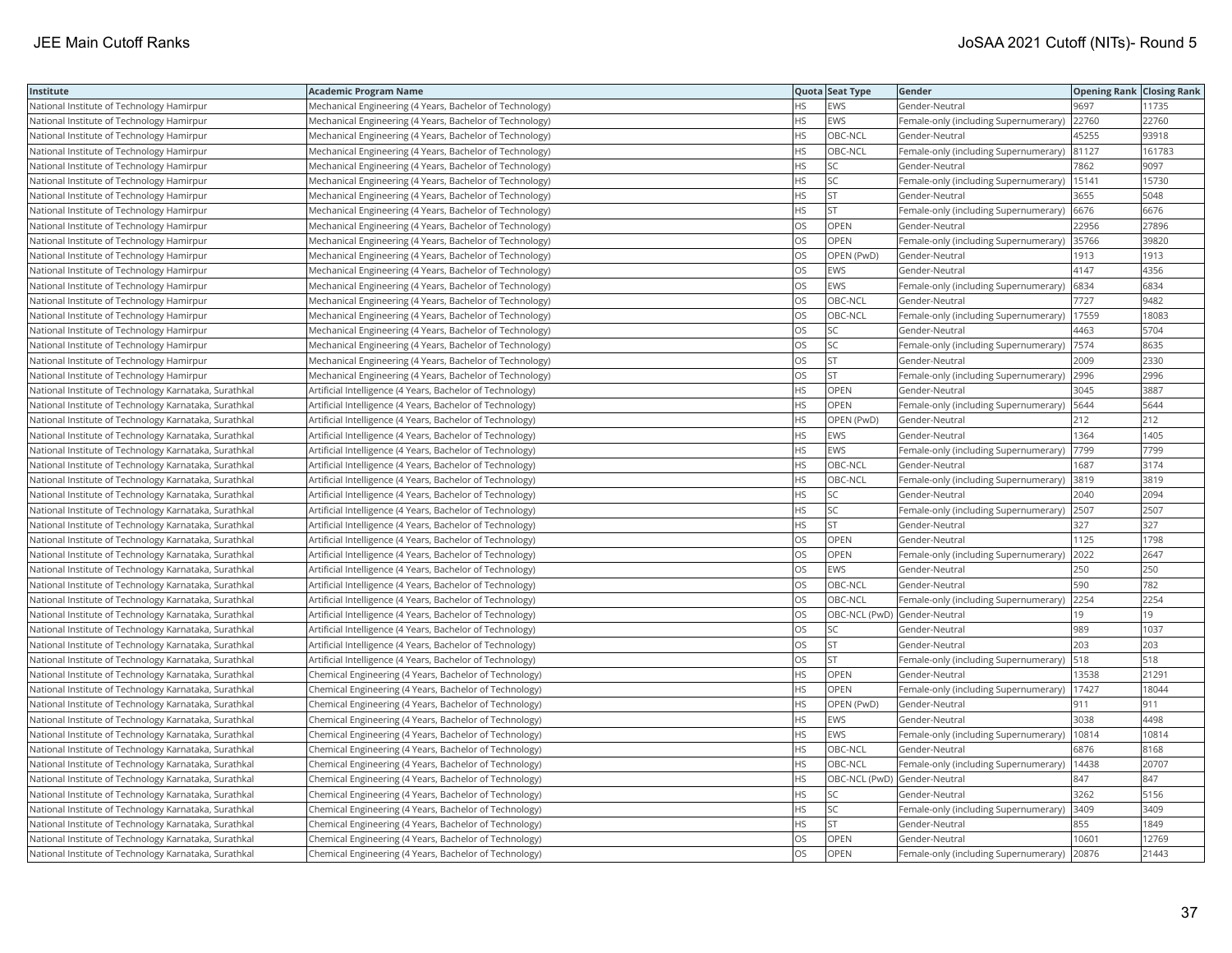| <b>Institute</b>                                      | Academic Program Name                                     |           | Quota Seat Type | Gender                                        | <b>Opening Rank Closing Rank</b> |        |
|-------------------------------------------------------|-----------------------------------------------------------|-----------|-----------------|-----------------------------------------------|----------------------------------|--------|
| National Institute of Technology Hamirpur             | Mechanical Engineering (4 Years, Bachelor of Technology)  | HS        | EWS             | Gender-Neutral                                | 9697                             | 11735  |
| National Institute of Technology Hamirpur             | Mechanical Engineering (4 Years, Bachelor of Technology)  | HS.       | EWS             | Female-only (including Supernumerary)         | 22760                            | 22760  |
| National Institute of Technology Hamirpur             | Mechanical Engineering (4 Years, Bachelor of Technology)  | HS        | OBC-NCL         | Gender-Neutral                                | 45255                            | 93918  |
| National Institute of Technology Hamirpur             | Mechanical Engineering (4 Years, Bachelor of Technology)  | HS        | OBC-NCL         | Female-only (including Supernumerary)         | 81127                            | 161783 |
| National Institute of Technology Hamirpur             | Mechanical Engineering (4 Years, Bachelor of Technology)  | <b>HS</b> | <b>SC</b>       | Gender-Neutral                                | 7862                             | 9097   |
| National Institute of Technology Hamirpur             | Mechanical Engineering (4 Years, Bachelor of Technology)  | HS        | <b>SC</b>       | Female-only (including Supernumerary)   15141 |                                  | 15730  |
| National Institute of Technology Hamirpur             | Mechanical Engineering (4 Years, Bachelor of Technology)  | HS        | ST              | Gender-Neutral                                | 3655                             | 5048   |
| National Institute of Technology Hamirpur             | Mechanical Engineering (4 Years, Bachelor of Technology)  | HS.       | <b>ST</b>       | Female-only (including Supernumerary) 6676    |                                  | 6676   |
| National Institute of Technology Hamirpur             | Mechanical Engineering (4 Years, Bachelor of Technology)  | OS        | OPEN            | Gender-Neutral                                | 22956                            | 27896  |
| National Institute of Technology Hamirpur             | Mechanical Engineering (4 Years, Bachelor of Technology)  | OS        | OPEN            | Female-only (including Supernumerary) 35766   |                                  | 39820  |
| National Institute of Technology Hamirpur             | Mechanical Engineering (4 Years, Bachelor of Technology)  | OS        | OPEN (PwD)      | Gender-Neutral                                | 1913                             | 1913   |
| National Institute of Technology Hamirpur             | Mechanical Engineering (4 Years, Bachelor of Technology)  | <b>OS</b> | <b>EWS</b>      | Gender-Neutral                                | 4147                             | 4356   |
| National Institute of Technology Hamirpur             | Mechanical Engineering (4 Years, Bachelor of Technology)  | OS        | <b>EWS</b>      | Female-only (including Supernumerary)         | 6834                             | 6834   |
| National Institute of Technology Hamirpur             | Mechanical Engineering (4 Years, Bachelor of Technology)  | OS        | OBC-NCL         | Gender-Neutral                                | 7727                             | 9482   |
| National Institute of Technology Hamirpur             | Mechanical Engineering (4 Years, Bachelor of Technology)  | OS        | OBC-NCL         | Female-only (including Supernumerary)         | 17559                            | 18083  |
| National Institute of Technology Hamirpur             | Mechanical Engineering (4 Years, Bachelor of Technology)  | OS        | <b>SC</b>       | Gender-Neutral                                | 4463                             | 5704   |
| National Institute of Technology Hamirpur             | Mechanical Engineering (4 Years, Bachelor of Technology)  | OS        | SC              | Female-only (including Supernumerary)         | 7574                             | 8635   |
| National Institute of Technology Hamirpur             | Mechanical Engineering (4 Years, Bachelor of Technology)  | OS        | <b>ST</b>       | Gender-Neutral                                | 2009                             | 2330   |
| National Institute of Technology Hamirpur             | Mechanical Engineering (4 Years, Bachelor of Technology)  | OS.       | <b>ST</b>       | Female-only (including Supernumerary)         | 2996                             | 2996   |
| National Institute of Technology Karnataka, Surathkal | Artificial Intelligence (4 Years, Bachelor of Technology) | HS        | <b>OPEN</b>     | Gender-Neutral                                | 3045                             | 3887   |
| National Institute of Technology Karnataka, Surathkal | Artificial Intelligence (4 Years, Bachelor of Technology) | HS.       | OPEN            | Female-only (including Supernumerary)   5644  |                                  | 5644   |
| National Institute of Technology Karnataka, Surathkal | Artificial Intelligence (4 Years, Bachelor of Technology) | HS.       | OPEN (PwD)      | Gender-Neutral                                | 212                              | 212    |
| National Institute of Technology Karnataka, Surathkal | Artificial Intelligence (4 Years, Bachelor of Technology) | HS        | <b>EWS</b>      | Gender-Neutral                                | 1364                             | 1405   |
| National Institute of Technology Karnataka, Surathkal | Artificial Intelligence (4 Years, Bachelor of Technology) | HS        | <b>EWS</b>      | Female-only (including Supernumerary)         | 7799                             | 7799   |
| National Institute of Technology Karnataka, Surathkal | Artificial Intelligence (4 Years, Bachelor of Technology) | HS        | OBC-NCL         | Gender-Neutral                                | 1687                             | 3174   |
| National Institute of Technology Karnataka, Surathkal | Artificial Intelligence (4 Years, Bachelor of Technology) | HS        | OBC-NCL         | Female-only (including Supernumerary) 3819    |                                  | 3819   |
| National Institute of Technology Karnataka, Surathkal | Artificial Intelligence (4 Years, Bachelor of Technology) | HS.       | SC              | Gender-Neutral                                | 2040                             | 2094   |
| National Institute of Technology Karnataka, Surathkal | Artificial Intelligence (4 Years, Bachelor of Technology) | <b>HS</b> | <b>SC</b>       | Female-only (including Supernumerary) 2507    |                                  | 2507   |
| National Institute of Technology Karnataka, Surathkal | Artificial Intelligence (4 Years, Bachelor of Technology) | HS        | <b>ST</b>       | Gender-Neutral                                | 327                              | 327    |
| National Institute of Technology Karnataka, Surathkal | Artificial Intelligence (4 Years, Bachelor of Technology) | OS        | OPEN            | Gender-Neutral                                | 1125                             | 1798   |
| National Institute of Technology Karnataka, Surathkal | Artificial Intelligence (4 Years, Bachelor of Technology) | OS        | OPEN            | Female-only (including Supernumerary) 2022    |                                  | 2647   |
| National Institute of Technology Karnataka, Surathkal | Artificial Intelligence (4 Years, Bachelor of Technology) | OS        | <b>EWS</b>      | Gender-Neutral                                | 250                              | 250    |
| National Institute of Technology Karnataka, Surathkal | Artificial Intelligence (4 Years, Bachelor of Technology) | OS.       | OBC-NCL         | Gender-Neutral                                | 590                              | 782    |
| National Institute of Technology Karnataka, Surathkal | Artificial Intelligence (4 Years, Bachelor of Technology) | OS        | OBC-NCL         | Female-only (including Supernumerary)         | 2254                             | 2254   |
| National Institute of Technology Karnataka, Surathkal | Artificial Intelligence (4 Years, Bachelor of Technology) | OS        |                 | OBC-NCL (PwD) Gender-Neutral                  | 19                               | 19     |
| National Institute of Technology Karnataka, Surathkal | Artificial Intelligence (4 Years, Bachelor of Technology) | OS.       | <b>SC</b>       | Gender-Neutral                                | 989                              | 1037   |
| National Institute of Technology Karnataka, Surathkal | Artificial Intelligence (4 Years, Bachelor of Technology) | OS        | <b>ST</b>       | Gender-Neutral                                | 203                              | 203    |
| National Institute of Technology Karnataka, Surathkal | Artificial Intelligence (4 Years, Bachelor of Technology) | OS        | <b>ST</b>       | Female-only (including Supernumerary)   518   |                                  | 518    |
| National Institute of Technology Karnataka, Surathkal | Chemical Engineering (4 Years, Bachelor of Technology)    | HS        | OPEN            | Gender-Neutral                                | 13538                            | 21291  |
| National Institute of Technology Karnataka, Surathkal | Chemical Engineering (4 Years, Bachelor of Technology)    | HS.       | OPEN            | Female-only (including Supernumerary)         | 17427                            | 18044  |
| National Institute of Technology Karnataka, Surathkal | Chemical Engineering (4 Years, Bachelor of Technology)    | HS.       | OPEN (PwD)      | Gender-Neutral                                | 911                              | 911    |
| National Institute of Technology Karnataka, Surathkal | Chemical Engineering (4 Years, Bachelor of Technology)    | <b>HS</b> | EWS             | Gender-Neutral                                | 3038                             | 4498   |
| National Institute of Technology Karnataka, Surathkal | Chemical Engineering (4 Years, Bachelor of Technology)    | HS        | <b>EWS</b>      | Female-only (including Supernumerary)         | 10814                            | 10814  |
| National Institute of Technology Karnataka, Surathkal | Chemical Engineering (4 Years, Bachelor of Technology)    | <b>HS</b> | OBC-NCL         | Gender-Neutral                                | 6876                             | 8168   |
| National Institute of Technology Karnataka, Surathkal | Chemical Engineering (4 Years, Bachelor of Technology)    | HS.       | OBC-NCL         | Female-only (including Supernumerary)         | 14438                            | 20707  |
| National Institute of Technology Karnataka, Surathkal | Chemical Engineering (4 Years, Bachelor of Technology)    | HS.       |                 | OBC-NCL (PwD) Gender-Neutral                  | 847                              | 847    |
| National Institute of Technology Karnataka, Surathkal | Chemical Engineering (4 Years, Bachelor of Technology)    | HS        | <b>SC</b>       | Gender-Neutral                                | 3262                             | 5156   |
| National Institute of Technology Karnataka, Surathkal | Chemical Engineering (4 Years, Bachelor of Technology)    | НS        | SC              | Female-only (including Supernumerary)         | 3409                             | 3409   |
| National Institute of Technology Karnataka, Surathkal | Chemical Engineering (4 Years, Bachelor of Technology)    | HS        | <b>ST</b>       | Gender-Neutral                                | 855                              | 1849   |
| National Institute of Technology Karnataka, Surathkal | Chemical Engineering (4 Years, Bachelor of Technology)    | OS.       | OPEN            | Gender-Neutral                                | 10601                            | 12769  |
| National Institute of Technology Karnataka, Surathkal | Chemical Engineering (4 Years, Bachelor of Technology)    | OS        | OPEN            | Female-only (including Supernumerary)         | 20876                            | 21443  |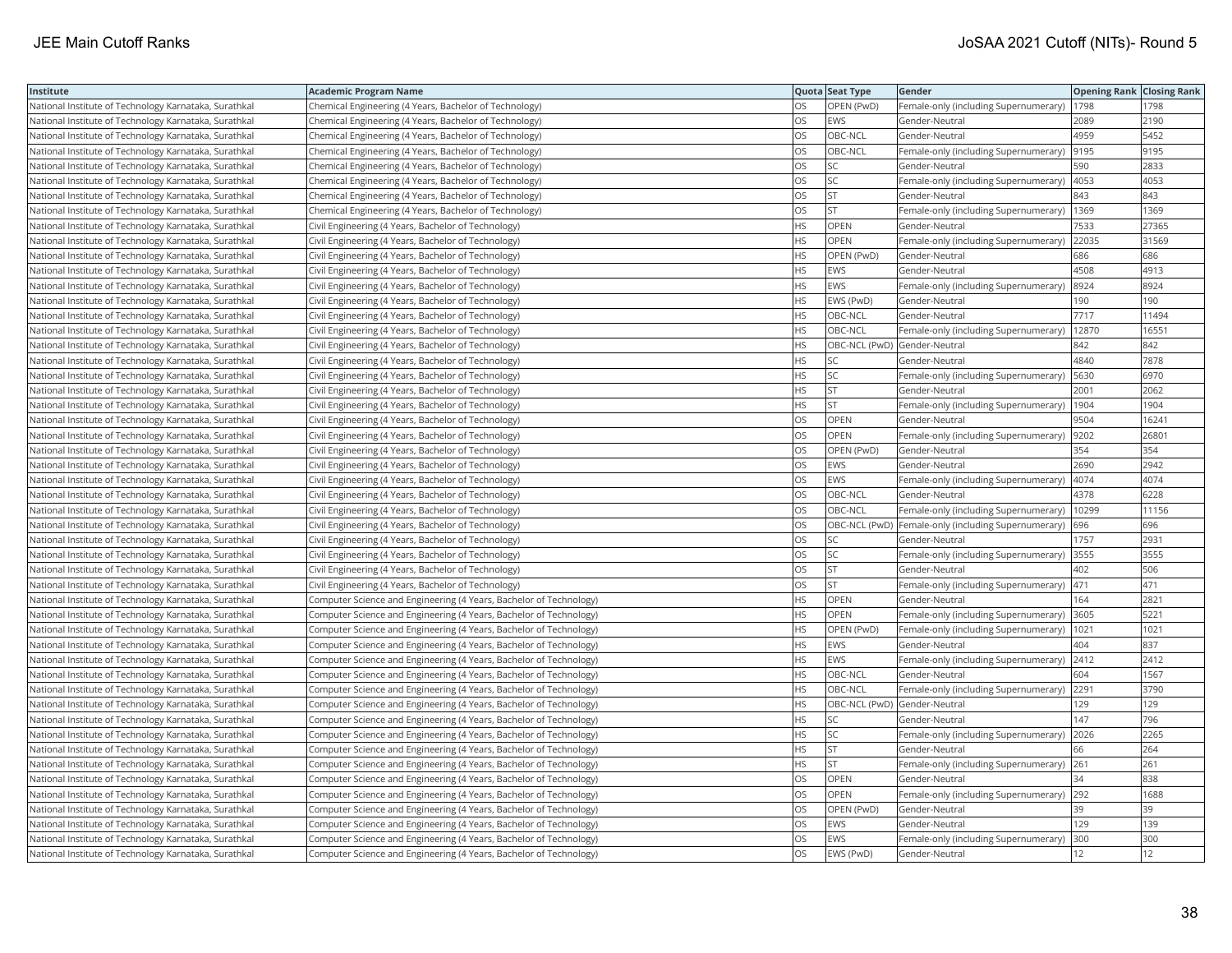| Institute                                             | <b>Academic Program Name</b>                                       |           | Quota Seat Type              | Gender                                              | <b>Opening Rank Closing Rank</b> |       |
|-------------------------------------------------------|--------------------------------------------------------------------|-----------|------------------------------|-----------------------------------------------------|----------------------------------|-------|
| National Institute of Technology Karnataka, Surathkal | Chemical Engineering (4 Years, Bachelor of Technology)             | OS        | OPEN (PwD)                   | Female-only (including Supernumerary)               | 1798                             | 1798  |
| National Institute of Technology Karnataka, Surathkal | Chemical Engineering (4 Years, Bachelor of Technology)             | OS.       | <b>EWS</b>                   | Gender-Neutral                                      | 2089                             | 2190  |
| National Institute of Technology Karnataka, Surathkal | Chemical Engineering (4 Years, Bachelor of Technology)             | <b>OS</b> | OBC-NCL                      | Gender-Neutral                                      | 4959                             | 5452  |
| National Institute of Technology Karnataka, Surathkal | Chemical Engineering (4 Years, Bachelor of Technology)             | OS        | OBC-NCL                      | Female-only (including Supernumerary)               | 9195                             | 9195  |
| National Institute of Technology Karnataka, Surathkal | Chemical Engineering (4 Years, Bachelor of Technology)             | OS        | SC                           | Gender-Neutral                                      | 590                              | 2833  |
| National Institute of Technology Karnataka, Surathkal | Chemical Engineering (4 Years, Bachelor of Technology)             | OS        | <b>SC</b>                    | Female-only (including Supernumerary)               | 4053                             | 4053  |
| National Institute of Technology Karnataka, Surathkal | Chemical Engineering (4 Years, Bachelor of Technology)             | OS        | <b>ST</b>                    | Gender-Neutral                                      | 843                              | 843   |
| National Institute of Technology Karnataka, Surathkal | Chemical Engineering (4 Years, Bachelor of Technology)             | OS.       | <b>ST</b>                    | Female-only (including Supernumerary)               | 1369                             | 1369  |
| National Institute of Technology Karnataka, Surathkal | Civil Engineering (4 Years, Bachelor of Technology)                | HS        | OPEN                         | Gender-Neutral                                      | 7533                             | 27365 |
| National Institute of Technology Karnataka, Surathkal | Civil Engineering (4 Years, Bachelor of Technology)                | HS        | OPEN                         | Female-only (including Supernumerary)               | 22035                            | 31569 |
| National Institute of Technology Karnataka, Surathkal | Civil Engineering (4 Years, Bachelor of Technology)                | HS.       | OPEN (PwD)                   | Gender-Neutral                                      | 686                              | 686   |
| National Institute of Technology Karnataka, Surathkal | Civil Engineering (4 Years, Bachelor of Technology)                | HS        | EWS                          | Gender-Neutral                                      | 4508                             | 4913  |
| National Institute of Technology Karnataka, Surathkal | Civil Engineering (4 Years, Bachelor of Technology)                | HS        | <b>EWS</b>                   | Female-only (including Supernumerary)               | 8924                             | 8924  |
| National Institute of Technology Karnataka, Surathkal | Civil Engineering (4 Years, Bachelor of Technology)                | HS        | EWS (PwD)                    | Gender-Neutral                                      | 190                              | 190   |
| National Institute of Technology Karnataka, Surathkal | Civil Engineering (4 Years, Bachelor of Technology)                | HS        | OBC-NCL                      | Gender-Neutral                                      | 7717                             | 11494 |
| National Institute of Technology Karnataka, Surathkal | Civil Engineering (4 Years, Bachelor of Technology)                | HS        | OBC-NCL                      | Female-only (including Supernumerary)               | 12870                            | 16551 |
| National Institute of Technology Karnataka, Surathkal | Civil Engineering (4 Years, Bachelor of Technology)                | HS        | OBC-NCL (PwD) Gender-Neutral |                                                     | 842                              | 842   |
| National Institute of Technology Karnataka, Surathkal | Civil Engineering (4 Years, Bachelor of Technology)                | HS        | <b>SC</b>                    | Gender-Neutral                                      | 4840                             | 7878  |
| National Institute of Technology Karnataka, Surathkal | Civil Engineering (4 Years, Bachelor of Technology)                | HS        | <b>SC</b>                    | Female-only (including Supernumerary)               | 5630                             | 6970  |
| National Institute of Technology Karnataka, Surathkal | Civil Engineering (4 Years, Bachelor of Technology)                | HS        | <b>ST</b>                    | Gender-Neutral                                      | 2001                             | 2062  |
| National Institute of Technology Karnataka, Surathkal | Civil Engineering (4 Years, Bachelor of Technology)                | HS        | <b>ST</b>                    | Female-only (including Supernumerary)               | 1904                             | 1904  |
| National Institute of Technology Karnataka, Surathkal | Civil Engineering (4 Years, Bachelor of Technology)                | OS        | OPEN                         | Gender-Neutral                                      | 9504                             | 16241 |
| National Institute of Technology Karnataka, Surathkal | Civil Engineering (4 Years, Bachelor of Technology)                | OS.       | <b>OPEN</b>                  | Female-only (including Supernumerary)               | 9202                             | 26801 |
| National Institute of Technology Karnataka, Surathkal | Civil Engineering (4 Years, Bachelor of Technology)                | OS        | OPEN (PwD)                   | Gender-Neutral                                      | 354                              | 354   |
| National Institute of Technology Karnataka, Surathkal | Civil Engineering (4 Years, Bachelor of Technology)                | OS        | EWS                          | Gender-Neutral                                      | 2690                             | 2942  |
| National Institute of Technology Karnataka, Surathkal | Civil Engineering (4 Years, Bachelor of Technology)                | OS.       | <b>EWS</b>                   | Female-only (including Supernumerary)               | 4074                             | 4074  |
| National Institute of Technology Karnataka, Surathkal | Civil Engineering (4 Years, Bachelor of Technology)                | <b>OS</b> | OBC-NCL                      | Gender-Neutral                                      | 4378                             | 6228  |
| National Institute of Technology Karnataka, Surathkal | Civil Engineering (4 Years, Bachelor of Technology)                | OS        | OBC-NCL                      | Female-only (including Supernumerary)               | 10299                            | 11156 |
| National Institute of Technology Karnataka, Surathkal | Civil Engineering (4 Years, Bachelor of Technology)                | OS        |                              | OBC-NCL (PwD) Female-only (including Supernumerary) | 696                              | 696   |
| National Institute of Technology Karnataka, Surathkal | Civil Engineering (4 Years, Bachelor of Technology)                | OS        | SC                           | Gender-Neutral                                      | 1757                             | 2931  |
| National Institute of Technology Karnataka, Surathkal | Civil Engineering (4 Years, Bachelor of Technology)                | OS        | SC                           | Female-only (including Supernumerary)               | 3555                             | 3555  |
| National Institute of Technology Karnataka, Surathkal | Civil Engineering (4 Years, Bachelor of Technology)                | OS        | <b>ST</b>                    | Gender-Neutral                                      | 402                              | 506   |
| National Institute of Technology Karnataka, Surathkal | Civil Engineering (4 Years, Bachelor of Technology)                | OS        | <b>ST</b>                    | Female-only (including Supernumerary)               | 471                              | 471   |
| National Institute of Technology Karnataka, Surathkal | Computer Science and Engineering (4 Years, Bachelor of Technology) | HS        | OPEN                         | Gender-Neutral                                      | 164                              | 2821  |
| National Institute of Technology Karnataka, Surathkal | Computer Science and Engineering (4 Years, Bachelor of Technology) | HS.       | <b>OPEN</b>                  | Female-only (including Supernumerary)               | 3605                             | 5221  |
| National Institute of Technology Karnataka, Surathkal | Computer Science and Engineering (4 Years, Bachelor of Technology) | HS        | OPEN (PwD)                   | Female-only (including Supernumerary)   1021        |                                  | 1021  |
| National Institute of Technology Karnataka, Surathkal | Computer Science and Engineering (4 Years, Bachelor of Technology) | ΗS        | EWS                          | Gender-Neutral                                      | 404                              | 837   |
| National Institute of Technology Karnataka, Surathkal | Computer Science and Engineering (4 Years, Bachelor of Technology) | HS        | EWS                          | Female-only (including Supernumerary) 2412          |                                  | 2412  |
| National Institute of Technology Karnataka, Surathkal | Computer Science and Engineering (4 Years, Bachelor of Technology) | HS        | OBC-NCL                      | Gender-Neutral                                      | 604                              | 1567  |
| National Institute of Technology Karnataka, Surathkal | Computer Science and Engineering (4 Years, Bachelor of Technology) | HS.       | OBC-NCL                      | Female-only (including Supernumerary)               | 2291                             | 3790  |
| National Institute of Technology Karnataka, Surathkal | Computer Science and Engineering (4 Years, Bachelor of Technology) | HS        | OBC-NCL (PwD) Gender-Neutral |                                                     | 129                              | 129   |
| National Institute of Technology Karnataka, Surathkal | Computer Science and Engineering (4 Years, Bachelor of Technology) | HS        | SC                           | Gender-Neutral                                      | 147                              | 796   |
| National Institute of Technology Karnataka, Surathkal | Computer Science and Engineering (4 Years, Bachelor of Technology) | HS.       | lsc                          | Female-only (including Supernumerary)               | 2026                             | 2265  |
| National Institute of Technology Karnataka, Surathkal | Computer Science and Engineering (4 Years, Bachelor of Technology) | HS        | <b>ST</b>                    | Gender-Neutral                                      | 66                               | 264   |
| National Institute of Technology Karnataka, Surathkal | Computer Science and Engineering (4 Years, Bachelor of Technology) | HS        | <b>ST</b>                    | Female-only (including Supernumerary)               | 261                              | 261   |
| National Institute of Technology Karnataka, Surathkal | Computer Science and Engineering (4 Years, Bachelor of Technology) | OS.       | OPEN                         | Gender-Neutral                                      | 34                               | 838   |
| National Institute of Technology Karnataka, Surathkal | Computer Science and Engineering (4 Years, Bachelor of Technology) | OS        | OPEN                         | Female-only (including Supernumerary)               | 292                              | 1688  |
| National Institute of Technology Karnataka, Surathkal | Computer Science and Engineering (4 Years, Bachelor of Technology) | OS        | OPEN (PwD)                   | Gender-Neutral                                      | 39                               | 39    |
| National Institute of Technology Karnataka, Surathkal | Computer Science and Engineering (4 Years, Bachelor of Technology) | OS        | EWS                          | Gender-Neutral                                      | 129                              | 139   |
| National Institute of Technology Karnataka, Surathkal | Computer Science and Engineering (4 Years, Bachelor of Technology) | OS.       | <b>EWS</b>                   | Female-only (including Supernumerary)               | 300                              | 300   |
| National Institute of Technology Karnataka, Surathkal | Computer Science and Engineering (4 Years, Bachelor of Technology) | OS        | EWS (PwD)                    | Gender-Neutral                                      | 12                               | 12    |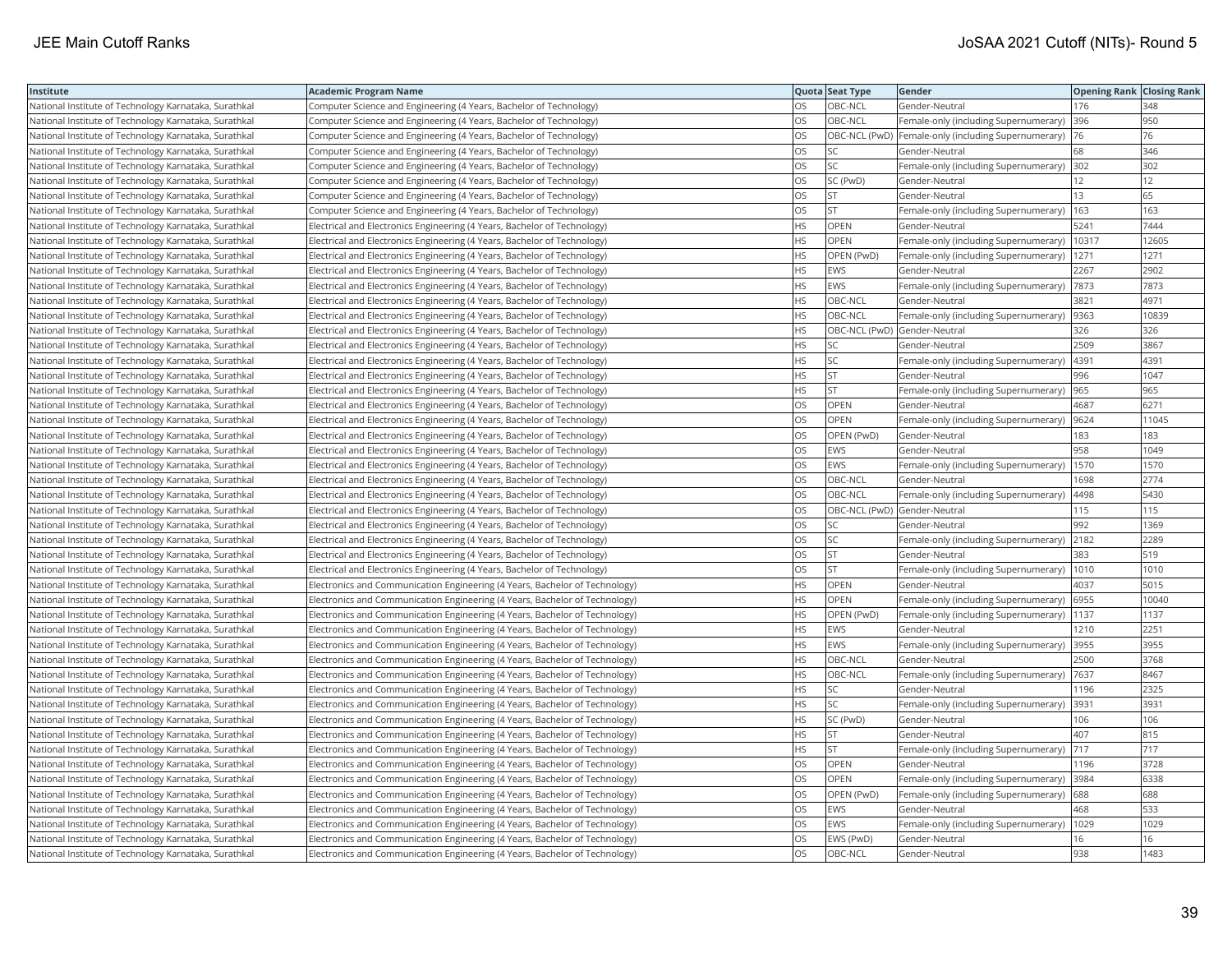| Institute                                             | <b>Academic Program Name</b>                                                |           | Quota Seat Type              | Gender                                              | <b>Opening Rank Closing Rank</b> |       |
|-------------------------------------------------------|-----------------------------------------------------------------------------|-----------|------------------------------|-----------------------------------------------------|----------------------------------|-------|
| National Institute of Technology Karnataka, Surathkal | Computer Science and Engineering (4 Years, Bachelor of Technology)          | OS        | OBC-NCL                      | Gender-Neutral                                      | 176                              | 348   |
| National Institute of Technology Karnataka, Surathkal | Computer Science and Engineering (4 Years, Bachelor of Technology)          | OS        | OBC-NCL                      | Female-only (including Supernumerary)               | 396                              | 950   |
| National Institute of Technology Karnataka, Surathkal | Computer Science and Engineering (4 Years, Bachelor of Technology)          | OS        |                              | OBC-NCL (PwD) Female-only (including Supernumerary) | 76                               | 76    |
| National Institute of Technology Karnataka, Surathkal | Computer Science and Engineering (4 Years, Bachelor of Technology)          | OS.       | <b>SC</b>                    | Gender-Neutral                                      | 68                               | 346   |
| National Institute of Technology Karnataka, Surathkal | Computer Science and Engineering (4 Years, Bachelor of Technology)          | OS        | <b>SC</b>                    | Female-only (including Supernumerary)               | 302                              | 302   |
| National Institute of Technology Karnataka, Surathkal | Computer Science and Engineering (4 Years, Bachelor of Technology)          | OS        | SC (PwD)                     | Gender-Neutral                                      | 12                               | 12    |
| National Institute of Technology Karnataka, Surathkal | Computer Science and Engineering (4 Years, Bachelor of Technology)          | OS.       | <b>ST</b>                    | Gender-Neutral                                      | 13                               | 65    |
| National Institute of Technology Karnataka, Surathkal | Computer Science and Engineering (4 Years, Bachelor of Technology)          | OS        | <b>ST</b>                    | Female-only (including Supernumerary)               | 163                              | 163   |
| National Institute of Technology Karnataka, Surathkal | Electrical and Electronics Engineering (4 Years, Bachelor of Technology)    | HS        | OPEN                         | Gender-Neutral                                      | 5241                             | 7444  |
| National Institute of Technology Karnataka, Surathkal | Electrical and Electronics Engineering (4 Years, Bachelor of Technology)    | HS.       | <b>OPEN</b>                  | Female-only (including Supernumerary)               | 10317                            | 12605 |
| National Institute of Technology Karnataka, Surathkal | Electrical and Electronics Engineering (4 Years, Bachelor of Technology)    | HS        | OPEN (PwD)                   | Female-only (including Supernumerary)               | 1271                             | 1271  |
| National Institute of Technology Karnataka, Surathkal | Electrical and Electronics Engineering (4 Years, Bachelor of Technology)    | HS.       | <b>EWS</b>                   | Gender-Neutral                                      | 2267                             | 2902  |
| National Institute of Technology Karnataka, Surathkal | Electrical and Electronics Engineering (4 Years, Bachelor of Technology)    | HS        | EWS                          | Female-only (including Supernumerary)  7873         |                                  | 7873  |
| National Institute of Technology Karnataka, Surathkal | Electrical and Electronics Engineering (4 Years, Bachelor of Technology)    | ΗS        | OBC-NCL                      | Gender-Neutral                                      | 3821                             | 4971  |
| National Institute of Technology Karnataka, Surathkal | Electrical and Electronics Engineering (4 Years, Bachelor of Technology)    | HS.       | OBC-NCL                      | Female-only (including Supernumerary)               | 9363                             | 10839 |
| National Institute of Technology Karnataka, Surathkal | Electrical and Electronics Engineering (4 Years, Bachelor of Technology)    | НS        | OBC-NCL (PwD) Gender-Neutral |                                                     | 326                              | 326   |
| National Institute of Technology Karnataka, Surathkal | Electrical and Electronics Engineering (4 Years, Bachelor of Technology)    | HS        | SC                           | Gender-Neutral                                      | 2509                             | 3867  |
| National Institute of Technology Karnataka, Surathkal | Electrical and Electronics Engineering (4 Years, Bachelor of Technology)    | HS        | <b>SC</b>                    | Female-only (including Supernumerary)               | 4391                             | 4391  |
| National Institute of Technology Karnataka, Surathkal | Electrical and Electronics Engineering (4 Years, Bachelor of Technology)    | HS        | <b>ST</b>                    | Gender-Neutral                                      | 996                              | 1047  |
| National Institute of Technology Karnataka, Surathkal | Electrical and Electronics Engineering (4 Years, Bachelor of Technology)    | HS.       | lst.                         | Female-only (including Supernumerary)               | 965                              | 965   |
| National Institute of Technology Karnataka, Surathkal | Electrical and Electronics Engineering (4 Years, Bachelor of Technology)    | OS        | <b>OPEN</b>                  | Gender-Neutral                                      | 4687                             | 6271  |
| National Institute of Technology Karnataka, Surathkal | Electrical and Electronics Engineering (4 Years, Bachelor of Technology)    | OS        | OPEN                         | Female-only (including Supernumerary)               | 9624                             | 11045 |
| National Institute of Technology Karnataka, Surathkal | Electrical and Electronics Engineering (4 Years, Bachelor of Technology)    | OS.       | OPEN (PwD)                   | Gender-Neutral                                      | 183                              | 183   |
| National Institute of Technology Karnataka, Surathkal | Electrical and Electronics Engineering (4 Years, Bachelor of Technology)    | OS        | <b>EWS</b>                   | Gender-Neutral                                      | 958                              | 1049  |
| National Institute of Technology Karnataka, Surathkal | Electrical and Electronics Engineering (4 Years, Bachelor of Technology)    | OS        | EWS                          | Female-only (including Supernumerary)               | 1570                             | 1570  |
| National Institute of Technology Karnataka, Surathkal | Electrical and Electronics Engineering (4 Years, Bachelor of Technology)    | OS.       | OBC-NCL                      | Gender-Neutral                                      | 1698                             | 2774  |
| National Institute of Technology Karnataka, Surathkal | Electrical and Electronics Engineering (4 Years, Bachelor of Technology)    | OS.       | OBC-NCL                      | Female-only (including Supernumerary)               | 4498                             | 5430  |
| National Institute of Technology Karnataka, Surathkal | Electrical and Electronics Engineering (4 Years, Bachelor of Technology)    | OS.       | OBC-NCL (PwD) Gender-Neutral |                                                     | 115                              | 115   |
| National Institute of Technology Karnataka, Surathkal | Electrical and Electronics Engineering (4 Years, Bachelor of Technology)    | OS        | <b>SC</b>                    | Gender-Neutral                                      | 992                              | 1369  |
| National Institute of Technology Karnataka, Surathkal | Electrical and Electronics Engineering (4 Years, Bachelor of Technology)    | OS        | <b>SC</b>                    | Female-only (including Supernumerary)               | 2182                             | 2289  |
| National Institute of Technology Karnataka, Surathkal | Electrical and Electronics Engineering (4 Years, Bachelor of Technology)    | OS.       | <b>ST</b>                    | Gender-Neutral                                      | 383                              | 519   |
| National Institute of Technology Karnataka, Surathkal | Electrical and Electronics Engineering (4 Years, Bachelor of Technology)    | OS        | <b>ST</b>                    | Female-only (including Supernumerary)               | 1010                             | 1010  |
| National Institute of Technology Karnataka, Surathkal | Electronics and Communication Engineering (4 Years, Bachelor of Technology) | HS        | OPEN                         | Gender-Neutral                                      | 4037                             | 5015  |
| National Institute of Technology Karnataka, Surathkal | Electronics and Communication Engineering (4 Years, Bachelor of Technology) | HS        | <b>OPEN</b>                  | Female-only (including Supernumerary)               | 6955                             | 10040 |
| National Institute of Technology Karnataka, Surathkal | Electronics and Communication Engineering (4 Years, Bachelor of Technology) | HS.       | OPEN (PwD)                   | Female-only (including Supernumerary)               | 1137                             | 1137  |
| National Institute of Technology Karnataka, Surathkal | Electronics and Communication Engineering (4 Years, Bachelor of Technology) | HS.       | EWS                          | Gender-Neutral                                      | 1210                             | 2251  |
| National Institute of Technology Karnataka, Surathkal | Electronics and Communication Engineering (4 Years, Bachelor of Technology) | HS        | EWS                          | Female-only (including Supernumerary) 3955          |                                  | 3955  |
| National Institute of Technology Karnataka, Surathkal | Electronics and Communication Engineering (4 Years, Bachelor of Technology) | HS        | OBC-NCL                      | Gender-Neutral                                      | 2500                             | 3768  |
| National Institute of Technology Karnataka, Surathkal | Electronics and Communication Engineering (4 Years, Bachelor of Technology) | HS.       | OBC-NCL                      | Female-only (including Supernumerary)               | 7637                             | 8467  |
| National Institute of Technology Karnataka, Surathkal | Electronics and Communication Engineering (4 Years, Bachelor of Technology) | HS        | SC                           | Gender-Neutral                                      | 1196                             | 2325  |
| National Institute of Technology Karnataka, Surathkal | Electronics and Communication Engineering (4 Years, Bachelor of Technology) | HS        | <b>SC</b>                    | Female-only (including Supernumerary)               | 3931                             | 3931  |
| National Institute of Technology Karnataka, Surathkal | Electronics and Communication Engineering (4 Years, Bachelor of Technology) | HS        | SC (PwD)                     | Gender-Neutral                                      | 106                              | 106   |
| National Institute of Technology Karnataka, Surathkal | Electronics and Communication Engineering (4 Years, Bachelor of Technology) | HS        | <b>ST</b>                    | Gender-Neutral                                      | 407                              | 815   |
| National Institute of Technology Karnataka, Surathkal | Electronics and Communication Engineering (4 Years, Bachelor of Technology) | ΗS        | lst                          | Female-only (including Supernumerary)               | 717                              | 717   |
| National Institute of Technology Karnataka, Surathkal | Electronics and Communication Engineering (4 Years, Bachelor of Technology) | OS        | <b>OPEN</b>                  | Gender-Neutral                                      | 1196                             | 3728  |
| National Institute of Technology Karnataka, Surathkal | Electronics and Communication Engineering (4 Years, Bachelor of Technology) | OS        | OPEN                         | Female-only (including Supernumerary)               | 3984                             | 6338  |
| National Institute of Technology Karnataka, Surathkal | Electronics and Communication Engineering (4 Years, Bachelor of Technology) | OS        | OPEN (PwD)                   | Female-only (including Supernumerary)               | 688                              | 688   |
| National Institute of Technology Karnataka, Surathkal | Electronics and Communication Engineering (4 Years, Bachelor of Technology) | OS        | <b>EWS</b>                   | Gender-Neutral                                      | 468                              | 533   |
| National Institute of Technology Karnataka, Surathkal | Electronics and Communication Engineering (4 Years, Bachelor of Technology) | OS        | <b>EWS</b>                   | Female-only (including Supernumerary)               | 1029                             | 1029  |
| National Institute of Technology Karnataka, Surathkal | Electronics and Communication Engineering (4 Years, Bachelor of Technology) | OS        | EWS (PwD)                    | Gender-Neutral                                      | 16                               | 16    |
| National Institute of Technology Karnataka, Surathkal | Electronics and Communication Engineering (4 Years, Bachelor of Technology) | <b>OS</b> | OBC-NCL                      | lGender-Neutral                                     | 938                              | 1483  |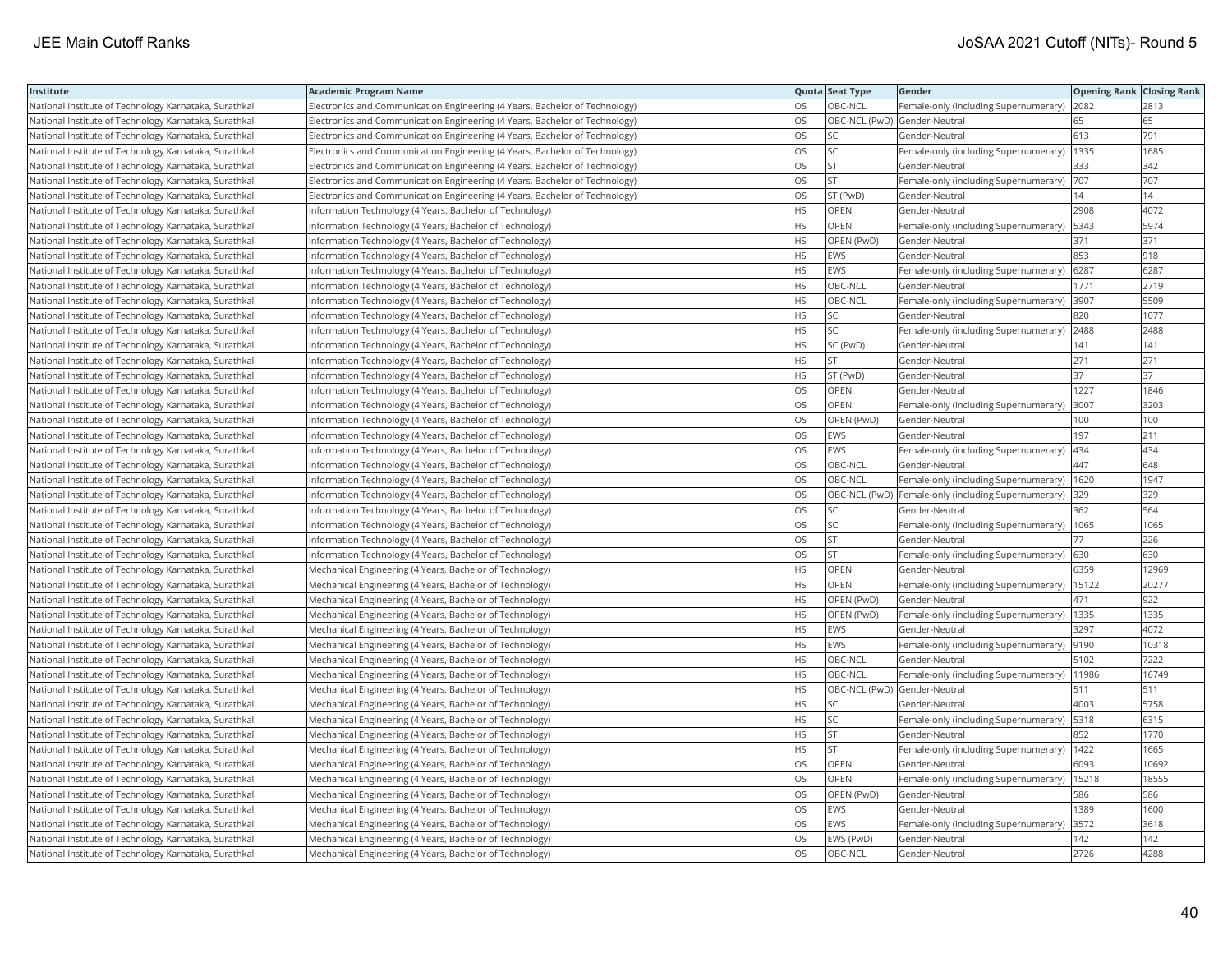| Institute                                             | <b>Academic Program Name</b>                                                |           | Quota Seat Type              | Gender                                              | <b>Opening Rank Closing Rank</b> |       |
|-------------------------------------------------------|-----------------------------------------------------------------------------|-----------|------------------------------|-----------------------------------------------------|----------------------------------|-------|
| National Institute of Technology Karnataka, Surathkal | Electronics and Communication Engineering (4 Years, Bachelor of Technology) | OS        | OBC-NCL                      | Female-only (including Supernumerary)               | 2082                             | 2813  |
| National Institute of Technology Karnataka, Surathkal | Electronics and Communication Engineering (4 Years, Bachelor of Technology) | OS        | OBC-NCL (PwD) Gender-Neutral |                                                     | 65                               | 65    |
| National Institute of Technology Karnataka, Surathkal | Electronics and Communication Engineering (4 Years, Bachelor of Technology) | <b>OS</b> | ISC.                         | Gender-Neutral                                      | 613                              | 791   |
| National Institute of Technology Karnataka, Surathkal | Electronics and Communication Engineering (4 Years, Bachelor of Technology) | OS        | <b>SC</b>                    | Female-only (including Supernumerary)               | 1335                             | 1685  |
| National Institute of Technology Karnataka, Surathkal | Electronics and Communication Engineering (4 Years, Bachelor of Technology) | OS        | <b>ST</b>                    | Gender-Neutral                                      | 333                              | 342   |
| National Institute of Technology Karnataka, Surathkal | Electronics and Communication Engineering (4 Years, Bachelor of Technology) | OS        | <b>ST</b>                    | Female-only (including Supernumerary)               | 707                              | 707   |
| National Institute of Technology Karnataka, Surathkal | Electronics and Communication Engineering (4 Years, Bachelor of Technology) | OS        | ST (PwD)                     | Gender-Neutral                                      | 14                               | 14    |
| National Institute of Technology Karnataka, Surathkal | Information Technology (4 Years, Bachelor of Technology)                    | HS        | <b>OPEN</b>                  | Gender-Neutral                                      | 2908                             | 4072  |
| National Institute of Technology Karnataka, Surathkal | Information Technology (4 Years, Bachelor of Technology)                    | <b>HS</b> | OPEN                         | Female-only (including Supernumerary)               | 5343                             | 5974  |
| National Institute of Technology Karnataka, Surathkal | Information Technology (4 Years, Bachelor of Technology)                    | <b>HS</b> | OPEN (PwD)                   | Gender-Neutral                                      | 371                              | 371   |
| National Institute of Technology Karnataka, Surathkal | Information Technology (4 Years, Bachelor of Technology)                    | <b>HS</b> | <b>EWS</b>                   | Gender-Neutral                                      | 853                              | 918   |
| National Institute of Technology Karnataka, Surathkal | Information Technology (4 Years, Bachelor of Technology)                    | <b>HS</b> | <b>EWS</b>                   | Female-only (including Supernumerary)               | 6287                             | 6287  |
| National Institute of Technology Karnataka, Surathkal | Information Technology (4 Years, Bachelor of Technology)                    | <b>HS</b> | OBC-NCL                      | Gender-Neutral                                      | 1771                             | 2719  |
| National Institute of Technology Karnataka, Surathkal | Information Technology (4 Years, Bachelor of Technology)                    | HS        | OBC-NCL                      | Female-only (including Supernumerary)               | 3907                             | 5509  |
| National Institute of Technology Karnataka, Surathkal | Information Technology (4 Years, Bachelor of Technology)                    | <b>HS</b> | <b>SC</b>                    | Gender-Neutral                                      | 820                              | 1077  |
| National Institute of Technology Karnataka, Surathkal | Information Technology (4 Years, Bachelor of Technology)                    | <b>HS</b> | lsc                          | Female-only (including Supernumerary)               | 2488                             | 2488  |
| National Institute of Technology Karnataka, Surathkal | Information Technology (4 Years, Bachelor of Technology)                    | HS        | SC (PwD)                     | Gender-Neutral                                      | 141                              | 141   |
| National Institute of Technology Karnataka, Surathkal | Information Technology (4 Years, Bachelor of Technology)                    | <b>HS</b> | <b>ST</b>                    | Gender-Neutral                                      | 271                              | 271   |
| National Institute of Technology Karnataka, Surathkal | Information Technology (4 Years, Bachelor of Technology)                    | <b>HS</b> | ST (PwD)                     | Gender-Neutral                                      | 37                               | 37    |
| National Institute of Technology Karnataka, Surathkal | Information Technology (4 Years, Bachelor of Technology)                    | OS        | OPEN                         | Gender-Neutral                                      | 1227                             | 1846  |
| National Institute of Technology Karnataka, Surathkal | Information Technology (4 Years, Bachelor of Technology)                    | OS        | <b>OPEN</b>                  | Female-only (including Supernumerary)               | 3007                             | 3203  |
| National Institute of Technology Karnataka, Surathkal | Information Technology (4 Years, Bachelor of Technology)                    | OS        | OPEN (PwD)                   | Gender-Neutral                                      | 100                              | 100   |
| National Institute of Technology Karnataka, Surathkal | Information Technology (4 Years, Bachelor of Technology)                    | OS        | <b>EWS</b>                   | Gender-Neutral                                      | 197                              | 211   |
| National Institute of Technology Karnataka, Surathkal | Information Technology (4 Years, Bachelor of Technology)                    | OS        | EWS                          | Female-only (including Supernumerary)               | 434                              | 434   |
| National Institute of Technology Karnataka, Surathkal | Information Technology (4 Years, Bachelor of Technology)                    | OS        | OBC-NCL                      | Gender-Neutral                                      | 447                              | 648   |
| National Institute of Technology Karnataka, Surathkal | Information Technology (4 Years, Bachelor of Technology)                    | OS        | OBC-NCL                      | Female-only (including Supernumerary)               | 1620                             | 1947  |
| National Institute of Technology Karnataka, Surathkal | Information Technology (4 Years, Bachelor of Technology)                    | <b>OS</b> |                              | OBC-NCL (PwD) Female-only (including Supernumerary) | 329                              | 329   |
| National Institute of Technology Karnataka, Surathkal | Information Technology (4 Years, Bachelor of Technology)                    | OS        | lsc                          | Gender-Neutral                                      | 362                              | 564   |
| National Institute of Technology Karnataka, Surathkal | Information Technology (4 Years, Bachelor of Technology)                    | OS        | <b>SC</b>                    | Female-only (including Supernumerary)   1065        |                                  | 1065  |
| National Institute of Technology Karnataka, Surathkal | Information Technology (4 Years, Bachelor of Technology)                    | OS        | <b>ST</b>                    | Gender-Neutral                                      | 77                               | 226   |
| National Institute of Technology Karnataka, Surathkal | Information Technology (4 Years, Bachelor of Technology)                    | <b>OS</b> | lst                          | Female-only (including Supernumerary)               | 630                              | 630   |
| National Institute of Technology Karnataka, Surathkal | Mechanical Engineering (4 Years, Bachelor of Technology)                    | HS        | OPEN                         | Gender-Neutral                                      | 6359                             | 12969 |
| National Institute of Technology Karnataka, Surathkal | Mechanical Engineering (4 Years, Bachelor of Technology)                    | <b>HS</b> | OPEN                         | Female-only (including Supernumerary)               | 15122                            | 20277 |
| National Institute of Technology Karnataka, Surathkal | Mechanical Engineering (4 Years, Bachelor of Technology)                    | <b>HS</b> | OPEN (PwD)                   | Gender-Neutral                                      | 471                              | 922   |
| National Institute of Technology Karnataka, Surathkal | Mechanical Engineering (4 Years, Bachelor of Technology)                    | <b>HS</b> | OPEN (PwD)                   | Female-only (including Supernumerary)               | 1335                             | 1335  |
| National Institute of Technology Karnataka, Surathkal | Mechanical Engineering (4 Years, Bachelor of Technology)                    | <b>HS</b> | <b>EWS</b>                   | Gender-Neutral                                      | 3297                             | 4072  |
| National Institute of Technology Karnataka, Surathkal | Mechanical Engineering (4 Years, Bachelor of Technology)                    | <b>HS</b> | <b>EWS</b>                   | Female-only (including Supernumerary) [9190         |                                  | 10318 |
| National Institute of Technology Karnataka, Surathkal | Mechanical Engineering (4 Years, Bachelor of Technology)                    | <b>HS</b> | OBC-NCL                      | Gender-Neutral                                      | 5102                             | 7222  |
| National Institute of Technology Karnataka, Surathkal | Mechanical Engineering (4 Years, Bachelor of Technology)                    | HS.       | OBC-NCL                      | Female-only (including Supernumerary)               | 11986                            | 16749 |
| National Institute of Technology Karnataka, Surathkal | Mechanical Engineering (4 Years, Bachelor of Technology)                    | HS        | OBC-NCL (PwD) Gender-Neutral |                                                     | 511                              | 511   |
| National Institute of Technology Karnataka, Surathkal | Mechanical Engineering (4 Years, Bachelor of Technology)                    | <b>HS</b> | <b>SC</b>                    | Gender-Neutral                                      | 4003                             | 5758  |
| National Institute of Technology Karnataka, Surathkal | Mechanical Engineering (4 Years, Bachelor of Technology)                    | HS        | <b>SC</b>                    | Female-only (including Supernumerary)               | 5318                             | 6315  |
| National Institute of Technology Karnataka, Surathkal | Mechanical Engineering (4 Years, Bachelor of Technology)                    | <b>HS</b> | <b>ST</b>                    | Gender-Neutral                                      | 852                              | 1770  |
| National Institute of Technology Karnataka, Surathkal | Mechanical Engineering (4 Years, Bachelor of Technology)                    | <b>HS</b> | <b>ST</b>                    | Female-only (including Supernumerary)               | 1422                             | 1665  |
| National Institute of Technology Karnataka, Surathkal | Mechanical Engineering (4 Years, Bachelor of Technology)                    | OS        | <b>OPEN</b>                  | Gender-Neutral                                      | 6093                             | 10692 |
| National Institute of Technology Karnataka, Surathkal | Mechanical Engineering (4 Years, Bachelor of Technology)                    | OS        | <b>OPEN</b>                  | Female-only (including Supernumerary)               | 15218                            | 18555 |
| National Institute of Technology Karnataka, Surathkal | Mechanical Engineering (4 Years, Bachelor of Technology)                    | <b>OS</b> | OPEN (PwD)                   | Gender-Neutral                                      | 586                              | 586   |
| National Institute of Technology Karnataka, Surathkal | Mechanical Engineering (4 Years, Bachelor of Technology)                    | OS        | EWS                          | Gender-Neutral                                      | 1389                             | 1600  |
| National Institute of Technology Karnataka, Surathkal | Mechanical Engineering (4 Years, Bachelor of Technology)                    | OS        | <b>EWS</b>                   | Female-only (including Supernumerary)               | 3572                             | 3618  |
| National Institute of Technology Karnataka, Surathkal | Mechanical Engineering (4 Years, Bachelor of Technology)                    | OS        | EWS (PwD)                    | Gender-Neutral                                      | 142                              | 142   |
| National Institute of Technology Karnataka, Surathkal | Mechanical Engineering (4 Years, Bachelor of Technology)                    | <b>OS</b> | <b>OBC-NCL</b>               | lGender-Neutral                                     | 2726                             | 4288  |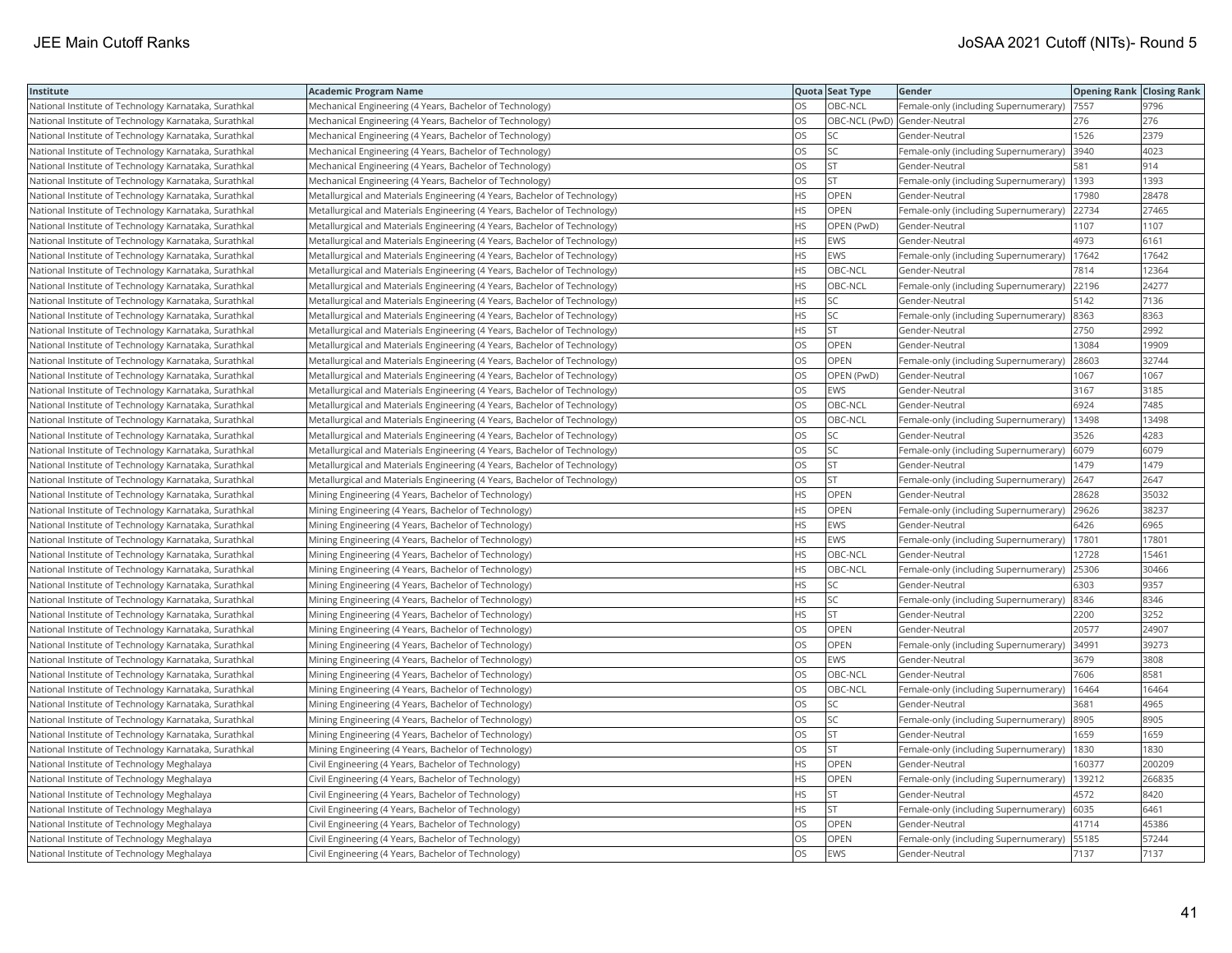| Institute                                             | <b>Academic Program Name</b>                                              |           | Quota Seat Type              | <b>Gender</b>                                | <b>Opening Rank Closing Rank</b> |        |
|-------------------------------------------------------|---------------------------------------------------------------------------|-----------|------------------------------|----------------------------------------------|----------------------------------|--------|
| National Institute of Technology Karnataka, Surathkal | Mechanical Engineering (4 Years, Bachelor of Technology)                  | OS        | OBC-NCL                      | Female-only (including Supernumerary)        | 7557                             | 9796   |
| National Institute of Technology Karnataka, Surathkal | Mechanical Engineering (4 Years, Bachelor of Technology)                  | <b>OS</b> | OBC-NCL (PwD) Gender-Neutral |                                              | 276                              | 276    |
| National Institute of Technology Karnataka, Surathkal | Mechanical Engineering (4 Years, Bachelor of Technology)                  | OS        | SC                           | Gender-Neutral                               | 1526                             | 2379   |
| National Institute of Technology Karnataka, Surathkal | Mechanical Engineering (4 Years, Bachelor of Technology)                  | OS        | <b>SC</b>                    | Female-only (including Supernumerary)        | 3940                             | 4023   |
| National Institute of Technology Karnataka, Surathkal | Mechanical Engineering (4 Years, Bachelor of Technology)                  | <b>OS</b> | lst                          | Gender-Neutral                               | 581                              | 914    |
| National Institute of Technology Karnataka, Surathkal | Mechanical Engineering (4 Years, Bachelor of Technology)                  | OS        | <b>ST</b>                    | Female-only (including Supernumerary)   1393 |                                  | 1393   |
| National Institute of Technology Karnataka, Surathkal | Metallurgical and Materials Engineering (4 Years, Bachelor of Technology) | <b>HS</b> | OPEN                         | Gender-Neutral                               | 17980                            | 28478  |
| National Institute of Technology Karnataka, Surathkal | Metallurgical and Materials Engineering (4 Years, Bachelor of Technology) | <b>HS</b> | <b>OPEN</b>                  | Female-only (including Supernumerary)        | 22734                            | 27465  |
| National Institute of Technology Karnataka, Surathkal | Metallurgical and Materials Engineering (4 Years, Bachelor of Technology) | HS.       | OPEN (PwD)                   | Gender-Neutral                               | 1107                             | 1107   |
| National Institute of Technology Karnataka, Surathkal | Metallurgical and Materials Engineering (4 Years, Bachelor of Technology) | <b>HS</b> | EWS                          | Gender-Neutral                               | 4973                             | 6161   |
| National Institute of Technology Karnataka, Surathkal | Metallurgical and Materials Engineering (4 Years, Bachelor of Technology) | <b>HS</b> | <b>EWS</b>                   | Female-only (including Supernumerary)        | 17642                            | 17642  |
| National Institute of Technology Karnataka, Surathkal | Metallurgical and Materials Engineering (4 Years, Bachelor of Technology) | <b>HS</b> | OBC-NCL                      | Gender-Neutral                               | 7814                             | 12364  |
| National Institute of Technology Karnataka, Surathkal | Metallurgical and Materials Engineering (4 Years, Bachelor of Technology) | <b>HS</b> | OBC-NCL                      | Female-only (including Supernumerary)        | 22196                            | 24277  |
| National Institute of Technology Karnataka, Surathkal | Metallurgical and Materials Engineering (4 Years, Bachelor of Technology) | <b>HS</b> | SC.                          | Gender-Neutral                               | 5142                             | 7136   |
| National Institute of Technology Karnataka, Surathkal | Metallurgical and Materials Engineering (4 Years, Bachelor of Technology) | <b>HS</b> | SC                           | Female-only (including Supernumerary) 8363   |                                  | 8363   |
| National Institute of Technology Karnataka, Surathkal | Metallurgical and Materials Engineering (4 Years, Bachelor of Technology) | HS.       | <b>ST</b>                    | Gender-Neutral                               | 2750                             | 2992   |
| National Institute of Technology Karnataka, Surathkal | Metallurgical and Materials Engineering (4 Years, Bachelor of Technology) | OS        | OPEN                         | Gender-Neutral                               | 13084                            | 19909  |
| National Institute of Technology Karnataka, Surathkal | Metallurgical and Materials Engineering (4 Years, Bachelor of Technology) | OS        | OPEN                         | Female-only (including Supernumerary)        | 28603                            | 32744  |
| National Institute of Technology Karnataka, Surathkal | Metallurgical and Materials Engineering (4 Years, Bachelor of Technology) | OS        | OPEN (PwD)                   | Gender-Neutral                               | 1067                             | 1067   |
| National Institute of Technology Karnataka, Surathkal | Metallurgical and Materials Engineering (4 Years, Bachelor of Technology) | <b>OS</b> | EWS                          | Gender-Neutral                               | 3167                             | 3185   |
| National Institute of Technology Karnataka, Surathkal | Metallurgical and Materials Engineering (4 Years, Bachelor of Technology) | <b>OS</b> | OBC-NCL                      | Gender-Neutral                               | 6924                             | 7485   |
| National Institute of Technology Karnataka, Surathkal | Metallurgical and Materials Engineering (4 Years, Bachelor of Technology) | OS        | OBC-NCL                      | Female-only (including Supernumerary)        | 13498                            | 13498  |
| National Institute of Technology Karnataka, Surathkal | Metallurgical and Materials Engineering (4 Years, Bachelor of Technology) | OS        | SC.                          | Gender-Neutral                               | 3526                             | 4283   |
| National Institute of Technology Karnataka, Surathkal | Metallurgical and Materials Engineering (4 Years, Bachelor of Technology) | OS        | lsc                          | Female-only (including Supernumerary)        | 6079                             | 6079   |
| National Institute of Technology Karnataka, Surathkal | Metallurgical and Materials Engineering (4 Years, Bachelor of Technology) | OS        | <b>ST</b>                    | Gender-Neutral                               | 1479                             | 1479   |
| National Institute of Technology Karnataka, Surathkal | Metallurgical and Materials Engineering (4 Years, Bachelor of Technology) | OS        | <b>ST</b>                    | Female-only (including Supernumerary)        | 2647                             | 2647   |
| National Institute of Technology Karnataka, Surathkal | Mining Engineering (4 Years, Bachelor of Technology)                      | <b>HS</b> | OPEN                         | Gender-Neutral                               | 28628                            | 35032  |
| National Institute of Technology Karnataka, Surathkal | Mining Engineering (4 Years, Bachelor of Technology)                      | <b>HS</b> | OPEN                         | Female-only (including Supernumerary)        | 29626                            | 38237  |
| National Institute of Technology Karnataka, Surathkal | Mining Engineering (4 Years, Bachelor of Technology)                      | <b>HS</b> | EWS                          | Gender-Neutral                               | 6426                             | 6965   |
| National Institute of Technology Karnataka, Surathkal | Mining Engineering (4 Years, Bachelor of Technology)                      | <b>HS</b> | EWS                          | Female-only (including Supernumerary)        | 17801                            | 17801  |
| National Institute of Technology Karnataka, Surathkal | Mining Engineering (4 Years, Bachelor of Technology)                      | <b>HS</b> | OBC-NCL                      | Gender-Neutral                               | 12728                            | 15461  |
| National Institute of Technology Karnataka, Surathkal | Mining Engineering (4 Years, Bachelor of Technology)                      | <b>HS</b> | OBC-NCL                      | Female-only (including Supernumerary)        | 25306                            | 30466  |
| National Institute of Technology Karnataka, Surathkal | Mining Engineering (4 Years, Bachelor of Technology)                      | <b>HS</b> | SC                           | Gender-Neutral                               | 6303                             | 9357   |
| National Institute of Technology Karnataka, Surathkal | Mining Engineering (4 Years, Bachelor of Technology)                      | <b>HS</b> | SC.                          | Female-only (including Supernumerary)        | 8346                             | 8346   |
| National Institute of Technology Karnataka, Surathkal | Mining Engineering (4 Years, Bachelor of Technology)                      | <b>HS</b> | lst                          | Gender-Neutral                               | 2200                             | 3252   |
| National Institute of Technology Karnataka, Surathkal | Mining Engineering (4 Years, Bachelor of Technology)                      | OS        | OPEN                         | Gender-Neutral                               | 20577                            | 24907  |
| National Institute of Technology Karnataka, Surathkal | Mining Engineering (4 Years, Bachelor of Technology)                      | OS        | OPEN                         | Female-only (including Supernumerary)        | 34991                            | 39273  |
| National Institute of Technology Karnataka, Surathkal | Mining Engineering (4 Years, Bachelor of Technology)                      | OS        | EWS                          | Gender-Neutral                               | 3679                             | 3808   |
| National Institute of Technology Karnataka, Surathkal | Mining Engineering (4 Years, Bachelor of Technology)                      | OS        | OBC-NCL                      | Gender-Neutral                               | 7606                             | 8581   |
| National Institute of Technology Karnataka, Surathkal | Mining Engineering (4 Years, Bachelor of Technology)                      | OS        | OBC-NCL                      | Female-only (including Supernumerary)        | 16464                            | 16464  |
| National Institute of Technology Karnataka, Surathkal | Mining Engineering (4 Years, Bachelor of Technology)                      | OS        | SC.                          | Gender-Neutral                               | 3681                             | 4965   |
| National Institute of Technology Karnataka, Surathkal | Mining Engineering (4 Years, Bachelor of Technology)                      | OS        | <b>SC</b>                    | Female-only (including Supernumerary)        | 8905                             | 8905   |
| National Institute of Technology Karnataka, Surathkal | Mining Engineering (4 Years, Bachelor of Technology)                      | OS        | <b>ST</b>                    | Gender-Neutral                               | 1659                             | 1659   |
| National Institute of Technology Karnataka, Surathkal | Mining Engineering (4 Years, Bachelor of Technology)                      | OS        | lst                          | Female-only (including Supernumerary)        | 1830                             | 1830   |
| National Institute of Technology Meghalaya            | Civil Engineering (4 Years, Bachelor of Technology)                       | <b>HS</b> | OPEN                         | Gender-Neutral                               | 160377                           | 200209 |
| National Institute of Technology Meghalaya            | Civil Engineering (4 Years, Bachelor of Technology)                       | <b>HS</b> | OPEN                         | Female-only (including Supernumerary)        | 139212                           | 266835 |
| National Institute of Technology Meghalaya            | Civil Engineering (4 Years, Bachelor of Technology)                       | <b>HS</b> | <b>ST</b>                    | Gender-Neutral                               | 4572                             | 8420   |
| National Institute of Technology Meghalaya            | Civil Engineering (4 Years, Bachelor of Technology)                       | HS.       | ST                           | Female-only (including Supernumerary)        | 6035                             | 6461   |
| National Institute of Technology Meghalaya            | Civil Engineering (4 Years, Bachelor of Technology)                       | OS        | OPEN                         | Gender-Neutral                               | 41714                            | 45386  |
| National Institute of Technology Meghalaya            | Civil Engineering (4 Years, Bachelor of Technology)                       | OS        | OPEN                         | Female-only (including Supernumerary)        | 55185                            | 57244  |
| National Institute of Technology Meghalaya            | Civil Engineering (4 Years, Bachelor of Technology)                       | <b>OS</b> | <b>EWS</b>                   | Gender-Neutral                               | 7137                             | 7137   |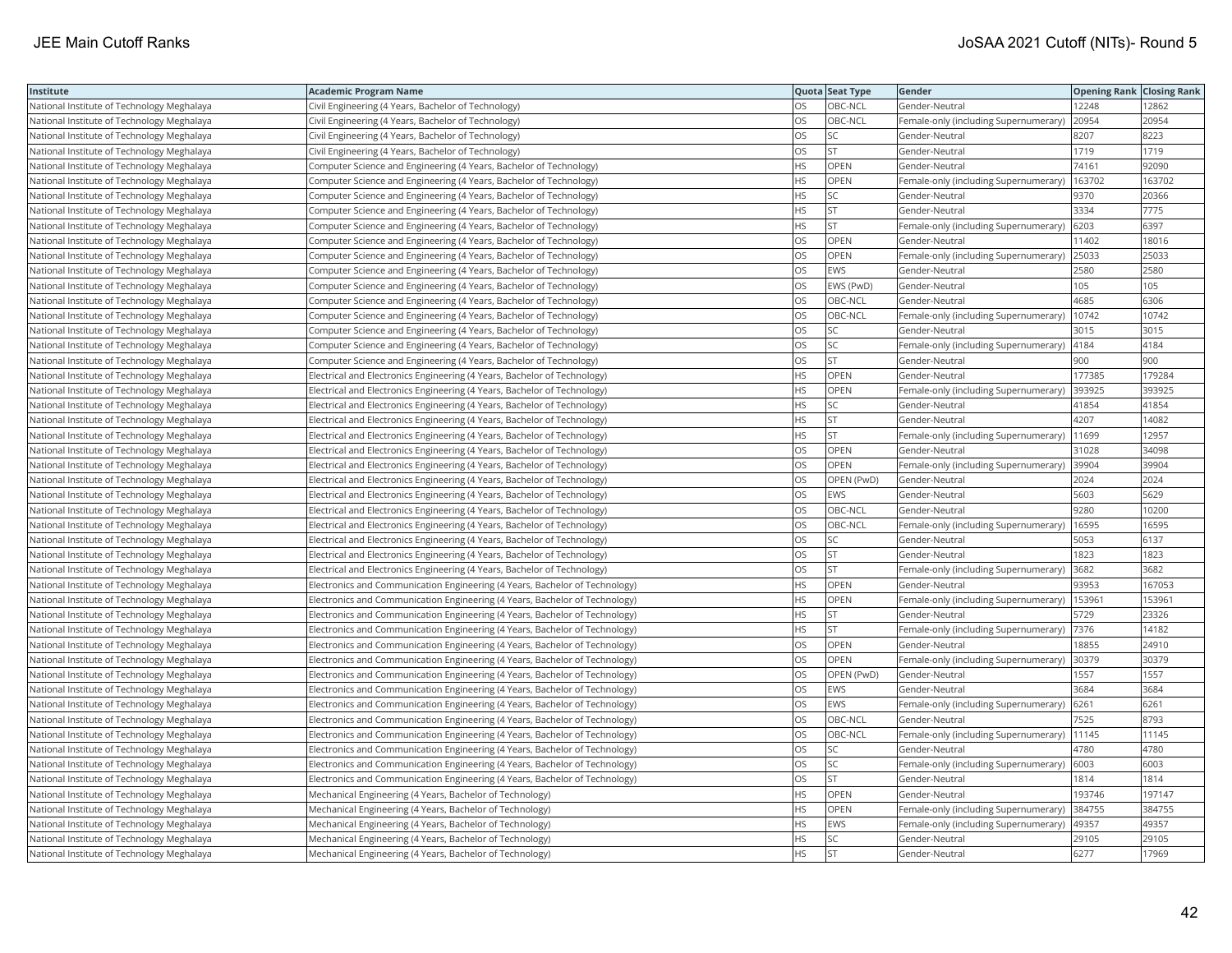| Institute                                  | <b>Academic Program Name</b>                                                 |           | Quota Seat Type | Gender                                      | <b>Opening Rank   Closing Rank</b> |        |
|--------------------------------------------|------------------------------------------------------------------------------|-----------|-----------------|---------------------------------------------|------------------------------------|--------|
| National Institute of Technology Meghalaya | Civil Engineering (4 Years, Bachelor of Technology)                          | OS        | OBC-NCL         | Gender-Neutral                              | 12248                              | 12862  |
| National Institute of Technology Meghalaya | Civil Engineering (4 Years, Bachelor of Technology)                          | OS.       | OBC-NCL         | Female-only (including Supernumerary)       | 20954                              | 20954  |
| National Institute of Technology Meghalaya | Civil Engineering (4 Years, Bachelor of Technology)                          | OS        | SC              | Gender-Neutral                              | 8207                               | 8223   |
| National Institute of Technology Meghalaya | Civil Engineering (4 Years, Bachelor of Technology)                          | OS        | <b>ST</b>       | Gender-Neutral                              | 1719                               | 1719   |
| National Institute of Technology Meghalaya | Computer Science and Engineering (4 Years, Bachelor of Technology)           | HS        | OPEN            | Gender-Neutral                              | 74161                              | 92090  |
| National Institute of Technology Meghalaya | Computer Science and Engineering (4 Years, Bachelor of Technology)           | <b>HS</b> | OPEN            | Female-only (including Supernumerary)       | 163702                             | 163702 |
| National Institute of Technology Meghalaya | Computer Science and Engineering (4 Years, Bachelor of Technology)           | HS        | SC              | Gender-Neutral                              | 9370                               | 20366  |
| National Institute of Technology Meghalaya | Computer Science and Engineering (4 Years, Bachelor of Technology)           | HS.       | ST              | Gender-Neutral                              | 3334                               | 7775   |
| National Institute of Technology Meghalaya | Computer Science and Engineering (4 Years, Bachelor of Technology)           | HS.       | <b>ST</b>       | Female-only (including Supernumerary)       | 6203                               | 6397   |
| National Institute of Technology Meghalaya | Computer Science and Engineering (4 Years, Bachelor of Technology)           | <b>OS</b> | OPEN            | Gender-Neutral                              | 11402                              | 18016  |
| National Institute of Technology Meghalaya | Computer Science and Engineering (4 Years, Bachelor of Technology)           | <b>OS</b> | <b>OPEN</b>     | Female-only (including Supernumerary)       | 25033                              | 25033  |
| National Institute of Technology Meghalaya | Computer Science and Engineering (4 Years, Bachelor of Technology)           | OS        | EWS             | Gender-Neutral                              | 2580                               | 2580   |
| National Institute of Technology Meghalaya | Computer Science and Engineering (4 Years, Bachelor of Technology)           | OS        | EWS (PwD)       | Gender-Neutral                              | 105                                | 105    |
| National Institute of Technology Meghalaya | Computer Science and Engineering (4 Years, Bachelor of Technology)           | OS        | OBC-NCL         | Gender-Neutral                              | 4685                               | 6306   |
| National Institute of Technology Meghalaya | Computer Science and Engineering (4 Years, Bachelor of Technology)           | OS        | OBC-NCL         | Female-only (including Supernumerary)       | 10742                              | 10742  |
| National Institute of Technology Meghalaya | Computer Science and Engineering (4 Years, Bachelor of Technology)           | OS        | SC              | Gender-Neutral                              | 3015                               | 3015   |
| National Institute of Technology Meghalaya | Computer Science and Engineering (4 Years, Bachelor of Technology)           | OS        | SC              | Female-only (including Supernumerary)       | 4184                               | 4184   |
| National Institute of Technology Meghalaya | Computer Science and Engineering (4 Years, Bachelor of Technology)           | <b>OS</b> | <b>ST</b>       | Gender-Neutral                              | 900                                | 900    |
| National Institute of Technology Meghalaya | Electrical and Electronics Engineering (4 Years, Bachelor of Technology)     | <b>HS</b> | OPEN            | Gender-Neutral                              | 177385                             | 179284 |
| National Institute of Technology Meghalaya | Electrical and Electronics Engineering (4 Years, Bachelor of Technology)     | HS        | <b>OPEN</b>     | Female-only (including Supernumerary)       | 393925                             | 393925 |
| National Institute of Technology Meghalaya | Electrical and Electronics Engineering (4 Years, Bachelor of Technology)     | HS        | SC              | Gender-Neutral                              | 41854                              | 41854  |
| National Institute of Technology Meghalaya | Electrical and Electronics Engineering (4 Years, Bachelor of Technology)     | <b>HS</b> | <b>ST</b>       | Gender-Neutral                              | 4207                               | 14082  |
| National Institute of Technology Meghalaya | Electrical and Electronics Engineering (4 Years, Bachelor of Technology)     | HS        | <b>ST</b>       | Female-only (including Supernumerary)       | 11699                              | 12957  |
| National Institute of Technology Meghalaya | Electrical and Electronics Engineering (4 Years, Bachelor of Technology)     | OS.       | OPEN            | Gender-Neutral                              | 31028                              | 34098  |
| National Institute of Technology Meghalaya | Electrical and Electronics Engineering (4 Years, Bachelor of Technology)     | OS        | <b>OPEN</b>     | Female-only (including Supernumerary)       | 39904                              | 39904  |
| National Institute of Technology Meghalaya | Electrical and Electronics Engineering (4 Years, Bachelor of Technology)     | OS        | OPEN (PwD)      | Gender-Neutral                              | 2024                               | 2024   |
| National Institute of Technology Meghalaya | Electrical and Electronics Engineering (4 Years, Bachelor of Technology)     | OS.       | <b>EWS</b>      | Gender-Neutral                              | 5603                               | 5629   |
| National Institute of Technology Meghalaya | Electrical and Electronics Engineering (4 Years, Bachelor of Technology)     | OS        | OBC-NCL         | Gender-Neutral                              | 9280                               | 10200  |
| National Institute of Technology Meghalaya | Electrical and Electronics Engineering (4 Years, Bachelor of Technology)     | OS        | OBC-NCL         | Female-only (including Supernumerary)       | 16595                              | 16595  |
| National Institute of Technology Meghalaya | Electrical and Electronics Engineering (4 Years, Bachelor of Technology)     | OS        | SC              | Gender-Neutral                              | 5053                               | 6137   |
| National Institute of Technology Meghalaya | Electrical and Electronics Engineering (4 Years, Bachelor of Technology)     | OS        | <b>ST</b>       | Gender-Neutral                              | 1823                               | 1823   |
| National Institute of Technology Meghalaya | Electrical and Electronics Engineering (4 Years, Bachelor of Technology)     | OS        | <b>ST</b>       | Female-only (including Supernumerary)       | 3682                               | 3682   |
| National Institute of Technology Meghalaya | Electronics and Communication Engineering (4 Years, Bachelor of Technology)  | HS        | OPEN            | Gender-Neutral                              | 93953                              | 167053 |
| National Institute of Technology Meghalaya | Electronics and Communication Engineering (4 Years, Bachelor of Technology)  | HS        | OPEN            | Female-only (including Supernumerary)       | 153961                             | 153961 |
| National Institute of Technology Meghalaya | Electronics and Communication Engineering (4 Years, Bachelor of Technology)  | HS.       | <b>ST</b>       | Gender-Neutral                              | 5729                               | 23326  |
| National Institute of Technology Meghalaya | Electronics and Communication Engineering (4 Years, Bachelor of Technology)  | HS        | <b>ST</b>       | Female-only (including Supernumerary) 7376  |                                    | 14182  |
| National Institute of Technology Meghalaya | Electronics and Communication Engineering (4 Years, Bachelor of Technology)  | OS        | OPEN            | Gender-Neutral                              | 18855                              | 24910  |
| National Institute of Technology Meghalaya | Electronics and Communication Engineering (4 Years, Bachelor of Technology)  | OS        | OPEN            | Female-only (including Supernumerary) 30379 |                                    | 30379  |
| National Institute of Technology Meghalaya | Electronics and Communication Engineering (4 Years, Bachelor of Technology)  | OS        | OPEN (PwD)      | Gender-Neutral                              | 1557                               | 1557   |
| National Institute of Technology Meghalaya | Electronics and Communication Engineering (4 Years, Bachelor of Technology)  | OS        | EWS             | Gender-Neutral                              | 3684                               | 3684   |
| National Institute of Technology Meghalaya | [Electronics and Communication Engineering (4 Years, Bachelor of Technology) | OS        | EWS             | Female-only (including Supernumerary)       | 6261                               | 6261   |
| National Institute of Technology Meghalaya | Electronics and Communication Engineering (4 Years, Bachelor of Technology)  | OS.       | OBC-NCL         | Gender-Neutral                              | 7525                               | 8793   |
| National Institute of Technology Meghalaya | Electronics and Communication Engineering (4 Years, Bachelor of Technology)  | <b>OS</b> | OBC-NCL         | Female-only (including Supernumerary)       | 11145                              | 11145  |
| National Institute of Technology Meghalaya | Electronics and Communication Engineering (4 Years, Bachelor of Technology)  | OS        | SC              | Gender-Neutral                              | 4780                               | 4780   |
| National Institute of Technology Meghalaya | Electronics and Communication Engineering (4 Years, Bachelor of Technology)  | OS        | SC              | Female-only (including Supernumerary) 6003  |                                    | 6003   |
| National Institute of Technology Meghalaya | Electronics and Communication Engineering (4 Years, Bachelor of Technology)  | OS        | <b>ST</b>       | Gender-Neutral                              | 1814                               | 1814   |
| National Institute of Technology Meghalaya | Mechanical Engineering (4 Years, Bachelor of Technology)                     | HS.       | <b>OPEN</b>     | Gender-Neutral                              | 193746                             | 197147 |
| National Institute of Technology Meghalaya | Mechanical Engineering (4 Years, Bachelor of Technology)                     | НS        | OPEN            | Female-only (including Supernumerary)       | 384755                             | 384755 |
| National Institute of Technology Meghalaya | Mechanical Engineering (4 Years, Bachelor of Technology)                     | HS        | EWS             | Female-only (including Supernumerary)       | 49357                              | 49357  |
| National Institute of Technology Meghalaya | Mechanical Engineering (4 Years, Bachelor of Technology)                     | HS.       | <b>SC</b>       | Gender-Neutral                              | 29105                              | 29105  |
| National Institute of Technology Meghalaya | Mechanical Engineering (4 Years, Bachelor of Technology)                     | <b>HS</b> | <b>ST</b>       | Gender-Neutral                              | 6277                               | 17969  |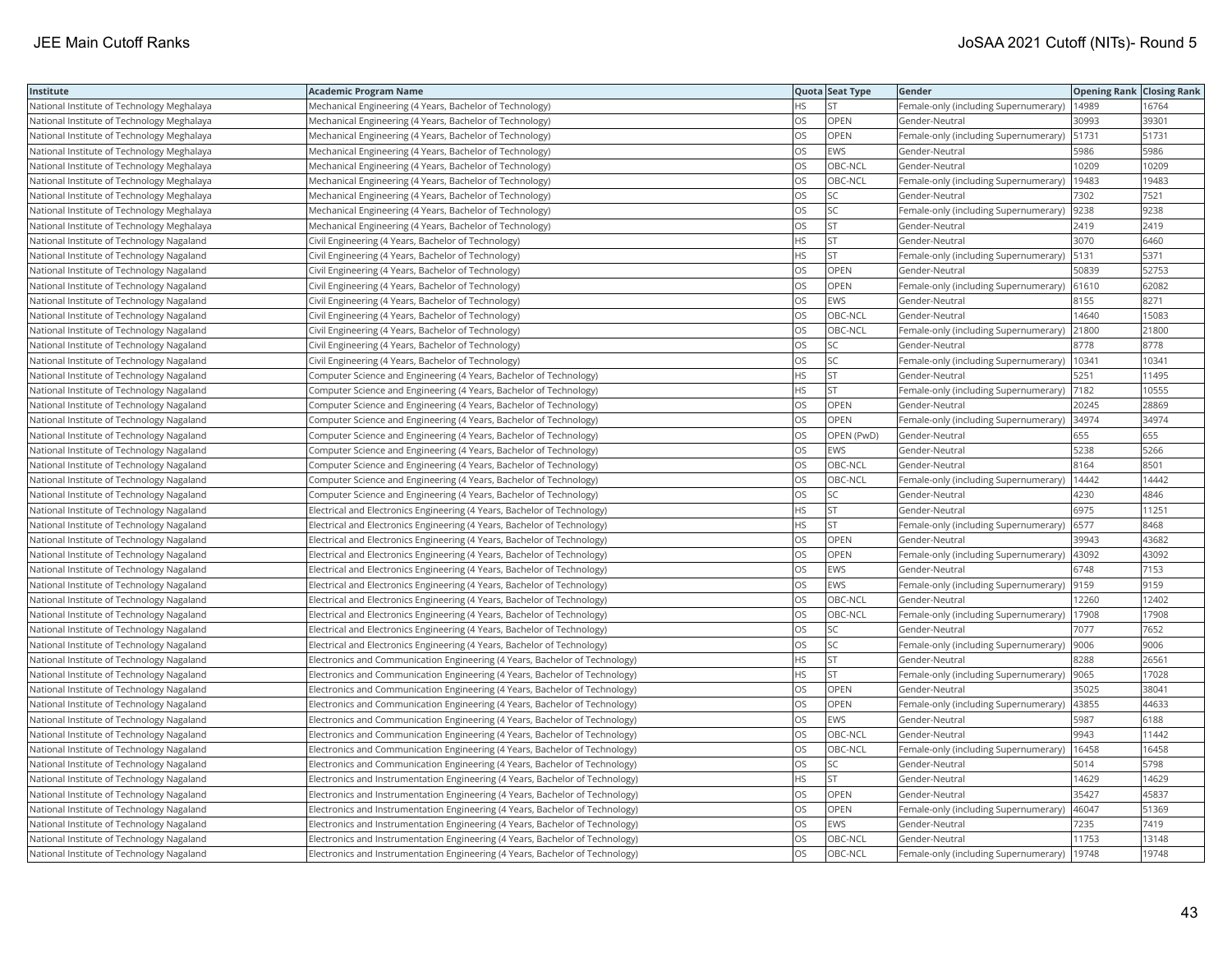| Institute                                  | <b>Academic Program Name</b>                                                  |           | Quota Seat Type | Gender                                        | <b>Opening Rank Closing Rank</b> |       |
|--------------------------------------------|-------------------------------------------------------------------------------|-----------|-----------------|-----------------------------------------------|----------------------------------|-------|
| National Institute of Technology Meghalaya | Mechanical Engineering (4 Years, Bachelor of Technology)                      | HS        | <b>ST</b>       | Female-only (including Supernumerary)         | 14989                            | 16764 |
| National Institute of Technology Meghalaya | Mechanical Engineering (4 Years, Bachelor of Technology)                      | OS        | OPEN            | Gender-Neutral                                | 30993                            | 39301 |
| National Institute of Technology Meghalaya | Mechanical Engineering (4 Years, Bachelor of Technology)                      | OS        | OPEN            | Female-only (including Supernumerary) 51731   |                                  | 51731 |
| National Institute of Technology Meghalaya | Mechanical Engineering (4 Years, Bachelor of Technology)                      | OS        | <b>EWS</b>      | Gender-Neutral                                | 5986                             | 5986  |
| National Institute of Technology Meghalaya | Mechanical Engineering (4 Years, Bachelor of Technology)                      | OS        | OBC-NCL         | Gender-Neutral                                | 10209                            | 10209 |
| National Institute of Technology Meghalaya | Mechanical Engineering (4 Years, Bachelor of Technology)                      | OS        | OBC-NCL         | Female-only (including Supernumerary)         | 19483                            | 19483 |
| National Institute of Technology Meghalaya | Mechanical Engineering (4 Years, Bachelor of Technology)                      | OS        | SC              | Gender-Neutral                                | 7302                             | 7521  |
| National Institute of Technology Meghalaya | Mechanical Engineering (4 Years, Bachelor of Technology)                      | OS        | SC              | Female-only (including Supernumerary)         | 9238                             | 9238  |
| National Institute of Technology Meghalaya | Mechanical Engineering (4 Years, Bachelor of Technology)                      | OS        | <b>ST</b>       | Gender-Neutral                                | 2419                             | 2419  |
| National Institute of Technology Nagaland  | Civil Engineering (4 Years, Bachelor of Technology)                           | ΗS        | ST              | Gender-Neutral                                | 3070                             | 6460  |
| National Institute of Technology Nagaland  | Civil Engineering (4 Years, Bachelor of Technology)                           | <b>HS</b> | <b>ST</b>       | Female-only (including Supernumerary)         | 5131                             | 5371  |
| National Institute of Technology Nagaland  | Civil Engineering (4 Years, Bachelor of Technology)                           | OS        | OPEN            | Gender-Neutral                                | 50839                            | 52753 |
| National Institute of Technology Nagaland  | Civil Engineering (4 Years, Bachelor of Technology)                           | OS        | <b>OPEN</b>     | Female-only (including Supernumerary) 61610   |                                  | 62082 |
| National Institute of Technology Nagaland  | Civil Engineering (4 Years, Bachelor of Technology)                           | OS        | <b>EWS</b>      | Gender-Neutral                                | 8155                             | 8271  |
| National Institute of Technology Nagaland  | Civil Engineering (4 Years, Bachelor of Technology)                           | OS        | OBC-NCL         | Gender-Neutral                                | 14640                            | 15083 |
| National Institute of Technology Nagaland  | Civil Engineering (4 Years, Bachelor of Technology)                           | OS        | OBC-NCL         | Female-only (including Supernumerary)         | 21800                            | 21800 |
| National Institute of Technology Nagaland  | Civil Engineering (4 Years, Bachelor of Technology)                           | OS        | SC              | Gender-Neutral                                | 8778                             | 8778  |
| National Institute of Technology Nagaland  | Civil Engineering (4 Years, Bachelor of Technology)                           | OS        | SC              | Female-only (including Supernumerary)         | 10341                            | 10341 |
| National Institute of Technology Nagaland  | Computer Science and Engineering (4 Years, Bachelor of Technology)            | <b>HS</b> | <b>ST</b>       | Gender-Neutral                                | 5251                             | 11495 |
| National Institute of Technology Nagaland  | Computer Science and Engineering (4 Years, Bachelor of Technology)            | HS        | <b>ST</b>       | Female-only (including Supernumerary)         | 7182                             | 10555 |
| National Institute of Technology Nagaland  | Computer Science and Engineering (4 Years, Bachelor of Technology)            | OS        | OPEN            | Gender-Neutral                                | 20245                            | 28869 |
| National Institute of Technology Nagaland  | Computer Science and Engineering (4 Years, Bachelor of Technology)            | OS        | OPEN            | Female-only (including Supernumerary) 34974   |                                  | 34974 |
| National Institute of Technology Nagaland  | Computer Science and Engineering (4 Years, Bachelor of Technology)            | OS        | OPEN (PwD)      | Gender-Neutral                                | 655                              | 655   |
| National Institute of Technology Nagaland  | Computer Science and Engineering (4 Years, Bachelor of Technology)            | OS        | <b>EWS</b>      | Gender-Neutral                                | 5238                             | 5266  |
| National Institute of Technology Nagaland  | Computer Science and Engineering (4 Years, Bachelor of Technology)            | OS        | OBC-NCL         | Gender-Neutral                                | 8164                             | 8501  |
| National Institute of Technology Nagaland  | Computer Science and Engineering (4 Years, Bachelor of Technology)            | OS        | OBC-NCL         | Female-only (including Supernumerary)         | 14442                            | 14442 |
| National Institute of Technology Nagaland  | Computer Science and Engineering (4 Years, Bachelor of Technology)            | OS        | <b>SC</b>       | Gender-Neutral                                | 4230                             | 4846  |
| National Institute of Technology Nagaland  | Electrical and Electronics Engineering (4 Years, Bachelor of Technology)      | HS        | <b>ST</b>       | Gender-Neutral                                | 6975                             | 11251 |
| National Institute of Technology Nagaland  | Electrical and Electronics Engineering (4 Years, Bachelor of Technology)      | HS        | <b>ST</b>       | Female-only (including Supernumerary)         | 6577                             | 8468  |
| National Institute of Technology Nagaland  | Electrical and Electronics Engineering (4 Years, Bachelor of Technology)      | OS        | OPEN            | Gender-Neutral                                | 39943                            | 43682 |
| National Institute of Technology Nagaland  | Electrical and Electronics Engineering (4 Years, Bachelor of Technology)      | OS        | OPEN            | Female-only (including Supernumerary)   43092 |                                  | 43092 |
| National Institute of Technology Nagaland  | Electrical and Electronics Engineering (4 Years, Bachelor of Technology)      | OS        | EWS             | Gender-Neutral                                | 6748                             | 7153  |
| National Institute of Technology Nagaland  | Electrical and Electronics Engineering (4 Years, Bachelor of Technology)      | OS        | <b>EWS</b>      | Female-only (including Supernumerary)         | 9159                             | 9159  |
| National Institute of Technology Nagaland  | Electrical and Electronics Engineering (4 Years, Bachelor of Technology)      | OS        | OBC-NCL         | Gender-Neutral                                | 12260                            | 12402 |
| National Institute of Technology Nagaland  | Electrical and Electronics Engineering (4 Years, Bachelor of Technology)      | OS        | OBC-NCL         | Female-only (including Supernumerary)         | 17908                            | 17908 |
| National Institute of Technology Nagaland  | Electrical and Electronics Engineering (4 Years, Bachelor of Technology)      | OS        | SC              | Gender-Neutral                                | 7077                             | 7652  |
| National Institute of Technology Nagaland  | Electrical and Electronics Engineering (4 Years, Bachelor of Technology)      | OS        | SC              | Female-only (including Supernumerary)         | 9006                             | 9006  |
| National Institute of Technology Nagaland  | Electronics and Communication Engineering (4 Years, Bachelor of Technology)   | ΗS        | ST              | Gender-Neutral                                | 8288                             | 26561 |
| National Institute of Technology Nagaland  | Electronics and Communication Engineering (4 Years, Bachelor of Technology)   | <b>HS</b> | <b>ST</b>       | Female-only (including Supernumerary)         | 9065                             | 17028 |
| National Institute of Technology Nagaland  | Electronics and Communication Engineering (4 Years, Bachelor of Technology)   | OS        | OPEN            | Gender-Neutral                                | 35025                            | 38041 |
| National Institute of Technology Nagaland  | Electronics and Communication Engineering (4 Years, Bachelor of Technology)   | OS        | OPEN            | Female-only (including Supernumerary)         | 43855                            | 44633 |
| National Institute of Technology Nagaland  | Electronics and Communication Engineering (4 Years, Bachelor of Technology)   | OS        | <b>EWS</b>      | Gender-Neutral                                | 5987                             | 6188  |
| National Institute of Technology Nagaland  | Electronics and Communication Engineering (4 Years, Bachelor of Technology)   | OS        | OBC-NCL         | Gender-Neutral                                | 9943                             | 11442 |
| National Institute of Technology Nagaland  | Electronics and Communication Engineering (4 Years, Bachelor of Technology)   | OS        | OBC-NCL         | Female-only (including Supernumerary)         | 16458                            | 16458 |
| National Institute of Technology Nagaland  | Electronics and Communication Engineering (4 Years, Bachelor of Technology)   | OS        | SC              | Gender-Neutral                                | 5014                             | 5798  |
| National Institute of Technology Nagaland  | Electronics and Instrumentation Engineering (4 Years, Bachelor of Technology) | ΗS        | <b>ST</b>       | Gender-Neutral                                | 14629                            | 14629 |
| National Institute of Technology Nagaland  | Electronics and Instrumentation Engineering (4 Years, Bachelor of Technology) | OS        | <b>OPEN</b>     | Gender-Neutral                                | 35427                            | 45837 |
| National Institute of Technology Nagaland  | Electronics and Instrumentation Engineering (4 Years, Bachelor of Technology) | OS        | OPEN            | Female-only (including Supernumerary)         | 46047                            | 51369 |
| National Institute of Technology Nagaland  | Electronics and Instrumentation Engineering (4 Years, Bachelor of Technology) | OS        | <b>EWS</b>      | Gender-Neutral                                | 7235                             | 7419  |
| National Institute of Technology Nagaland  | Electronics and Instrumentation Engineering (4 Years, Bachelor of Technology) | OS        | OBC-NCL         | Gender-Neutral                                | 11753                            | 13148 |
| National Institute of Technology Nagaland  | Electronics and Instrumentation Engineering (4 Years, Bachelor of Technology) | <b>OS</b> | OBC-NCL         | Female-only (including Supernumerary)         | 19748                            | 19748 |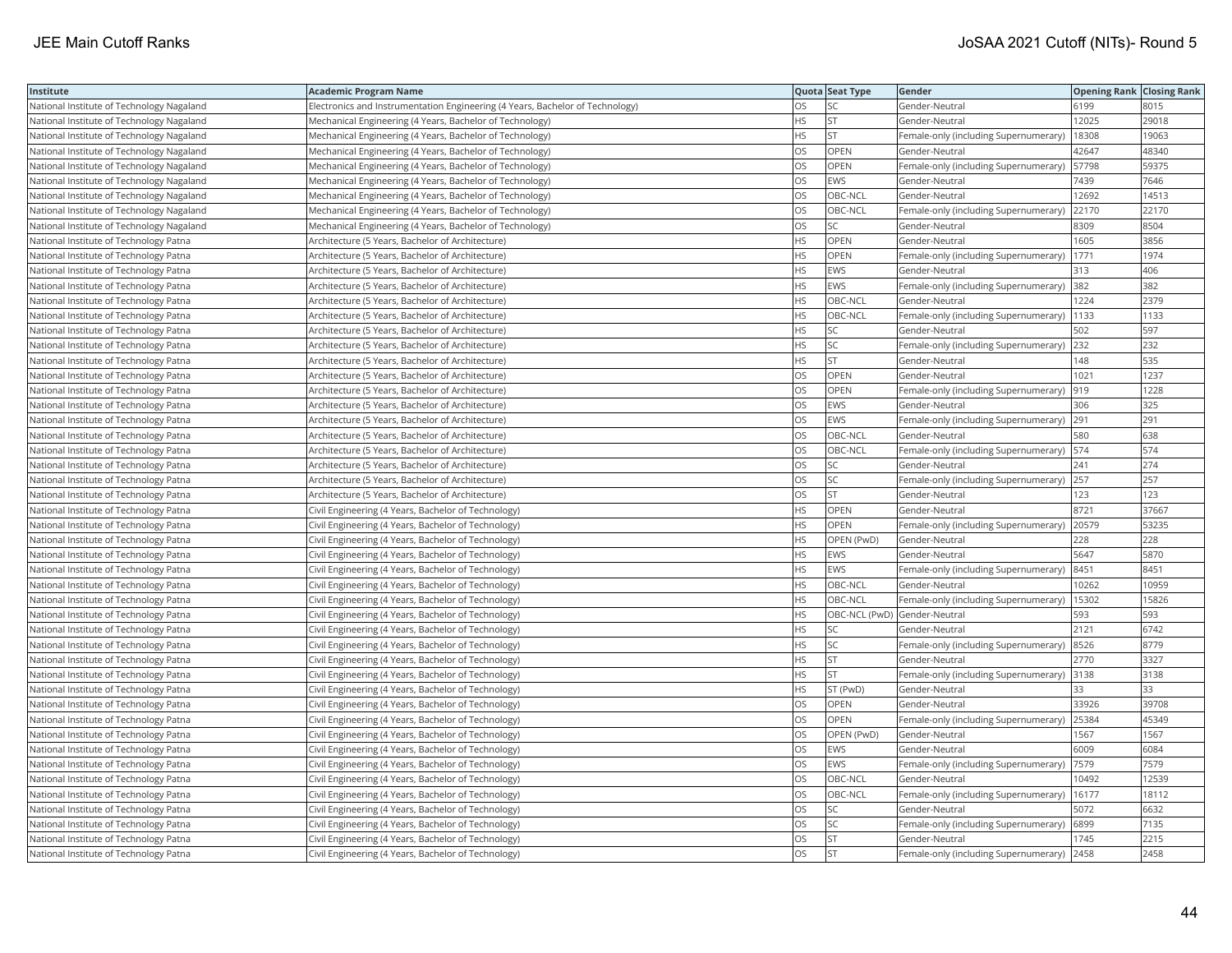| Institute                                 | <b>Academic Program Name</b>                                                  |           | Quota Seat Type              | Gender                                      | <b>Opening Rank Closing Rank</b> |       |
|-------------------------------------------|-------------------------------------------------------------------------------|-----------|------------------------------|---------------------------------------------|----------------------------------|-------|
| National Institute of Technology Nagaland | Electronics and Instrumentation Engineering (4 Years, Bachelor of Technology) | OS        | SC                           | Gender-Neutral                              | 6199                             | 8015  |
| National Institute of Technology Nagaland | Mechanical Engineering (4 Years, Bachelor of Technology)                      | HS        | <b>ST</b>                    | Gender-Neutral                              | 12025                            | 29018 |
| National Institute of Technology Nagaland | Mechanical Engineering (4 Years, Bachelor of Technology)                      | HS        | <b>ST</b>                    | Female-only (including Supernumerary)       | 18308                            | 19063 |
| National Institute of Technology Nagaland | Mechanical Engineering (4 Years, Bachelor of Technology)                      | OS        | OPEN                         | Gender-Neutral                              | 42647                            | 48340 |
| National Institute of Technology Nagaland | Mechanical Engineering (4 Years, Bachelor of Technology)                      | OS        | <b>OPEN</b>                  | Female-only (including Supernumerary)       | 57798                            | 59375 |
| National Institute of Technology Nagaland | Mechanical Engineering (4 Years, Bachelor of Technology)                      | OS        | EWS                          | Gender-Neutral                              | 7439                             | 7646  |
| National Institute of Technology Nagaland | Mechanical Engineering (4 Years, Bachelor of Technology)                      | OS        | OBC-NCL                      | Gender-Neutral                              | 12692                            | 14513 |
| National Institute of Technology Nagaland | Mechanical Engineering (4 Years, Bachelor of Technology)                      | OS        | OBC-NCL                      | Female-only (including Supernumerary)       | 22170                            | 22170 |
| National Institute of Technology Nagaland | Mechanical Engineering (4 Years, Bachelor of Technology)                      | OS        | SC                           | Gender-Neutral                              | 8309                             | 8504  |
| National Institute of Technology Patna    | Architecture (5 Years, Bachelor of Architecture)                              | HS        | OPEN                         | Gender-Neutral                              | 1605                             | 3856  |
| National Institute of Technology Patna    | Architecture (5 Years, Bachelor of Architecture)                              | HS        | OPEN                         | Female-only (including Supernumerary)       | 1771                             | 1974  |
| National Institute of Technology Patna    | Architecture (5 Years, Bachelor of Architecture)                              | HS        | <b>EWS</b>                   | Gender-Neutral                              | 313                              | 406   |
| National Institute of Technology Patna    | Architecture (5 Years, Bachelor of Architecture)                              | HS        | EWS                          | Female-only (including Supernumerary) 382   |                                  | 382   |
| National Institute of Technology Patna    | Architecture (5 Years, Bachelor of Architecture)                              | HS        | OBC-NCL                      | Gender-Neutral                              | 1224                             | 2379  |
| National Institute of Technology Patna    | Architecture (5 Years, Bachelor of Architecture)                              | <b>HS</b> | OBC-NCL                      | Female-only (including Supernumerary)   133 |                                  | 1133  |
| National Institute of Technology Patna    | Architecture (5 Years, Bachelor of Architecture)                              | HS        | SC                           | Gender-Neutral                              | 502                              | 597   |
| National Institute of Technology Patna    | Architecture (5 Years, Bachelor of Architecture)                              | HS        | SC                           | Female-only (including Supernumerary) 232   |                                  | 232   |
| National Institute of Technology Patna    | Architecture (5 Years, Bachelor of Architecture)                              | HS        | <b>ST</b>                    | Gender-Neutral                              | 148                              | 535   |
| National Institute of Technology Patna    | Architecture (5 Years, Bachelor of Architecture)                              | OS        | <b>OPEN</b>                  | Gender-Neutral                              | 1021                             | 1237  |
| National Institute of Technology Patna    | Architecture (5 Years, Bachelor of Architecture)                              | OS        | <b>OPEN</b>                  | Female-only (including Supernumerary)       | 919                              | 1228  |
| National Institute of Technology Patna    | Architecture (5 Years, Bachelor of Architecture)                              | OS        | <b>EWS</b>                   | Gender-Neutral                              | 306                              | 325   |
| National Institute of Technology Patna    | Architecture (5 Years, Bachelor of Architecture)                              | OS        | <b>EWS</b>                   | Female-only (including Supernumerary) 291   |                                  | 291   |
| National Institute of Technology Patna    | Architecture (5 Years, Bachelor of Architecture)                              | OS        | OBC-NCL                      | Gender-Neutral                              | 580                              | 638   |
| National Institute of Technology Patna    | Architecture (5 Years, Bachelor of Architecture)                              | OS        | OBC-NCL                      | Female-only (including Supernumerary)   574 |                                  | 574   |
| National Institute of Technology Patna    | Architecture (5 Years, Bachelor of Architecture)                              | OS        | SC                           | Gender-Neutral                              | 241                              | 274   |
| National Institute of Technology Patna    | Architecture (5 Years, Bachelor of Architecture)                              | OS        | SC                           | Female-only (including Supernumerary) 257   |                                  | 257   |
| National Institute of Technology Patna    | Architecture (5 Years, Bachelor of Architecture)                              | OS        | <b>ST</b>                    | Gender-Neutral                              | 123                              | 123   |
| National Institute of Technology Patna    | Civil Engineering (4 Years, Bachelor of Technology)                           | HS        | <b>OPEN</b>                  | Gender-Neutral                              | 8721                             | 37667 |
| National Institute of Technology Patna    | Civil Engineering (4 Years, Bachelor of Technology)                           | HS        | OPEN                         | Female-only (including Supernumerary) 20579 |                                  | 53235 |
| National Institute of Technology Patna    | Civil Engineering (4 Years, Bachelor of Technology)                           | НS        | OPEN (PwD)                   | Gender-Neutral                              | 228                              | 228   |
| National Institute of Technology Patna    | Civil Engineering (4 Years, Bachelor of Technology)                           | HS        | <b>EWS</b>                   | Gender-Neutral                              | 5647                             | 5870  |
| National Institute of Technology Patna    | Civil Engineering (4 Years, Bachelor of Technology)                           | HS        | <b>EWS</b>                   | Female-only (including Supernumerary)       | 8451                             | 8451  |
| National Institute of Technology Patna    | Civil Engineering (4 Years, Bachelor of Technology)                           | HS        | OBC-NCL                      | Gender-Neutral                              | 10262                            | 10959 |
| National Institute of Technology Patna    | Civil Engineering (4 Years, Bachelor of Technology)                           | HS        | OBC-NCL                      | Female-only (including Supernumerary)       | 15302                            | 15826 |
| National Institute of Technology Patna    | Civil Engineering (4 Years, Bachelor of Technology)                           | <b>HS</b> | OBC-NCL (PwD) Gender-Neutral |                                             | 593                              | 593   |
| National Institute of Technology Patna    | Civil Engineering (4 Years, Bachelor of Technology)                           | HS        | SC                           | Gender-Neutral                              | 2121                             | 6742  |
| National Institute of Technology Patna    | Civil Engineering (4 Years, Bachelor of Technology)                           | HS        | <b>SC</b>                    | Female-only (including Supernumerary) 8526  |                                  | 8779  |
| National Institute of Technology Patna    | Civil Engineering (4 Years, Bachelor of Technology)                           | HS        | <b>ST</b>                    | Gender-Neutral                              | 2770                             | 3327  |
| National Institute of Technology Patna    | Civil Engineering (4 Years, Bachelor of Technology)                           | ΗS        | <b>ST</b>                    | Female-only (including Supernumerary)       | 3138                             | 3138  |
| National Institute of Technology Patna    | Civil Engineering (4 Years, Bachelor of Technology)                           | <b>HS</b> | ST (PwD)                     | Gender-Neutral                              | 33                               | 33    |
| National Institute of Technology Patna    | Civil Engineering (4 Years, Bachelor of Technology)                           | OS        | OPEN                         | Gender-Neutral                              | 33926                            | 39708 |
| National Institute of Technology Patna    | Civil Engineering (4 Years, Bachelor of Technology)                           | OS        | OPEN                         | Female-only (including Supernumerary) 25384 |                                  | 45349 |
| National Institute of Technology Patna    | Civil Engineering (4 Years, Bachelor of Technology)                           | OS        | OPEN (PwD)                   | Gender-Neutral                              | 1567                             | 1567  |
| National Institute of Technology Patna    | Civil Engineering (4 Years, Bachelor of Technology)                           | OS        | <b>EWS</b>                   | Gender-Neutral                              | 6009                             | 6084  |
| National Institute of Technology Patna    | Civil Engineering (4 Years, Bachelor of Technology)                           | OS        | <b>EWS</b>                   | Female-only (including Supernumerary)  7579 |                                  | 7579  |
| National Institute of Technology Patna    | Civil Engineering (4 Years, Bachelor of Technology)                           | OS        | OBC-NCL                      | Gender-Neutral                              | 10492                            | 12539 |
| National Institute of Technology Patna    | Civil Engineering (4 Years, Bachelor of Technology)                           | OS        | OBC-NCL                      | Female-only (including Supernumerary)       | 16177                            | 18112 |
| National Institute of Technology Patna    | Civil Engineering (4 Years, Bachelor of Technology)                           | OS        | SC                           | Gender-Neutral                              | 5072                             | 6632  |
| National Institute of Technology Patna    | Civil Engineering (4 Years, Bachelor of Technology)                           | OS        | SC                           | Female-only (including Supernumerary)       | 6899                             | 7135  |
| National Institute of Technology Patna    | Civil Engineering (4 Years, Bachelor of Technology)                           | OS        | <b>ST</b>                    | Gender-Neutral                              | 1745                             | 2215  |
| National Institute of Technology Patna    | Civil Engineering (4 Years, Bachelor of Technology)                           | OS        | <b>ST</b>                    | Female-only (including Supernumerary) 2458  |                                  | 2458  |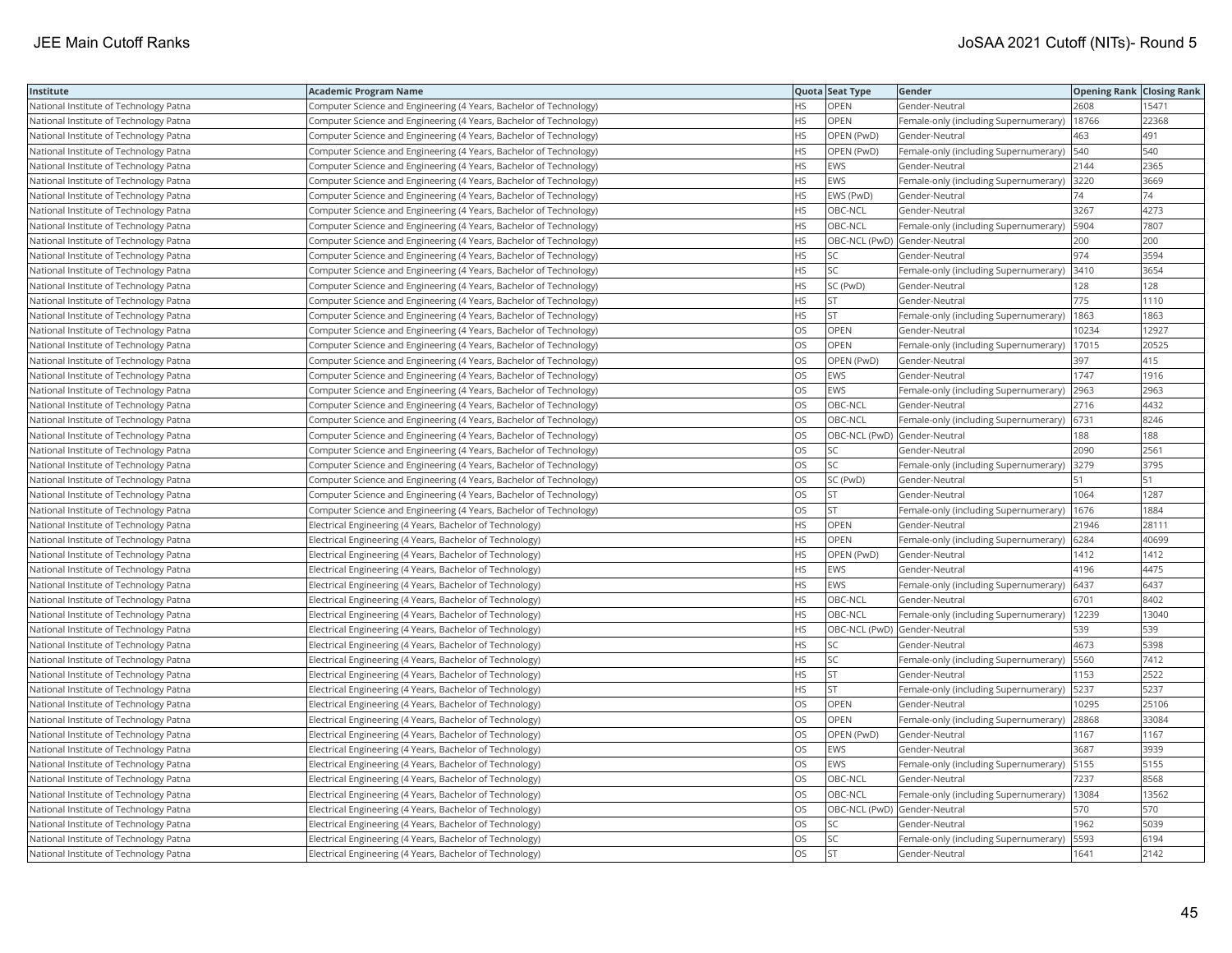| Institute                              | Academic Program Name                                              |           | Quota Seat Type              | Gender                                        | <b>Opening Rank   Closing Rank</b> |       |
|----------------------------------------|--------------------------------------------------------------------|-----------|------------------------------|-----------------------------------------------|------------------------------------|-------|
| National Institute of Technology Patna | Computer Science and Engineering (4 Years, Bachelor of Technology) | НS        | OPEN                         | Gender-Neutral                                | 2608                               | 15471 |
| National Institute of Technology Patna | Computer Science and Engineering (4 Years, Bachelor of Technology) | <b>HS</b> | OPEN                         | Female-only (including Supernumerary)         | 18766                              | 22368 |
| National Institute of Technology Patna | Computer Science and Engineering (4 Years, Bachelor of Technology) | HS        | OPEN (PwD)                   | Gender-Neutral                                | 463                                | 491   |
| National Institute of Technology Patna | Computer Science and Engineering (4 Years, Bachelor of Technology) | HS        | OPEN (PwD)                   | Female-only (including Supernumerary)         | 540                                | 540   |
| National Institute of Technology Patna | Computer Science and Engineering (4 Years, Bachelor of Technology) | HS        | <b>EWS</b>                   | Gender-Neutral                                | 2144                               | 2365  |
| National Institute of Technology Patna | Computer Science and Engineering (4 Years, Bachelor of Technology) | HS        | <b>EWS</b>                   | Female-only (including Supernumerary) 3220    |                                    | 3669  |
| National Institute of Technology Patna | Computer Science and Engineering (4 Years, Bachelor of Technology) | HS        | EWS (PwD)                    | Gender-Neutral                                | 74                                 | 74    |
| National Institute of Technology Patna | Computer Science and Engineering (4 Years, Bachelor of Technology) | <b>HS</b> | OBC-NCL                      | Gender-Neutral                                | 3267                               | 4273  |
| National Institute of Technology Patna | Computer Science and Engineering (4 Years, Bachelor of Technology) | HS        | OBC-NCL                      | Female-only (including Supernumerary)         | 5904                               | 7807  |
| National Institute of Technology Patna | Computer Science and Engineering (4 Years, Bachelor of Technology) | <b>HS</b> | OBC-NCL (PwD) Gender-Neutral |                                               | 200                                | 200   |
| National Institute of Technology Patna | Computer Science and Engineering (4 Years, Bachelor of Technology) | HS        | <b>SC</b>                    | Gender-Neutral                                | 974                                | 3594  |
| National Institute of Technology Patna | Computer Science and Engineering (4 Years, Bachelor of Technology) | HS        | SC                           | Female-only (including Supernumerary)  3410   |                                    | 3654  |
| National Institute of Technology Patna | Computer Science and Engineering (4 Years, Bachelor of Technology) | HS        | SC (PwD)                     | Gender-Neutral                                | 128                                | 128   |
| National Institute of Technology Patna | Computer Science and Engineering (4 Years, Bachelor of Technology) | НS        | <b>ST</b>                    | Gender-Neutral                                | 775                                | 1110  |
| National Institute of Technology Patna | Computer Science and Engineering (4 Years, Bachelor of Technology) | HS        | <b>ST</b>                    | Female-only (including Supernumerary)         | 1863                               | 1863  |
| National Institute of Technology Patna | Computer Science and Engineering (4 Years, Bachelor of Technology) | OS.       | <b>OPEN</b>                  | Gender-Neutral                                | 0234                               | 12927 |
| National Institute of Technology Patna | Computer Science and Engineering (4 Years, Bachelor of Technology) | OS        | <b>OPEN</b>                  | Female-only (including Supernumerary)         | 17015                              | 20525 |
| National Institute of Technology Patna | Computer Science and Engineering (4 Years, Bachelor of Technology) | OS        | OPEN (PwD)                   | Gender-Neutral                                | 397                                | 415   |
| National Institute of Technology Patna | Computer Science and Engineering (4 Years, Bachelor of Technology) | OS.       | <b>EWS</b>                   | Gender-Neutral                                | 1747                               | 1916  |
| National Institute of Technology Patna | Computer Science and Engineering (4 Years, Bachelor of Technology) | OS        | <b>EWS</b>                   | Female-only (including Supernumerary)         | 2963                               | 2963  |
| National Institute of Technology Patna | Computer Science and Engineering (4 Years, Bachelor of Technology) | OS        | OBC-NCL                      | Gender-Neutral                                | 2716                               | 4432  |
| National Institute of Technology Patna | Computer Science and Engineering (4 Years, Bachelor of Technology) | OS        | OBC-NCL                      | Female-only (including Supernumerary) 6731    |                                    | 8246  |
| National Institute of Technology Patna | Computer Science and Engineering (4 Years, Bachelor of Technology) | OS        | OBC-NCL (PwD) Gender-Neutral |                                               | 188                                | 188   |
| National Institute of Technology Patna | Computer Science and Engineering (4 Years, Bachelor of Technology) | OS        | SC                           | Gender-Neutral                                | 2090                               | 2561  |
| National Institute of Technology Patna | Computer Science and Engineering (4 Years, Bachelor of Technology) | OS        | SC                           | Female-only (including Supernumerary)         | 3279                               | 3795  |
| National Institute of Technology Patna | Computer Science and Engineering (4 Years, Bachelor of Technology) | OS        | SC (PwD)                     | Gender-Neutral                                | 51                                 | 51    |
| National Institute of Technology Patna | Computer Science and Engineering (4 Years, Bachelor of Technology) | OS.       | <b>ST</b>                    | Gender-Neutral                                | 1064                               | 1287  |
| National Institute of Technology Patna | Computer Science and Engineering (4 Years, Bachelor of Technology) | OS        | <b>ST</b>                    | Female-only (including Supernumerary)         | 1676                               | 1884  |
| National Institute of Technology Patna | Electrical Engineering (4 Years, Bachelor of Technology)           | HS        | OPEN                         | Gender-Neutral                                | 21946                              | 28111 |
| National Institute of Technology Patna | Electrical Engineering (4 Years, Bachelor of Technology)           | HS        | OPEN                         | Female-only (including Supernumerary)         | 6284                               | 40699 |
| National Institute of Technology Patna | Electrical Engineering (4 Years, Bachelor of Technology)           | HS        | OPEN (PwD)                   | Gender-Neutral                                | 1412                               | 1412  |
| National Institute of Technology Patna | Electrical Engineering (4 Years, Bachelor of Technology)           | HS        | EWS                          | Gender-Neutral                                | 4196                               | 4475  |
| National Institute of Technology Patna | Electrical Engineering (4 Years, Bachelor of Technology)           | HS        | <b>EWS</b>                   | Female-only (including Supernumerary)         | 6437                               | 6437  |
| National Institute of Technology Patna | Electrical Engineering (4 Years, Bachelor of Technology)           | HS        | OBC-NCL                      | Gender-Neutral                                | 6701                               | 8402  |
| National Institute of Technology Patna | Electrical Engineering (4 Years, Bachelor of Technology)           | HS        | OBC-NCL                      | Female-only (including Supernumerary)   12239 |                                    | 13040 |
| National Institute of Technology Patna | Electrical Engineering (4 Years, Bachelor of Technology)           | HS        | OBC-NCL (PwD) Gender-Neutral |                                               | 539                                | 539   |
| National Institute of Technology Patna | Electrical Engineering (4 Years, Bachelor of Technology)           | HS        | SC                           | Gender-Neutral                                | 4673                               | 5398  |
| National Institute of Technology Patna | Electrical Engineering (4 Years, Bachelor of Technology)           | HS        | SC                           | Female-only (including Supernumerary)   5560  |                                    | 7412  |
| National Institute of Technology Patna | Electrical Engineering (4 Years, Bachelor of Technology)           | HS.       | <b>ST</b>                    | Gender-Neutral                                | 1153                               | 2522  |
| National Institute of Technology Patna | Electrical Engineering (4 Years, Bachelor of Technology)           | HS        | <b>ST</b>                    | Female-only (including Supernumerary)         | 5237                               | 5237  |
| National Institute of Technology Patna | Electrical Engineering (4 Years, Bachelor of Technology)           | OS        | OPEN                         | Gender-Neutral                                | 10295                              | 25106 |
| National Institute of Technology Patna | Electrical Engineering (4 Years, Bachelor of Technology)           | OS        | <b>OPEN</b>                  | Female-only (including Supernumerary)         | 28868                              | 33084 |
| National Institute of Technology Patna | Electrical Engineering (4 Years, Bachelor of Technology)           | OS        | OPEN (PwD)                   | Gender-Neutral                                | 1167                               | 1167  |
| National Institute of Technology Patna | Electrical Engineering (4 Years, Bachelor of Technology)           | OS        | <b>EWS</b>                   | Gender-Neutral                                | 3687                               | 3939  |
| National Institute of Technology Patna | Electrical Engineering (4 Years, Bachelor of Technology)           | OS        | <b>EWS</b>                   | Female-only (including Supernumerary)   5155  |                                    | 5155  |
| National Institute of Technology Patna | Electrical Engineering (4 Years, Bachelor of Technology)           | OS        | OBC-NCL                      | Gender-Neutral                                | 7237                               | 8568  |
| National Institute of Technology Patna | Electrical Engineering (4 Years, Bachelor of Technology)           | OS.       | OBC-NCL                      | Female-only (including Supernumerary)         | 13084                              | 13562 |
| National Institute of Technology Patna | Electrical Engineering (4 Years, Bachelor of Technology)           | OS        | OBC-NCL (PwD) Gender-Neutral |                                               | 570                                | 570   |
| National Institute of Technology Patna | Electrical Engineering (4 Years, Bachelor of Technology)           | OS        | SC                           | Gender-Neutral                                | 1962                               | 5039  |
| National Institute of Technology Patna | Electrical Engineering (4 Years, Bachelor of Technology)           | OS        | <b>SC</b>                    | Female-only (including Supernumerary)         | 5593                               | 6194  |
| National Institute of Technology Patna | Electrical Engineering (4 Years, Bachelor of Technology)           | <b>OS</b> | <b>ST</b>                    | Gender-Neutral                                | 1641                               | 2142  |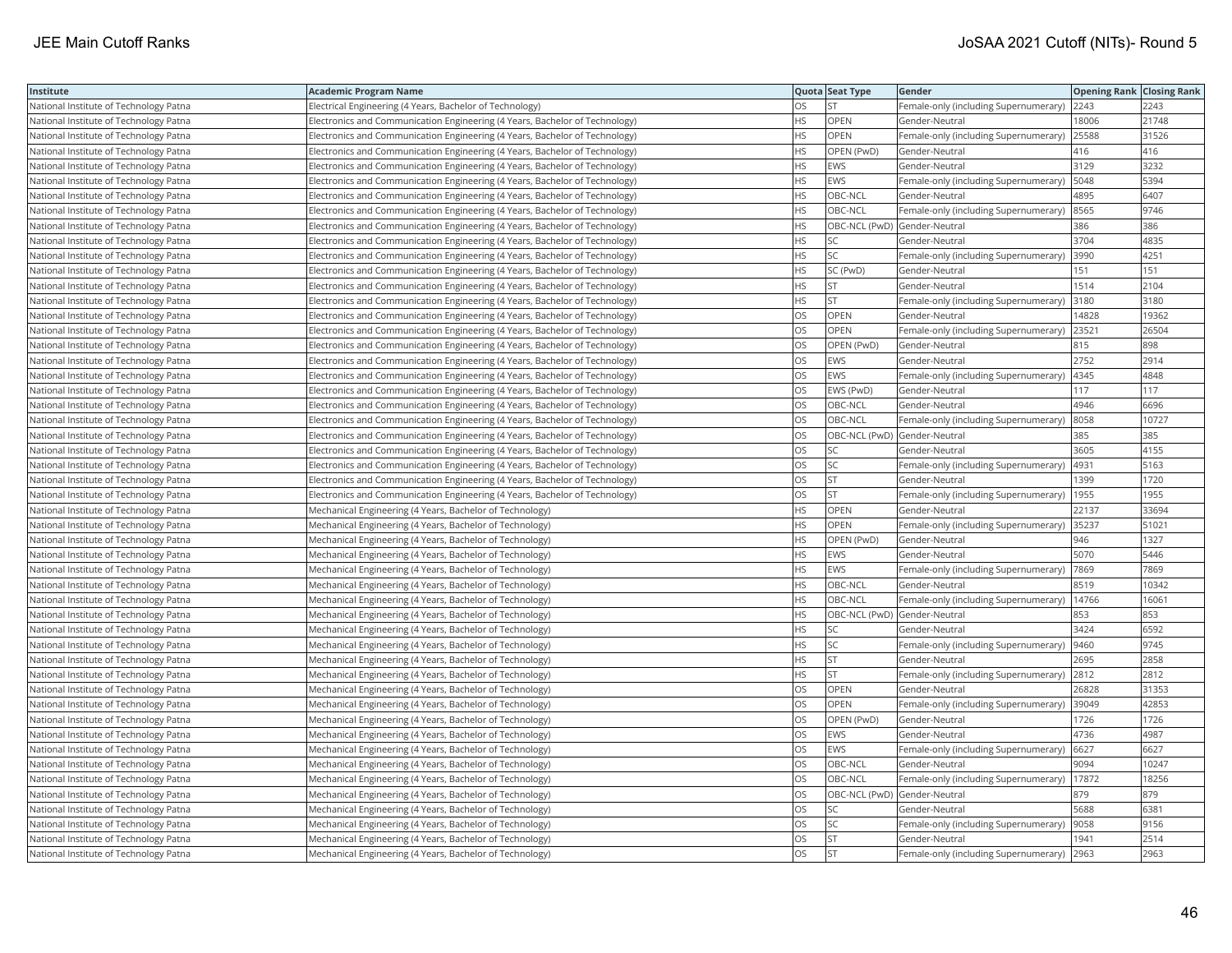| Institute                              | <b>Academic Program Name</b>                                                |           | Quota Seat Type              | Gender                                      | <b>Opening Rank Closing Rank</b> |       |
|----------------------------------------|-----------------------------------------------------------------------------|-----------|------------------------------|---------------------------------------------|----------------------------------|-------|
| National Institute of Technology Patna | Electrical Engineering (4 Years, Bachelor of Technology)                    | <b>OS</b> | lst.                         | Female-only (including Supernumerary)       | 2243                             | 2243  |
| National Institute of Technology Patna | Electronics and Communication Engineering (4 Years, Bachelor of Technology) | <b>HS</b> | OPEN                         | Gender-Neutral                              | 18006                            | 21748 |
| National Institute of Technology Patna | Electronics and Communication Engineering (4 Years, Bachelor of Technology) | <b>HS</b> | OPEN                         | Female-only (including Supernumerary)       | 25588                            | 31526 |
| National Institute of Technology Patna | Electronics and Communication Engineering (4 Years, Bachelor of Technology) | <b>HS</b> | OPEN (PwD)                   | Gender-Neutral                              | 416                              | 416   |
| National Institute of Technology Patna | Electronics and Communication Engineering (4 Years, Bachelor of Technology) | <b>HS</b> | <b>EWS</b>                   | Gender-Neutral                              | 3129                             | 3232  |
| National Institute of Technology Patna | Electronics and Communication Engineering (4 Years, Bachelor of Technology) | <b>HS</b> | EWS                          | Female-only (including Supernumerary)       | 5048                             | 5394  |
| National Institute of Technology Patna | Electronics and Communication Engineering (4 Years, Bachelor of Technology) | HS.       | OBC-NCL                      | Gender-Neutral                              | 4895                             | 6407  |
| National Institute of Technology Patna | Electronics and Communication Engineering (4 Years, Bachelor of Technology) | <b>HS</b> | OBC-NCL                      | Female-only (including Supernumerary)       | 8565                             | 9746  |
| National Institute of Technology Patna | Electronics and Communication Engineering (4 Years, Bachelor of Technology) | <b>HS</b> | OBC-NCL (PwD) Gender-Neutral |                                             | 386                              | 386   |
| National Institute of Technology Patna | Electronics and Communication Engineering (4 Years, Bachelor of Technology) | <b>HS</b> | SC.                          | Gender-Neutral                              | 3704                             | 4835  |
| National Institute of Technology Patna | Electronics and Communication Engineering (4 Years, Bachelor of Technology) | <b>HS</b> | <b>SC</b>                    | Female-only (including Supernumerary)       | 3990                             | 4251  |
| National Institute of Technology Patna | Electronics and Communication Engineering (4 Years, Bachelor of Technology) | <b>HS</b> | SC (PwD)                     | Gender-Neutral                              | 151                              | 151   |
| National Institute of Technology Patna | Electronics and Communication Engineering (4 Years, Bachelor of Technology) | <b>HS</b> | <b>ST</b>                    | Gender-Neutral                              | 1514                             | 2104  |
| National Institute of Technology Patna | Electronics and Communication Engineering (4 Years, Bachelor of Technology) | <b>HS</b> | <b>ST</b>                    | Female-only (including Supernumerary)       | 3180                             | 3180  |
| National Institute of Technology Patna | Electronics and Communication Engineering (4 Years, Bachelor of Technology) | <b>OS</b> | <b>OPEN</b>                  | Gender-Neutral                              | 14828                            | 19362 |
| National Institute of Technology Patna | Electronics and Communication Engineering (4 Years, Bachelor of Technology) | OS        | OPEN                         | Female-only (including Supernumerary)       | 23521                            | 26504 |
| National Institute of Technology Patna | Electronics and Communication Engineering (4 Years, Bachelor of Technology) | OS        | OPEN (PwD)                   | Gender-Neutral                              | 815                              | 898   |
| National Institute of Technology Patna | Electronics and Communication Engineering (4 Years, Bachelor of Technology) | OS        | EWS                          | Gender-Neutral                              | 2752                             | 2914  |
| National Institute of Technology Patna | Electronics and Communication Engineering (4 Years, Bachelor of Technology) | <b>OS</b> | EWS                          | Female-only (including Supernumerary)       | 4345                             | 4848  |
| National Institute of Technology Patna | Electronics and Communication Engineering (4 Years, Bachelor of Technology) | OS        | EWS (PwD)                    | Gender-Neutral                              | 117                              | 117   |
| National Institute of Technology Patna | Electronics and Communication Engineering (4 Years, Bachelor of Technology) | OS        | OBC-NCL                      | Gender-Neutral                              | 4946                             | 6696  |
| National Institute of Technology Patna | Electronics and Communication Engineering (4 Years, Bachelor of Technology) | OS        | OBC-NCL                      | Female-only (including Supernumerary)       | 8058                             | 10727 |
| National Institute of Technology Patna | Electronics and Communication Engineering (4 Years, Bachelor of Technology) | OS        | OBC-NCL (PwD) Gender-Neutral |                                             | 385                              | 385   |
| National Institute of Technology Patna | Electronics and Communication Engineering (4 Years, Bachelor of Technology) | OS        | SC                           | Gender-Neutral                              | 3605                             | 4155  |
| National Institute of Technology Patna | Electronics and Communication Engineering (4 Years, Bachelor of Technology) | OS        | SC.                          | Female-only (including Supernumerary)       | 4931                             | 5163  |
| National Institute of Technology Patna | Electronics and Communication Engineering (4 Years, Bachelor of Technology) | OS        | <b>ST</b>                    | Gender-Neutral                              | 1399                             | 1720  |
| National Institute of Technology Patna | Electronics and Communication Engineering (4 Years, Bachelor of Technology) | <b>OS</b> | lst.                         | Female-only (including Supernumerary)       | 1955                             | 1955  |
| National Institute of Technology Patna | Mechanical Engineering (4 Years, Bachelor of Technology)                    | <b>HS</b> | OPEN                         | Gender-Neutral                              | 22137                            | 33694 |
| National Institute of Technology Patna | Mechanical Engineering (4 Years, Bachelor of Technology)                    | <b>HS</b> | OPEN                         | Female-only (including Supernumerary) 35237 |                                  | 51021 |
| National Institute of Technology Patna | Mechanical Engineering (4 Years, Bachelor of Technology)                    | <b>HS</b> | OPEN (PwD)                   | Gender-Neutral                              | 946                              | 1327  |
| National Institute of Technology Patna | Mechanical Engineering (4 Years, Bachelor of Technology)                    | <b>HS</b> | EWS                          | Gender-Neutral                              | 5070                             | 5446  |
| National Institute of Technology Patna | Mechanical Engineering (4 Years, Bachelor of Technology)                    | <b>HS</b> | EWS                          | Female-only (including Supernumerary)       | 7869                             | 7869  |
| National Institute of Technology Patna | Mechanical Engineering (4 Years, Bachelor of Technology)                    | <b>HS</b> | OBC-NCL                      | Gender-Neutral                              | 8519                             | 10342 |
| National Institute of Technology Patna | Mechanical Engineering (4 Years, Bachelor of Technology)                    | <b>HS</b> | OBC-NCL                      | Female-only (including Supernumerary)       | 14766                            | 16061 |
| National Institute of Technology Patna | Mechanical Engineering (4 Years, Bachelor of Technology)                    | <b>HS</b> | OBC-NCL (PwD) Gender-Neutral |                                             | 853                              | 853   |
| National Institute of Technology Patna | Mechanical Engineering (4 Years, Bachelor of Technology)                    | <b>HS</b> | SC.                          | Gender-Neutral                              | 3424                             | 6592  |
| National Institute of Technology Patna | Mechanical Engineering (4 Years, Bachelor of Technology)                    | <b>HS</b> | lsc                          | Female-only (including Supernumerary)       | 9460                             | 9745  |
| National Institute of Technology Patna | Mechanical Engineering (4 Years, Bachelor of Technology)                    | <b>HS</b> | <b>ST</b>                    | Gender-Neutral                              | 2695                             | 2858  |
| National Institute of Technology Patna | Mechanical Engineering (4 Years, Bachelor of Technology)                    | HS        | <b>ST</b>                    | Female-only (including Supernumerary)       | 2812                             | 2812  |
| National Institute of Technology Patna | Mechanical Engineering (4 Years, Bachelor of Technology)                    | <b>OS</b> | <b>OPEN</b>                  | Gender-Neutral                              | 26828                            | 31353 |
| National Institute of Technology Patna | Mechanical Engineering (4 Years, Bachelor of Technology)                    | OS        | OPEN                         | Female-only (including Supernumerary)       | 39049                            | 42853 |
| National Institute of Technology Patna | Mechanical Engineering (4 Years, Bachelor of Technology)                    | OS        | OPEN (PwD)                   | Gender-Neutral                              | 1726                             | 1726  |
| National Institute of Technology Patna | Mechanical Engineering (4 Years, Bachelor of Technology)                    | <b>OS</b> | EWS                          | Gender-Neutral                              | 4736                             | 4987  |
| National Institute of Technology Patna | Mechanical Engineering (4 Years, Bachelor of Technology)                    | OS        | EWS                          | Female-only (including Supernumerary)       | 6627                             | 6627  |
| National Institute of Technology Patna | Mechanical Engineering (4 Years, Bachelor of Technology)                    | <b>OS</b> | OBC-NCL                      | Gender-Neutral                              | 9094                             | 10247 |
| National Institute of Technology Patna | Mechanical Engineering (4 Years, Bachelor of Technology)                    | OS        | OBC-NCL                      | Female-only (including Supernumerary)       | 17872                            | 18256 |
| National Institute of Technology Patna | Mechanical Engineering (4 Years, Bachelor of Technology)                    | OS        | OBC-NCL (PwD) Gender-Neutral |                                             | 879                              | 879   |
| National Institute of Technology Patna | Mechanical Engineering (4 Years, Bachelor of Technology)                    | OS        | SC                           | Gender-Neutral                              | 5688                             | 6381  |
| National Institute of Technology Patna | Mechanical Engineering (4 Years, Bachelor of Technology)                    | OS        | SC                           | Female-only (including Supernumerary)       | 9058                             | 9156  |
| National Institute of Technology Patna | Mechanical Engineering (4 Years, Bachelor of Technology)                    | OS        | <b>ST</b>                    | Gender-Neutral                              | 1941                             | 2514  |
| National Institute of Technology Patna | Mechanical Engineering (4 Years, Bachelor of Technology)                    | <b>OS</b> | st                           | Female-only (including Supernumerary)       | 2963                             | 2963  |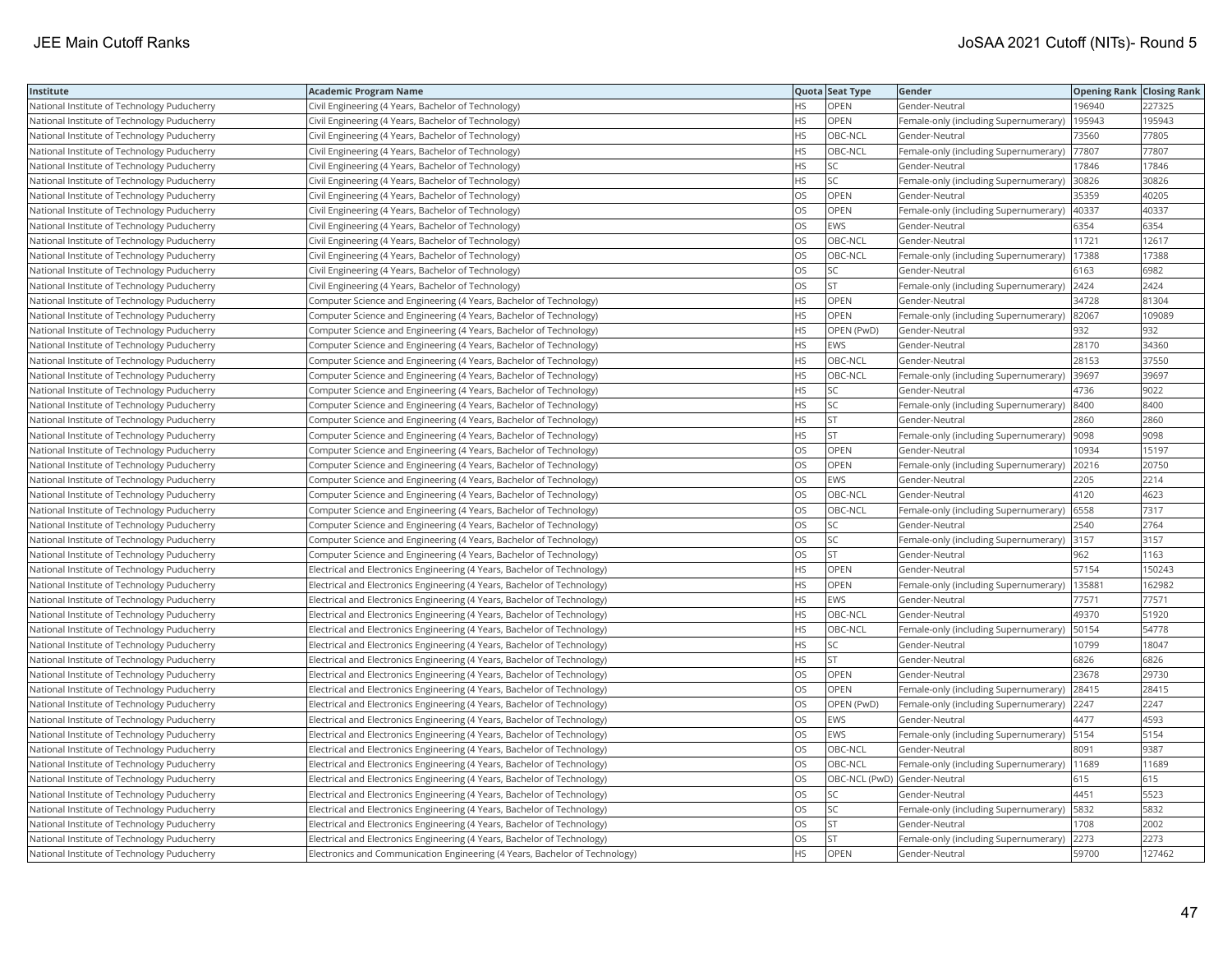| Institute                                   | Academic Program Name                                                       |           | Quota Seat Type              | Gender                                        | <b>Opening Rank Closing Rank</b> |        |
|---------------------------------------------|-----------------------------------------------------------------------------|-----------|------------------------------|-----------------------------------------------|----------------------------------|--------|
| National Institute of Technology Puducherry | Civil Engineering (4 Years, Bachelor of Technology)                         | HS.       | OPEN                         | Gender-Neutral                                | 196940                           | 227325 |
| National Institute of Technology Puducherry | Civil Engineering (4 Years, Bachelor of Technology)                         | <b>HS</b> | OPEN                         | Female-only (including Supernumerary)         | 195943                           | 195943 |
| National Institute of Technology Puducherry | Civil Engineering (4 Years, Bachelor of Technology)                         | <b>HS</b> | OBC-NCL                      | Gender-Neutral                                | 73560                            | 77805  |
| National Institute of Technology Puducherry | Civil Engineering (4 Years, Bachelor of Technology)                         | HS.       | OBC-NCL                      | Female-only (including Supernumerary)         | 77807                            | 77807  |
| National Institute of Technology Puducherry | Civil Engineering (4 Years, Bachelor of Technology)                         | HS.       | SC                           | Gender-Neutral                                | 17846                            | 17846  |
| National Institute of Technology Puducherry | Civil Engineering (4 Years, Bachelor of Technology)                         | HS        | SC                           | Female-only (including Supernumerary) 30826   |                                  | 30826  |
| National Institute of Technology Puducherry | Civil Engineering (4 Years, Bachelor of Technology)                         | OS        | OPEN                         | Gender-Neutral                                | 35359                            | 40205  |
| National Institute of Technology Puducherry | Civil Engineering (4 Years, Bachelor of Technology)                         | OS        | OPEN                         | Female-only (including Supernumerary)         | 40337                            | 40337  |
| National Institute of Technology Puducherry | Civil Engineering (4 Years, Bachelor of Technology)                         | OS        | <b>EWS</b>                   | Gender-Neutral                                | 6354                             | 6354   |
| National Institute of Technology Puducherry | Civil Engineering (4 Years, Bachelor of Technology)                         | OS.       | OBC-NCL                      | Gender-Neutral                                | 11721                            | 12617  |
| National Institute of Technology Puducherry | Civil Engineering (4 Years, Bachelor of Technology)                         | OS.       | OBC-NCL                      | Female-only (including Supernumerary)         | 17388                            | 17388  |
| National Institute of Technology Puducherry | Civil Engineering (4 Years, Bachelor of Technology)                         | OS        | SC                           | Gender-Neutral                                | 6163                             | 6982   |
| National Institute of Technology Puducherry | Civil Engineering (4 Years, Bachelor of Technology)                         | OS.       | <b>ST</b>                    | Female-only (including Supernumerary) 2424    |                                  | 2424   |
| National Institute of Technology Puducherry | Computer Science and Engineering (4 Years, Bachelor of Technology)          | HS        | OPEN                         | Gender-Neutral                                | 34728                            | 81304  |
| National Institute of Technology Puducherry | Computer Science and Engineering (4 Years, Bachelor of Technology)          | HS        | OPEN                         | Female-only (including Supernumerary) 82067   |                                  | 109089 |
| National Institute of Technology Puducherry | Computer Science and Engineering (4 Years, Bachelor of Technology)          | HS.       | OPEN (PwD)                   | Gender-Neutral                                | 932                              | 932    |
| National Institute of Technology Puducherry | Computer Science and Engineering (4 Years, Bachelor of Technology)          | HS        | <b>EWS</b>                   | Gender-Neutral                                | 28170                            | 34360  |
| National Institute of Technology Puducherry | Computer Science and Engineering (4 Years, Bachelor of Technology)          | HS        | OBC-NCL                      | Gender-Neutral                                | 28153                            | 37550  |
| National Institute of Technology Puducherry | Computer Science and Engineering (4 Years, Bachelor of Technology)          | <b>HS</b> | OBC-NCL                      | Female-only (including Supernumerary)         | 39697                            | 39697  |
| National Institute of Technology Puducherry | Computer Science and Engineering (4 Years, Bachelor of Technology)          | HS        | SC                           | Gender-Neutral                                | 4736                             | 9022   |
| National Institute of Technology Puducherry | Computer Science and Engineering (4 Years, Bachelor of Technology)          | HS        | SC                           | Female-only (including Supernumerary)         | 8400                             | 8400   |
| National Institute of Technology Puducherry | Computer Science and Engineering (4 Years, Bachelor of Technology)          | HS.       | <b>ST</b>                    | Gender-Neutral                                | 2860                             | 2860   |
| National Institute of Technology Puducherry | Computer Science and Engineering (4 Years, Bachelor of Technology)          | HS        | <b>ST</b>                    | Female-only (including Supernumerary)         | 9098                             | 9098   |
| National Institute of Technology Puducherry | Computer Science and Engineering (4 Years, Bachelor of Technology)          | OS        | OPEN                         | Gender-Neutral                                | 10934                            | 15197  |
| National Institute of Technology Puducherry | Computer Science and Engineering (4 Years, Bachelor of Technology)          | OS        | OPEN                         | Female-only (including Supernumerary)         | 20216                            | 20750  |
| National Institute of Technology Puducherry | Computer Science and Engineering (4 Years, Bachelor of Technology)          | OS        | EWS                          | Gender-Neutral                                | 2205                             | 2214   |
| National Institute of Technology Puducherry | Computer Science and Engineering (4 Years, Bachelor of Technology)          | <b>OS</b> | OBC-NCL                      | Gender-Neutral                                | 4120                             | 4623   |
| National Institute of Technology Puducherry | Computer Science and Engineering (4 Years, Bachelor of Technology)          | OS        | OBC-NCL                      | Female-only (including Supernumerary)         | 6558                             | 7317   |
| National Institute of Technology Puducherry | Computer Science and Engineering (4 Years, Bachelor of Technology)          | OS        | SC                           | Gender-Neutral                                | 2540                             | 2764   |
| National Institute of Technology Puducherry | Computer Science and Engineering (4 Years, Bachelor of Technology)          | OS        | SC                           | Female-only (including Supernumerary)         | 3157                             | 3157   |
| National Institute of Technology Puducherry | Computer Science and Engineering (4 Years, Bachelor of Technology)          | OS        | <b>ST</b>                    | Gender-Neutral                                | 962                              | 1163   |
| National Institute of Technology Puducherry | Electrical and Electronics Engineering (4 Years, Bachelor of Technology)    | ΗS        | OPEN                         | Gender-Neutral                                | 57154                            | 150243 |
| National Institute of Technology Puducherry | Electrical and Electronics Engineering (4 Years, Bachelor of Technology)    | HS        | OPEN                         | Female-only (including Supernumerary)         | 13588                            | 162982 |
| National Institute of Technology Puducherry | Electrical and Electronics Engineering (4 Years, Bachelor of Technology)    | HS        | EWS                          | Gender-Neutral                                | 77571                            | 77571  |
| National Institute of Technology Puducherry | Electrical and Electronics Engineering (4 Years, Bachelor of Technology)    | HS        | OBC-NCL                      | Gender-Neutral                                | 49370                            | 51920  |
| National Institute of Technology Puducherry | Electrical and Electronics Engineering (4 Years, Bachelor of Technology)    | <b>HS</b> | OBC-NCL                      | Female-only (including Supernumerary)         | 50154                            | 54778  |
| National Institute of Technology Puducherry | Electrical and Electronics Engineering (4 Years, Bachelor of Technology)    | HS        | SC                           | Gender-Neutral                                | 10799                            | 18047  |
| National Institute of Technology Puducherry | Electrical and Electronics Engineering (4 Years, Bachelor of Technology)    | ΗS        | <b>ST</b>                    | Gender-Neutral                                | 6826                             | 6826   |
| National Institute of Technology Puducherry | Electrical and Electronics Engineering (4 Years, Bachelor of Technology)    | OS.       | <b>OPEN</b>                  | Gender-Neutral                                | 23678                            | 29730  |
| National Institute of Technology Puducherry | Electrical and Electronics Engineering (4 Years, Bachelor of Technology)    | OS        | OPEN                         | Female-only (including Supernumerary)         | 28415                            | 28415  |
| National Institute of Technology Puducherry | Electrical and Electronics Engineering (4 Years, Bachelor of Technology)    | OS.       | OPEN (PwD)                   | Female-only (including Supernumerary)         | 2247                             | 2247   |
| National Institute of Technology Puducherry | Electrical and Electronics Engineering (4 Years, Bachelor of Technology)    | OS        | EWS                          | Gender-Neutral                                | 4477                             | 4593   |
| National Institute of Technology Puducherry | Electrical and Electronics Engineering (4 Years, Bachelor of Technology)    | OS        | EWS                          | Female-only (including Supernumerary)         | 5154                             | 5154   |
| National Institute of Technology Puducherry | Electrical and Electronics Engineering (4 Years, Bachelor of Technology)    | OS        | OBC-NCL                      | Gender-Neutral                                | 8091                             | 9387   |
| National Institute of Technology Puducherry | Electrical and Electronics Engineering (4 Years, Bachelor of Technology)    | OS        | OBC-NCL                      | Female-only (including Supernumerary)   11689 |                                  | 11689  |
| National Institute of Technology Puducherry | Electrical and Electronics Engineering (4 Years, Bachelor of Technology)    | OS        | OBC-NCL (PwD) Gender-Neutral |                                               | 615                              | 615    |
| National Institute of Technology Puducherry | Electrical and Electronics Engineering (4 Years, Bachelor of Technology)    | <b>OS</b> | <b>SC</b>                    | Gender-Neutral                                | 4451                             | 5523   |
| National Institute of Technology Puducherry | Electrical and Electronics Engineering (4 Years, Bachelor of Technology)    | OS        | SC                           | Female-only (including Supernumerary)         | 5832                             | 5832   |
| National Institute of Technology Puducherry | Electrical and Electronics Engineering (4 Years, Bachelor of Technology)    | OS        | <b>ST</b>                    | Gender-Neutral                                | 1708                             | 2002   |
| National Institute of Technology Puducherry | Electrical and Electronics Engineering (4 Years, Bachelor of Technology)    | OS.       | <b>ST</b>                    | Female-only (including Supernumerary)         | 2273                             | 2273   |
| National Institute of Technology Puducherry | Electronics and Communication Engineering (4 Years, Bachelor of Technology) | <b>HS</b> | OPEN                         | Gender-Neutral                                | 59700                            | 127462 |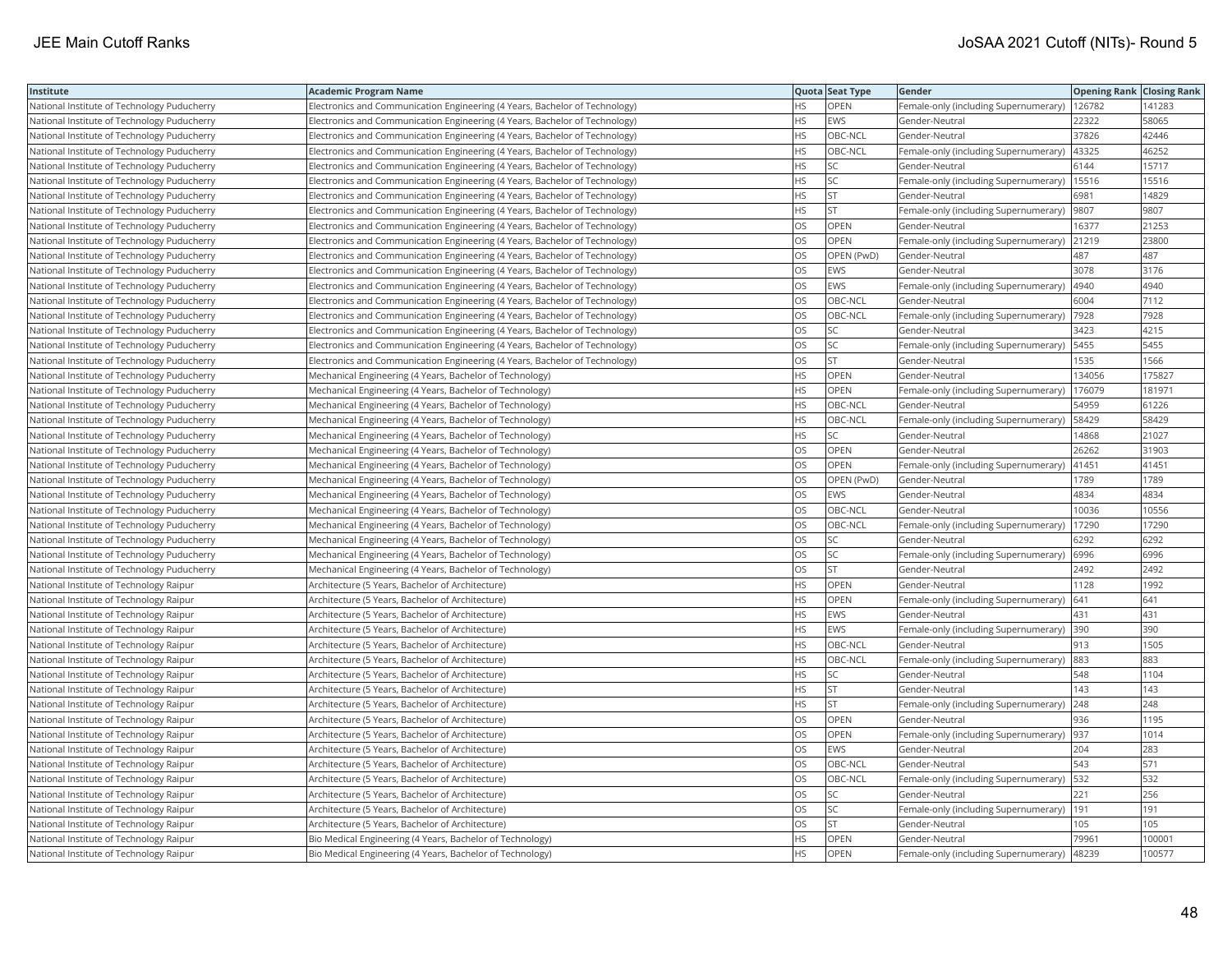| Institute                                   | Academic Program Name                                                       |           | Quota Seat Type | Gender                                        | <b>Opening Rank Closing Rank</b> |        |
|---------------------------------------------|-----------------------------------------------------------------------------|-----------|-----------------|-----------------------------------------------|----------------------------------|--------|
| National Institute of Technology Puducherry | Electronics and Communication Engineering (4 Years, Bachelor of Technology) | HS        | OPEN            | Female-only (including Supernumerary)         | 126782                           | 141283 |
| National Institute of Technology Puducherry | Electronics and Communication Engineering (4 Years, Bachelor of Technology) | HS.       | EWS             | Gender-Neutral                                | 22322                            | 58065  |
| National Institute of Technology Puducherry | Electronics and Communication Engineering (4 Years, Bachelor of Technology) | HS.       | OBC-NCL         | Gender-Neutral                                | 37826                            | 42446  |
| National Institute of Technology Puducherry | Electronics and Communication Engineering (4 Years, Bachelor of Technology) | <b>HS</b> | OBC-NCL         | Female-only (including Supernumerary)         | 43325                            | 46252  |
| National Institute of Technology Puducherry | Electronics and Communication Engineering (4 Years, Bachelor of Technology) | HS.       | SC              | Gender-Neutral                                | 6144                             | 15717  |
| National Institute of Technology Puducherry | Electronics and Communication Engineering (4 Years, Bachelor of Technology) | HS        | SC              | Female-only (including Supernumerary)   15516 |                                  | 15516  |
| National Institute of Technology Puducherry | Electronics and Communication Engineering (4 Years, Bachelor of Technology) | HS.       | <b>ST</b>       | Gender-Neutral                                | 6981                             | 14829  |
| National Institute of Technology Puducherry | Electronics and Communication Engineering (4 Years, Bachelor of Technology) | HS.       | <b>ST</b>       | Female-only (including Supernumerary)         | 9807                             | 9807   |
| National Institute of Technology Puducherry | Electronics and Communication Engineering (4 Years, Bachelor of Technology) | OS        | OPEN            | Gender-Neutral                                | 16377                            | 21253  |
| National Institute of Technology Puducherry | Electronics and Communication Engineering (4 Years, Bachelor of Technology) | OS.       | <b>OPEN</b>     | Female-only (including Supernumerary)         | 21219                            | 23800  |
| National Institute of Technology Puducherry | Electronics and Communication Engineering (4 Years, Bachelor of Technology) | OS        | OPEN (PwD)      | Gender-Neutral                                | 487                              | 487    |
| National Institute of Technology Puducherry | Electronics and Communication Engineering (4 Years, Bachelor of Technology) | OS.       | <b>EWS</b>      | Gender-Neutral                                | 3078                             | 3176   |
| National Institute of Technology Puducherry | Electronics and Communication Engineering (4 Years, Bachelor of Technology) | OS        | EWS             | Female-only (including Supernumerary)         | 4940                             | 4940   |
| National Institute of Technology Puducherry | Electronics and Communication Engineering (4 Years, Bachelor of Technology) | OS        | OBC-NCL         | Gender-Neutral                                | 6004                             | 7112   |
| National Institute of Technology Puducherry | Electronics and Communication Engineering (4 Years, Bachelor of Technology) | <b>OS</b> | OBC-NCL         | Female-only (including Supernumerary)         | 7928                             | 7928   |
| National Institute of Technology Puducherry | Electronics and Communication Engineering (4 Years, Bachelor of Technology) | OS        | <b>SC</b>       | Gender-Neutral                                | 3423                             | 4215   |
| National Institute of Technology Puducherry | Electronics and Communication Engineering (4 Years, Bachelor of Technology) | OS        | SC              | Female-only (including Supernumerary)         | 5455                             | 5455   |
| National Institute of Technology Puducherry | Electronics and Communication Engineering (4 Years, Bachelor of Technology) | OS.       | <b>ST</b>       | Gender-Neutral                                | 1535                             | 1566   |
| National Institute of Technology Puducherry | Mechanical Engineering (4 Years, Bachelor of Technology)                    | HS.       | OPEN            | Gender-Neutral                                | 134056                           | 175827 |
| National Institute of Technology Puducherry | Mechanical Engineering (4 Years, Bachelor of Technology)                    | <b>HS</b> | <b>OPEN</b>     | Female-only (including Supernumerary)         | 176079                           | 181971 |
| National Institute of Technology Puducherry | Mechanical Engineering (4 Years, Bachelor of Technology)                    | HS.       | OBC-NCL         | Gender-Neutral                                | 54959                            | 61226  |
| National Institute of Technology Puducherry | Mechanical Engineering (4 Years, Bachelor of Technology)                    | HS        | OBC-NCL         | Female-only (including Supernumerary)         | 58429                            | 58429  |
| National Institute of Technology Puducherry | Mechanical Engineering (4 Years, Bachelor of Technology)                    | HS.       | SC              | Gender-Neutral                                | 14868                            | 21027  |
| National Institute of Technology Puducherry | Mechanical Engineering (4 Years, Bachelor of Technology)                    | OS        | OPEN            | Gender-Neutral                                | 26262                            | 31903  |
| National Institute of Technology Puducherry | Mechanical Engineering (4 Years, Bachelor of Technology)                    | OS        | OPEN            | Female-only (including Supernumerary)         | 41451                            | 41451  |
| National Institute of Technology Puducherry | Mechanical Engineering (4 Years, Bachelor of Technology)                    | OS.       | OPEN (PwD)      | Gender-Neutral                                | 1789                             | 1789   |
| National Institute of Technology Puducherry | Mechanical Engineering (4 Years, Bachelor of Technology)                    | <b>OS</b> | EWS             | Gender-Neutral                                | 4834                             | 4834   |
| National Institute of Technology Puducherry | Mechanical Engineering (4 Years, Bachelor of Technology)                    | OS        | OBC-NCL         | Gender-Neutral                                | 10036                            | 10556  |
| National Institute of Technology Puducherry | Mechanical Engineering (4 Years, Bachelor of Technology)                    | OS        | OBC-NCL         | Female-only (including Supernumerary)         | 17290                            | 17290  |
| National Institute of Technology Puducherry | Mechanical Engineering (4 Years, Bachelor of Technology)                    | OS        | SC              | Gender-Neutral                                | 6292                             | 6292   |
| National Institute of Technology Puducherry | Mechanical Engineering (4 Years, Bachelor of Technology)                    | OS.       | <b>SC</b>       | Female-only (including Supernumerary)  6996   |                                  | 6996   |
| National Institute of Technology Puducherry | Mechanical Engineering (4 Years, Bachelor of Technology)                    | OS        | <b>ST</b>       | Gender-Neutral                                | 2492                             | 2492   |
| National Institute of Technology Raipur     | Architecture (5 Years, Bachelor of Architecture)                            | HS.       | OPEN            | Gender-Neutral                                | 1128                             | 1992   |
| National Institute of Technology Raipur     | Architecture (5 Years, Bachelor of Architecture)                            | HS.       | <b>OPEN</b>     | Female-only (including Supernumerary)         | 641                              | 641    |
| National Institute of Technology Raipur     | Architecture (5 Years, Bachelor of Architecture)                            | <b>HS</b> | EWS             | Gender-Neutral                                | 431                              | 431    |
| National Institute of Technology Raipur     | Architecture (5 Years, Bachelor of Architecture)                            | <b>HS</b> | <b>EWS</b>      | Female-only (including Supernumerary)         | 390                              | 390    |
| National Institute of Technology Raipur     | Architecture (5 Years, Bachelor of Architecture)                            | HS.       | OBC-NCL         | Gender-Neutral                                | 913                              | 1505   |
| National Institute of Technology Raipur     | Architecture (5 Years, Bachelor of Architecture)                            | HS        | OBC-NCL         | Female-only (including Supernumerary) 883     |                                  | 883    |
| National Institute of Technology Raipur     | Architecture (5 Years, Bachelor of Architecture)                            | HS.       | SC              | Gender-Neutral                                | 548                              | 1104   |
| National Institute of Technology Raipur     | Architecture (5 Years, Bachelor of Architecture)                            | HS        | <b>ST</b>       | Gender-Neutral                                | 143                              | 143    |
| National Institute of Technology Raipur     | Architecture (5 Years, Bachelor of Architecture)                            | HS.       | <b>ST</b>       | Female-only (including Supernumerary)         | 248                              | 248    |
| National Institute of Technology Raipur     | Architecture (5 Years, Bachelor of Architecture)                            | OS.       | <b>OPEN</b>     | Gender-Neutral                                | 936                              | 1195   |
| National Institute of Technology Raipur     | Architecture (5 Years, Bachelor of Architecture)                            | <b>OS</b> | OPEN            | Female-only (including Supernumerary)         | 937                              | 1014   |
| National Institute of Technology Raipur     | Architecture (5 Years, Bachelor of Architecture)                            | OS        | EWS             | Gender-Neutral                                | 204                              | 283    |
| National Institute of Technology Raipur     | Architecture (5 Years, Bachelor of Architecture)                            | OS        | OBC-NCL         | Gender-Neutral                                | 543                              | 571    |
| National Institute of Technology Raipur     | Architecture (5 Years, Bachelor of Architecture)                            | OS        | OBC-NCL         | Female-only (including Supernumerary)         | 532                              | 532    |
| National Institute of Technology Raipur     | Architecture (5 Years, Bachelor of Architecture)                            | OS.       | <b>SC</b>       | Gender-Neutral                                | 221                              | 256    |
| National Institute of Technology Raipur     | Architecture (5 Years, Bachelor of Architecture)                            | OS        | SC              | Female-only (including Supernumerary)         | 191                              | 191    |
| National Institute of Technology Raipur     | Architecture (5 Years, Bachelor of Architecture)                            | OS        | <b>ST</b>       | Gender-Neutral                                | 105                              | 105    |
| National Institute of Technology Raipur     | Bio Medical Engineering (4 Years, Bachelor of Technology)                   | HS.       | OPEN            | Gender-Neutral                                | 79961                            | 100001 |
| National Institute of Technology Raipur     | Bio Medical Engineering (4 Years, Bachelor of Technology)                   | <b>HS</b> | <b>OPEN</b>     | Female-only (including Supernumerary)         | 48239                            | 100577 |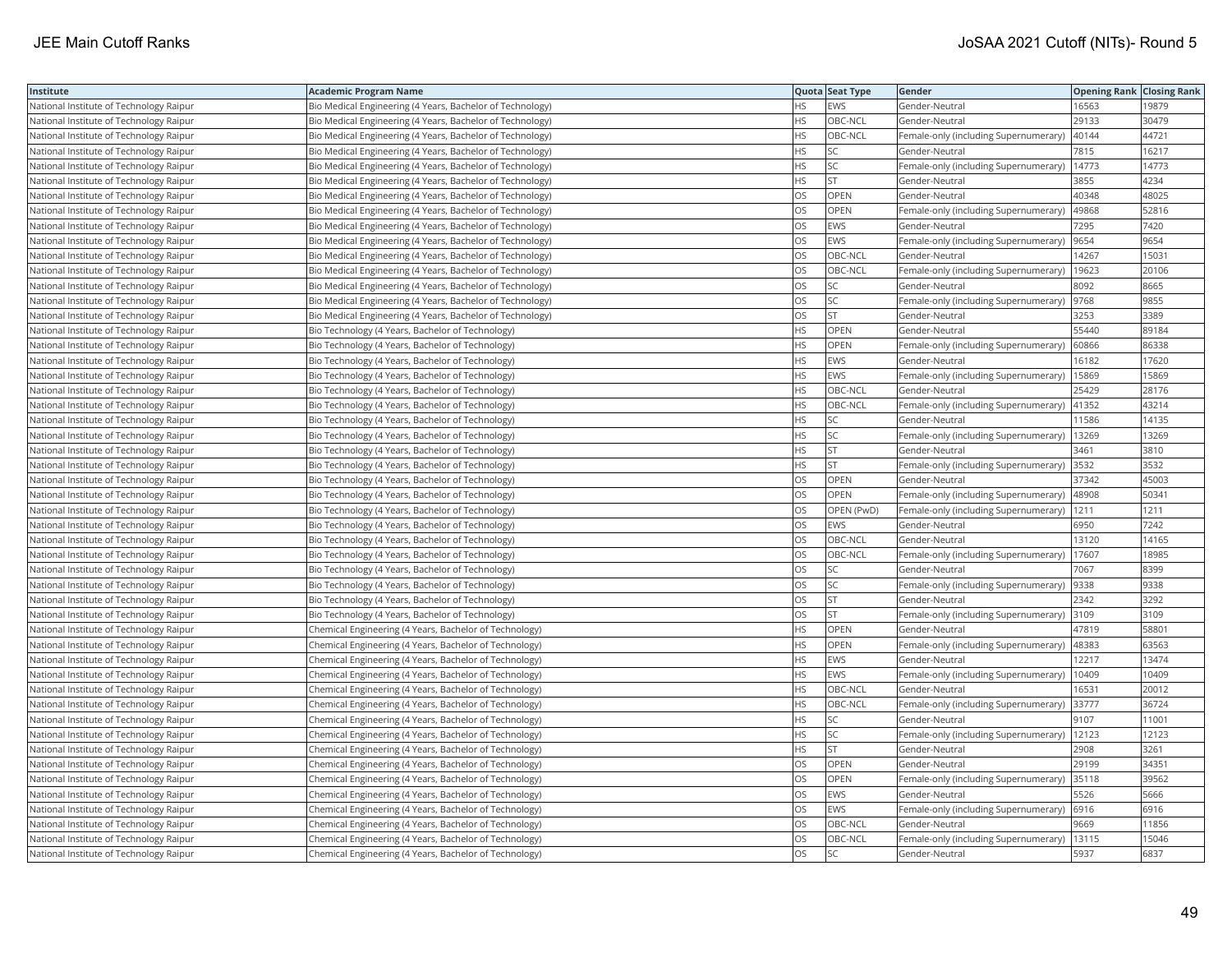| Institute                               | Academic Program Name                                     |           | Quota Seat Type | Gender                                     | <b>Opening Rank Closing Rank</b> |       |
|-----------------------------------------|-----------------------------------------------------------|-----------|-----------------|--------------------------------------------|----------------------------------|-------|
| National Institute of Technology Raipur | Bio Medical Engineering (4 Years, Bachelor of Technology) | HS        | EWS             | Gender-Neutral                             | 16563                            | 19879 |
| National Institute of Technology Raipur | Bio Medical Engineering (4 Years, Bachelor of Technology) | <b>HS</b> | OBC-NCL         | Gender-Neutral                             | 29133                            | 30479 |
| National Institute of Technology Raipur | Bio Medical Engineering (4 Years, Bachelor of Technology) | HS        | OBC-NCL         | Female-only (including Supernumerary)      | 40144                            | 44721 |
| National Institute of Technology Raipur | Bio Medical Engineering (4 Years, Bachelor of Technology) | HS        | SC              | Gender-Neutral                             | 7815                             | 16217 |
| National Institute of Technology Raipur | Bio Medical Engineering (4 Years, Bachelor of Technology) | HS        | SC              | Female-only (including Supernumerary)      | 14773                            | 14773 |
| National Institute of Technology Raipur | Bio Medical Engineering (4 Years, Bachelor of Technology) | ΗS        | <b>ST</b>       | Gender-Neutral                             | 3855                             | 4234  |
| National Institute of Technology Raipur | Bio Medical Engineering (4 Years, Bachelor of Technology) | OS        | OPEN            | Gender-Neutral                             | 40348                            | 48025 |
| National Institute of Technology Raipur | Bio Medical Engineering (4 Years, Bachelor of Technology) | OS        | OPEN            | Female-only (including Supernumerary)      | 49868                            | 52816 |
| National Institute of Technology Raipur | Bio Medical Engineering (4 Years, Bachelor of Technology) | OS        | EWS             | Gender-Neutral                             | 7295                             | 7420  |
| National Institute of Technology Raipur | Bio Medical Engineering (4 Years, Bachelor of Technology) | OS        | EWS             | Female-only (including Supernumerary)      | 9654                             | 9654  |
| National Institute of Technology Raipur | Bio Medical Engineering (4 Years, Bachelor of Technology) | OS.       | OBC-NCL         | Gender-Neutral                             | 14267                            | 15031 |
| National Institute of Technology Raipur | Bio Medical Engineering (4 Years, Bachelor of Technology) | OS        | OBC-NCL         | Female-only (including Supernumerary)      | 19623                            | 20106 |
| National Institute of Technology Raipur | Bio Medical Engineering (4 Years, Bachelor of Technology) | OS        | SC              | Gender-Neutral                             | 8092                             | 8665  |
| National Institute of Technology Raipur | Bio Medical Engineering (4 Years, Bachelor of Technology) | OS        | SC              | Female-only (including Supernumerary)      | 9768                             | 9855  |
| National Institute of Technology Raipur | Bio Medical Engineering (4 Years, Bachelor of Technology) | OS        | <b>ST</b>       | Gender-Neutral                             | 3253                             | 3389  |
| National Institute of Technology Raipur | Bio Technology (4 Years, Bachelor of Technology)          | HS.       | <b>OPEN</b>     | Gender-Neutral                             | 55440                            | 89184 |
| National Institute of Technology Raipur | Bio Technology (4 Years, Bachelor of Technology)          | HS        | <b>OPEN</b>     | Female-only (including Supernumerary)      | 60866                            | 86338 |
| National Institute of Technology Raipur | Bio Technology (4 Years, Bachelor of Technology)          | HS        | EWS             | Gender-Neutral                             | 16182                            | 17620 |
| National Institute of Technology Raipur | Bio Technology (4 Years, Bachelor of Technology)          | <b>HS</b> | <b>EWS</b>      | Female-only (including Supernumerary)      | 15869                            | 15869 |
| National Institute of Technology Raipur | Bio Technology (4 Years, Bachelor of Technology)          | HS        | OBC-NCL         | Gender-Neutral                             | 25429                            | 28176 |
| National Institute of Technology Raipur | Bio Technology (4 Years, Bachelor of Technology)          | HS.       | OBC-NCL         | Female-only (including Supernumerary)      | 41352                            | 43214 |
| National Institute of Technology Raipur | Bio Technology (4 Years, Bachelor of Technology)          | HS.       | SC              | Gender-Neutral                             | 11586                            | 14135 |
| National Institute of Technology Raipur | Bio Technology (4 Years, Bachelor of Technology)          | HS        | SC              | Female-only (including Supernumerary)      | 13269                            | 13269 |
| National Institute of Technology Raipur | Bio Technology (4 Years, Bachelor of Technology)          | HS        | <b>ST</b>       | Gender-Neutral                             | 3461                             | 3810  |
| National Institute of Technology Raipur | Bio Technology (4 Years, Bachelor of Technology)          | HS.       | <b>ST</b>       | Female-only (including Supernumerary)      | 3532                             | 3532  |
| National Institute of Technology Raipur | Bio Technology (4 Years, Bachelor of Technology)          | OS        | OPEN            | Gender-Neutral                             | 37342                            | 45003 |
| National Institute of Technology Raipur | Bio Technology (4 Years, Bachelor of Technology)          | OS.       | <b>OPEN</b>     | Female-only (including Supernumerary)      | 48908                            | 50341 |
| National Institute of Technology Raipur | Bio Technology (4 Years, Bachelor of Technology)          | OS        | OPEN (PwD)      | Female-only (including Supernumerary)      | 1211                             | 1211  |
| National Institute of Technology Raipur | Bio Technology (4 Years, Bachelor of Technology)          | OS        | EWS             | Gender-Neutral                             | 6950                             | 7242  |
| National Institute of Technology Raipur | Bio Technology (4 Years, Bachelor of Technology)          | OS        | OBC-NCL         | Gender-Neutral                             | 13120                            | 14165 |
| National Institute of Technology Raipur | Bio Technology (4 Years, Bachelor of Technology)          | OS        | OBC-NCL         | Female-only (including Supernumerary)      | 17607                            | 18985 |
| National Institute of Technology Raipur | Bio Technology (4 Years, Bachelor of Technology)          | OS        | SC              | Gender-Neutral                             | 7067                             | 8399  |
| National Institute of Technology Raipur | Bio Technology (4 Years, Bachelor of Technology)          | OS        | SC              | Female-only (including Supernumerary)      | 9338                             | 9338  |
| National Institute of Technology Raipur | Bio Technology (4 Years, Bachelor of Technology)          | OS        | <b>ST</b>       | Gender-Neutral                             | 2342                             | 3292  |
| National Institute of Technology Raipur | Bio Technology (4 Years, Bachelor of Technology)          | OS.       | <b>ST</b>       | Female-only (including Supernumerary) 3109 |                                  | 3109  |
| National Institute of Technology Raipur | Chemical Engineering (4 Years, Bachelor of Technology)    | HS.       | <b>OPEN</b>     | Gender-Neutral                             | 47819                            | 58801 |
| National Institute of Technology Raipur | Chemical Engineering (4 Years, Bachelor of Technology)    | HS        | OPEN            | Female-only (including Supernumerary)      | 48383                            | 63563 |
| National Institute of Technology Raipur | Chemical Engineering (4 Years, Bachelor of Technology)    | ΗS        | EWS             | Gender-Neutral                             | 12217                            | 13474 |
| National Institute of Technology Raipur | Chemical Engineering (4 Years, Bachelor of Technology)    | HS.       | <b>EWS</b>      | Female-only (including Supernumerary)      | 10409                            | 10409 |
| National Institute of Technology Raipur | Chemical Engineering (4 Years, Bachelor of Technology)    | HS        | OBC-NCL         | Gender-Neutral                             | 16531                            | 20012 |
| National Institute of Technology Raipur | Chemical Engineering (4 Years, Bachelor of Technology)    | <b>HS</b> | OBC-NCL         | Female-only (including Supernumerary)      | 33777                            | 36724 |
| National Institute of Technology Raipur | Chemical Engineering (4 Years, Bachelor of Technology)    | HS.       | SC              | Gender-Neutral                             | 9107                             | 11001 |
| National Institute of Technology Raipur | Chemical Engineering (4 Years, Bachelor of Technology)    | HS        | SC              | Female-only (including Supernumerary)      | 12123                            | 12123 |
| National Institute of Technology Raipur | Chemical Engineering (4 Years, Bachelor of Technology)    | HS        | <b>ST</b>       | Gender-Neutral                             | 2908                             | 3261  |
| National Institute of Technology Raipur | Chemical Engineering (4 Years, Bachelor of Technology)    | OS        | OPEN            | Gender-Neutral                             | 29199                            | 34351 |
| National Institute of Technology Raipur | Chemical Engineering (4 Years, Bachelor of Technology)    | OS        | OPEN            | Female-only (including Supernumerary)      | 35118                            | 39562 |
| National Institute of Technology Raipur | Chemical Engineering (4 Years, Bachelor of Technology)    | OS.       | <b>EWS</b>      | Gender-Neutral                             | 5526                             | 5666  |
| National Institute of Technology Raipur | Chemical Engineering (4 Years, Bachelor of Technology)    | OS        | EWS             | Female-only (including Supernumerary)      | 6916                             | 6916  |
| National Institute of Technology Raipur | Chemical Engineering (4 Years, Bachelor of Technology)    | OS        | OBC-NCL         | Gender-Neutral                             | 9669                             | 11856 |
| National Institute of Technology Raipur | Chemical Engineering (4 Years, Bachelor of Technology)    | OS        | OBC-NCL         | Female-only (including Supernumerary)      | 13115                            | 15046 |
| National Institute of Technology Raipur | Chemical Engineering (4 Years, Bachelor of Technology)    | <b>OS</b> | <b>SC</b>       | Gender-Neutral                             | 5937                             | 6837  |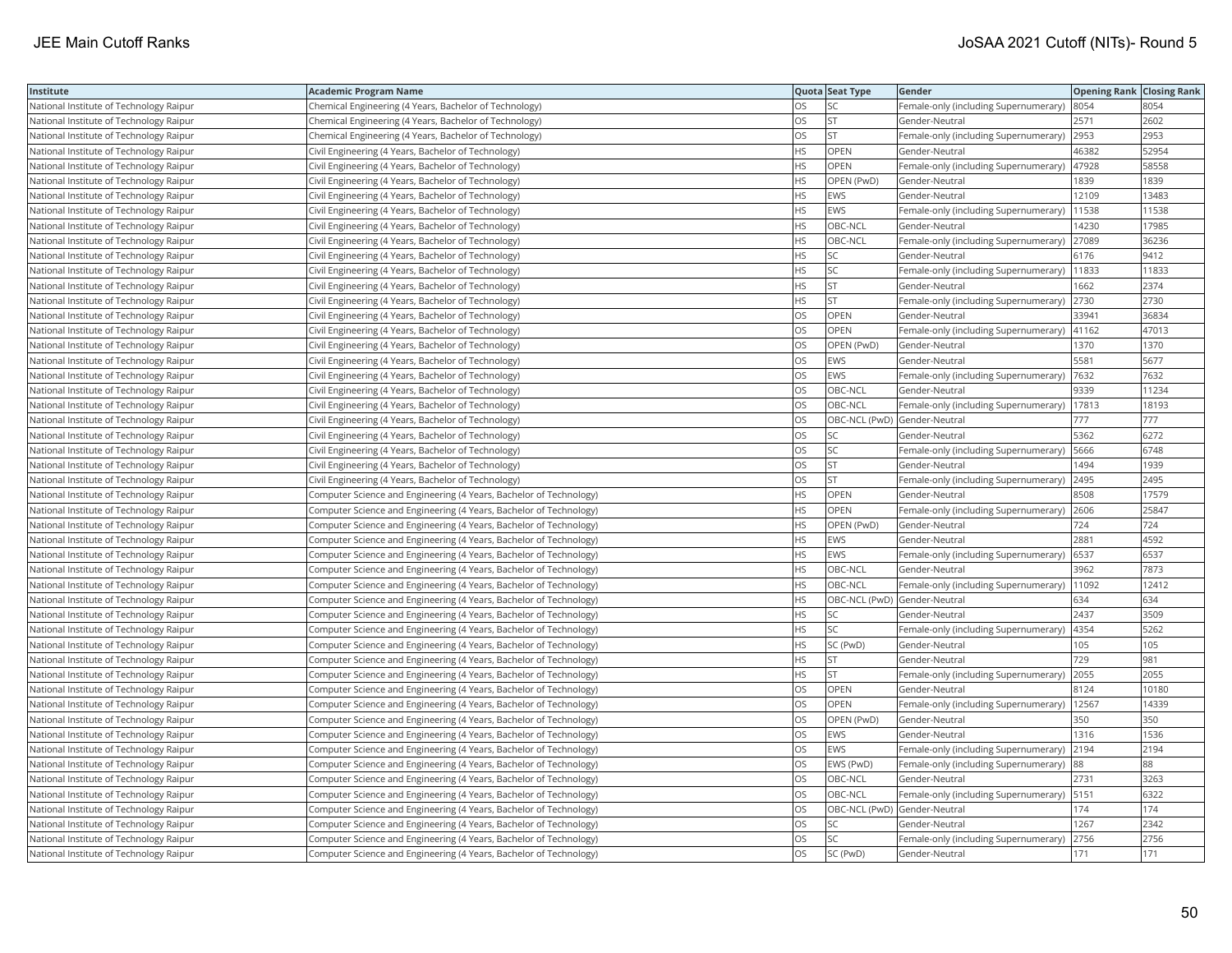| Institute                               | Academic Program Name                                              |           | Quota Seat Type              | Gender                                        | <b>Opening Rank Closing Rank</b> |       |
|-----------------------------------------|--------------------------------------------------------------------|-----------|------------------------------|-----------------------------------------------|----------------------------------|-------|
| National Institute of Technology Raipur | Chemical Engineering (4 Years, Bachelor of Technology)             | OS        | SC                           | Female-only (including Supernumerary)         | 8054                             | 8054  |
| National Institute of Technology Raipur | Chemical Engineering (4 Years, Bachelor of Technology)             | OS        | <b>ST</b>                    | Gender-Neutral                                | 2571                             | 2602  |
| National Institute of Technology Raipur | Chemical Engineering (4 Years, Bachelor of Technology)             | OS.       | <b>ST</b>                    | Female-only (including Supernumerary)         | 2953                             | 2953  |
| National Institute of Technology Raipur | Civil Engineering (4 Years, Bachelor of Technology)                | HS.       | OPEN                         | Gender-Neutral                                | 46382                            | 52954 |
| National Institute of Technology Raipur | Civil Engineering (4 Years, Bachelor of Technology)                | HS.       | <b>OPEN</b>                  | Female-only (including Supernumerary)         | 47928                            | 58558 |
| National Institute of Technology Raipur | Civil Engineering (4 Years, Bachelor of Technology)                | HS        | OPEN (PwD)                   | Gender-Neutral                                | 1839                             | 1839  |
| National Institute of Technology Raipur | Civil Engineering (4 Years, Bachelor of Technology)                | HS        | EWS                          | Gender-Neutral                                | 12109                            | 13483 |
| National Institute of Technology Raipur | Civil Engineering (4 Years, Bachelor of Technology)                | HS.       | EWS                          | Female-only (including Supernumerary)         | 11538                            | 11538 |
| National Institute of Technology Raipur | Civil Engineering (4 Years, Bachelor of Technology)                | HS        | OBC-NCL                      | Gender-Neutral                                | 14230                            | 17985 |
| National Institute of Technology Raipur | Civil Engineering (4 Years, Bachelor of Technology)                | <b>HS</b> | OBC-NCL                      | Female-only (including Supernumerary)         | 27089                            | 36236 |
| National Institute of Technology Raipur | Civil Engineering (4 Years, Bachelor of Technology)                | HS.       | <b>SC</b>                    | Gender-Neutral                                | 6176                             | 9412  |
| National Institute of Technology Raipur | Civil Engineering (4 Years, Bachelor of Technology)                | HS        | SC                           | Female-only (including Supernumerary)         | 11833                            | 11833 |
| National Institute of Technology Raipur | Civil Engineering (4 Years, Bachelor of Technology)                | HS.       | lst                          | Gender-Neutral                                | 1662                             | 2374  |
| National Institute of Technology Raipur | Civil Engineering (4 Years, Bachelor of Technology)                | HS        | <b>ST</b>                    | Female-only (including Supernumerary)         | 2730                             | 2730  |
| National Institute of Technology Raipur | Civil Engineering (4 Years, Bachelor of Technology)                | OS        | OPEN                         | Gender-Neutral                                | 33941                            | 36834 |
| National Institute of Technology Raipur | Civil Engineering (4 Years, Bachelor of Technology)                | OS.       | OPEN                         | Female-only (including Supernumerary)         | 41162                            | 47013 |
| National Institute of Technology Raipur | Civil Engineering (4 Years, Bachelor of Technology)                | OS        | OPEN (PwD)                   | Gender-Neutral                                | 1370                             | 1370  |
| National Institute of Technology Raipur | Civil Engineering (4 Years, Bachelor of Technology)                | OS        | EWS                          | Gender-Neutral                                | 5581                             | 5677  |
| National Institute of Technology Raipur | Civil Engineering (4 Years, Bachelor of Technology)                | OS.       | EWS                          | Female-only (including Supernumerary)         | 7632                             | 7632  |
| National Institute of Technology Raipur | Civil Engineering (4 Years, Bachelor of Technology)                | OS        | OBC-NCL                      | Gender-Neutral                                | 9339                             | 11234 |
| National Institute of Technology Raipur | Civil Engineering (4 Years, Bachelor of Technology)                | OS        | OBC-NCL                      | Female-only (including Supernumerary)         | 17813                            | 18193 |
| National Institute of Technology Raipur | Civil Engineering (4 Years, Bachelor of Technology)                | OS        | OBC-NCL (PwD) Gender-Neutral |                                               | 777                              | 777   |
| National Institute of Technology Raipur | Civil Engineering (4 Years, Bachelor of Technology)                | OS        | <b>SC</b>                    | Gender-Neutral                                | 5362                             | 6272  |
| National Institute of Technology Raipur | Civil Engineering (4 Years, Bachelor of Technology)                | OS        | SC                           | Female-only (including Supernumerary)         | 5666                             | 6748  |
| National Institute of Technology Raipur | Civil Engineering (4 Years, Bachelor of Technology)                | OS        | <b>ST</b>                    | Gender-Neutral                                | 1494                             | 1939  |
| National Institute of Technology Raipur | Civil Engineering (4 Years, Bachelor of Technology)                | OS        | <b>ST</b>                    | Female-only (including Supernumerary)         | 2495                             | 2495  |
| National Institute of Technology Raipur | Computer Science and Engineering (4 Years, Bachelor of Technology) | HS.       | OPEN                         | Gender-Neutral                                | 8508                             | 17579 |
| National Institute of Technology Raipur | Computer Science and Engineering (4 Years, Bachelor of Technology) | HS        | <b>OPEN</b>                  | Female-only (including Supernumerary) 2606    |                                  | 25847 |
| National Institute of Technology Raipur | Computer Science and Engineering (4 Years, Bachelor of Technology) | HS        | OPEN (PwD)                   | Gender-Neutral                                | 724                              | 724   |
| National Institute of Technology Raipur | Computer Science and Engineering (4 Years, Bachelor of Technology) | HS        | EWS                          | Gender-Neutral                                | 2881                             | 4592  |
| National Institute of Technology Raipur | Computer Science and Engineering (4 Years, Bachelor of Technology) | HS        | EWS                          | Female-only (including Supernumerary)         | 6537                             | 6537  |
| National Institute of Technology Raipur | Computer Science and Engineering (4 Years, Bachelor of Technology) | HS        | OBC-NCL                      | Gender-Neutral                                | 3962                             | 7873  |
| National Institute of Technology Raipur | Computer Science and Engineering (4 Years, Bachelor of Technology) | HS        | OBC-NCL                      | Female-only (including Supernumerary)   11092 |                                  | 12412 |
| National Institute of Technology Raipur | Computer Science and Engineering (4 Years, Bachelor of Technology) | HS        | OBC-NCL (PwD) Gender-Neutral |                                               | 634                              | 634   |
| National Institute of Technology Raipur | Computer Science and Engineering (4 Years, Bachelor of Technology) | HS        | SC.                          | Gender-Neutral                                | 2437                             | 3509  |
| National Institute of Technology Raipur | Computer Science and Engineering (4 Years, Bachelor of Technology) | HS.       | <b>SC</b>                    | Female-only (including Supernumerary)         | 4354                             | 5262  |
| National Institute of Technology Raipur | Computer Science and Engineering (4 Years, Bachelor of Technology) | HS        | SC (PwD)                     | Gender-Neutral                                | 105                              | 105   |
| National Institute of Technology Raipur | Computer Science and Engineering (4 Years, Bachelor of Technology) | HS        | <b>ST</b>                    | Gender-Neutral                                | 729                              | 981   |
| National Institute of Technology Raipur | Computer Science and Engineering (4 Years, Bachelor of Technology) | <b>HS</b> | <b>ST</b>                    | Female-only (including Supernumerary)         | 2055                             | 2055  |
| National Institute of Technology Raipur | Computer Science and Engineering (4 Years, Bachelor of Technology) | OS        | OPEN                         | Gender-Neutral                                | 8124                             | 10180 |
| National Institute of Technology Raipur | Computer Science and Engineering (4 Years, Bachelor of Technology) | OS        | OPEN                         | Female-only (including Supernumerary)         | 12567                            | 14339 |
| National Institute of Technology Raipur | Computer Science and Engineering (4 Years, Bachelor of Technology) | OS        | OPEN (PwD)                   | Gender-Neutral                                | 350                              | 350   |
| National Institute of Technology Raipur | Computer Science and Engineering (4 Years, Bachelor of Technology) | OS        | EWS                          | Gender-Neutral                                | 1316                             | 1536  |
| National Institute of Technology Raipur | Computer Science and Engineering (4 Years, Bachelor of Technology) | OS        | EWS                          | Female-only (including Supernumerary)         | 2194                             | 2194  |
| National Institute of Technology Raipur | Computer Science and Engineering (4 Years, Bachelor of Technology) | OS        | EWS (PwD)                    | Female-only (including Supernumerary) 88      |                                  | 88    |
| National Institute of Technology Raipur | Computer Science and Engineering (4 Years, Bachelor of Technology) | OS        | OBC-NCL                      | Gender-Neutral                                | 2731                             | 3263  |
| National Institute of Technology Raipur | Computer Science and Engineering (4 Years, Bachelor of Technology) | OS.       | OBC-NCL                      | Female-only (including Supernumerary)  5151   |                                  | 6322  |
| National Institute of Technology Raipur | Computer Science and Engineering (4 Years, Bachelor of Technology) | OS        | OBC-NCL (PwD) Gender-Neutral |                                               | 174                              | 174   |
| National Institute of Technology Raipur | Computer Science and Engineering (4 Years, Bachelor of Technology) | OS        | SC                           | Gender-Neutral                                | 1267                             | 2342  |
| National Institute of Technology Raipur | Computer Science and Engineering (4 Years, Bachelor of Technology) | OS.       | <b>SC</b>                    | Female-only (including Supernumerary)         | 2756                             | 2756  |
| National Institute of Technology Raipur | Computer Science and Engineering (4 Years, Bachelor of Technology) | <b>OS</b> | SC (PwD)                     | Gender-Neutral                                | 171                              | 171   |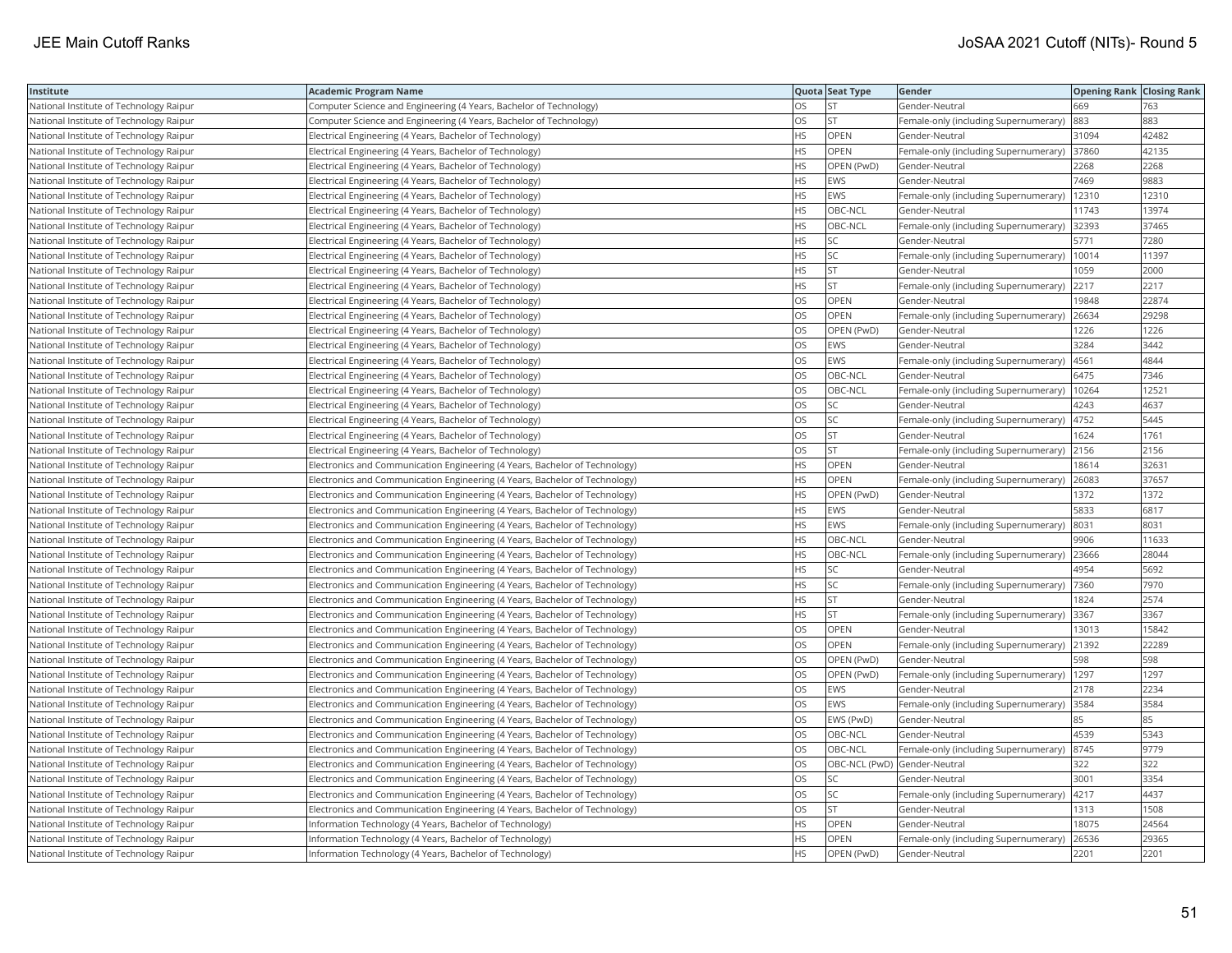| Institute                               | <b>Academic Program Name</b>                                                |           | Quota Seat Type | Gender                                       | <b>Opening Rank   Closing Rank</b> |       |
|-----------------------------------------|-----------------------------------------------------------------------------|-----------|-----------------|----------------------------------------------|------------------------------------|-------|
| National Institute of Technology Raipur | Computer Science and Engineering (4 Years, Bachelor of Technology)          | OS        | <b>ST</b>       | Gender-Neutral                               | 669                                | 763   |
| National Institute of Technology Raipur | Computer Science and Engineering (4 Years, Bachelor of Technology)          | OS        | <b>ST</b>       | Female-only (including Supernumerary)        | 883                                | 883   |
| National Institute of Technology Raipur | Electrical Engineering (4 Years, Bachelor of Technology)                    | <b>HS</b> | OPEN            | Gender-Neutral                               | 31094                              | 42482 |
| National Institute of Technology Raipur | Electrical Engineering (4 Years, Bachelor of Technology)                    | HS        | <b>OPEN</b>     | Female-only (including Supernumerary) 37860  |                                    | 42135 |
| National Institute of Technology Raipur | Electrical Engineering (4 Years, Bachelor of Technology)                    | НS        | OPEN (PwD)      | Gender-Neutral                               | 2268                               | 2268  |
| National Institute of Technology Raipur | Electrical Engineering (4 Years, Bachelor of Technology)                    | ΗS        | <b>EWS</b>      | Gender-Neutral                               | 7469                               | 9883  |
| National Institute of Technology Raipur | Electrical Engineering (4 Years, Bachelor of Technology)                    | ΗS        | EWS             | Female-only (including Supernumerary)        | 12310                              | 12310 |
| National Institute of Technology Raipur | Electrical Engineering (4 Years, Bachelor of Technology)                    | HS        | OBC-NCL         | Gender-Neutral                               | 11743                              | 13974 |
| National Institute of Technology Raipur | Electrical Engineering (4 Years, Bachelor of Technology)                    | HS        | OBC-NCL         | Female-only (including Supernumerary)        | 32393                              | 37465 |
| National Institute of Technology Raipur | Electrical Engineering (4 Years, Bachelor of Technology)                    | HS        | <b>SC</b>       | Gender-Neutral                               | 5771                               | 7280  |
| National Institute of Technology Raipur | Electrical Engineering (4 Years, Bachelor of Technology)                    | <b>HS</b> | <b>SC</b>       | Female-only (including Supernumerary)        | 10014                              | 11397 |
| National Institute of Technology Raipur | Electrical Engineering (4 Years, Bachelor of Technology)                    | HS        | <b>ST</b>       | Gender-Neutral                               | 1059                               | 2000  |
| National Institute of Technology Raipur | Electrical Engineering (4 Years, Bachelor of Technology)                    | HS        | <b>ST</b>       | Female-only (including Supernumerary)        | 2217                               | 2217  |
| National Institute of Technology Raipur | Electrical Engineering (4 Years, Bachelor of Technology)                    | OS        | OPEN            | Gender-Neutral                               | 19848                              | 22874 |
| National Institute of Technology Raipur | Electrical Engineering (4 Years, Bachelor of Technology)                    | OS        | OPEN            | Female-only (including Supernumerary) 26634  |                                    | 29298 |
| National Institute of Technology Raipur | Electrical Engineering (4 Years, Bachelor of Technology)                    | OS        | OPEN (PwD)      | Gender-Neutral                               | 1226                               | 1226  |
| National Institute of Technology Raipur | Electrical Engineering (4 Years, Bachelor of Technology)                    | OS        | <b>EWS</b>      | Gender-Neutral                               | 3284                               | 3442  |
| National Institute of Technology Raipur | Electrical Engineering (4 Years, Bachelor of Technology)                    | OS        | <b>EWS</b>      | Female-only (including Supernumerary)        | 4561                               | 4844  |
| National Institute of Technology Raipur | Electrical Engineering (4 Years, Bachelor of Technology)                    | <b>OS</b> | OBC-NCL         | Gender-Neutral                               | 6475                               | 7346  |
| National Institute of Technology Raipur | Electrical Engineering (4 Years, Bachelor of Technology)                    | OS        | OBC-NCL         | Female-only (including Supernumerary)        | 10264                              | 12521 |
| National Institute of Technology Raipur | Electrical Engineering (4 Years, Bachelor of Technology)                    | OS        | <b>SC</b>       | Gender-Neutral                               | 4243                               | 4637  |
| National Institute of Technology Raipur | Electrical Engineering (4 Years, Bachelor of Technology)                    | OS        | SC              | Female-only (including Supernumerary)   4752 |                                    | 5445  |
| National Institute of Technology Raipur | Electrical Engineering (4 Years, Bachelor of Technology)                    | OS        | ST              | Gender-Neutral                               | 1624                               | 1761  |
| National Institute of Technology Raipur | Electrical Engineering (4 Years, Bachelor of Technology)                    | OS        | <b>ST</b>       | Female-only (including Supernumerary)        | 2156                               | 2156  |
| National Institute of Technology Raipur | Electronics and Communication Engineering (4 Years, Bachelor of Technology) | HS        | OPEN            | Gender-Neutral                               | 18614                              | 3263  |
| National Institute of Technology Raipur | Electronics and Communication Engineering (4 Years, Bachelor of Technology) | HS        | OPEN            | Female-only (including Supernumerary)        | 26083                              | 37657 |
| National Institute of Technology Raipur | Electronics and Communication Engineering (4 Years, Bachelor of Technology) | HS        | OPEN (PwD)      | Gender-Neutral                               | 1372                               | 1372  |
| National Institute of Technology Raipur | Electronics and Communication Engineering (4 Years, Bachelor of Technology) | <b>HS</b> | <b>EWS</b>      | Gender-Neutral                               | 5833                               | 6817  |
| National Institute of Technology Raipur | Electronics and Communication Engineering (4 Years, Bachelor of Technology) | HS        | <b>EWS</b>      | Female-only (including Supernumerary)        | 8031                               | 8031  |
| National Institute of Technology Raipur | Electronics and Communication Engineering (4 Years, Bachelor of Technology) | ΗS        | OBC-NCL         | Gender-Neutral                               | 9906                               | 11633 |
| National Institute of Technology Raipur | Electronics and Communication Engineering (4 Years, Bachelor of Technology) | <b>HS</b> | OBC-NCL         | Female-only (including Supernumerary) 23666  |                                    | 28044 |
| National Institute of Technology Raipur | Electronics and Communication Engineering (4 Years, Bachelor of Technology) | ΗS        | SC              | Gender-Neutral                               | 4954                               | 5692  |
| National Institute of Technology Raipur | Electronics and Communication Engineering (4 Years, Bachelor of Technology) | HS        | SC              | Female-only (including Supernumerary)        | 7360                               | 7970  |
| National Institute of Technology Raipur | Electronics and Communication Engineering (4 Years, Bachelor of Technology) | HS        | <b>ST</b>       | Gender-Neutral                               | 1824                               | 2574  |
| National Institute of Technology Raipur | Electronics and Communication Engineering (4 Years, Bachelor of Technology) | НS        | <b>ST</b>       | Female-only (including Supernumerary)        | 3367                               | 3367  |
| National Institute of Technology Raipur | Electronics and Communication Engineering (4 Years, Bachelor of Technology) | OS        | OPEN            | Gender-Neutral                               | 13013                              | 15842 |
| National Institute of Technology Raipur | Electronics and Communication Engineering (4 Years, Bachelor of Technology) | OS        | OPEN            | Female-only (including Supernumerary)        | 21392                              | 22289 |
| National Institute of Technology Raipur | Electronics and Communication Engineering (4 Years, Bachelor of Technology) | OS        | OPEN (PwD)      | Gender-Neutral                               | 598                                | 598   |
| National Institute of Technology Raipur | Electronics and Communication Engineering (4 Years, Bachelor of Technology) | OS        | OPEN (PwD)      | Female-only (including Supernumerary)   1297 |                                    | 1297  |
| National Institute of Technology Raipur | Electronics and Communication Engineering (4 Years, Bachelor of Technology) | OS.       | <b>EWS</b>      | Gender-Neutral                               | 2178                               | 2234  |
| National Institute of Technology Raipur | Electronics and Communication Engineering (4 Years, Bachelor of Technology) | OS        | EWS             | Female-only (including Supernumerary)        | 3584                               | 3584  |
| National Institute of Technology Raipur | Electronics and Communication Engineering (4 Years, Bachelor of Technology) | OS        | EWS (PwD)       | Gender-Neutral                               | 85                                 | 85    |
| National Institute of Technology Raipur | Electronics and Communication Engineering (4 Years, Bachelor of Technology) | OS        | OBC-NCL         | Gender-Neutral                               | 4539                               | 5343  |
| National Institute of Technology Raipur | Electronics and Communication Engineering (4 Years, Bachelor of Technology) | OS        | OBC-NCL         | Female-only (including Supernumerary)  8745  |                                    | 9779  |
| National Institute of Technology Raipur | Electronics and Communication Engineering (4 Years, Bachelor of Technology) | OS        |                 | OBC-NCL (PwD) Gender-Neutral                 | 322                                | 322   |
| National Institute of Technology Raipur | Electronics and Communication Engineering (4 Years, Bachelor of Technology) | OS        | SC              | Gender-Neutral                               | 3001                               | 3354  |
| National Institute of Technology Raipur | Electronics and Communication Engineering (4 Years, Bachelor of Technology) | OS        | <b>SC</b>       | Female-only (including Supernumerary)   4217 |                                    | 4437  |
| National Institute of Technology Raipur | Electronics and Communication Engineering (4 Years, Bachelor of Technology) | OS        | <b>ST</b>       | Gender-Neutral                               | 1313                               | 1508  |
| National Institute of Technology Raipur | Information Technology (4 Years, Bachelor of Technology)                    | HS        | OPEN            | Gender-Neutral                               | 18075                              | 24564 |
| National Institute of Technology Raipur | Information Technology (4 Years, Bachelor of Technology)                    | <b>HS</b> | OPEN            | Female-only (including Supernumerary)        | 26536                              | 29365 |
| National Institute of Technology Raipur | Information Technology (4 Years, Bachelor of Technology)                    | <b>HS</b> | OPEN (PwD)      | Gender-Neutral                               | 2201                               | 2201  |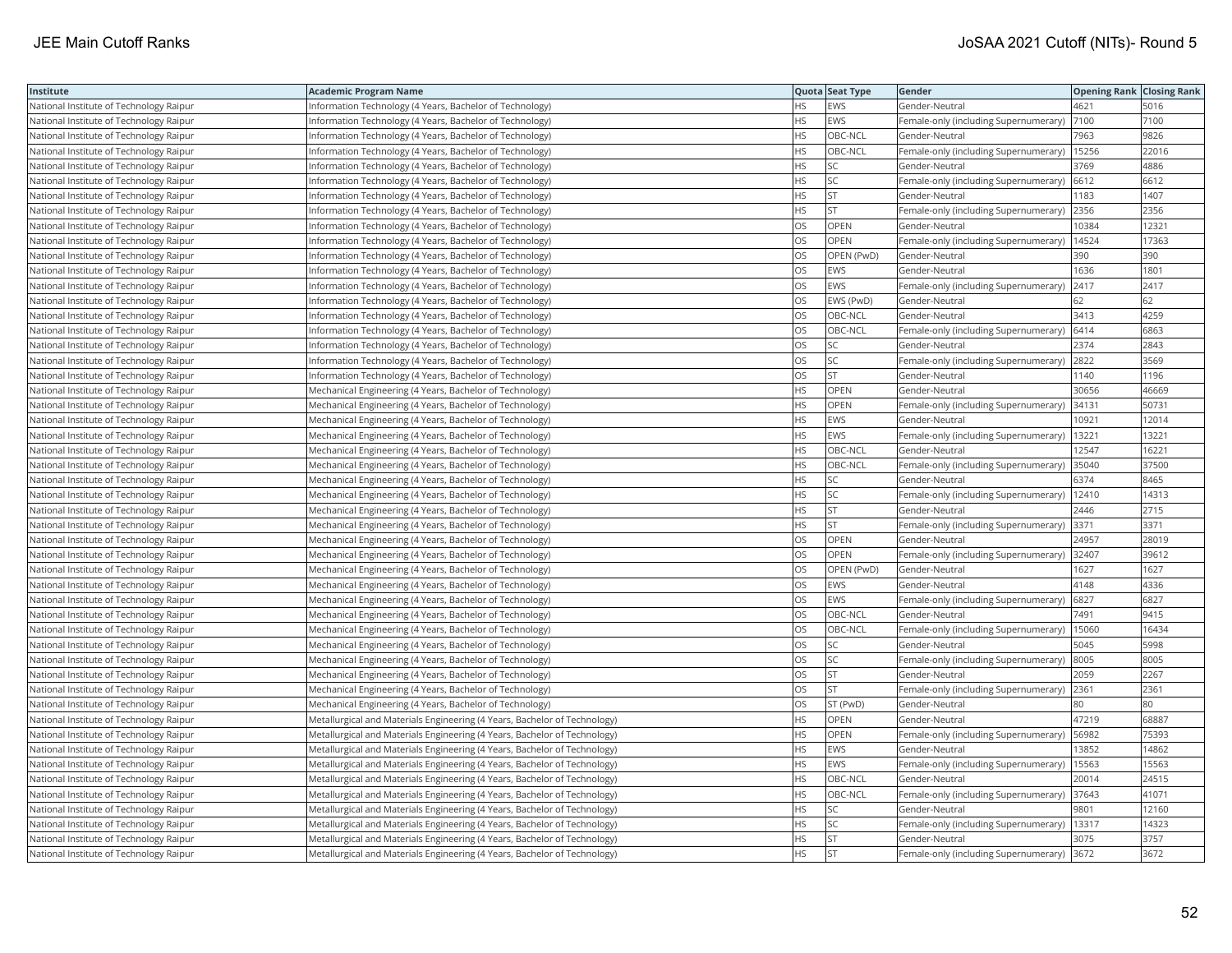| Institute                               | Academic Program Name                                                     |           | Quota Seat Type | Gender                                      | <b>Opening Rank Closing Rank</b> |       |
|-----------------------------------------|---------------------------------------------------------------------------|-----------|-----------------|---------------------------------------------|----------------------------------|-------|
| National Institute of Technology Raipur | Information Technology (4 Years, Bachelor of Technology)                  | НS        | EWS             | Gender-Neutral                              | 4621                             | 5016  |
| National Institute of Technology Raipur | Information Technology (4 Years, Bachelor of Technology)                  | <b>HS</b> | EWS             | Female-only (including Supernumerary)       | 7100                             | 7100  |
| National Institute of Technology Raipur | Information Technology (4 Years, Bachelor of Technology)                  | HS        | OBC-NCL         | Gender-Neutral                              | 7963                             | 9826  |
| National Institute of Technology Raipur | Information Technology (4 Years, Bachelor of Technology)                  | HS        | OBC-NCL         | Female-only (including Supernumerary)       | 15256                            | 22016 |
| National Institute of Technology Raipur | Information Technology (4 Years, Bachelor of Technology)                  | HS        | <b>SC</b>       | Gender-Neutral                              | 3769                             | 4886  |
| National Institute of Technology Raipur | Information Technology (4 Years, Bachelor of Technology)                  | HS.       | SC.             | Female-only (including Supernumerary) 6612  |                                  | 6612  |
| National Institute of Technology Raipur | Information Technology (4 Years, Bachelor of Technology)                  | ΗS        | <b>ST</b>       | Gender-Neutral                              | 1183                             | 1407  |
| National Institute of Technology Raipur | Information Technology (4 Years, Bachelor of Technology)                  | НS        | <b>ST</b>       | Female-only (including Supernumerary)       | 2356                             | 2356  |
| National Institute of Technology Raipur | Information Technology (4 Years, Bachelor of Technology)                  | OS        | OPEN            | Gender-Neutral                              | 0384                             | 12321 |
| National Institute of Technology Raipur | Information Technology (4 Years, Bachelor of Technology)                  | OS        | OPEN            | Female-only (including Supernumerary)       | 14524                            | 17363 |
| National Institute of Technology Raipur | Information Technology (4 Years, Bachelor of Technology)                  | <b>OS</b> | OPEN (PwD)      | Gender-Neutral                              | 390                              | 390   |
| National Institute of Technology Raipur | Information Technology (4 Years, Bachelor of Technology)                  | OS        | EWS             | Gender-Neutral                              | 1636                             | 1801  |
| National Institute of Technology Raipur | Information Technology (4 Years, Bachelor of Technology)                  | OS        | EWS             | Female-only (including Supernumerary)       | 2417                             | 2417  |
| National Institute of Technology Raipur | Information Technology (4 Years, Bachelor of Technology)                  | OS        | EWS (PwD)       | Gender-Neutral                              | 62                               | 62    |
| National Institute of Technology Raipur | Information Technology (4 Years, Bachelor of Technology)                  | OS.       | OBC-NCL         | Gender-Neutral                              | 3413                             | 4259  |
| National Institute of Technology Raipur | Information Technology (4 Years, Bachelor of Technology)                  | OS.       | OBC-NCL         | Female-only (including Supernumerary)       | 6414                             | 6863  |
| National Institute of Technology Raipur | Information Technology (4 Years, Bachelor of Technology)                  | OS        | SC              | Gender-Neutral                              | 2374                             | 2843  |
| National Institute of Technology Raipur | Information Technology (4 Years, Bachelor of Technology)                  | OS        | SC              | Female-only (including Supernumerary)       | 2822                             | 3569  |
| National Institute of Technology Raipur | Information Technology (4 Years, Bachelor of Technology)                  | OS.       | <b>ST</b>       | Gender-Neutral                              | 1140                             | 1196  |
| National Institute of Technology Raipur | Mechanical Engineering (4 Years, Bachelor of Technology)                  | HS        | <b>OPEN</b>     | Gender-Neutral                              | 30656                            | 46669 |
| National Institute of Technology Raipur | Mechanical Engineering (4 Years, Bachelor of Technology)                  | HS        | <b>OPEN</b>     | Female-only (including Supernumerary)       | 34131                            | 50731 |
| National Institute of Technology Raipur | Mechanical Engineering (4 Years, Bachelor of Technology)                  | ΗS        | EWS             | Gender-Neutral                              | 10921                            | 12014 |
| National Institute of Technology Raipur | Mechanical Engineering (4 Years, Bachelor of Technology)                  | HS        | EWS             | Female-only (including Supernumerary)       | 13221                            | 13221 |
| National Institute of Technology Raipur | Mechanical Engineering (4 Years, Bachelor of Technology)                  | HS.       | OBC-NCL         | Gender-Neutral                              | 12547                            | 16221 |
| National Institute of Technology Raipur | Mechanical Engineering (4 Years, Bachelor of Technology)                  | HS        | OBC-NCL         | Female-only (including Supernumerary)       | 35040                            | 37500 |
| National Institute of Technology Raipur | Mechanical Engineering (4 Years, Bachelor of Technology)                  | HS.       | <b>SC</b>       | Gender-Neutral                              | 6374                             | 8465  |
| National Institute of Technology Raipur | Mechanical Engineering (4 Years, Bachelor of Technology)                  | HS        | SC              | Female-only (including Supernumerary)       | 12410                            | 14313 |
| National Institute of Technology Raipur | Mechanical Engineering (4 Years, Bachelor of Technology)                  | HS.       | <b>ST</b>       | Gender-Neutral                              | 2446                             | 2715  |
| National Institute of Technology Raipur | Mechanical Engineering (4 Years, Bachelor of Technology)                  | HS        | <b>ST</b>       | Female-only (including Supernumerary)  3371 |                                  | 3371  |
| National Institute of Technology Raipur | Mechanical Engineering (4 Years, Bachelor of Technology)                  | OS        | OPEN            | Gender-Neutral                              | 24957                            | 28019 |
| National Institute of Technology Raipur | Mechanical Engineering (4 Years, Bachelor of Technology)                  | OS.       | OPEN            | Female-only (including Supernumerary) 32407 |                                  | 39612 |
| National Institute of Technology Raipur | Mechanical Engineering (4 Years, Bachelor of Technology)                  | OS        | OPEN (PwD)      | Gender-Neutral                              | 1627                             | 1627  |
| National Institute of Technology Raipur | Mechanical Engineering (4 Years, Bachelor of Technology)                  | OS        | EWS             | Gender-Neutral                              | 4148                             | 4336  |
| National Institute of Technology Raipur | Mechanical Engineering (4 Years, Bachelor of Technology)                  | OS        | EWS             | Female-only (including Supernumerary)       | 6827                             | 6827  |
| National Institute of Technology Raipur | Mechanical Engineering (4 Years, Bachelor of Technology)                  | OS        | OBC-NCL         | Gender-Neutral                              | 7491                             | 9415  |
| National Institute of Technology Raipur | Mechanical Engineering (4 Years, Bachelor of Technology)                  | OS        | OBC-NCL         | Female-only (including Supernumerary)       | 15060                            | 16434 |
| National Institute of Technology Raipur | Mechanical Engineering (4 Years, Bachelor of Technology)                  | OS        | <b>SC</b>       | Gender-Neutral                              | 5045                             | 5998  |
| National Institute of Technology Raipur | Mechanical Engineering (4 Years, Bachelor of Technology)                  | OS        | <b>SC</b>       | Female-only (including Supernumerary) 8005  |                                  | 8005  |
| National Institute of Technology Raipur | Mechanical Engineering (4 Years, Bachelor of Technology)                  | OS        | ST              | Gender-Neutral                              | 2059                             | 2267  |
| National Institute of Technology Raipur | Mechanical Engineering (4 Years, Bachelor of Technology)                  | OS.       | <b>ST</b>       | Female-only (including Supernumerary)       | 2361                             | 2361  |
| National Institute of Technology Raipur | Mechanical Engineering (4 Years, Bachelor of Technology)                  | OS        | ST (PwD)        | Gender-Neutral                              | 80                               | 80    |
| National Institute of Technology Raipur | Metallurgical and Materials Engineering (4 Years, Bachelor of Technology) | HS        | OPEN            | Gender-Neutral                              | 47219                            | 68887 |
| National Institute of Technology Raipur | Metallurgical and Materials Engineering (4 Years, Bachelor of Technology) | HS        | <b>OPEN</b>     | Female-only (including Supernumerary)       | 56982                            | 75393 |
| National Institute of Technology Raipur | Metallurgical and Materials Engineering (4 Years, Bachelor of Technology) | HS        | EWS             | Gender-Neutral                              | 13852                            | 14862 |
| National Institute of Technology Raipur | Metallurgical and Materials Engineering (4 Years, Bachelor of Technology) | HS        | EWS             | Female-only (including Supernumerary)       | 15563                            | 15563 |
| National Institute of Technology Raipur | Metallurgical and Materials Engineering (4 Years, Bachelor of Technology) | HS        | OBC-NCL         | Gender-Neutral                              | 20014                            | 24515 |
| National Institute of Technology Raipur | Metallurgical and Materials Engineering (4 Years, Bachelor of Technology) | HS.       | OBC-NCL         | Female-only (including Supernumerary) 37643 |                                  | 41071 |
| National Institute of Technology Raipur | Metallurgical and Materials Engineering (4 Years, Bachelor of Technology) | HS        | <b>SC</b>       | Gender-Neutral                              | 9801                             | 12160 |
| National Institute of Technology Raipur | Metallurgical and Materials Engineering (4 Years, Bachelor of Technology) | HS        | SC              | Female-only (including Supernumerary)       | 13317                            | 14323 |
| National Institute of Technology Raipur | Metallurgical and Materials Engineering (4 Years, Bachelor of Technology) | HS.       | <b>ST</b>       | Gender-Neutral                              | 3075                             | 3757  |
| National Institute of Technology Raipur | Metallurgical and Materials Engineering (4 Years, Bachelor of Technology) | <b>HS</b> | İst             | Female-only (including Supernumerary) 3672  |                                  | 3672  |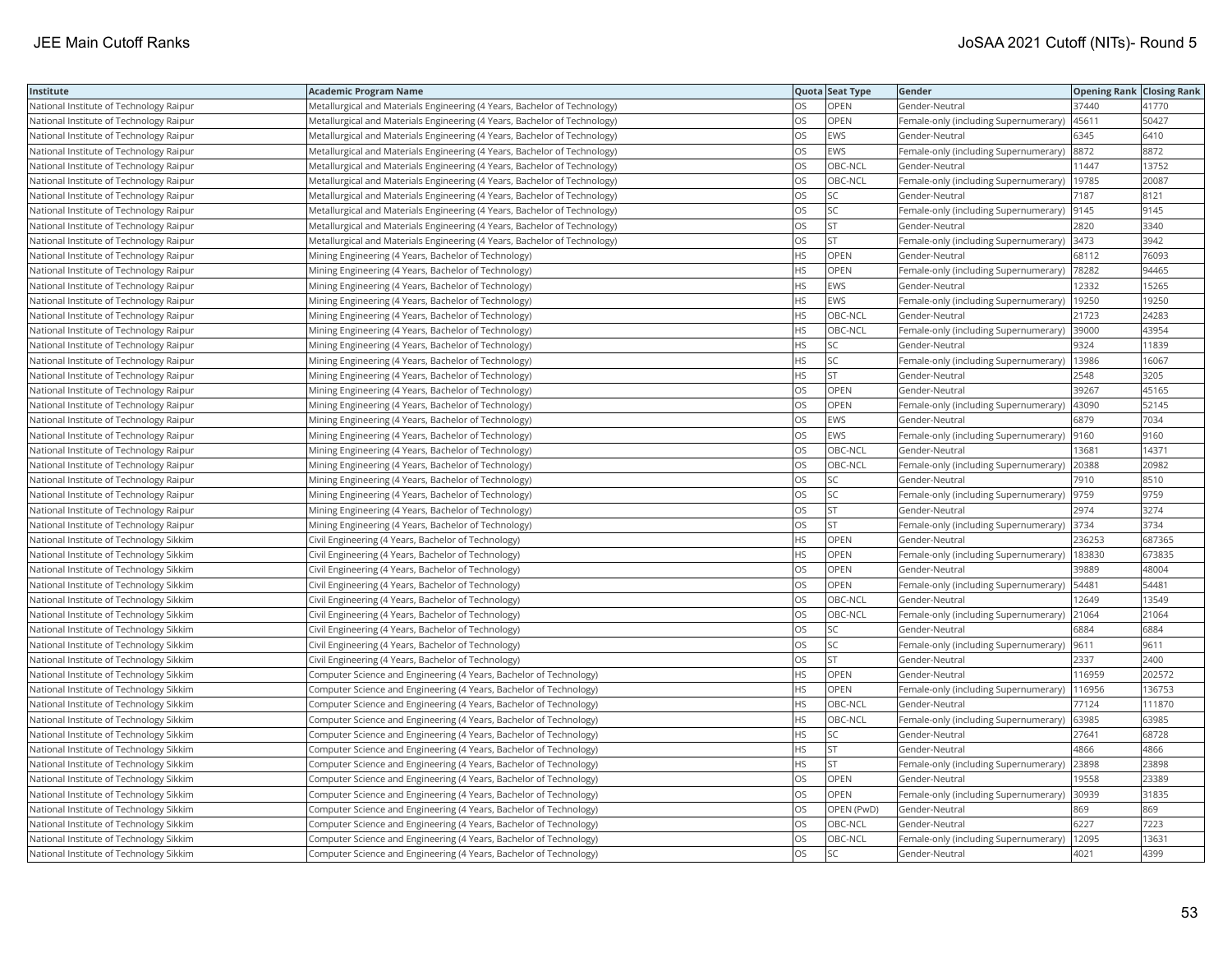| Institute                               | Academic Program Name                                                     |           | Quota Seat Type | Gender                                        | <b>Opening Rank   Closing Rank</b> |        |
|-----------------------------------------|---------------------------------------------------------------------------|-----------|-----------------|-----------------------------------------------|------------------------------------|--------|
| National Institute of Technology Raipur | Metallurgical and Materials Engineering (4 Years, Bachelor of Technology) | OS        | OPEN            | Gender-Neutral                                | 37440                              | 41770  |
| National Institute of Technology Raipur | Metallurgical and Materials Engineering (4 Years, Bachelor of Technology) | OS        | <b>OPEN</b>     | Female-only (including Supernumerary)         | 45611                              | 50427  |
| National Institute of Technology Raipur | Metallurgical and Materials Engineering (4 Years, Bachelor of Technology) | OS        | EWS             | Gender-Neutral                                | 6345                               | 6410   |
| National Institute of Technology Raipur | Metallurgical and Materials Engineering (4 Years, Bachelor of Technology) | OS        | EWS             | Female-only (including Supernumerary)  8872   |                                    | 8872   |
| National Institute of Technology Raipur | Metallurgical and Materials Engineering (4 Years, Bachelor of Technology) | OS        | OBC-NCL         | Gender-Neutral                                | 11447                              | 13752  |
| National Institute of Technology Raipur | Metallurgical and Materials Engineering (4 Years, Bachelor of Technology) | OS        | OBC-NCL         | Female-only (including Supernumerary)   19785 |                                    | 20087  |
| National Institute of Technology Raipur | Metallurgical and Materials Engineering (4 Years, Bachelor of Technology) | OS.       | SC              | Gender-Neutral                                | 7187                               | 8121   |
| National Institute of Technology Raipur | Metallurgical and Materials Engineering (4 Years, Bachelor of Technology) | OS        | SC              | Female-only (including Supernumerary)         | 9145                               | 9145   |
| National Institute of Technology Raipur | Metallurgical and Materials Engineering (4 Years, Bachelor of Technology) | OS        | ST              | Gender-Neutral                                | 2820                               | 3340   |
| National Institute of Technology Raipur | Metallurgical and Materials Engineering (4 Years, Bachelor of Technology) | OS.       | <b>ST</b>       | Female-only (including Supernumerary) 3473    |                                    | 3942   |
| National Institute of Technology Raipur | Mining Engineering (4 Years, Bachelor of Technology)                      | HS.       | OPEN            | Gender-Neutral                                | 68112                              | 76093  |
| National Institute of Technology Raipur | Mining Engineering (4 Years, Bachelor of Technology)                      | <b>HS</b> | <b>OPEN</b>     | Female-only (including Supernumerary)         | 78282                              | 94465  |
| National Institute of Technology Raipur | Mining Engineering (4 Years, Bachelor of Technology)                      | HS.       | EWS             | Gender-Neutral                                | 12332                              | 15265  |
| National Institute of Technology Raipur | Mining Engineering (4 Years, Bachelor of Technology)                      | HS        | EWS             | Female-only (including Supernumerary)         | 19250                              | 19250  |
| National Institute of Technology Raipur | Mining Engineering (4 Years, Bachelor of Technology)                      | <b>HS</b> | OBC-NCL         | Gender-Neutral                                | 21723                              | 24283  |
| National Institute of Technology Raipur | Mining Engineering (4 Years, Bachelor of Technology)                      | HS        | OBC-NCL         | Female-only (including Supernumerary)         | 39000                              | 43954  |
| National Institute of Technology Raipur | Mining Engineering (4 Years, Bachelor of Technology)                      | HS.       | SC              | Gender-Neutral                                | 9324                               | 11839  |
| National Institute of Technology Raipur | Mining Engineering (4 Years, Bachelor of Technology)                      | HS.       | SC              | Female-only (including Supernumerary)         | 13986                              | 16067  |
| National Institute of Technology Raipur | Mining Engineering (4 Years, Bachelor of Technology)                      | HS.       | <b>ST</b>       | Gender-Neutral                                | 2548                               | 3205   |
| National Institute of Technology Raipur | Mining Engineering (4 Years, Bachelor of Technology)                      | OS.       | OPEN            | Gender-Neutral                                | 39267                              | 45165  |
| National Institute of Technology Raipur | Mining Engineering (4 Years, Bachelor of Technology)                      | OS        | OPEN            | Female-only (including Supernumerary)         | 43090                              | 52145  |
| National Institute of Technology Raipur | Mining Engineering (4 Years, Bachelor of Technology)                      | OS        | <b>EWS</b>      | Gender-Neutral                                | 6879                               | 7034   |
| National Institute of Technology Raipur | Mining Engineering (4 Years, Bachelor of Technology)                      | OS        | EWS             | Female-only (including Supernumerary)         | 9160                               | 9160   |
| National Institute of Technology Raipur | Mining Engineering (4 Years, Bachelor of Technology)                      | OS        | OBC-NCL         | Gender-Neutral                                | 13681                              | 14371  |
| National Institute of Technology Raipur | Mining Engineering (4 Years, Bachelor of Technology)                      | OS        | OBC-NCL         | Female-only (including Supernumerary)         | 20388                              | 20982  |
| National Institute of Technology Raipur | Mining Engineering (4 Years, Bachelor of Technology)                      | OS        | <b>SC</b>       | Gender-Neutral                                | 7910                               | 8510   |
| National Institute of Technology Raipur | Mining Engineering (4 Years, Bachelor of Technology)                      | <b>OS</b> | SC              | Female-only (including Supernumerary)         | 9759                               | 9759   |
| National Institute of Technology Raipur | Mining Engineering (4 Years, Bachelor of Technology)                      | OS        | <b>ST</b>       | Gender-Neutral                                | 2974                               | 3274   |
| National Institute of Technology Raipur | Mining Engineering (4 Years, Bachelor of Technology)                      | OS        | <b>ST</b>       | Female-only (including Supernumerary) 3734    |                                    | 3734   |
| National Institute of Technology Sikkim | Civil Engineering (4 Years, Bachelor of Technology)                       | HS        | OPEN            | Gender-Neutral                                | 236253                             | 687365 |
| National Institute of Technology Sikkim | Civil Engineering (4 Years, Bachelor of Technology)                       | <b>HS</b> | <b>OPEN</b>     | Female-only (including Supernumerary)         | 183830                             | 673835 |
| National Institute of Technology Sikkim | Civil Engineering (4 Years, Bachelor of Technology)                       | OS        | OPEN            | Gender-Neutral                                | 39889                              | 48004  |
| National Institute of Technology Sikkim | Civil Engineering (4 Years, Bachelor of Technology)                       | OS        | OPEN            | Female-only (including Supernumerary)         | 54481                              | 54481  |
| National Institute of Technology Sikkim | Civil Engineering (4 Years, Bachelor of Technology)                       | OS.       | OBC-NCL         | Gender-Neutral                                | 12649                              | 13549  |
| National Institute of Technology Sikkim | Civil Engineering (4 Years, Bachelor of Technology)                       | <b>OS</b> | OBC-NCL         | Female-only (including Supernumerary)         | 21064                              | 21064  |
| National Institute of Technology Sikkim | Civil Engineering (4 Years, Bachelor of Technology)                       | OS        | SC              | Gender-Neutral                                | 6884                               | 6884   |
| National Institute of Technology Sikkim | Civil Engineering (4 Years, Bachelor of Technology)                       | OS        | SC              | Female-only (including Supernumerary)  9611   |                                    | 9611   |
| National Institute of Technology Sikkim | Civil Engineering (4 Years, Bachelor of Technology)                       | OS        | <b>ST</b>       | Gender-Neutral                                | 2337                               | 2400   |
| National Institute of Technology Sikkim | Computer Science and Engineering (4 Years, Bachelor of Technology)        | HS.       | OPEN            | Gender-Neutral                                | 116959                             | 202572 |
| National Institute of Technology Sikkim | Computer Science and Engineering (4 Years, Bachelor of Technology)        | HS        | OPEN            | Female-only (including Supernumerary)         | 116956                             | 136753 |
| National Institute of Technology Sikkim | Computer Science and Engineering (4 Years, Bachelor of Technology)        | HS        | OBC-NCL         | Gender-Neutral                                | 77124                              | 111870 |
| National Institute of Technology Sikkim | Computer Science and Engineering (4 Years, Bachelor of Technology)        | HS        | OBC-NCL         | Female-only (including Supernumerary)         | 63985                              | 63985  |
| National Institute of Technology Sikkim | Computer Science and Engineering (4 Years, Bachelor of Technology)        | HS        | SC              | Gender-Neutral                                | 27641                              | 68728  |
| National Institute of Technology Sikkim | Computer Science and Engineering (4 Years, Bachelor of Technology)        | HS        | <b>ST</b>       | Gender-Neutral                                | 4866                               | 4866   |
| National Institute of Technology Sikkim | Computer Science and Engineering (4 Years, Bachelor of Technology)        | HS.       | <b>ST</b>       | Female-only (including Supernumerary) 23898   |                                    | 23898  |
| National Institute of Technology Sikkim | Computer Science and Engineering (4 Years, Bachelor of Technology)        | OS        | OPEN            | Gender-Neutral                                | 19558                              | 23389  |
| National Institute of Technology Sikkim | Computer Science and Engineering (4 Years, Bachelor of Technology)        | OS.       | <b>OPEN</b>     | Female-only (including Supernumerary) 30939   |                                    | 31835  |
| National Institute of Technology Sikkim | Computer Science and Engineering (4 Years, Bachelor of Technology)        | OS        | OPEN (PwD)      | Gender-Neutral                                | 869                                | 869    |
| National Institute of Technology Sikkim | Computer Science and Engineering (4 Years, Bachelor of Technology)        | OS        | OBC-NCL         | Gender-Neutral                                | 6227                               | 7223   |
| National Institute of Technology Sikkim | Computer Science and Engineering (4 Years, Bachelor of Technology)        | OS        | OBC-NCL         | Female-only (including Supernumerary)         | 12095                              | 13631  |
| National Institute of Technology Sikkim | Computer Science and Engineering (4 Years, Bachelor of Technology)        | <b>OS</b> | <b>SC</b>       | Gender-Neutral                                | 4021                               | 4399   |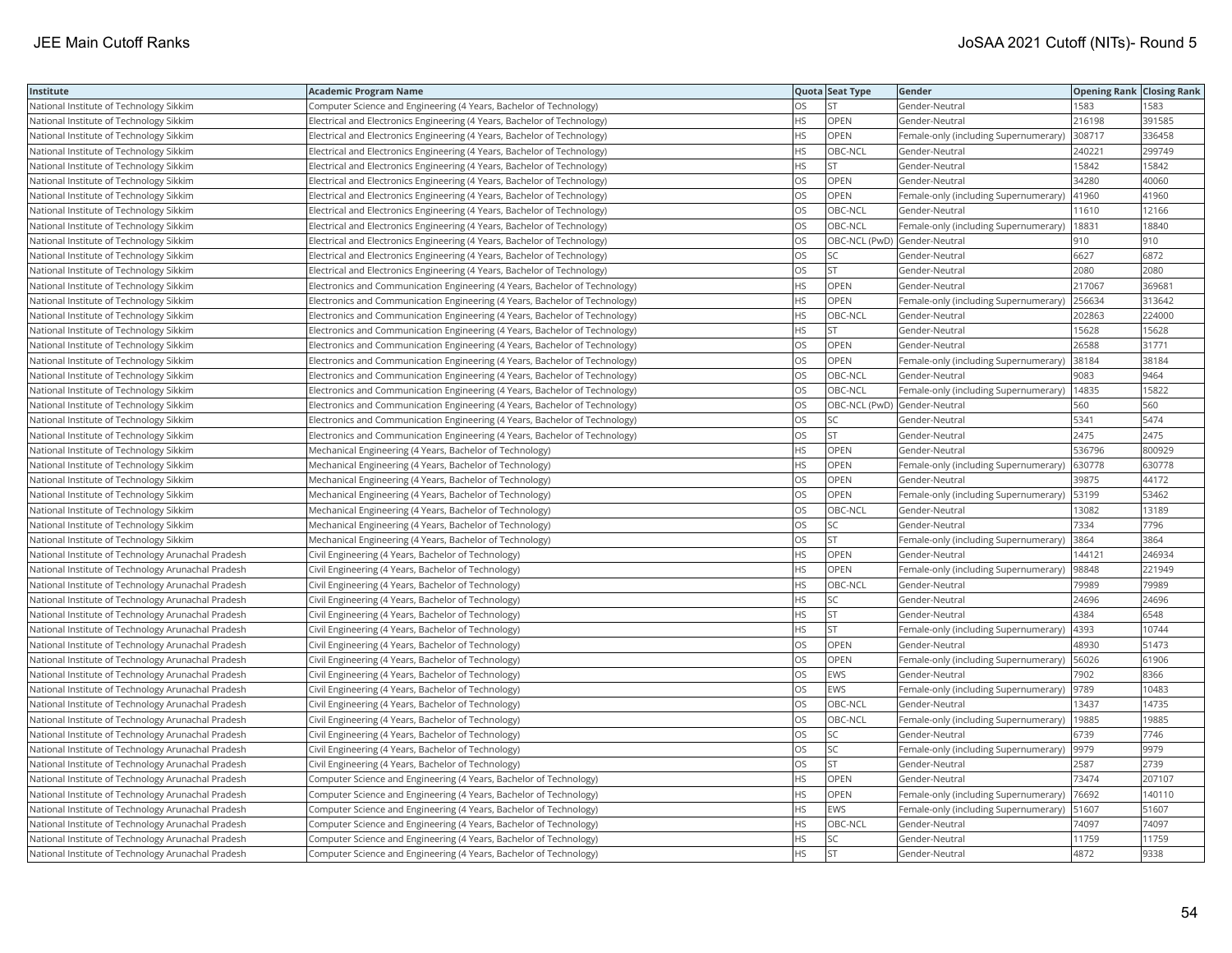| Institute                                          | Academic Program Name                                                       |           | Quota Seat Type              | Gender                                        | <b>Opening Rank Closing Rank</b> |        |
|----------------------------------------------------|-----------------------------------------------------------------------------|-----------|------------------------------|-----------------------------------------------|----------------------------------|--------|
| National Institute of Technology Sikkim            | Computer Science and Engineering (4 Years, Bachelor of Technology)          | OS.       | <b>ST</b>                    | Gender-Neutral                                | 1583                             | 1583   |
| National Institute of Technology Sikkim            | Electrical and Electronics Engineering (4 Years, Bachelor of Technology)    | HS.       | <b>OPEN</b>                  | Gender-Neutral                                | 216198                           | 391585 |
| National Institute of Technology Sikkim            | Electrical and Electronics Engineering (4 Years, Bachelor of Technology)    | HS.       | OPEN                         | Female-only (including Supernumerary)         | 308717                           | 336458 |
| National Institute of Technology Sikkim            | Electrical and Electronics Engineering (4 Years, Bachelor of Technology)    | HS.       | OBC-NCL                      | Gender-Neutral                                | 240221                           | 299749 |
| National Institute of Technology Sikkim            | Electrical and Electronics Engineering (4 Years, Bachelor of Technology)    | HS        | <b>ST</b>                    | Gender-Neutral                                | 15842                            | 15842  |
| National Institute of Technology Sikkim            | Electrical and Electronics Engineering (4 Years, Bachelor of Technology)    | <b>OS</b> | <b>OPEN</b>                  | Gender-Neutral                                | 34280                            | 40060  |
| National Institute of Technology Sikkim            | Electrical and Electronics Engineering (4 Years, Bachelor of Technology)    | OS        | OPEN                         | Female-only (including Supernumerary)         | 41960                            | 41960  |
| National Institute of Technology Sikkim            | Electrical and Electronics Engineering (4 Years, Bachelor of Technology)    | OS        | OBC-NCL                      | Gender-Neutral                                | 11610                            | 12166  |
| National Institute of Technology Sikkim            | Electrical and Electronics Engineering (4 Years, Bachelor of Technology)    | OS.       | OBC-NCL                      | Female-only (including Supernumerary)         | 18831                            | 18840  |
| National Institute of Technology Sikkim            | Electrical and Electronics Engineering (4 Years, Bachelor of Technology)    | OS        | OBC-NCL (PwD) Gender-Neutral |                                               | 910                              | 910    |
| National Institute of Technology Sikkim            | Electrical and Electronics Engineering (4 Years, Bachelor of Technology)    | <b>OS</b> | <b>SC</b>                    | Gender-Neutral                                | 6627                             | 6872   |
| National Institute of Technology Sikkim            | Electrical and Electronics Engineering (4 Years, Bachelor of Technology)    | OS        | <b>ST</b>                    | Gender-Neutral                                | 2080                             | 2080   |
| National Institute of Technology Sikkim            | Electronics and Communication Engineering (4 Years, Bachelor of Technology) | HS        | OPEN                         | Gender-Neutral                                | 217067                           | 369681 |
| National Institute of Technology Sikkim            | Electronics and Communication Engineering (4 Years, Bachelor of Technology) | HS        | <b>OPEN</b>                  | Female-only (including Supernumerary)         | 256634                           | 313642 |
| National Institute of Technology Sikkim            | Electronics and Communication Engineering (4 Years, Bachelor of Technology) | HS        | OBC-NCL                      | Gender-Neutral                                | 202863                           | 224000 |
| National Institute of Technology Sikkim            | Electronics and Communication Engineering (4 Years, Bachelor of Technology) | HS        | <b>ST</b>                    | Gender-Neutral                                | 15628                            | 15628  |
| National Institute of Technology Sikkim            | Electronics and Communication Engineering (4 Years, Bachelor of Technology) | OS        | OPEN                         | Gender-Neutral                                | 26588                            | 31771  |
| National Institute of Technology Sikkim            | Electronics and Communication Engineering (4 Years, Bachelor of Technology) | <b>OS</b> | OPEN                         | Female-only (including Supernumerary)         | 38184                            | 38184  |
| National Institute of Technology Sikkim            | Electronics and Communication Engineering (4 Years, Bachelor of Technology) | OS        | OBC-NCL                      | Gender-Neutral                                | 9083                             | 9464   |
| National Institute of Technology Sikkim            | Electronics and Communication Engineering (4 Years, Bachelor of Technology) | OS        | OBC-NCL                      | Female-only (including Supernumerary)         | 14835                            | 15822  |
| National Institute of Technology Sikkim            | Electronics and Communication Engineering (4 Years, Bachelor of Technology) | OS        | OBC-NCL (PwD) Gender-Neutral |                                               | 560                              | 560    |
| National Institute of Technology Sikkim            | Electronics and Communication Engineering (4 Years, Bachelor of Technology) | OS.       | <b>SC</b>                    | Gender-Neutral                                | 5341                             | 5474   |
| National Institute of Technology Sikkim            | Electronics and Communication Engineering (4 Years, Bachelor of Technology) | OS        | <b>ST</b>                    | Gender-Neutral                                | 2475                             | 2475   |
| National Institute of Technology Sikkim            | Mechanical Engineering (4 Years, Bachelor of Technology)                    | <b>HS</b> | OPEN                         | Gender-Neutral                                | 536796                           | 800929 |
| National Institute of Technology Sikkim            | Mechanical Engineering (4 Years, Bachelor of Technology)                    | HS        | OPEN                         | Female-only (including Supernumerary)         | 630778                           | 630778 |
| National Institute of Technology Sikkim            | Mechanical Engineering (4 Years, Bachelor of Technology)                    | OS        | OPEN                         | Gender-Neutral                                | 39875                            | 44172  |
| National Institute of Technology Sikkim            | Mechanical Engineering (4 Years, Bachelor of Technology)                    | OS.       | <b>OPEN</b>                  | Female-only (including Supernumerary)         | 53199                            | 53462  |
| National Institute of Technology Sikkim            | Mechanical Engineering (4 Years, Bachelor of Technology)                    | OS        | OBC-NCL                      | Gender-Neutral                                | 13082                            | 13189  |
| National Institute of Technology Sikkim            | Mechanical Engineering (4 Years, Bachelor of Technology)                    | OS        | SC                           | Gender-Neutral                                | 7334                             | 7796   |
| National Institute of Technology Sikkim            | Mechanical Engineering (4 Years, Bachelor of Technology)                    | OS.       | <b>ST</b>                    | Female-only (including Supernumerary)         | 3864                             | 3864   |
| National Institute of Technology Arunachal Pradesh | Civil Engineering (4 Years, Bachelor of Technology)                         | HS        | OPEN                         | Gender-Neutral                                | 144121                           | 246934 |
| National Institute of Technology Arunachal Pradesh | Civil Engineering (4 Years, Bachelor of Technology)                         | HS.       | OPEN                         | Female-only (including Supernumerary)         | 98848                            | 221949 |
| National Institute of Technology Arunachal Pradesh | Civil Engineering (4 Years, Bachelor of Technology)                         | HS        | OBC-NCL                      | Gender-Neutral                                | 79989                            | 79989  |
| National Institute of Technology Arunachal Pradesh | Civil Engineering (4 Years, Bachelor of Technology)                         | HS        | SC                           | Gender-Neutral                                | 24696                            | 24696  |
| National Institute of Technology Arunachal Pradesh | Civil Engineering (4 Years, Bachelor of Technology)                         | HS.       | <b>ST</b>                    | Gender-Neutral                                | 4384                             | 6548   |
| National Institute of Technology Arunachal Pradesh | Civil Engineering (4 Years, Bachelor of Technology)                         | HS        | <b>ST</b>                    | Female-only (including Supernumerary)         | 4393                             | 10744  |
| National Institute of Technology Arunachal Pradesh | Civil Engineering (4 Years, Bachelor of Technology)                         | OS        | OPEN                         | Gender-Neutral                                | 48930                            | 51473  |
| National Institute of Technology Arunachal Pradesh | Civil Engineering (4 Years, Bachelor of Technology)                         | OS        | OPEN                         | Female-only (including Supernumerary)   56026 |                                  | 61906  |
| National Institute of Technology Arunachal Pradesh | Civil Engineering (4 Years, Bachelor of Technology)                         | OS        | EWS                          | Gender-Neutral                                | 7902                             | 8366   |
| National Institute of Technology Arunachal Pradesh | Civil Engineering (4 Years, Bachelor of Technology)                         | OS        | EWS                          | Female-only (including Supernumerary)         | 9789                             | 10483  |
| National Institute of Technology Arunachal Pradesh | Civil Engineering (4 Years, Bachelor of Technology)                         | OS        | OBC-NCL                      | Gender-Neutral                                | 13437                            | 14735  |
| National Institute of Technology Arunachal Pradesh | Civil Engineering (4 Years, Bachelor of Technology)                         | OS.       | OBC-NCL                      | Female-only (including Supernumerary)         | 19885                            | 19885  |
| National Institute of Technology Arunachal Pradesh | Civil Engineering (4 Years, Bachelor of Technology)                         | <b>OS</b> | <b>SC</b>                    | Gender-Neutral                                | 6739                             | 7746   |
| National Institute of Technology Arunachal Pradesh | Civil Engineering (4 Years, Bachelor of Technology)                         | OS        | SC                           | Female-only (including Supernumerary)         | 9979                             | 9979   |
| National Institute of Technology Arunachal Pradesh | Civil Engineering (4 Years, Bachelor of Technology)                         | OS        | <b>ST</b>                    | Gender-Neutral                                | 2587                             | 2739   |
| National Institute of Technology Arunachal Pradesh | Computer Science and Engineering (4 Years, Bachelor of Technology)          | HS        | OPEN                         | Gender-Neutral                                | 73474                            | 207107 |
| National Institute of Technology Arunachal Pradesh | Computer Science and Engineering (4 Years, Bachelor of Technology)          | HS.       | <b>OPEN</b>                  | Female-only (including Supernumerary)         | 76692                            | 140110 |
| National Institute of Technology Arunachal Pradesh | Computer Science and Engineering (4 Years, Bachelor of Technology)          | HS        | EWS                          | Female-only (including Supernumerary)         | 51607                            | 51607  |
| National Institute of Technology Arunachal Pradesh | Computer Science and Engineering (4 Years, Bachelor of Technology)          | HS        | OBC-NCL                      | Gender-Neutral                                | 74097                            | 74097  |
| National Institute of Technology Arunachal Pradesh | Computer Science and Engineering (4 Years, Bachelor of Technology)          | HS.       | <b>SC</b>                    | Gender-Neutral                                | 11759                            | 11759  |
| National Institute of Technology Arunachal Pradesh | Computer Science and Engineering (4 Years, Bachelor of Technology)          | <b>HS</b> | <b>ST</b>                    | Gender-Neutral                                | 4872                             | 9338   |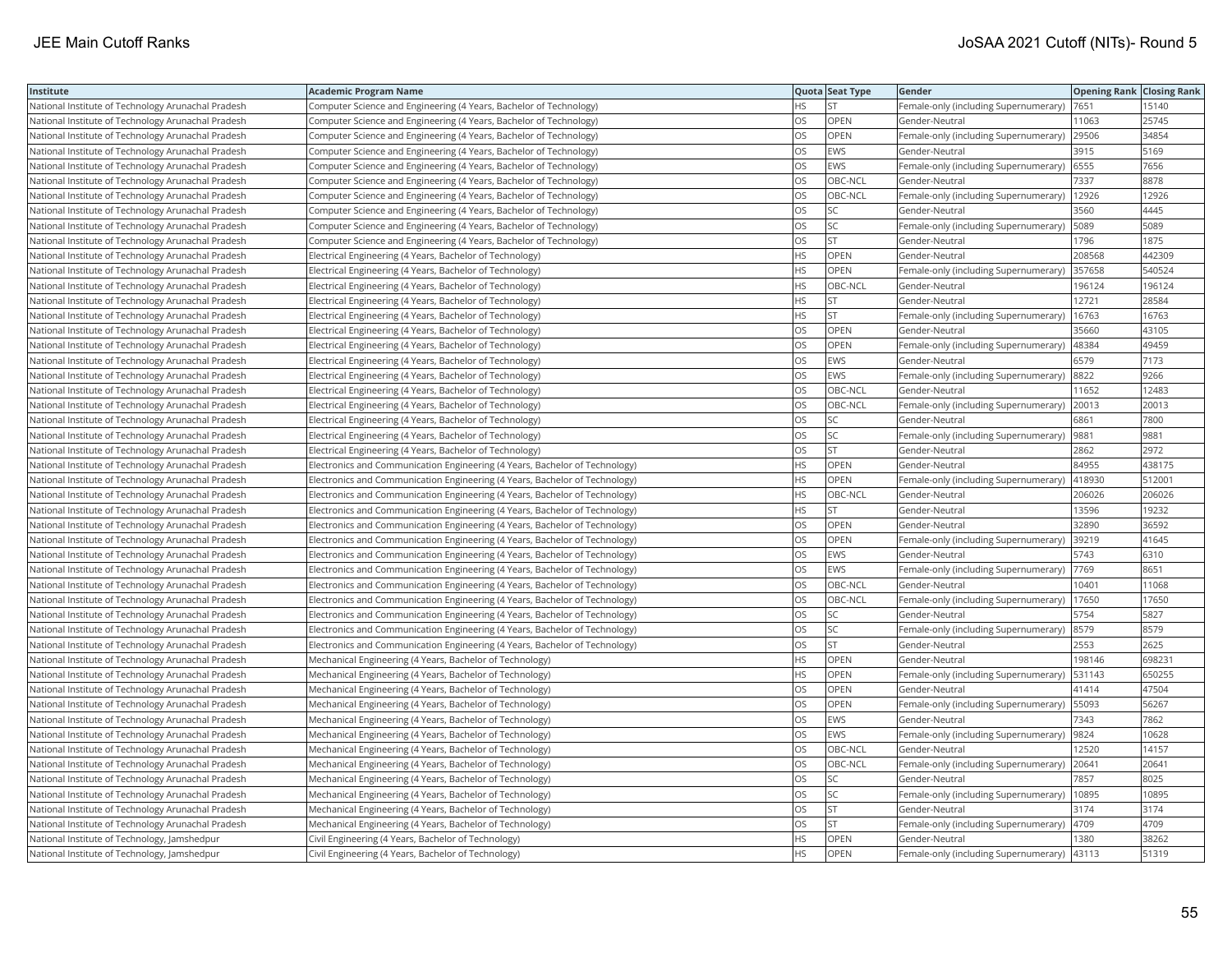| Institute                                          | <b>Academic Program Name</b>                                                |           | Quota Seat Type | Gender                                | <b>Opening Rank   Closing Rank</b> |        |
|----------------------------------------------------|-----------------------------------------------------------------------------|-----------|-----------------|---------------------------------------|------------------------------------|--------|
| National Institute of Technology Arunachal Pradesh | Computer Science and Engineering (4 Years, Bachelor of Technology)          | HS        | <b>ST</b>       | Female-only (including Supernumerary) | 7651                               | 15140  |
| National Institute of Technology Arunachal Pradesh | Computer Science and Engineering (4 Years, Bachelor of Technology)          | OS        | OPEN            | Gender-Neutral                        | 11063                              | 25745  |
| National Institute of Technology Arunachal Pradesh | Computer Science and Engineering (4 Years, Bachelor of Technology)          | OS        | OPEN            | Female-only (including Supernumerary) | 29506                              | 34854  |
| National Institute of Technology Arunachal Pradesh | Computer Science and Engineering (4 Years, Bachelor of Technology)          | OS        | EWS             | Gender-Neutral                        | 3915                               | 5169   |
| National Institute of Technology Arunachal Pradesh | Computer Science and Engineering (4 Years, Bachelor of Technology)          | OS        | <b>EWS</b>      | Female-only (including Supernumerary) | 6555                               | 7656   |
| National Institute of Technology Arunachal Pradesh | Computer Science and Engineering (4 Years, Bachelor of Technology)          | OS        | OBC-NCL         | Gender-Neutral                        | 7337                               | 8878   |
| National Institute of Technology Arunachal Pradesh | Computer Science and Engineering (4 Years, Bachelor of Technology)          | OS.       | OBC-NCL         | Female-only (including Supernumerary) | 12926                              | 12926  |
| National Institute of Technology Arunachal Pradesh | Computer Science and Engineering (4 Years, Bachelor of Technology)          | OS        | SC.             | Gender-Neutral                        | 3560                               | 4445   |
| National Institute of Technology Arunachal Pradesh | Computer Science and Engineering (4 Years, Bachelor of Technology)          | OS        | <b>SC</b>       | Female-only (including Supernumerary) | 5089                               | 5089   |
| National Institute of Technology Arunachal Pradesh | Computer Science and Engineering (4 Years, Bachelor of Technology)          | <b>OS</b> | lst.            | Gender-Neutral                        | 1796                               | 1875   |
| National Institute of Technology Arunachal Pradesh | Electrical Engineering (4 Years, Bachelor of Technology)                    | <b>HS</b> | OPEN            | Gender-Neutral                        | 208568                             | 442309 |
| National Institute of Technology Arunachal Pradesh | Electrical Engineering (4 Years, Bachelor of Technology)                    | <b>HS</b> | <b>OPEN</b>     | Female-only (including Supernumerary) | 357658                             | 540524 |
| National Institute of Technology Arunachal Pradesh | Electrical Engineering (4 Years, Bachelor of Technology)                    | <b>HS</b> | OBC-NCL         | Gender-Neutral                        | 196124                             | 196124 |
| National Institute of Technology Arunachal Pradesh | Electrical Engineering (4 Years, Bachelor of Technology)                    | <b>HS</b> | <b>ST</b>       | Gender-Neutral                        | 12721                              | 28584  |
| National Institute of Technology Arunachal Pradesh | Electrical Engineering (4 Years, Bachelor of Technology)                    | <b>HS</b> | İst             | Female-only (including Supernumerary) | 16763                              | 16763  |
| National Institute of Technology Arunachal Pradesh | Electrical Engineering (4 Years, Bachelor of Technology)                    | OS        | OPEN            | Gender-Neutral                        | 35660                              | 43105  |
| National Institute of Technology Arunachal Pradesh | Electrical Engineering (4 Years, Bachelor of Technology)                    | OS        | OPEN            | Female-only (including Supernumerary) | 48384                              | 49459  |
| National Institute of Technology Arunachal Pradesh | Electrical Engineering (4 Years, Bachelor of Technology)                    | OS        | <b>EWS</b>      | Gender-Neutral                        | 6579                               | 7173   |
| National Institute of Technology Arunachal Pradesh | Electrical Engineering (4 Years, Bachelor of Technology)                    | OS        | <b>EWS</b>      | Female-only (including Supernumerary) | 8822                               | 9266   |
| National Institute of Technology Arunachal Pradesh | Electrical Engineering (4 Years, Bachelor of Technology)                    | <b>OS</b> | OBC-NCL         | Gender-Neutral                        | 11652                              | 12483  |
| National Institute of Technology Arunachal Pradesh | Electrical Engineering (4 Years, Bachelor of Technology)                    | OS        | OBC-NCL         | Female-only (including Supernumerary) | 20013                              | 20013  |
| National Institute of Technology Arunachal Pradesh | Electrical Engineering (4 Years, Bachelor of Technology)                    | OS        | SC              | Gender-Neutral                        | 6861                               | 7800   |
| National Institute of Technology Arunachal Pradesh | Electrical Engineering (4 Years, Bachelor of Technology)                    | OS.       | lsc             | Female-only (including Supernumerary) | 9881                               | 9881   |
| National Institute of Technology Arunachal Pradesh | Electrical Engineering (4 Years, Bachelor of Technology)                    | OS        | <b>ST</b>       | Gender-Neutral                        | 2862                               | 2972   |
| National Institute of Technology Arunachal Pradesh | Electronics and Communication Engineering (4 Years, Bachelor of Technology) | <b>HS</b> | OPEN            | Gender-Neutral                        | 84955                              | 438175 |
| National Institute of Technology Arunachal Pradesh | Electronics and Communication Engineering (4 Years, Bachelor of Technology) | <b>HS</b> | <b>OPEN</b>     | Female-only (including Supernumerary) | 418930                             | 512001 |
| National Institute of Technology Arunachal Pradesh | Electronics and Communication Engineering (4 Years, Bachelor of Technology) | <b>HS</b> | OBC-NCL         | Gender-Neutral                        | 206026                             | 206026 |
| National Institute of Technology Arunachal Pradesh | Electronics and Communication Engineering (4 Years, Bachelor of Technology) | <b>HS</b> | lst.            | Gender-Neutral                        | 13596                              | 19232  |
| National Institute of Technology Arunachal Pradesh | Electronics and Communication Engineering (4 Years, Bachelor of Technology) | OS        | OPEN            | Gender-Neutral                        | 32890                              | 36592  |
| National Institute of Technology Arunachal Pradesh | Electronics and Communication Engineering (4 Years, Bachelor of Technology) | OS        | OPEN            | Female-only (including Supernumerary) | 39219                              | 41645  |
| National Institute of Technology Arunachal Pradesh | Electronics and Communication Engineering (4 Years, Bachelor of Technology) | <b>OS</b> | <b>EWS</b>      | Gender-Neutral                        | 5743                               | 6310   |
| National Institute of Technology Arunachal Pradesh | Electronics and Communication Engineering (4 Years, Bachelor of Technology) | OS        | EWS             | Female-only (including Supernumerary) | 7769                               | 8651   |
| National Institute of Technology Arunachal Pradesh | Electronics and Communication Engineering (4 Years, Bachelor of Technology) | OS        | OBC-NCL         | Gender-Neutral                        | 10401                              | 11068  |
| National Institute of Technology Arunachal Pradesh | Electronics and Communication Engineering (4 Years, Bachelor of Technology) | OS        | OBC-NCL         | Female-only (including Supernumerary) | 17650                              | 17650  |
| National Institute of Technology Arunachal Pradesh | Electronics and Communication Engineering (4 Years, Bachelor of Technology) | <b>OS</b> | lsc             | Gender-Neutral                        | 5754                               | 5827   |
| National Institute of Technology Arunachal Pradesh | Electronics and Communication Engineering (4 Years, Bachelor of Technology) | <b>OS</b> | <b>SC</b>       | Female-only (including Supernumerary) | 8579                               | 8579   |
| National Institute of Technology Arunachal Pradesh | Electronics and Communication Engineering (4 Years, Bachelor of Technology) | OS        | <b>ST</b>       | Gender-Neutral                        | 2553                               | 2625   |
| National Institute of Technology Arunachal Pradesh | Mechanical Engineering (4 Years, Bachelor of Technology)                    | <b>HS</b> | OPEN            | Gender-Neutral                        | 198146                             | 698231 |
| National Institute of Technology Arunachal Pradesh | Mechanical Engineering (4 Years, Bachelor of Technology)                    | HS.       | <b>OPEN</b>     | Female-only (including Supernumerary) | 531143                             | 650255 |
| National Institute of Technology Arunachal Pradesh | Mechanical Engineering (4 Years, Bachelor of Technology)                    | OS        | OPEN            | Gender-Neutral                        | 41414                              | 47504  |
| National Institute of Technology Arunachal Pradesh | Mechanical Engineering (4 Years, Bachelor of Technology)                    | OS        | OPEN            | Female-only (including Supernumerary) | 55093                              | 56267  |
| National Institute of Technology Arunachal Pradesh | Mechanical Engineering (4 Years, Bachelor of Technology)                    | OS        | <b>EWS</b>      | Gender-Neutral                        | 7343                               | 7862   |
| National Institute of Technology Arunachal Pradesh | Mechanical Engineering (4 Years, Bachelor of Technology)                    | <b>OS</b> | <b>EWS</b>      | Female-only (including Supernumerary) | 9824                               | 10628  |
| National Institute of Technology Arunachal Pradesh | Mechanical Engineering (4 Years, Bachelor of Technology)                    | <b>OS</b> | OBC-NCL         | Gender-Neutral                        | 12520                              | 14157  |
| National Institute of Technology Arunachal Pradesh | Mechanical Engineering (4 Years, Bachelor of Technology)                    | OS        | OBC-NCL         | Female-only (including Supernumerary) | 20641                              | 20641  |
| National Institute of Technology Arunachal Pradesh | Mechanical Engineering (4 Years, Bachelor of Technology)                    | OS        | SC              | Gender-Neutral                        | 7857                               | 8025   |
| National Institute of Technology Arunachal Pradesh | Mechanical Engineering (4 Years, Bachelor of Technology)                    | <b>OS</b> | lsc             | Female-only (including Supernumerary) | 10895                              | 10895  |
| National Institute of Technology Arunachal Pradesh | Mechanical Engineering (4 Years, Bachelor of Technology)                    | OS        | <b>ST</b>       | Gender-Neutral                        | 3174                               | 3174   |
| National Institute of Technology Arunachal Pradesh | Mechanical Engineering (4 Years, Bachelor of Technology)                    | OS        | <b>ST</b>       | Female-only (including Supernumerary) | 4709                               | 4709   |
| National Institute of Technology, Jamshedpur       | Civil Engineering (4 Years, Bachelor of Technology)                         | <b>HS</b> | OPEN            | Gender-Neutral                        | 1380                               | 38262  |
| National Institute of Technology, Jamshedpur       | Civil Engineering (4 Years, Bachelor of Technology)                         | <b>HS</b> | <b>OPEN</b>     | Female-only (including Supernumerary) | 43113                              | 51319  |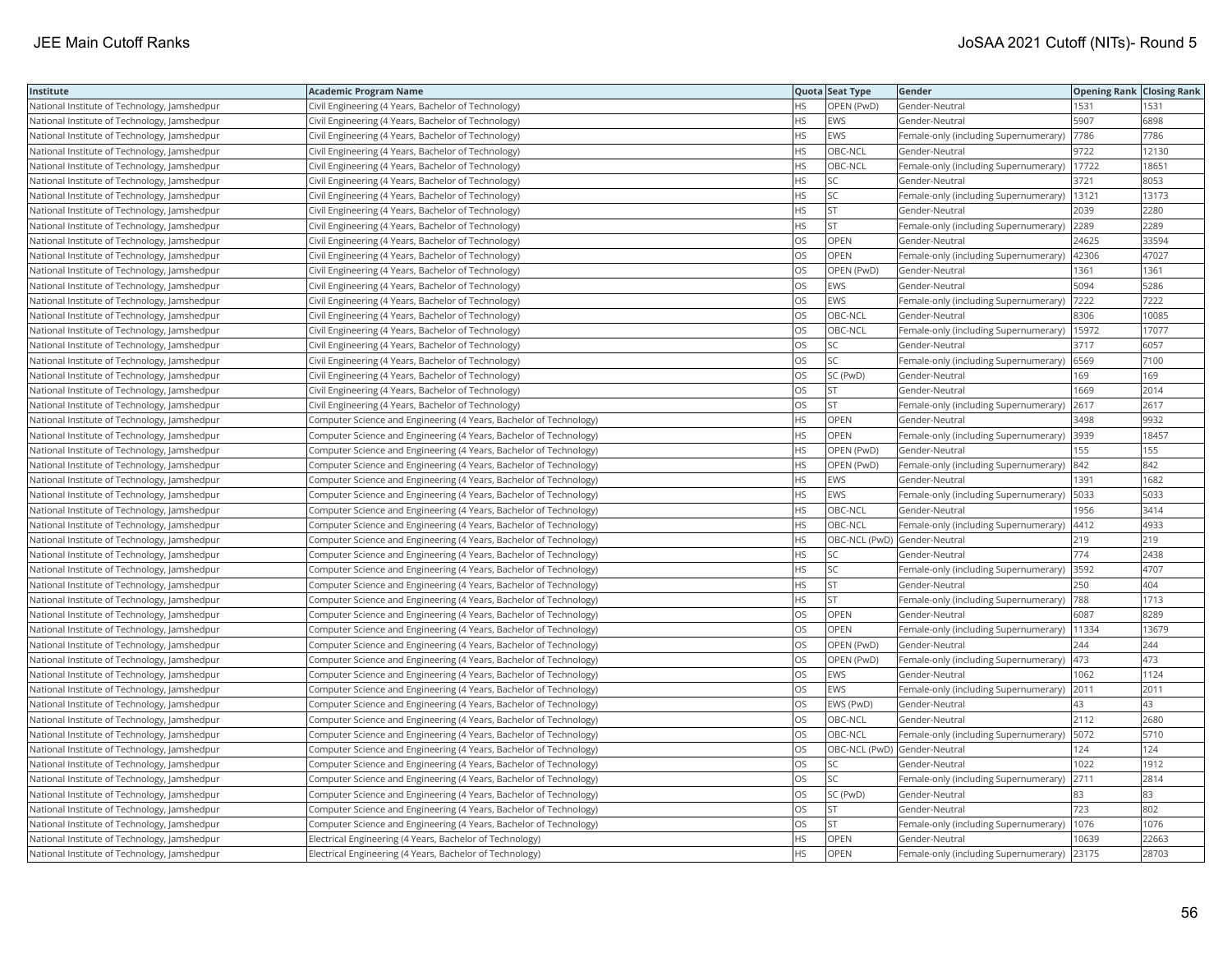| Institute                                    | <b>Academic Program Name</b>                                       |           | Quota Seat Type              | Gender                                        | <b>Opening Rank Closing Rank</b> |       |
|----------------------------------------------|--------------------------------------------------------------------|-----------|------------------------------|-----------------------------------------------|----------------------------------|-------|
| National Institute of Technology, Jamshedpur | Civil Engineering (4 Years, Bachelor of Technology)                | <b>HS</b> | OPEN (PwD)                   | Gender-Neutral                                | 1531                             | 1531  |
| National Institute of Technology, Jamshedpur | Civil Engineering (4 Years, Bachelor of Technology)                | <b>HS</b> | EWS                          | Gender-Neutral                                | 5907                             | 6898  |
| National Institute of Technology, Jamshedpur | Civil Engineering (4 Years, Bachelor of Technology)                | <b>HS</b> | <b>EWS</b>                   | Female-only (including Supernumerary)         | 7786                             | 7786  |
| National Institute of Technology, Jamshedpur | Civil Engineering (4 Years, Bachelor of Technology)                | <b>HS</b> | OBC-NCL                      | Gender-Neutral                                | 9722                             | 12130 |
| National Institute of Technology, Jamshedpur | Civil Engineering (4 Years, Bachelor of Technology)                | <b>HS</b> | OBC-NCL                      | Female-only (including Supernumerary)         | 17722                            | 18651 |
| National Institute of Technology, Jamshedpur | Civil Engineering (4 Years, Bachelor of Technology)                | <b>HS</b> | SC                           | Gender-Neutral                                | 3721                             | 8053  |
| National Institute of Technology, Jamshedpur | Civil Engineering (4 Years, Bachelor of Technology)                | <b>HS</b> | lsc                          | Female-only (including Supernumerary)         | 13121                            | 13173 |
| National Institute of Technology, Jamshedpur | Civil Engineering (4 Years, Bachelor of Technology)                | <b>HS</b> | <b>ST</b>                    | Gender-Neutral                                | 2039                             | 2280  |
| National Institute of Technology, Jamshedpur | Civil Engineering (4 Years, Bachelor of Technology)                | <b>HS</b> | ST                           | Female-only (including Supernumerary)         | 2289                             | 2289  |
| National Institute of Technology, Jamshedpur | Civil Engineering (4 Years, Bachelor of Technology)                | <b>OS</b> | OPEN                         | Gender-Neutral                                | 24625                            | 33594 |
| National Institute of Technology, Jamshedpur | Civil Engineering (4 Years, Bachelor of Technology)                | OS        | OPEN                         | Female-only (including Supernumerary)         | 42306                            | 47027 |
| National Institute of Technology, Jamshedpur | Civil Engineering (4 Years, Bachelor of Technology)                | OS        | OPEN (PwD)                   | Gender-Neutral                                | 1361                             | 1361  |
| National Institute of Technology, Jamshedpur | Civil Engineering (4 Years, Bachelor of Technology)                | OS        | <b>EWS</b>                   | Gender-Neutral                                | 5094                             | 5286  |
| National Institute of Technology, Jamshedpur | Civil Engineering (4 Years, Bachelor of Technology)                | OS        | EWS                          | Female-only (including Supernumerary)         | 7222                             | 7222  |
| National Institute of Technology, Jamshedpur | Civil Engineering (4 Years, Bachelor of Technology)                | <b>OS</b> | OBC-NCL                      | Gender-Neutral                                | 8306                             | 10085 |
| National Institute of Technology, Jamshedpur | Civil Engineering (4 Years, Bachelor of Technology)                | OS        | OBC-NCL                      | Female-only (including Supernumerary)         | 15972                            | 17077 |
| National Institute of Technology, Jamshedpur | Civil Engineering (4 Years, Bachelor of Technology)                | OS        | SC                           | Gender-Neutral                                | 3717                             | 6057  |
| National Institute of Technology, Jamshedpur | Civil Engineering (4 Years, Bachelor of Technology)                | OS        | SC.                          | Female-only (including Supernumerary)         | 6569                             | 7100  |
| National Institute of Technology, Jamshedpur | Civil Engineering (4 Years, Bachelor of Technology)                | OS        | SC (PwD)                     | Gender-Neutral                                | 169                              | 169   |
| National Institute of Technology, Jamshedpur | Civil Engineering (4 Years, Bachelor of Technology)                | OS        | lst.                         | Gender-Neutral                                | 1669                             | 2014  |
| National Institute of Technology, Jamshedpur | Civil Engineering (4 Years, Bachelor of Technology)                | OS        | <b>ST</b>                    | Female-only (including Supernumerary) 2617    |                                  | 2617  |
| National Institute of Technology, Jamshedpur | Computer Science and Engineering (4 Years, Bachelor of Technology) | <b>HS</b> | OPEN                         | Gender-Neutral                                | 3498                             | 9932  |
| National Institute of Technology, Jamshedpur | Computer Science and Engineering (4 Years, Bachelor of Technology) | <b>HS</b> | <b>OPEN</b>                  | Female-only (including Supernumerary)         | 3939                             | 18457 |
| National Institute of Technology, Jamshedpur | Computer Science and Engineering (4 Years, Bachelor of Technology) | <b>HS</b> | OPEN (PwD)                   | Gender-Neutral                                | 155                              | 155   |
| National Institute of Technology, Jamshedpur | Computer Science and Engineering (4 Years, Bachelor of Technology) | <b>HS</b> | OPEN (PwD)                   | Female-only (including Supernumerary)         | 842                              | 842   |
| National Institute of Technology, Jamshedpur | Computer Science and Engineering (4 Years, Bachelor of Technology) | <b>HS</b> | EWS                          | Gender-Neutral                                | 1391                             | 1682  |
| National Institute of Technology, Jamshedpur | Computer Science and Engineering (4 Years, Bachelor of Technology) | <b>HS</b> | EWS                          | Female-only (including Supernumerary)         | 5033                             | 5033  |
| National Institute of Technology, Jamshedpur | Computer Science and Engineering (4 Years, Bachelor of Technology) | <b>HS</b> | OBC-NCL                      | Gender-Neutral                                | 1956                             | 3414  |
| National Institute of Technology, Jamshedpur | Computer Science and Engineering (4 Years, Bachelor of Technology) | <b>HS</b> | OBC-NCL                      | Female-only (including Supernumerary)   4412  |                                  | 4933  |
| National Institute of Technology, Jamshedpur | Computer Science and Engineering (4 Years, Bachelor of Technology) | <b>HS</b> | OBC-NCL (PwD) Gender-Neutral |                                               | 219                              | 219   |
| National Institute of Technology, Jamshedpur | Computer Science and Engineering (4 Years, Bachelor of Technology) | <b>HS</b> | <b>SC</b>                    | Gender-Neutral                                | 774                              | 2438  |
| National Institute of Technology, Jamshedpur | Computer Science and Engineering (4 Years, Bachelor of Technology) | HS        | SC                           | Female-only (including Supernumerary)         | 3592                             | 4707  |
| National Institute of Technology, Jamshedpur | Computer Science and Engineering (4 Years, Bachelor of Technology) | <b>HS</b> | ST                           | Gender-Neutral                                | 250                              | 404   |
| National Institute of Technology, Jamshedpur | Computer Science and Engineering (4 Years, Bachelor of Technology) | <b>HS</b> | lst                          | Female-only (including Supernumerary)         | 788                              | 1713  |
| National Institute of Technology, Jamshedpur | Computer Science and Engineering (4 Years, Bachelor of Technology) | <b>OS</b> | OPEN                         | Gender-Neutral                                | 6087                             | 8289  |
| National Institute of Technology, Jamshedpur | Computer Science and Engineering (4 Years, Bachelor of Technology) | OS        | <b>OPEN</b>                  | Female-only (including Supernumerary)   11334 |                                  | 13679 |
| National Institute of Technology, Jamshedpur | Computer Science and Engineering (4 Years, Bachelor of Technology) | OS        | OPEN (PwD)                   | Gender-Neutral                                | 244                              | 244   |
| National Institute of Technology, Jamshedpur | Computer Science and Engineering (4 Years, Bachelor of Technology) | OS        | OPEN (PwD)                   | Female-only (including Supernumerary) 473     |                                  | 473   |
| National Institute of Technology, Jamshedpur | Computer Science and Engineering (4 Years, Bachelor of Technology) | <b>OS</b> | EWS                          | Gender-Neutral                                | 1062                             | 1124  |
| National Institute of Technology, Jamshedpur | Computer Science and Engineering (4 Years, Bachelor of Technology) | OS        | EWS                          | Female-only (including Supernumerary)         | 2011                             | 2011  |
| National Institute of Technology, Jamshedpur | Computer Science and Engineering (4 Years, Bachelor of Technology) | <b>OS</b> | EWS (PwD)                    | Gender-Neutral                                | 43                               | 43    |
| National Institute of Technology, Jamshedpur | Computer Science and Engineering (4 Years, Bachelor of Technology) | OS        | OBC-NCL                      | Gender-Neutral                                | 2112                             | 2680  |
| National Institute of Technology, Jamshedpur | Computer Science and Engineering (4 Years, Bachelor of Technology) | <b>OS</b> | OBC-NCL                      | Female-only (including Supernumerary)         | 5072                             | 5710  |
| National Institute of Technology, Jamshedpur | Computer Science and Engineering (4 Years, Bachelor of Technology) | OS        | OBC-NCL (PwD) Gender-Neutral |                                               | 124                              | 124   |
| National Institute of Technology, Jamshedpur | Computer Science and Engineering (4 Years, Bachelor of Technology) | OS        | SC.                          | Gender-Neutral                                | 1022                             | 1912  |
| National Institute of Technology, Jamshedpur | Computer Science and Engineering (4 Years, Bachelor of Technology) | OS        | SC                           | Female-only (including Supernumerary)         | 2711                             | 2814  |
| National Institute of Technology, Jamshedpur | Computer Science and Engineering (4 Years, Bachelor of Technology) | <b>OS</b> | SC (PwD)                     | Gender-Neutral                                | 83                               | 83    |
| National Institute of Technology, Jamshedpur | Computer Science and Engineering (4 Years, Bachelor of Technology) | OS        | <b>ST</b>                    | Gender-Neutral                                | 723                              | 802   |
| National Institute of Technology, Jamshedpur | Computer Science and Engineering (4 Years, Bachelor of Technology) | OS        | <b>ST</b>                    | Female-only (including Supernumerary)         | 1076                             | 1076  |
| National Institute of Technology, Jamshedpur | Electrical Engineering (4 Years, Bachelor of Technology)           | <b>HS</b> | OPEN                         | Gender-Neutral                                | 10639                            | 22663 |
| National Institute of Technology, Jamshedpur | Electrical Engineering (4 Years, Bachelor of Technology)           | <b>HS</b> | OPEN                         | Female-only (including Supernumerary)         | 23175                            | 28703 |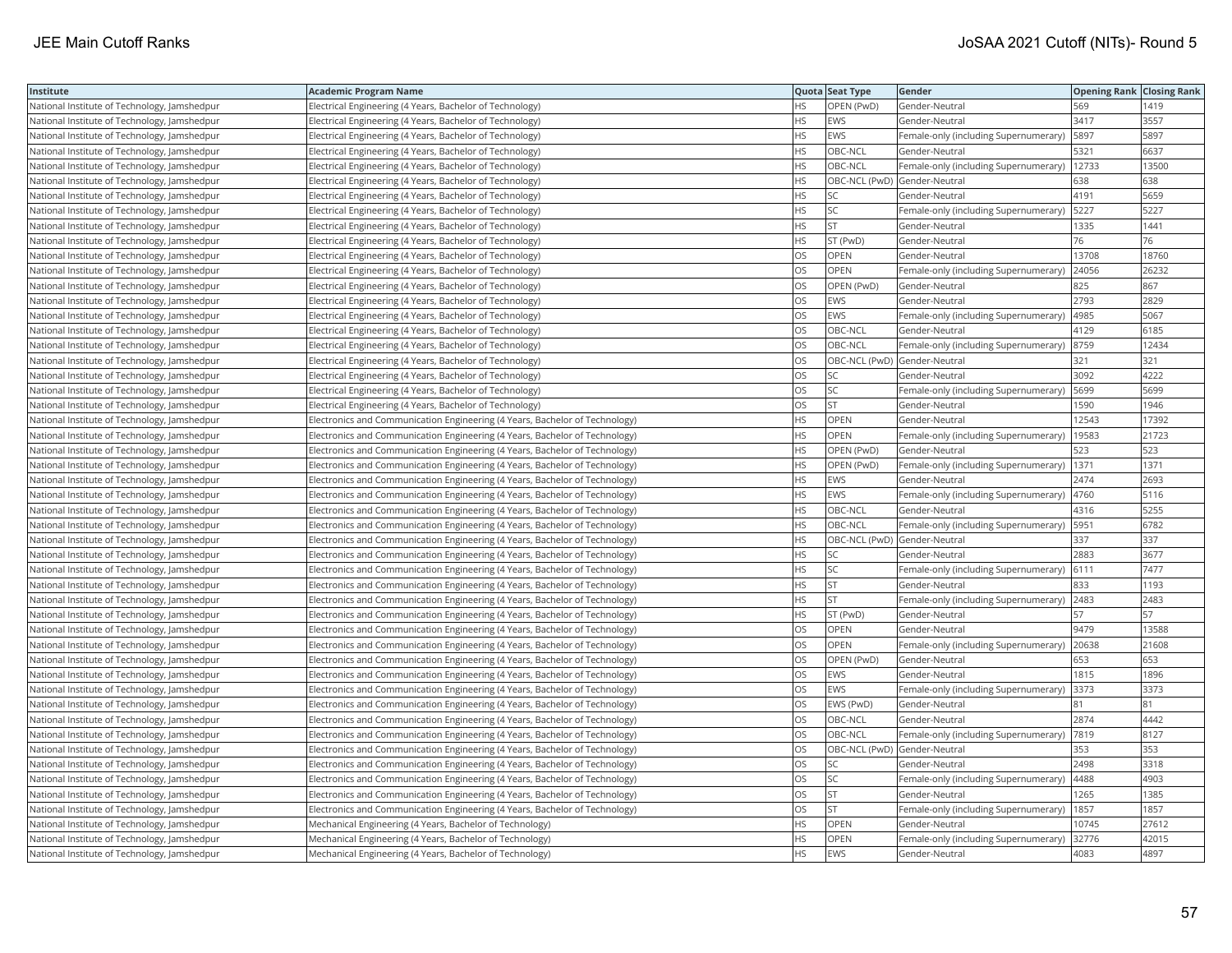| Institute                                    | Academic Program Name                                                        |           | Quota Seat Type              | Gender                                        | <b>Opening Rank Closing Rank</b> |       |
|----------------------------------------------|------------------------------------------------------------------------------|-----------|------------------------------|-----------------------------------------------|----------------------------------|-------|
| National Institute of Technology, Jamshedpur | Electrical Engineering (4 Years, Bachelor of Technology)                     | HS.       | OPEN (PwD)                   | Gender-Neutral                                | 569                              | 1419  |
| National Institute of Technology, Jamshedpur | Electrical Engineering (4 Years, Bachelor of Technology)                     | <b>HS</b> | <b>EWS</b>                   | Gender-Neutral                                | 3417                             | 3557  |
| National Institute of Technology, Jamshedpur | Electrical Engineering (4 Years, Bachelor of Technology)                     | <b>HS</b> | EWS                          | Female-only (including Supernumerary)         | 5897                             | 5897  |
| National Institute of Technology, Jamshedpur | Electrical Engineering (4 Years, Bachelor of Technology)                     | HS.       | OBC-NCL                      | Gender-Neutral                                | 5321                             | 6637  |
| National Institute of Technology, Jamshedpur | Electrical Engineering (4 Years, Bachelor of Technology)                     | <b>HS</b> | OBC-NCL                      | Female-only (including Supernumerary)   12733 |                                  | 13500 |
| National Institute of Technology, Jamshedpur | Electrical Engineering (4 Years, Bachelor of Technology)                     | HS        | OBC-NCL (PwD) Gender-Neutral |                                               | 638                              | 638   |
| National Institute of Technology, Jamshedpur | Electrical Engineering (4 Years, Bachelor of Technology)                     | HS        | <b>SC</b>                    | Gender-Neutral                                | 4191                             | 5659  |
| National Institute of Technology, Jamshedpur | Electrical Engineering (4 Years, Bachelor of Technology)                     | HS        | SC                           | Female-only (including Supernumerary)         | 5227                             | 5227  |
| National Institute of Technology, Jamshedpur | Electrical Engineering (4 Years, Bachelor of Technology)                     | HS        | <b>ST</b>                    | Gender-Neutral                                | 1335                             | 1441  |
| National Institute of Technology, Jamshedpur | Electrical Engineering (4 Years, Bachelor of Technology)                     | HS        | ST (PwD)                     | Gender-Neutral                                | 76                               | 76    |
| National Institute of Technology, Jamshedpur | Electrical Engineering (4 Years, Bachelor of Technology)                     | OS.       | <b>OPEN</b>                  | Gender-Neutral                                | 13708                            | 18760 |
| National Institute of Technology, Jamshedpur | Electrical Engineering (4 Years, Bachelor of Technology)                     | OS        | <b>OPEN</b>                  | Female-only (including Supernumerary)         | 24056                            | 26232 |
| National Institute of Technology, Jamshedpur | Electrical Engineering (4 Years, Bachelor of Technology)                     | OS        | OPEN (PwD)                   | Gender-Neutral                                | 825                              | 867   |
| National Institute of Technology, Jamshedpur | Electrical Engineering (4 Years, Bachelor of Technology)                     | OS        | EWS                          | Gender-Neutral                                | 2793                             | 2829  |
| National Institute of Technology, Jamshedpur | Electrical Engineering (4 Years, Bachelor of Technology)                     | OS        | EWS                          | Female-only (including Supernumerary)         | 4985                             | 5067  |
| National Institute of Technology, Jamshedpur | Electrical Engineering (4 Years, Bachelor of Technology)                     | OS        | OBC-NCL                      | Gender-Neutral                                | 4129                             | 6185  |
| National Institute of Technology, Jamshedpur | Electrical Engineering (4 Years, Bachelor of Technology)                     | OS        | OBC-NCL                      | Female-only (including Supernumerary)         | 8759                             | 12434 |
| National Institute of Technology, Jamshedpur | Electrical Engineering (4 Years, Bachelor of Technology)                     | OS        | OBC-NCL (PwD) Gender-Neutral |                                               | 321                              | 321   |
| National Institute of Technology, Jamshedpur | Electrical Engineering (4 Years, Bachelor of Technology)                     | OS        | SC                           | Gender-Neutral                                | 3092                             | 4222  |
| National Institute of Technology, Jamshedpur | Electrical Engineering (4 Years, Bachelor of Technology)                     | OS        | SC                           | Female-only (including Supernumerary)         | 5699                             | 5699  |
| National Institute of Technology, Jamshedpur | Electrical Engineering (4 Years, Bachelor of Technology)                     | OS        | <b>ST</b>                    | Gender-Neutral                                | 1590                             | 1946  |
| National Institute of Technology, Jamshedpur | Electronics and Communication Engineering (4 Years, Bachelor of Technology)  | HS        | OPEN                         | Gender-Neutral                                | 12543                            | 17392 |
| National Institute of Technology, Jamshedpur | Electronics and Communication Engineering (4 Years, Bachelor of Technology)  | HS.       | <b>OPEN</b>                  | Female-only (including Supernumerary)         | 19583                            | 21723 |
| National Institute of Technology, Jamshedpur | Electronics and Communication Engineering (4 Years, Bachelor of Technology)  | HS        | OPEN (PwD)                   | Gender-Neutral                                | 523                              | 523   |
| National Institute of Technology, Jamshedpur | Electronics and Communication Engineering (4 Years, Bachelor of Technology)  | HS        | OPEN (PwD)                   | Female-only (including Supernumerary)         | 1371                             | 1371  |
| National Institute of Technology, Jamshedpur | Electronics and Communication Engineering (4 Years, Bachelor of Technology)  | HS        | EWS                          | Gender-Neutral                                | 2474                             | 2693  |
| National Institute of Technology, Jamshedpur | Electronics and Communication Engineering (4 Years, Bachelor of Technology)  | <b>HS</b> | EWS                          | Female-only (including Supernumerary)         | 4760                             | 5116  |
| National Institute of Technology, Jamshedpur | Electronics and Communication Engineering (4 Years, Bachelor of Technology)  | HS.       | OBC-NCL                      | Gender-Neutral                                | 4316                             | 5255  |
| National Institute of Technology, Jamshedpur | Electronics and Communication Engineering (4 Years, Bachelor of Technology)  | HS.       | OBC-NCL                      | Female-only (including Supernumerary)   5951  |                                  | 6782  |
| National Institute of Technology, Jamshedpur | Electronics and Communication Engineering (4 Years, Bachelor of Technology)  | HS.       | OBC-NCL (PwD) Gender-Neutral |                                               | 337                              | 337   |
| National Institute of Technology, Jamshedpur | Electronics and Communication Engineering (4 Years, Bachelor of Technology)  | HS        | SC                           | Gender-Neutral                                | 2883                             | 3677  |
| National Institute of Technology, Jamshedpur | Electronics and Communication Engineering (4 Years, Bachelor of Technology)  | HS        | SC                           | Female-only (including Supernumerary)         | 6111                             | 7477  |
| National Institute of Technology, Jamshedpur | Electronics and Communication Engineering (4 Years, Bachelor of Technology)  | HS.       | <b>ST</b>                    | Gender-Neutral                                | 833                              | 1193  |
| National Institute of Technology, Jamshedpur | Electronics and Communication Engineering (4 Years, Bachelor of Technology)  | HS        | <b>ST</b>                    | Female-only (including Supernumerary)         | 2483                             | 2483  |
| National Institute of Technology, Jamshedpur | Electronics and Communication Engineering (4 Years, Bachelor of Technology)  | HS.       | ST (PwD)                     | Gender-Neutral                                | 57                               | 57    |
| National Institute of Technology, Jamshedpur | Electronics and Communication Engineering (4 Years, Bachelor of Technology)  | OS        | OPEN                         | Gender-Neutral                                | 9479                             | 13588 |
| National Institute of Technology, Jamshedpur | Electronics and Communication Engineering (4 Years, Bachelor of Technology)  | OS        | OPEN                         | Female-only (including Supernumerary) 20638   |                                  | 21608 |
| National Institute of Technology, Jamshedpur | Electronics and Communication Engineering (4 Years, Bachelor of Technology)  | OS        | OPEN (PwD)                   | Gender-Neutral                                | 653                              | 653   |
| National Institute of Technology, Jamshedpur | Electronics and Communication Engineering (4 Years, Bachelor of Technology)  | OS        | EWS                          | Gender-Neutral                                | 1815                             | 1896  |
| National Institute of Technology, Jamshedpur | Electronics and Communication Engineering (4 Years, Bachelor of Technology)  | OS.       | EWS                          | Female-only (including Supernumerary)         | 3373                             | 3373  |
| National Institute of Technology, Jamshedpur | Electronics and Communication Engineering (4 Years, Bachelor of Technology)  | OS        | EWS (PwD)                    | Gender-Neutral                                | 181                              | 81    |
| National Institute of Technology, Jamshedpur | Electronics and Communication Engineering (4 Years, Bachelor of Technology)  | OS        | OBC-NCL                      | Gender-Neutral                                | 2874                             | 4442  |
| National Institute of Technology, Jamshedpur | Electronics and Communication Engineering (4 Years, Bachelor of Technology)  | OS.       | OBC-NCL                      | Female-only (including Supernumerary)         | 7819                             | 8127  |
| National Institute of Technology, Jamshedpur | Electronics and Communication Engineering (4 Years, Bachelor of Technology)  | OS        | OBC-NCL (PwD) Gender-Neutral |                                               | 353                              | 353   |
| National Institute of Technology, Jamshedpur | Electronics and Communication Engineering (4 Years, Bachelor of Technology)  | OS        | SC                           | Gender-Neutral                                | 2498                             | 3318  |
| National Institute of Technology, Jamshedpur | Electronics and Communication Engineering (4 Years, Bachelor of Technology)  | OS        | <b>SC</b>                    | Female-only (including Supernumerary)         | 4488                             | 4903  |
| National Institute of Technology, Jamshedpur | Electronics and Communication Engineering (4 Years, Bachelor of Technology)  | OS        | <b>ST</b>                    | Gender-Neutral                                | 1265                             | 1385  |
| National Institute of Technology, Jamshedpur | [Electronics and Communication Engineering (4 Years, Bachelor of Technology) | OS        | <b>ST</b>                    | Female-only (including Supernumerary)         | 1857                             | 1857  |
| National Institute of Technology, Jamshedpur | Mechanical Engineering (4 Years, Bachelor of Technology)                     | <b>HS</b> | OPEN                         | Gender-Neutral                                | 10745                            | 27612 |
| National Institute of Technology, Jamshedpur | Mechanical Engineering (4 Years, Bachelor of Technology)                     | HS.       | <b>OPEN</b>                  | Female-only (including Supernumerary)         | 32776                            | 42015 |
| National Institute of Technology, Jamshedpur | Mechanical Engineering (4 Years, Bachelor of Technology)                     | HS        | EWS                          | Gender-Neutral                                | 4083                             | 4897  |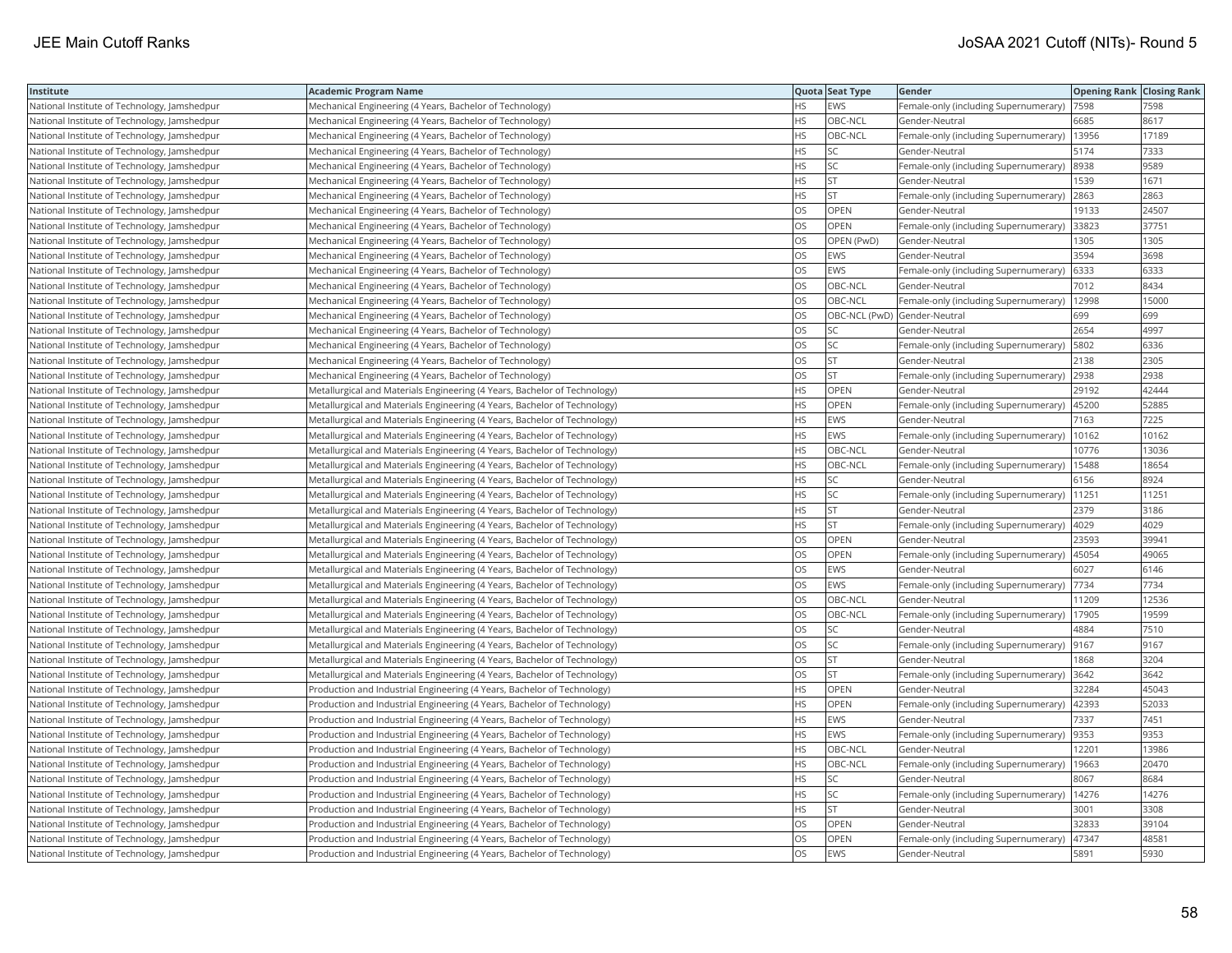| Institute                                    | <b>Academic Program Name</b>                                              |           | Quota Seat Type              | Gender                                      | <b>Opening Rank Closing Rank</b> |       |
|----------------------------------------------|---------------------------------------------------------------------------|-----------|------------------------------|---------------------------------------------|----------------------------------|-------|
| National Institute of Technology, Jamshedpur | Mechanical Engineering (4 Years, Bachelor of Technology)                  | <b>HS</b> | EWS                          | Female-only (including Supernumerary)       | 7598                             | 7598  |
| National Institute of Technology, Jamshedpur | Mechanical Engineering (4 Years, Bachelor of Technology)                  | <b>HS</b> | OBC-NCL                      | Gender-Neutral                              | 6685                             | 8617  |
| National Institute of Technology, Jamshedpur | Mechanical Engineering (4 Years, Bachelor of Technology)                  | <b>HS</b> | OBC-NCL                      | Female-only (including Supernumerary)       | 13956                            | 17189 |
| National Institute of Technology, Jamshedpur | Mechanical Engineering (4 Years, Bachelor of Technology)                  | <b>HS</b> | SC.                          | Gender-Neutral                              | 5174                             | 7333  |
| National Institute of Technology, Jamshedpur | Mechanical Engineering (4 Years, Bachelor of Technology)                  | <b>HS</b> | SC.                          | Female-only (including Supernumerary)       | 8938                             | 9589  |
| National Institute of Technology, Jamshedpur | Mechanical Engineering (4 Years, Bachelor of Technology)                  | <b>HS</b> | <b>ST</b>                    | Gender-Neutral                              | 1539                             | 1671  |
| National Institute of Technology, Jamshedpur | Mechanical Engineering (4 Years, Bachelor of Technology)                  | <b>HS</b> | <b>ST</b>                    | Female-only (including Supernumerary)       | 2863                             | 2863  |
| National Institute of Technology, Jamshedpur | Mechanical Engineering (4 Years, Bachelor of Technology)                  | OS        | OPEN                         | Gender-Neutral                              | 19133                            | 24507 |
| National Institute of Technology, Jamshedpur | Mechanical Engineering (4 Years, Bachelor of Technology)                  | OS        | OPEN                         | Female-only (including Supernumerary)       | 33823                            | 37751 |
| National Institute of Technology, Jamshedpur | Mechanical Engineering (4 Years, Bachelor of Technology)                  | OS        | OPEN (PwD)                   | Gender-Neutral                              | 1305                             | 1305  |
| National Institute of Technology, Jamshedpur | Mechanical Engineering (4 Years, Bachelor of Technology)                  | <b>OS</b> | EWS                          | Gender-Neutral                              | 3594                             | 3698  |
| National Institute of Technology, Jamshedpur | Mechanical Engineering (4 Years, Bachelor of Technology)                  | OS        | EWS                          | Female-only (including Supernumerary)       | 6333                             | 6333  |
| National Institute of Technology, Jamshedpur | Mechanical Engineering (4 Years, Bachelor of Technology)                  | OS        | OBC-NCL                      | Gender-Neutral                              | 7012                             | 8434  |
| National Institute of Technology, Jamshedpur | Mechanical Engineering (4 Years, Bachelor of Technology)                  | OS        | OBC-NCL                      | Female-only (including Supernumerary)       | 12998                            | 15000 |
| National Institute of Technology, Jamshedpur | Mechanical Engineering (4 Years, Bachelor of Technology)                  | OS        | OBC-NCL (PwD) Gender-Neutral |                                             | 699                              | 699   |
| National Institute of Technology, Jamshedpur | Mechanical Engineering (4 Years, Bachelor of Technology)                  | <b>OS</b> | SC                           | Gender-Neutral                              | 2654                             | 4997  |
| National Institute of Technology, Jamshedpur | Mechanical Engineering (4 Years, Bachelor of Technology)                  | OS        | <b>SC</b>                    | Female-only (including Supernumerary)       | 5802                             | 6336  |
| National Institute of Technology, Jamshedpur | Mechanical Engineering (4 Years, Bachelor of Technology)                  | OS        | ST                           | Gender-Neutral                              | 2138                             | 2305  |
| National Institute of Technology, Jamshedpur | Mechanical Engineering (4 Years, Bachelor of Technology)                  | <b>OS</b> | lst.                         | Female-only (including Supernumerary)       | 2938                             | 2938  |
| National Institute of Technology, Jamshedpur | Metallurgical and Materials Engineering (4 Years, Bachelor of Technology) | <b>HS</b> | OPEN                         | Gender-Neutral                              | 29192                            | 42444 |
| National Institute of Technology, Jamshedpur | Metallurgical and Materials Engineering (4 Years, Bachelor of Technology) | <b>HS</b> | OPEN                         | Female-only (including Supernumerary)       | 45200                            | 52885 |
| National Institute of Technology, Jamshedpur | Metallurgical and Materials Engineering (4 Years, Bachelor of Technology) | <b>HS</b> | EWS                          | Gender-Neutral                              | 7163                             | 7225  |
| National Institute of Technology, Jamshedpur | Metallurgical and Materials Engineering (4 Years, Bachelor of Technology) | <b>HS</b> | EWS                          | Female-only (including Supernumerary)       | 10162                            | 10162 |
| National Institute of Technology, Jamshedpur | Metallurgical and Materials Engineering (4 Years, Bachelor of Technology) | <b>HS</b> | OBC-NCL                      | Gender-Neutral                              | 10776                            | 13036 |
| National Institute of Technology, Jamshedpur | Metallurgical and Materials Engineering (4 Years, Bachelor of Technology) | <b>HS</b> | OBC-NCL                      | Female-only (including Supernumerary)       | 15488                            | 18654 |
| National Institute of Technology, Jamshedpur | Metallurgical and Materials Engineering (4 Years, Bachelor of Technology) | <b>HS</b> | SC                           | Gender-Neutral                              | 6156                             | 8924  |
| National Institute of Technology, Jamshedpur | Metallurgical and Materials Engineering (4 Years, Bachelor of Technology) | <b>HS</b> | lsc                          | Female-only (including Supernumerary)       | 11251                            | 11251 |
| National Institute of Technology, Jamshedpur | Metallurgical and Materials Engineering (4 Years, Bachelor of Technology) | <b>HS</b> | <b>ST</b>                    | Gender-Neutral                              | 2379                             | 3186  |
| National Institute of Technology, Jamshedpur | Metallurgical and Materials Engineering (4 Years, Bachelor of Technology) | <b>HS</b> | <b>ST</b>                    | Female-only (including Supernumerary)       | 4029                             | 4029  |
| National Institute of Technology, Jamshedpur | Metallurgical and Materials Engineering (4 Years, Bachelor of Technology) | OS        | OPEN                         | Gender-Neutral                              | 23593                            | 39941 |
| National Institute of Technology, Jamshedpur | Metallurgical and Materials Engineering (4 Years, Bachelor of Technology) | OS        | OPEN                         | Female-only (including Supernumerary)       | 45054                            | 49065 |
| National Institute of Technology, Jamshedpur | Metallurgical and Materials Engineering (4 Years, Bachelor of Technology) | OS        | EWS                          | Gender-Neutral                              | 6027                             | 6146  |
| National Institute of Technology, Jamshedpur | Metallurgical and Materials Engineering (4 Years, Bachelor of Technology) | OS        | EWS                          | Female-only (including Supernumerary)       | 7734                             | 7734  |
| National Institute of Technology, Jamshedpur | Metallurgical and Materials Engineering (4 Years, Bachelor of Technology) | <b>OS</b> | OBC-NCL                      | Gender-Neutral                              | 11209                            | 12536 |
| National Institute of Technology, Jamshedpur | Metallurgical and Materials Engineering (4 Years, Bachelor of Technology) | <b>OS</b> | OBC-NCL                      | Female-only (including Supernumerary)       | 17905                            | 19599 |
| National Institute of Technology, Jamshedpur | Metallurgical and Materials Engineering (4 Years, Bachelor of Technology) | OS        | SC.                          | Gender-Neutral                              | 4884                             | 7510  |
| National Institute of Technology, Jamshedpur | Metallurgical and Materials Engineering (4 Years, Bachelor of Technology) | <b>OS</b> | <b>SC</b>                    | Female-only (including Supernumerary) [9167 |                                  | 9167  |
| National Institute of Technology, Jamshedpur | Metallurgical and Materials Engineering (4 Years, Bachelor of Technology) | OS        | <b>ST</b>                    | Gender-Neutral                              | 1868                             | 3204  |
| National Institute of Technology, Jamshedpur | Metallurgical and Materials Engineering (4 Years, Bachelor of Technology) | <b>OS</b> | lst                          | Female-only (including Supernumerary)       | 3642                             | 3642  |
| National Institute of Technology, Jamshedpur | Production and Industrial Engineering (4 Years, Bachelor of Technology)   | <b>HS</b> | OPEN                         | Gender-Neutral                              | 32284                            | 45043 |
| National Institute of Technology, Jamshedpur | Production and Industrial Engineering (4 Years, Bachelor of Technology)   | <b>HS</b> | OPEN                         | Female-only (including Supernumerary)       | 42393                            | 52033 |
| National Institute of Technology, Jamshedpur | Production and Industrial Engineering (4 Years, Bachelor of Technology)   | <b>HS</b> | EWS                          | Gender-Neutral                              | 7337                             | 7451  |
| National Institute of Technology, Jamshedpur | Production and Industrial Engineering (4 Years, Bachelor of Technology)   | <b>HS</b> | EWS                          | Female-only (including Supernumerary)       | 9353                             | 9353  |
| National Institute of Technology, Jamshedpur | Production and Industrial Engineering (4 Years, Bachelor of Technology)   | <b>HS</b> | OBC-NCL                      | Gender-Neutral                              | 12201                            | 13986 |
| National Institute of Technology, Jamshedpur | Production and Industrial Engineering (4 Years, Bachelor of Technology)   | <b>HS</b> | OBC-NCL                      | Female-only (including Supernumerary)       | 19663                            | 20470 |
| National Institute of Technology, Jamshedpur | Production and Industrial Engineering (4 Years, Bachelor of Technology)   | <b>HS</b> | SC                           | Gender-Neutral                              | 8067                             | 8684  |
| National Institute of Technology, Jamshedpur | Production and Industrial Engineering (4 Years, Bachelor of Technology)   | <b>HS</b> | SC                           | Female-only (including Supernumerary)       | 14276                            | 14276 |
| National Institute of Technology, Jamshedpur | Production and Industrial Engineering (4 Years, Bachelor of Technology)   | HS.       | <b>ST</b>                    | Gender-Neutral                              | 3001                             | 3308  |
| National Institute of Technology, Jamshedpur | Production and Industrial Engineering (4 Years, Bachelor of Technology)   | OS        | OPEN                         | Gender-Neutral                              | 32833                            | 39104 |
| National Institute of Technology, Jamshedpur | Production and Industrial Engineering (4 Years, Bachelor of Technology)   | OS        | OPEN                         | Female-only (including Supernumerary)       | 47347                            | 48581 |
| National Institute of Technology, Jamshedpur | Production and Industrial Engineering (4 Years, Bachelor of Technology)   | <b>OS</b> | <b>EWS</b>                   | lGender-Neutral                             | 5891                             | 5930  |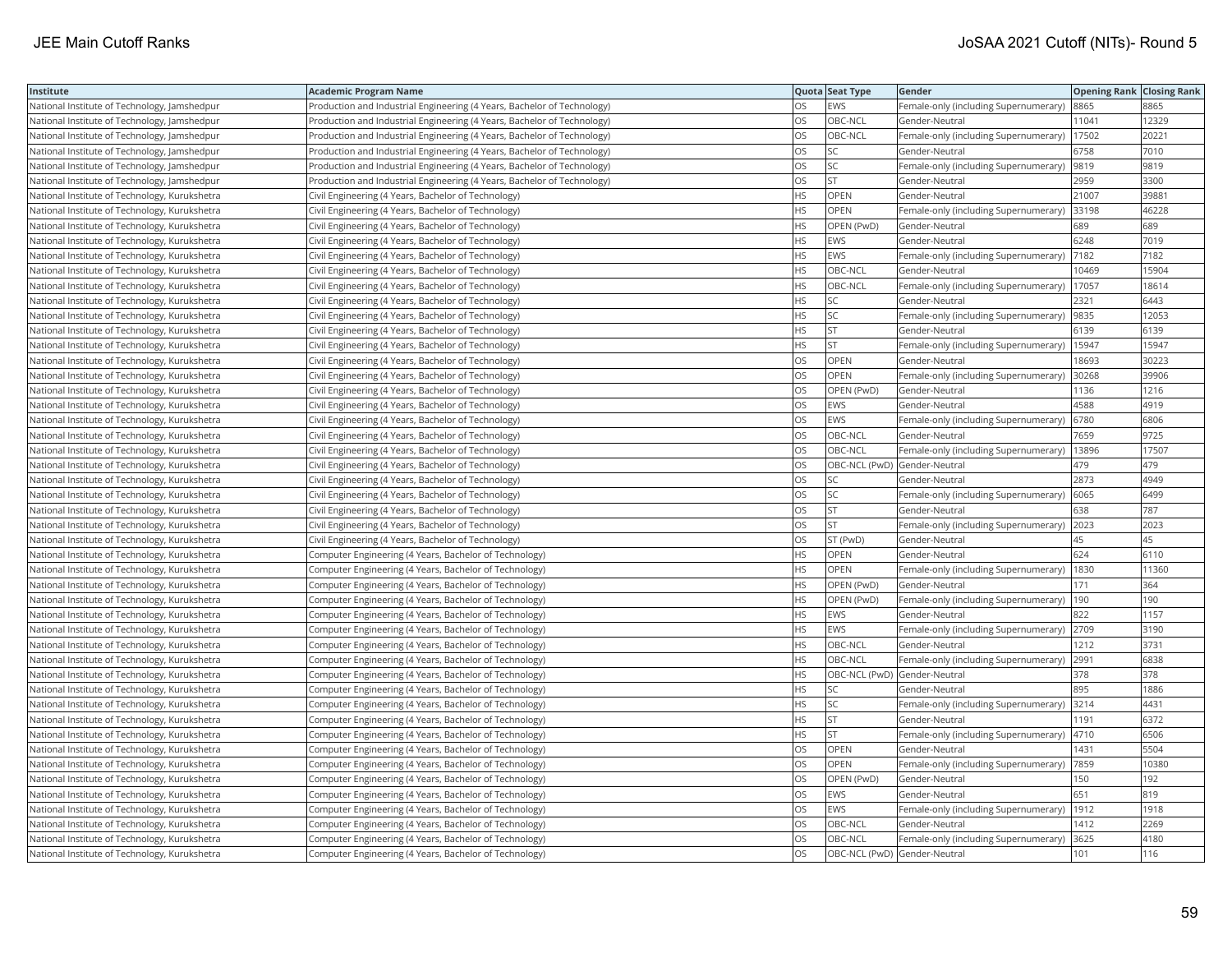| Institute                                     | <b>Academic Program Name</b>                                            |           | Quota Seat Type              | Gender                                      | <b>Opening Rank   Closing Rank</b> |       |
|-----------------------------------------------|-------------------------------------------------------------------------|-----------|------------------------------|---------------------------------------------|------------------------------------|-------|
| National Institute of Technology, Jamshedpur  | Production and Industrial Engineering (4 Years, Bachelor of Technology) | OS        | <b>EWS</b>                   | Female-only (including Supernumerary)       | 8865                               | 8865  |
| National Institute of Technology, Jamshedpur  | Production and Industrial Engineering (4 Years, Bachelor of Technology) | OS.       | OBC-NCL                      | Gender-Neutral                              | 11041                              | 12329 |
| National Institute of Technology, Jamshedpur  | Production and Industrial Engineering (4 Years, Bachelor of Technology) | OS        | OBC-NCL                      | Female-only (including Supernumerary)       | 17502                              | 20221 |
| National Institute of Technology, Jamshedpur  | Production and Industrial Engineering (4 Years, Bachelor of Technology) | OS        | <b>SC</b>                    | Gender-Neutral                              | 6758                               | 7010  |
| National Institute of Technology, Jamshedpur  | Production and Industrial Engineering (4 Years, Bachelor of Technology) | OS        | SC                           | Female-only (including Supernumerary)  9819 |                                    | 9819  |
| National Institute of Technology, Jamshedpur  | Production and Industrial Engineering (4 Years, Bachelor of Technology) | <b>OS</b> | lst                          | Gender-Neutral                              | 2959                               | 3300  |
| National Institute of Technology, Kurukshetra | Civil Engineering (4 Years, Bachelor of Technology)                     | HS        | OPEN                         | Gender-Neutral                              | 21007                              | 39881 |
| National Institute of Technology, Kurukshetra | Civil Engineering (4 Years, Bachelor of Technology)                     | <b>HS</b> | OPEN                         | Female-only (including Supernumerary)       | 33198                              | 46228 |
| National Institute of Technology, Kurukshetra | Civil Engineering (4 Years, Bachelor of Technology)                     | <b>HS</b> | OPEN (PwD)                   | Gender-Neutral                              | 689                                | 689   |
| National Institute of Technology, Kurukshetra | Civil Engineering (4 Years, Bachelor of Technology)                     | <b>HS</b> | <b>EWS</b>                   | Gender-Neutral                              | 6248                               | 7019  |
| National Institute of Technology, Kurukshetra | Civil Engineering (4 Years, Bachelor of Technology)                     | <b>HS</b> | EWS                          | Female-only (including Supernumerary)       | 7182                               | 7182  |
| National Institute of Technology, Kurukshetra | Civil Engineering (4 Years, Bachelor of Technology)                     | <b>HS</b> | OBC-NCL                      | Gender-Neutral                              | 10469                              | 15904 |
| National Institute of Technology, Kurukshetra | Civil Engineering (4 Years, Bachelor of Technology)                     | <b>HS</b> | OBC-NCL                      | Female-only (including Supernumerary)       | 17057                              | 18614 |
| National Institute of Technology, Kurukshetra | Civil Engineering (4 Years, Bachelor of Technology)                     | <b>HS</b> | lsc                          | Gender-Neutral                              | 2321                               | 6443  |
| National Institute of Technology, Kurukshetra | Civil Engineering (4 Years, Bachelor of Technology)                     | HS        | SC.                          | Female-only (including Supernumerary)       | 9835                               | 12053 |
| National Institute of Technology, Kurukshetra | Civil Engineering (4 Years, Bachelor of Technology)                     | HS        | <b>ST</b>                    | Gender-Neutral                              | 6139                               | 6139  |
| National Institute of Technology, Kurukshetra | Civil Engineering (4 Years, Bachelor of Technology)                     | <b>HS</b> | <b>ST</b>                    | Female-only (including Supernumerary)       | 15947                              | 15947 |
| National Institute of Technology, Kurukshetra | Civil Engineering (4 Years, Bachelor of Technology)                     | <b>OS</b> | OPEN                         | Gender-Neutral                              | 18693                              | 30223 |
| National Institute of Technology, Kurukshetra | Civil Engineering (4 Years, Bachelor of Technology)                     | OS        | <b>OPEN</b>                  | Female-only (including Supernumerary)       | 30268                              | 39906 |
| National Institute of Technology, Kurukshetra | Civil Engineering (4 Years, Bachelor of Technology)                     | OS        | OPEN (PwD)                   | Gender-Neutral                              | 1136                               | 1216  |
| National Institute of Technology, Kurukshetra | Civil Engineering (4 Years, Bachelor of Technology)                     | OS        | <b>EWS</b>                   | Gender-Neutral                              | 4588                               | 4919  |
| National Institute of Technology, Kurukshetra | Civil Engineering (4 Years, Bachelor of Technology)                     | <b>OS</b> | <b>EWS</b>                   | Female-only (including Supernumerary)       | 6780                               | 6806  |
| National Institute of Technology, Kurukshetra | Civil Engineering (4 Years, Bachelor of Technology)                     | OS        | OBC-NCL                      | Gender-Neutral                              | 7659                               | 9725  |
| National Institute of Technology, Kurukshetra | Civil Engineering (4 Years, Bachelor of Technology)                     | <b>OS</b> | OBC-NCL                      | Female-only (including Supernumerary)       | 13896                              | 17507 |
| National Institute of Technology, Kurukshetra | Civil Engineering (4 Years, Bachelor of Technology)                     | <b>OS</b> | OBC-NCL (PwD) Gender-Neutral |                                             | 479                                | 479   |
| National Institute of Technology, Kurukshetra | Civil Engineering (4 Years, Bachelor of Technology)                     | <b>OS</b> | <b>SC</b>                    | Gender-Neutral                              | 2873                               | 4949  |
| National Institute of Technology, Kurukshetra | Civil Engineering (4 Years, Bachelor of Technology)                     | <b>OS</b> | <b>SC</b>                    | Female-only (including Supernumerary)       | 6065                               | 6499  |
| National Institute of Technology, Kurukshetra | Civil Engineering (4 Years, Bachelor of Technology)                     | <b>OS</b> | <b>ST</b>                    | Gender-Neutral                              | 638                                | 787   |
| National Institute of Technology, Kurukshetra | Civil Engineering (4 Years, Bachelor of Technology)                     | OS        | <b>ST</b>                    | Female-only (including Supernumerary)       | 2023                               | 2023  |
| National Institute of Technology, Kurukshetra | Civil Engineering (4 Years, Bachelor of Technology)                     | <b>OS</b> | ST (PwD)                     | Gender-Neutral                              | 45                                 | 45    |
| National Institute of Technology, Kurukshetra | Computer Engineering (4 Years, Bachelor of Technology)                  | HS        | OPEN                         | Gender-Neutral                              | 624                                | 6110  |
| National Institute of Technology, Kurukshetra | Computer Engineering (4 Years, Bachelor of Technology)                  | <b>HS</b> | <b>OPEN</b>                  | Female-only (including Supernumerary)       | 1830                               | 11360 |
| National Institute of Technology, Kurukshetra | Computer Engineering (4 Years, Bachelor of Technology)                  | <b>HS</b> | OPEN (PwD)                   | Gender-Neutral                              | 171                                | 364   |
| National Institute of Technology, Kurukshetra | Computer Engineering (4 Years, Bachelor of Technology)                  | <b>HS</b> | OPEN (PwD)                   | Female-only (including Supernumerary)       | 190                                | 190   |
| National Institute of Technology, Kurukshetra | Computer Engineering (4 Years, Bachelor of Technology)                  | <b>HS</b> | <b>EWS</b>                   | Gender-Neutral                              | 822                                | 1157  |
| National Institute of Technology, Kurukshetra | Computer Engineering (4 Years, Bachelor of Technology)                  | <b>HS</b> | <b>EWS</b>                   | Female-only (including Supernumerary) 2709  |                                    | 3190  |
| National Institute of Technology, Kurukshetra | Computer Engineering (4 Years, Bachelor of Technology)                  | <b>HS</b> | OBC-NCL                      | Gender-Neutral                              | 1212                               | 3731  |
| National Institute of Technology, Kurukshetra | Computer Engineering (4 Years, Bachelor of Technology)                  | HS        | OBC-NCL                      | Female-only (including Supernumerary) 2991  |                                    | 6838  |
| National Institute of Technology, Kurukshetra | Computer Engineering (4 Years, Bachelor of Technology)                  | HS        | OBC-NCL (PwD) Gender-Neutral |                                             | 378                                | 378   |
| National Institute of Technology, Kurukshetra | Computer Engineering (4 Years, Bachelor of Technology)                  | <b>HS</b> | SC                           | Gender-Neutral                              | 895                                | 1886  |
| National Institute of Technology, Kurukshetra | Computer Engineering (4 Years, Bachelor of Technology)                  | <b>HS</b> | <b>SC</b>                    | Female-only (including Supernumerary)       | 3214                               | 4431  |
| National Institute of Technology, Kurukshetra | Computer Engineering (4 Years, Bachelor of Technology)                  | <b>HS</b> | <b>ST</b>                    | Gender-Neutral                              | 1191                               | 6372  |
| National Institute of Technology, Kurukshetra | Computer Engineering (4 Years, Bachelor of Technology)                  | <b>HS</b> | <b>ST</b>                    | Female-only (including Supernumerary)       | 4710                               | 6506  |
| National Institute of Technology, Kurukshetra | Computer Engineering (4 Years, Bachelor of Technology)                  | OS        | OPEN                         | Gender-Neutral                              | 1431                               | 5504  |
| National Institute of Technology, Kurukshetra | Computer Engineering (4 Years, Bachelor of Technology)                  | OS        | <b>OPEN</b>                  | Female-only (including Supernumerary)       | 7859                               | 10380 |
| National Institute of Technology, Kurukshetra | Computer Engineering (4 Years, Bachelor of Technology)                  | OS        | OPEN (PwD)                   | Gender-Neutral                              | 150                                | 192   |
| National Institute of Technology, Kurukshetra | Computer Engineering (4 Years, Bachelor of Technology)                  | <b>OS</b> | <b>EWS</b>                   | Gender-Neutral                              | 651                                | 819   |
| National Institute of Technology, Kurukshetra | Computer Engineering (4 Years, Bachelor of Technology)                  | OS        | EWS                          | Female-only (including Supernumerary)       | 1912                               | 1918  |
| National Institute of Technology, Kurukshetra | Computer Engineering (4 Years, Bachelor of Technology)                  | OS        | <b>OBC-NCL</b>               | Gender-Neutral                              | 1412                               | 2269  |
| National Institute of Technology, Kurukshetra | Computer Engineering (4 Years, Bachelor of Technology)                  | <b>OS</b> | OBC-NCL                      | Female-only (including Supernumerary)       | 3625                               | 4180  |
| National Institute of Technology, Kurukshetra | Computer Engineering (4 Years, Bachelor of Technology)                  | <b>OS</b> | OBC-NCL (PwD) Gender-Neutral |                                             | 101                                | 116   |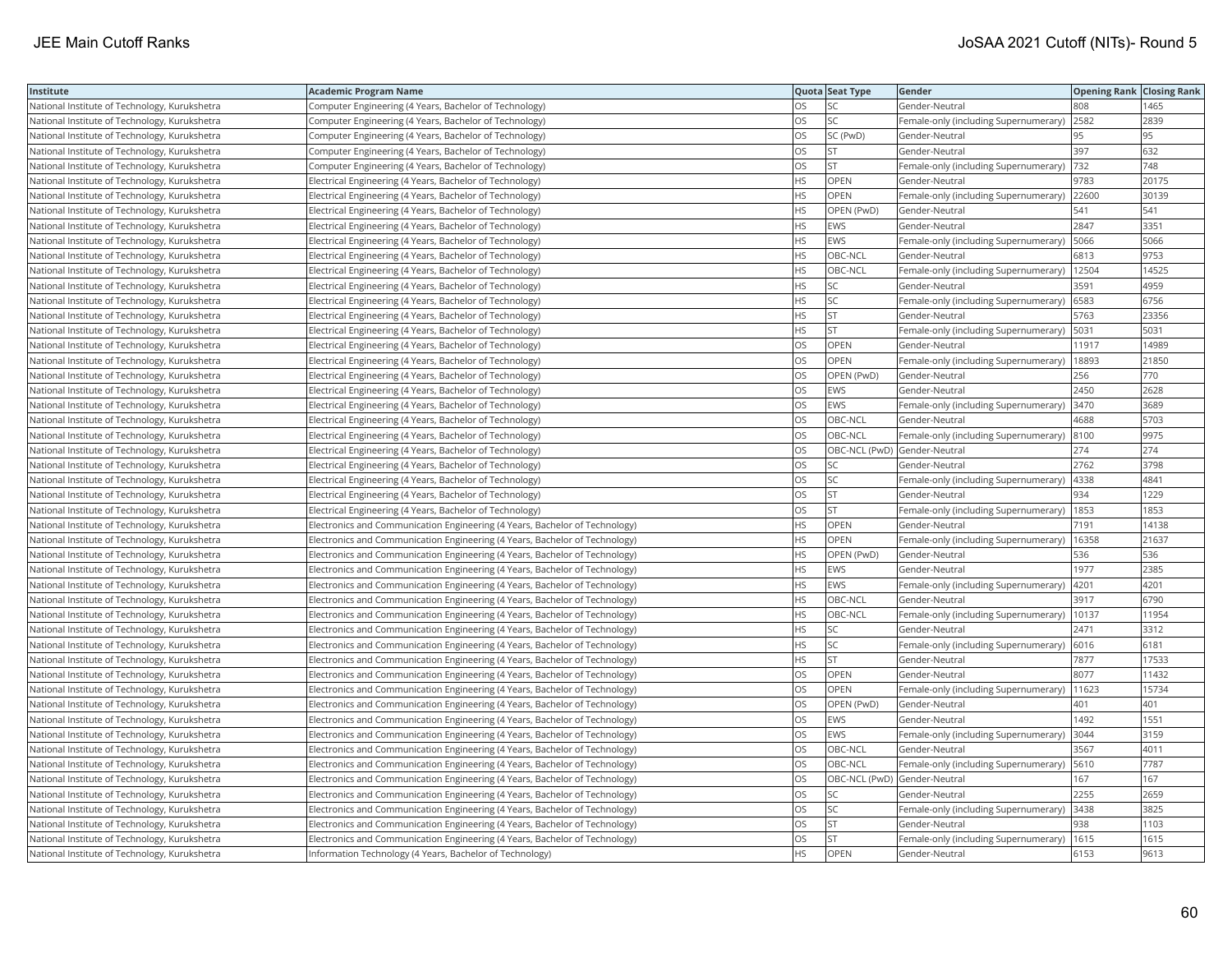| Institute                                     | <b>Academic Program Name</b>                                                |           | Quota Seat Type              | Gender                                       | <b>Opening Rank Closing Rank</b> |       |
|-----------------------------------------------|-----------------------------------------------------------------------------|-----------|------------------------------|----------------------------------------------|----------------------------------|-------|
| National Institute of Technology, Kurukshetra | Computer Engineering (4 Years, Bachelor of Technology)                      | OS        | SC                           | Gender-Neutral                               | 808                              | 1465  |
| National Institute of Technology, Kurukshetra | Computer Engineering (4 Years, Bachelor of Technology)                      | <b>OS</b> | lsc                          | Female-only (including Supernumerary)        | 2582                             | 2839  |
| National Institute of Technology, Kurukshetra | Computer Engineering (4 Years, Bachelor of Technology)                      | <b>OS</b> | SC (PwD)                     | Gender-Neutral                               | 95                               | 95    |
| National Institute of Technology, Kurukshetra | Computer Engineering (4 Years, Bachelor of Technology)                      | OS        | <b>ST</b>                    | Gender-Neutral                               | 397                              | 632   |
| National Institute of Technology, Kurukshetra | Computer Engineering (4 Years, Bachelor of Technology)                      | OS        | lst                          | Female-only (including Supernumerary)        | 732                              | 748   |
| National Institute of Technology, Kurukshetra | Electrical Engineering (4 Years, Bachelor of Technology)                    | <b>HS</b> | OPEN                         | Gender-Neutral                               | 9783                             | 20175 |
| National Institute of Technology, Kurukshetra | Electrical Engineering (4 Years, Bachelor of Technology)                    | <b>HS</b> | OPEN                         | Female-only (including Supernumerary)        | 22600                            | 30139 |
| National Institute of Technology, Kurukshetra | Electrical Engineering (4 Years, Bachelor of Technology)                    | <b>HS</b> | OPEN (PwD)                   | Gender-Neutral                               | 541                              | 541   |
| National Institute of Technology, Kurukshetra | Electrical Engineering (4 Years, Bachelor of Technology)                    | <b>HS</b> | EWS                          | Gender-Neutral                               | 2847                             | 3351  |
| National Institute of Technology, Kurukshetra | Electrical Engineering (4 Years, Bachelor of Technology)                    | <b>HS</b> | EWS                          | Female-only (including Supernumerary)        | 5066                             | 5066  |
| National Institute of Technology, Kurukshetra | Electrical Engineering (4 Years, Bachelor of Technology)                    | <b>HS</b> | OBC-NCL                      | Gender-Neutral                               | 6813                             | 9753  |
| National Institute of Technology, Kurukshetra | Electrical Engineering (4 Years, Bachelor of Technology)                    | <b>HS</b> | OBC-NCL                      | Female-only (including Supernumerary)        | 12504                            | 14525 |
| National Institute of Technology, Kurukshetra | Electrical Engineering (4 Years, Bachelor of Technology)                    | <b>HS</b> | SC.                          | Gender-Neutral                               | 3591                             | 4959  |
| National Institute of Technology, Kurukshetra | Electrical Engineering (4 Years, Bachelor of Technology)                    | <b>HS</b> | SC                           | Female-only (including Supernumerary)        | 6583                             | 6756  |
| National Institute of Technology, Kurukshetra | Electrical Engineering (4 Years, Bachelor of Technology)                    | <b>HS</b> | İst                          | Gender-Neutral                               | 5763                             | 23356 |
| National Institute of Technology, Kurukshetra | Electrical Engineering (4 Years, Bachelor of Technology)                    | HS        | lst                          | Female-only (including Supernumerary)        | 5031                             | 5031  |
| National Institute of Technology, Kurukshetra | Electrical Engineering (4 Years, Bachelor of Technology)                    | OS        | OPEN                         | Gender-Neutral                               | 11917                            | 14989 |
| National Institute of Technology, Kurukshetra | Electrical Engineering (4 Years, Bachelor of Technology)                    | <b>OS</b> | OPEN                         | Female-only (including Supernumerary)        | 18893                            | 21850 |
| National Institute of Technology, Kurukshetra | Electrical Engineering (4 Years, Bachelor of Technology)                    | OS        | OPEN (PwD)                   | Gender-Neutral                               | 256                              | 770   |
| National Institute of Technology, Kurukshetra | Electrical Engineering (4 Years, Bachelor of Technology)                    | OS        | <b>EWS</b>                   | Gender-Neutral                               | 2450                             | 2628  |
| National Institute of Technology, Kurukshetra | Electrical Engineering (4 Years, Bachelor of Technology)                    | OS        | EWS                          | Female-only (including Supernumerary)        | 3470                             | 3689  |
| National Institute of Technology, Kurukshetra | Electrical Engineering (4 Years, Bachelor of Technology)                    | OS        | OBC-NCL                      | Gender-Neutral                               | 4688                             | 5703  |
| National Institute of Technology, Kurukshetra | Electrical Engineering (4 Years, Bachelor of Technology)                    | OS        | OBC-NCL                      | Female-only (including Supernumerary)        | 8100                             | 9975  |
| National Institute of Technology, Kurukshetra | Electrical Engineering (4 Years, Bachelor of Technology)                    | OS        | OBC-NCL (PwD) Gender-Neutral |                                              | 274                              | 274   |
| National Institute of Technology, Kurukshetra | Electrical Engineering (4 Years, Bachelor of Technology)                    | <b>OS</b> | SC.                          | Gender-Neutral                               | 2762                             | 3798  |
| National Institute of Technology, Kurukshetra | Electrical Engineering (4 Years, Bachelor of Technology)                    | OS        | SC.                          | Female-only (including Supernumerary)        | 4338                             | 4841  |
| National Institute of Technology, Kurukshetra | Electrical Engineering (4 Years, Bachelor of Technology)                    | <b>OS</b> | lst                          | Gender-Neutral                               | 934                              | 1229  |
| National Institute of Technology, Kurukshetra | Electrical Engineering (4 Years, Bachelor of Technology)                    | OS        | <b>ST</b>                    | Female-only (including Supernumerary)        | 1853                             | 1853  |
| National Institute of Technology, Kurukshetra | Electronics and Communication Engineering (4 Years, Bachelor of Technology) | <b>HS</b> | OPEN                         | Gender-Neutral                               | 7191                             | 14138 |
| National Institute of Technology, Kurukshetra | Electronics and Communication Engineering (4 Years, Bachelor of Technology) | <b>HS</b> | <b>OPEN</b>                  | Female-only (including Supernumerary)        | 16358                            | 21637 |
| National Institute of Technology, Kurukshetra | Electronics and Communication Engineering (4 Years, Bachelor of Technology) | <b>HS</b> | OPEN (PwD)                   | Gender-Neutral                               | 536                              | 536   |
| National Institute of Technology, Kurukshetra | Electronics and Communication Engineering (4 Years, Bachelor of Technology) | <b>HS</b> | EWS                          | Gender-Neutral                               | 1977                             | 2385  |
| National Institute of Technology, Kurukshetra | Electronics and Communication Engineering (4 Years, Bachelor of Technology) | <b>HS</b> | EWS                          | Female-only (including Supernumerary)        | 4201                             | 4201  |
| National Institute of Technology, Kurukshetra | Electronics and Communication Engineering (4 Years, Bachelor of Technology) | <b>HS</b> | OBC-NCL                      | Gender-Neutral                               | 3917                             | 6790  |
| National Institute of Technology, Kurukshetra | Electronics and Communication Engineering (4 Years, Bachelor of Technology) | <b>HS</b> | OBC-NCL                      | Female-only (including Supernumerary)        | 10137                            | 11954 |
| National Institute of Technology, Kurukshetra | Electronics and Communication Engineering (4 Years, Bachelor of Technology) | <b>HS</b> | SC <sub>1</sub>              | Gender-Neutral                               | 2471                             | 3312  |
| National Institute of Technology, Kurukshetra | Electronics and Communication Engineering (4 Years, Bachelor of Technology) | <b>HS</b> | SC.                          | Female-only (including Supernumerary) 6016   |                                  | 6181  |
| National Institute of Technology, Kurukshetra | Electronics and Communication Engineering (4 Years, Bachelor of Technology) | <b>HS</b> | lst                          | Gender-Neutral                               | 7877                             | 17533 |
| National Institute of Technology, Kurukshetra | Electronics and Communication Engineering (4 Years, Bachelor of Technology) | <b>OS</b> | OPEN                         | Gender-Neutral                               | 8077                             | 11432 |
| National Institute of Technology, Kurukshetra | Electronics and Communication Engineering (4 Years, Bachelor of Technology) | OS        | OPEN                         | Female-only (including Supernumerary)        | 11623                            | 15734 |
| National Institute of Technology, Kurukshetra | Electronics and Communication Engineering (4 Years, Bachelor of Technology) | OS        | OPEN (PwD)                   | Gender-Neutral                               | 401                              | 401   |
| National Institute of Technology, Kurukshetra | Electronics and Communication Engineering (4 Years, Bachelor of Technology) | OS        | EWS                          | Gender-Neutral                               | 1492                             | 1551  |
| National Institute of Technology, Kurukshetra | Electronics and Communication Engineering (4 Years, Bachelor of Technology) | OS        | EWS                          | Female-only (including Supernumerary)        | 3044                             | 3159  |
| National Institute of Technology, Kurukshetra | Electronics and Communication Engineering (4 Years, Bachelor of Technology) | OS        | OBC-NCL                      | Gender-Neutral                               | 3567                             | 4011  |
| National Institute of Technology, Kurukshetra | Electronics and Communication Engineering (4 Years, Bachelor of Technology) | OS        | OBC-NCL                      | Female-only (including Supernumerary)   5610 |                                  | 7787  |
| National Institute of Technology, Kurukshetra | Electronics and Communication Engineering (4 Years, Bachelor of Technology) | OS        | OBC-NCL (PwD) Gender-Neutral |                                              | 167                              | 167   |
| National Institute of Technology, Kurukshetra | Electronics and Communication Engineering (4 Years, Bachelor of Technology) | OS        | SC                           | Gender-Neutral                               | 2255                             | 2659  |
| National Institute of Technology, Kurukshetra | Electronics and Communication Engineering (4 Years, Bachelor of Technology) | OS        | SC.                          | Female-only (including Supernumerary)        | 3438                             | 3825  |
| National Institute of Technology, Kurukshetra | Electronics and Communication Engineering (4 Years, Bachelor of Technology) | <b>OS</b> | İst                          | Gender-Neutral                               | 938                              | 1103  |
| National Institute of Technology, Kurukshetra | Electronics and Communication Engineering (4 Years, Bachelor of Technology) | OS        | lst                          | Female-only (including Supernumerary)        | 1615                             | 1615  |
| National Institute of Technology, Kurukshetra | Information Technology (4 Years, Bachelor of Technology)                    | <b>HS</b> | OPEN                         | Gender-Neutral                               | 6153                             | 9613  |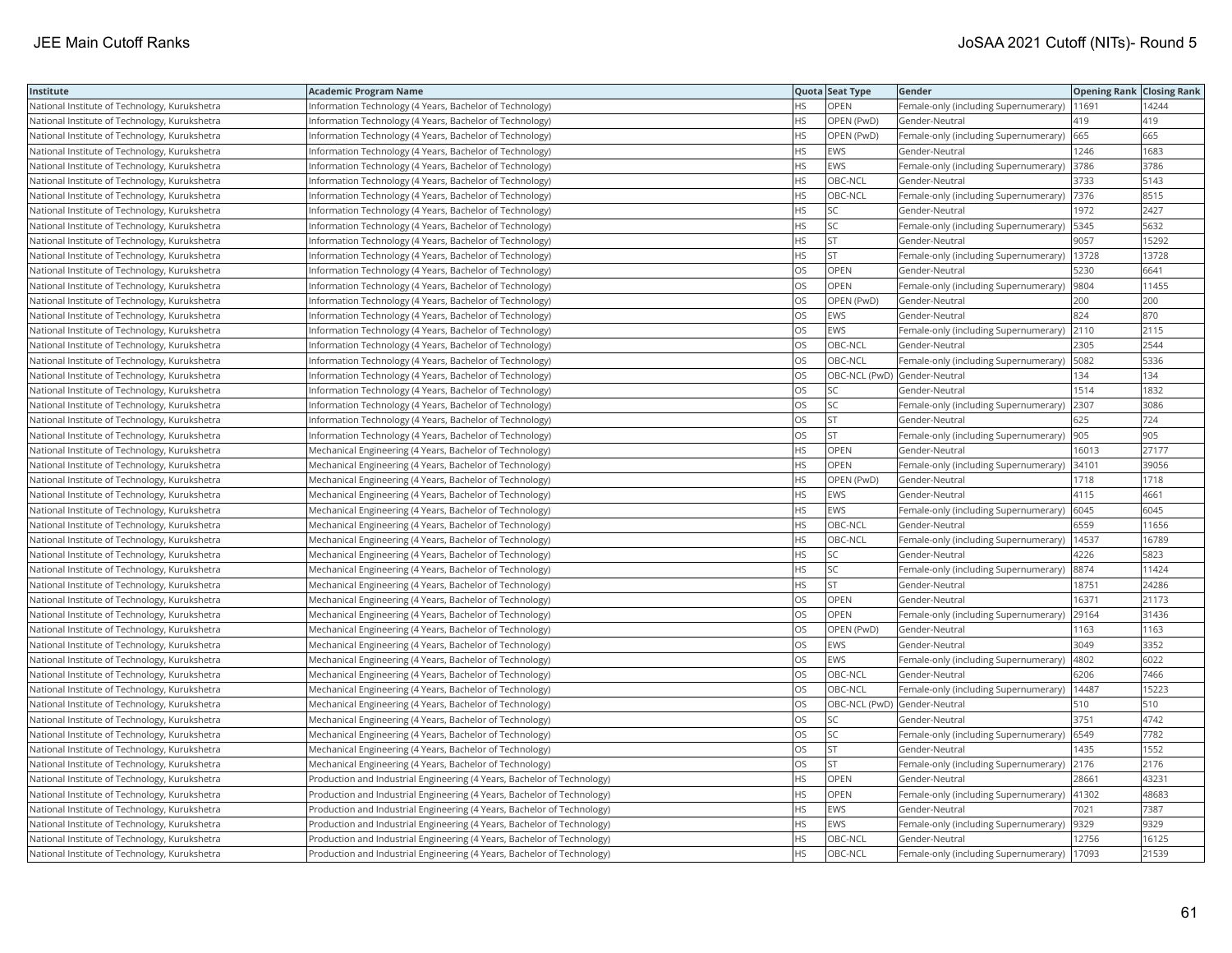| Institute                                     | <b>Academic Program Name</b>                                            |           | Quota Seat Type              | Gender                                      | <b>Opening Rank Closing Rank</b> |       |
|-----------------------------------------------|-------------------------------------------------------------------------|-----------|------------------------------|---------------------------------------------|----------------------------------|-------|
| National Institute of Technology, Kurukshetra | Information Technology (4 Years, Bachelor of Technology)                | <b>HS</b> | OPEN                         | Female-only (including Supernumerary)       | 11691                            | 14244 |
| National Institute of Technology, Kurukshetra | nformation Technology (4 Years, Bachelor of Technology)                 | HS.       | OPEN (PwD)                   | Gender-Neutral                              | 419                              | 419   |
| National Institute of Technology, Kurukshetra | Information Technology (4 Years, Bachelor of Technology)                | <b>HS</b> | OPEN (PwD)                   | Female-only (including Supernumerary)       | 665                              | 665   |
| National Institute of Technology, Kurukshetra | Information Technology (4 Years, Bachelor of Technology)                | <b>HS</b> | <b>EWS</b>                   | Gender-Neutral                              | 1246                             | 1683  |
| National Institute of Technology, Kurukshetra | Information Technology (4 Years, Bachelor of Technology)                | <b>HS</b> | EWS                          | Female-only (including Supernumerary)       | 3786                             | 3786  |
| National Institute of Technology, Kurukshetra | Information Technology (4 Years, Bachelor of Technology)                | <b>HS</b> | OBC-NCL                      | Gender-Neutral                              | 3733                             | 5143  |
| National Institute of Technology, Kurukshetra | Information Technology (4 Years, Bachelor of Technology)                | <b>HS</b> | OBC-NCL                      | Female-only (including Supernumerary)  7376 |                                  | 8515  |
| National Institute of Technology, Kurukshetra | Information Technology (4 Years, Bachelor of Technology)                | <b>HS</b> | lsc                          | Gender-Neutral                              | 1972                             | 2427  |
| National Institute of Technology, Kurukshetra | nformation Technology (4 Years, Bachelor of Technology)                 | HS        | SC                           | Female-only (including Supernumerary)       | 5345                             | 5632  |
| National Institute of Technology, Kurukshetra | Information Technology (4 Years, Bachelor of Technology)                | <b>HS</b> | <b>ST</b>                    | Gender-Neutral                              | 9057                             | 15292 |
| National Institute of Technology, Kurukshetra | Information Technology (4 Years, Bachelor of Technology)                | <b>HS</b> | lst                          | Female-only (including Supernumerary)       | 13728                            | 13728 |
| National Institute of Technology, Kurukshetra | Information Technology (4 Years, Bachelor of Technology)                | <b>OS</b> | <b>OPEN</b>                  | Gender-Neutral                              | 5230                             | 6641  |
| National Institute of Technology, Kurukshetra | Information Technology (4 Years, Bachelor of Technology)                | OS        | OPEN                         | Female-only (including Supernumerary)       | 9804                             | 11455 |
| National Institute of Technology, Kurukshetra | Information Technology (4 Years, Bachelor of Technology)                | OS        | OPEN (PwD)                   | Gender-Neutral                              | 200                              | 200   |
| National Institute of Technology, Kurukshetra | Information Technology (4 Years, Bachelor of Technology)                | OS        | EWS                          | Gender-Neutral                              | 824                              | 870   |
| National Institute of Technology, Kurukshetra | Information Technology (4 Years, Bachelor of Technology)                | OS        | EWS                          | Female-only (including Supernumerary)       | 2110                             | 2115  |
| National Institute of Technology, Kurukshetra | Information Technology (4 Years, Bachelor of Technology)                | OS        | OBC-NCL                      | Gender-Neutral                              | 2305                             | 2544  |
| National Institute of Technology, Kurukshetra | Information Technology (4 Years, Bachelor of Technology)                | OS        | OBC-NCL                      | Female-only (including Supernumerary)       | 5082                             | 5336  |
| National Institute of Technology, Kurukshetra | Information Technology (4 Years, Bachelor of Technology)                | OS        | OBC-NCL (PwD) Gender-Neutral |                                             | 134                              | 134   |
| National Institute of Technology, Kurukshetra | Information Technology (4 Years, Bachelor of Technology)                | <b>OS</b> | lsc                          | Gender-Neutral                              | 1514                             | 1832  |
| National Institute of Technology, Kurukshetra | Information Technology (4 Years, Bachelor of Technology)                | <b>OS</b> | <b>SC</b>                    | Female-only (including Supernumerary)       | 2307                             | 3086  |
| National Institute of Technology, Kurukshetra | Information Technology (4 Years, Bachelor of Technology)                | OS        | <b>ST</b>                    | Gender-Neutral                              | 625                              | 724   |
| National Institute of Technology, Kurukshetra | Information Technology (4 Years, Bachelor of Technology)                | OS        | <b>ST</b>                    | Female-only (including Supernumerary)  905  |                                  | 905   |
| National Institute of Technology, Kurukshetra | Mechanical Engineering (4 Years, Bachelor of Technology)                | <b>HS</b> | <b>OPEN</b>                  | Gender-Neutral                              | 16013                            | 27177 |
| National Institute of Technology, Kurukshetra | Mechanical Engineering (4 Years, Bachelor of Technology)                | <b>HS</b> | OPEN                         | Female-only (including Supernumerary)       | 34101                            | 39056 |
| National Institute of Technology, Kurukshetra | Mechanical Engineering (4 Years, Bachelor of Technology)                | <b>HS</b> | OPEN (PwD)                   | Gender-Neutral                              | 1718                             | 1718  |
| National Institute of Technology, Kurukshetra | Mechanical Engineering (4 Years, Bachelor of Technology)                | <b>HS</b> | EWS                          | Gender-Neutral                              | 4115                             | 4661  |
| National Institute of Technology, Kurukshetra | Mechanical Engineering (4 Years, Bachelor of Technology)                | <b>HS</b> | EWS                          | Female-only (including Supernumerary)       | 6045                             | 6045  |
| National Institute of Technology, Kurukshetra | Mechanical Engineering (4 Years, Bachelor of Technology)                | <b>HS</b> | OBC-NCL                      | Gender-Neutral                              | 6559                             | 11656 |
| National Institute of Technology, Kurukshetra | Mechanical Engineering (4 Years, Bachelor of Technology)                | <b>HS</b> | OBC-NCL                      | Female-only (including Supernumerary)       | 14537                            | 16789 |
| National Institute of Technology, Kurukshetra | Mechanical Engineering (4 Years, Bachelor of Technology)                | <b>HS</b> | SC                           | Gender-Neutral                              | 4226                             | 5823  |
| National Institute of Technology, Kurukshetra | Mechanical Engineering (4 Years, Bachelor of Technology)                | <b>HS</b> | <b>SC</b>                    | Female-only (including Supernumerary)       | 8874                             | 11424 |
| National Institute of Technology, Kurukshetra | Mechanical Engineering (4 Years, Bachelor of Technology)                | <b>HS</b> | <b>ST</b>                    | Gender-Neutral                              | 18751                            | 24286 |
| National Institute of Technology, Kurukshetra | Mechanical Engineering (4 Years, Bachelor of Technology)                | OS        | OPEN                         | Gender-Neutral                              | 16371                            | 21173 |
| National Institute of Technology, Kurukshetra | Mechanical Engineering (4 Years, Bachelor of Technology)                | <b>OS</b> | <b>OPEN</b>                  | Female-only (including Supernumerary)       | 29164                            | 31436 |
| National Institute of Technology, Kurukshetra | Mechanical Engineering (4 Years, Bachelor of Technology)                | OS        | OPEN (PwD)                   | Gender-Neutral                              | 1163                             | 1163  |
| National Institute of Technology, Kurukshetra | Mechanical Engineering (4 Years, Bachelor of Technology)                | OS        | EWS                          | Gender-Neutral                              | 3049                             | 3352  |
| National Institute of Technology, Kurukshetra | Mechanical Engineering (4 Years, Bachelor of Technology)                | OS        | EWS                          | Female-only (including Supernumerary)  4802 |                                  | 6022  |
| National Institute of Technology, Kurukshetra | Mechanical Engineering (4 Years, Bachelor of Technology)                | OS        | OBC-NCL                      | Gender-Neutral                              | 6206                             | 7466  |
| National Institute of Technology, Kurukshetra | Mechanical Engineering (4 Years, Bachelor of Technology)                | OS        | OBC-NCL                      | Female-only (including Supernumerary)       | 14487                            | 15223 |
| National Institute of Technology, Kurukshetra | Mechanical Engineering (4 Years, Bachelor of Technology)                | OS        | OBC-NCL (PwD) Gender-Neutral |                                             | 510                              | 510   |
| National Institute of Technology, Kurukshetra | Mechanical Engineering (4 Years, Bachelor of Technology)                | <b>OS</b> | SC                           | Gender-Neutral                              | 3751                             | 4742  |
| National Institute of Technology, Kurukshetra | Mechanical Engineering (4 Years, Bachelor of Technology)                | OS        | <b>SC</b>                    | Female-only (including Supernumerary)       | 6549                             | 7782  |
| National Institute of Technology, Kurukshetra | Mechanical Engineering (4 Years, Bachelor of Technology)                | OS        | Ist                          | Gender-Neutral                              | 1435                             | 1552  |
| National Institute of Technology, Kurukshetra | Mechanical Engineering (4 Years, Bachelor of Technology)                | OS        | <b>ST</b>                    | Female-only (including Supernumerary) 2176  |                                  | 2176  |
| National Institute of Technology, Kurukshetra | Production and Industrial Engineering (4 Years, Bachelor of Technology) | <b>HS</b> | OPEN                         | Gender-Neutral                              | 28661                            | 43231 |
| National Institute of Technology, Kurukshetra | Production and Industrial Engineering (4 Years, Bachelor of Technology) | <b>HS</b> | <b>OPEN</b>                  | Female-only (including Supernumerary)       | 41302                            | 48683 |
| National Institute of Technology, Kurukshetra | Production and Industrial Engineering (4 Years, Bachelor of Technology) | HS        | EWS                          | Gender-Neutral                              | 7021                             | 7387  |
| National Institute of Technology, Kurukshetra | Production and Industrial Engineering (4 Years, Bachelor of Technology) | <b>HS</b> | EWS                          | Female-only (including Supernumerary)       | 9329                             | 9329  |
| National Institute of Technology, Kurukshetra | Production and Industrial Engineering (4 Years, Bachelor of Technology) | <b>HS</b> | OBC-NCL                      | Gender-Neutral                              | 12756                            | 16125 |
| National Institute of Technology, Kurukshetra | Production and Industrial Engineering (4 Years, Bachelor of Technology) | <b>HS</b> | OBC-NCL                      | Female-only (including Supernumerary)       | 17093                            | 21539 |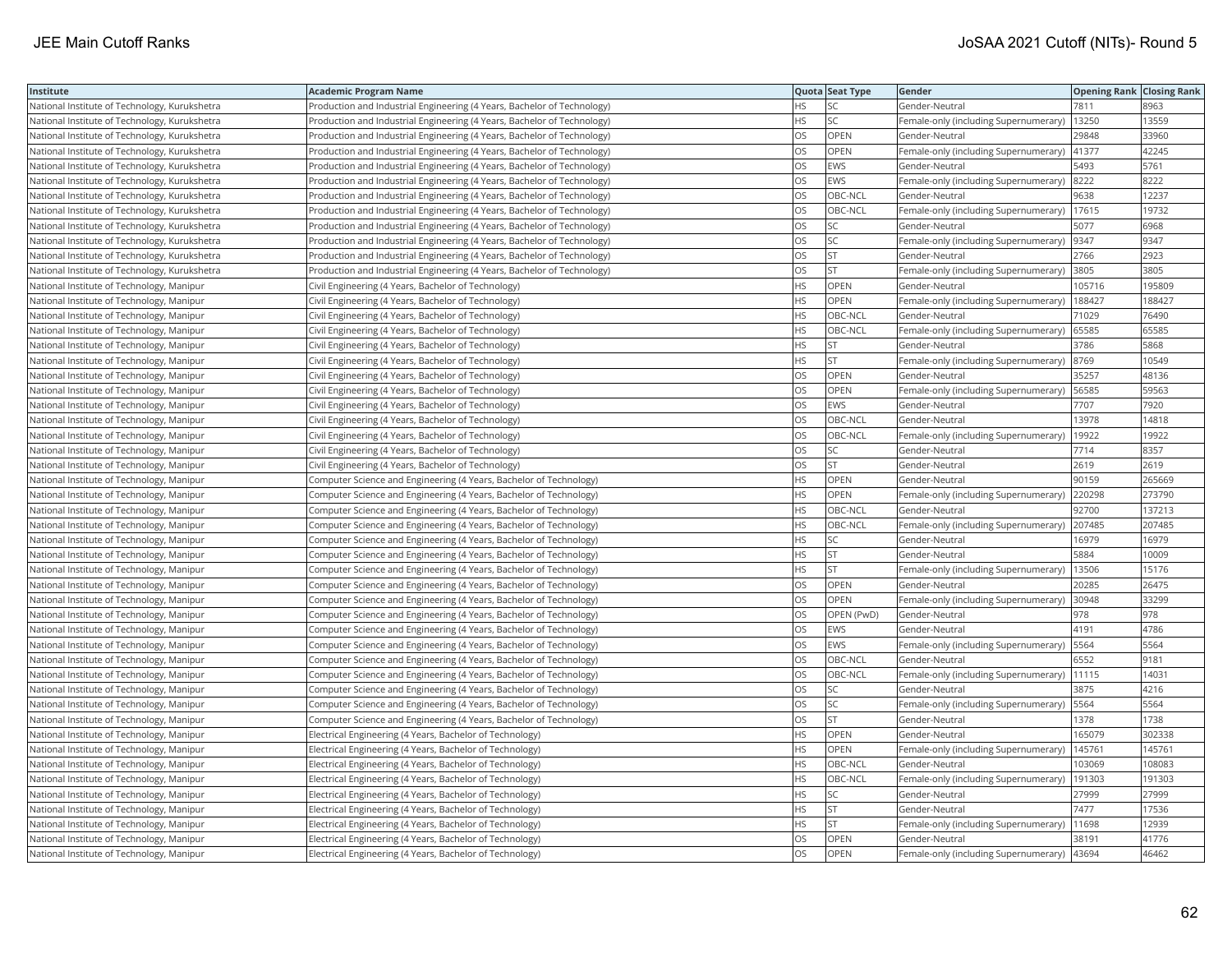| Institute                                     | <b>Academic Program Name</b>                                            |           | Quota Seat Type | Gender                                        | <b>Opening Rank Closing Rank</b> |        |
|-----------------------------------------------|-------------------------------------------------------------------------|-----------|-----------------|-----------------------------------------------|----------------------------------|--------|
| National Institute of Technology, Kurukshetra | Production and Industrial Engineering (4 Years, Bachelor of Technology) | <b>HS</b> | lsc             | Gender-Neutral                                | 7811                             | 8963   |
| National Institute of Technology, Kurukshetra | Production and Industrial Engineering (4 Years, Bachelor of Technology) | <b>HS</b> | lsc             | Female-only (including Supernumerary)         | 13250                            | 13559  |
| National Institute of Technology, Kurukshetra | Production and Industrial Engineering (4 Years, Bachelor of Technology) | OS        | OPEN            | Gender-Neutral                                | 29848                            | 33960  |
| National Institute of Technology, Kurukshetra | Production and Industrial Engineering (4 Years, Bachelor of Technology) | OS        | OPEN            | Female-only (including Supernumerary) 41377   |                                  | 42245  |
| National Institute of Technology, Kurukshetra | Production and Industrial Engineering (4 Years, Bachelor of Technology) | OS        | EWS             | Gender-Neutral                                | 5493                             | 5761   |
| National Institute of Technology, Kurukshetra | Production and Industrial Engineering (4 Years, Bachelor of Technology) | <b>OS</b> | <b>EWS</b>      | Female-only (including Supernumerary)         | 8222                             | 8222   |
| National Institute of Technology, Kurukshetra | Production and Industrial Engineering (4 Years, Bachelor of Technology) | OS        | OBC-NCL         | Gender-Neutral                                | 9638                             | 12237  |
| National Institute of Technology, Kurukshetra | Production and Industrial Engineering (4 Years, Bachelor of Technology) | <b>OS</b> | OBC-NCL         | Female-only (including Supernumerary)         | 17615                            | 19732  |
| National Institute of Technology, Kurukshetra | Production and Industrial Engineering (4 Years, Bachelor of Technology) | OS        | lsc             | Gender-Neutral                                | 5077                             | 6968   |
| National Institute of Technology, Kurukshetra | Production and Industrial Engineering (4 Years, Bachelor of Technology) | OS        | <b>SC</b>       | Female-only (including Supernumerary)         | 9347                             | 9347   |
| National Institute of Technology, Kurukshetra | Production and Industrial Engineering (4 Years, Bachelor of Technology) | OS        | lst             | Gender-Neutral                                | 2766                             | 2923   |
| National Institute of Technology, Kurukshetra | Production and Industrial Engineering (4 Years, Bachelor of Technology) | OS        | <b>ST</b>       | Female-only (including Supernumerary)         | 3805                             | 3805   |
| National Institute of Technology, Manipur     | Civil Engineering (4 Years, Bachelor of Technology)                     | HS        | OPEN            | Gender-Neutral                                | 105716                           | 195809 |
| National Institute of Technology, Manipur     | Civil Engineering (4 Years, Bachelor of Technology)                     | <b>HS</b> | OPEN            | Female-only (including Supernumerary)         | 188427                           | 188427 |
| National Institute of Technology, Manipur     | Civil Engineering (4 Years, Bachelor of Technology)                     | <b>HS</b> | OBC-NCL         | Gender-Neutral                                | 71029                            | 76490  |
| National Institute of Technology, Manipur     | Civil Engineering (4 Years, Bachelor of Technology)                     | <b>HS</b> | OBC-NCL         | Female-only (including Supernumerary)         | 65585                            | 65585  |
| National Institute of Technology, Manipur     | Civil Engineering (4 Years, Bachelor of Technology)                     | <b>HS</b> | <b>ST</b>       | Gender-Neutral                                | 3786                             | 5868   |
| National Institute of Technology, Manipur     | Civil Engineering (4 Years, Bachelor of Technology)                     | <b>HS</b> | lst             | Female-only (including Supernumerary)         | 8769                             | 10549  |
| National Institute of Technology, Manipur     | Civil Engineering (4 Years, Bachelor of Technology)                     | OS        | OPEN            | Gender-Neutral                                | 35257                            | 48136  |
| National Institute of Technology, Manipur     | Civil Engineering (4 Years, Bachelor of Technology)                     | OS        | <b>OPEN</b>     | Female-only (including Supernumerary)   56585 |                                  | 59563  |
| National Institute of Technology, Manipur     | Civil Engineering (4 Years, Bachelor of Technology)                     | OS        | EWS             | Gender-Neutral                                | 7707                             | 7920   |
| National Institute of Technology, Manipur     | Civil Engineering (4 Years, Bachelor of Technology)                     | <b>OS</b> | OBC-NCL         | Gender-Neutral                                | 13978                            | 14818  |
| National Institute of Technology, Manipur     | Civil Engineering (4 Years, Bachelor of Technology)                     | OS        | OBC-NCL         | Female-only (including Supernumerary)         | 19922                            | 19922  |
| National Institute of Technology, Manipur     | Civil Engineering (4 Years, Bachelor of Technology)                     | OS        | SC              | Gender-Neutral                                | 7714                             | 8357   |
| National Institute of Technology, Manipur     | Civil Engineering (4 Years, Bachelor of Technology)                     | OS        | <b>ST</b>       | Gender-Neutral                                | 2619                             | 2619   |
| National Institute of Technology, Manipur     | Computer Science and Engineering (4 Years, Bachelor of Technology)      | <b>HS</b> | OPEN            | Gender-Neutral                                | 90159                            | 265669 |
| National Institute of Technology, Manipur     | Computer Science and Engineering (4 Years, Bachelor of Technology)      | <b>HS</b> | OPEN            | Female-only (including Supernumerary)         | 220298                           | 273790 |
| National Institute of Technology, Manipur     | Computer Science and Engineering (4 Years, Bachelor of Technology)      | <b>HS</b> | OBC-NCL         | Gender-Neutral                                | 92700                            | 137213 |
| National Institute of Technology, Manipur     | Computer Science and Engineering (4 Years, Bachelor of Technology)      | <b>HS</b> | OBC-NCL         | Female-only (including Supernumerary)         | 207485                           | 207485 |
| National Institute of Technology, Manipur     | Computer Science and Engineering (4 Years, Bachelor of Technology)      | HS        | SC              | Gender-Neutral                                | 16979                            | 16979  |
| National Institute of Technology, Manipur     | Computer Science and Engineering (4 Years, Bachelor of Technology)      | HS        | <b>ST</b>       | Gender-Neutral                                | 5884                             | 10009  |
| National Institute of Technology, Manipur     | Computer Science and Engineering (4 Years, Bachelor of Technology)      | <b>HS</b> | lst             | Female-only (including Supernumerary)         | 13506                            | 15176  |
| National Institute of Technology, Manipur     | Computer Science and Engineering (4 Years, Bachelor of Technology)      | OS        | OPEN            | Gender-Neutral                                | 20285                            | 26475  |
| National Institute of Technology, Manipur     | Computer Science and Engineering (4 Years, Bachelor of Technology)      | OS        | OPEN            | Female-only (including Supernumerary)         | 30948                            | 33299  |
| National Institute of Technology, Manipur     | Computer Science and Engineering (4 Years, Bachelor of Technology)      | <b>OS</b> | OPEN (PwD)      | lGender-Neutral                               | 978                              | 978    |
| National Institute of Technology, Manipur     | Computer Science and Engineering (4 Years, Bachelor of Technology)      | <b>OS</b> | <b>EWS</b>      | Gender-Neutral                                | 4191                             | 4786   |
| National Institute of Technology, Manipur     | Computer Science and Engineering (4 Years, Bachelor of Technology)      | OS        | EWS             | Female-only (including Supernumerary)   5564  |                                  | 5564   |
| National Institute of Technology, Manipur     | Computer Science and Engineering (4 Years, Bachelor of Technology)      | OS        | OBC-NCL         | Gender-Neutral                                | 6552                             | 9181   |
| National Institute of Technology, Manipur     | Computer Science and Engineering (4 Years, Bachelor of Technology)      | OS        | OBC-NCL         | Female-only (including Supernumerary)         | 11115                            | 14031  |
| National Institute of Technology, Manipur     | Computer Science and Engineering (4 Years, Bachelor of Technology)      | OS        | SC              | Gender-Neutral                                | 3875                             | 4216   |
| National Institute of Technology, Manipur     | Computer Science and Engineering (4 Years, Bachelor of Technology)      | OS        | SC.             | Female-only (including Supernumerary)         | 5564                             | 5564   |
| National Institute of Technology, Manipur     | Computer Science and Engineering (4 Years, Bachelor of Technology)      | OS        | lst             | Gender-Neutral                                | 1378                             | 1738   |
| National Institute of Technology, Manipur     | Electrical Engineering (4 Years, Bachelor of Technology)                | <b>HS</b> | OPEN            | Gender-Neutral                                | 165079                           | 302338 |
| National Institute of Technology, Manipur     | Electrical Engineering (4 Years, Bachelor of Technology)                | <b>HS</b> | OPEN            | Female-only (including Supernumerary)         | 145761                           | 145761 |
| National Institute of Technology, Manipur     | Electrical Engineering (4 Years, Bachelor of Technology)                | <b>HS</b> | OBC-NCL         | Gender-Neutral                                | 103069                           | 108083 |
| National Institute of Technology, Manipur     | Electrical Engineering (4 Years, Bachelor of Technology)                | <b>HS</b> | OBC-NCL         | Female-only (including Supernumerary)         | 191303                           | 191303 |
| National Institute of Technology, Manipur     | Electrical Engineering (4 Years, Bachelor of Technology)                | <b>HS</b> | SC              | Gender-Neutral                                | 27999                            | 27999  |
| National Institute of Technology, Manipur     | Electrical Engineering (4 Years, Bachelor of Technology)                | HS        | <b>ST</b>       | Gender-Neutral                                | 7477                             | 17536  |
| National Institute of Technology, Manipur     | Electrical Engineering (4 Years, Bachelor of Technology)                | <b>HS</b> | <b>ST</b>       | Female-only (including Supernumerary)         | 11698                            | 12939  |
| National Institute of Technology, Manipur     | Electrical Engineering (4 Years, Bachelor of Technology)                | <b>OS</b> | OPEN            | Gender-Neutral                                | 38191                            | 41776  |
| National Institute of Technology, Manipur     | Electrical Engineering (4 Years, Bachelor of Technology)                | <b>OS</b> | OPEN            | Female-only (including Supernumerary)         | 43694                            | 46462  |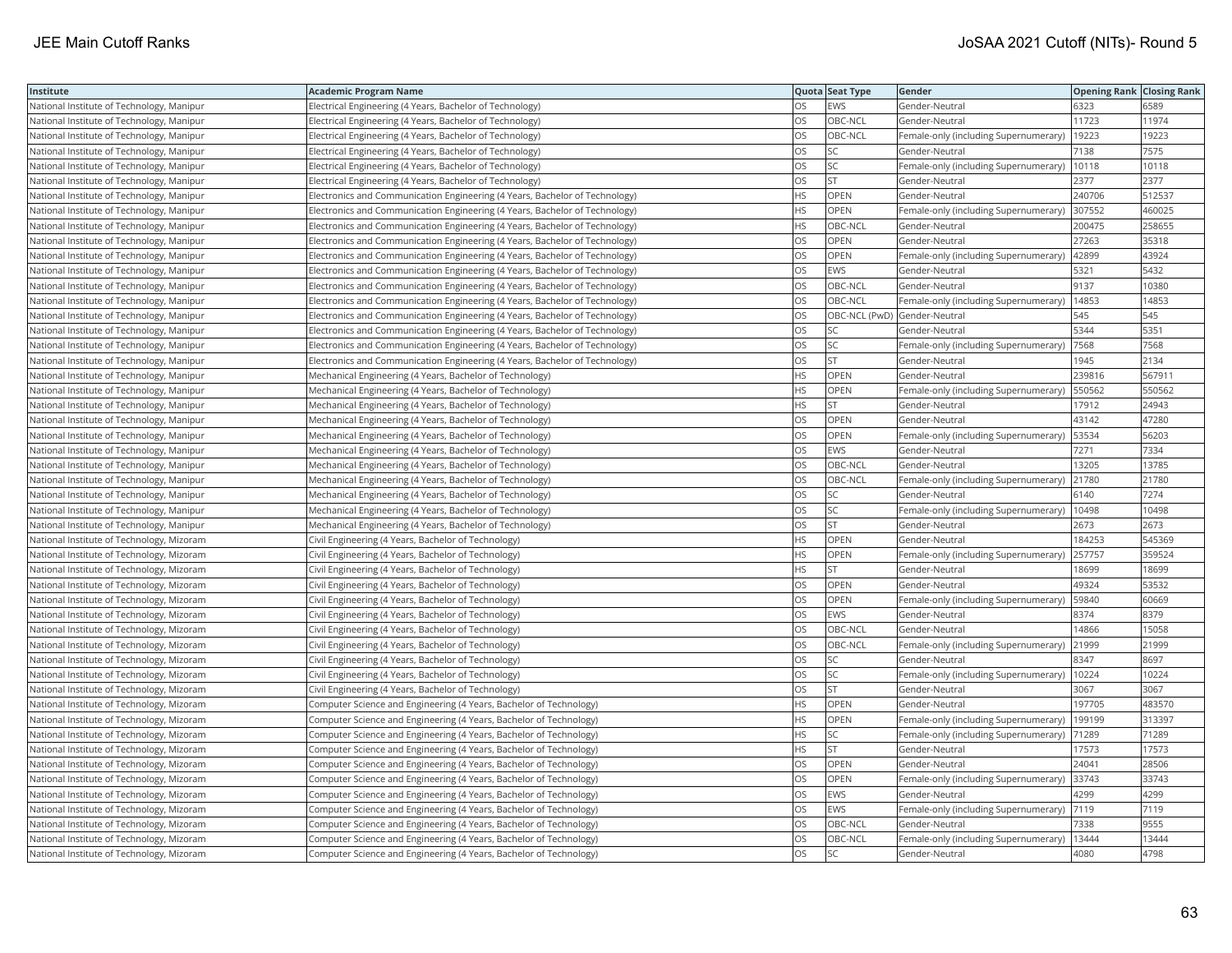| Institute                                 | Academic Program Name                                                       |           | Quota Seat Type              | Gender                                | <b>Opening Rank Closing Rank</b> |        |
|-------------------------------------------|-----------------------------------------------------------------------------|-----------|------------------------------|---------------------------------------|----------------------------------|--------|
| National Institute of Technology, Manipur | Electrical Engineering (4 Years, Bachelor of Technology)                    | OS        | EWS                          | Gender-Neutral                        | 6323                             | 6589   |
| National Institute of Technology, Manipur | Electrical Engineering (4 Years, Bachelor of Technology)                    | OS.       | OBC-NCL                      | Gender-Neutral                        | 11723                            | 11974  |
| National Institute of Technology, Manipur | Electrical Engineering (4 Years, Bachelor of Technology)                    | OS        | OBC-NCL                      | Female-only (including Supernumerary) | 19223                            | 19223  |
| National Institute of Technology, Manipur | Electrical Engineering (4 Years, Bachelor of Technology)                    | OS        | SC                           | Gender-Neutral                        | 7138                             | 7575   |
| National Institute of Technology, Manipur | Electrical Engineering (4 Years, Bachelor of Technology)                    | OS        | SC                           | Female-only (including Supernumerary) | 10118                            | 10118  |
| National Institute of Technology, Manipur | Electrical Engineering (4 Years, Bachelor of Technology)                    | <b>OS</b> | <b>ST</b>                    | Gender-Neutral                        | 2377                             | 2377   |
| National Institute of Technology, Manipur | Electronics and Communication Engineering (4 Years, Bachelor of Technology) | HS        | OPEN                         | Gender-Neutral                        | 240706                           | 512537 |
| National Institute of Technology, Manipur | Electronics and Communication Engineering (4 Years, Bachelor of Technology) | HS        | OPEN                         | Female-only (including Supernumerary) | 307552                           | 460025 |
| National Institute of Technology, Manipur | Electronics and Communication Engineering (4 Years, Bachelor of Technology) | HS.       | OBC-NCL                      | Gender-Neutral                        | 200475                           | 258655 |
| National Institute of Technology, Manipur | Electronics and Communication Engineering (4 Years, Bachelor of Technology) | OS        | OPEN                         | Gender-Neutral                        | 27263                            | 35318  |
| National Institute of Technology, Manipur | Electronics and Communication Engineering (4 Years, Bachelor of Technology) | OS        | OPEN                         | Female-only (including Supernumerary) | 42899                            | 43924  |
| National Institute of Technology, Manipur | Electronics and Communication Engineering (4 Years, Bachelor of Technology) | OS        | EWS                          | Gender-Neutral                        | 5321                             | 5432   |
| National Institute of Technology, Manipur | Electronics and Communication Engineering (4 Years, Bachelor of Technology) | OS        | OBC-NCL                      | Gender-Neutral                        | 9137                             | 10380  |
| National Institute of Technology, Manipur | Electronics and Communication Engineering (4 Years, Bachelor of Technology) | OS        | OBC-NCL                      | Female-only (including Supernumerary) | 14853                            | 14853  |
| National Institute of Technology, Manipur | Electronics and Communication Engineering (4 Years, Bachelor of Technology) | OS        | OBC-NCL (PwD) Gender-Neutral |                                       | 545                              | 545    |
| National Institute of Technology, Manipur | Electronics and Communication Engineering (4 Years, Bachelor of Technology) | OS        | SC                           | Gender-Neutral                        | 5344                             | 5351   |
| National Institute of Technology, Manipur | Electronics and Communication Engineering (4 Years, Bachelor of Technology) | OS        | SC                           | Female-only (including Supernumerary) | 7568                             | 7568   |
| National Institute of Technology, Manipur | Electronics and Communication Engineering (4 Years, Bachelor of Technology) | <b>OS</b> | <b>ST</b>                    | Gender-Neutral                        | 1945                             | 2134   |
| National Institute of Technology, Manipur | Mechanical Engineering (4 Years, Bachelor of Technology)                    | HS        | OPEN                         | Gender-Neutral                        | 239816                           | 567911 |
| National Institute of Technology, Manipur | Mechanical Engineering (4 Years, Bachelor of Technology)                    | HS        | <b>OPEN</b>                  | Female-only (including Supernumerary) | 550562                           | 550562 |
| National Institute of Technology, Manipur | Mechanical Engineering (4 Years, Bachelor of Technology)                    | HS        | <b>ST</b>                    | Gender-Neutral                        | 17912                            | 24943  |
| National Institute of Technology, Manipur | Mechanical Engineering (4 Years, Bachelor of Technology)                    | OS.       | <b>OPEN</b>                  | Gender-Neutral                        | 43142                            | 47280  |
| National Institute of Technology, Manipur | Mechanical Engineering (4 Years, Bachelor of Technology)                    | OS        | OPEN                         | Female-only (including Supernumerary) | 53534                            | 56203  |
| National Institute of Technology, Manipur | Mechanical Engineering (4 Years, Bachelor of Technology)                    | <b>OS</b> | EWS                          | Gender-Neutral                        | 7271                             | 7334   |
| National Institute of Technology, Manipur | Mechanical Engineering (4 Years, Bachelor of Technology)                    | OS        | OBC-NCL                      | Gender-Neutral                        | 13205                            | 13785  |
| National Institute of Technology, Manipur | Mechanical Engineering (4 Years, Bachelor of Technology)                    | OS        | OBC-NCL                      | Female-only (including Supernumerary) | 21780                            | 21780  |
| National Institute of Technology, Manipur | Mechanical Engineering (4 Years, Bachelor of Technology)                    | OS.       | <b>SC</b>                    | Gender-Neutral                        | 6140                             | 7274   |
| National Institute of Technology, Manipur | Mechanical Engineering (4 Years, Bachelor of Technology)                    | OS        | SC                           | Female-only (including Supernumerary) | 10498                            | 10498  |
| National Institute of Technology, Manipur | Mechanical Engineering (4 Years, Bachelor of Technology)                    | OS        | ST                           | Gender-Neutral                        | 2673                             | 2673   |
| National Institute of Technology, Mizoram | Civil Engineering (4 Years, Bachelor of Technology)                         | HS        | OPEN                         | Gender-Neutral                        | 184253                           | 545369 |
| National Institute of Technology, Mizoram | Civil Engineering (4 Years, Bachelor of Technology)                         | HS        | OPEN                         | Female-only (including Supernumerary) | 257757                           | 359524 |
| National Institute of Technology, Mizoram | Civil Engineering (4 Years, Bachelor of Technology)                         | HS.       | <b>ST</b>                    | Gender-Neutral                        | 8699                             | 18699  |
| National Institute of Technology, Mizoram | Civil Engineering (4 Years, Bachelor of Technology)                         | OS        | OPEN                         | Gender-Neutral                        | 49324                            | 53532  |
| National Institute of Technology, Mizoram | Civil Engineering (4 Years, Bachelor of Technology)                         | OS        | OPEN                         | Female-only (including Supernumerary) | 59840                            | 60669  |
| National Institute of Technology, Mizoram | Civil Engineering (4 Years, Bachelor of Technology)                         | OS.       | <b>EWS</b>                   | Gender-Neutral                        | 8374                             | 8379   |
| National Institute of Technology, Mizoram | Civil Engineering (4 Years, Bachelor of Technology)                         | OS        | OBC-NCL                      | Gender-Neutral                        | 14866                            | 15058  |
| National Institute of Technology, Mizoram | Civil Engineering (4 Years, Bachelor of Technology)                         | OS        | OBC-NCL                      | Female-only (including Supernumerary) | 21999                            | 21999  |
| National Institute of Technology, Mizoram | Civil Engineering (4 Years, Bachelor of Technology)                         | OS        | SC                           | Gender-Neutral                        | 8347                             | 8697   |
| National Institute of Technology, Mizoram | Civil Engineering (4 Years, Bachelor of Technology)                         | OS        | SC                           | Female-only (including Supernumerary) | 10224                            | 10224  |
| National Institute of Technology, Mizoram | Civil Engineering (4 Years, Bachelor of Technology)                         | OS        | <b>ST</b>                    | Gender-Neutral                        | 3067                             | 3067   |
| National Institute of Technology, Mizoram | Computer Science and Engineering (4 Years, Bachelor of Technology)          | HS        | OPEN                         | Gender-Neutral                        | 197705                           | 483570 |
| National Institute of Technology, Mizoram | Computer Science and Engineering (4 Years, Bachelor of Technology)          | HS        | OPEN                         | Female-only (including Supernumerary) | 199199                           | 313397 |
| National Institute of Technology, Mizoram | Computer Science and Engineering (4 Years, Bachelor of Technology)          | HS        | <b>SC</b>                    | Female-only (including Supernumerary) | 71289                            | 71289  |
| National Institute of Technology, Mizoram | Computer Science and Engineering (4 Years, Bachelor of Technology)          | HS        | <b>ST</b>                    | Gender-Neutral                        | 17573                            | 17573  |
| National Institute of Technology, Mizoram | Computer Science and Engineering (4 Years, Bachelor of Technology)          | OS        | OPEN                         | Gender-Neutral                        | 24041                            | 28506  |
| National Institute of Technology, Mizoram | Computer Science and Engineering (4 Years, Bachelor of Technology)          | OS        | OPEN                         | Female-only (including Supernumerary) | 33743                            | 33743  |
| National Institute of Technology, Mizoram | Computer Science and Engineering (4 Years, Bachelor of Technology)          | <b>OS</b> | <b>EWS</b>                   | Gender-Neutral                        | 4299                             | 4299   |
| National Institute of Technology, Mizoram | Computer Science and Engineering (4 Years, Bachelor of Technology)          | OS        | EWS                          | Female-only (including Supernumerary) | 7119                             | 7119   |
| National Institute of Technology, Mizoram | Computer Science and Engineering (4 Years, Bachelor of Technology)          | OS        | OBC-NCL                      | Gender-Neutral                        | 7338                             | 9555   |
| National Institute of Technology, Mizoram | Computer Science and Engineering (4 Years, Bachelor of Technology)          | OS.       | OBC-NCL                      | Female-only (including Supernumerary) | 13444                            | 13444  |
| National Institute of Technology, Mizoram | Computer Science and Engineering (4 Years, Bachelor of Technology)          | <b>OS</b> | <b>SC</b>                    | Gender-Neutral                        | 4080                             | 4798   |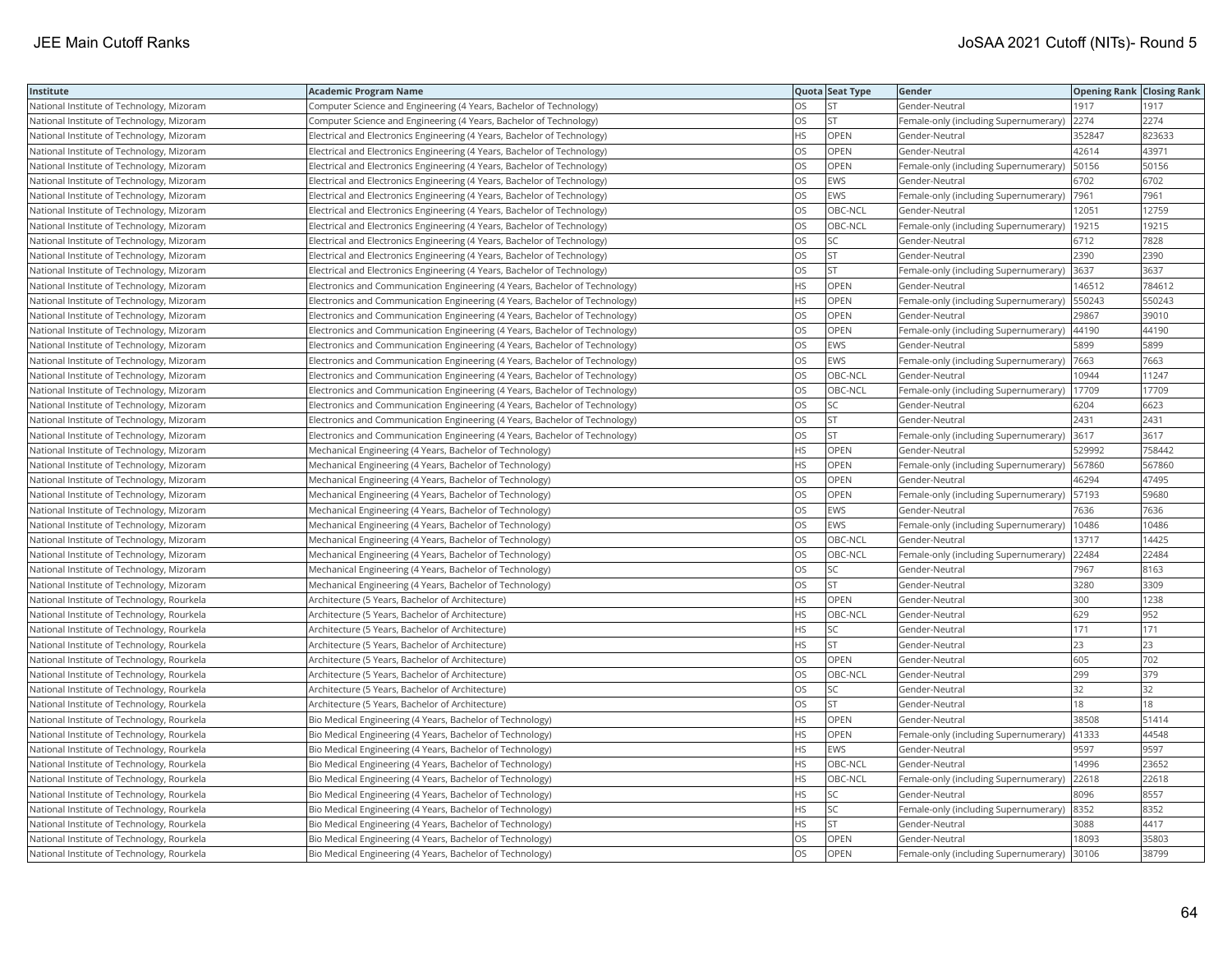| Institute                                  | <b>Academic Program Name</b>                                                |           | Quota Seat Type | Gender                                      | <b>Opening Rank Closing Rank</b> |        |
|--------------------------------------------|-----------------------------------------------------------------------------|-----------|-----------------|---------------------------------------------|----------------------------------|--------|
| National Institute of Technology, Mizoram  | Computer Science and Engineering (4 Years, Bachelor of Technology)          | OS        | <b>ST</b>       | Gender-Neutral                              | 1917                             | 1917   |
| National Institute of Technology, Mizoram  | Computer Science and Engineering (4 Years, Bachelor of Technology)          | OS        | <b>ST</b>       | Female-only (including Supernumerary)       | 2274                             | 2274   |
| National Institute of Technology, Mizoram  | Electrical and Electronics Engineering (4 Years, Bachelor of Technology)    | <b>HS</b> | OPEN            | Gender-Neutral                              | 352847                           | 823633 |
| National Institute of Technology, Mizoram  | Electrical and Electronics Engineering (4 Years, Bachelor of Technology)    | OS        | OPEN            | Gender-Neutral                              | 42614                            | 43971  |
| National Institute of Technology, Mizoram  | Electrical and Electronics Engineering (4 Years, Bachelor of Technology)    | OS        | OPEN            | Female-only (including Supernumerary)       | 50156                            | 50156  |
| National Institute of Technology, Mizoram  | Electrical and Electronics Engineering (4 Years, Bachelor of Technology)    | OS        | EWS             | Gender-Neutral                              | 6702                             | 6702   |
| National Institute of Technology, Mizoram  | Electrical and Electronics Engineering (4 Years, Bachelor of Technology)    | OS        | EWS             | Female-only (including Supernumerary)  7961 |                                  | 7961   |
| National Institute of Technology, Mizoram  | Electrical and Electronics Engineering (4 Years, Bachelor of Technology)    | OS        | OBC-NCL         | Gender-Neutral                              | 12051                            | 12759  |
| National Institute of Technology, Mizoram  | Electrical and Electronics Engineering (4 Years, Bachelor of Technology)    | OS        | OBC-NCL         | Female-only (including Supernumerary)       | 19215                            | 19215  |
| National Institute of Technology, Mizoram  | Electrical and Electronics Engineering (4 Years, Bachelor of Technology)    | OS        | <b>SC</b>       | Gender-Neutral                              | 6712                             | 7828   |
| National Institute of Technology, Mizoram  | Electrical and Electronics Engineering (4 Years, Bachelor of Technology)    | <b>OS</b> | <b>ST</b>       | Gender-Neutral                              | 2390                             | 2390   |
| National Institute of Technology, Mizoram  | Electrical and Electronics Engineering (4 Years, Bachelor of Technology)    | OS        | <b>ST</b>       | Female-only (including Supernumerary)       | 3637                             | 3637   |
| National Institute of Technology, Mizoram  | Electronics and Communication Engineering (4 Years, Bachelor of Technology) | HS        | <b>OPEN</b>     | Gender-Neutral                              | 146512                           | 784612 |
| National Institute of Technology, Mizoram  | Electronics and Communication Engineering (4 Years, Bachelor of Technology) | HS        | OPEN            | Female-only (including Supernumerary)       | 550243                           | 550243 |
| National Institute of Technology, Mizoram  | Electronics and Communication Engineering (4 Years, Bachelor of Technology) | OS        | OPEN            | Gender-Neutral                              | 29867                            | 39010  |
| National Institute of Technology, Mizoram  | Electronics and Communication Engineering (4 Years, Bachelor of Technology) | OS        | OPEN            | Female-only (including Supernumerary)       | 44190                            | 44190  |
| National Institute of Technology, Mizoram  | Electronics and Communication Engineering (4 Years, Bachelor of Technology) | OS        | EWS             | Gender-Neutral                              | 5899                             | 5899   |
| National Institute of Technology, Mizoram  | Electronics and Communication Engineering (4 Years, Bachelor of Technology) | OS        | <b>EWS</b>      | Female-only (including Supernumerary)       | 7663                             | 7663   |
| National Institute of Technology, Mizoram  | Electronics and Communication Engineering (4 Years, Bachelor of Technology) | OS        | OBC-NCL         | Gender-Neutral                              | 10944                            | 11247  |
| National Institute of Technology, Mizoram  | Electronics and Communication Engineering (4 Years, Bachelor of Technology) | OS        | OBC-NCL         | Female-only (including Supernumerary)       | 17709                            | 17709  |
| National Institute of Technology, Mizoram  | Electronics and Communication Engineering (4 Years, Bachelor of Technology) | OS        | <b>SC</b>       | Gender-Neutral                              | 6204                             | 6623   |
| National Institute of Technology, Mizoram  | Electronics and Communication Engineering (4 Years, Bachelor of Technology) | OS        | <b>ST</b>       | Gender-Neutral                              | 2431                             | 2431   |
| National Institute of Technology, Mizoram  | Electronics and Communication Engineering (4 Years, Bachelor of Technology) | OS        | <b>ST</b>       | Female-only (including Supernumerary) 3617  |                                  | 3617   |
| National Institute of Technology, Mizoram  | Mechanical Engineering (4 Years, Bachelor of Technology)                    | <b>HS</b> | <b>OPEN</b>     | Gender-Neutral                              | 529992                           | 758442 |
| National Institute of Technology, Mizoram  | Mechanical Engineering (4 Years, Bachelor of Technology)                    | HS        | OPEN            | Female-only (including Supernumerary)       | 567860                           | 567860 |
| National Institute of Technology, Mizoram  | Mechanical Engineering (4 Years, Bachelor of Technology)                    | OS        | OPEN            | Gender-Neutral                              | 46294                            | 47495  |
| National Institute of Technology, Mizoram  | Mechanical Engineering (4 Years, Bachelor of Technology)                    | OS        | OPEN            | Female-only (including Supernumerary)       | 57193                            | 59680  |
| National Institute of Technology, Mizoram  | Mechanical Engineering (4 Years, Bachelor of Technology)                    | OS        | <b>EWS</b>      | Gender-Neutral                              | 7636                             | 7636   |
| National Institute of Technology, Mizoram  | Mechanical Engineering (4 Years, Bachelor of Technology)                    | OS        | <b>EWS</b>      | Female-only (including Supernumerary)       | 10486                            | 10486  |
| National Institute of Technology, Mizoram  | Mechanical Engineering (4 Years, Bachelor of Technology)                    | OS        | OBC-NCL         | Gender-Neutral                              | 13717                            | 14425  |
| National Institute of Technology, Mizoram  | Mechanical Engineering (4 Years, Bachelor of Technology)                    | OS        | OBC-NCL         | Female-only (including Supernumerary) 22484 |                                  | 22484  |
| National Institute of Technology, Mizoram  | Mechanical Engineering (4 Years, Bachelor of Technology)                    | OS        | SC              | Gender-Neutral                              | 7967                             | 8163   |
| National Institute of Technology, Mizoram  | Mechanical Engineering (4 Years, Bachelor of Technology)                    | OS        | <b>ST</b>       | Gender-Neutral                              | 3280                             | 3309   |
| National Institute of Technology, Rourkela | Architecture (5 Years, Bachelor of Architecture)                            | HS        | OPEN            | Gender-Neutral                              | 300                              | 1238   |
| National Institute of Technology, Rourkela | Architecture (5 Years, Bachelor of Architecture)                            | HS        | OBC-NCL         | Gender-Neutral                              | 629                              | 952    |
| National Institute of Technology, Rourkela | Architecture (5 Years, Bachelor of Architecture)                            | <b>HS</b> | <b>SC</b>       | Gender-Neutral                              | 171                              | 171    |
| National Institute of Technology, Rourkela | Architecture (5 Years, Bachelor of Architecture)                            | HS        | <b>ST</b>       | Gender-Neutral                              | 23                               | 23     |
| National Institute of Technology, Rourkela | Architecture (5 Years, Bachelor of Architecture)                            | OS        | OPEN            | Gender-Neutral                              | 605                              | 702    |
| National Institute of Technology, Rourkela | Architecture (5 Years, Bachelor of Architecture)                            | OS        | OBC-NCL         | Gender-Neutral                              | 299                              | 379    |
| National Institute of Technology, Rourkela | Architecture (5 Years, Bachelor of Architecture)                            | OS        | SC              | Gender-Neutral                              | 32                               | 32     |
| National Institute of Technology, Rourkela | Architecture (5 Years, Bachelor of Architecture)                            | OS        | <b>ST</b>       | Gender-Neutral                              | 18                               | 18     |
| National Institute of Technology, Rourkela | Bio Medical Engineering (4 Years, Bachelor of Technology)                   | <b>HS</b> | OPEN            | Gender-Neutral                              | 38508                            | 51414  |
| National Institute of Technology, Rourkela | Bio Medical Engineering (4 Years, Bachelor of Technology)                   | HS        | <b>OPEN</b>     | Female-only (including Supernumerary)       | 41333                            | 44548  |
| National Institute of Technology, Rourkela | Bio Medical Engineering (4 Years, Bachelor of Technology)                   | <b>HS</b> | <b>EWS</b>      | Gender-Neutral                              | 9597                             | 9597   |
| National Institute of Technology, Rourkela | Bio Medical Engineering (4 Years, Bachelor of Technology)                   | HS.       | OBC-NCL         | Gender-Neutral                              | 14996                            | 23652  |
| National Institute of Technology, Rourkela | Bio Medical Engineering (4 Years, Bachelor of Technology)                   | <b>HS</b> | OBC-NCL         | Female-only (including Supernumerary)       | 22618                            | 22618  |
| National Institute of Technology, Rourkela | Bio Medical Engineering (4 Years, Bachelor of Technology)                   | ΗS        | <b>SC</b>       | Gender-Neutral                              | 8096                             | 8557   |
| National Institute of Technology, Rourkela | Bio Medical Engineering (4 Years, Bachelor of Technology)                   | НS        | <b>SC</b>       | Female-only (including Supernumerary) 8352  |                                  | 8352   |
| National Institute of Technology, Rourkela | Bio Medical Engineering (4 Years, Bachelor of Technology)                   | HS        | <b>ST</b>       | Gender-Neutral                              | 3088                             | 4417   |
| National Institute of Technology, Rourkela | Bio Medical Engineering (4 Years, Bachelor of Technology)                   | OS        | OPEN            | Gender-Neutral                              | 18093                            | 35803  |
| National Institute of Technology, Rourkela | Bio Medical Engineering (4 Years, Bachelor of Technology)                   | <b>OS</b> | <b>OPEN</b>     | Female-only (including Supernumerary) 30106 |                                  | 38799  |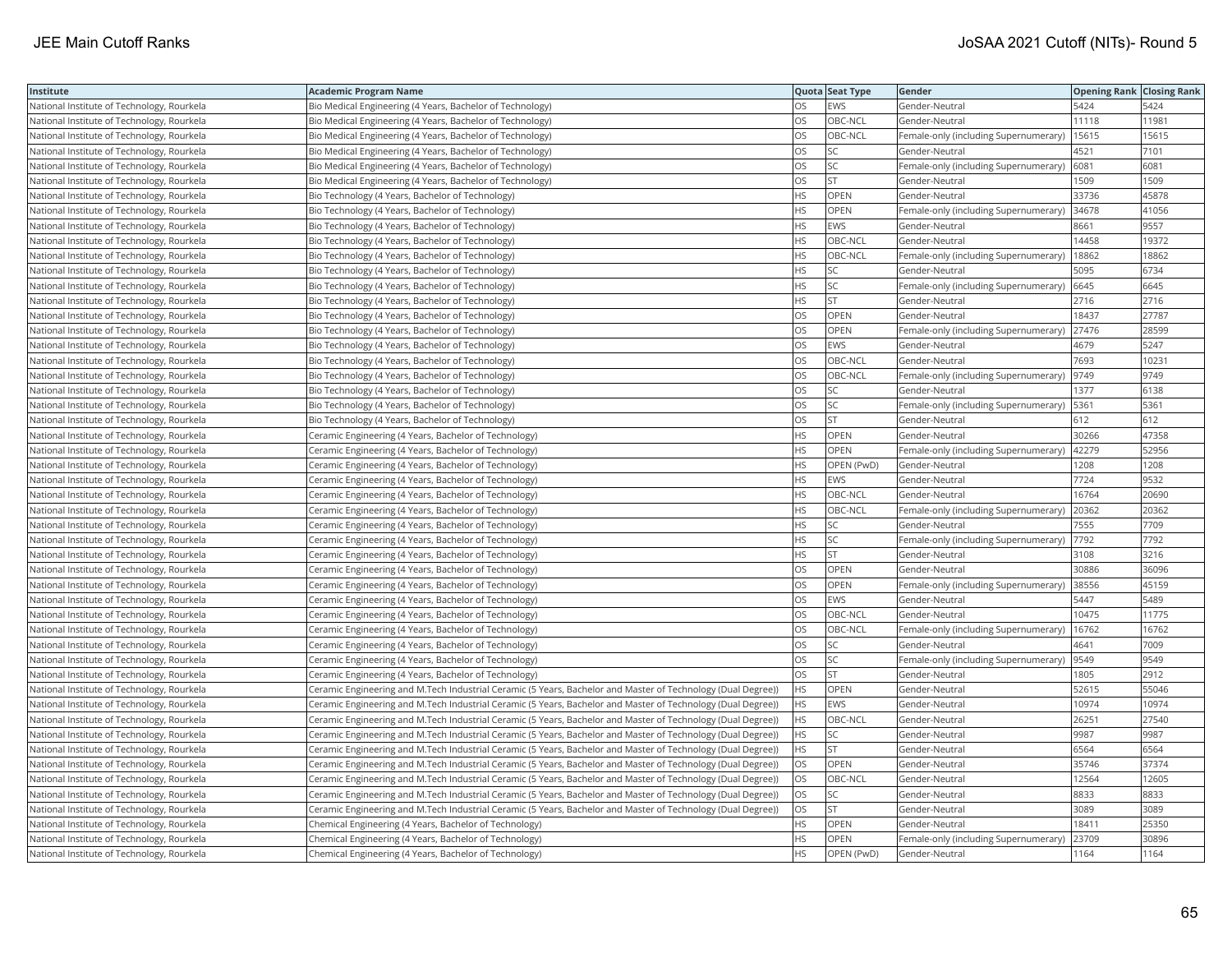| Institute                                  | Academic Program Name                                                                                         |           | Quota Seat Type | Gender                                     | <b>Opening Rank Closing Rank</b> |       |
|--------------------------------------------|---------------------------------------------------------------------------------------------------------------|-----------|-----------------|--------------------------------------------|----------------------------------|-------|
| National Institute of Technology, Rourkela | Bio Medical Engineering (4 Years, Bachelor of Technology)                                                     | OS.       | EWS             | Gender-Neutral                             | 5424                             | 5424  |
| National Institute of Technology, Rourkela | Bio Medical Engineering (4 Years, Bachelor of Technology)                                                     | OS        | OBC-NCL         | Gender-Neutral                             | 11118                            | 11981 |
| National Institute of Technology, Rourkela | Bio Medical Engineering (4 Years, Bachelor of Technology)                                                     | OS        | OBC-NCL         | Female-only (including Supernumerary)      | 15615                            | 15615 |
| National Institute of Technology, Rourkela | Bio Medical Engineering (4 Years, Bachelor of Technology)                                                     | OS        | SC              | Gender-Neutral                             | 4521                             | 7101  |
| National Institute of Technology, Rourkela | Bio Medical Engineering (4 Years, Bachelor of Technology)                                                     | OS        | SC              | Female-only (including Supernumerary)      | 6081                             | 6081  |
| National Institute of Technology, Rourkela | Bio Medical Engineering (4 Years, Bachelor of Technology)                                                     | OS        | <b>ST</b>       | Gender-Neutral                             | 1509                             | 1509  |
| National Institute of Technology, Rourkela | Bio Technology (4 Years, Bachelor of Technology)                                                              | HS.       | <b>OPEN</b>     | Gender-Neutral                             | 33736                            | 45878 |
| National Institute of Technology, Rourkela | Bio Technology (4 Years, Bachelor of Technology)                                                              | HS        | OPEN            | Female-only (including Supernumerary)      | 34678                            | 41056 |
| National Institute of Technology, Rourkela | Bio Technology (4 Years, Bachelor of Technology)                                                              | <b>HS</b> | EWS             | Gender-Neutral                             | 8661                             | 9557  |
| National Institute of Technology, Rourkela | Bio Technology (4 Years, Bachelor of Technology)                                                              | HS        | OBC-NCL         | Gender-Neutral                             | 14458                            | 19372 |
| National Institute of Technology, Rourkela | Bio Technology (4 Years, Bachelor of Technology)                                                              | HS        | OBC-NCL         | Female-only (including Supernumerary)      | 18862                            | 18862 |
| National Institute of Technology, Rourkela | Bio Technology (4 Years, Bachelor of Technology)                                                              | HS        | <b>SC</b>       | Gender-Neutral                             | 5095                             | 6734  |
| National Institute of Technology, Rourkela | Bio Technology (4 Years, Bachelor of Technology)                                                              | HS        | SC              | Female-only (including Supernumerary) 6645 |                                  | 6645  |
| National Institute of Technology, Rourkela | Bio Technology (4 Years, Bachelor of Technology)                                                              | HS        | <b>ST</b>       | Gender-Neutral                             | 2716                             | 2716  |
| National Institute of Technology, Rourkela | Bio Technology (4 Years, Bachelor of Technology)                                                              | OS.       | <b>OPEN</b>     | Gender-Neutral                             | 18437                            | 27787 |
| National Institute of Technology, Rourkela | Bio Technology (4 Years, Bachelor of Technology)                                                              | OS        | OPEN            | Female-only (including Supernumerary)      | 27476                            | 28599 |
| National Institute of Technology, Rourkela | Bio Technology (4 Years, Bachelor of Technology)                                                              | OS        | EWS             | Gender-Neutral                             | 4679                             | 5247  |
| National Institute of Technology, Rourkela | Bio Technology (4 Years, Bachelor of Technology)                                                              | OS        | OBC-NCL         | Gender-Neutral                             | 7693                             | 10231 |
| National Institute of Technology, Rourkela | Bio Technology (4 Years, Bachelor of Technology)                                                              | OS.       | OBC-NCL         | Female-only (including Supernumerary)      | 9749                             | 9749  |
| National Institute of Technology, Rourkela | Bio Technology (4 Years, Bachelor of Technology)                                                              | OS        | SC              | Gender-Neutral                             | 1377                             | 6138  |
| National Institute of Technology, Rourkela | Bio Technology (4 Years, Bachelor of Technology)                                                              | OS        | SC              | Female-only (including Supernumerary)      | 5361                             | 5361  |
| National Institute of Technology, Rourkela | Bio Technology (4 Years, Bachelor of Technology)                                                              | OS        | <b>ST</b>       | Gender-Neutral                             | 612                              | 612   |
| National Institute of Technology, Rourkela | Ceramic Engineering (4 Years, Bachelor of Technology)                                                         | ΗS        | OPEN            | Gender-Neutral                             | 30266                            | 47358 |
| National Institute of Technology, Rourkela | Ceramic Engineering (4 Years, Bachelor of Technology)                                                         | HS        | OPEN            | Female-only (including Supernumerary)      | 42279                            | 52956 |
| National Institute of Technology, Rourkela | Ceramic Engineering (4 Years, Bachelor of Technology)                                                         | HS        | OPEN (PwD)      | Gender-Neutral                             | 1208                             | 1208  |
| National Institute of Technology, Rourkela | Ceramic Engineering (4 Years, Bachelor of Technology)                                                         | HS        | EWS             | Gender-Neutral                             | 7724                             | 9532  |
| National Institute of Technology, Rourkela | Ceramic Engineering (4 Years, Bachelor of Technology)                                                         | <b>HS</b> | OBC-NCL         | Gender-Neutral                             | 16764                            | 20690 |
| National Institute of Technology, Rourkela | Ceramic Engineering (4 Years, Bachelor of Technology)                                                         | HS        | OBC-NCL         | Female-only (including Supernumerary)      | 20362                            | 20362 |
| National Institute of Technology, Rourkela | Ceramic Engineering (4 Years, Bachelor of Technology)                                                         | HS        | SC              | Gender-Neutral                             | 7555                             | 7709  |
| National Institute of Technology, Rourkela | Ceramic Engineering (4 Years, Bachelor of Technology)                                                         | НS        | SC              | Female-only (including Supernumerary)      | 7792                             | 7792  |
| National Institute of Technology, Rourkela | Ceramic Engineering (4 Years, Bachelor of Technology)                                                         | HS        | <b>ST</b>       | Gender-Neutral                             | 3108                             | 3216  |
| National Institute of Technology, Rourkela | Ceramic Engineering (4 Years, Bachelor of Technology)                                                         | OS        | OPEN            | Gender-Neutral                             | 30886                            | 36096 |
| National Institute of Technology, Rourkela | Ceramic Engineering (4 Years, Bachelor of Technology)                                                         | OS        | OPEN            | Female-only (including Supernumerary)      | 38556                            | 45159 |
| National Institute of Technology, Rourkela | Ceramic Engineering (4 Years, Bachelor of Technology)                                                         | OS        | EWS             | Gender-Neutral                             | 5447                             | 5489  |
| National Institute of Technology, Rourkela | Ceramic Engineering (4 Years, Bachelor of Technology)                                                         | OS        | OBC-NCL         | Gender-Neutral                             | 10475                            | 11775 |
| National Institute of Technology, Rourkela | Ceramic Engineering (4 Years, Bachelor of Technology)                                                         | OS        | OBC-NCL         | Female-only (including Supernumerary)      | 16762                            | 16762 |
| National Institute of Technology, Rourkela | Ceramic Engineering (4 Years, Bachelor of Technology)                                                         | OS        | <b>SC</b>       | Gender-Neutral                             | 4641                             | 7009  |
| National Institute of Technology, Rourkela | Ceramic Engineering (4 Years, Bachelor of Technology)                                                         | OS        | SC.             | Female-only (including Supernumerary)      | 9549                             | 9549  |
| National Institute of Technology, Rourkela | Ceramic Engineering (4 Years, Bachelor of Technology)                                                         | OS        | <b>ST</b>       | Gender-Neutral                             | 1805                             | 2912  |
| National Institute of Technology, Rourkela | (Ceramic Engineering and M.Tech Industrial Ceramic (5 Years, Bachelor and Master of Technology (Dual Degree)) | HS.       | <b>OPEN</b>     | Gender-Neutral                             | 52615                            | 55046 |
| National Institute of Technology, Rourkela | (Ceramic Engineering and M.Tech Industrial Ceramic (5 Years, Bachelor and Master of Technology (Dual Degree)) | HS        | EWS             | Gender-Neutral                             | 10974                            | 10974 |
| National Institute of Technology, Rourkela | (Ceramic Engineering and M.Tech Industrial Ceramic (5 Years, Bachelor and Master of Technology (Dual Degree)) | ΗS        | OBC-NCL         | Gender-Neutral                             | 26251                            | 27540 |
| National Institute of Technology, Rourkela | (Ceramic Engineering and M.Tech Industrial Ceramic (5 Years, Bachelor and Master of Technology (Dual Degree)) | HS.       | <b>SC</b>       | Gender-Neutral                             | 9987                             | 9987  |
| National Institute of Technology, Rourkela | (Ceramic Engineering and M.Tech Industrial Ceramic (5 Years, Bachelor and Master of Technology (Dual Degree)) | HS        | <b>ST</b>       | Gender-Neutral                             | 6564                             | 6564  |
| National Institute of Technology, Rourkela | (Ceramic Engineering and M.Tech Industrial Ceramic (5 Years, Bachelor and Master of Technology (Dual Degree)) | OS.       | <b>OPEN</b>     | Gender-Neutral                             | 35746                            | 37374 |
| National Institute of Technology, Rourkela | (Ceramic Engineering and M.Tech Industrial Ceramic (5 Years, Bachelor and Master of Technology (Dual Degree)) | OS        | OBC-NCL         | Gender-Neutral                             | 12564                            | 12605 |
| National Institute of Technology, Rourkela | (Ceramic Engineering and M.Tech Industrial Ceramic (5 Years, Bachelor and Master of Technology (Dual Degree)) | OS        | SC              | Gender-Neutral                             | 8833                             | 8833  |
| National Institute of Technology, Rourkela | (Ceramic Engineering and M.Tech Industrial Ceramic (5 Years, Bachelor and Master of Technology (Dual Degree)) | OS        | <b>ST</b>       | Gender-Neutral                             | 3089                             | 3089  |
| National Institute of Technology, Rourkela | Chemical Engineering (4 Years, Bachelor of Technology)                                                        | ΗS        | OPEN            | Gender-Neutral                             | 18411                            | 25350 |
| National Institute of Technology, Rourkela | Chemical Engineering (4 Years, Bachelor of Technology)                                                        | <b>HS</b> | OPEN            | Female-only (including Supernumerary)      | 23709                            | 30896 |
| National Institute of Technology, Rourkela | Chemical Engineering (4 Years, Bachelor of Technology)                                                        | <b>HS</b> | OPEN (PwD)      | Gender-Neutral                             | 1164                             | 1164  |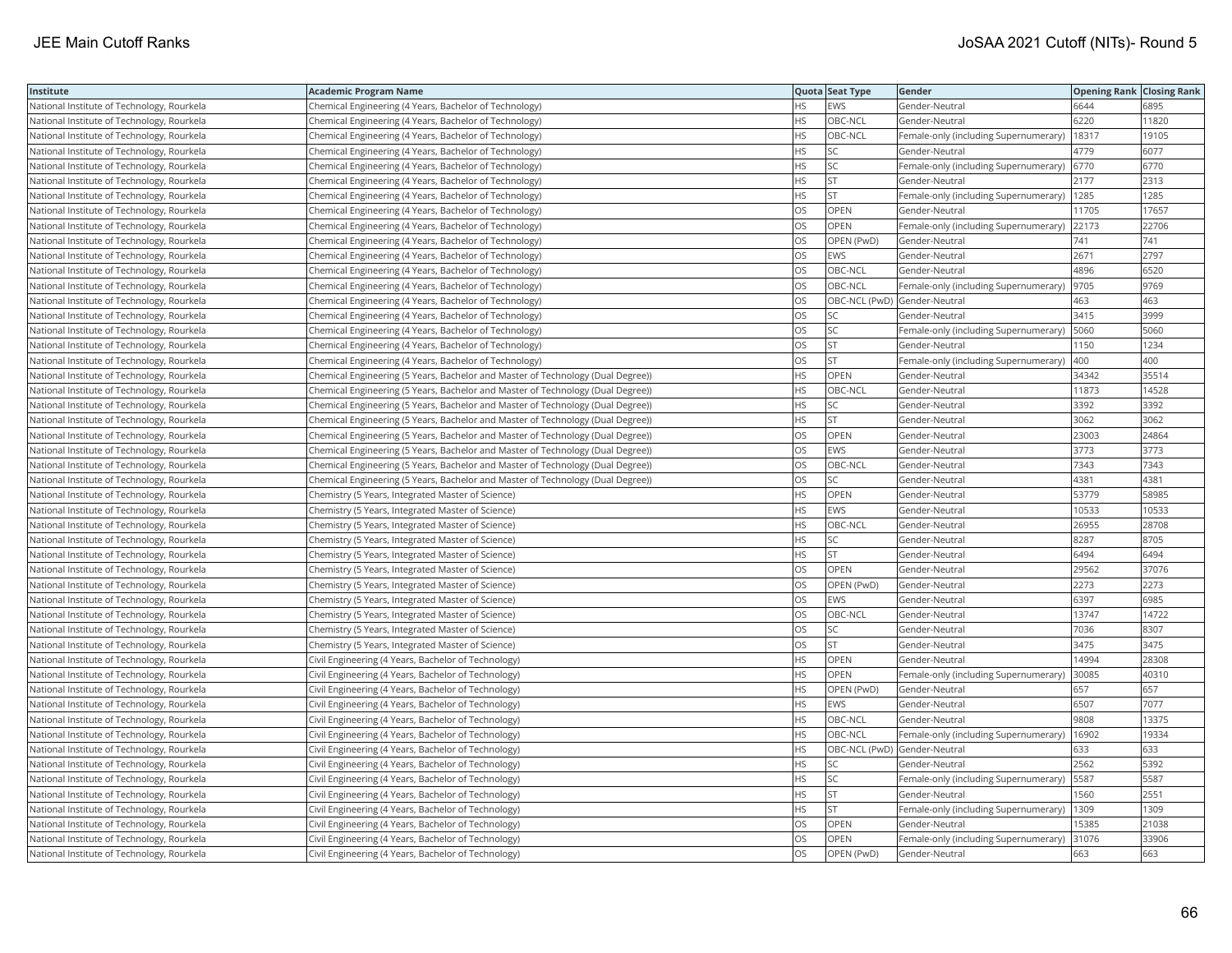| Institute                                  | <b>Academic Program Name</b>                                                    |           | Quota Seat Type              | Gender                                       | <b>Opening Rank Closing Rank</b> |       |
|--------------------------------------------|---------------------------------------------------------------------------------|-----------|------------------------------|----------------------------------------------|----------------------------------|-------|
| National Institute of Technology, Rourkela | Chemical Engineering (4 Years, Bachelor of Technology)                          | HS        | <b>EWS</b>                   | Gender-Neutral                               | 6644                             | 6895  |
| National Institute of Technology, Rourkela | Chemical Engineering (4 Years, Bachelor of Technology)                          | <b>HS</b> | OBC-NCL                      | Gender-Neutral                               | 6220                             | 11820 |
| National Institute of Technology, Rourkela | Chemical Engineering (4 Years, Bachelor of Technology)                          | HS.       | OBC-NCL                      | Female-only (including Supernumerary)        | 18317                            | 19105 |
| National Institute of Technology, Rourkela | Chemical Engineering (4 Years, Bachelor of Technology)                          | HS        | SC                           | Gender-Neutral                               | 4779                             | 6077  |
| National Institute of Technology, Rourkela | Chemical Engineering (4 Years, Bachelor of Technology)                          | HS.       | SC                           | Female-only (including Supernumerary) 6770   |                                  | 6770  |
| National Institute of Technology, Rourkela | Chemical Engineering (4 Years, Bachelor of Technology)                          | ΗS        | <b>ST</b>                    | Gender-Neutral                               | 2177                             | 2313  |
| National Institute of Technology, Rourkela | Chemical Engineering (4 Years, Bachelor of Technology)                          | ΗS        | <b>ST</b>                    | Female-only (including Supernumerary)   1285 |                                  | 1285  |
| National Institute of Technology, Rourkela | Chemical Engineering (4 Years, Bachelor of Technology)                          | OS        | OPEN                         | Gender-Neutral                               | 11705                            | 17657 |
| National Institute of Technology, Rourkela | Chemical Engineering (4 Years, Bachelor of Technology)                          | OS        | OPEN                         | Female-only (including Supernumerary)        | 22173                            | 22706 |
| National Institute of Technology, Rourkela | Chemical Engineering (4 Years, Bachelor of Technology)                          | OS        | OPEN (PwD)                   | Gender-Neutral                               | 741                              | 741   |
| National Institute of Technology, Rourkela | Chemical Engineering (4 Years, Bachelor of Technology)                          | OS        | <b>EWS</b>                   | Gender-Neutral                               | 2671                             | 2797  |
| National Institute of Technology, Rourkela | Chemical Engineering (4 Years, Bachelor of Technology)                          | OS        | OBC-NCL                      | Gender-Neutral                               | 4896                             | 6520  |
| National Institute of Technology, Rourkela | Chemical Engineering (4 Years, Bachelor of Technology)                          | OS        | OBC-NCL                      | Female-only (including Supernumerary)  9705  |                                  | 9769  |
| National Institute of Technology, Rourkela | Chemical Engineering (4 Years, Bachelor of Technology)                          | OS        | OBC-NCL (PwD) Gender-Neutral |                                              | 463                              | 463   |
| National Institute of Technology, Rourkela | Chemical Engineering (4 Years, Bachelor of Technology)                          | OS        | SC                           | Gender-Neutral                               | 3415                             | 3999  |
| National Institute of Technology, Rourkela | Chemical Engineering (4 Years, Bachelor of Technology)                          | ΟS        | SC                           | Female-only (including Supernumerary)        | 5060                             | 5060  |
| National Institute of Technology, Rourkela | Chemical Engineering (4 Years, Bachelor of Technology)                          | OS        | <b>ST</b>                    | Gender-Neutral                               | 1150                             | 1234  |
| National Institute of Technology, Rourkela | Chemical Engineering (4 Years, Bachelor of Technology)                          | OS        | <b>ST</b>                    | Female-only (including Supernumerary)        | 400                              | 400   |
| National Institute of Technology, Rourkela | Chemical Engineering (5 Years, Bachelor and Master of Technology (Dual Degree)) | HS        | OPEN                         | Gender-Neutral                               | 34342                            | 35514 |
| National Institute of Technology, Rourkela | Chemical Engineering (5 Years, Bachelor and Master of Technology (Dual Degree)) | HS        | OBC-NCL                      | Gender-Neutral                               | 11873                            | 14528 |
| National Institute of Technology, Rourkela | Chemical Engineering (5 Years, Bachelor and Master of Technology (Dual Degree)) | HS        | SC                           | Gender-Neutral                               | 3392                             | 3392  |
| National Institute of Technology, Rourkela | Chemical Engineering (5 Years, Bachelor and Master of Technology (Dual Degree)) | HS        | <b>ST</b>                    | Gender-Neutral                               | 3062                             | 3062  |
| National Institute of Technology, Rourkela | Chemical Engineering (5 Years, Bachelor and Master of Technology (Dual Degree)) | OS        | <b>OPEN</b>                  | Gender-Neutral                               | 23003                            | 24864 |
| National Institute of Technology, Rourkela | Chemical Engineering (5 Years, Bachelor and Master of Technology (Dual Degree)) | OS        | <b>EWS</b>                   | Gender-Neutral                               | 3773                             | 3773  |
| National Institute of Technology, Rourkela | Chemical Engineering (5 Years, Bachelor and Master of Technology (Dual Degree)) | OS        | OBC-NCL                      | Gender-Neutral                               | 7343                             | 7343  |
| National Institute of Technology, Rourkela | Chemical Engineering (5 Years, Bachelor and Master of Technology (Dual Degree)) | OS        | <b>SC</b>                    | Gender-Neutral                               | 4381                             | 4381  |
| National Institute of Technology, Rourkela | Chemistry (5 Years, Integrated Master of Science)                               | <b>HS</b> | OPEN                         | Gender-Neutral                               | 53779                            | 58985 |
| National Institute of Technology, Rourkela | Chemistry (5 Years, Integrated Master of Science)                               | ΗS        | EWS                          | Gender-Neutral                               | 10533                            | 10533 |
| National Institute of Technology, Rourkela | Chemistry (5 Years, Integrated Master of Science)                               | HS        | OBC-NCL                      | Gender-Neutral                               | 26955                            | 28708 |
| National Institute of Technology, Rourkela | Chemistry (5 Years, Integrated Master of Science)                               | HS        | SC                           | Gender-Neutral                               | 8287                             | 8705  |
| National Institute of Technology, Rourkela | Chemistry (5 Years, Integrated Master of Science)                               | HS        | <b>ST</b>                    | Gender-Neutral                               | 6494                             | 6494  |
| National Institute of Technology, Rourkela | Chemistry (5 Years, Integrated Master of Science)                               | OS        | OPEN                         | Gender-Neutral                               | 29562                            | 37076 |
| National Institute of Technology, Rourkela | Chemistry (5 Years, Integrated Master of Science)                               | OS        | OPEN (PwD)                   | Gender-Neutral                               | 2273                             | 2273  |
| National Institute of Technology, Rourkela | Chemistry (5 Years, Integrated Master of Science)                               | OS        | <b>EWS</b>                   | Gender-Neutral                               | 6397                             | 6985  |
| National Institute of Technology, Rourkela | Chemistry (5 Years, Integrated Master of Science)                               | OS        | OBC-NCL                      | Gender-Neutral                               | 13747                            | 14722 |
| National Institute of Technology, Rourkela | Chemistry (5 Years, Integrated Master of Science)                               | OS        | SC                           | Gender-Neutral                               | 7036                             | 8307  |
| National Institute of Technology, Rourkela | Chemistry (5 Years, Integrated Master of Science)                               | OS        | ST                           | Gender-Neutral                               | 3475                             | 3475  |
| National Institute of Technology, Rourkela | Civil Engineering (4 Years, Bachelor of Technology)                             | HS        | OPEN                         | Gender-Neutral                               | 14994                            | 28308 |
| National Institute of Technology, Rourkela | Civil Engineering (4 Years, Bachelor of Technology)                             | HS        | OPEN                         | Female-only (including Supernumerary)        | 30085                            | 40310 |
| National Institute of Technology, Rourkela | Civil Engineering (4 Years, Bachelor of Technology)                             | <b>HS</b> | OPEN (PwD)                   | Gender-Neutral                               | 657                              | 657   |
| National Institute of Technology, Rourkela | Civil Engineering (4 Years, Bachelor of Technology)                             | HS        | <b>EWS</b>                   | Gender-Neutral                               | 6507                             | 7077  |
| National Institute of Technology, Rourkela | Civil Engineering (4 Years, Bachelor of Technology)                             | HS        | OBC-NCL                      | Gender-Neutral                               | 9808                             | 13375 |
| National Institute of Technology, Rourkela | Civil Engineering (4 Years, Bachelor of Technology)                             | <b>HS</b> | OBC-NCL                      | Female-only (including Supernumerary)        | 16902                            | 19334 |
| National Institute of Technology, Rourkela | Civil Engineering (4 Years, Bachelor of Technology)                             | HS        | OBC-NCL (PwD) Gender-Neutral |                                              | 633                              | 633   |
| National Institute of Technology, Rourkela | Civil Engineering (4 Years, Bachelor of Technology)                             | ΗS        | SC                           | Gender-Neutral                               | 2562                             | 5392  |
| National Institute of Technology, Rourkela | Civil Engineering (4 Years, Bachelor of Technology)                             | ΗS        | <b>SC</b>                    | Female-only (including Supernumerary)        | 5587                             | 5587  |
| National Institute of Technology, Rourkela | Civil Engineering (4 Years, Bachelor of Technology)                             | HS        | <b>ST</b>                    | Gender-Neutral                               | 1560                             | 2551  |
| National Institute of Technology, Rourkela | Civil Engineering (4 Years, Bachelor of Technology)                             | HS        | <b>ST</b>                    | Female-only (including Supernumerary)        | 1309                             | 1309  |
| National Institute of Technology, Rourkela | Civil Engineering (4 Years, Bachelor of Technology)                             | OS        | OPEN                         | Gender-Neutral                               | 15385                            | 21038 |
| National Institute of Technology, Rourkela | Civil Engineering (4 Years, Bachelor of Technology)                             | OS        | <b>OPEN</b>                  | Female-only (including Supernumerary)        | 31076                            | 33906 |
| National Institute of Technology, Rourkela | Civil Engineering (4 Years, Bachelor of Technology)                             | OS        | OPEN (PwD)                   | Gender-Neutral                               | 663                              | 663   |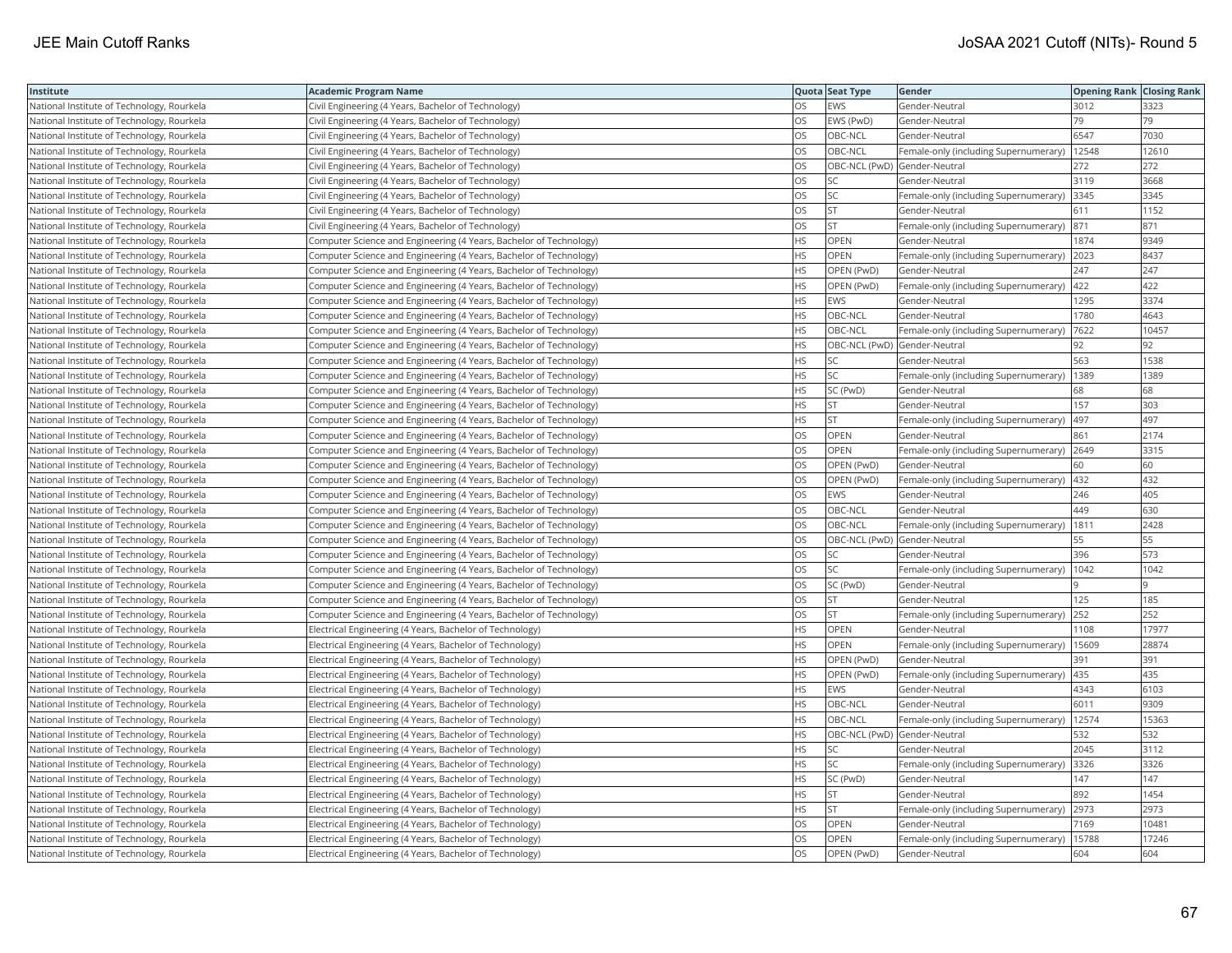| Institute                                  | Academic Program Name                                              |           | Quota Seat Type              | Gender                                       | <b>Opening Rank Closing Rank</b> |       |
|--------------------------------------------|--------------------------------------------------------------------|-----------|------------------------------|----------------------------------------------|----------------------------------|-------|
| National Institute of Technology, Rourkela | Civil Engineering (4 Years, Bachelor of Technology)                | OS        | EWS                          | Gender-Neutral                               | 3012                             | 3323  |
| National Institute of Technology, Rourkela | Civil Engineering (4 Years, Bachelor of Technology)                | OS.       | EWS (PwD)                    | Gender-Neutral                               | 79                               | 79    |
| National Institute of Technology, Rourkela | Civil Engineering (4 Years, Bachelor of Technology)                | OS        | OBC-NCL                      | Gender-Neutral                               | 6547                             | 7030  |
| National Institute of Technology, Rourkela | Civil Engineering (4 Years, Bachelor of Technology)                | OS        | OBC-NCL                      | Female-only (including Supernumerary)        | 12548                            | 12610 |
| National Institute of Technology, Rourkela | Civil Engineering (4 Years, Bachelor of Technology)                | OS        | OBC-NCL (PwD) Gender-Neutral |                                              | 272                              | 272   |
| National Institute of Technology, Rourkela | Civil Engineering (4 Years, Bachelor of Technology)                | OS        | SC                           | Gender-Neutral                               | 3119                             | 3668  |
| National Institute of Technology, Rourkela | Civil Engineering (4 Years, Bachelor of Technology)                | OS.       | <b>SC</b>                    | Female-only (including Supernumerary)        | 3345                             | 3345  |
| National Institute of Technology, Rourkela | Civil Engineering (4 Years, Bachelor of Technology)                | OS        | <b>ST</b>                    | Gender-Neutral                               | 611                              | 1152  |
| National Institute of Technology, Rourkela | Civil Engineering (4 Years, Bachelor of Technology)                | OS        | ST.                          | Female-only (including Supernumerary)        | 871                              | 871   |
| National Institute of Technology, Rourkela | Computer Science and Engineering (4 Years, Bachelor of Technology) | <b>HS</b> | OPEN                         | Gender-Neutral                               | 1874                             | 9349  |
| National Institute of Technology, Rourkela | Computer Science and Engineering (4 Years, Bachelor of Technology) | HS.       | OPEN                         | Female-only (including Supernumerary)        | 2023                             | 8437  |
| National Institute of Technology, Rourkela | Computer Science and Engineering (4 Years, Bachelor of Technology) | <b>HS</b> | OPEN (PwD)                   | Gender-Neutral                               | 247                              | 247   |
| National Institute of Technology, Rourkela | Computer Science and Engineering (4 Years, Bachelor of Technology) | HS.       | OPEN (PwD)                   | Female-only (including Supernumerary) 422    |                                  | 422   |
| National Institute of Technology, Rourkela | Computer Science and Engineering (4 Years, Bachelor of Technology) | HS        | EWS                          | Gender-Neutral                               | 1295                             | 3374  |
| National Institute of Technology, Rourkela | Computer Science and Engineering (4 Years, Bachelor of Technology) | <b>HS</b> | OBC-NCL                      | Gender-Neutral                               | 1780                             | 4643  |
| National Institute of Technology, Rourkela | Computer Science and Engineering (4 Years, Bachelor of Technology) | HS        | OBC-NCL                      | Female-only (including Supernumerary)        | 7622                             | 10457 |
| National Institute of Technology, Rourkela | Computer Science and Engineering (4 Years, Bachelor of Technology) | HS.       | OBC-NCL (PwD) Gender-Neutral |                                              | 92                               | 92    |
| National Institute of Technology, Rourkela | Computer Science and Engineering (4 Years, Bachelor of Technology) | HS.       | <b>SC</b>                    | Gender-Neutral                               | 563                              | 1538  |
| National Institute of Technology, Rourkela | Computer Science and Engineering (4 Years, Bachelor of Technology) | HS.       | SC                           | Female-only (including Supernumerary)        | 1389                             | 1389  |
| National Institute of Technology, Rourkela | Computer Science and Engineering (4 Years, Bachelor of Technology) | HS        | SC (PwD)                     | Gender-Neutral                               | 68                               | 68    |
| National Institute of Technology, Rourkela | Computer Science and Engineering (4 Years, Bachelor of Technology) | HS.       | <b>ST</b>                    | Gender-Neutral                               | 157                              | 303   |
| National Institute of Technology, Rourkela | Computer Science and Engineering (4 Years, Bachelor of Technology) | HS        | <b>ST</b>                    | Female-only (including Supernumerary)        | 497                              | 497   |
| National Institute of Technology, Rourkela | Computer Science and Engineering (4 Years, Bachelor of Technology) | OS        | OPEN                         | Gender-Neutral                               | 861                              | 2174  |
| National Institute of Technology, Rourkela | Computer Science and Engineering (4 Years, Bachelor of Technology) | OS        | <b>OPEN</b>                  | Female-only (including Supernumerary)        | 2649                             | 3315  |
| National Institute of Technology, Rourkela | Computer Science and Engineering (4 Years, Bachelor of Technology) | OS        | OPEN (PwD)                   | Gender-Neutral                               | 60                               | 60    |
| National Institute of Technology, Rourkela | Computer Science and Engineering (4 Years, Bachelor of Technology) | OS        | OPEN (PwD)                   | Female-only (including Supernumerary)   432  |                                  | 432   |
| National Institute of Technology, Rourkela | Computer Science and Engineering (4 Years, Bachelor of Technology) | <b>OS</b> | EWS                          | Gender-Neutral                               | 246                              | 405   |
| National Institute of Technology, Rourkela | Computer Science and Engineering (4 Years, Bachelor of Technology) | OS        | OBC-NCL                      | Gender-Neutral                               | 449                              | 630   |
| National Institute of Technology, Rourkela | Computer Science and Engineering (4 Years, Bachelor of Technology) | OS        | OBC-NCL                      | Female-only (including Supernumerary)   1811 |                                  | 2428  |
| National Institute of Technology, Rourkela | Computer Science and Engineering (4 Years, Bachelor of Technology) | OS        | OBC-NCL (PwD) Gender-Neutral |                                              | 55                               | 55    |
| National Institute of Technology, Rourkela | Computer Science and Engineering (4 Years, Bachelor of Technology) | OS.       | <b>SC</b>                    | Gender-Neutral                               | 396                              | 573   |
| National Institute of Technology, Rourkela | Computer Science and Engineering (4 Years, Bachelor of Technology) | OS        | SC                           | Female-only (including Supernumerary)        | 1042                             | 1042  |
| National Institute of Technology, Rourkela | Computer Science and Engineering (4 Years, Bachelor of Technology) | OS        | SC (PwD)                     | Gender-Neutral                               |                                  |       |
| National Institute of Technology, Rourkela | Computer Science and Engineering (4 Years, Bachelor of Technology) | OS.       | <b>ST</b>                    | Gender-Neutral                               | 125                              | 185   |
| National Institute of Technology, Rourkela | Computer Science and Engineering (4 Years, Bachelor of Technology) | <b>OS</b> | <b>ST</b>                    | Female-only (including Supernumerary)        | 252                              | 252   |
| National Institute of Technology, Rourkela | Electrical Engineering (4 Years, Bachelor of Technology)           | HS        | <b>OPEN</b>                  | Gender-Neutral                               | 1108                             | 17977 |
| National Institute of Technology, Rourkela | Electrical Engineering (4 Years, Bachelor of Technology)           | HS.       | <b>OPEN</b>                  | Female-only (including Supernumerary)  15609 |                                  | 28874 |
| National Institute of Technology, Rourkela | Electrical Engineering (4 Years, Bachelor of Technology)           | HS        | OPEN (PwD)                   | Gender-Neutral                               | 391                              | 391   |
| National Institute of Technology, Rourkela | Electrical Engineering (4 Years, Bachelor of Technology)           | <b>HS</b> | OPEN (PwD)                   | Female-only (including Supernumerary)        | 435                              | 435   |
| National Institute of Technology, Rourkela | Electrical Engineering (4 Years, Bachelor of Technology)           | HS        | EWS                          | Gender-Neutral                               | 4343                             | 6103  |
| National Institute of Technology, Rourkela | Electrical Engineering (4 Years, Bachelor of Technology)           | HS.       | OBC-NCL                      | Gender-Neutral                               | 6011                             | 9309  |
| National Institute of Technology, Rourkela | Electrical Engineering (4 Years, Bachelor of Technology)           | HS.       | OBC-NCL                      | Female-only (including Supernumerary)        | 12574                            | 15363 |
| National Institute of Technology, Rourkela | Electrical Engineering (4 Years, Bachelor of Technology)           | HS        | OBC-NCL (PwD) Gender-Neutral |                                              | 532                              | 532   |
| National Institute of Technology, Rourkela | Electrical Engineering (4 Years, Bachelor of Technology)           | HS        | <b>SC</b>                    | Gender-Neutral                               | 2045                             | 3112  |
| National Institute of Technology, Rourkela | Electrical Engineering (4 Years, Bachelor of Technology)           | HS.       | SC                           | Female-only (including Supernumerary)  3326  |                                  | 3326  |
| National Institute of Technology, Rourkela | Electrical Engineering (4 Years, Bachelor of Technology)           | HS        | SC (PwD)                     | Gender-Neutral                               | 147                              | 147   |
| National Institute of Technology, Rourkela | Electrical Engineering (4 Years, Bachelor of Technology)           | HS.       | <b>ST</b>                    | Gender-Neutral                               | 892                              | 1454  |
| National Institute of Technology, Rourkela | Electrical Engineering (4 Years, Bachelor of Technology)           | НS        | <b>ST</b>                    | Female-only (including Supernumerary) 2973   |                                  | 2973  |
| National Institute of Technology, Rourkela | Electrical Engineering (4 Years, Bachelor of Technology)           | OS        | OPEN                         | Gender-Neutral                               | 7169                             | 10481 |
| National Institute of Technology, Rourkela | Electrical Engineering (4 Years, Bachelor of Technology)           | OS.       | OPEN                         | Female-only (including Supernumerary)        | 15788                            | 17246 |
| National Institute of Technology, Rourkela | Electrical Engineering (4 Years, Bachelor of Technology)           | <b>OS</b> | OPEN (PwD)                   | Gender-Neutral                               | 604                              | 604   |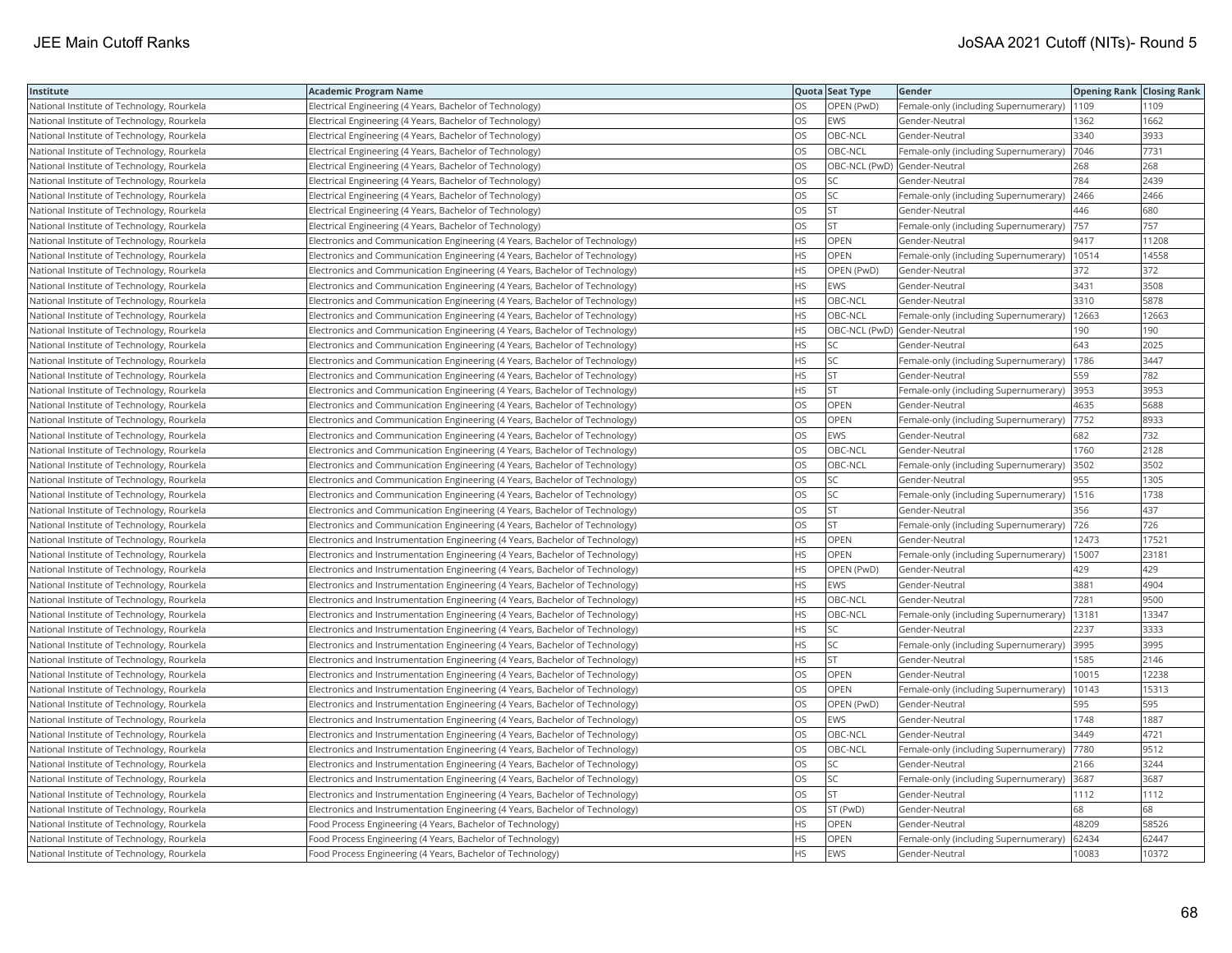| Institute                                  | <b>Academic Program Name</b>                                                  |           | Quota Seat Type | Gender                                        | <b>Opening Rank Closing Rank</b> |       |
|--------------------------------------------|-------------------------------------------------------------------------------|-----------|-----------------|-----------------------------------------------|----------------------------------|-------|
| National Institute of Technology, Rourkela | Electrical Engineering (4 Years, Bachelor of Technology)                      | OS        | OPEN (PwD)      | Female-only (including Supernumerary)         | 1109                             | 1109  |
| National Institute of Technology, Rourkela | Electrical Engineering (4 Years, Bachelor of Technology)                      | OS        | EWS             | Gender-Neutral                                | 1362                             | 1662  |
| National Institute of Technology, Rourkela | Electrical Engineering (4 Years, Bachelor of Technology)                      | OS        | OBC-NCL         | Gender-Neutral                                | 3340                             | 3933  |
| National Institute of Technology, Rourkela | Electrical Engineering (4 Years, Bachelor of Technology)                      | OS        | OBC-NCL         | Female-only (including Supernumerary)         | 7046                             | 7731  |
| National Institute of Technology, Rourkela | Electrical Engineering (4 Years, Bachelor of Technology)                      | OS        |                 | OBC-NCL (PwD) Gender-Neutral                  | 268                              | 268   |
| National Institute of Technology, Rourkela | Electrical Engineering (4 Years, Bachelor of Technology)                      | OS        | SC              | Gender-Neutral                                | 784                              | 2439  |
| National Institute of Technology, Rourkela | Electrical Engineering (4 Years, Bachelor of Technology)                      | OS        | SC              | Female-only (including Supernumerary) 2466    |                                  | 2466  |
| National Institute of Technology, Rourkela | Electrical Engineering (4 Years, Bachelor of Technology)                      | OS        | <b>ST</b>       | Gender-Neutral                                | 446                              | 680   |
| National Institute of Technology, Rourkela | Electrical Engineering (4 Years, Bachelor of Technology)                      | OS        | <b>ST</b>       | Female-only (including Supernumerary)         | 757                              | 757   |
| National Institute of Technology, Rourkela | Electronics and Communication Engineering (4 Years, Bachelor of Technology)   | <b>HS</b> | OPEN            | Gender-Neutral                                | 9417                             | 11208 |
| National Institute of Technology, Rourkela | Electronics and Communication Engineering (4 Years, Bachelor of Technology)   | <b>HS</b> | OPEN            | Female-only (including Supernumerary)         | 10514                            | 14558 |
| National Institute of Technology, Rourkela | Electronics and Communication Engineering (4 Years, Bachelor of Technology)   | <b>HS</b> | OPEN (PwD)      | Gender-Neutral                                | 372                              | 372   |
| National Institute of Technology, Rourkela | Electronics and Communication Engineering (4 Years, Bachelor of Technology)   | HS        | <b>EWS</b>      | Gender-Neutral                                | 3431                             | 3508  |
| National Institute of Technology, Rourkela | Electronics and Communication Engineering (4 Years, Bachelor of Technology)   | HS        | OBC-NCL         | Gender-Neutral                                | 3310                             | 5878  |
| National Institute of Technology, Rourkela | Electronics and Communication Engineering (4 Years, Bachelor of Technology)   | HS        | OBC-NCL         | Female-only (including Supernumerary)         | 12663                            | 12663 |
| National Institute of Technology, Rourkela | Electronics and Communication Engineering (4 Years, Bachelor of Technology)   | HS        |                 | OBC-NCL (PwD) Gender-Neutral                  | 190                              | 190   |
| National Institute of Technology, Rourkela | Electronics and Communication Engineering (4 Years, Bachelor of Technology)   | <b>HS</b> | SC              | Gender-Neutral                                | 643                              | 2025  |
| National Institute of Technology, Rourkela | Electronics and Communication Engineering (4 Years, Bachelor of Technology)   | HS        | SC              | Female-only (including Supernumerary)         | 1786                             | 3447  |
| National Institute of Technology, Rourkela | Electronics and Communication Engineering (4 Years, Bachelor of Technology)   | <b>HS</b> | <b>ST</b>       | Gender-Neutral                                | 559                              | 782   |
| National Institute of Technology, Rourkela | Electronics and Communication Engineering (4 Years, Bachelor of Technology)   | <b>HS</b> | <b>ST</b>       | Female-only (including Supernumerary) 3953    |                                  | 3953  |
| National Institute of Technology, Rourkela | Electronics and Communication Engineering (4 Years, Bachelor of Technology)   | OS        | <b>OPEN</b>     | Gender-Neutral                                | 4635                             | 5688  |
| National Institute of Technology, Rourkela | Electronics and Communication Engineering (4 Years, Bachelor of Technology)   | <b>OS</b> | OPEN            | Female-only (including Supernumerary)  7752   |                                  | 8933  |
| National Institute of Technology, Rourkela | Electronics and Communication Engineering (4 Years, Bachelor of Technology)   | OS        | <b>EWS</b>      | Gender-Neutral                                | 682                              | 732   |
| National Institute of Technology, Rourkela | Electronics and Communication Engineering (4 Years, Bachelor of Technology)   | OS        | OBC-NCL         | Gender-Neutral                                | 1760                             | 2128  |
| National Institute of Technology, Rourkela | Electronics and Communication Engineering (4 Years, Bachelor of Technology)   | OS        | OBC-NCL         | Female-only (including Supernumerary)         | 3502                             | 3502  |
| National Institute of Technology, Rourkela | Electronics and Communication Engineering (4 Years, Bachelor of Technology)   | OS        | <b>SC</b>       | Gender-Neutral                                | 955                              | 1305  |
| National Institute of Technology, Rourkela | Electronics and Communication Engineering (4 Years, Bachelor of Technology)   | OS        | SC              | Female-only (including Supernumerary)         | 1516                             | 1738  |
| National Institute of Technology, Rourkela | Electronics and Communication Engineering (4 Years, Bachelor of Technology)   | OS        | <b>ST</b>       | Gender-Neutral                                | 356                              | 437   |
| National Institute of Technology, Rourkela | Electronics and Communication Engineering (4 Years, Bachelor of Technology)   | OS.       | <b>ST</b>       | Female-only (including Supernumerary)         | 726                              | 726   |
| National Institute of Technology, Rourkela | Electronics and Instrumentation Engineering (4 Years, Bachelor of Technology) | HS        | OPEN            | Gender-Neutral                                | 12473                            | 17521 |
| National Institute of Technology, Rourkela | Electronics and Instrumentation Engineering (4 Years, Bachelor of Technology) | HS        | OPEN            | Female-only (including Supernumerary)   15007 |                                  | 23181 |
| National Institute of Technology, Rourkela | Electronics and Instrumentation Engineering (4 Years, Bachelor of Technology) | <b>HS</b> | OPEN (PwD)      | Gender-Neutral                                | 429                              | 429   |
| National Institute of Technology, Rourkela | Electronics and Instrumentation Engineering (4 Years, Bachelor of Technology) | <b>HS</b> | <b>EWS</b>      | Gender-Neutral                                | 3881                             | 4904  |
| National Institute of Technology, Rourkela | Electronics and Instrumentation Engineering (4 Years, Bachelor of Technology) | HS        | OBC-NCL         | Gender-Neutral                                | 7281                             | 9500  |
| National Institute of Technology, Rourkela | Electronics and Instrumentation Engineering (4 Years, Bachelor of Technology) | <b>HS</b> | OBC-NCL         | Female-only (including Supernumerary)         | 13181                            | 13347 |
| National Institute of Technology, Rourkela | Electronics and Instrumentation Engineering (4 Years, Bachelor of Technology) | HS        | <b>SC</b>       | Gender-Neutral                                | 2237                             | 3333  |
| National Institute of Technology, Rourkela | Electronics and Instrumentation Engineering (4 Years, Bachelor of Technology) | HS        | SC              | Female-only (including Supernumerary) 3995    |                                  | 3995  |
| National Institute of Technology, Rourkela | Electronics and Instrumentation Engineering (4 Years, Bachelor of Technology) | HS        | <b>ST</b>       | Gender-Neutral                                | 1585                             | 2146  |
| National Institute of Technology, Rourkela | Electronics and Instrumentation Engineering (4 Years, Bachelor of Technology) | OS        | OPEN            | Gender-Neutral                                | 10015                            | 12238 |
| National Institute of Technology, Rourkela | Electronics and Instrumentation Engineering (4 Years, Bachelor of Technology) | OS        | OPEN            | Female-only (including Supernumerary)         | 10143                            | 15313 |
| National Institute of Technology, Rourkela | Electronics and Instrumentation Engineering (4 Years, Bachelor of Technology) | OS        | OPEN (PwD)      | Gender-Neutral                                | 595                              | 595   |
| National Institute of Technology, Rourkela | Electronics and Instrumentation Engineering (4 Years, Bachelor of Technology) | OS        | <b>EWS</b>      | Gender-Neutral                                | 1748                             | 1887  |
| National Institute of Technology, Rourkela | Electronics and Instrumentation Engineering (4 Years, Bachelor of Technology) | OS        | OBC-NCL         | Gender-Neutral                                | 3449                             | 4721  |
| National Institute of Technology, Rourkela | Electronics and Instrumentation Engineering (4 Years, Bachelor of Technology) | OS        | OBC-NCL         | Female-only (including Supernumerary)         | 7780                             | 9512  |
| National Institute of Technology, Rourkela | Electronics and Instrumentation Engineering (4 Years, Bachelor of Technology) | OS        | <b>SC</b>       | Gender-Neutral                                | 2166                             | 3244  |
| National Institute of Technology, Rourkela | Electronics and Instrumentation Engineering (4 Years, Bachelor of Technology) | OS        | SC              | Female-only (including Supernumerary)         | 3687                             | 3687  |
| National Institute of Technology, Rourkela | Electronics and Instrumentation Engineering (4 Years, Bachelor of Technology) | OS        | <b>ST</b>       | Gender-Neutral                                | 1112                             | 1112  |
| National Institute of Technology, Rourkela | Electronics and Instrumentation Engineering (4 Years, Bachelor of Technology) | OS        | ST (PwD)        | Gender-Neutral                                | 68                               | 68    |
| National Institute of Technology, Rourkela | Food Process Engineering (4 Years, Bachelor of Technology)                    | HS        | OPEN            | Gender-Neutral                                | 48209                            | 58526 |
| National Institute of Technology, Rourkela | Food Process Engineering (4 Years, Bachelor of Technology)                    | HS.       | OPEN            | Female-only (including Supernumerary)         | 62434                            | 62447 |
| National Institute of Technology, Rourkela | Food Process Engineering (4 Years, Bachelor of Technology)                    | <b>HS</b> | <b>EWS</b>      | Gender-Neutral                                | 10083                            | 10372 |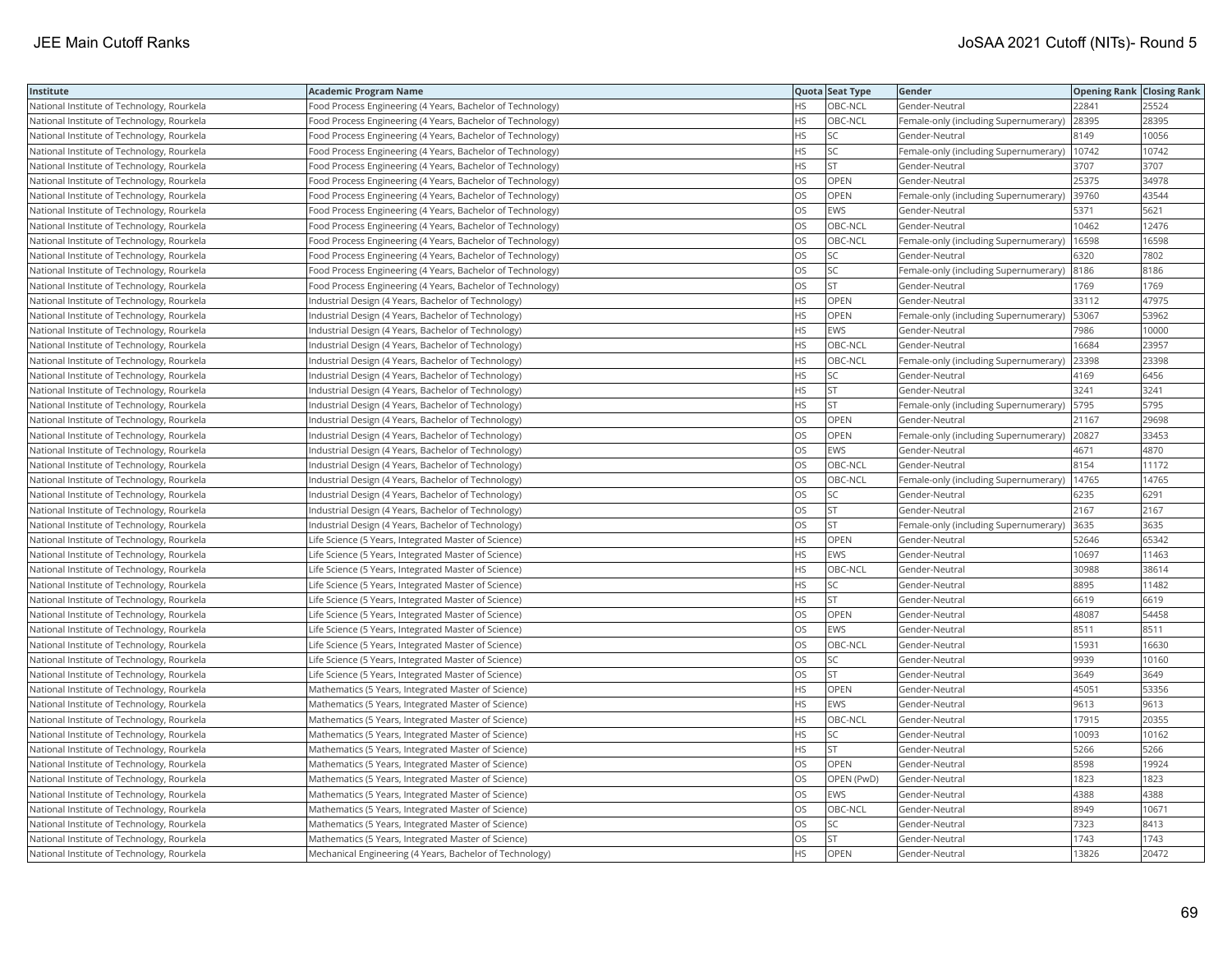| Institute                                  | Academic Program Name                                      |           | Quota Seat Type | Gender                                | <b>Opening Rank Closing Rank</b> |       |
|--------------------------------------------|------------------------------------------------------------|-----------|-----------------|---------------------------------------|----------------------------------|-------|
| National Institute of Technology, Rourkela | Food Process Engineering (4 Years, Bachelor of Technology) | HS        | OBC-NCL         | Gender-Neutral                        | 22841                            | 25524 |
| National Institute of Technology, Rourkela | Food Process Engineering (4 Years, Bachelor of Technology) | <b>HS</b> | OBC-NCL         | Female-only (including Supernumerary) | 28395                            | 28395 |
| National Institute of Technology, Rourkela | Food Process Engineering (4 Years, Bachelor of Technology) | <b>HS</b> | <b>SC</b>       | Gender-Neutral                        | 8149                             | 10056 |
| National Institute of Technology, Rourkela | Food Process Engineering (4 Years, Bachelor of Technology) | HS        | SC              | Female-only (including Supernumerary) | 10742                            | 10742 |
| National Institute of Technology, Rourkela | Food Process Engineering (4 Years, Bachelor of Technology) | HS        | <b>ST</b>       | Gender-Neutral                        | 3707                             | 3707  |
| National Institute of Technology, Rourkela | Food Process Engineering (4 Years, Bachelor of Technology) | OS        | OPEN            | Gender-Neutral                        | 25375                            | 34978 |
| National Institute of Technology, Rourkela | Food Process Engineering (4 Years, Bachelor of Technology) | OS        | OPEN            | Female-only (including Supernumerary) | 39760                            | 43544 |
| National Institute of Technology, Rourkela | Food Process Engineering (4 Years, Bachelor of Technology) | OS        | EWS             | Gender-Neutral                        | 5371                             | 5621  |
| National Institute of Technology, Rourkela | Food Process Engineering (4 Years, Bachelor of Technology) | OS        | OBC-NCL         | Gender-Neutral                        | 10462                            | 12476 |
| National Institute of Technology, Rourkela | Food Process Engineering (4 Years, Bachelor of Technology) | OS        | OBC-NCL         | Female-only (including Supernumerary) | 16598                            | 16598 |
| National Institute of Technology, Rourkela | Food Process Engineering (4 Years, Bachelor of Technology) | OS.       | <b>SC</b>       | Gender-Neutral                        | 6320                             | 7802  |
| National Institute of Technology, Rourkela | Food Process Engineering (4 Years, Bachelor of Technology) | OS        | SC              | Female-only (including Supernumerary) | 8186                             | 8186  |
| National Institute of Technology, Rourkela | Food Process Engineering (4 Years, Bachelor of Technology) | OS        | lst             | Gender-Neutral                        | 1769                             | 1769  |
| National Institute of Technology, Rourkela | Industrial Design (4 Years, Bachelor of Technology)        | HS        | OPEN            | Gender-Neutral                        | 33112                            | 47975 |
| National Institute of Technology, Rourkela | Industrial Design (4 Years, Bachelor of Technology)        | HS        | OPEN            | Female-only (including Supernumerary) | 53067                            | 53962 |
| National Institute of Technology, Rourkela | Industrial Design (4 Years, Bachelor of Technology)        | HS.       | <b>EWS</b>      | Gender-Neutral                        | 7986                             | 10000 |
| National Institute of Technology, Rourkela | Industrial Design (4 Years, Bachelor of Technology)        | HS        | OBC-NCL         | Gender-Neutral                        | 16684                            | 23957 |
| National Institute of Technology, Rourkela | Industrial Design (4 Years, Bachelor of Technology)        | HS        | OBC-NCL         | Female-only (including Supernumerary) | 23398                            | 23398 |
| National Institute of Technology, Rourkela | Industrial Design (4 Years, Bachelor of Technology)        | <b>HS</b> | <b>SC</b>       | Gender-Neutral                        | 4169                             | 6456  |
| National Institute of Technology, Rourkela | Industrial Design (4 Years, Bachelor of Technology)        | HS        | <b>ST</b>       | Gender-Neutral                        | 3241                             | 3241  |
| National Institute of Technology, Rourkela | Industrial Design (4 Years, Bachelor of Technology)        | HS        | <b>ST</b>       | Female-only (including Supernumerary) | 5795                             | 5795  |
| National Institute of Technology, Rourkela | Industrial Design (4 Years, Bachelor of Technology)        | OS        | <b>OPEN</b>     | Gender-Neutral                        | 21167                            | 29698 |
| National Institute of Technology, Rourkela | Industrial Design (4 Years, Bachelor of Technology)        | OS        | OPEN            | Female-only (including Supernumerary) | 20827                            | 33453 |
| National Institute of Technology, Rourkela | Industrial Design (4 Years, Bachelor of Technology)        | OS        | EWS             | Gender-Neutral                        | 4671                             | 4870  |
| National Institute of Technology, Rourkela | Industrial Design (4 Years, Bachelor of Technology)        | OS        | OBC-NCL         | Gender-Neutral                        | 8154                             | 11172 |
| National Institute of Technology, Rourkela | Industrial Design (4 Years, Bachelor of Technology)        | OS        | OBC-NCL         | Female-only (including Supernumerary) | 14765                            | 14765 |
| National Institute of Technology, Rourkela | Industrial Design (4 Years, Bachelor of Technology)        | OS.       | <b>SC</b>       | Gender-Neutral                        | 6235                             | 6291  |
| National Institute of Technology, Rourkela | Industrial Design (4 Years, Bachelor of Technology)        | OS        | <b>ST</b>       | Gender-Neutral                        | 2167                             | 2167  |
| National Institute of Technology, Rourkela | Industrial Design (4 Years, Bachelor of Technology)        | OS        | <b>ST</b>       | Female-only (including Supernumerary) | 3635                             | 3635  |
| National Institute of Technology, Rourkela | Life Science (5 Years, Integrated Master of Science)       | HS        | OPEN            | Gender-Neutral                        | 52646                            | 65342 |
| National Institute of Technology, Rourkela | Life Science (5 Years, Integrated Master of Science)       | HS        | <b>EWS</b>      | Gender-Neutral                        | 10697                            | 11463 |
| National Institute of Technology, Rourkela | Life Science (5 Years, Integrated Master of Science)       | HS        | OBC-NCL         | Gender-Neutral                        | 30988                            | 38614 |
| National Institute of Technology, Rourkela | Life Science (5 Years, Integrated Master of Science)       | HS        | SC              | Gender-Neutral                        | 8895                             | 11482 |
| National Institute of Technology, Rourkela | Life Science (5 Years, Integrated Master of Science)       | HS        | <b>ST</b>       | Gender-Neutral                        | 6619                             | 6619  |
| National Institute of Technology, Rourkela | Life Science (5 Years, Integrated Master of Science)       | <b>OS</b> | OPEN            | Gender-Neutral                        | 48087                            | 54458 |
| National Institute of Technology, Rourkela | Life Science (5 Years, Integrated Master of Science)       | OS        | EWS             | Gender-Neutral                        | 8511                             | 8511  |
| National Institute of Technology, Rourkela | Life Science (5 Years, Integrated Master of Science)       | OS        | OBC-NCL         | Gender-Neutral                        | 15931                            | 16630 |
| National Institute of Technology, Rourkela | Life Science (5 Years, Integrated Master of Science)       | OS        | SC              | Gender-Neutral                        | 9939                             | 10160 |
| National Institute of Technology, Rourkela | Life Science (5 Years, Integrated Master of Science)       | OS.       | <b>ST</b>       | Gender-Neutral                        | 3649                             | 3649  |
| National Institute of Technology, Rourkela | Mathematics (5 Years, Integrated Master of Science)        | HS        | OPEN            | Gender-Neutral                        | 45051                            | 53356 |
| National Institute of Technology, Rourkela | Mathematics (5 Years, Integrated Master of Science)        | <b>HS</b> | <b>EWS</b>      | Gender-Neutral                        | 9613                             | 9613  |
| National Institute of Technology, Rourkela | Mathematics (5 Years, Integrated Master of Science)        | HS.       | OBC-NCL         | Gender-Neutral                        | 17915                            | 20355 |
| National Institute of Technology, Rourkela | Mathematics (5 Years, Integrated Master of Science)        | HS        | SC              | Gender-Neutral                        | 10093                            | 10162 |
| National Institute of Technology, Rourkela | Mathematics (5 Years, Integrated Master of Science)        | HS        | <b>ST</b>       | Gender-Neutral                        | 5266                             | 5266  |
| National Institute of Technology, Rourkela | Mathematics (5 Years, Integrated Master of Science)        | OS        | OPEN            | Gender-Neutral                        | 8598                             | 19924 |
| National Institute of Technology, Rourkela | Mathematics (5 Years, Integrated Master of Science)        | OS        | OPEN (PwD)      | Gender-Neutral                        | 1823                             | 1823  |
| National Institute of Technology, Rourkela | Mathematics (5 Years, Integrated Master of Science)        | OS.       | <b>EWS</b>      | Gender-Neutral                        | 4388                             | 4388  |
| National Institute of Technology, Rourkela | Mathematics (5 Years, Integrated Master of Science)        | OS        | OBC-NCL         | Gender-Neutral                        | 8949                             | 1067' |
| National Institute of Technology, Rourkela | Mathematics (5 Years, Integrated Master of Science)        | OS        | SC              | Gender-Neutral                        | 7323                             | 8413  |
| National Institute of Technology, Rourkela | Mathematics (5 Years, Integrated Master of Science)        | OS.       | <b>ST</b>       | Gender-Neutral                        | 1743                             | 1743  |
| National Institute of Technology, Rourkela | Mechanical Engineering (4 Years, Bachelor of Technology)   | <b>HS</b> | OPEN            | Gender-Neutral                        | 13826                            | 20472 |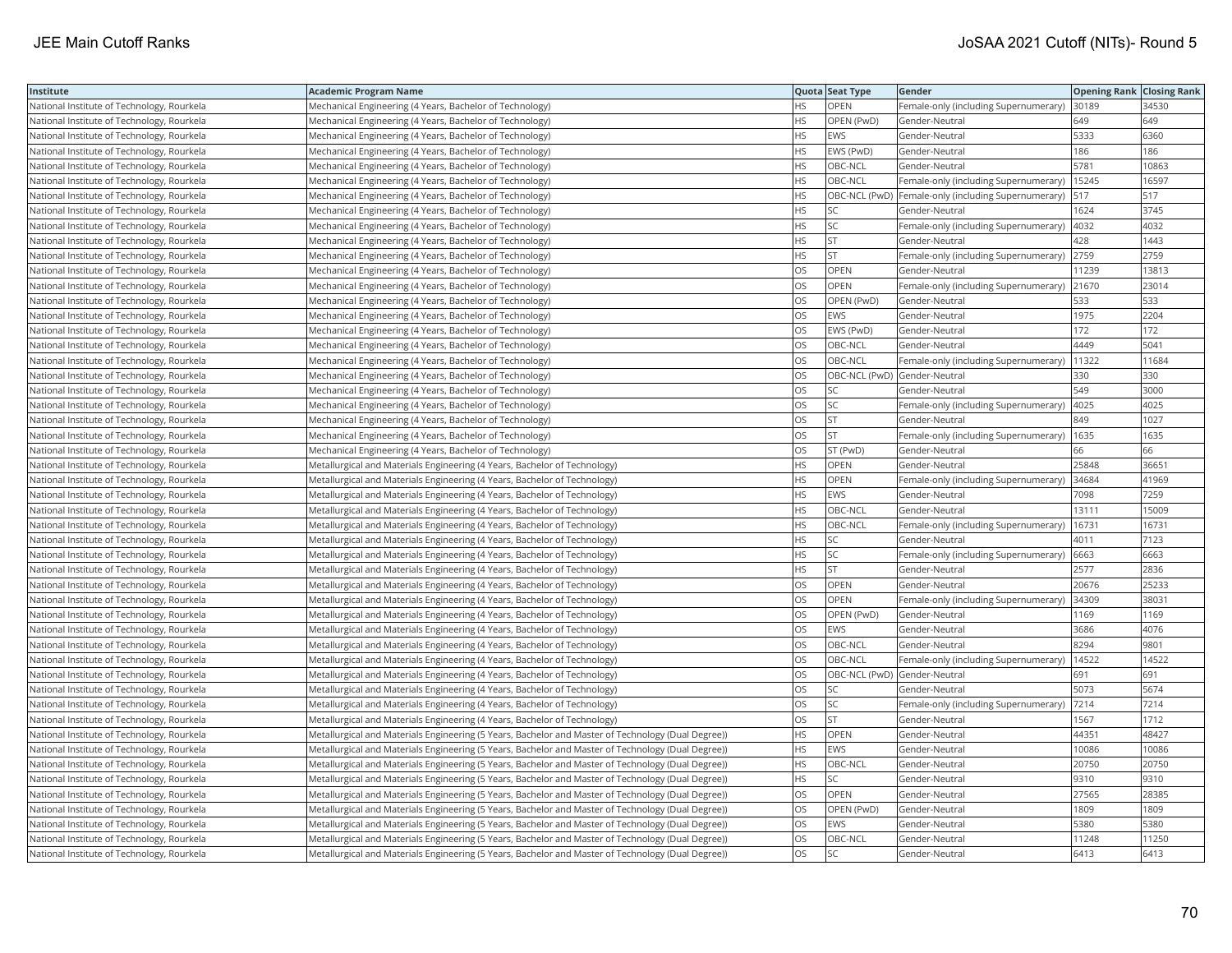| Institute                                  | <b>Academic Program Name</b>                                                                       |           | Quota Seat Type              | Gender                                                   | <b>Opening Rank Closing Rank</b> |       |
|--------------------------------------------|----------------------------------------------------------------------------------------------------|-----------|------------------------------|----------------------------------------------------------|----------------------------------|-------|
| National Institute of Technology, Rourkela | Mechanical Engineering (4 Years, Bachelor of Technology)                                           | ΗS        | OPEN                         | Female-only (including Supernumerary)                    | 30189                            | 34530 |
| National Institute of Technology, Rourkela | Mechanical Engineering (4 Years, Bachelor of Technology)                                           | HS        | OPEN (PwD)                   | Gender-Neutral                                           | 649                              | 649   |
| National Institute of Technology, Rourkela | Mechanical Engineering (4 Years, Bachelor of Technology)                                           | НS        | <b>EWS</b>                   | Gender-Neutral                                           | 5333                             | 6360  |
| National Institute of Technology, Rourkela | Mechanical Engineering (4 Years, Bachelor of Technology)                                           | HS        | EWS (PwD)                    | Gender-Neutral                                           | 186                              | 186   |
| National Institute of Technology, Rourkela | Mechanical Engineering (4 Years, Bachelor of Technology)                                           | <b>HS</b> | OBC-NCL                      | Gender-Neutral                                           | 5781                             | 10863 |
| National Institute of Technology, Rourkela | Mechanical Engineering (4 Years, Bachelor of Technology)                                           | HS        | OBC-NCL                      | Female-only (including Supernumerary)                    | 15245                            | 16597 |
| National Institute of Technology, Rourkela | Mechanical Engineering (4 Years, Bachelor of Technology)                                           | ΗS        |                              | OBC-NCL (PwD) Female-only (including Supernumerary)  517 |                                  | 517   |
| National Institute of Technology, Rourkela | Mechanical Engineering (4 Years, Bachelor of Technology)                                           | <b>HS</b> | SC                           | Gender-Neutral                                           | 1624                             | 3745  |
| National Institute of Technology, Rourkela | Mechanical Engineering (4 Years, Bachelor of Technology)                                           | HS        | SC                           | Female-only (including Supernumerary)                    | 4032                             | 4032  |
| National Institute of Technology, Rourkela | Mechanical Engineering (4 Years, Bachelor of Technology)                                           | HS        | <b>ST</b>                    | Gender-Neutral                                           | 428                              | 1443  |
| National Institute of Technology, Rourkela | Mechanical Engineering (4 Years, Bachelor of Technology)                                           | НS        | <b>ST</b>                    | Female-only (including Supernumerary)                    | 2759                             | 2759  |
| National Institute of Technology, Rourkela | Mechanical Engineering (4 Years, Bachelor of Technology)                                           | OS        | OPEN                         | Gender-Neutral                                           | 11239                            | 13813 |
| National Institute of Technology, Rourkela | Mechanical Engineering (4 Years, Bachelor of Technology)                                           | OS        | <b>OPEN</b>                  | Female-only (including Supernumerary)                    | 21670                            | 23014 |
| National Institute of Technology, Rourkela | Mechanical Engineering (4 Years, Bachelor of Technology)                                           | OS        | OPEN (PwD)                   | Gender-Neutral                                           | 533                              | 533   |
| National Institute of Technology, Rourkela | Mechanical Engineering (4 Years, Bachelor of Technology)                                           | OS        | EWS                          | Gender-Neutral                                           | 1975                             | 2204  |
| National Institute of Technology, Rourkela | Mechanical Engineering (4 Years, Bachelor of Technology)                                           | OS        | EWS (PwD)                    | Gender-Neutral                                           | 172                              | 172   |
| National Institute of Technology, Rourkela | Mechanical Engineering (4 Years, Bachelor of Technology)                                           | OS        | OBC-NCL                      | Gender-Neutral                                           | 4449                             | 5041  |
| National Institute of Technology, Rourkela | Mechanical Engineering (4 Years, Bachelor of Technology)                                           | OS        | OBC-NCL                      | Female-only (including Supernumerary)                    | 11322                            | 11684 |
| National Institute of Technology, Rourkela | Mechanical Engineering (4 Years, Bachelor of Technology)                                           | OS        | OBC-NCL (PwD) Gender-Neutral |                                                          | 330                              | 330   |
| National Institute of Technology, Rourkela | Mechanical Engineering (4 Years, Bachelor of Technology)                                           | OS        | SC                           | Gender-Neutral                                           | 549                              | 3000  |
| National Institute of Technology, Rourkela | Mechanical Engineering (4 Years, Bachelor of Technology)                                           | OS        | <b>SC</b>                    | Female-only (including Supernumerary)                    | 4025                             | 4025  |
| National Institute of Technology, Rourkela | Mechanical Engineering (4 Years, Bachelor of Technology)                                           | OS        | <b>ST</b>                    | Gender-Neutral                                           | 849                              | 1027  |
| National Institute of Technology, Rourkela | Mechanical Engineering (4 Years, Bachelor of Technology)                                           | OS        | ST                           | Female-only (including Supernumerary)                    | 1635                             | 1635  |
| National Institute of Technology, Rourkela | Mechanical Engineering (4 Years, Bachelor of Technology)                                           | OS        | ST (PwD)                     | Gender-Neutral                                           | 66                               | 66    |
| National Institute of Technology, Rourkela | Metallurgical and Materials Engineering (4 Years, Bachelor of Technology)                          | HS        | OPEN                         | Gender-Neutral                                           | 25848                            | 36651 |
| National Institute of Technology, Rourkela | Metallurgical and Materials Engineering (4 Years, Bachelor of Technology)                          | HS        | OPEN                         | Female-only (including Supernumerary)                    | 34684                            | 41969 |
| National Institute of Technology, Rourkela | Metallurgical and Materials Engineering (4 Years, Bachelor of Technology)                          | HS        | <b>EWS</b>                   | Gender-Neutral                                           | 7098                             | 7259  |
| National Institute of Technology, Rourkela | Metallurgical and Materials Engineering (4 Years, Bachelor of Technology)                          | HS        | OBC-NCL                      | Gender-Neutral                                           | 13111                            | 15009 |
| National Institute of Technology, Rourkela | Metallurgical and Materials Engineering (4 Years, Bachelor of Technology)                          | <b>HS</b> | OBC-NCL                      | Female-only (including Supernumerary)                    | 16731                            | 16731 |
| National Institute of Technology, Rourkela | Metallurgical and Materials Engineering (4 Years, Bachelor of Technology)                          | HS        | SC                           | Gender-Neutral                                           | 4011                             | 7123  |
| National Institute of Technology, Rourkela | Metallurgical and Materials Engineering (4 Years, Bachelor of Technology)                          | НS        | SC                           | Female-only (including Supernumerary) 6663               |                                  | 6663  |
| National Institute of Technology, Rourkela | Metallurgical and Materials Engineering (4 Years, Bachelor of Technology)                          | HS        | <b>ST</b>                    | Gender-Neutral                                           | 2577                             | 2836  |
| National Institute of Technology, Rourkela | Metallurgical and Materials Engineering (4 Years, Bachelor of Technology)                          | OS        | OPEN                         | Gender-Neutral                                           | 20676                            | 25233 |
| National Institute of Technology, Rourkela | Metallurgical and Materials Engineering (4 Years, Bachelor of Technology)                          | OS        | OPEN                         | Female-only (including Supernumerary)                    | 34309                            | 3803  |
| National Institute of Technology, Rourkela | Metallurgical and Materials Engineering (4 Years, Bachelor of Technology)                          | OS        | OPEN (PwD)                   | Gender-Neutral                                           | 1169                             | 1169  |
| National Institute of Technology, Rourkela | Metallurgical and Materials Engineering (4 Years, Bachelor of Technology)                          | OS        | <b>EWS</b>                   | Gender-Neutral                                           | 3686                             | 4076  |
| National Institute of Technology, Rourkela | Metallurgical and Materials Engineering (4 Years, Bachelor of Technology)                          | OS        | OBC-NCL                      | Gender-Neutral                                           | 8294                             | 9801  |
| National Institute of Technology, Rourkela | Metallurgical and Materials Engineering (4 Years, Bachelor of Technology)                          | OS        | OBC-NCL                      | Female-only (including Supernumerary)                    | 14522                            | 14522 |
| National Institute of Technology, Rourkela | Metallurgical and Materials Engineering (4 Years, Bachelor of Technology)                          | OS        | OBC-NCL (PwD) Gender-Neutral |                                                          | 691                              | 691   |
| National Institute of Technology, Rourkela | Metallurgical and Materials Engineering (4 Years, Bachelor of Technology)                          | OS        | SC                           | Gender-Neutral                                           | 5073                             | 5674  |
| National Institute of Technology, Rourkela | Metallurgical and Materials Engineering (4 Years, Bachelor of Technology)                          | OS        | SC                           | Female-only (including Supernumerary)                    | 7214                             | 7214  |
| National Institute of Technology, Rourkela | Metallurgical and Materials Engineering (4 Years, Bachelor of Technology)                          | OS        | <b>ST</b>                    | Gender-Neutral                                           | 1567                             | 1712  |
| National Institute of Technology, Rourkela | Metallurgical and Materials Engineering (5 Years, Bachelor and Master of Technology (Dual Degree)) | HS        | OPEN                         | Gender-Neutral                                           | 44351                            | 48427 |
| National Institute of Technology, Rourkela | Metallurgical and Materials Engineering (5 Years, Bachelor and Master of Technology (Dual Degree)) | HS        | <b>EWS</b>                   | Gender-Neutral                                           | 10086                            | 10086 |
| National Institute of Technology, Rourkela | Metallurgical and Materials Engineering (5 Years, Bachelor and Master of Technology (Dual Degree)) | <b>HS</b> | OBC-NCL                      | Gender-Neutral                                           | 20750                            | 20750 |
| National Institute of Technology, Rourkela | Metallurgical and Materials Engineering (5 Years, Bachelor and Master of Technology (Dual Degree)) | HS        | <b>SC</b>                    | Gender-Neutral                                           | 9310                             | 9310  |
| National Institute of Technology, Rourkela | Metallurgical and Materials Engineering (5 Years, Bachelor and Master of Technology (Dual Degree)) | OS        | OPEN                         | Gender-Neutral                                           | 27565                            | 28385 |
| National Institute of Technology, Rourkela | Metallurgical and Materials Engineering (5 Years, Bachelor and Master of Technology (Dual Degree)) | OS        | OPEN (PwD)                   | Gender-Neutral                                           | 1809                             | 1809  |
| National Institute of Technology, Rourkela | Metallurgical and Materials Engineering (5 Years, Bachelor and Master of Technology (Dual Degree)) | OS        | <b>EWS</b>                   | Gender-Neutral                                           | 5380                             | 5380  |
| National Institute of Technology, Rourkela | Metallurgical and Materials Engineering (5 Years, Bachelor and Master of Technology (Dual Degree)) | OS        | OBC-NCL                      | Gender-Neutral                                           | 11248                            | 11250 |
| National Institute of Technology, Rourkela | Metallurgical and Materials Engineering (5 Years, Bachelor and Master of Technology (Dual Degree)) | <b>OS</b> | <b>SC</b>                    | Gender-Neutral                                           | 6413                             | 6413  |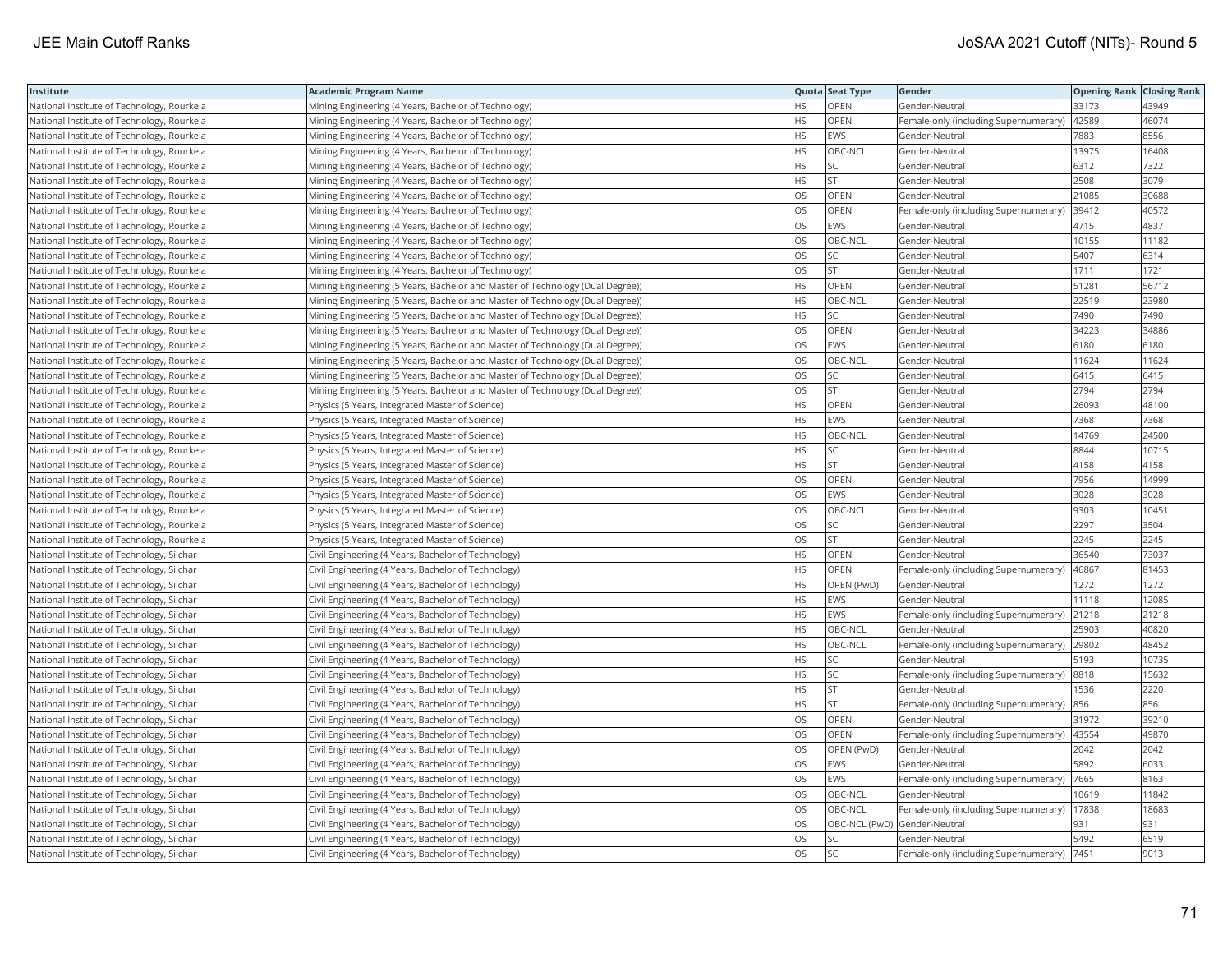| Institute                                  | Academic Program Name                                                          |           | Quota Seat Type              | Gender                                      | <b>Opening Rank Closing Rank</b> |       |
|--------------------------------------------|--------------------------------------------------------------------------------|-----------|------------------------------|---------------------------------------------|----------------------------------|-------|
| National Institute of Technology, Rourkela | Mining Engineering (4 Years, Bachelor of Technology)                           | HS.       | OPEN                         | Gender-Neutral                              | 33173                            | 43949 |
| National Institute of Technology, Rourkela | Mining Engineering (4 Years, Bachelor of Technology)                           | <b>HS</b> | OPEN                         | Female-only (including Supernumerary)       | 42589                            | 46074 |
| National Institute of Technology, Rourkela | Mining Engineering (4 Years, Bachelor of Technology)                           | <b>HS</b> | EWS                          | Gender-Neutral                              | 7883                             | 8556  |
| National Institute of Technology, Rourkela | Mining Engineering (4 Years, Bachelor of Technology)                           | HS        | OBC-NCL                      | Gender-Neutral                              | 13975                            | 16408 |
| National Institute of Technology, Rourkela | Mining Engineering (4 Years, Bachelor of Technology)                           | HS        | <b>SC</b>                    | Gender-Neutral                              | 6312                             | 7322  |
| National Institute of Technology, Rourkela | Mining Engineering (4 Years, Bachelor of Technology)                           | HS        | <b>ST</b>                    | Gender-Neutral                              | 2508                             | 3079  |
| National Institute of Technology, Rourkela | Mining Engineering (4 Years, Bachelor of Technology)                           | OS        | OPEN                         | Gender-Neutral                              | 21085                            | 30688 |
| National Institute of Technology, Rourkela | Mining Engineering (4 Years, Bachelor of Technology)                           | OS        | OPEN                         | Female-only (including Supernumerary)       | 39412                            | 40572 |
| National Institute of Technology, Rourkela | Mining Engineering (4 Years, Bachelor of Technology)                           | OS        | EWS                          | Gender-Neutral                              | 4715                             | 4837  |
| National Institute of Technology, Rourkela | Mining Engineering (4 Years, Bachelor of Technology)                           | OS        | OBC-NCL                      | Gender-Neutral                              | 10155                            | 11182 |
| National Institute of Technology, Rourkela | Mining Engineering (4 Years, Bachelor of Technology)                           | OS.       | <b>SC</b>                    | Gender-Neutral                              | 5407                             | 6314  |
| National Institute of Technology, Rourkela | Mining Engineering (4 Years, Bachelor of Technology)                           | OS        | <b>ST</b>                    | Gender-Neutral                              | 1711                             | 1721  |
| National Institute of Technology, Rourkela | Mining Engineering (5 Years, Bachelor and Master of Technology (Dual Degree))  | HS        | OPEN                         | Gender-Neutral                              | 51281                            | 56712 |
| National Institute of Technology, Rourkela | (Mining Engineering (5 Years, Bachelor and Master of Technology (Dual Degree)) | НS        | OBC-NCL                      | Gender-Neutral                              | 22519                            | 23980 |
| National Institute of Technology, Rourkela | Mining Engineering (5 Years, Bachelor and Master of Technology (Dual Degree))  | HS        | <b>SC</b>                    | Gender-Neutral                              | 7490                             | 7490  |
| National Institute of Technology, Rourkela | Mining Engineering (5 Years, Bachelor and Master of Technology (Dual Degree))  | OS.       | OPEN                         | Gender-Neutral                              | 34223                            | 34886 |
| National Institute of Technology, Rourkela | (Mining Engineering (5 Years, Bachelor and Master of Technology (Dual Degree)  | OS        | EWS                          | Gender-Neutral                              | 6180                             | 6180  |
| National Institute of Technology, Rourkela | Mining Engineering (5 Years, Bachelor and Master of Technology (Dual Degree))  | OS        | OBC-NCL                      | Gender-Neutral                              | 11624                            | 11624 |
| National Institute of Technology, Rourkela | Mining Engineering (5 Years, Bachelor and Master of Technology (Dual Degree))  | OS.       | SC                           | Gender-Neutral                              | 6415                             | 6415  |
| National Institute of Technology, Rourkela | Mining Engineering (5 Years, Bachelor and Master of Technology (Dual Degree))  | OS        | <b>ST</b>                    | Gender-Neutral                              | 2794                             | 2794  |
| National Institute of Technology, Rourkela | Physics (5 Years, Integrated Master of Science)                                | HS        | OPEN                         | Gender-Neutral                              | 26093                            | 48100 |
| National Institute of Technology, Rourkela | Physics (5 Years, Integrated Master of Science)                                | HS        | EWS                          | Gender-Neutral                              | 7368                             | 7368  |
| National Institute of Technology, Rourkela | Physics (5 Years, Integrated Master of Science)                                | HS        | OBC-NCL                      | Gender-Neutral                              | 14769                            | 24500 |
| National Institute of Technology, Rourkela | Physics (5 Years, Integrated Master of Science)                                | HS        | SC                           | Gender-Neutral                              | 8844                             | 10715 |
| National Institute of Technology, Rourkela | Physics (5 Years, Integrated Master of Science)                                | HS        | <b>ST</b>                    | Gender-Neutral                              | 4158                             | 4158  |
| National Institute of Technology, Rourkela | Physics (5 Years, Integrated Master of Science)                                | OS        | OPEN                         | Gender-Neutral                              | 7956                             | 14999 |
| National Institute of Technology, Rourkela | Physics (5 Years, Integrated Master of Science)                                | <b>OS</b> | <b>EWS</b>                   | Gender-Neutral                              | 3028                             | 3028  |
| National Institute of Technology, Rourkela | Physics (5 Years, Integrated Master of Science)                                | OS        | OBC-NCL                      | Gender-Neutral                              | 9303                             | 10451 |
| National Institute of Technology, Rourkela | Physics (5 Years, Integrated Master of Science)                                | OS        | SC                           | Gender-Neutral                              | 2297                             | 3504  |
| National Institute of Technology, Rourkela | Physics (5 Years, Integrated Master of Science)                                | OS        | <b>ST</b>                    | Gender-Neutral                              | 2245                             | 2245  |
| National Institute of Technology, Silchar  | Civil Engineering (4 Years, Bachelor of Technology)                            | HS        | <b>OPEN</b>                  | Gender-Neutral                              | 36540                            | 73037 |
| National Institute of Technology, Silchar  | Civil Engineering (4 Years, Bachelor of Technology)                            | HS        | OPEN                         | Female-only (including Supernumerary)       | 46867                            | 81453 |
| National Institute of Technology, Silchar  | Civil Engineering (4 Years, Bachelor of Technology)                            | HS        | OPEN (PwD)                   | Gender-Neutral                              | 1272                             | 1272  |
| National Institute of Technology, Silchar  | Civil Engineering (4 Years, Bachelor of Technology)                            | HS        | <b>EWS</b>                   | Gender-Neutral                              | 11118                            | 12085 |
| National Institute of Technology, Silchar  | Civil Engineering (4 Years, Bachelor of Technology)                            | HS        | <b>EWS</b>                   | Female-only (including Supernumerary)       | 21218                            | 21218 |
| National Institute of Technology, Silchar  | Civil Engineering (4 Years, Bachelor of Technology)                            | HS        | OBC-NCL                      | Gender-Neutral                              | 25903                            | 40820 |
| National Institute of Technology, Silchar  | Civil Engineering (4 Years, Bachelor of Technology)                            | HS        | OBC-NCL                      | Female-only (including Supernumerary)       | 29802                            | 48452 |
| National Institute of Technology, Silchar  | Civil Engineering (4 Years, Bachelor of Technology)                            | HS        | SC                           | Gender-Neutral                              | 5193                             | 10735 |
| National Institute of Technology, Silchar  | Civil Engineering (4 Years, Bachelor of Technology)                            | HS        | <b>SC</b>                    | Female-only (including Supernumerary)       | 8818                             | 15632 |
| National Institute of Technology, Silchar  | Civil Engineering (4 Years, Bachelor of Technology)                            | HS        | <b>ST</b>                    | Gender-Neutral                              | 1536                             | 2220  |
| National Institute of Technology, Silchar  | Civil Engineering (4 Years, Bachelor of Technology)                            | <b>HS</b> | <b>ST</b>                    | Female-only (including Supernumerary)       | 856                              | 856   |
| National Institute of Technology, Silchar  | Civil Engineering (4 Years, Bachelor of Technology)                            | OS        | OPEN                         | Gender-Neutral                              | 31972                            | 39210 |
| National Institute of Technology, Silchar  | Civil Engineering (4 Years, Bachelor of Technology)                            | OS        | OPEN                         | Female-only (including Supernumerary)       | 43554                            | 49870 |
| National Institute of Technology, Silchar  | Civil Engineering (4 Years, Bachelor of Technology)                            | OS        | OPEN (PwD)                   | Gender-Neutral                              | 2042                             | 2042  |
| National Institute of Technology, Silchar  | Civil Engineering (4 Years, Bachelor of Technology)                            | OS        | EWS                          | Gender-Neutral                              | 5892                             | 6033  |
| National Institute of Technology, Silchar  | Civil Engineering (4 Years, Bachelor of Technology)                            | OS        | EWS                          | Female-only (including Supernumerary)       | 7665                             | 8163  |
| National Institute of Technology, Silchar  | Civil Engineering (4 Years, Bachelor of Technology)                            | <b>OS</b> | OBC-NCL                      | Gender-Neutral                              | 10619                            | 11842 |
| National Institute of Technology, Silchar  | Civil Engineering (4 Years, Bachelor of Technology)                            | OS        | OBC-NCL                      | Female-only (including Supernumerary)       | 17838                            | 18683 |
| National Institute of Technology, Silchar  | Civil Engineering (4 Years, Bachelor of Technology)                            | OS        | OBC-NCL (PwD) Gender-Neutral |                                             | 931                              | 931   |
| National Institute of Technology, Silchar  | Civil Engineering (4 Years, Bachelor of Technology)                            | OS        | <b>SC</b>                    | Gender-Neutral                              | 5492                             | 6519  |
| National Institute of Technology, Silchar  | Civil Engineering (4 Years, Bachelor of Technology)                            | <b>OS</b> | <b>SC</b>                    | Female-only (including Supernumerary)  7451 |                                  | 9013  |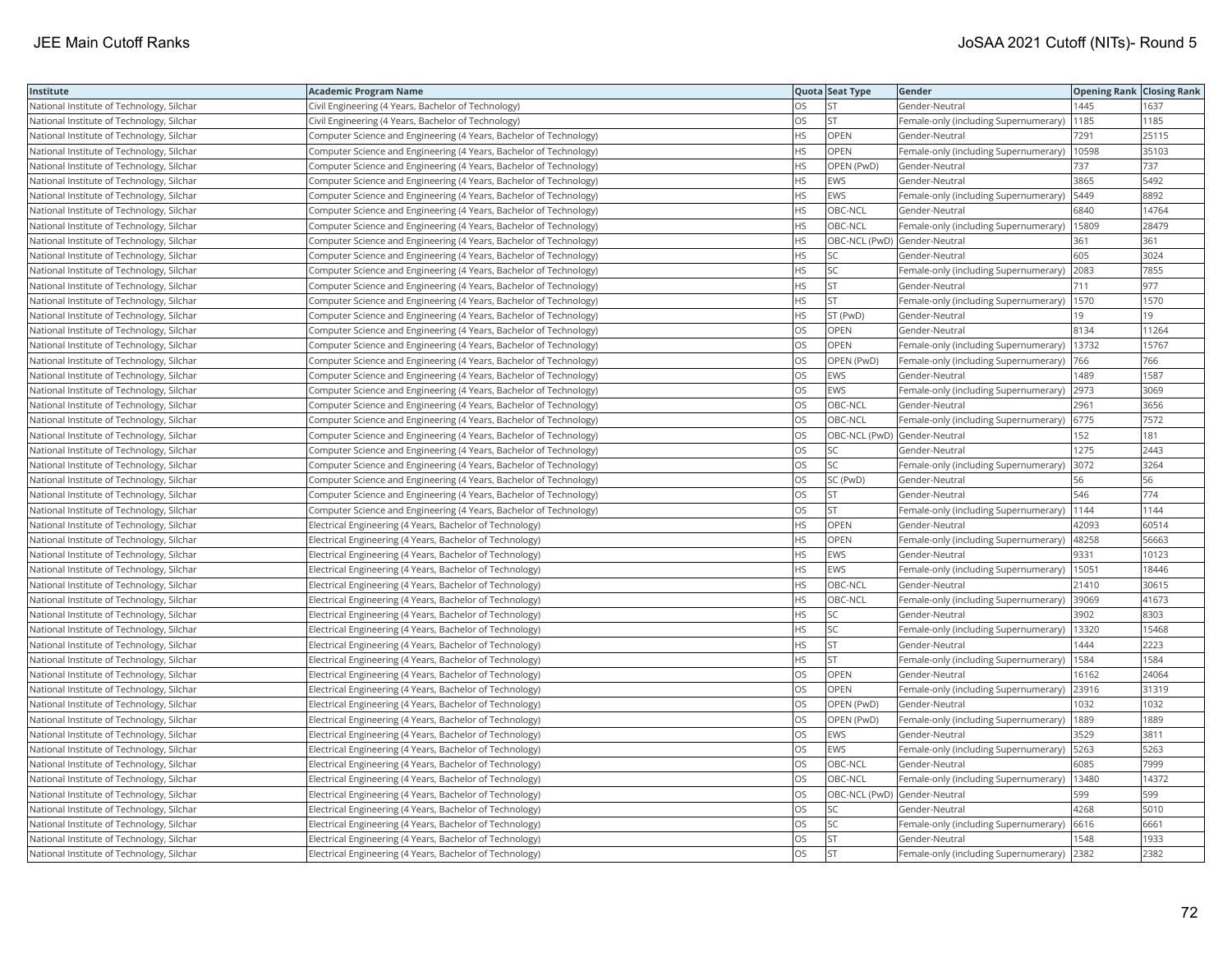| Institute                                 | Academic Program Name                                              |           | Quota Seat Type              | Gender                                        | <b>Opening Rank   Closing Rank</b> |       |
|-------------------------------------------|--------------------------------------------------------------------|-----------|------------------------------|-----------------------------------------------|------------------------------------|-------|
| National Institute of Technology, Silchar | Civil Engineering (4 Years, Bachelor of Technology)                | OS.       | <b>ST</b>                    | Gender-Neutral                                | 1445                               | 1637  |
| National Institute of Technology, Silchar | Civil Engineering (4 Years, Bachelor of Technology)                | OS.       | <b>ST</b>                    | Female-only (including Supernumerary)         | 1185                               | 1185  |
| National Institute of Technology, Silchar | Computer Science and Engineering (4 Years, Bachelor of Technology) | HS        | OPEN                         | Gender-Neutral                                | 7291                               | 25115 |
| National Institute of Technology, Silchar | Computer Science and Engineering (4 Years, Bachelor of Technology) | <b>HS</b> | <b>OPEN</b>                  | Female-only (including Supernumerary)         | 10598                              | 35103 |
| National Institute of Technology, Silchar | Computer Science and Engineering (4 Years, Bachelor of Technology) | HS        | OPEN (PwD)                   | Gender-Neutral                                | 737                                | 737   |
| National Institute of Technology, Silchar | Computer Science and Engineering (4 Years, Bachelor of Technology) | HS        | EWS                          | Gender-Neutral                                | 3865                               | 5492  |
| National Institute of Technology, Silchar | Computer Science and Engineering (4 Years, Bachelor of Technology) | HS        | <b>EWS</b>                   | Female-only (including Supernumerary)         | 5449                               | 8892  |
| National Institute of Technology, Silchar | Computer Science and Engineering (4 Years, Bachelor of Technology) | HS        | OBC-NCL                      | Gender-Neutral                                | 6840                               | 14764 |
| National Institute of Technology, Silchar | Computer Science and Engineering (4 Years, Bachelor of Technology) | <b>HS</b> | OBC-NCL                      | Female-only (including Supernumerary)         | 15809                              | 28479 |
| National Institute of Technology, Silchar | Computer Science and Engineering (4 Years, Bachelor of Technology) | HS        | OBC-NCL (PwD) Gender-Neutral |                                               | 361                                | 361   |
| National Institute of Technology, Silchar | Computer Science and Engineering (4 Years, Bachelor of Technology) | HS        | SC                           | Gender-Neutral                                | 605                                | 3024  |
| National Institute of Technology, Silchar | Computer Science and Engineering (4 Years, Bachelor of Technology) | HS        | SC                           | Female-only (including Supernumerary) 2083    |                                    | 7855  |
| National Institute of Technology, Silchar | Computer Science and Engineering (4 Years, Bachelor of Technology) | HS        | <b>ST</b>                    | Gender-Neutral                                | 711                                | 977   |
| National Institute of Technology, Silchar | Computer Science and Engineering (4 Years, Bachelor of Technology) | HS        | <b>ST</b>                    | Female-only (including Supernumerary)   1570  |                                    | 1570  |
| National Institute of Technology, Silchar | Computer Science and Engineering (4 Years, Bachelor of Technology) | HS.       | ST (PwD)                     | Gender-Neutral                                | 19                                 | 19    |
| National Institute of Technology, Silchar | Computer Science and Engineering (4 Years, Bachelor of Technology) | OS        | OPEN                         | Gender-Neutral                                | 8134                               | 11264 |
| National Institute of Technology, Silchar | Computer Science and Engineering (4 Years, Bachelor of Technology) | OS        | OPEN                         | Female-only (including Supernumerary)         | 13732                              | 15767 |
| National Institute of Technology, Silchar | Computer Science and Engineering (4 Years, Bachelor of Technology) | OS        | OPEN (PwD)                   | Female-only (including Supernumerary)         | 766                                | 766   |
| National Institute of Technology, Silchar | Computer Science and Engineering (4 Years, Bachelor of Technology) | OS.       | <b>EWS</b>                   | Gender-Neutral                                | 1489                               | 1587  |
| National Institute of Technology, Silchar | Computer Science and Engineering (4 Years, Bachelor of Technology) | OS        | EWS                          | Female-only (including Supernumerary) 2973    |                                    | 3069  |
| National Institute of Technology, Silchar | Computer Science and Engineering (4 Years, Bachelor of Technology) | OS        | OBC-NCL                      | Gender-Neutral                                | 2961                               | 3656  |
| National Institute of Technology, Silchar | Computer Science and Engineering (4 Years, Bachelor of Technology) | OS        | OBC-NCL                      | Female-only (including Supernumerary) 6775    |                                    | 7572  |
| National Institute of Technology, Silchar | Computer Science and Engineering (4 Years, Bachelor of Technology) | OS        | OBC-NCL (PwD) Gender-Neutral |                                               | 152                                | 181   |
| National Institute of Technology, Silchar | Computer Science and Engineering (4 Years, Bachelor of Technology) | OS        | SC                           | Gender-Neutral                                | 1275                               | 2443  |
| National Institute of Technology, Silchar | Computer Science and Engineering (4 Years, Bachelor of Technology) | OS        | SC                           | Female-only (including Supernumerary)         | 3072                               | 3264  |
| National Institute of Technology, Silchar | Computer Science and Engineering (4 Years, Bachelor of Technology) | OS        | SC (PwD)                     | Gender-Neutral                                | 56                                 | 56    |
| National Institute of Technology, Silchar | Computer Science and Engineering (4 Years, Bachelor of Technology) | OS.       | <b>ST</b>                    | Gender-Neutral                                | 546                                | 774   |
| National Institute of Technology, Silchar | Computer Science and Engineering (4 Years, Bachelor of Technology) | OS        | <b>ST</b>                    | Female-only (including Supernumerary)   1144  |                                    | 1144  |
| National Institute of Technology, Silchar | Electrical Engineering (4 Years, Bachelor of Technology)           | HS        | OPEN                         | Gender-Neutral                                | 42093                              | 60514 |
| National Institute of Technology, Silchar | Electrical Engineering (4 Years, Bachelor of Technology)           | НS        | OPEN                         | Female-only (including Supernumerary)         | 48258                              | 56663 |
| National Institute of Technology, Silchar | Electrical Engineering (4 Years, Bachelor of Technology)           | HS        | <b>EWS</b>                   | Gender-Neutral                                | 9331                               | 10123 |
| National Institute of Technology, Silchar | Electrical Engineering (4 Years, Bachelor of Technology)           | HS.       | <b>EWS</b>                   | Female-only (including Supernumerary)         | 15051                              | 18446 |
| National Institute of Technology, Silchar | Electrical Engineering (4 Years, Bachelor of Technology)           | HS        | OBC-NCL                      | Gender-Neutral                                | 21410                              | 30615 |
| National Institute of Technology, Silchar | Electrical Engineering (4 Years, Bachelor of Technology)           | HS.       | OBC-NCL                      | Female-only (including Supernumerary)         | 39069                              | 41673 |
| National Institute of Technology, Silchar | Electrical Engineering (4 Years, Bachelor of Technology)           | HS        | <b>SC</b>                    | Gender-Neutral                                | 3902                               | 8303  |
| National Institute of Technology, Silchar | Electrical Engineering (4 Years, Bachelor of Technology)           | HS        | SC                           | Female-only (including Supernumerary)         | 13320                              | 15468 |
| National Institute of Technology, Silchar | Electrical Engineering (4 Years, Bachelor of Technology)           | HS        | <b>ST</b>                    | Gender-Neutral                                | 1444                               | 2223  |
| National Institute of Technology, Silchar | Electrical Engineering (4 Years, Bachelor of Technology)           | HS.       | <b>ST</b>                    | Female-only (including Supernumerary)   1584  |                                    | 1584  |
| National Institute of Technology, Silchar | Electrical Engineering (4 Years, Bachelor of Technology)           | OS        | OPEN                         | Gender-Neutral                                | 16162                              | 24064 |
| National Institute of Technology, Silchar | Electrical Engineering (4 Years, Bachelor of Technology)           | <b>OS</b> | <b>OPEN</b>                  | Female-only (including Supernumerary)         | 23916                              | 31319 |
| National Institute of Technology, Silchar | Electrical Engineering (4 Years, Bachelor of Technology)           | OS        | OPEN (PwD)                   | Gender-Neutral                                | 1032                               | 1032  |
| National Institute of Technology, Silchar | Electrical Engineering (4 Years, Bachelor of Technology)           | OS        | OPEN (PwD)                   | Female-only (including Supernumerary)         | 1889                               | 1889  |
| National Institute of Technology, Silchar | Electrical Engineering (4 Years, Bachelor of Technology)           | OS.       | <b>EWS</b>                   | Gender-Neutral                                | 3529                               | 3811  |
| National Institute of Technology, Silchar | Electrical Engineering (4 Years, Bachelor of Technology)           | OS        | EWS                          | Female-only (including Supernumerary)   5263  |                                    | 5263  |
| National Institute of Technology, Silchar | Electrical Engineering (4 Years, Bachelor of Technology)           | OS        | OBC-NCL                      | Gender-Neutral                                | 6085                               | 7999  |
| National Institute of Technology, Silchar | Electrical Engineering (4 Years, Bachelor of Technology)           | OS        | OBC-NCL                      | Female-only (including Supernumerary)   13480 |                                    | 14372 |
| National Institute of Technology, Silchar | Electrical Engineering (4 Years, Bachelor of Technology)           | OS        | OBC-NCL (PwD) Gender-Neutral |                                               | 599                                | 599   |
| National Institute of Technology, Silchar | Electrical Engineering (4 Years, Bachelor of Technology)           | OS        | <b>SC</b>                    | Gender-Neutral                                | 4268                               | 5010  |
| National Institute of Technology, Silchar | Electrical Engineering (4 Years, Bachelor of Technology)           | OS        | SC                           | Female-only (including Supernumerary)         | 6616                               | 6661  |
| National Institute of Technology, Silchar | Electrical Engineering (4 Years, Bachelor of Technology)           | OS        | <b>ST</b>                    | Gender-Neutral                                | 1548                               | 1933  |
| National Institute of Technology, Silchar | Electrical Engineering (4 Years, Bachelor of Technology)           | OS        | İst                          | Female-only (including Supernumerary) 2382    |                                    | 2382  |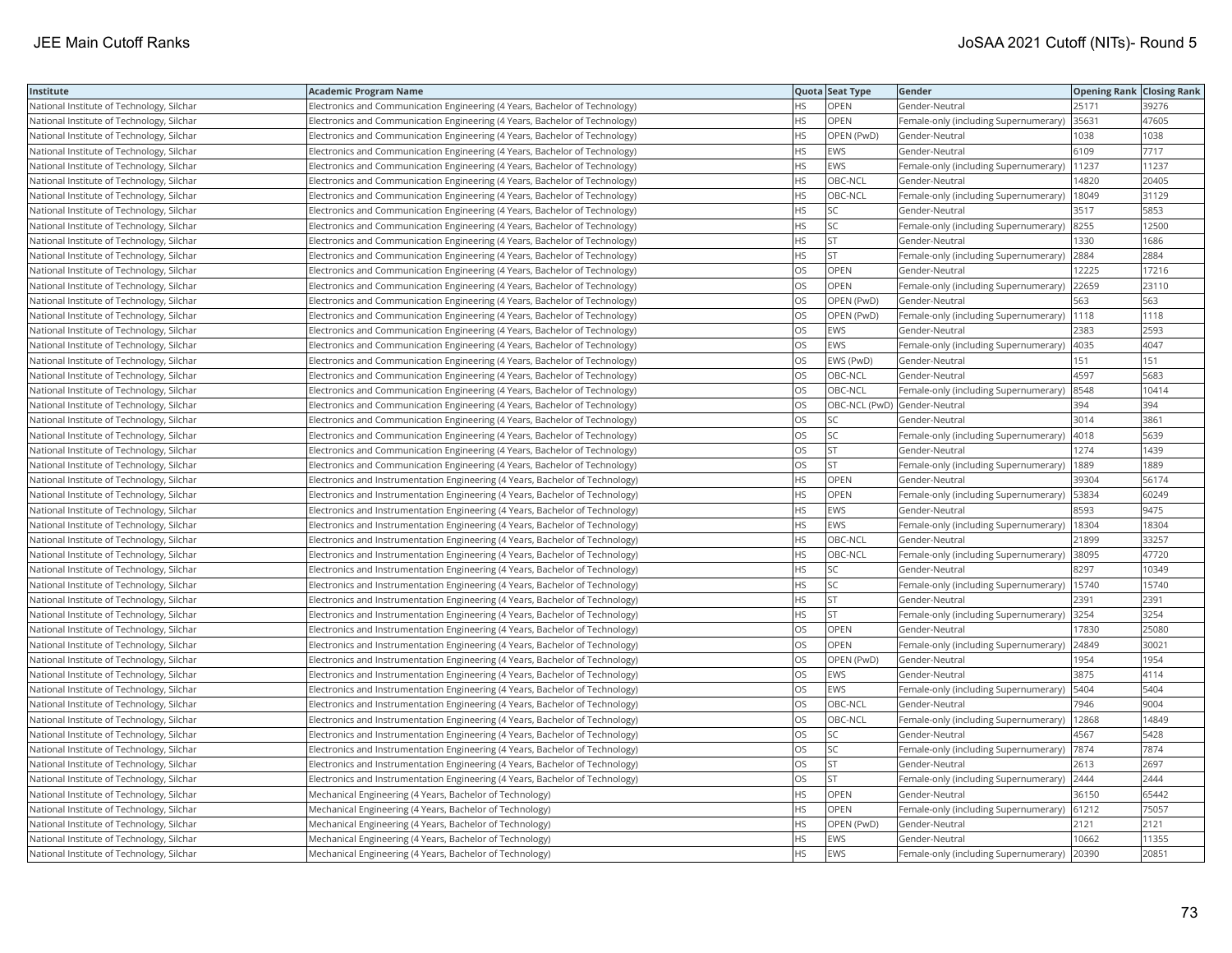| Institute                                 | <b>Academic Program Name</b>                                                   |           | Quota Seat Type              | Gender                                      | <b>Opening Rank   Closing Rank</b> |       |
|-------------------------------------------|--------------------------------------------------------------------------------|-----------|------------------------------|---------------------------------------------|------------------------------------|-------|
| National Institute of Technology, Silchar | Electronics and Communication Engineering (4 Years, Bachelor of Technology)    | HS.       | OPEN                         | Gender-Neutral                              | 25171                              | 39276 |
| National Institute of Technology, Silchar | Electronics and Communication Engineering (4 Years, Bachelor of Technology)    | HS.       | <b>OPEN</b>                  | Female-only (including Supernumerary)       | 35631                              | 47605 |
| National Institute of Technology, Silchar | Electronics and Communication Engineering (4 Years, Bachelor of Technology)    | HS.       | OPEN (PwD)                   | Gender-Neutral                              | 1038                               | 1038  |
| National Institute of Technology, Silchar | Electronics and Communication Engineering (4 Years, Bachelor of Technology)    | HS.       | EWS                          | Gender-Neutral                              | 6109                               | 7717  |
| National Institute of Technology, Silchar | Electronics and Communication Engineering (4 Years, Bachelor of Technology)    | HS        | <b>EWS</b>                   | Female-only (including Supernumerary)       | 11237                              | 11237 |
| National Institute of Technology, Silchar | Electronics and Communication Engineering (4 Years, Bachelor of Technology)    | <b>HS</b> | OBC-NCL                      | Gender-Neutral                              | 14820                              | 20405 |
| National Institute of Technology, Silchar | Electronics and Communication Engineering (4 Years, Bachelor of Technology)    | НS        | OBC-NCL                      | Female-only (including Supernumerary)       | 18049                              | 31129 |
| National Institute of Technology, Silchar | Electronics and Communication Engineering (4 Years, Bachelor of Technology)    | <b>HS</b> | <b>SC</b>                    | Gender-Neutral                              | 3517                               | 5853  |
| National Institute of Technology, Silchar | Electronics and Communication Engineering (4 Years, Bachelor of Technology)    | HS.       | <b>SC</b>                    | Female-only (including Supernumerary)       | 8255                               | 12500 |
| National Institute of Technology, Silchar | Electronics and Communication Engineering (4 Years, Bachelor of Technology)    | HS        | <b>ST</b>                    | Gender-Neutral                              | 1330                               | 1686  |
| National Institute of Technology, Silchar | Electronics and Communication Engineering (4 Years, Bachelor of Technology)    | <b>HS</b> | <b>ST</b>                    | Female-only (including Supernumerary)       | 2884                               | 2884  |
| National Institute of Technology, Silchar | Electronics and Communication Engineering (4 Years, Bachelor of Technology)    | OS        | OPEN                         | Gender-Neutral                              | 12225                              | 17216 |
| National Institute of Technology, Silchar | Electronics and Communication Engineering (4 Years, Bachelor of Technology)    | OS        | OPEN                         | Female-only (including Supernumerary) 22659 |                                    | 23110 |
| National Institute of Technology, Silchar | Electronics and Communication Engineering (4 Years, Bachelor of Technology)    | OS        | OPEN (PwD)                   | Gender-Neutral                              | 563                                | 563   |
| National Institute of Technology, Silchar | Electronics and Communication Engineering (4 Years, Bachelor of Technology)    | OS        | OPEN (PwD)                   | Female-only (including Supernumerary)       | 1118                               | 1118  |
| National Institute of Technology, Silchar | Electronics and Communication Engineering (4 Years, Bachelor of Technology)    | OS        | EWS                          | Gender-Neutral                              | 2383                               | 2593  |
| National Institute of Technology, Silchar | Electronics and Communication Engineering (4 Years, Bachelor of Technology)    | OS        | EWS                          | Female-only (including Supernumerary)       | 4035                               | 4047  |
| National Institute of Technology, Silchar | Electronics and Communication Engineering (4 Years, Bachelor of Technology)    | OS.       | EWS (PwD)                    | Gender-Neutral                              | 151                                | 151   |
| National Institute of Technology, Silchar | Electronics and Communication Engineering (4 Years, Bachelor of Technology)    | OS        | OBC-NCL                      | Gender-Neutral                              | 4597                               | 5683  |
| National Institute of Technology, Silchar | Electronics and Communication Engineering (4 Years, Bachelor of Technology)    | OS        | OBC-NCL                      | Female-only (including Supernumerary)       | 8548                               | 10414 |
| National Institute of Technology, Silchar | Electronics and Communication Engineering (4 Years, Bachelor of Technology)    | OS        | OBC-NCL (PwD) Gender-Neutral |                                             | 394                                | 394   |
| National Institute of Technology, Silchar | Electronics and Communication Engineering (4 Years, Bachelor of Technology)    | OS        | SC                           | Gender-Neutral                              | 3014                               | 3861  |
| National Institute of Technology, Silchar | Electronics and Communication Engineering (4 Years, Bachelor of Technology)    | OS.       | <b>SC</b>                    | Female-only (including Supernumerary)       | 4018                               | 5639  |
| National Institute of Technology, Silchar | Electronics and Communication Engineering (4 Years, Bachelor of Technology)    | OS        | <b>ST</b>                    | Gender-Neutral                              | 1274                               | 1439  |
| National Institute of Technology, Silchar | Electronics and Communication Engineering (4 Years, Bachelor of Technology)    | OS        | ST.                          | Female-only (including Supernumerary)       | 1889                               | 1889  |
| National Institute of Technology, Silchar | Electronics and Instrumentation Engineering (4 Years, Bachelor of Technology)  | <b>HS</b> | <b>OPEN</b>                  | Gender-Neutral                              | 39304                              | 56174 |
| National Institute of Technology, Silchar | Electronics and Instrumentation Engineering (4 Years, Bachelor of Technology)  | HS.       | OPEN                         | Female-only (including Supernumerary)       | 53834                              | 60249 |
| National Institute of Technology, Silchar | Electronics and Instrumentation Engineering (4 Years, Bachelor of Technology)  | HS        | EWS                          | Gender-Neutral                              | 8593                               | 9475  |
| National Institute of Technology, Silchar | [Electronics and Instrumentation Engineering (4 Years, Bachelor of Technology) | HS        | EWS                          | Female-only (including Supernumerary)       | 18304                              | 18304 |
| National Institute of Technology, Silchar | Electronics and Instrumentation Engineering (4 Years, Bachelor of Technology)  | HS        | OBC-NCL                      | Gender-Neutral                              | 21899                              | 33257 |
| National Institute of Technology, Silchar | Electronics and Instrumentation Engineering (4 Years, Bachelor of Technology)  | <b>HS</b> | OBC-NCL                      | Female-only (including Supernumerary)       | 38095                              | 47720 |
| National Institute of Technology, Silchar | Electronics and Instrumentation Engineering (4 Years, Bachelor of Technology)  | ΗS        | SC                           | Gender-Neutral                              | 8297                               | 10349 |
| National Institute of Technology, Silchar | Electronics and Instrumentation Engineering (4 Years, Bachelor of Technology)  | HS        | SC                           | Female-only (including Supernumerary)       | 15740                              | 15740 |
| National Institute of Technology, Silchar | Electronics and Instrumentation Engineering (4 Years, Bachelor of Technology)  | HS        | <b>ST</b>                    | Gender-Neutral                              | 2391                               | 2391  |
| National Institute of Technology, Silchar | Electronics and Instrumentation Engineering (4 Years, Bachelor of Technology)  | HS        | <b>ST</b>                    | Female-only (including Supernumerary)       | 3254                               | 3254  |
| National Institute of Technology, Silchar | Electronics and Instrumentation Engineering (4 Years, Bachelor of Technology)  | OS        | <b>OPEN</b>                  | Gender-Neutral                              | 17830                              | 25080 |
| National Institute of Technology, Silchar | Electronics and Instrumentation Engineering (4 Years, Bachelor of Technology)  | OS        | OPEN                         | Female-only (including Supernumerary)       | 24849                              | 30021 |
| National Institute of Technology, Silchar | Electronics and Instrumentation Engineering (4 Years, Bachelor of Technology)  | OS        | OPEN (PwD)                   | Gender-Neutral                              | 1954                               | 1954  |
| National Institute of Technology, Silchar | Electronics and Instrumentation Engineering (4 Years, Bachelor of Technology)  | OS        | <b>EWS</b>                   | Gender-Neutral                              | 3875                               | 4114  |
| National Institute of Technology, Silchar | Electronics and Instrumentation Engineering (4 Years, Bachelor of Technology)  | <b>OS</b> | <b>EWS</b>                   | Female-only (including Supernumerary)       | 5404                               | 5404  |
| National Institute of Technology, Silchar | Electronics and Instrumentation Engineering (4 Years, Bachelor of Technology)  | OS        | OBC-NCL                      | Gender-Neutral                              | 7946                               | 9004  |
| National Institute of Technology, Silchar | Electronics and Instrumentation Engineering (4 Years, Bachelor of Technology)  | OS        | OBC-NCL                      | Female-only (including Supernumerary)       | 12868                              | 14849 |
| National Institute of Technology, Silchar | Electronics and Instrumentation Engineering (4 Years, Bachelor of Technology)  | OS.       | <b>SC</b>                    | Gender-Neutral                              | 4567                               | 5428  |
| National Institute of Technology, Silchar | Electronics and Instrumentation Engineering (4 Years, Bachelor of Technology)  | OS        | SC                           | Female-only (including Supernumerary)       | 7874                               | 7874  |
| National Institute of Technology, Silchar | Electronics and Instrumentation Engineering (4 Years, Bachelor of Technology)  | OS.       | lst                          | Gender-Neutral                              | 2613                               | 2697  |
| National Institute of Technology, Silchar | [Electronics and Instrumentation Engineering (4 Years, Bachelor of Technology) | OS        | <b>ST</b>                    | Female-only (including Supernumerary)       | 2444                               | 2444  |
| National Institute of Technology, Silchar | Mechanical Engineering (4 Years, Bachelor of Technology)                       | HS.       | OPEN                         | Gender-Neutral                              | 36150                              | 65442 |
| National Institute of Technology, Silchar | Mechanical Engineering (4 Years, Bachelor of Technology)                       | НS        | <b>OPEN</b>                  | Female-only (including Supernumerary)       | 61212                              | 75057 |
| National Institute of Technology, Silchar | Mechanical Engineering (4 Years, Bachelor of Technology)                       | HS        | OPEN (PwD)                   | Gender-Neutral                              | 2121                               | 2121  |
| National Institute of Technology, Silchar | Mechanical Engineering (4 Years, Bachelor of Technology)                       | HS.       | <b>EWS</b>                   | Gender-Neutral                              | 10662                              | 11355 |
| National Institute of Technology, Silchar | Mechanical Engineering (4 Years, Bachelor of Technology)                       | <b>HS</b> | <b>EWS</b>                   | Female-only (including Supernumerary)       | 20390                              | 20851 |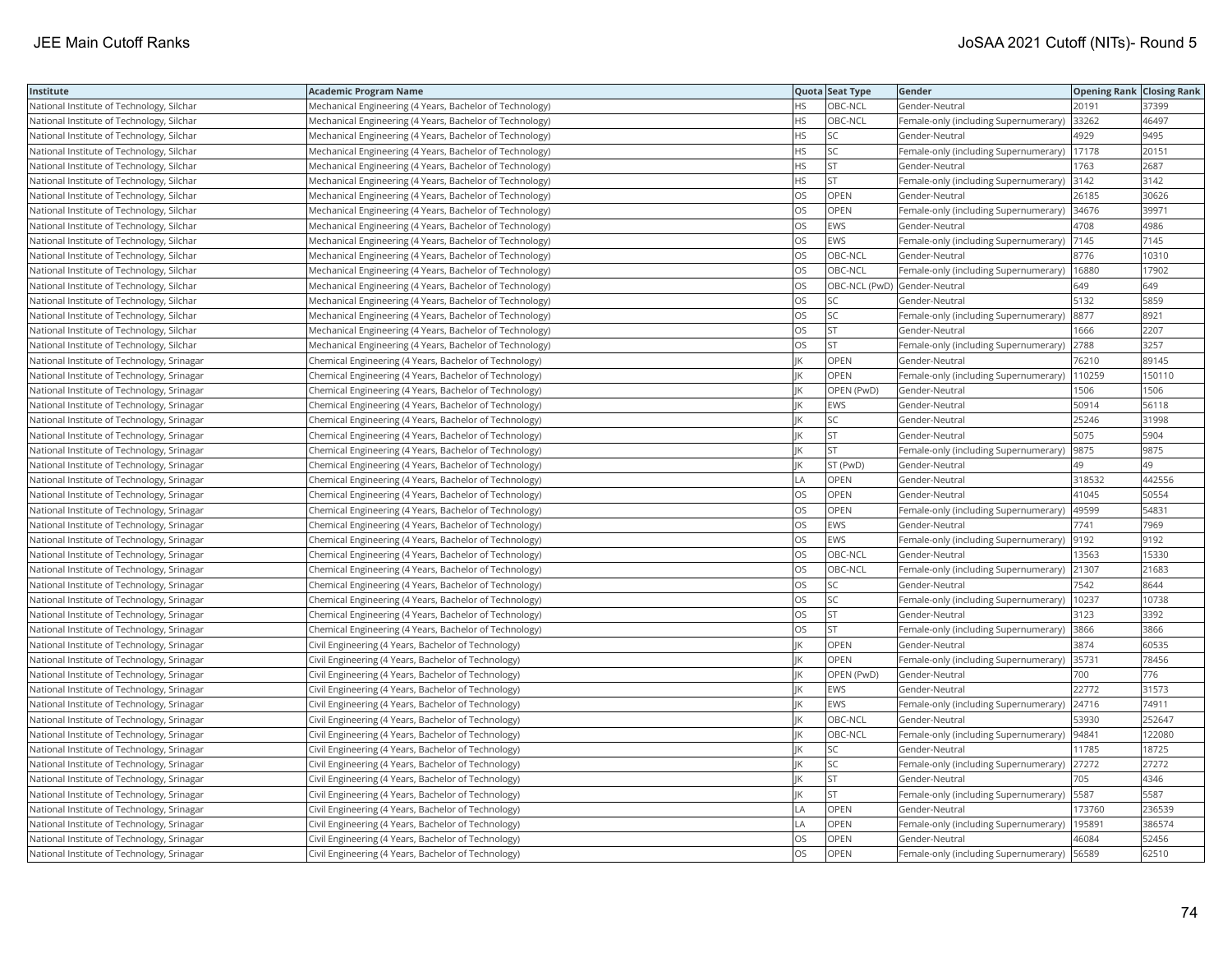| Institute                                  | Academic Program Name                                    |           | Quota Seat Type              | Gender                                      | <b>Opening Rank Closing Rank</b> |        |
|--------------------------------------------|----------------------------------------------------------|-----------|------------------------------|---------------------------------------------|----------------------------------|--------|
| National Institute of Technology, Silchar  | Mechanical Engineering (4 Years, Bachelor of Technology) | HS.       | OBC-NCL                      | Gender-Neutral                              | 20191                            | 37399  |
| National Institute of Technology, Silchar  | Mechanical Engineering (4 Years, Bachelor of Technology) | HS.       | OBC-NCL                      | Female-only (including Supernumerary)       | 33262                            | 46497  |
| National Institute of Technology, Silchar  | Mechanical Engineering (4 Years, Bachelor of Technology) | HS.       | <b>SC</b>                    | Gender-Neutral                              | 4929                             | 9495   |
| National Institute of Technology, Silchar  | Mechanical Engineering (4 Years, Bachelor of Technology) | HS        | SC                           | Female-only (including Supernumerary)       | 17178                            | 20151  |
| National Institute of Technology, Silchar  | Mechanical Engineering (4 Years, Bachelor of Technology) | HS.       | <b>ST</b>                    | Gender-Neutral                              | 1763                             | 2687   |
| National Institute of Technology, Silchar  | Mechanical Engineering (4 Years, Bachelor of Technology) | HS.       | <b>ST</b>                    | Female-only (including Supernumerary) 3142  |                                  | 3142   |
| National Institute of Technology, Silchar  | Mechanical Engineering (4 Years, Bachelor of Technology) | OS        | OPEN                         | Gender-Neutral                              | 26185                            | 30626  |
| National Institute of Technology, Silchar  | Mechanical Engineering (4 Years, Bachelor of Technology) | OS.       | <b>OPEN</b>                  | Female-only (including Supernumerary) 34676 |                                  | 39971  |
| National Institute of Technology, Silchar  | Mechanical Engineering (4 Years, Bachelor of Technology) | OS        | EWS                          | Gender-Neutral                              | 4708                             | 4986   |
| National Institute of Technology, Silchar  | Mechanical Engineering (4 Years, Bachelor of Technology) | OS        | <b>EWS</b>                   | Female-only (including Supernumerary)  7145 |                                  | 7145   |
| National Institute of Technology, Silchar  | Mechanical Engineering (4 Years, Bachelor of Technology) | <b>OS</b> | OBC-NCL                      | Gender-Neutral                              | 8776                             | 10310  |
| National Institute of Technology, Silchar  | Mechanical Engineering (4 Years, Bachelor of Technology) | <b>OS</b> | OBC-NCL                      | Female-only (including Supernumerary)       | 16880                            | 17902  |
| National Institute of Technology, Silchar  | Mechanical Engineering (4 Years, Bachelor of Technology) | OS        | OBC-NCL (PwD) Gender-Neutral |                                             | 649                              | 649    |
| National Institute of Technology, Silchar  | Mechanical Engineering (4 Years, Bachelor of Technology) | OS        | SC                           | Gender-Neutral                              | 5132                             | 5859   |
| National Institute of Technology, Silchar  | Mechanical Engineering (4 Years, Bachelor of Technology) | OS        | SC                           | Female-only (including Supernumerary) 8877  |                                  | 8921   |
| National Institute of Technology, Silchar  | Mechanical Engineering (4 Years, Bachelor of Technology) | OS        | <b>ST</b>                    | Gender-Neutral                              | 1666                             | 2207   |
| National Institute of Technology, Silchar  | Mechanical Engineering (4 Years, Bachelor of Technology) | OS.       | <b>ST</b>                    | Female-only (including Supernumerary)       | 2788                             | 3257   |
| National Institute of Technology, Srinagar | Chemical Engineering (4 Years, Bachelor of Technology)   |           | OPEN                         | Gender-Neutral                              | 76210                            | 89145  |
| National Institute of Technology, Srinagar | Chemical Engineering (4 Years, Bachelor of Technology)   | IK        | OPEN                         | Female-only (including Supernumerary)       | 110259                           | 150110 |
| National Institute of Technology, Srinagar | Chemical Engineering (4 Years, Bachelor of Technology)   |           | OPEN (PwD)                   | Gender-Neutral                              | 1506                             | 1506   |
| National Institute of Technology, Srinagar | Chemical Engineering (4 Years, Bachelor of Technology)   |           | EWS                          | Gender-Neutral                              | 50914                            | 56118  |
| National Institute of Technology, Srinagar | Chemical Engineering (4 Years, Bachelor of Technology)   | IK        | SC                           | Gender-Neutral                              | 25246                            | 31998  |
| National Institute of Technology, Srinagar | Chemical Engineering (4 Years, Bachelor of Technology)   |           | <b>ST</b>                    | Gender-Neutral                              | 5075                             | 5904   |
| National Institute of Technology, Srinagar | Chemical Engineering (4 Years, Bachelor of Technology)   |           | <b>ST</b>                    | Female-only (including Supernumerary)       | 9875                             | 9875   |
| National Institute of Technology, Srinagar | Chemical Engineering (4 Years, Bachelor of Technology)   |           | ST (PwD)                     | Gender-Neutral                              | 49                               | 49     |
| National Institute of Technology, Srinagar | Chemical Engineering (4 Years, Bachelor of Technology)   | LA        | OPEN                         | Gender-Neutral                              | 318532                           | 442556 |
| National Institute of Technology, Srinagar | Chemical Engineering (4 Years, Bachelor of Technology)   | OS        | OPEN                         | Gender-Neutral                              | 41045                            | 50554  |
| National Institute of Technology, Srinagar | Chemical Engineering (4 Years, Bachelor of Technology)   | OS        | OPEN                         | Female-only (including Supernumerary)       | 49599                            | 54831  |
| National Institute of Technology, Srinagar | Chemical Engineering (4 Years, Bachelor of Technology)   | OS        | <b>EWS</b>                   | Gender-Neutral                              | 7741                             | 7969   |
| National Institute of Technology, Srinagar | Chemical Engineering (4 Years, Bachelor of Technology)   | OS        | EWS                          | Female-only (including Supernumerary)  9192 |                                  | 9192   |
| National Institute of Technology, Srinagar | Chemical Engineering (4 Years, Bachelor of Technology)   | OS        | OBC-NCL                      | Gender-Neutral                              | 13563                            | 15330  |
| National Institute of Technology, Srinagar | Chemical Engineering (4 Years, Bachelor of Technology)   | OS.       | OBC-NCL                      | Female-only (including Supernumerary)       | 21307                            | 21683  |
| National Institute of Technology, Srinagar | Chemical Engineering (4 Years, Bachelor of Technology)   | OS        | SC                           | Gender-Neutral                              | 7542                             | 8644   |
| National Institute of Technology, Srinagar | Chemical Engineering (4 Years, Bachelor of Technology)   | OS        | SC                           | Female-only (including Supernumerary)       | 10237                            | 10738  |
| National Institute of Technology, Srinagar | Chemical Engineering (4 Years, Bachelor of Technology)   | OS.       | <b>ST</b>                    | Gender-Neutral                              | 3123                             | 3392   |
| National Institute of Technology, Srinagar | Chemical Engineering (4 Years, Bachelor of Technology)   | OS        | lst                          | Female-only (including Supernumerary)       | 3866                             | 3866   |
| National Institute of Technology, Srinagar | Civil Engineering (4 Years, Bachelor of Technology)      | ΙK        | OPEN                         | Gender-Neutral                              | 3874                             | 60535  |
| National Institute of Technology, Srinagar | Civil Engineering (4 Years, Bachelor of Technology)      |           | OPEN                         | Female-only (including Supernumerary) 35731 |                                  | 78456  |
| National Institute of Technology, Srinagar | Civil Engineering (4 Years, Bachelor of Technology)      |           | OPEN (PwD)                   | Gender-Neutral                              | 700                              | 776    |
| National Institute of Technology, Srinagar | Civil Engineering (4 Years, Bachelor of Technology)      |           | <b>EWS</b>                   | Gender-Neutral                              | 22772                            | 31573  |
| National Institute of Technology, Srinagar | Civil Engineering (4 Years, Bachelor of Technology)      |           | <b>EWS</b>                   | Female-only (including Supernumerary)       | 24716                            | 74911  |
| National Institute of Technology, Srinagar | Civil Engineering (4 Years, Bachelor of Technology)      | IK        | OBC-NCL                      | Gender-Neutral                              | 53930                            | 252647 |
| National Institute of Technology, Srinagar | Civil Engineering (4 Years, Bachelor of Technology)      |           | OBC-NCL                      | Female-only (including Supernumerary)       | 94841                            | 122080 |
| National Institute of Technology, Srinagar | Civil Engineering (4 Years, Bachelor of Technology)      |           | SC                           | Gender-Neutral                              | 11785                            | 18725  |
| National Institute of Technology, Srinagar | Civil Engineering (4 Years, Bachelor of Technology)      | ΙK        | <b>SC</b>                    | Female-only (including Supernumerary) 27272 |                                  | 27272  |
| National Institute of Technology, Srinagar | Civil Engineering (4 Years, Bachelor of Technology)      |           | ST                           | Gender-Neutral                              | 705                              | 4346   |
| National Institute of Technology, Srinagar | Civil Engineering (4 Years, Bachelor of Technology)      |           | <b>ST</b>                    | Female-only (including Supernumerary)       | 5587                             | 5587   |
| National Institute of Technology, Srinagar | Civil Engineering (4 Years, Bachelor of Technology)      | LA        | OPEN                         | Gender-Neutral                              | 173760                           | 236539 |
| National Institute of Technology, Srinagar | Civil Engineering (4 Years, Bachelor of Technology)      | LA        | OPEN                         | Female-only (including Supernumerary)       | 195891                           | 386574 |
| National Institute of Technology, Srinagar | Civil Engineering (4 Years, Bachelor of Technology)      | OS.       | OPEN                         | Gender-Neutral                              | 46084                            | 52456  |
| National Institute of Technology, Srinagar | Civil Engineering (4 Years, Bachelor of Technology)      | <b>OS</b> | <b>OPEN</b>                  | Female-only (including Supernumerary)       | 56589                            | 62510  |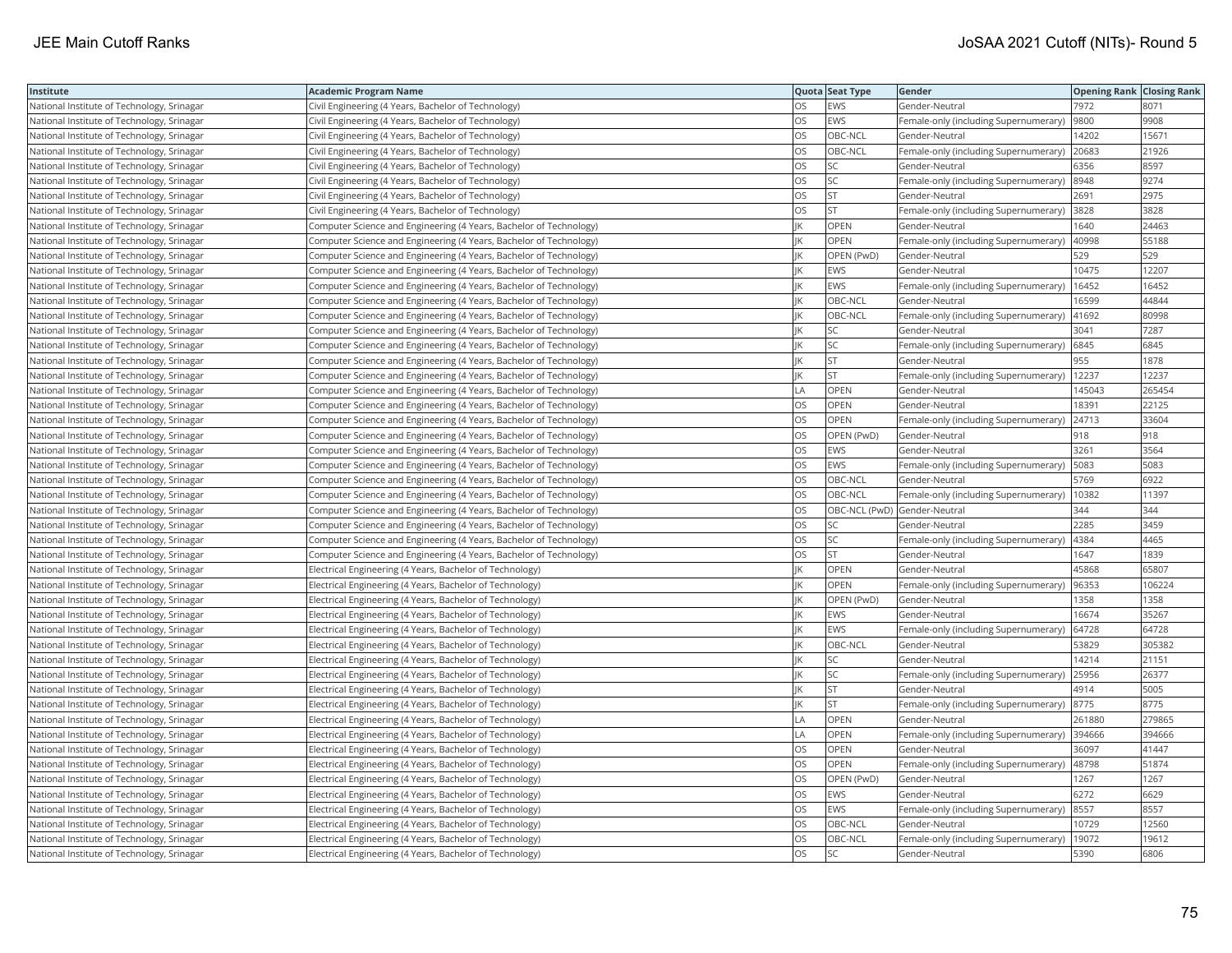| Institute                                  | Academic Program Name                                              |           | Quota Seat Type              | Gender                                       | <b>Opening Rank Closing Rank</b> |        |
|--------------------------------------------|--------------------------------------------------------------------|-----------|------------------------------|----------------------------------------------|----------------------------------|--------|
| National Institute of Technology, Srinagar | Civil Engineering (4 Years, Bachelor of Technology)                | OS        | EWS                          | Gender-Neutral                               | 7972                             | 8071   |
| National Institute of Technology, Srinagar | Civil Engineering (4 Years, Bachelor of Technology)                | OS        | EWS                          | Female-only (including Supernumerary)        | 9800                             | 9908   |
| National Institute of Technology, Srinagar | Civil Engineering (4 Years, Bachelor of Technology)                | <b>OS</b> | OBC-NCL                      | Gender-Neutral                               | 14202                            | 15671  |
| National Institute of Technology, Srinagar | Civil Engineering (4 Years, Bachelor of Technology)                | OS        | OBC-NCL                      | Female-only (including Supernumerary)        | 20683                            | 21926  |
| National Institute of Technology, Srinagar | Civil Engineering (4 Years, Bachelor of Technology)                | OS        | <b>SC</b>                    | Gender-Neutral                               | 6356                             | 8597   |
| National Institute of Technology, Srinagar | Civil Engineering (4 Years, Bachelor of Technology)                | OS        | SC                           | Female-only (including Supernumerary)  8948  |                                  | 9274   |
| National Institute of Technology, Srinagar | Civil Engineering (4 Years, Bachelor of Technology)                | OS        | <b>ST</b>                    | Gender-Neutral                               | 2691                             | 2975   |
| National Institute of Technology, Srinagar | Civil Engineering (4 Years, Bachelor of Technology)                | OS        | <b>ST</b>                    | Female-only (including Supernumerary)        | 3828                             | 3828   |
| National Institute of Technology, Srinagar | Computer Science and Engineering (4 Years, Bachelor of Technology) |           | OPEN                         | Gender-Neutral                               | 640                              | 24463  |
| National Institute of Technology, Srinagar | Computer Science and Engineering (4 Years, Bachelor of Technology) | IK        | OPEN                         | Female-only (including Supernumerary)        | 40998                            | 55188  |
| National Institute of Technology, Srinagar | Computer Science and Engineering (4 Years, Bachelor of Technology) |           | OPEN (PwD)                   | Gender-Neutral                               | 529                              | 529    |
| National Institute of Technology, Srinagar | Computer Science and Engineering (4 Years, Bachelor of Technology) |           | EWS                          | Gender-Neutral                               | 10475                            | 12207  |
| National Institute of Technology, Srinagar | Computer Science and Engineering (4 Years, Bachelor of Technology) |           | EWS                          | Female-only (including Supernumerary)        | 16452                            | 16452  |
| National Institute of Technology, Srinagar | Computer Science and Engineering (4 Years, Bachelor of Technology) |           | OBC-NCL                      | Gender-Neutral                               | 16599                            | 44844  |
| National Institute of Technology, Srinagar | Computer Science and Engineering (4 Years, Bachelor of Technology) |           | OBC-NCL                      | Female-only (including Supernumerary)        | 41692                            | 80998  |
| National Institute of Technology, Srinagar | Computer Science and Engineering (4 Years, Bachelor of Technology) |           | <b>SC</b>                    | Gender-Neutral                               | 3041                             | 7287   |
| National Institute of Technology, Srinagar | Computer Science and Engineering (4 Years, Bachelor of Technology) | IK        | <b>SC</b>                    | Female-only (including Supernumerary) 6845   |                                  | 6845   |
| National Institute of Technology, Srinagar | Computer Science and Engineering (4 Years, Bachelor of Technology) |           | ST.                          | Gender-Neutral                               | 955                              | 1878   |
| National Institute of Technology, Srinagar | Computer Science and Engineering (4 Years, Bachelor of Technology) |           | <b>ST</b>                    | Female-only (including Supernumerary)        | 12237                            | 12237  |
| National Institute of Technology, Srinagar | Computer Science and Engineering (4 Years, Bachelor of Technology) | LA        | OPEN                         | Gender-Neutral                               | 145043                           | 265454 |
| National Institute of Technology, Srinagar | Computer Science and Engineering (4 Years, Bachelor of Technology) | OS        | OPEN                         | Gender-Neutral                               | 18391                            | 22125  |
| National Institute of Technology, Srinagar | Computer Science and Engineering (4 Years, Bachelor of Technology) | OS        | OPEN                         | Female-only (including Supernumerary) 24713  |                                  | 33604  |
| National Institute of Technology, Srinagar | Computer Science and Engineering (4 Years, Bachelor of Technology) | OS        | OPEN (PwD)                   | Gender-Neutral                               | 918                              | 918    |
| National Institute of Technology, Srinagar | Computer Science and Engineering (4 Years, Bachelor of Technology) | OS        | EWS                          | Gender-Neutral                               | 3261                             | 3564   |
| National Institute of Technology, Srinagar | Computer Science and Engineering (4 Years, Bachelor of Technology) | OS        | EWS                          | Female-only (including Supernumerary)        | 5083                             | 5083   |
| National Institute of Technology, Srinagar | Computer Science and Engineering (4 Years, Bachelor of Technology) | OS        | OBC-NCL                      | Gender-Neutral                               | 5769                             | 6922   |
| National Institute of Technology, Srinagar | Computer Science and Engineering (4 Years, Bachelor of Technology) | <b>OS</b> | OBC-NCL                      | Female-only (including Supernumerary)        | 10382                            | 11397  |
| National Institute of Technology, Srinagar | Computer Science and Engineering (4 Years, Bachelor of Technology) | OS        | OBC-NCL (PwD) Gender-Neutral |                                              | 344                              | 344    |
| National Institute of Technology, Srinagar | Computer Science and Engineering (4 Years, Bachelor of Technology) | OS        | SC                           | Gender-Neutral                               | 2285                             | 3459   |
| National Institute of Technology, Srinagar | Computer Science and Engineering (4 Years, Bachelor of Technology) | OS        | SC                           | Female-only (including Supernumerary)        | 4384                             | 4465   |
| National Institute of Technology, Srinagar | Computer Science and Engineering (4 Years, Bachelor of Technology) | OS        | <b>ST</b>                    | Gender-Neutral                               | 1647                             | 1839   |
| National Institute of Technology, Srinagar | Electrical Engineering (4 Years, Bachelor of Technology)           |           | OPEN                         | Gender-Neutral                               | 45868                            | 65807  |
| National Institute of Technology, Srinagar | Electrical Engineering (4 Years, Bachelor of Technology)           | IK        | OPEN                         | Female-only (including Supernumerary)        | 96353                            | 106224 |
| National Institute of Technology, Srinagar | Electrical Engineering (4 Years, Bachelor of Technology)           |           | OPEN (PwD)                   | Gender-Neutral                               | 1358                             | 1358   |
| National Institute of Technology, Srinagar | Electrical Engineering (4 Years, Bachelor of Technology)           |           | EWS                          | Gender-Neutral                               | 16674                            | 35267  |
| National Institute of Technology, Srinagar | Electrical Engineering (4 Years, Bachelor of Technology)           |           | EWS                          | Female-only (including Supernumerary)        | 64728                            | 64728  |
| National Institute of Technology, Srinagar | Electrical Engineering (4 Years, Bachelor of Technology)           |           | OBC-NCL                      | Gender-Neutral                               | 53829                            | 305382 |
| National Institute of Technology, Srinagar | Electrical Engineering (4 Years, Bachelor of Technology)           |           | SC                           | Gender-Neutral                               | 14214                            | 21151  |
| National Institute of Technology, Srinagar | Electrical Engineering (4 Years, Bachelor of Technology)           |           | <b>SC</b>                    | Female-only (including Supernumerary)        | 25956                            | 26377  |
| National Institute of Technology, Srinagar | Electrical Engineering (4 Years, Bachelor of Technology)           |           | <b>ST</b>                    | Gender-Neutral                               | 4914                             | 5005   |
| National Institute of Technology, Srinagar | Electrical Engineering (4 Years, Bachelor of Technology)           |           | <b>ST</b>                    | Female-only (including Supernumerary)        | 8775                             | 8775   |
| National Institute of Technology, Srinagar | Electrical Engineering (4 Years, Bachelor of Technology)           | LA        | OPEN                         | Gender-Neutral                               | 261880                           | 279865 |
| National Institute of Technology, Srinagar | Electrical Engineering (4 Years, Bachelor of Technology)           | LA        | OPEN                         | Female-only (including Supernumerary)        | 394666                           | 394666 |
| National Institute of Technology, Srinagar | Electrical Engineering (4 Years, Bachelor of Technology)           | OS        | OPEN                         | Gender-Neutral                               | 36097                            | 41447  |
| National Institute of Technology, Srinagar | Electrical Engineering (4 Years, Bachelor of Technology)           | OS        | OPEN                         | Female-only (including Supernumerary)  48798 |                                  | 51874  |
| National Institute of Technology, Srinagar | Electrical Engineering (4 Years, Bachelor of Technology)           | OS        | OPEN (PwD)                   | Gender-Neutral                               | 1267                             | 1267   |
| National Institute of Technology, Srinagar | Electrical Engineering (4 Years, Bachelor of Technology)           | OS.       | <b>EWS</b>                   | Gender-Neutral                               | 6272                             | 6629   |
| National Institute of Technology, Srinagar | Electrical Engineering (4 Years, Bachelor of Technology)           | OS        | EWS                          | Female-only (including Supernumerary)        | 8557                             | 8557   |
| National Institute of Technology, Srinagar | Electrical Engineering (4 Years, Bachelor of Technology)           | OS        | OBC-NCL                      | Gender-Neutral                               | 10729                            | 12560  |
| National Institute of Technology, Srinagar | Electrical Engineering (4 Years, Bachelor of Technology)           | OS.       | OBC-NCL                      | Female-only (including Supernumerary)        | 19072                            | 19612  |
| National Institute of Technology, Srinagar | Electrical Engineering (4 Years, Bachelor of Technology)           | <b>OS</b> | <b>SC</b>                    | Gender-Neutral                               | 5390                             | 6806   |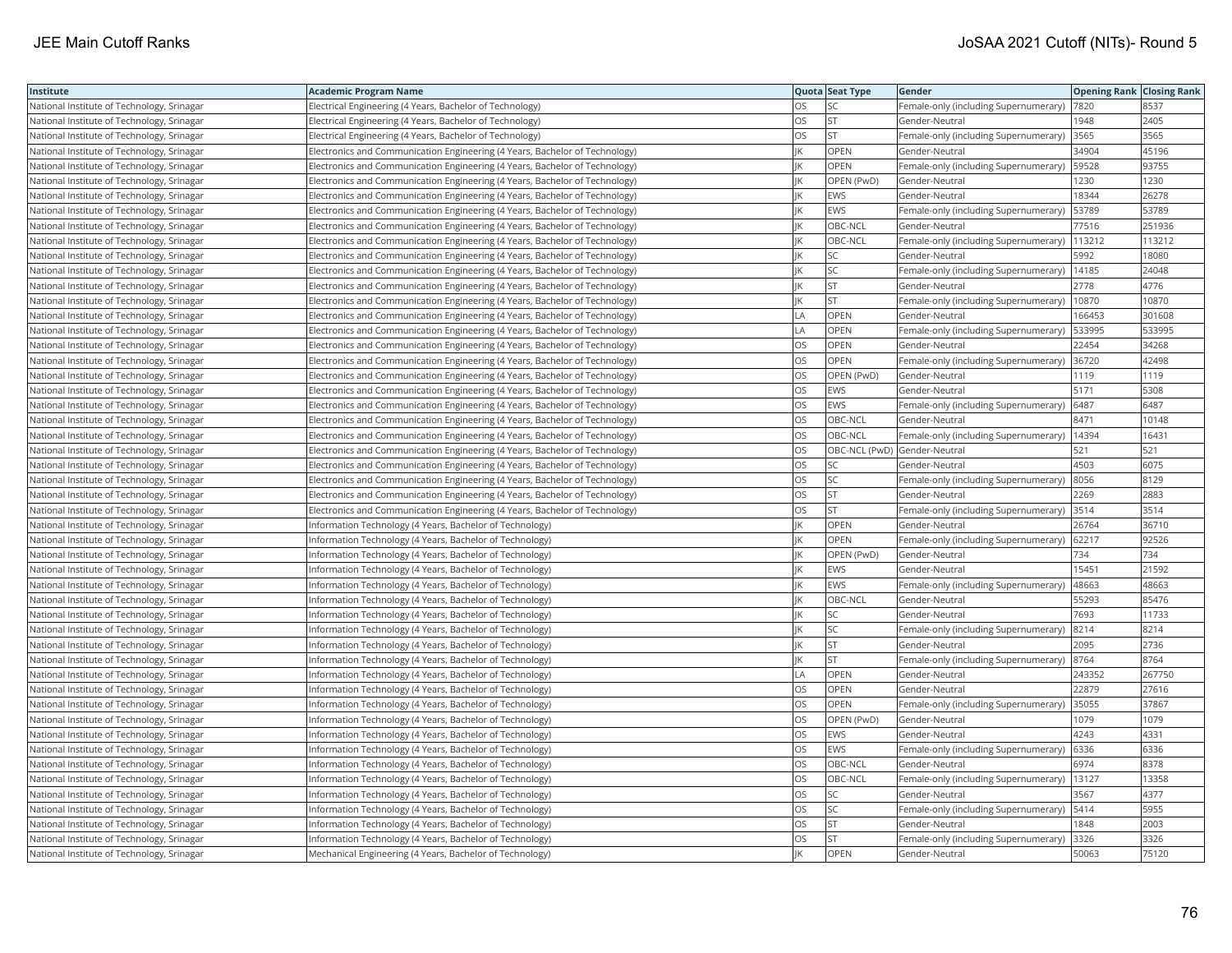| Institute                                  | Academic Program Name                                                       |     | Quota Seat Type              | Gender                                        | <b>Opening Rank Closing Rank</b> |        |
|--------------------------------------------|-----------------------------------------------------------------------------|-----|------------------------------|-----------------------------------------------|----------------------------------|--------|
| National Institute of Technology, Srinagar | Electrical Engineering (4 Years, Bachelor of Technology)                    | OS. | <b>SC</b>                    | Female-only (including Supernumerary)         | 7820                             | 8537   |
| National Institute of Technology, Srinagar | Electrical Engineering (4 Years, Bachelor of Technology)                    | OS  | <b>ST</b>                    | Gender-Neutral                                | 1948                             | 2405   |
| National Institute of Technology, Srinagar | Electrical Engineering (4 Years, Bachelor of Technology)                    | OS  | <b>ST</b>                    | Female-only (including Supernumerary)         | 3565                             | 3565   |
| National Institute of Technology, Srinagar | Electronics and Communication Engineering (4 Years, Bachelor of Technology) |     | <b>OPEN</b>                  | Gender-Neutral                                | 34904                            | 45196  |
| National Institute of Technology, Srinagar | Electronics and Communication Engineering (4 Years, Bachelor of Technology) |     | <b>OPEN</b>                  | Female-only (including Supernumerary)         | 59528                            | 93755  |
| National Institute of Technology, Srinagar | Electronics and Communication Engineering (4 Years, Bachelor of Technology) |     | OPEN (PwD)                   | Gender-Neutral                                | 1230                             | 1230   |
| National Institute of Technology, Srinagar | Electronics and Communication Engineering (4 Years, Bachelor of Technology) |     | <b>EWS</b>                   | Gender-Neutral                                | 18344                            | 26278  |
| National Institute of Technology, Srinagar | Electronics and Communication Engineering (4 Years, Bachelor of Technology) |     | EWS                          | Female-only (including Supernumerary)         | 53789                            | 53789  |
| National Institute of Technology, Srinagar | Electronics and Communication Engineering (4 Years, Bachelor of Technology) |     | OBC-NCL                      | Gender-Neutral                                | 77516                            | 251936 |
| National Institute of Technology, Srinagar | Electronics and Communication Engineering (4 Years, Bachelor of Technology) |     | OBC-NCL                      | Female-only (including Supernumerary)         | 113212                           | 113212 |
| National Institute of Technology, Srinagar | Electronics and Communication Engineering (4 Years, Bachelor of Technology) | IK  | SC                           | Gender-Neutral                                | 5992                             | 18080  |
| National Institute of Technology, Srinagar | Electronics and Communication Engineering (4 Years, Bachelor of Technology) |     | SC                           | Female-only (including Supernumerary)         | 14185                            | 24048  |
| National Institute of Technology, Srinagar | Electronics and Communication Engineering (4 Years, Bachelor of Technology) | IK  | <b>ST</b>                    | Gender-Neutral                                | 2778                             | 4776   |
| National Institute of Technology, Srinagar | Electronics and Communication Engineering (4 Years, Bachelor of Technology) |     | <b>ST</b>                    | Female-only (including Supernumerary)         | 10870                            | 10870  |
| National Institute of Technology, Srinagar | Electronics and Communication Engineering (4 Years, Bachelor of Technology) | LA  | <b>OPEN</b>                  | Gender-Neutral                                | 166453                           | 301608 |
| National Institute of Technology, Srinagar | Electronics and Communication Engineering (4 Years, Bachelor of Technology) | LA  | OPEN                         | Female-only (including Supernumerary)         | 533995                           | 533995 |
| National Institute of Technology, Srinagar | Electronics and Communication Engineering (4 Years, Bachelor of Technology) | OS  | OPEN                         | Gender-Neutral                                | 22454                            | 34268  |
| National Institute of Technology, Srinagar | Electronics and Communication Engineering (4 Years, Bachelor of Technology) | OS  | OPEN                         | Female-only (including Supernumerary)         | 36720                            | 42498  |
| National Institute of Technology, Srinagar | Electronics and Communication Engineering (4 Years, Bachelor of Technology) | OS. | OPEN (PwD)                   | Gender-Neutral                                | 1119                             | 1119   |
| National Institute of Technology, Srinagar | Electronics and Communication Engineering (4 Years, Bachelor of Technology) | OS  | EWS                          | Gender-Neutral                                | 5171                             | 5308   |
| National Institute of Technology, Srinagar | Electronics and Communication Engineering (4 Years, Bachelor of Technology) | OS  | EWS                          | Female-only (including Supernumerary)         | 6487                             | 6487   |
| National Institute of Technology, Srinagar | Electronics and Communication Engineering (4 Years, Bachelor of Technology) | OS. | OBC-NCL                      | Gender-Neutral                                | 8471                             | 10148  |
| National Institute of Technology, Srinagar | Electronics and Communication Engineering (4 Years, Bachelor of Technology) | OS  | OBC-NCL                      | Female-only (including Supernumerary)         | 14394                            | 16431  |
| National Institute of Technology, Srinagar | Electronics and Communication Engineering (4 Years, Bachelor of Technology) | OS  | OBC-NCL (PwD) Gender-Neutral |                                               | 521                              | 521    |
| National Institute of Technology, Srinagar | Electronics and Communication Engineering (4 Years, Bachelor of Technology) | OS  | SC                           | Gender-Neutral                                | 4503                             | 6075   |
| National Institute of Technology, Srinagar | Electronics and Communication Engineering (4 Years, Bachelor of Technology) | OS  | SC                           | Female-only (including Supernumerary)         | 8056                             | 8129   |
| National Institute of Technology, Srinagar | Electronics and Communication Engineering (4 Years, Bachelor of Technology) | OS. | lst                          | Gender-Neutral                                | 2269                             | 2883   |
| National Institute of Technology, Srinagar | Electronics and Communication Engineering (4 Years, Bachelor of Technology) | OS  | lst.                         | Female-only (including Supernumerary) 3514    |                                  | 3514   |
| National Institute of Technology, Srinagar | Information Technology (4 Years, Bachelor of Technology)                    | IK  | OPEN                         | Gender-Neutral                                | 26764                            | 36710  |
| National Institute of Technology, Srinagar | Information Technology (4 Years, Bachelor of Technology)                    |     | OPEN                         | Female-only (including Supernumerary)         | 62217                            | 92526  |
| National Institute of Technology, Srinagar | Information Technology (4 Years, Bachelor of Technology)                    |     | OPEN (PwD)                   | Gender-Neutral                                | 734                              | 734    |
| National Institute of Technology, Srinagar | Information Technology (4 Years, Bachelor of Technology)                    |     | <b>EWS</b>                   | Gender-Neutral                                | 15451                            | 21592  |
| National Institute of Technology, Srinagar | Information Technology (4 Years, Bachelor of Technology)                    |     | EWS                          | Female-only (including Supernumerary)         | 48663                            | 48663  |
| National Institute of Technology, Srinagar | Information Technology (4 Years, Bachelor of Technology)                    |     | OBC-NCL                      | Gender-Neutral                                | 55293                            | 85476  |
| National Institute of Technology, Srinagar | Information Technology (4 Years, Bachelor of Technology)                    |     | <b>SC</b>                    | Gender-Neutral                                | 7693                             | 11733  |
| National Institute of Technology, Srinagar | Information Technology (4 Years, Bachelor of Technology)                    |     | SC                           | Female-only (including Supernumerary)         | 8214                             | 8214   |
| National Institute of Technology, Srinagar | Information Technology (4 Years, Bachelor of Technology)                    |     | lst                          | Gender-Neutral                                | 2095                             | 2736   |
| National Institute of Technology, Srinagar | Information Technology (4 Years, Bachelor of Technology)                    |     | <b>ST</b>                    | Female-only (including Supernumerary)  8764   |                                  | 8764   |
| National Institute of Technology, Srinagar | Information Technology (4 Years, Bachelor of Technology)                    | LA  | OPEN                         | Gender-Neutral                                | 243352                           | 267750 |
| National Institute of Technology, Srinagar | Information Technology (4 Years, Bachelor of Technology)                    | OS. | <b>OPEN</b>                  | Gender-Neutral                                | 22879                            | 27616  |
| National Institute of Technology, Srinagar | Information Technology (4 Years, Bachelor of Technology)                    | OS  | OPEN                         | Female-only (including Supernumerary)         | 35055                            | 37867  |
| National Institute of Technology, Srinagar | Information Technology (4 Years, Bachelor of Technology)                    | OS  | OPEN (PwD)                   | Gender-Neutral                                | 1079                             | 1079   |
| National Institute of Technology, Srinagar | Information Technology (4 Years, Bachelor of Technology)                    | OS. | <b>EWS</b>                   | Gender-Neutral                                | 4243                             | 4331   |
| National Institute of Technology, Srinagar | Information Technology (4 Years, Bachelor of Technology)                    | OS  | EWS                          | Female-only (including Supernumerary)         | 6336                             | 6336   |
| National Institute of Technology, Srinagar | Information Technology (4 Years, Bachelor of Technology)                    | OS. | OBC-NCL                      | Gender-Neutral                                | 6974                             | 8378   |
| National Institute of Technology, Srinagar | Information Technology (4 Years, Bachelor of Technology)                    | OS  | OBC-NCL                      | Female-only (including Supernumerary)   13127 |                                  | 13358  |
| National Institute of Technology, Srinagar | Information Technology (4 Years, Bachelor of Technology)                    | OS  | SC                           | Gender-Neutral                                | 3567                             | 4377   |
| National Institute of Technology, Srinagar | Information Technology (4 Years, Bachelor of Technology)                    | OS  | <b>SC</b>                    | Female-only (including Supernumerary)         | 5414                             | 5955   |
| National Institute of Technology, Srinagar | Information Technology (4 Years, Bachelor of Technology)                    | OS  | <b>ST</b>                    | Gender-Neutral                                | 848                              | 2003   |
| National Institute of Technology, Srinagar | Information Technology (4 Years, Bachelor of Technology)                    | OS. | <b>ST</b>                    | Female-only (including Supernumerary)         | 3326                             | 3326   |
| National Institute of Technology, Srinagar | Mechanical Engineering (4 Years, Bachelor of Technology)                    | IK  | OPEN                         | Gender-Neutral                                | 50063                            | 75120  |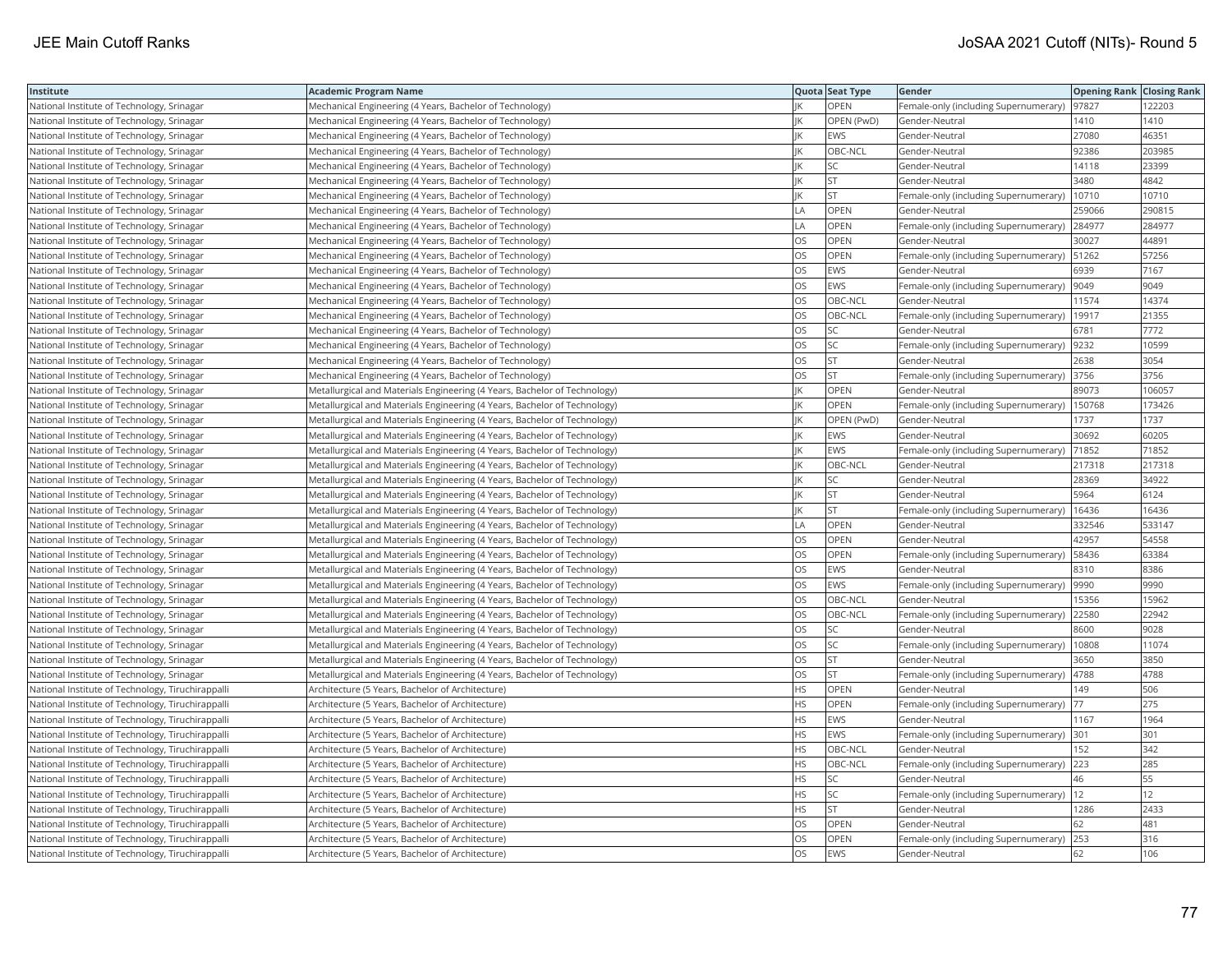| Institute                                         | <b>Academic Program Name</b>                                              |                | Quota Seat Type | Gender                                        | <b>Opening Rank Closing Rank</b> |        |
|---------------------------------------------------|---------------------------------------------------------------------------|----------------|-----------------|-----------------------------------------------|----------------------------------|--------|
| National Institute of Technology, Srinagar        | Mechanical Engineering (4 Years, Bachelor of Technology)                  |                | OPEN            | Female-only (including Supernumerary)   97827 |                                  | 122203 |
| National Institute of Technology, Srinagar        | Mechanical Engineering (4 Years, Bachelor of Technology)                  |                | OPEN (PwD)      | Gender-Neutral                                | 1410                             | 1410   |
| National Institute of Technology, Srinagar        | Mechanical Engineering (4 Years, Bachelor of Technology)                  |                | <b>EWS</b>      | Gender-Neutral                                | 27080                            | 46351  |
| National Institute of Technology, Srinagar        | Mechanical Engineering (4 Years, Bachelor of Technology)                  |                | OBC-NCL         | Gender-Neutral                                | 92386                            | 203985 |
| National Institute of Technology, Srinagar        | Mechanical Engineering (4 Years, Bachelor of Technology)                  |                | SC              | Gender-Neutral                                | 14118                            | 23399  |
| National Institute of Technology, Srinagar        | Mechanical Engineering (4 Years, Bachelor of Technology)                  |                | <b>ST</b>       | Gender-Neutral                                | 3480                             | 4842   |
| National Institute of Technology, Srinagar        | Mechanical Engineering (4 Years, Bachelor of Technology)                  |                | <b>ST</b>       | Female-only (including Supernumerary)         | 10710                            | 10710  |
| National Institute of Technology, Srinagar        | Mechanical Engineering (4 Years, Bachelor of Technology)                  | LA             | OPEN            | Gender-Neutral                                | 259066                           | 290815 |
| National Institute of Technology, Srinagar        | Mechanical Engineering (4 Years, Bachelor of Technology)                  | $\overline{A}$ | OPEN            | Female-only (including Supernumerary)         | 284977                           | 284977 |
| National Institute of Technology, Srinagar        | Mechanical Engineering (4 Years, Bachelor of Technology)                  | OS             | OPEN            | Gender-Neutral                                | 30027                            | 44891  |
| National Institute of Technology, Srinagar        | Mechanical Engineering (4 Years, Bachelor of Technology)                  | OS             | OPEN            | Female-only (including Supernumerary)         | 51262                            | 57256  |
| National Institute of Technology, Srinagar        | Mechanical Engineering (4 Years, Bachelor of Technology)                  | OS             | EWS             | Gender-Neutral                                | 6939                             | 7167   |
| National Institute of Technology, Srinagar        | Mechanical Engineering (4 Years, Bachelor of Technology)                  | OS             | <b>EWS</b>      | Female-only (including Supernumerary)         | 9049                             | 9049   |
| National Institute of Technology, Srinagar        | Mechanical Engineering (4 Years, Bachelor of Technology)                  | OS             | OBC-NCL         | Gender-Neutral                                | 11574                            | 14374  |
| National Institute of Technology, Srinagar        | Mechanical Engineering (4 Years, Bachelor of Technology)                  | OS             | OBC-NCL         | Female-only (including Supernumerary)   19917 |                                  | 21355  |
| National Institute of Technology, Srinagar        | Mechanical Engineering (4 Years, Bachelor of Technology)                  | OS             | SC              | Gender-Neutral                                | 6781                             | 7772   |
| National Institute of Technology, Srinagar        | Mechanical Engineering (4 Years, Bachelor of Technology)                  | OS             | SC              | Female-only (including Supernumerary)   9232  |                                  | 10599  |
| National Institute of Technology, Srinagar        | Mechanical Engineering (4 Years, Bachelor of Technology)                  | OS             | <b>ST</b>       | Gender-Neutral                                | 2638                             | 3054   |
| National Institute of Technology, Srinagar        | Mechanical Engineering (4 Years, Bachelor of Technology)                  | OS             | <b>ST</b>       | Female-only (including Supernumerary) 3756    |                                  | 3756   |
| National Institute of Technology, Srinagar        | Metallurgical and Materials Engineering (4 Years, Bachelor of Technology) |                | OPEN            | Gender-Neutral                                | 89073                            | 106057 |
| National Institute of Technology, Srinagar        | Metallurgical and Materials Engineering (4 Years, Bachelor of Technology) |                | <b>OPEN</b>     | Female-only (including Supernumerary)         | 150768                           | 173426 |
| National Institute of Technology, Srinagar        | Metallurgical and Materials Engineering (4 Years, Bachelor of Technology) |                | OPEN (PwD)      | Gender-Neutral                                | 1737                             | 1737   |
| National Institute of Technology, Srinagar        | Metallurgical and Materials Engineering (4 Years, Bachelor of Technology) |                | <b>EWS</b>      | Gender-Neutral                                | 30692                            | 60205  |
| National Institute of Technology, Srinagar        | Metallurgical and Materials Engineering (4 Years, Bachelor of Technology) |                | <b>EWS</b>      | Female-only (including Supernumerary)         | 71852                            | 71852  |
| National Institute of Technology, Srinagar        | Metallurgical and Materials Engineering (4 Years, Bachelor of Technology) |                | OBC-NCL         | Gender-Neutral                                | 217318                           | 217318 |
| National Institute of Technology, Srinagar        | Metallurgical and Materials Engineering (4 Years, Bachelor of Technology) |                | SC              | Gender-Neutral                                | 28369                            | 34922  |
| National Institute of Technology, Srinagar        | Metallurgical and Materials Engineering (4 Years, Bachelor of Technology) | IK             | ST              | Gender-Neutral                                | 5964                             | 6124   |
| National Institute of Technology, Srinagar        | Metallurgical and Materials Engineering (4 Years, Bachelor of Technology) |                | <b>ST</b>       | Female-only (including Supernumerary)         | 16436                            | 16436  |
| National Institute of Technology, Srinagar        | Metallurgical and Materials Engineering (4 Years, Bachelor of Technology) | LA             | OPEN            | Gender-Neutral                                | 332546                           | 533147 |
| National Institute of Technology, Srinagar        | Metallurgical and Materials Engineering (4 Years, Bachelor of Technology) | OS             | OPEN            | Gender-Neutral                                | 42957                            | 54558  |
| National Institute of Technology, Srinagar        | Metallurgical and Materials Engineering (4 Years, Bachelor of Technology) | OS             | OPEN            | Female-only (including Supernumerary)   58436 |                                  | 63384  |
| National Institute of Technology, Srinagar        | Metallurgical and Materials Engineering (4 Years, Bachelor of Technology) | OS             | <b>EWS</b>      | Gender-Neutral                                | 8310                             | 8386   |
| National Institute of Technology, Srinagar        | Metallurgical and Materials Engineering (4 Years, Bachelor of Technology) | OS             | <b>EWS</b>      | Female-only (including Supernumerary)         | 9990                             | 9990   |
| National Institute of Technology, Srinagar        | Metallurgical and Materials Engineering (4 Years, Bachelor of Technology) | OS             | OBC-NCL         | Gender-Neutral                                | 15356                            | 15962  |
| National Institute of Technology, Srinagar        | Metallurgical and Materials Engineering (4 Years, Bachelor of Technology) | OS             | OBC-NCL         | Female-only (including Supernumerary)         | 22580                            | 22942  |
| National Institute of Technology, Srinagar        | Metallurgical and Materials Engineering (4 Years, Bachelor of Technology) | OS             | SC              | Gender-Neutral                                | 8600                             | 9028   |
| National Institute of Technology, Srinagar        | Metallurgical and Materials Engineering (4 Years, Bachelor of Technology) | OS             | <b>SC</b>       | Female-only (including Supernumerary)         | 10808                            | 11074  |
| National Institute of Technology, Srinagar        | Metallurgical and Materials Engineering (4 Years, Bachelor of Technology) | OS             | <b>ST</b>       | Gender-Neutral                                | 3650                             | 3850   |
| National Institute of Technology, Srinagar        | Metallurgical and Materials Engineering (4 Years, Bachelor of Technology) | OS             | <b>ST</b>       | Female-only (including Supernumerary)         | 4788                             | 4788   |
| National Institute of Technology, Tiruchirappalli | Architecture (5 Years, Bachelor of Architecture)                          | <b>HS</b>      | <b>OPEN</b>     | Gender-Neutral                                | 149                              | 506    |
| National Institute of Technology, Tiruchirappalli | Architecture (5 Years, Bachelor of Architecture)                          | HS             | OPEN            | Female-only (including Supernumerary)         | $\vert 77$                       | 275    |
| National Institute of Technology, Tiruchirappall  | Architecture (5 Years, Bachelor of Architecture)                          | HS             | EWS             | Gender-Neutral                                | 1167                             | 1964   |
| National Institute of Technology, Tiruchirappalli | Architecture (5 Years, Bachelor of Architecture)                          | <b>HS</b>      | <b>EWS</b>      | Female-only (including Supernumerary)         | 301                              | 301    |
| National Institute of Technology, Tiruchirappalli | Architecture (5 Years, Bachelor of Architecture)                          | HS             | OBC-NCL         | Gender-Neutral                                | 152                              | 342    |
| National Institute of Technology, Tiruchirappalli | Architecture (5 Years, Bachelor of Architecture)                          | HS             | OBC-NCL         | Female-only (including Supernumerary) 223     |                                  | 285    |
| National Institute of Technology, Tiruchirappalli | Architecture (5 Years, Bachelor of Architecture)                          | ΗS             | SC              | Gender-Neutral                                | 46                               | 55     |
| National Institute of Technology, Tiruchirappalli | Architecture (5 Years, Bachelor of Architecture)                          | <b>HS</b>      | SC              | Female-only (including Supernumerary)  12     |                                  | 12     |
| National Institute of Technology, Tiruchirappalli | Architecture (5 Years, Bachelor of Architecture)                          | HS             | <b>ST</b>       | Gender-Neutral                                | 1286                             | 2433   |
| National Institute of Technology, Tiruchirappalli | Architecture (5 Years, Bachelor of Architecture)                          | OS             | OPEN            | Gender-Neutral                                | 62                               | 481    |
| National Institute of Technology, Tiruchirappalli | Architecture (5 Years, Bachelor of Architecture)                          | OS             | OPEN            | Female-only (including Supernumerary)         | 253                              | 316    |
| National Institute of Technology, Tiruchirappall  | Architecture (5 Years, Bachelor of Architecture)                          | <b>OS</b>      | <b>EWS</b>      | Gender-Neutral                                | 62                               | 106    |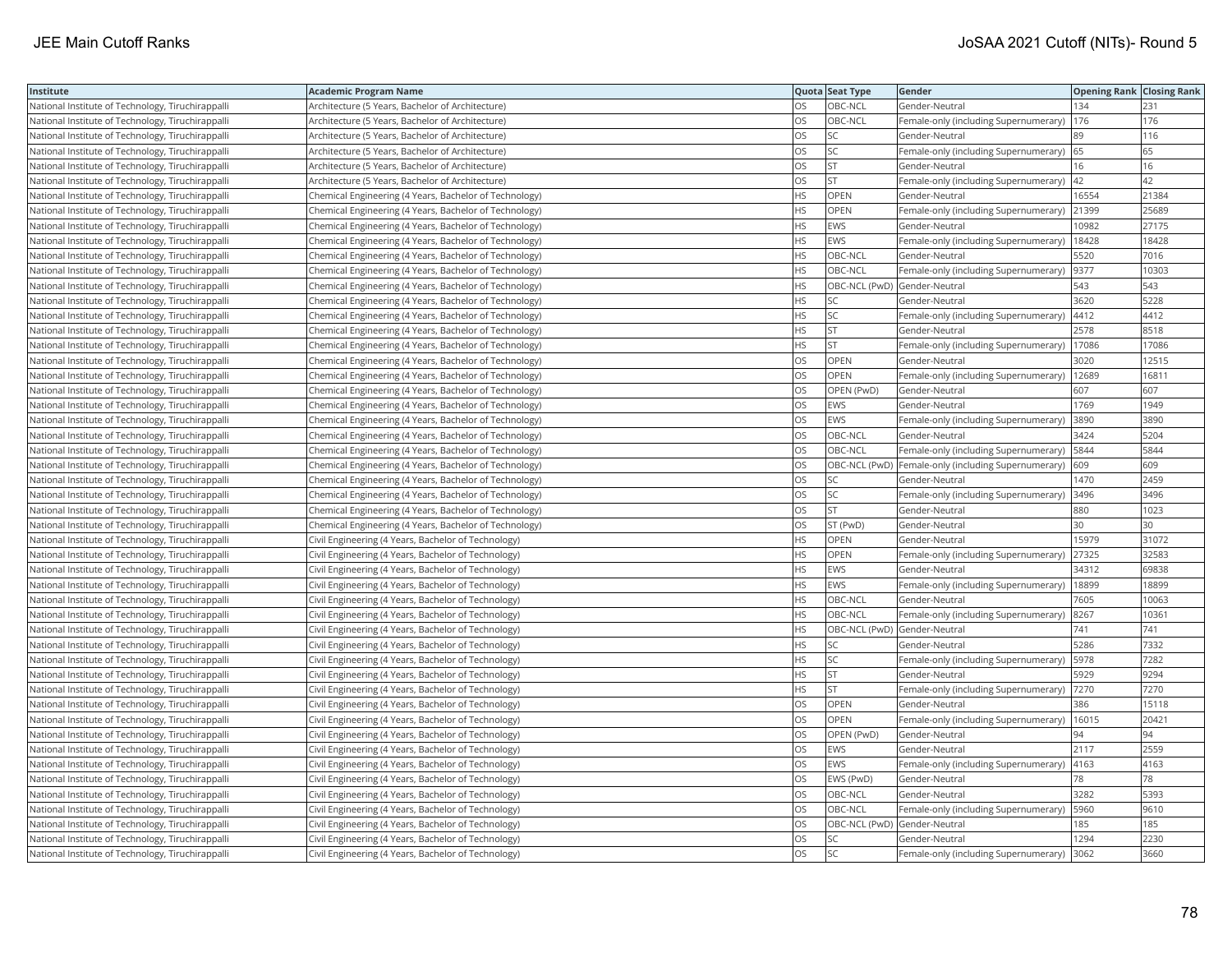| Institute                                         | <b>Academic Program Name</b>                           |           | Quota Seat Type              | Gender                                               | <b>Opening Rank Closing Rank</b> |       |
|---------------------------------------------------|--------------------------------------------------------|-----------|------------------------------|------------------------------------------------------|----------------------------------|-------|
| National Institute of Technology, Tiruchirappalli | Architecture (5 Years, Bachelor of Architecture)       | OS        | OBC-NCL                      | Gender-Neutral                                       | 134                              | 231   |
| National Institute of Technology, Tiruchirappalli | Architecture (5 Years, Bachelor of Architecture)       | OS        | OBC-NCL                      | Female-only (including Supernumerary)                | 176                              | 176   |
| National Institute of Technology, Tiruchirappalli | Architecture (5 Years, Bachelor of Architecture)       | <b>OS</b> | lsc                          | Gender-Neutral                                       | 89                               | 116   |
| National Institute of Technology, Tiruchirappalli | Architecture (5 Years, Bachelor of Architecture)       | OS        | <b>SC</b>                    | Female-only (including Supernumerary) 65             |                                  | 65    |
| National Institute of Technology, Tiruchirappalli | Architecture (5 Years, Bachelor of Architecture)       | OS        | <b>ST</b>                    | Gender-Neutral                                       | 16                               | 16    |
| National Institute of Technology, Tiruchirappalli | Architecture (5 Years, Bachelor of Architecture)       | OS        | <b>ST</b>                    | Female-only (including Supernumerary)  42            |                                  | 42    |
| National Institute of Technology, Tiruchirappalli | Chemical Engineering (4 Years, Bachelor of Technology) | <b>HS</b> | OPEN                         | Gender-Neutral                                       | 16554                            | 21384 |
| National Institute of Technology, Tiruchirappalli | Chemical Engineering (4 Years, Bachelor of Technology) | <b>HS</b> | OPEN                         | Female-only (including Supernumerary)                | 21399                            | 25689 |
| National Institute of Technology, Tiruchirappalli | Chemical Engineering (4 Years, Bachelor of Technology) | <b>HS</b> | EWS                          | Gender-Neutral                                       | 10982                            | 27175 |
| National Institute of Technology, Tiruchirappalli | Chemical Engineering (4 Years, Bachelor of Technology) | <b>HS</b> | EWS                          | Female-only (including Supernumerary)                | 18428                            | 18428 |
| National Institute of Technology, Tiruchirappalli | Chemical Engineering (4 Years, Bachelor of Technology) | <b>HS</b> | OBC-NCL                      | Gender-Neutral                                       | 5520                             | 7016  |
| National Institute of Technology, Tiruchirappalli | Chemical Engineering (4 Years, Bachelor of Technology) | <b>HS</b> | OBC-NCL                      | Female-only (including Supernumerary)                | 9377                             | 10303 |
| National Institute of Technology, Tiruchirappalli | Chemical Engineering (4 Years, Bachelor of Technology) | <b>HS</b> | OBC-NCL (PwD) Gender-Neutral |                                                      | 543                              | 543   |
| National Institute of Technology, Tiruchirappalli | Chemical Engineering (4 Years, Bachelor of Technology) | HS        | SC                           | Gender-Neutral                                       | 3620                             | 5228  |
| National Institute of Technology, Tiruchirappalli | Chemical Engineering (4 Years, Bachelor of Technology) | HS        | SC                           | Female-only (including Supernumerary)                | 4412                             | 4412  |
| National Institute of Technology, Tiruchirappalli | Chemical Engineering (4 Years, Bachelor of Technology) | <b>HS</b> | lst                          | Gender-Neutral                                       | 2578                             | 8518  |
| National Institute of Technology, Tiruchirappalli | Chemical Engineering (4 Years, Bachelor of Technology) | <b>HS</b> | <b>ST</b>                    | Female-only (including Supernumerary)                | 17086                            | 17086 |
| National Institute of Technology, Tiruchirappalli | Chemical Engineering (4 Years, Bachelor of Technology) | OS        | OPEN                         | Gender-Neutral                                       | 3020                             | 12515 |
| National Institute of Technology, Tiruchirappalli | Chemical Engineering (4 Years, Bachelor of Technology) | <b>OS</b> | <b>OPEN</b>                  | Female-only (including Supernumerary)                | 12689                            | 16811 |
| National Institute of Technology, Tiruchirappalli | Chemical Engineering (4 Years, Bachelor of Technology) | OS        | OPEN (PwD)                   | Gender-Neutral                                       | 607                              | 607   |
| National Institute of Technology, Tiruchirappalli | Chemical Engineering (4 Years, Bachelor of Technology) | OS        | EWS                          | Gender-Neutral                                       | 1769                             | 1949  |
| National Institute of Technology, Tiruchirappalli | Chemical Engineering (4 Years, Bachelor of Technology) | OS        | EWS                          | Female-only (including Supernumerary)                | 3890                             | 3890  |
| National Institute of Technology, Tiruchirappalli | Chemical Engineering (4 Years, Bachelor of Technology) | OS        | OBC-NCL                      | Gender-Neutral                                       | 3424                             | 5204  |
| National Institute of Technology, Tiruchirappalli | Chemical Engineering (4 Years, Bachelor of Technology) | OS        | OBC-NCL                      | Female-only (including Supernumerary)                | 5844                             | 5844  |
| National Institute of Technology, Tiruchirappalli | Chemical Engineering (4 Years, Bachelor of Technology) | OS        |                              | OBC-NCL (PwD)  Female-only (including Supernumerary) | 609                              | 609   |
| National Institute of Technology, Tiruchirappalli | Chemical Engineering (4 Years, Bachelor of Technology) | OS        | SC                           | Gender-Neutral                                       | 1470                             | 2459  |
| National Institute of Technology, Tiruchirappalli | Chemical Engineering (4 Years, Bachelor of Technology) | <b>OS</b> | lsc                          | Female-only (including Supernumerary)                | 3496                             | 3496  |
| National Institute of Technology, Tiruchirappalli | Chemical Engineering (4 Years, Bachelor of Technology) | OS        | <b>ST</b>                    | Gender-Neutral                                       | 880                              | 1023  |
| National Institute of Technology, Tiruchirappalli | Chemical Engineering (4 Years, Bachelor of Technology) | OS        | ST (PwD)                     | Gender-Neutral                                       | 30                               | 30    |
| National Institute of Technology, Tiruchirappalli | Civil Engineering (4 Years, Bachelor of Technology)    | <b>HS</b> | OPEN                         | Gender-Neutral                                       | 15979                            | 31072 |
| National Institute of Technology, Tiruchirappalli | Civil Engineering (4 Years, Bachelor of Technology)    | <b>HS</b> | OPEN                         | Female-only (including Supernumerary)                | 27325                            | 32583 |
| National Institute of Technology, Tiruchirappalli | Civil Engineering (4 Years, Bachelor of Technology)    | HS        | EWS                          | Gender-Neutral                                       | 34312                            | 69838 |
| National Institute of Technology, Tiruchirappalli | Civil Engineering (4 Years, Bachelor of Technology)    | <b>HS</b> | EWS                          | Female-only (including Supernumerary)                | 18899                            | 18899 |
| National Institute of Technology, Tiruchirappalli | Civil Engineering (4 Years, Bachelor of Technology)    | <b>HS</b> | OBC-NCL                      | Gender-Neutral                                       | 7605                             | 10063 |
| National Institute of Technology, Tiruchirappalli | Civil Engineering (4 Years, Bachelor of Technology)    | <b>HS</b> | OBC-NCL                      | Female-only (including Supernumerary)                | 8267                             | 10361 |
| National Institute of Technology, Tiruchirappalli | Civil Engineering (4 Years, Bachelor of Technology)    | <b>HS</b> | OBC-NCL (PwD) Gender-Neutral |                                                      | 741                              | 741   |
| National Institute of Technology, Tiruchirappalli | Civil Engineering (4 Years, Bachelor of Technology)    | <b>HS</b> | SC.                          | Gender-Neutral                                       | 5286                             | 7332  |
| National Institute of Technology, Tiruchirappalli | Civil Engineering (4 Years, Bachelor of Technology)    | <b>HS</b> | SC                           | Female-only (including Supernumerary)   5978         |                                  | 7282  |
| National Institute of Technology, Tiruchirappalli | Civil Engineering (4 Years, Bachelor of Technology)    | <b>HS</b> | <b>ST</b>                    | Gender-Neutral                                       | 5929                             | 9294  |
| National Institute of Technology, Tiruchirappalli | Civil Engineering (4 Years, Bachelor of Technology)    | <b>HS</b> | ST                           | Female-only (including Supernumerary)                | 7270                             | 7270  |
| National Institute of Technology, Tiruchirappalli | Civil Engineering (4 Years, Bachelor of Technology)    | OS        | OPEN                         | Gender-Neutral                                       | 386                              | 15118 |
| National Institute of Technology, Tiruchirappalli | Civil Engineering (4 Years, Bachelor of Technology)    | OS        | OPEN                         | Female-only (including Supernumerary)                | 16015                            | 20421 |
| National Institute of Technology, Tiruchirappalli | Civil Engineering (4 Years, Bachelor of Technology)    | OS        | OPEN (PwD)                   | Gender-Neutral                                       | 94                               | 94    |
| National Institute of Technology, Tiruchirappalli | Civil Engineering (4 Years, Bachelor of Technology)    | OS        | EWS                          | Gender-Neutral                                       | 2117                             | 2559  |
| National Institute of Technology, Tiruchirappalli | Civil Engineering (4 Years, Bachelor of Technology)    | <b>OS</b> | <b>EWS</b>                   | Female-only (including Supernumerary)  4163          |                                  | 4163  |
| National Institute of Technology, Tiruchirappalli | Civil Engineering (4 Years, Bachelor of Technology)    | OS        | EWS (PwD)                    | Gender-Neutral                                       | 78                               | 78    |
| National Institute of Technology, Tiruchirappalli | Civil Engineering (4 Years, Bachelor of Technology)    | <b>OS</b> | OBC-NCL                      | Gender-Neutral                                       | 3282                             | 5393  |
| National Institute of Technology, Tiruchirappalli | Civil Engineering (4 Years, Bachelor of Technology)    | OS        | OBC-NCL                      | Female-only (including Supernumerary)                | 5960                             | 9610  |
| National Institute of Technology, Tiruchirappalli | Civil Engineering (4 Years, Bachelor of Technology)    | OS        | OBC-NCL (PwD) Gender-Neutral |                                                      | 185                              | 185   |
| National Institute of Technology, Tiruchirappalli | Civil Engineering (4 Years, Bachelor of Technology)    | OS        | SC.                          | Gender-Neutral                                       | 1294                             | 2230  |
| National Institute of Technology, Tiruchirappalli | Civil Engineering (4 Years, Bachelor of Technology)    | <b>OS</b> | lsc                          | Female-only (including Supernumerary) 3062           |                                  | 3660  |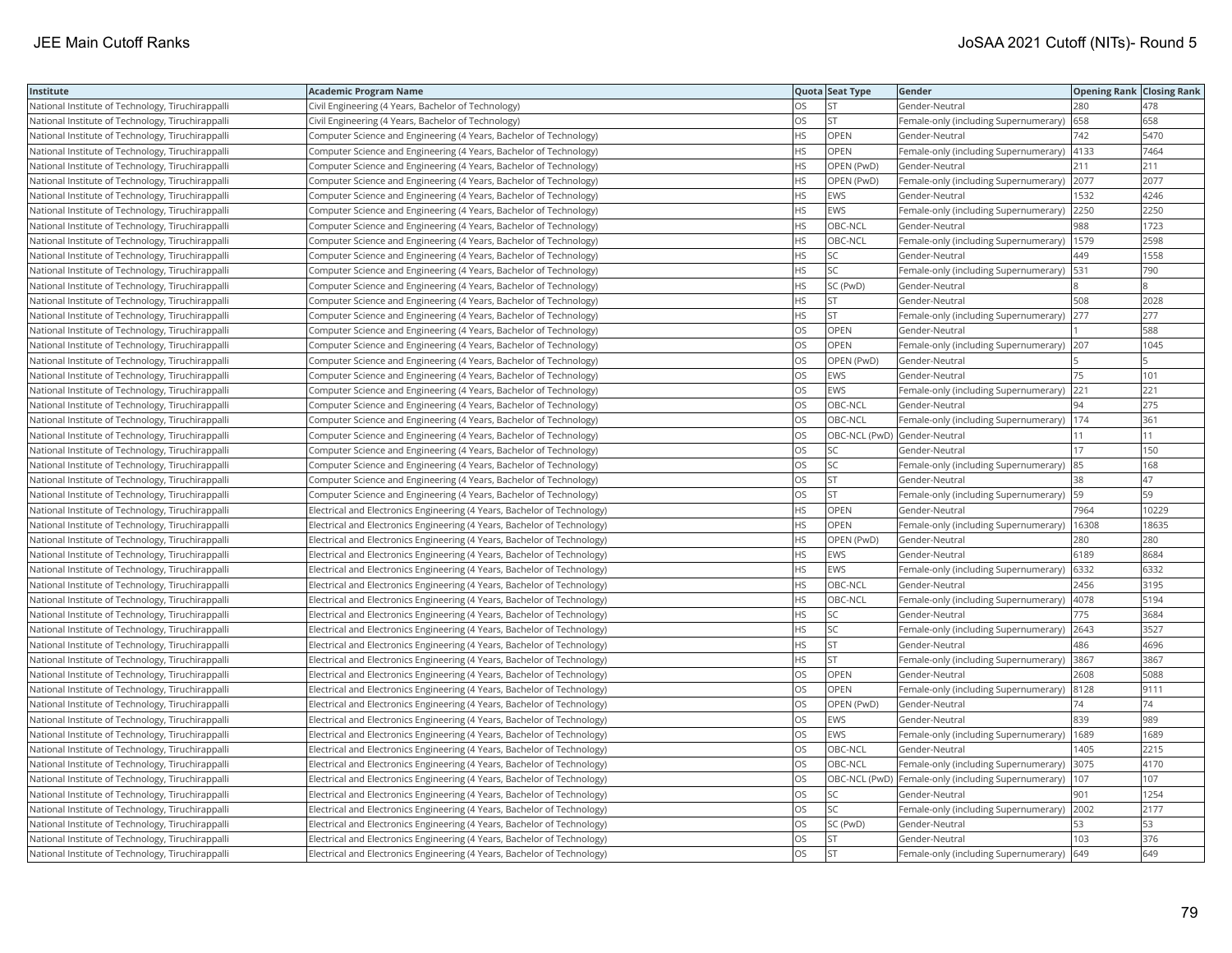| Institute                                         | <b>Academic Program Name</b>                                             |           | Quota Seat Type              | Gender                                                | <b>Opening Rank Closing Rank</b> |       |
|---------------------------------------------------|--------------------------------------------------------------------------|-----------|------------------------------|-------------------------------------------------------|----------------------------------|-------|
| National Institute of Technology, Tiruchirappalli | Civil Engineering (4 Years, Bachelor of Technology)                      | OS        | <b>ST</b>                    | Gender-Neutral                                        | 280                              | 478   |
| National Institute of Technology, Tiruchirappalli | Civil Engineering (4 Years, Bachelor of Technology)                      | OS        | <b>ST</b>                    | Female-only (including Supernumerary)                 | 658                              | 658   |
| National Institute of Technology, Tiruchirappalli | Computer Science and Engineering (4 Years, Bachelor of Technology)       | <b>HS</b> | OPEN                         | Gender-Neutral                                        | 742                              | 5470  |
| National Institute of Technology, Tiruchirappalli | Computer Science and Engineering (4 Years, Bachelor of Technology)       | <b>HS</b> | <b>OPEN</b>                  | Female-only (including Supernumerary)                 | 4133                             | 7464  |
| National Institute of Technology, Tiruchirappalli | Computer Science and Engineering (4 Years, Bachelor of Technology)       | <b>HS</b> | OPEN (PwD)                   | Gender-Neutral                                        | 211                              | 211   |
| National Institute of Technology, Tiruchirappalli | Computer Science and Engineering (4 Years, Bachelor of Technology)       | <b>HS</b> | OPEN (PwD)                   | Female-only (including Supernumerary) 2077            |                                  | 2077  |
| National Institute of Technology, Tiruchirappalli | Computer Science and Engineering (4 Years, Bachelor of Technology)       | <b>HS</b> | EWS                          | Gender-Neutral                                        | 1532                             | 4246  |
| National Institute of Technology, Tiruchirappalli | Computer Science and Engineering (4 Years, Bachelor of Technology)       | <b>HS</b> | EWS                          | Female-only (including Supernumerary)                 | 2250                             | 2250  |
| National Institute of Technology, Tiruchirappalli | Computer Science and Engineering (4 Years, Bachelor of Technology)       | <b>HS</b> | OBC-NCL                      | Gender-Neutral                                        | 988                              | 1723  |
| National Institute of Technology, Tiruchirappalli | Computer Science and Engineering (4 Years, Bachelor of Technology)       | <b>HS</b> | OBC-NCL                      | Female-only (including Supernumerary)   1579          |                                  | 2598  |
| National Institute of Technology, Tiruchirappalli | Computer Science and Engineering (4 Years, Bachelor of Technology)       | <b>HS</b> | lsc                          | Gender-Neutral                                        | 449                              | 1558  |
| National Institute of Technology, Tiruchirappalli | Computer Science and Engineering (4 Years, Bachelor of Technology)       | <b>HS</b> | lsc                          | Female-only (including Supernumerary)                 | 531                              | 790   |
| National Institute of Technology, Tiruchirappalli | Computer Science and Engineering (4 Years, Bachelor of Technology)       | <b>HS</b> | SC (PwD)                     | Gender-Neutral                                        |                                  |       |
| National Institute of Technology, Tiruchirappalli | Computer Science and Engineering (4 Years, Bachelor of Technology)       | <b>HS</b> | <b>ST</b>                    | Gender-Neutral                                        | 508                              | 2028  |
| National Institute of Technology, Tiruchirappalli | Computer Science and Engineering (4 Years, Bachelor of Technology)       | <b>HS</b> | <b>ST</b>                    | Female-only (including Supernumerary) 277             |                                  | 277   |
| National Institute of Technology, Tiruchirappalli | Computer Science and Engineering (4 Years, Bachelor of Technology)       | OS        | OPEN                         | Gender-Neutral                                        |                                  | 588   |
| National Institute of Technology, Tiruchirappalli | Computer Science and Engineering (4 Years, Bachelor of Technology)       | OS        | OPEN                         | Female-only (including Supernumerary) 207             |                                  | 1045  |
| National Institute of Technology, Tiruchirappalli | Computer Science and Engineering (4 Years, Bachelor of Technology)       | OS        | OPEN (PwD)                   | Gender-Neutral                                        |                                  |       |
| National Institute of Technology, Tiruchirappalli | Computer Science and Engineering (4 Years, Bachelor of Technology)       | OS        | EWS                          | Gender-Neutral                                        | 75                               | 101   |
| National Institute of Technology, Tiruchirappalli | Computer Science and Engineering (4 Years, Bachelor of Technology)       | <b>OS</b> | <b>EWS</b>                   | Female-only (including Supernumerary)                 | 221                              | 221   |
| National Institute of Technology, Tiruchirappalli | Computer Science and Engineering (4 Years, Bachelor of Technology)       | <b>OS</b> | OBC-NCL                      | Gender-Neutral                                        | 94                               | 275   |
| National Institute of Technology, Tiruchirappalli | Computer Science and Engineering (4 Years, Bachelor of Technology)       | <b>OS</b> | <b>OBC-NCL</b>               | Female-only (including Supernumerary)   174           |                                  | 361   |
| National Institute of Technology, Tiruchirappalli | Computer Science and Engineering (4 Years, Bachelor of Technology)       | OS        | OBC-NCL (PwD) Gender-Neutral |                                                       | 11                               | 111   |
| National Institute of Technology, Tiruchirappalli | Computer Science and Engineering (4 Years, Bachelor of Technology)       | OS        | SC.                          | Gender-Neutral                                        | 17                               | 150   |
| National Institute of Technology, Tiruchirappalli | Computer Science and Engineering (4 Years, Bachelor of Technology)       | OS        | SC                           | Female-only (including Supernumerary)                 | 85                               | 168   |
| National Institute of Technology, Tiruchirappalli | Computer Science and Engineering (4 Years, Bachelor of Technology)       | <b>OS</b> | İst                          | Gender-Neutral                                        | 38                               | 47    |
| National Institute of Technology, Tiruchirappalli | Computer Science and Engineering (4 Years, Bachelor of Technology)       | OS        | <b>ST</b>                    | Female-only (including Supernumerary)                 | 59                               | 59    |
| National Institute of Technology, Tiruchirappalli | Electrical and Electronics Engineering (4 Years, Bachelor of Technology) | <b>HS</b> | OPEN                         | Gender-Neutral                                        | 7964                             | 10229 |
| National Institute of Technology, Tiruchirappalli | Electrical and Electronics Engineering (4 Years, Bachelor of Technology) | <b>HS</b> | <b>OPEN</b>                  | Female-only (including Supernumerary)                 | 16308                            | 18635 |
| National Institute of Technology, Tiruchirappalli | Electrical and Electronics Engineering (4 Years, Bachelor of Technology) | <b>HS</b> | OPEN (PwD)                   | Gender-Neutral                                        | 280                              | 280   |
| National Institute of Technology, Tiruchirappalli | Electrical and Electronics Engineering (4 Years, Bachelor of Technology) | <b>HS</b> | <b>EWS</b>                   | Gender-Neutral                                        | 6189                             | 8684  |
| National Institute of Technology, Tiruchirappalli | Electrical and Electronics Engineering (4 Years, Bachelor of Technology) | <b>HS</b> | EWS                          | Female-only (including Supernumerary) (6332           |                                  | 6332  |
| National Institute of Technology, Tiruchirappalli | Electrical and Electronics Engineering (4 Years, Bachelor of Technology) | <b>HS</b> | OBC-NCL                      | Gender-Neutral                                        | 2456                             | 3195  |
| National Institute of Technology, Tiruchirappalli | Electrical and Electronics Engineering (4 Years, Bachelor of Technology) | <b>HS</b> | OBC-NCL                      | Female-only (including Supernumerary)                 | 4078                             | 5194  |
| National Institute of Technology, Tiruchirappalli | Electrical and Electronics Engineering (4 Years, Bachelor of Technology) | <b>HS</b> | SC                           | Gender-Neutral                                        | 775                              | 3684  |
| National Institute of Technology, Tiruchirappalli | Electrical and Electronics Engineering (4 Years, Bachelor of Technology) | <b>HS</b> | SC.                          | Female-only (including Supernumerary)                 | 2643                             | 3527  |
| National Institute of Technology, Tiruchirappalli | Electrical and Electronics Engineering (4 Years, Bachelor of Technology) | <b>HS</b> | <b>ST</b>                    | Gender-Neutral                                        | 486                              | 4696  |
| National Institute of Technology, Tiruchirappalli | Electrical and Electronics Engineering (4 Years, Bachelor of Technology) | <b>HS</b> | <b>ST</b>                    | Female-only (including Supernumerary)                 | 3867                             | 3867  |
| National Institute of Technology, Tiruchirappalli | Electrical and Electronics Engineering (4 Years, Bachelor of Technology) | OS        | <b>OPEN</b>                  | Gender-Neutral                                        | 2608                             | 5088  |
| National Institute of Technology, Tiruchirappalli | Electrical and Electronics Engineering (4 Years, Bachelor of Technology) | OS        | OPEN                         | Female-only (including Supernumerary) 8128            |                                  | 9111  |
| National Institute of Technology, Tiruchirappalli | Electrical and Electronics Engineering (4 Years, Bachelor of Technology) | OS        | OPEN (PwD)                   | Gender-Neutral                                        | 74                               | 74    |
| National Institute of Technology, Tiruchirappalli | Electrical and Electronics Engineering (4 Years, Bachelor of Technology) | OS        | <b>EWS</b>                   | Gender-Neutral                                        | 839                              | 989   |
| National Institute of Technology, Tiruchirappalli | Electrical and Electronics Engineering (4 Years, Bachelor of Technology) | OS        | <b>EWS</b>                   | Female-only (including Supernumerary)                 | 1689                             | 1689  |
| National Institute of Technology, Tiruchirappalli | Electrical and Electronics Engineering (4 Years, Bachelor of Technology) | <b>OS</b> | OBC-NCL                      | Gender-Neutral                                        | 1405                             | 2215  |
| National Institute of Technology, Tiruchirappalli | Electrical and Electronics Engineering (4 Years, Bachelor of Technology) | <b>OS</b> | OBC-NCL                      | Female-only (including Supernumerary)                 | 3075                             | 4170  |
| National Institute of Technology, Tiruchirappalli | Electrical and Electronics Engineering (4 Years, Bachelor of Technology) | <b>OS</b> |                              | OBC-NCL (PwD)   Female-only (including Supernumerary) | 107                              | 107   |
| National Institute of Technology, Tiruchirappalli | Electrical and Electronics Engineering (4 Years, Bachelor of Technology) | <b>OS</b> | SC.                          | Gender-Neutral                                        | 901                              | 1254  |
| National Institute of Technology, Tiruchirappalli | Electrical and Electronics Engineering (4 Years, Bachelor of Technology) | OS        | SC                           | Female-only (including Supernumerary) 2002            |                                  | 2177  |
| National Institute of Technology, Tiruchirappalli | Electrical and Electronics Engineering (4 Years, Bachelor of Technology) | OS        | SC (PwD)                     | Gender-Neutral                                        | 53                               | 53    |
| National Institute of Technology, Tiruchirappalli | Electrical and Electronics Engineering (4 Years, Bachelor of Technology) | OS        | <b>ST</b>                    | Gender-Neutral                                        | 103                              | 376   |
| National Institute of Technology, Tiruchirappalli | Electrical and Electronics Engineering (4 Years, Bachelor of Technology) | <b>OS</b> | İst                          | Female-only (including Supernumerary)                 | 649                              | 649   |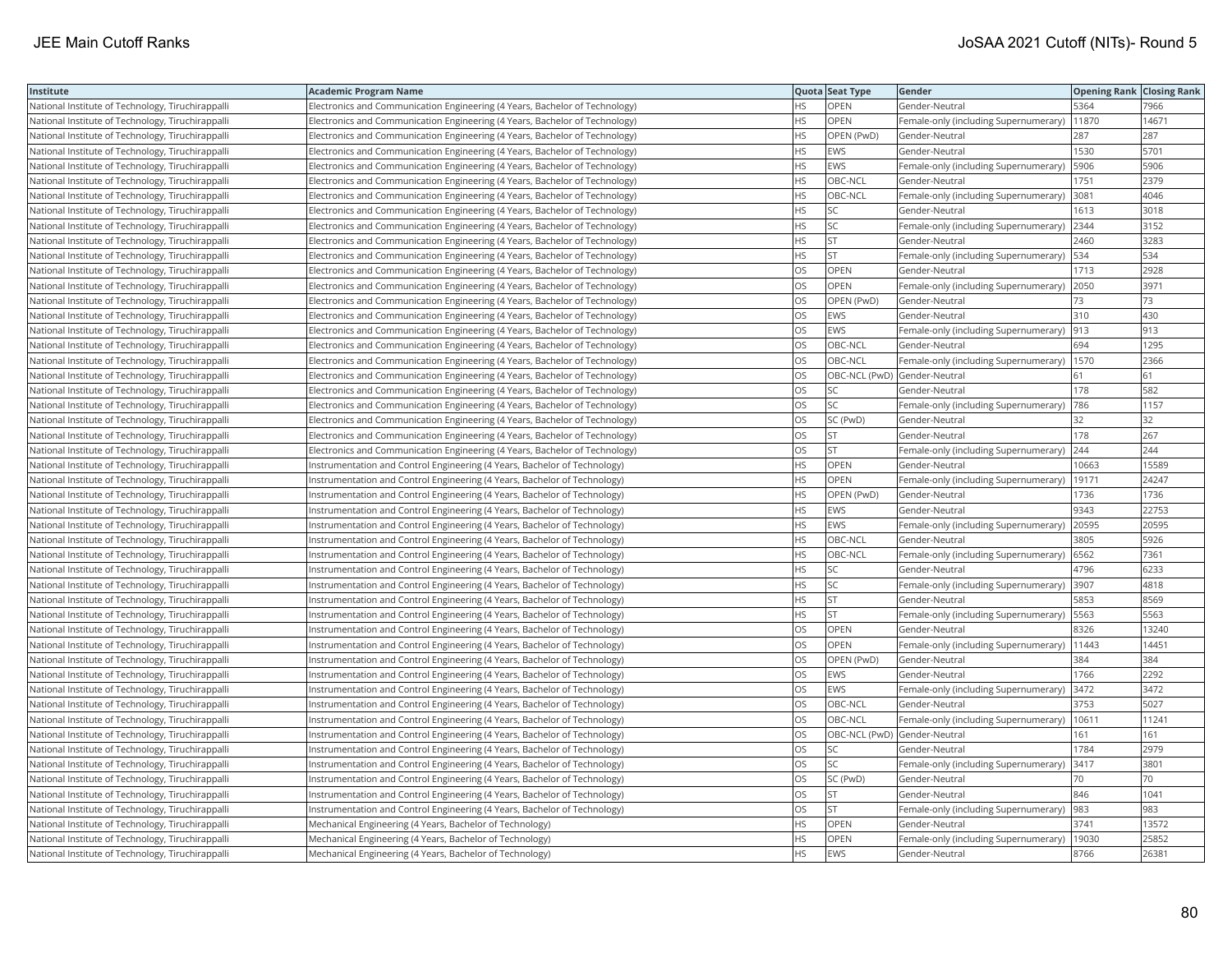| Institute                                         | <b>Academic Program Name</b>                                                |           | Quota Seat Type              | Gender                                        | <b>Opening Rank Closing Rank</b> |       |
|---------------------------------------------------|-----------------------------------------------------------------------------|-----------|------------------------------|-----------------------------------------------|----------------------------------|-------|
| National Institute of Technology, Tiruchirappalli | Electronics and Communication Engineering (4 Years, Bachelor of Technology) | <b>HS</b> | OPEN                         | Gender-Neutral                                | 5364                             | 7966  |
| National Institute of Technology, Tiruchirappalli | Electronics and Communication Engineering (4 Years, Bachelor of Technology) | <b>HS</b> | <b>OPEN</b>                  | Female-only (including Supernumerary)         | 11870                            | 14671 |
| National Institute of Technology, Tiruchirappalli | Electronics and Communication Engineering (4 Years, Bachelor of Technology) | <b>HS</b> | OPEN (PwD)                   | Gender-Neutral                                | 287                              | 287   |
| National Institute of Technology, Tiruchirappalli | Electronics and Communication Engineering (4 Years, Bachelor of Technology) | <b>HS</b> | <b>EWS</b>                   | Gender-Neutral                                | 1530                             | 5701  |
| National Institute of Technology, Tiruchirappalli | Electronics and Communication Engineering (4 Years, Bachelor of Technology) | <b>HS</b> | EWS                          | Female-only (including Supernumerary)   5906  |                                  | 5906  |
| National Institute of Technology, Tiruchirappalli | Electronics and Communication Engineering (4 Years, Bachelor of Technology) | <b>HS</b> | OBC-NCL                      | Gender-Neutral                                | 1751                             | 2379  |
| National Institute of Technology, Tiruchirappalli | Electronics and Communication Engineering (4 Years, Bachelor of Technology) | <b>HS</b> | OBC-NCL                      | Female-only (including Supernumerary)         | 3081                             | 4046  |
| National Institute of Technology, Tiruchirappalli | Electronics and Communication Engineering (4 Years, Bachelor of Technology) | <b>HS</b> | SC                           | Gender-Neutral                                | 1613                             | 3018  |
| National Institute of Technology, Tiruchirappalli | Electronics and Communication Engineering (4 Years, Bachelor of Technology) | <b>HS</b> | SC.                          | Female-only (including Supernumerary)         | 2344                             | 3152  |
| National Institute of Technology, Tiruchirappalli | Electronics and Communication Engineering (4 Years, Bachelor of Technology) | <b>HS</b> | İst                          | Gender-Neutral                                | 2460                             | 3283  |
| National Institute of Technology, Tiruchirappalli | Electronics and Communication Engineering (4 Years, Bachelor of Technology) | <b>HS</b> | <b>ST</b>                    | Female-only (including Supernumerary)   534   |                                  | 534   |
| National Institute of Technology, Tiruchirappalli | Electronics and Communication Engineering (4 Years, Bachelor of Technology) | <b>OS</b> | <b>OPEN</b>                  | Gender-Neutral                                | 1713                             | 2928  |
| National Institute of Technology, Tiruchirappalli | Electronics and Communication Engineering (4 Years, Bachelor of Technology) | OS        | <b>OPEN</b>                  | Female-only (including Supernumerary) 2050    |                                  | 3971  |
| National Institute of Technology, Tiruchirappalli | Electronics and Communication Engineering (4 Years, Bachelor of Technology) | OS        | OPEN (PwD)                   | Gender-Neutral                                | 73                               | 73    |
| National Institute of Technology, Tiruchirappalli | Electronics and Communication Engineering (4 Years, Bachelor of Technology) | <b>OS</b> | <b>EWS</b>                   | Gender-Neutral                                | 310                              | 430   |
| National Institute of Technology, Tiruchirappalli | Electronics and Communication Engineering (4 Years, Bachelor of Technology) | OS        | EWS                          | Female-only (including Supernumerary)         | 913                              | 913   |
| National Institute of Technology, Tiruchirappalli | Electronics and Communication Engineering (4 Years, Bachelor of Technology) | OS        | OBC-NCL                      | Gender-Neutral                                | 694                              | 1295  |
| National Institute of Technology, Tiruchirappalli | Electronics and Communication Engineering (4 Years, Bachelor of Technology) | OS        | OBC-NCL                      | Female-only (including Supernumerary)         | 1570                             | 2366  |
| National Institute of Technology, Tiruchirappalli | Electronics and Communication Engineering (4 Years, Bachelor of Technology) | OS        | OBC-NCL (PwD) Gender-Neutral |                                               | 61                               | 61    |
| National Institute of Technology, Tiruchirappalli | Electronics and Communication Engineering (4 Years, Bachelor of Technology) | OS        | lsc                          | Gender-Neutral                                | 178                              | 582   |
| National Institute of Technology, Tiruchirappalli | Electronics and Communication Engineering (4 Years, Bachelor of Technology) | OS        | SC.                          | Female-only (including Supernumerary)         | 786                              | 1157  |
| National Institute of Technology, Tiruchirappalli | Electronics and Communication Engineering (4 Years, Bachelor of Technology) | OS        | SC (PwD)                     | Gender-Neutral                                | 32                               | 32    |
| National Institute of Technology, Tiruchirappalli | Electronics and Communication Engineering (4 Years, Bachelor of Technology) | <b>OS</b> | İst                          | Gender-Neutral                                | 178                              | 267   |
| National Institute of Technology, Tiruchirappalli | Electronics and Communication Engineering (4 Years, Bachelor of Technology) | OS        | lst                          | Female-only (including Supernumerary)         | 244                              | 244   |
| National Institute of Technology, Tiruchirappalli | Instrumentation and Control Engineering (4 Years, Bachelor of Technology)   | <b>HS</b> | OPEN                         | Gender-Neutral                                | 10663                            | 15589 |
| National Institute of Technology, Tiruchirappalli | Instrumentation and Control Engineering (4 Years, Bachelor of Technology)   | <b>HS</b> | <b>OPEN</b>                  | Female-only (including Supernumerary)         | 19171                            | 24247 |
| National Institute of Technology, Tiruchirappalli | Instrumentation and Control Engineering (4 Years, Bachelor of Technology)   | <b>HS</b> | OPEN (PwD)                   | Gender-Neutral                                | 1736                             | 1736  |
| National Institute of Technology, Tiruchirappalli | Instrumentation and Control Engineering (4 Years, Bachelor of Technology)   | <b>HS</b> | EWS                          | Gender-Neutral                                | 9343                             | 22753 |
| National Institute of Technology, Tiruchirappalli | Instrumentation and Control Engineering (4 Years, Bachelor of Technology)   | <b>HS</b> | EWS                          | Female-only (including Supernumerary) 20595   |                                  | 20595 |
| National Institute of Technology, Tiruchirappalli | Instrumentation and Control Engineering (4 Years, Bachelor of Technology)   | <b>HS</b> | OBC-NCL                      | Gender-Neutral                                | 3805                             | 5926  |
| National Institute of Technology, Tiruchirappalli | Instrumentation and Control Engineering (4 Years, Bachelor of Technology)   | <b>HS</b> | OBC-NCL                      | Female-only (including Supernumerary) 6562    |                                  | 7361  |
| National Institute of Technology, Tiruchirappalli | nstrumentation and Control Engineering (4 Years, Bachelor of Technology)    | HS        | SC                           | Gender-Neutral                                | 4796                             | 6233  |
| National Institute of Technology, Tiruchirappalli | Instrumentation and Control Engineering (4 Years, Bachelor of Technology)   | <b>HS</b> | SC                           | Female-only (including Supernumerary)         | 3907                             | 4818  |
| National Institute of Technology, Tiruchirappalli | Instrumentation and Control Engineering (4 Years, Bachelor of Technology)   | <b>HS</b> | <b>ST</b>                    | Gender-Neutral                                | 5853                             | 8569  |
| National Institute of Technology, Tiruchirappalli | Instrumentation and Control Engineering (4 Years, Bachelor of Technology)   | <b>HS</b> | İst                          | Female-only (including Supernumerary)   5563  |                                  | 5563  |
| National Institute of Technology, Tiruchirappalli | Instrumentation and Control Engineering (4 Years, Bachelor of Technology)   | <b>OS</b> | <b>OPEN</b>                  | Gender-Neutral                                | 8326                             | 13240 |
| National Institute of Technology, Tiruchirappalli | Instrumentation and Control Engineering (4 Years, Bachelor of Technology)   | <b>OS</b> | <b>OPEN</b>                  | Female-only (including Supernumerary)   11443 |                                  | 14451 |
| National Institute of Technology, Tiruchirappalli | Instrumentation and Control Engineering (4 Years, Bachelor of Technology)   | OS        | OPEN (PwD)                   | Gender-Neutral                                | 384                              | 384   |
| National Institute of Technology, Tiruchirappalli | Instrumentation and Control Engineering (4 Years, Bachelor of Technology)   | <b>OS</b> | <b>EWS</b>                   | Gender-Neutral                                | 1766                             | 2292  |
| National Institute of Technology, Tiruchirappalli | nstrumentation and Control Engineering (4 Years, Bachelor of Technology)    | OS        | <b>EWS</b>                   | Female-only (including Supernumerary)         | 3472                             | 3472  |
| National Institute of Technology, Tiruchirappall  | Instrumentation and Control Engineering (4 Years, Bachelor of Technology)   | OS        | OBC-NCL                      | Gender-Neutral                                | 3753                             | 5027  |
| National Institute of Technology, Tiruchirappalli | Instrumentation and Control Engineering (4 Years, Bachelor of Technology)   | OS        | OBC-NCL                      | Female-only (including Supernumerary)         | 10611                            | 11241 |
| National Institute of Technology, Tiruchirappalli | Instrumentation and Control Engineering (4 Years, Bachelor of Technology)   | <b>OS</b> | OBC-NCL (PwD) Gender-Neutral |                                               | 161                              | 161   |
| National Institute of Technology, Tiruchirappalli | Instrumentation and Control Engineering (4 Years, Bachelor of Technology)   | OS        | SC                           | Gender-Neutral                                | 1784                             | 2979  |
| National Institute of Technology, Tiruchirappalli | Instrumentation and Control Engineering (4 Years, Bachelor of Technology)   | OS        | SC.                          | Female-only (including Supernumerary)   3417  |                                  | 3801  |
| National Institute of Technology, Tiruchirappalli | Instrumentation and Control Engineering (4 Years, Bachelor of Technology)   | OS        | SC (PwD)                     | Gender-Neutral                                | 70                               | 70    |
| National Institute of Technology, Tiruchirappalli | Instrumentation and Control Engineering (4 Years, Bachelor of Technology)   | <b>OS</b> | lst                          | Gender-Neutral                                | 846                              | 1041  |
| National Institute of Technology, Tiruchirappalli | nstrumentation and Control Engineering (4 Years, Bachelor of Technology)    | OS        | <b>ST</b>                    | Female-only (including Supernumerary)         | 983                              | 983   |
| National Institute of Technology, Tiruchirappalli | Mechanical Engineering (4 Years, Bachelor of Technology)                    | <b>HS</b> | OPEN                         | Gender-Neutral                                | 3741                             | 13572 |
| National Institute of Technology, Tiruchirappalli | Mechanical Engineering (4 Years, Bachelor of Technology)                    | <b>HS</b> | OPEN                         | Female-only (including Supernumerary)         | 19030                            | 25852 |
| National Institute of Technology, Tiruchirappalli | Mechanical Engineering (4 Years, Bachelor of Technology)                    | <b>HS</b> | <b>EWS</b>                   | Gender-Neutral                                | 8766                             | 26381 |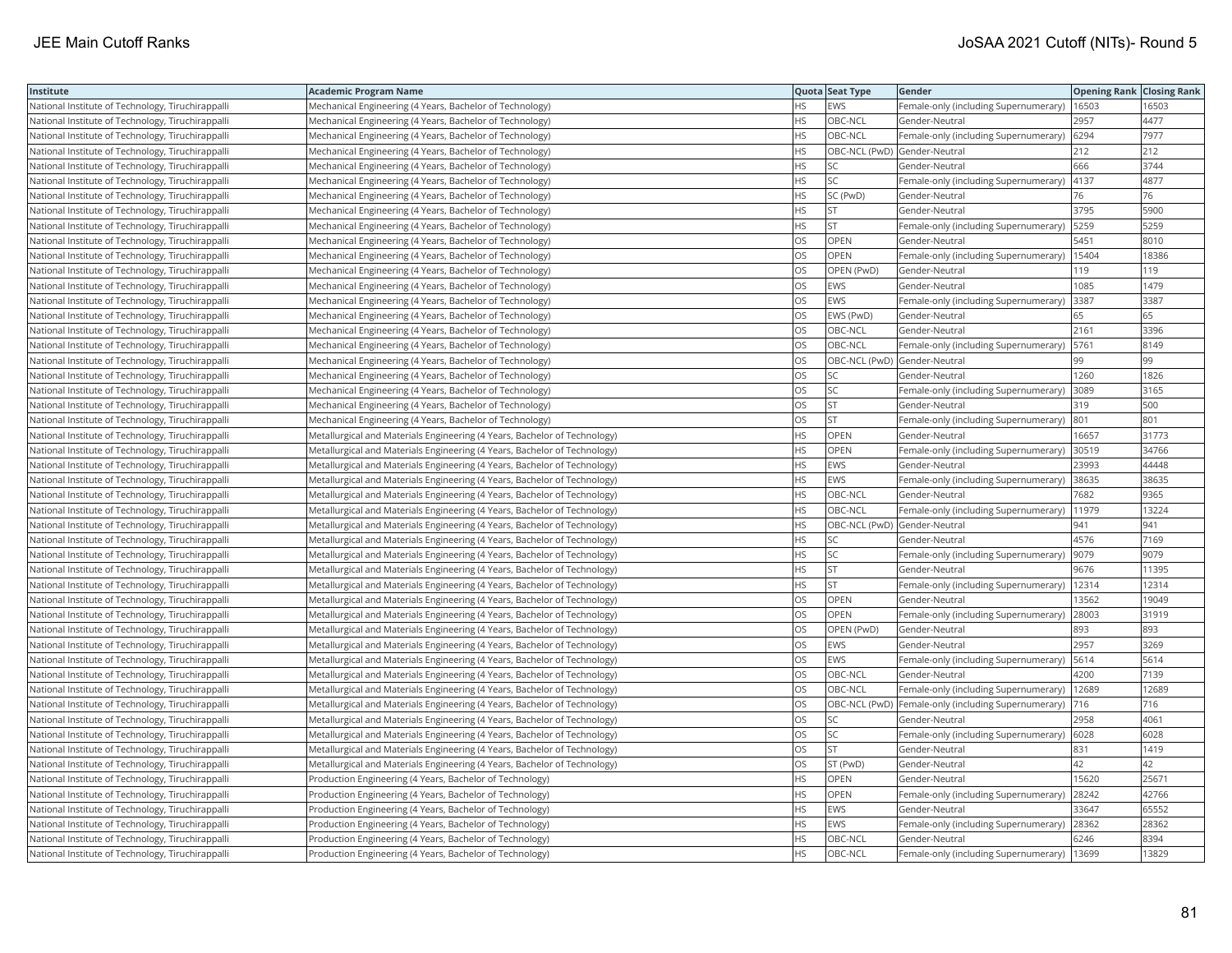| Institute                                         | Academic Program Name                                                     |           | Quota Seat Type              | Gender                                              | <b>Opening Rank Closing Rank</b> |       |
|---------------------------------------------------|---------------------------------------------------------------------------|-----------|------------------------------|-----------------------------------------------------|----------------------------------|-------|
| National Institute of Technology, Tiruchirappalli | Mechanical Engineering (4 Years, Bachelor of Technology)                  | НS        | EWS                          | Female-only (including Supernumerary)               | 16503                            | 16503 |
| National Institute of Technology, Tiruchirappalli | Mechanical Engineering (4 Years, Bachelor of Technology)                  | HS.       | OBC-NCL                      | Gender-Neutral                                      | 2957                             | 4477  |
| National Institute of Technology, Tiruchirappalli | Mechanical Engineering (4 Years, Bachelor of Technology)                  | HS        | OBC-NCL                      | Female-only (including Supernumerary)               | 6294                             | 7977  |
| National Institute of Technology, Tiruchirappalli | Mechanical Engineering (4 Years, Bachelor of Technology)                  | HS        | OBC-NCL (PwD) Gender-Neutral |                                                     | 212                              | 212   |
| National Institute of Technology, Tiruchirappalli | Mechanical Engineering (4 Years, Bachelor of Technology)                  | <b>HS</b> | <b>SC</b>                    | Gender-Neutral                                      | 666                              | 3744  |
| National Institute of Technology, Tiruchirappalli | Mechanical Engineering (4 Years, Bachelor of Technology)                  | HS        | SC                           | Female-only (including Supernumerary)   4137        |                                  | 4877  |
| National Institute of Technology, Tiruchirappalli | Mechanical Engineering (4 Years, Bachelor of Technology)                  | HS        | SC (PwD)                     | Gender-Neutral                                      | 76                               | 76    |
| National Institute of Technology, Tiruchirappalli | Mechanical Engineering (4 Years, Bachelor of Technology)                  | HS.       | <b>ST</b>                    | Gender-Neutral                                      | 3795                             | 5900  |
| National Institute of Technology, Tiruchirappalli | Mechanical Engineering (4 Years, Bachelor of Technology)                  | HS        | <b>ST</b>                    | Female-only (including Supernumerary)               | 5259                             | 5259  |
| National Institute of Technology, Tiruchirappalli | Mechanical Engineering (4 Years, Bachelor of Technology)                  | OS        | OPEN                         | Gender-Neutral                                      | 5451                             | 8010  |
| National Institute of Technology, Tiruchirappalli | Mechanical Engineering (4 Years, Bachelor of Technology)                  | OS        | <b>OPEN</b>                  | Female-only (including Supernumerary)               | 15404                            | 18386 |
| National Institute of Technology, Tiruchirappalli | Mechanical Engineering (4 Years, Bachelor of Technology)                  | <b>OS</b> | OPEN (PwD)                   | Gender-Neutral                                      | 119                              | 119   |
| National Institute of Technology, Tiruchirappalli | Mechanical Engineering (4 Years, Bachelor of Technology)                  | OS        | EWS                          | Gender-Neutral                                      | 1085                             | 1479  |
| National Institute of Technology, Tiruchirappalli | Mechanical Engineering (4 Years, Bachelor of Technology)                  | OS        | EWS                          | Female-only (including Supernumerary) 3387          |                                  | 3387  |
| National Institute of Technology, Tiruchirappalli | Mechanical Engineering (4 Years, Bachelor of Technology)                  | OS        | EWS (PwD)                    | Gender-Neutral                                      | 65                               | 65    |
| National Institute of Technology, Tiruchirappalli | Mechanical Engineering (4 Years, Bachelor of Technology)                  | OS        | OBC-NCL                      | Gender-Neutral                                      | 2161                             | 3396  |
| National Institute of Technology, Tiruchirappalli | Mechanical Engineering (4 Years, Bachelor of Technology)                  | OS        | OBC-NCL                      | Female-only (including Supernumerary)               | 5761                             | 8149  |
| National Institute of Technology, Tiruchirappalli | Mechanical Engineering (4 Years, Bachelor of Technology)                  | OS        | OBC-NCL (PwD) Gender-Neutral |                                                     | 99                               | 99    |
| National Institute of Technology, Tiruchirappalli | Mechanical Engineering (4 Years, Bachelor of Technology)                  | OS.       | <b>SC</b>                    | Gender-Neutral                                      | 1260                             | 1826  |
| National Institute of Technology, Tiruchirappalli | Mechanical Engineering (4 Years, Bachelor of Technology)                  | <b>OS</b> | SC                           | Female-only (including Supernumerary)               | 3089                             | 3165  |
| National Institute of Technology, Tiruchirappalli | Mechanical Engineering (4 Years, Bachelor of Technology)                  | OS        | <b>ST</b>                    | Gender-Neutral                                      | 319                              | 500   |
| National Institute of Technology, Tiruchirappalli | Mechanical Engineering (4 Years, Bachelor of Technology)                  | OS        | <b>ST</b>                    | Female-only (including Supernumerary)  801          |                                  | 801   |
| National Institute of Technology, Tiruchirappalli | Metallurgical and Materials Engineering (4 Years, Bachelor of Technology) | HS        | OPEN                         | Gender-Neutral                                      | 16657                            | 31773 |
| National Institute of Technology, Tiruchirappalli | Metallurgical and Materials Engineering (4 Years, Bachelor of Technology) | HS        | OPEN                         | Female-only (including Supernumerary)               | 30519                            | 34766 |
| National Institute of Technology, Tiruchirappalli | Metallurgical and Materials Engineering (4 Years, Bachelor of Technology) | HS        | <b>EWS</b>                   | Gender-Neutral                                      | 23993                            | 44448 |
| National Institute of Technology, Tiruchirappalli | Metallurgical and Materials Engineering (4 Years, Bachelor of Technology) | HS        | EWS                          | Female-only (including Supernumerary)               | 38635                            | 38635 |
| National Institute of Technology, Tiruchirappalli | Metallurgical and Materials Engineering (4 Years, Bachelor of Technology) | HS.       | OBC-NCL                      | Gender-Neutral                                      | 7682                             | 9365  |
| National Institute of Technology, Tiruchirappalli | Metallurgical and Materials Engineering (4 Years, Bachelor of Technology) | <b>HS</b> | OBC-NCL                      | Female-only (including Supernumerary)               | 11979                            | 13224 |
| National Institute of Technology, Tiruchirappalli | Metallurgical and Materials Engineering (4 Years, Bachelor of Technology) | HS.       | OBC-NCL (PwD) Gender-Neutral |                                                     | 941                              | 941   |
| National Institute of Technology, Tiruchirappalli | Metallurgical and Materials Engineering (4 Years, Bachelor of Technology) | HS.       | SC                           | Gender-Neutral                                      | 4576                             | 7169  |
| National Institute of Technology, Tiruchirappalli | Metallurgical and Materials Engineering (4 Years, Bachelor of Technology) | HS        | SC                           | Female-only (including Supernumerary)  9079         |                                  | 9079  |
| National Institute of Technology, Tiruchirappalli | Metallurgical and Materials Engineering (4 Years, Bachelor of Technology) | HS        | <b>ST</b>                    | Gender-Neutral                                      | 9676                             | 11395 |
| National Institute of Technology, Tiruchirappalli | Metallurgical and Materials Engineering (4 Years, Bachelor of Technology) | HS.       | <b>ST</b>                    | Female-only (including Supernumerary)               | 12314                            | 12314 |
| National Institute of Technology, Tiruchirappalli | Metallurgical and Materials Engineering (4 Years, Bachelor of Technology) | OS        | OPEN                         | Gender-Neutral                                      | 13562                            | 19049 |
| National Institute of Technology, Tiruchirappalli | Metallurgical and Materials Engineering (4 Years, Bachelor of Technology) | OS        | OPEN                         | Female-only (including Supernumerary)               | 28003                            | 31919 |
| National Institute of Technology, Tiruchirappalli | Metallurgical and Materials Engineering (4 Years, Bachelor of Technology) | OS.       | OPEN (PwD)                   | Gender-Neutral                                      | 893                              | 893   |
| National Institute of Technology, Tiruchirappalli | Metallurgical and Materials Engineering (4 Years, Bachelor of Technology) | OS        | EWS                          | Gender-Neutral                                      | 2957                             | 3269  |
| National Institute of Technology, Tiruchirappalli | Metallurgical and Materials Engineering (4 Years, Bachelor of Technology) | OS        | EWS                          | Female-only (including Supernumerary)   5614        |                                  | 5614  |
| National Institute of Technology, Tiruchirappalli | Metallurgical and Materials Engineering (4 Years, Bachelor of Technology) | OS        | OBC-NCL                      | Gender-Neutral                                      | 4200                             | 7139  |
| National Institute of Technology, Tiruchirappalli | Metallurgical and Materials Engineering (4 Years, Bachelor of Technology) | <b>OS</b> | OBC-NCL                      | Female-only (including Supernumerary)               | 12689                            | 12689 |
| National Institute of Technology, Tiruchirappalli | Metallurgical and Materials Engineering (4 Years, Bachelor of Technology) | OS.       |                              | OBC-NCL (PwD) Female-only (including Supernumerary) | 716                              | 716   |
| National Institute of Technology, Tiruchirappalli | Metallurgical and Materials Engineering (4 Years, Bachelor of Technology) | OS        | SC                           | Gender-Neutral                                      | 2958                             | 4061  |
| National Institute of Technology, Tiruchirappalli | Metallurgical and Materials Engineering (4 Years, Bachelor of Technology) | OS        | SC                           | Female-only (including Supernumerary)               | 6028                             | 6028  |
| National Institute of Technology, Tiruchirappalli | Metallurgical and Materials Engineering (4 Years, Bachelor of Technology) | OS.       | <b>ST</b>                    | Gender-Neutral                                      | 831                              | 1419  |
| National Institute of Technology, Tiruchirappalli | Metallurgical and Materials Engineering (4 Years, Bachelor of Technology) | OS        | ST (PwD)                     | Gender-Neutral                                      | 42                               | 42    |
| National Institute of Technology, Tiruchirappalli | Production Engineering (4 Years, Bachelor of Technology)                  | HS        | OPEN                         | Gender-Neutral                                      | 15620                            | 25671 |
| National Institute of Technology, Tiruchirappalli | Production Engineering (4 Years, Bachelor of Technology)                  | HS.       | OPEN                         | Female-only (including Supernumerary)               | 28242                            | 42766 |
| National Institute of Technology, Tiruchirappalli | Production Engineering (4 Years, Bachelor of Technology)                  | HS        | <b>EWS</b>                   | Gender-Neutral                                      | 33647                            | 65552 |
| National Institute of Technology, Tiruchirappalli | Production Engineering (4 Years, Bachelor of Technology)                  | HS        | EWS                          | Female-only (including Supernumerary)               | 28362                            | 28362 |
| National Institute of Technology, Tiruchirappalli | Production Engineering (4 Years, Bachelor of Technology)                  | <b>HS</b> | OBC-NCL                      | Gender-Neutral                                      | 6246                             | 8394  |
| National Institute of Technology, Tiruchirappalli | Production Engineering (4 Years, Bachelor of Technology)                  | <b>HS</b> | OBC-NCL                      | Female-only (including Supernumerary)   13699       |                                  | 13829 |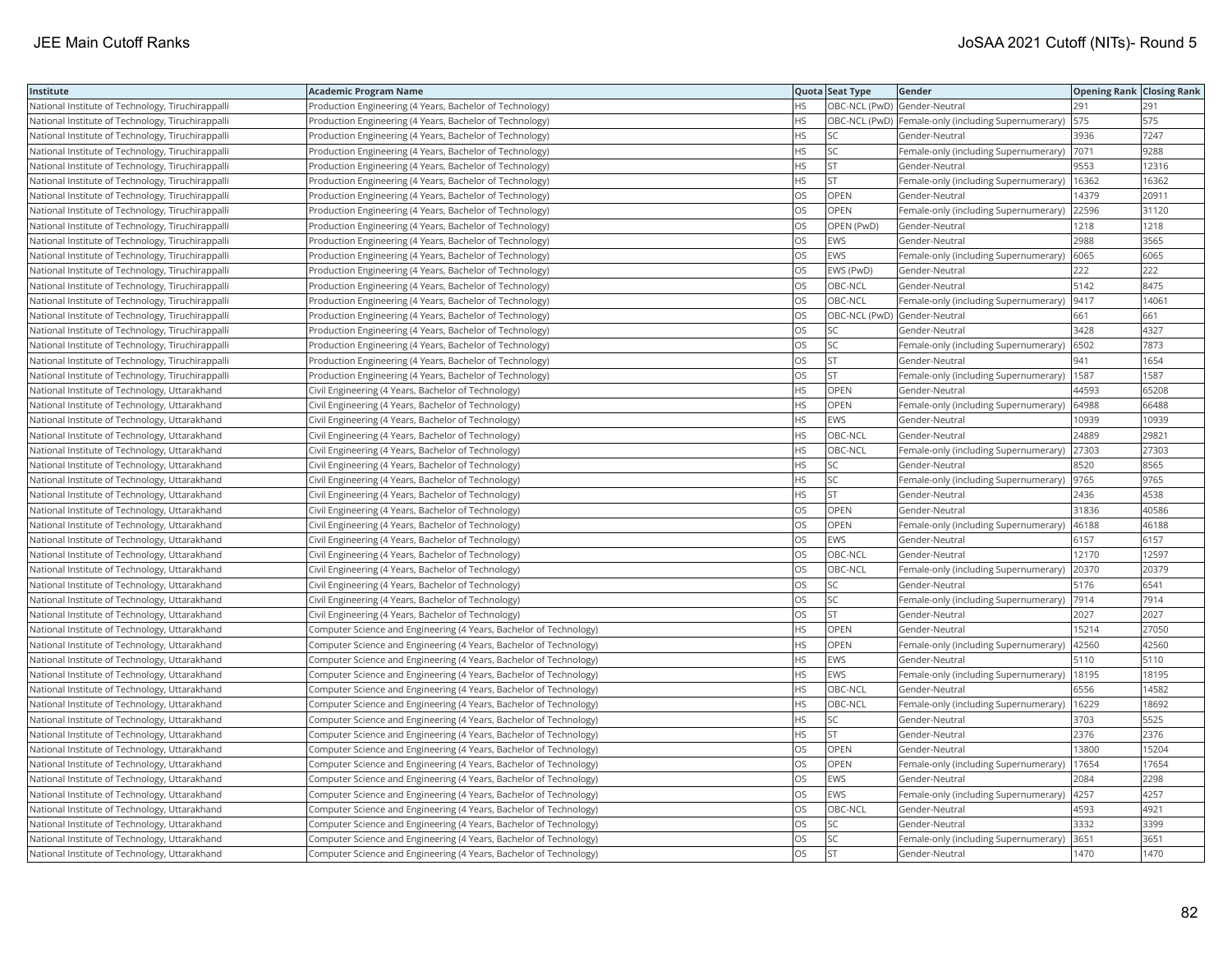| <b>Institute</b>                                  | Academic Program Name                                              |           | Quota Seat Type              | Gender                                               | <b>Opening Rank Closing Rank</b> |       |
|---------------------------------------------------|--------------------------------------------------------------------|-----------|------------------------------|------------------------------------------------------|----------------------------------|-------|
| National Institute of Technology, Tiruchirappalli | Production Engineering (4 Years, Bachelor of Technology)           | HS        | OBC-NCL (PwD) Gender-Neutral |                                                      | 291                              | 291   |
| National Institute of Technology, Tiruchirappalli | Production Engineering (4 Years, Bachelor of Technology)           | HS.       |                              | OBC-NCL (PwD)  Female-only (including Supernumerary) | 575                              | 575   |
| National Institute of Technology, Tiruchirappalli | Production Engineering (4 Years, Bachelor of Technology)           | HS        | <b>SC</b>                    | Gender-Neutral                                       | 3936                             | 7247  |
| National Institute of Technology, Tiruchirappalli | Production Engineering (4 Years, Bachelor of Technology)           | HS        | SC                           | Female-only (including Supernumerary)                | 7071                             | 9288  |
| National Institute of Technology, Tiruchirappalli | Production Engineering (4 Years, Bachelor of Technology)           | HS.       | <b>ST</b>                    | Gender-Neutral                                       | 9553                             | 12316 |
| National Institute of Technology, Tiruchirappalli | Production Engineering (4 Years, Bachelor of Technology)           | HS.       | <b>ST</b>                    | Female-only (including Supernumerary)                | 16362                            | 16362 |
| National Institute of Technology, Tiruchirappalli | Production Engineering (4 Years, Bachelor of Technology)           | OS        | OPEN                         | Gender-Neutral                                       | 14379                            | 20911 |
| National Institute of Technology, Tiruchirappalli | Production Engineering (4 Years, Bachelor of Technology)           | OS.       | <b>OPEN</b>                  | Female-only (including Supernumerary)                | 22596                            | 31120 |
| National Institute of Technology, Tiruchirappalli | Production Engineering (4 Years, Bachelor of Technology)           | OS        | OPEN (PwD)                   | Gender-Neutral                                       | 1218                             | 1218  |
| National Institute of Technology, Tiruchirappalli | Production Engineering (4 Years, Bachelor of Technology)           | OS        | EWS                          | Gender-Neutral                                       | 2988                             | 3565  |
| National Institute of Technology, Tiruchirappalli | Production Engineering (4 Years, Bachelor of Technology)           | OS.       | EWS                          | Female-only (including Supernumerary)                | 6065                             | 6065  |
| National Institute of Technology, Tiruchirappalli | Production Engineering (4 Years, Bachelor of Technology)           | OS.       | EWS (PwD)                    | Gender-Neutral                                       | 222                              | 222   |
| National Institute of Technology, Tiruchirappalli | Production Engineering (4 Years, Bachelor of Technology)           | OS        | OBC-NCL                      | Gender-Neutral                                       | 5142                             | 8475  |
| National Institute of Technology, Tiruchirappalli | Production Engineering (4 Years, Bachelor of Technology)           | OS        | OBC-NCL                      | Female-only (including Supernumerary)  9417          |                                  | 14061 |
| National Institute of Technology, Tiruchirappalli | Production Engineering (4 Years, Bachelor of Technology)           | OS        | OBC-NCL (PwD) Gender-Neutral |                                                      | 661                              | 661   |
| National Institute of Technology, Tiruchirappalli | Production Engineering (4 Years, Bachelor of Technology)           | OS        | SC                           | Gender-Neutral                                       | 3428                             | 4327  |
| National Institute of Technology, Tiruchirappalli | Production Engineering (4 Years, Bachelor of Technology)           | OS        | SC                           | Female-only (including Supernumerary)                | 6502                             | 7873  |
| National Institute of Technology, Tiruchirappalli | Production Engineering (4 Years, Bachelor of Technology)           | OS        | <b>ST</b>                    | Gender-Neutral                                       | 941                              | 1654  |
| National Institute of Technology, Tiruchirappalli | Production Engineering (4 Years, Bachelor of Technology)           | OS        | <b>ST</b>                    | Female-only (including Supernumerary)                | 1587                             | 1587  |
| National Institute of Technology, Uttarakhand     | Civil Engineering (4 Years, Bachelor of Technology)                | <b>HS</b> | <b>OPEN</b>                  | Gender-Neutral                                       | 44593                            | 65208 |
| National Institute of Technology, Uttarakhand     | Civil Engineering (4 Years, Bachelor of Technology)                | HS        | <b>OPEN</b>                  | Female-only (including Supernumerary)                | 64988                            | 66488 |
| National Institute of Technology, Uttarakhand     | Civil Engineering (4 Years, Bachelor of Technology)                | HS.       | EWS                          | Gender-Neutral                                       | 10939                            | 10939 |
| National Institute of Technology, Uttarakhand     | Civil Engineering (4 Years, Bachelor of Technology)                | HS        | OBC-NCL                      | Gender-Neutral                                       | 24889                            | 29821 |
| National Institute of Technology, Uttarakhand     | Civil Engineering (4 Years, Bachelor of Technology)                | HS.       | OBC-NCL                      | Female-only (including Supernumerary)                | 27303                            | 27303 |
| National Institute of Technology, Uttarakhand     | Civil Engineering (4 Years, Bachelor of Technology)                | HS        | SC                           | Gender-Neutral                                       | 8520                             | 8565  |
| National Institute of Technology, Uttarakhand     | Civil Engineering (4 Years, Bachelor of Technology)                | HS.       | SC                           | Female-only (including Supernumerary)  9765          |                                  | 9765  |
| National Institute of Technology, Uttarakhand     | Civil Engineering (4 Years, Bachelor of Technology)                | HS        | <b>ST</b>                    | Gender-Neutral                                       | 2436                             | 4538  |
| National Institute of Technology, Uttarakhand     | Civil Engineering (4 Years, Bachelor of Technology)                | OS        | OPEN                         | Gender-Neutral                                       | 31836                            | 40586 |
| National Institute of Technology, Uttarakhand     | Civil Engineering (4 Years, Bachelor of Technology)                | OS.       | <b>OPEN</b>                  | Female-only (including Supernumerary)                | 46188                            | 46188 |
| National Institute of Technology, Uttarakhand     | Civil Engineering (4 Years, Bachelor of Technology)                | OS        | EWS                          | Gender-Neutral                                       | 6157                             | 6157  |
| National Institute of Technology, Uttarakhand     | Civil Engineering (4 Years, Bachelor of Technology)                | OS        | OBC-NCL                      | Gender-Neutral                                       | 12170                            | 12597 |
| National Institute of Technology, Uttarakhand     | Civil Engineering (4 Years, Bachelor of Technology)                | OS.       | OBC-NCL                      | Female-only (including Supernumerary)                | 20370                            | 20379 |
| National Institute of Technology, Uttarakhand     | Civil Engineering (4 Years, Bachelor of Technology)                | OS        | SC                           | Gender-Neutral                                       | 5176                             | 6541  |
| National Institute of Technology, Uttarakhand     | Civil Engineering (4 Years, Bachelor of Technology)                | OS        | SC                           | Female-only (including Supernumerary)                | 7914                             | 7914  |
| National Institute of Technology, Uttarakhand     | Civil Engineering (4 Years, Bachelor of Technology)                | OS.       | <b>ST</b>                    | Gender-Neutral                                       | 2027                             | 2027  |
| National Institute of Technology, Uttarakhand     | Computer Science and Engineering (4 Years, Bachelor of Technology) | HS        | OPEN                         | Gender-Neutral                                       | 15214                            | 27050 |
| National Institute of Technology, Uttarakhand     | Computer Science and Engineering (4 Years, Bachelor of Technology) | HS.       | OPEN                         | Female-only (including Supernumerary)                | 42560                            | 42560 |
| National Institute of Technology, Uttarakhand     | Computer Science and Engineering (4 Years, Bachelor of Technology) | HS.       | <b>EWS</b>                   | Gender-Neutral                                       | 5110                             | 5110  |
| National Institute of Technology, Uttarakhand     | Computer Science and Engineering (4 Years, Bachelor of Technology) | HS        | EWS                          | Female-only (including Supernumerary)                | 18195                            | 18195 |
| National Institute of Technology, Uttarakhand     | Computer Science and Engineering (4 Years, Bachelor of Technology) | HS        | OBC-NCL                      | Gender-Neutral                                       | 6556                             | 14582 |
| National Institute of Technology, Uttarakhand     | Computer Science and Engineering (4 Years, Bachelor of Technology) | <b>HS</b> | OBC-NCL                      | Female-only (including Supernumerary)                | 16229                            | 18692 |
| National Institute of Technology, Uttarakhand     | Computer Science and Engineering (4 Years, Bachelor of Technology) | HS        | SC                           | Gender-Neutral                                       | 3703                             | 5525  |
| National Institute of Technology, Uttarakhand     | Computer Science and Engineering (4 Years, Bachelor of Technology) | HS        | <b>ST</b>                    | Gender-Neutral                                       | 2376                             | 2376  |
| National Institute of Technology, Uttarakhand     | Computer Science and Engineering (4 Years, Bachelor of Technology) | OS        | <b>OPEN</b>                  | Gender-Neutral                                       | 13800                            | 15204 |
| National Institute of Technology, Uttarakhand     | Computer Science and Engineering (4 Years, Bachelor of Technology) | OS        | OPEN                         | Female-only (including Supernumerary)                | 17654                            | 17654 |
| National Institute of Technology, Uttarakhand     | Computer Science and Engineering (4 Years, Bachelor of Technology) | OS        | EWS                          | Gender-Neutral                                       | 2084                             | 2298  |
| National Institute of Technology, Uttarakhand     | Computer Science and Engineering (4 Years, Bachelor of Technology) | OS.       | <b>EWS</b>                   | Female-only (including Supernumerary)  4257          |                                  | 4257  |
| National Institute of Technology, Uttarakhand     | Computer Science and Engineering (4 Years, Bachelor of Technology) | OS        | OBC-NCL                      | Gender-Neutral                                       | 4593                             | 4921  |
| National Institute of Technology, Uttarakhand     | Computer Science and Engineering (4 Years, Bachelor of Technology) | OS        | SC                           | Gender-Neutral                                       | 3332                             | 3399  |
| National Institute of Technology, Uttarakhand     | Computer Science and Engineering (4 Years, Bachelor of Technology) | OS        | <b>SC</b>                    | Female-only (including Supernumerary)                | 3651                             | 3651  |
| National Institute of Technology, Uttarakhand     | Computer Science and Engineering (4 Years, Bachelor of Technology) | <b>OS</b> | İst                          | Gender-Neutral                                       | 1470                             | 1470  |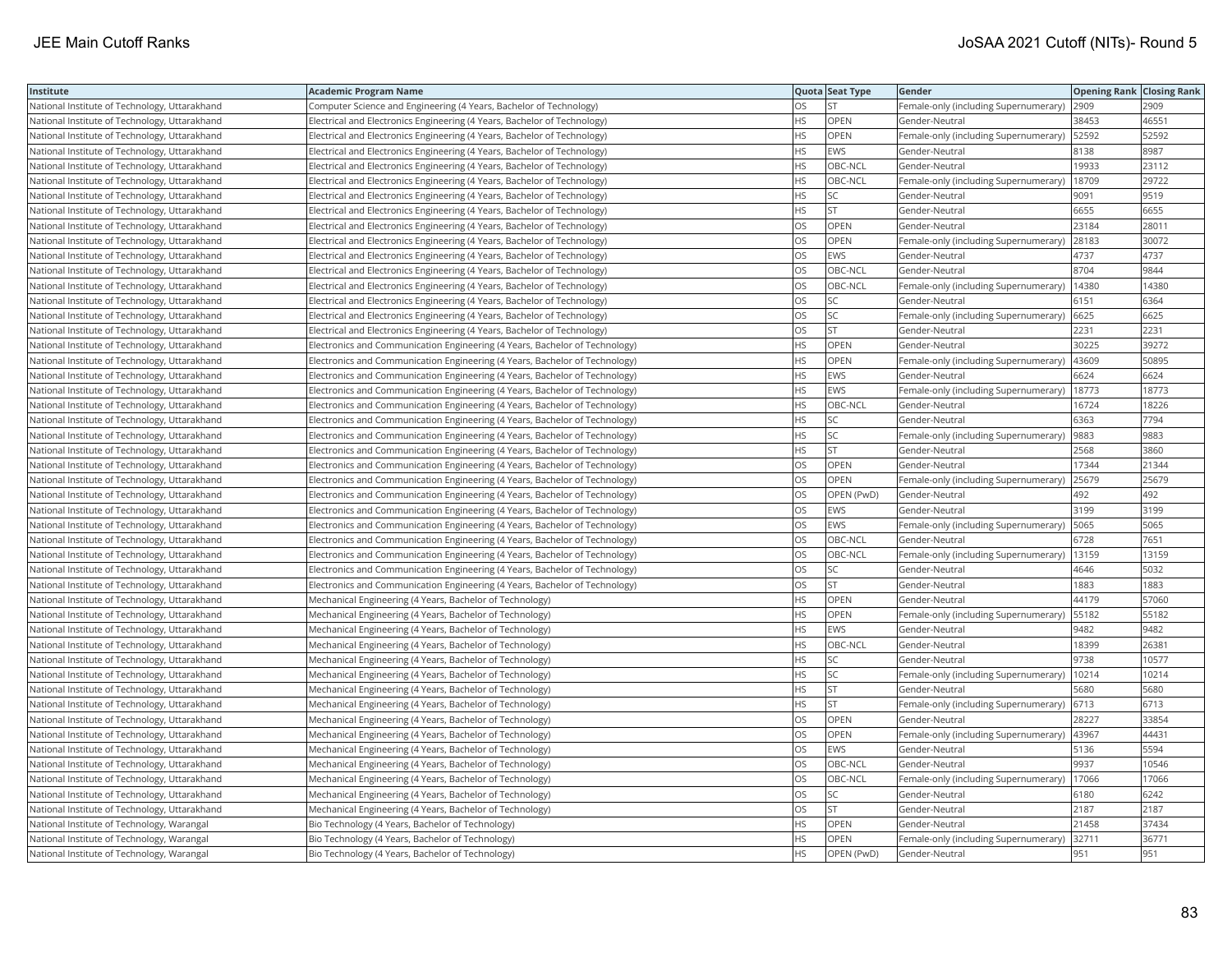| Institute                                     | <b>Academic Program Name</b>                                                |           | Quota Seat Type | Gender                                | <b>Opening Rank Closing Rank</b> |       |
|-----------------------------------------------|-----------------------------------------------------------------------------|-----------|-----------------|---------------------------------------|----------------------------------|-------|
| National Institute of Technology, Uttarakhand | Computer Science and Engineering (4 Years, Bachelor of Technology)          | <b>OS</b> | lst.            | Female-only (including Supernumerary) | 2909                             | 2909  |
| National Institute of Technology, Uttarakhand | Electrical and Electronics Engineering (4 Years, Bachelor of Technology)    | <b>HS</b> | <b>OPEN</b>     | Gender-Neutral                        | 38453                            | 46551 |
| National Institute of Technology, Uttarakhand | Electrical and Electronics Engineering (4 Years, Bachelor of Technology)    | <b>HS</b> | OPEN            | Female-only (including Supernumerary) | 52592                            | 52592 |
| National Institute of Technology, Uttarakhand | Electrical and Electronics Engineering (4 Years, Bachelor of Technology)    | <b>HS</b> | <b>EWS</b>      | Gender-Neutral                        | 8138                             | 8987  |
| National Institute of Technology, Uttarakhand | Electrical and Electronics Engineering (4 Years, Bachelor of Technology)    | <b>HS</b> | OBC-NCL         | Gender-Neutral                        | 19933                            | 23112 |
| National Institute of Technology, Uttarakhand | Electrical and Electronics Engineering (4 Years, Bachelor of Technology)    | <b>HS</b> | OBC-NCL         | Female-only (including Supernumerary) | 18709                            | 29722 |
| National Institute of Technology, Uttarakhand | Electrical and Electronics Engineering (4 Years, Bachelor of Technology)    | HS        | SC              | Gender-Neutral                        | 9091                             | 9519  |
| National Institute of Technology, Uttarakhand | Electrical and Electronics Engineering (4 Years, Bachelor of Technology)    | <b>HS</b> | <b>ST</b>       | Gender-Neutral                        | 6655                             | 6655  |
| National Institute of Technology, Uttarakhand | Electrical and Electronics Engineering (4 Years, Bachelor of Technology)    | <b>OS</b> | OPEN            | Gender-Neutral                        | 23184                            | 28011 |
| National Institute of Technology, Uttarakhand | Electrical and Electronics Engineering (4 Years, Bachelor of Technology)    | <b>OS</b> | OPEN            | Female-only (including Supernumerary) | 28183                            | 30072 |
| National Institute of Technology, Uttarakhand | Electrical and Electronics Engineering (4 Years, Bachelor of Technology)    | <b>OS</b> | EWS             | Gender-Neutral                        | 4737                             | 4737  |
| National Institute of Technology, Uttarakhand | Electrical and Electronics Engineering (4 Years, Bachelor of Technology)    | OS        | OBC-NCL         | Gender-Neutral                        | 8704                             | 9844  |
| National Institute of Technology, Uttarakhand | Electrical and Electronics Engineering (4 Years, Bachelor of Technology)    | OS        | OBC-NCL         | Female-only (including Supernumerary) | 14380                            | 14380 |
| National Institute of Technology, Uttarakhand | Electrical and Electronics Engineering (4 Years, Bachelor of Technology)    | OS        | SC              | Gender-Neutral                        | 6151                             | 6364  |
| National Institute of Technology, Uttarakhand | Electrical and Electronics Engineering (4 Years, Bachelor of Technology)    | OS        | SC              | Female-only (including Supernumerary) | 6625                             | 6625  |
| National Institute of Technology, Uttarakhand | Electrical and Electronics Engineering (4 Years, Bachelor of Technology)    | OS        | <b>ST</b>       | Gender-Neutral                        | 2231                             | 2231  |
| National Institute of Technology, Uttarakhand | Electronics and Communication Engineering (4 Years, Bachelor of Technology) | <b>HS</b> | OPEN            | Gender-Neutral                        | 30225                            | 39272 |
| National Institute of Technology, Uttarakhand | Electronics and Communication Engineering (4 Years, Bachelor of Technology) | <b>HS</b> | <b>OPEN</b>     | Female-only (including Supernumerary) | 43609                            | 50895 |
| National Institute of Technology, Uttarakhand | Electronics and Communication Engineering (4 Years, Bachelor of Technology) | <b>HS</b> | EWS             | Gender-Neutral                        | 6624                             | 6624  |
| National Institute of Technology, Uttarakhand | Electronics and Communication Engineering (4 Years, Bachelor of Technology) | <b>HS</b> | <b>EWS</b>      | Female-only (including Supernumerary) | 18773                            | 18773 |
| National Institute of Technology, Uttarakhand | Electronics and Communication Engineering (4 Years, Bachelor of Technology) | <b>HS</b> | OBC-NCL         | Gender-Neutral                        | 16724                            | 18226 |
| National Institute of Technology, Uttarakhand | Electronics and Communication Engineering (4 Years, Bachelor of Technology) | <b>HS</b> | lsc             | Gender-Neutral                        | 6363                             | 7794  |
| National Institute of Technology, Uttarakhand | Electronics and Communication Engineering (4 Years, Bachelor of Technology) | HS        | SC              | Female-only (including Supernumerary) | 9883                             | 9883  |
| National Institute of Technology, Uttarakhand | Electronics and Communication Engineering (4 Years, Bachelor of Technology) | <b>HS</b> | lst             | Gender-Neutral                        | 2568                             | 3860  |
| National Institute of Technology, Uttarakhand | Electronics and Communication Engineering (4 Years, Bachelor of Technology) | <b>OS</b> | OPEN            | Gender-Neutral                        | 17344                            | 21344 |
| National Institute of Technology, Uttarakhand | Electronics and Communication Engineering (4 Years, Bachelor of Technology) | OS        | OPEN            | Female-only (including Supernumerary) | 25679                            | 25679 |
| National Institute of Technology, Uttarakhand | Electronics and Communication Engineering (4 Years, Bachelor of Technology) | <b>OS</b> | OPEN (PwD)      | Gender-Neutral                        | 492                              | 492   |
| National Institute of Technology, Uttarakhand | Electronics and Communication Engineering (4 Years, Bachelor of Technology) | OS        | <b>EWS</b>      | Gender-Neutral                        | 3199                             | 3199  |
| National Institute of Technology, Uttarakhand | Electronics and Communication Engineering (4 Years, Bachelor of Technology) | OS        | <b>EWS</b>      | Female-only (including Supernumerary) | 5065                             | 5065  |
| National Institute of Technology, Uttarakhand | Electronics and Communication Engineering (4 Years, Bachelor of Technology) | OS        | OBC-NCL         | Gender-Neutral                        | 6728                             | 7651  |
| National Institute of Technology, Uttarakhand | Electronics and Communication Engineering (4 Years, Bachelor of Technology) | OS        | OBC-NCL         | Female-only (including Supernumerary) | 13159                            | 13159 |
| National Institute of Technology, Uttarakhand | Electronics and Communication Engineering (4 Years, Bachelor of Technology) | OS        | SC              | Gender-Neutral                        | 4646                             | 5032  |
| National Institute of Technology, Uttarakhand | Electronics and Communication Engineering (4 Years, Bachelor of Technology) | OS        | <b>ST</b>       | Gender-Neutral                        | 1883                             | 1883  |
| National Institute of Technology, Uttarakhand | Mechanical Engineering (4 Years, Bachelor of Technology)                    | <b>HS</b> | OPEN            | Gender-Neutral                        | 44179                            | 57060 |
| National Institute of Technology, Uttarakhand | Mechanical Engineering (4 Years, Bachelor of Technology)                    | <b>HS</b> | <b>OPEN</b>     | Female-only (including Supernumerary) | 55182                            | 55182 |
| National Institute of Technology, Uttarakhand | Mechanical Engineering (4 Years, Bachelor of Technology)                    | <b>HS</b> | <b>EWS</b>      | Gender-Neutral                        | 9482                             | 9482  |
| National Institute of Technology, Uttarakhand | Mechanical Engineering (4 Years, Bachelor of Technology)                    | <b>HS</b> | OBC-NCL         | Gender-Neutral                        | 18399                            | 26381 |
| National Institute of Technology, Uttarakhand | Mechanical Engineering (4 Years, Bachelor of Technology)                    | <b>HS</b> | SC              | Gender-Neutral                        | 9738                             | 10577 |
| National Institute of Technology, Uttarakhand | Mechanical Engineering (4 Years, Bachelor of Technology)                    | HS        | SC              | Female-only (including Supernumerary) | 10214                            | 10214 |
| National Institute of Technology, Uttarakhand | Mechanical Engineering (4 Years, Bachelor of Technology)                    | <b>HS</b> | İst             | Gender-Neutral                        | 5680                             | 5680  |
| National Institute of Technology, Uttarakhand | Mechanical Engineering (4 Years, Bachelor of Technology)                    | <b>HS</b> | <b>ST</b>       | Female-only (including Supernumerary) | 6713                             | 6713  |
| National Institute of Technology, Uttarakhand | Mechanical Engineering (4 Years, Bachelor of Technology)                    | <b>OS</b> | OPEN            | Gender-Neutral                        | 28227                            | 33854 |
| National Institute of Technology, Uttarakhand | Mechanical Engineering (4 Years, Bachelor of Technology)                    | <b>OS</b> | <b>OPEN</b>     | Female-only (including Supernumerary) | 43967                            | 44431 |
| National Institute of Technology, Uttarakhand | Mechanical Engineering (4 Years, Bachelor of Technology)                    | OS        | EWS             | Gender-Neutral                        | 5136                             | 5594  |
| National Institute of Technology, Uttarakhand | Mechanical Engineering (4 Years, Bachelor of Technology)                    | OS        | OBC-NCL         | Gender-Neutral                        | 9937                             | 10546 |
| National Institute of Technology, Uttarakhand | Mechanical Engineering (4 Years, Bachelor of Technology)                    | OS        | OBC-NCL         | Female-only (including Supernumerary) | 17066                            | 17066 |
| National Institute of Technology, Uttarakhand | Mechanical Engineering (4 Years, Bachelor of Technology)                    | <b>OS</b> | SC              | Gender-Neutral                        | 6180                             | 6242  |
| National Institute of Technology, Uttarakhand | Mechanical Engineering (4 Years, Bachelor of Technology)                    | OS        | <b>ST</b>       | Gender-Neutral                        | 2187                             | 2187  |
| National Institute of Technology, Warangal    | Bio Technology (4 Years, Bachelor of Technology)                            | <b>HS</b> | OPEN            | Gender-Neutral                        | 21458                            | 37434 |
| National Institute of Technology, Warangal    | Bio Technology (4 Years, Bachelor of Technology)                            | <b>HS</b> | <b>OPEN</b>     | Female-only (including Supernumerary) | 32711                            | 36771 |
| National Institute of Technology, Warangal    | Bio Technology (4 Years, Bachelor of Technology)                            | <b>HS</b> | OPEN (PwD)      | Gender-Neutral                        | 951                              | 951   |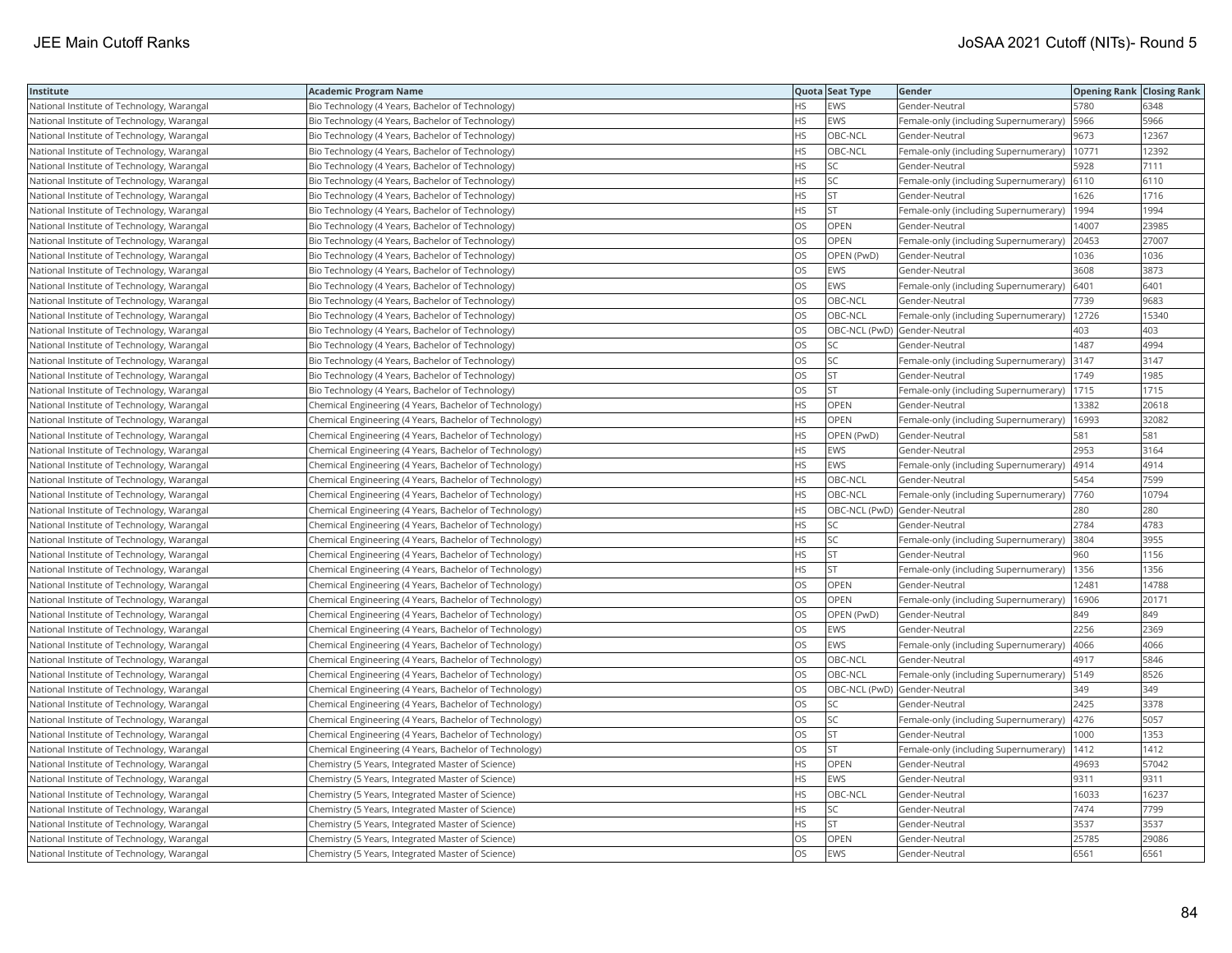| Institute                                  | Academic Program Name                                  |           | Quota Seat Type              | Gender                                       | <b>Opening Rank Closing Rank</b> |       |
|--------------------------------------------|--------------------------------------------------------|-----------|------------------------------|----------------------------------------------|----------------------------------|-------|
| National Institute of Technology, Warangal | Bio Technology (4 Years, Bachelor of Technology)       | HS        | EWS                          | Gender-Neutral                               | 5780                             | 6348  |
| National Institute of Technology, Warangal | Bio Technology (4 Years, Bachelor of Technology)       | <b>HS</b> | <b>EWS</b>                   | Female-only (including Supernumerary)        | 5966                             | 5966  |
| National Institute of Technology, Warangal | Bio Technology (4 Years, Bachelor of Technology)       | HS        | OBC-NCL                      | Gender-Neutral                               | 9673                             | 12367 |
| National Institute of Technology, Warangal | Bio Technology (4 Years, Bachelor of Technology)       | HS        | OBC-NCL                      | Female-only (including Supernumerary)        | 10771                            | 12392 |
| National Institute of Technology, Warangal | Bio Technology (4 Years, Bachelor of Technology)       | HS        | <b>SC</b>                    | Gender-Neutral                               | 5928                             | 7111  |
| National Institute of Technology, Warangal | Bio Technology (4 Years, Bachelor of Technology)       | HS        | SC                           | Female-only (including Supernumerary)   6110 |                                  | 6110  |
| National Institute of Technology, Warangal | Bio Technology (4 Years, Bachelor of Technology)       | HS        | <b>ST</b>                    | Gender-Neutral                               | 1626                             | 1716  |
| National Institute of Technology, Warangal | Bio Technology (4 Years, Bachelor of Technology)       | HS.       | <b>ST</b>                    | Female-only (including Supernumerary)        | 1994                             | 1994  |
| National Institute of Technology, Warangal | Bio Technology (4 Years, Bachelor of Technology)       | OS        | OPEN                         | Gender-Neutral                               | 14007                            | 23985 |
| National Institute of Technology, Warangal | Bio Technology (4 Years, Bachelor of Technology)       | OS        | OPEN                         | Female-only (including Supernumerary)        | 20453                            | 27007 |
| National Institute of Technology, Warangal | Bio Technology (4 Years, Bachelor of Technology)       | OS.       | OPEN (PwD)                   | Gender-Neutral                               | 1036                             | 1036  |
| National Institute of Technology, Warangal | Bio Technology (4 Years, Bachelor of Technology)       | OS        | EWS                          | Gender-Neutral                               | 3608                             | 3873  |
| National Institute of Technology, Warangal | Bio Technology (4 Years, Bachelor of Technology)       | OS        | <b>EWS</b>                   | Female-only (including Supernumerary)        | 6401                             | 6401  |
| National Institute of Technology, Warangal | Bio Technology (4 Years, Bachelor of Technology)       | OS        | OBC-NCL                      | Gender-Neutral                               | 7739                             | 9683  |
| National Institute of Technology, Warangal | Bio Technology (4 Years, Bachelor of Technology)       | OS        | OBC-NCL                      | Female-only (including Supernumerary)        | 12726                            | 15340 |
| National Institute of Technology, Warangal | Bio Technology (4 Years, Bachelor of Technology)       | OS        | OBC-NCL (PwD) Gender-Neutral |                                              | 403                              | 403   |
| National Institute of Technology, Warangal | Bio Technology (4 Years, Bachelor of Technology)       | OS        | SC                           | Gender-Neutral                               | 1487                             | 4994  |
| National Institute of Technology, Warangal | Bio Technology (4 Years, Bachelor of Technology)       | OS        | SC                           | Female-only (including Supernumerary)        | 3147                             | 3147  |
| National Institute of Technology, Warangal | Bio Technology (4 Years, Bachelor of Technology)       | OS        | <b>ST</b>                    | Gender-Neutral                               | 1749                             | 1985  |
| National Institute of Technology, Warangal | Bio Technology (4 Years, Bachelor of Technology)       | OS        | <b>ST</b>                    | Female-only (including Supernumerary)        | 1715                             | 1715  |
| National Institute of Technology, Warangal | Chemical Engineering (4 Years, Bachelor of Technology) | HS        | OPEN                         | Gender-Neutral                               | 13382                            | 20618 |
| National Institute of Technology, Warangal | Chemical Engineering (4 Years, Bachelor of Technology) | HS        | OPEN                         | Female-only (including Supernumerary)        | 16993                            | 32082 |
| National Institute of Technology, Warangal | Chemical Engineering (4 Years, Bachelor of Technology) | HS.       | OPEN (PwD)                   | Gender-Neutral                               | 581                              | 581   |
| National Institute of Technology, Warangal | Chemical Engineering (4 Years, Bachelor of Technology) | HS        | EWS                          | Gender-Neutral                               | 2953                             | 3164  |
| National Institute of Technology, Warangal | Chemical Engineering (4 Years, Bachelor of Technology) | HS        | EWS                          | Female-only (including Supernumerary)        | 4914                             | 4914  |
| National Institute of Technology, Warangal | Chemical Engineering (4 Years, Bachelor of Technology) | <b>HS</b> | OBC-NCL                      | Gender-Neutral                               | 5454                             | 7599  |
| National Institute of Technology, Warangal | Chemical Engineering (4 Years, Bachelor of Technology) | HS        | OBC-NCL                      | Female-only (including Supernumerary)        | 7760                             | 10794 |
| National Institute of Technology, Warangal | Chemical Engineering (4 Years, Bachelor of Technology) | ΗS        | OBC-NCL (PwD) Gender-Neutral |                                              | 280                              | 280   |
| National Institute of Technology, Warangal | Chemical Engineering (4 Years, Bachelor of Technology) | HS        | SC                           | Gender-Neutral                               | 2784                             | 4783  |
| National Institute of Technology, Warangal | Chemical Engineering (4 Years, Bachelor of Technology) | HS        | SC                           | Female-only (including Supernumerary)        | 3804                             | 3955  |
| National Institute of Technology, Warangal | Chemical Engineering (4 Years, Bachelor of Technology) | HS        | <b>ST</b>                    | Gender-Neutral                               | 960                              | 1156  |
| National Institute of Technology, Warangal | Chemical Engineering (4 Years, Bachelor of Technology) | HS        | <b>ST</b>                    | Female-only (including Supernumerary)        | 1356                             | 1356  |
| National Institute of Technology, Warangal | Chemical Engineering (4 Years, Bachelor of Technology) | OS        | OPEN                         | Gender-Neutral                               | 12481                            | 14788 |
| National Institute of Technology, Warangal | Chemical Engineering (4 Years, Bachelor of Technology) | OS        | OPEN                         | Female-only (including Supernumerary)        | 16906                            | 20171 |
| National Institute of Technology, Warangal | Chemical Engineering (4 Years, Bachelor of Technology) | OS.       | OPEN (PwD)                   | Gender-Neutral                               | 849                              | 849   |
| National Institute of Technology, Warangal | Chemical Engineering (4 Years, Bachelor of Technology) | OS        | EWS                          | Gender-Neutral                               | 2256                             | 2369  |
| National Institute of Technology, Warangal | Chemical Engineering (4 Years, Bachelor of Technology) | OS        | EWS                          | Female-only (including Supernumerary)        | 4066                             | 4066  |
| National Institute of Technology, Warangal | Chemical Engineering (4 Years, Bachelor of Technology) | OS        | OBC-NCL                      | Gender-Neutral                               | 4917                             | 5846  |
| National Institute of Technology, Warangal | Chemical Engineering (4 Years, Bachelor of Technology) | OS        | OBC-NCL                      | Female-only (including Supernumerary)        | 5149                             | 8526  |
| National Institute of Technology, Warangal | Chemical Engineering (4 Years, Bachelor of Technology) | OS.       | OBC-NCL (PwD) Gender-Neutral |                                              | 349                              | 349   |
| National Institute of Technology, Warangal | Chemical Engineering (4 Years, Bachelor of Technology) | OS        | SC                           | Gender-Neutral                               | 2425                             | 3378  |
| National Institute of Technology, Warangal | Chemical Engineering (4 Years, Bachelor of Technology) | OS        | SC                           | Female-only (including Supernumerary)        | 4276                             | 5057  |
| National Institute of Technology, Warangal | Chemical Engineering (4 Years, Bachelor of Technology) | OS.       | lst                          | Gender-Neutral                               | 1000                             | 1353  |
| National Institute of Technology, Warangal | Chemical Engineering (4 Years, Bachelor of Technology) | OS        | <b>ST</b>                    | Female-only (including Supernumerary)        | 1412                             | 1412  |
| National Institute of Technology, Warangal | Chemistry (5 Years, Integrated Master of Science)      | ΗS        | OPEN                         | Gender-Neutral                               | 49693                            | 57042 |
| National Institute of Technology, Warangal | Chemistry (5 Years, Integrated Master of Science)      | HS        | EWS                          | Gender-Neutral                               | 9311                             | 9311  |
| National Institute of Technology, Warangal | Chemistry (5 Years, Integrated Master of Science)      | HS        | OBC-NCL                      | Gender-Neutral                               | 16033                            | 16237 |
| National Institute of Technology, Warangal | Chemistry (5 Years, Integrated Master of Science)      | HS        | SC                           | Gender-Neutral                               | 7474                             | 7799  |
| National Institute of Technology, Warangal | Chemistry (5 Years, Integrated Master of Science)      | HS.       | ST                           | Gender-Neutral                               | 3537                             | 3537  |
| National Institute of Technology, Warangal | Chemistry (5 Years, Integrated Master of Science)      | OS.       | <b>OPEN</b>                  | Gender-Neutral                               | 25785                            | 29086 |
| National Institute of Technology, Warangal | Chemistry (5 Years, Integrated Master of Science)      | OS        | EWS                          | Gender-Neutral                               | 6561                             | 6561  |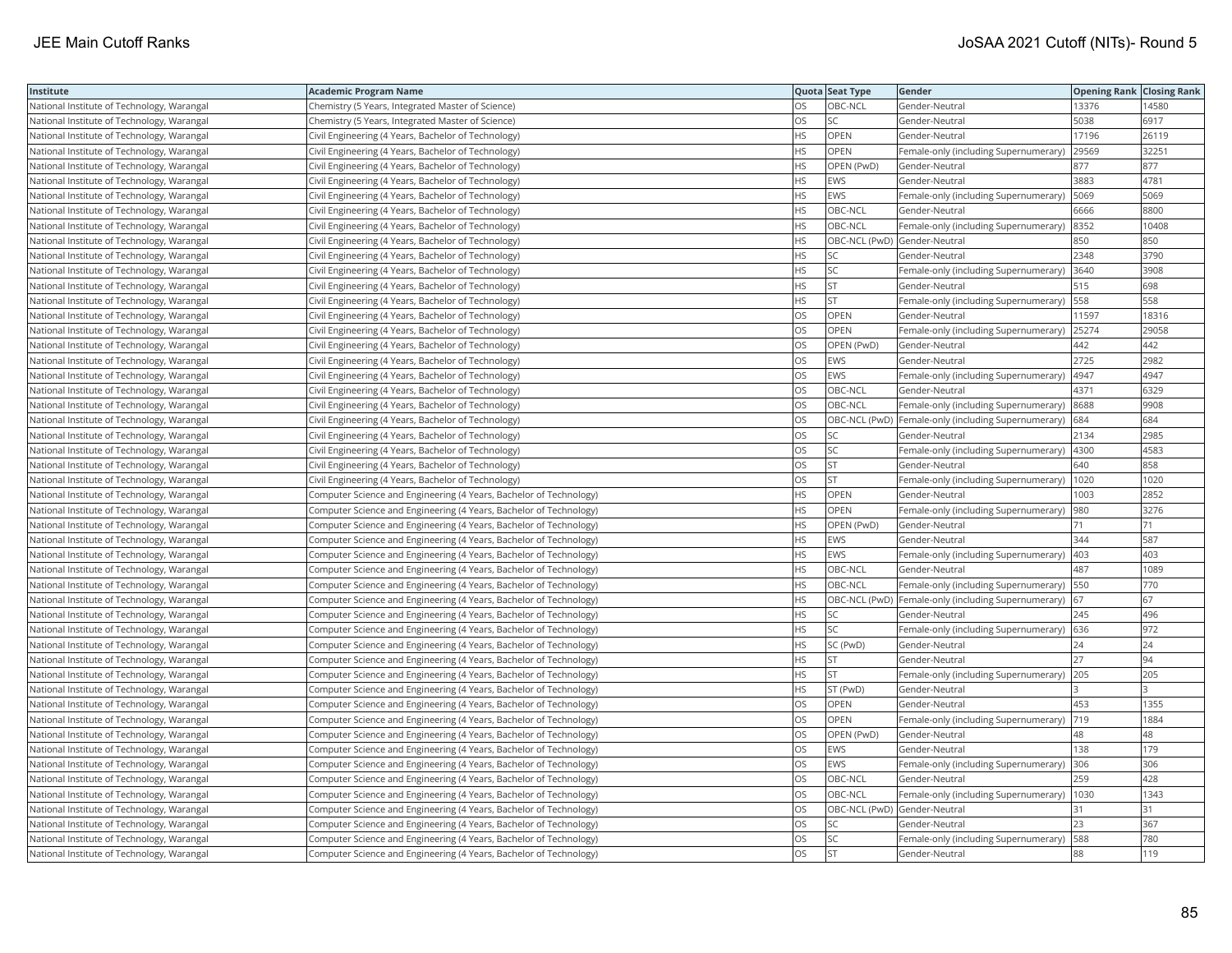| Institute                                  | <b>Academic Program Name</b>                                       |           | Quota Seat Type              | Gender                                                  | <b>Opening Rank Closing Rank</b> |       |
|--------------------------------------------|--------------------------------------------------------------------|-----------|------------------------------|---------------------------------------------------------|----------------------------------|-------|
| National Institute of Technology, Warangal | Chemistry (5 Years, Integrated Master of Science)                  | OS        | OBC-NCL                      | Gender-Neutral                                          | 13376                            | 14580 |
| National Institute of Technology, Warangal | Chemistry (5 Years, Integrated Master of Science)                  | OS        | <b>SC</b>                    | Gender-Neutral                                          | 5038                             | 6917  |
| National Institute of Technology, Warangal | Civil Engineering (4 Years, Bachelor of Technology)                | <b>HS</b> | OPEN                         | Gender-Neutral                                          | 17196                            | 26119 |
| National Institute of Technology, Warangal | Civil Engineering (4 Years, Bachelor of Technology)                | HS        | OPEN                         | Female-only (including Supernumerary)                   | 29569                            | 32251 |
| National Institute of Technology, Warangal | Civil Engineering (4 Years, Bachelor of Technology)                | HS        | OPEN (PwD)                   | Gender-Neutral                                          | 877                              | 877   |
| National Institute of Technology, Warangal | Civil Engineering (4 Years, Bachelor of Technology)                | ΗS        | <b>EWS</b>                   | Gender-Neutral                                          | 3883                             | 4781  |
| National Institute of Technology, Warangal | Civil Engineering (4 Years, Bachelor of Technology)                | ΗS        | EWS                          | Female-only (including Supernumerary)  5069             |                                  | 5069  |
| National Institute of Technology, Warangal | Civil Engineering (4 Years, Bachelor of Technology)                | HS        | OBC-NCL                      | Gender-Neutral                                          | 6666                             | 8800  |
| National Institute of Technology, Warangal | Civil Engineering (4 Years, Bachelor of Technology)                | HS        | OBC-NCL                      | Female-only (including Supernumerary)                   | 8352                             | 10408 |
| National Institute of Technology, Warangal | Civil Engineering (4 Years, Bachelor of Technology)                | HS        | OBC-NCL (PwD) Gender-Neutral |                                                         | 850                              | 850   |
| National Institute of Technology, Warangal | Civil Engineering (4 Years, Bachelor of Technology)                | HS        | <b>SC</b>                    | Gender-Neutral                                          | 2348                             | 3790  |
| National Institute of Technology, Warangal | Civil Engineering (4 Years, Bachelor of Technology)                | HS        | SC                           | Female-only (including Supernumerary)                   | 3640                             | 3908  |
| National Institute of Technology, Warangal | Civil Engineering (4 Years, Bachelor of Technology)                | HS.       | <b>ST</b>                    | Gender-Neutral                                          | 515                              | 698   |
| National Institute of Technology, Warangal | Civil Engineering (4 Years, Bachelor of Technology)                | ΗS        | <b>ST</b>                    | Female-only (including Supernumerary) 558               |                                  | 558   |
| National Institute of Technology, Warangal | Civil Engineering (4 Years, Bachelor of Technology)                | OS        | OPEN                         | Gender-Neutral                                          | 11597                            | 18316 |
| National Institute of Technology, Warangal | Civil Engineering (4 Years, Bachelor of Technology)                | OS        | OPEN                         | Female-only (including Supernumerary)                   | 25274                            | 29058 |
| National Institute of Technology, Warangal | Civil Engineering (4 Years, Bachelor of Technology)                | OS        | OPEN (PwD)                   | Gender-Neutral                                          | 442                              | 442   |
| National Institute of Technology, Warangal | Civil Engineering (4 Years, Bachelor of Technology)                | OS        | <b>EWS</b>                   | Gender-Neutral                                          | 2725                             | 2982  |
| National Institute of Technology, Warangal | Civil Engineering (4 Years, Bachelor of Technology)                | OS        | <b>EWS</b>                   | Female-only (including Supernumerary)                   | 4947                             | 4947  |
| National Institute of Technology, Warangal | Civil Engineering (4 Years, Bachelor of Technology)                | OS        | OBC-NCL                      | Gender-Neutral                                          | 4371                             | 6329  |
| National Institute of Technology, Warangal | Civil Engineering (4 Years, Bachelor of Technology)                | OS        | OBC-NCL                      | Female-only (including Supernumerary) 8688              |                                  | 9908  |
| National Institute of Technology, Warangal | Civil Engineering (4 Years, Bachelor of Technology)                | OS        |                              | OBC-NCL (PwD) Female-only (including Supernumerary) 684 |                                  | 684   |
| National Institute of Technology, Warangal | Civil Engineering (4 Years, Bachelor of Technology)                | OS        | <b>SC</b>                    | Gender-Neutral                                          | 2134                             | 2985  |
| National Institute of Technology, Warangal | Civil Engineering (4 Years, Bachelor of Technology)                | OS        | <b>SC</b>                    | Female-only (including Supernumerary)  4300             |                                  | 4583  |
| National Institute of Technology, Warangal | Civil Engineering (4 Years, Bachelor of Technology)                | OS        | <b>ST</b>                    | Gender-Neutral                                          | 640                              | 858   |
| National Institute of Technology, Warangal | Civil Engineering (4 Years, Bachelor of Technology)                | OS        | <b>ST</b>                    | Female-only (including Supernumerary)   1020            |                                  | 1020  |
| National Institute of Technology, Warangal | Computer Science and Engineering (4 Years, Bachelor of Technology) | HS        | OPEN                         | Gender-Neutral                                          | 1003                             | 2852  |
| National Institute of Technology, Warangal | Computer Science and Engineering (4 Years, Bachelor of Technology) | <b>HS</b> | OPEN                         | Female-only (including Supernumerary)                   | 980                              | 3276  |
| National Institute of Technology, Warangal | Computer Science and Engineering (4 Years, Bachelor of Technology) | HS        | OPEN (PwD)                   | Gender-Neutral                                          | 71                               | 71    |
| National Institute of Technology, Warangal | Computer Science and Engineering (4 Years, Bachelor of Technology) | ΗS        | <b>EWS</b>                   | Gender-Neutral                                          | 344                              | 587   |
| National Institute of Technology, Warangal | Computer Science and Engineering (4 Years, Bachelor of Technology) | <b>HS</b> | EWS                          | Female-only (including Supernumerary)   403             |                                  | 403   |
| National Institute of Technology, Warangal | Computer Science and Engineering (4 Years, Bachelor of Technology) | HS        | OBC-NCL                      | Gender-Neutral                                          | 487                              | 1089  |
| National Institute of Technology, Warangal | Computer Science and Engineering (4 Years, Bachelor of Technology) | HS        | OBC-NCL                      | Female-only (including Supernumerary)                   | 550                              | 770   |
| National Institute of Technology, Warangal | Computer Science and Engineering (4 Years, Bachelor of Technology) | HS        |                              | OBC-NCL (PwD)  Female-only (including Supernumerary)    | 67                               | 67    |
| National Institute of Technology, Warangal | Computer Science and Engineering (4 Years, Bachelor of Technology) | НS        | SC                           | Gender-Neutral                                          | 245                              | 496   |
| National Institute of Technology, Warangal | Computer Science and Engineering (4 Years, Bachelor of Technology) | HS        | SC                           | Female-only (including Supernumerary)                   | 636                              | 972   |
| National Institute of Technology, Warangal | Computer Science and Engineering (4 Years, Bachelor of Technology) | HS        | SC (PwD)                     | Gender-Neutral                                          | 24                               | 24    |
| National Institute of Technology, Warangal | Computer Science and Engineering (4 Years, Bachelor of Technology) | HS        | <b>ST</b>                    | Gender-Neutral                                          | 27                               | 94    |
| National Institute of Technology, Warangal | Computer Science and Engineering (4 Years, Bachelor of Technology) | ΗS        | ST                           | Female-only (including Supernumerary) 205               |                                  | 205   |
| National Institute of Technology, Warangal | Computer Science and Engineering (4 Years, Bachelor of Technology) | <b>HS</b> | ST (PwD)                     | Gender-Neutral                                          |                                  |       |
| National Institute of Technology, Warangal | Computer Science and Engineering (4 Years, Bachelor of Technology) | OS        | OPEN                         | Gender-Neutral                                          | 453                              | 1355  |
| National Institute of Technology, Warangal | Computer Science and Engineering (4 Years, Bachelor of Technology) | OS        | OPEN                         | Female-only (including Supernumerary)  719              |                                  | 1884  |
| National Institute of Technology, Warangal | Computer Science and Engineering (4 Years, Bachelor of Technology) | OS        | OPEN (PwD)                   | Gender-Neutral                                          | 48                               | 48    |
| National Institute of Technology, Warangal | Computer Science and Engineering (4 Years, Bachelor of Technology) | OS        | <b>EWS</b>                   | Gender-Neutral                                          | 138                              | 179   |
| National Institute of Technology, Warangal | Computer Science and Engineering (4 Years, Bachelor of Technology) | OS        | <b>EWS</b>                   | Female-only (including Supernumerary) 306               |                                  | 306   |
| National Institute of Technology, Warangal | Computer Science and Engineering (4 Years, Bachelor of Technology) | OS        | OBC-NCL                      | Gender-Neutral                                          | 259                              | 428   |
| National Institute of Technology, Warangal | Computer Science and Engineering (4 Years, Bachelor of Technology) | OS.       | OBC-NCL                      | Female-only (including Supernumerary)   1030            |                                  | 1343  |
| National Institute of Technology, Warangal | Computer Science and Engineering (4 Years, Bachelor of Technology) | OS        | OBC-NCL (PwD) Gender-Neutral |                                                         | 31                               | 31    |
| National Institute of Technology, Warangal | Computer Science and Engineering (4 Years, Bachelor of Technology) | OS        | SC                           | Gender-Neutral                                          | 23                               | 367   |
| National Institute of Technology, Warangal | Computer Science and Engineering (4 Years, Bachelor of Technology) | OS        | SC                           | Female-only (including Supernumerary)                   | 588                              | 780   |
| National Institute of Technology, Warangal | Computer Science and Engineering (4 Years, Bachelor of Technology) | OS        | <b>ST</b>                    | Gender-Neutral                                          | 88                               | 119   |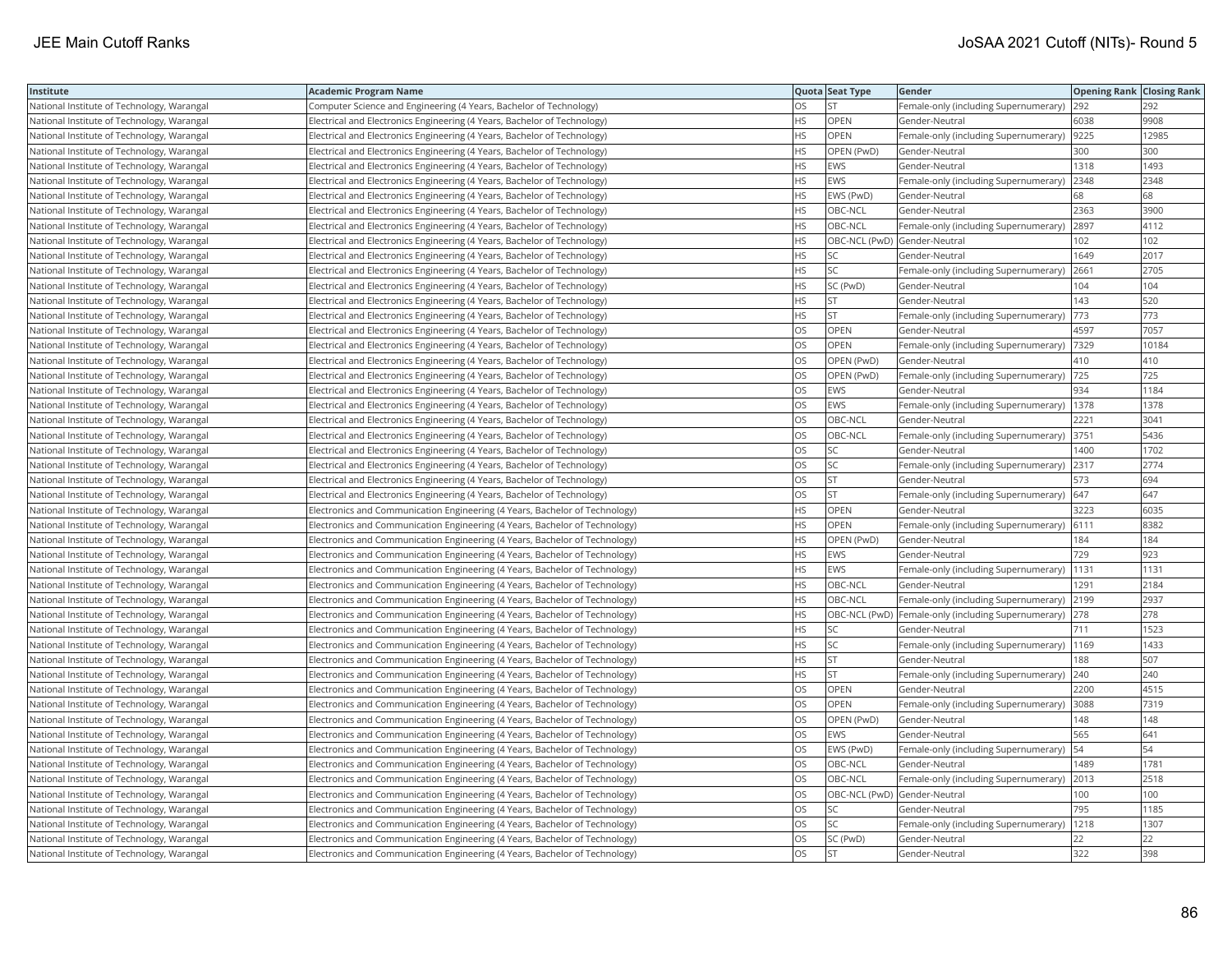| Institute                                  | <b>Academic Program Name</b>                                                 |           | Quota Seat Type              | Gender                                                  | <b>Opening Rank   Closing Rank</b> |       |
|--------------------------------------------|------------------------------------------------------------------------------|-----------|------------------------------|---------------------------------------------------------|------------------------------------|-------|
| National Institute of Technology, Warangal | Computer Science and Engineering (4 Years, Bachelor of Technology)           | OS.       | <b>ST</b>                    | Female-only (including Supernumerary)                   | 292                                | 292   |
| National Institute of Technology, Warangal | Electrical and Electronics Engineering (4 Years, Bachelor of Technology)     | HS.       | <b>OPEN</b>                  | Gender-Neutral                                          | 6038                               | 9908  |
| National Institute of Technology, Warangal | Electrical and Electronics Engineering (4 Years, Bachelor of Technology)     | HS.       | OPEN                         | Female-only (including Supernumerary)  9225             |                                    | 12985 |
| National Institute of Technology, Warangal | Electrical and Electronics Engineering (4 Years, Bachelor of Technology)     | HS.       | OPEN (PwD)                   | Gender-Neutral                                          | 300                                | 300   |
| National Institute of Technology, Warangal | Electrical and Electronics Engineering (4 Years, Bachelor of Technology)     | HS        | EWS                          | Gender-Neutral                                          | 1318                               | 1493  |
| National Institute of Technology, Warangal | Electrical and Electronics Engineering (4 Years, Bachelor of Technology)     | <b>HS</b> | <b>EWS</b>                   | Female-only (including Supernumerary)                   | 2348                               | 2348  |
| National Institute of Technology, Warangal | Electrical and Electronics Engineering (4 Years, Bachelor of Technology)     | HS        | EWS (PwD)                    | Gender-Neutral                                          | 68                                 | 68    |
| National Institute of Technology, Warangal | Electrical and Electronics Engineering (4 Years, Bachelor of Technology)     | HS.       | OBC-NCL                      | Gender-Neutral                                          | 2363                               | 3900  |
| National Institute of Technology, Warangal | Electrical and Electronics Engineering (4 Years, Bachelor of Technology)     | <b>HS</b> | OBC-NCL                      | Female-only (including Supernumerary)                   | 2897                               | 4112  |
| National Institute of Technology, Warangal | Electrical and Electronics Engineering (4 Years, Bachelor of Technology)     | HS.       | OBC-NCL (PwD) Gender-Neutral |                                                         | 102                                | 102   |
| National Institute of Technology, Warangal | Electrical and Electronics Engineering (4 Years, Bachelor of Technology)     | HS        | <b>SC</b>                    | Gender-Neutral                                          | 1649                               | 2017  |
| National Institute of Technology, Warangal | Electrical and Electronics Engineering (4 Years, Bachelor of Technology)     | HS.       | SC                           | Female-only (including Supernumerary) 2661              |                                    | 2705  |
| National Institute of Technology, Warangal | Electrical and Electronics Engineering (4 Years, Bachelor of Technology)     | HS.       | SC (PwD)                     | Gender-Neutral                                          | 104                                | 104   |
| National Institute of Technology, Warangal | Electrical and Electronics Engineering (4 Years, Bachelor of Technology)     | HS.       | <b>ST</b>                    | Gender-Neutral                                          | 143                                | 520   |
| National Institute of Technology, Warangal | Electrical and Electronics Engineering (4 Years, Bachelor of Technology)     | HS        | <b>ST</b>                    | Female-only (including Supernumerary)                   | 773                                | 773   |
| National Institute of Technology, Warangal | Electrical and Electronics Engineering (4 Years, Bachelor of Technology)     | OS        | OPEN                         | Gender-Neutral                                          | 4597                               | 7057  |
| National Institute of Technology, Warangal | Electrical and Electronics Engineering (4 Years, Bachelor of Technology)     | OS        | <b>OPEN</b>                  | Female-only (including Supernumerary)                   | 7329                               | 10184 |
| National Institute of Technology, Warangal | Electrical and Electronics Engineering (4 Years, Bachelor of Technology)     | <b>OS</b> | OPEN (PwD)                   | Gender-Neutral                                          | 410                                | 410   |
| National Institute of Technology, Warangal | Electrical and Electronics Engineering (4 Years, Bachelor of Technology)     | OS        | OPEN (PwD)                   | Female-only (including Supernumerary)                   | 725                                | 725   |
| National Institute of Technology, Warangal | Electrical and Electronics Engineering (4 Years, Bachelor of Technology)     | OS        | EWS                          | Gender-Neutral                                          | 934                                | 1184  |
| National Institute of Technology, Warangal | Electrical and Electronics Engineering (4 Years, Bachelor of Technology)     | OS        | EWS                          | Female-only (including Supernumerary)   1378            |                                    | 1378  |
| National Institute of Technology, Warangal | Electrical and Electronics Engineering (4 Years, Bachelor of Technology)     | OS.       | OBC-NCL                      | Gender-Neutral                                          | 2221                               | 3041  |
| National Institute of Technology, Warangal | Electrical and Electronics Engineering (4 Years, Bachelor of Technology)     | OS        | OBC-NCL                      | Female-only (including Supernumerary) 3751              |                                    | 5436  |
| National Institute of Technology, Warangal | Electrical and Electronics Engineering (4 Years, Bachelor of Technology)     | <b>OS</b> | <b>SC</b>                    | Gender-Neutral                                          | 1400                               | 1702  |
| National Institute of Technology, Warangal | Electrical and Electronics Engineering (4 Years, Bachelor of Technology)     | OS        | SC                           | Female-only (including Supernumerary)                   | 2317                               | 2774  |
| National Institute of Technology, Warangal | Electrical and Electronics Engineering (4 Years, Bachelor of Technology)     | OS        | <b>ST</b>                    | Gender-Neutral                                          | 573                                | 694   |
| National Institute of Technology, Warangal | Electrical and Electronics Engineering (4 Years, Bachelor of Technology)     | OS.       | <b>ST</b>                    | Female-only (including Supernumerary)                   | 647                                | 647   |
| National Institute of Technology, Warangal | Electronics and Communication Engineering (4 Years, Bachelor of Technology)  | HS        | OPEN                         | Gender-Neutral                                          | 3223                               | 6035  |
| National Institute of Technology, Warangal | Electronics and Communication Engineering (4 Years, Bachelor of Technology)  | <b>HS</b> | OPEN                         | Female-only (including Supernumerary)   6111            |                                    | 8382  |
| National Institute of Technology, Warangal | Electronics and Communication Engineering (4 Years, Bachelor of Technology)  | HS        | OPEN (PwD)                   | Gender-Neutral                                          | 184                                | 184   |
| National Institute of Technology, Warangal | Electronics and Communication Engineering (4 Years, Bachelor of Technology)  | HS        | <b>EWS</b>                   | Gender-Neutral                                          | 729                                | 923   |
| National Institute of Technology, Warangal | Electronics and Communication Engineering (4 Years, Bachelor of Technology)  | HS.       | <b>EWS</b>                   | Female-only (including Supernumerary)                   | 1131                               | 1131  |
| National Institute of Technology, Warangal | Electronics and Communication Engineering (4 Years, Bachelor of Technology)  | HS        | OBC-NCL                      | Gender-Neutral                                          | 1291                               | 2184  |
| National Institute of Technology, Warangal | Electronics and Communication Engineering (4 Years, Bachelor of Technology)  | HS        | OBC-NCL                      | Female-only (including Supernumerary)                   | 2199                               | 2937  |
| National Institute of Technology, Warangal | Electronics and Communication Engineering (4 Years, Bachelor of Technology)  | <b>HS</b> |                              | OBC-NCL (PwD) Female-only (including Supernumerary) 278 |                                    | 278   |
| National Institute of Technology, Warangal | Electronics and Communication Engineering (4 Years, Bachelor of Technology)  | HS        | SC                           | Gender-Neutral                                          | 711                                | 1523  |
| National Institute of Technology, Warangal | Electronics and Communication Engineering (4 Years, Bachelor of Technology)  | HS        | SC                           | Female-only (including Supernumerary)  1169             |                                    | 1433  |
| National Institute of Technology, Warangal | Electronics and Communication Engineering (4 Years, Bachelor of Technology)  | HS        | <b>ST</b>                    | Gender-Neutral                                          | 188                                | 507   |
| National Institute of Technology, Warangal | Electronics and Communication Engineering (4 Years, Bachelor of Technology)  | HS        | <b>ST</b>                    | Female-only (including Supernumerary)                   | 240                                | 240   |
| National Institute of Technology, Warangal | Electronics and Communication Engineering (4 Years, Bachelor of Technology)  | OS        | <b>OPEN</b>                  | Gender-Neutral                                          | 2200                               | 4515  |
| National Institute of Technology, Warangal | [Electronics and Communication Engineering (4 Years, Bachelor of Technology) | OS        | OPEN                         | Female-only (including Supernumerary)                   | 3088                               | 7319  |
| National Institute of Technology, Warangal | Electronics and Communication Engineering (4 Years, Bachelor of Technology)  | <b>OS</b> | OPEN (PwD)                   | Gender-Neutral                                          | 148                                | 148   |
| National Institute of Technology, Warangal | Electronics and Communication Engineering (4 Years, Bachelor of Technology)  | <b>OS</b> | <b>EWS</b>                   | Gender-Neutral                                          | 565                                | 641   |
| National Institute of Technology, Warangal | Electronics and Communication Engineering (4 Years, Bachelor of Technology)  | OS        | EWS (PwD)                    | Female-only (including Supernumerary)                   | 54                                 | 54    |
| National Institute of Technology, Warangal | Electronics and Communication Engineering (4 Years, Bachelor of Technology)  | OS        | OBC-NCL                      | Gender-Neutral                                          | 1489                               | 1781  |
| National Institute of Technology, Warangal | Electronics and Communication Engineering (4 Years, Bachelor of Technology)  | OS        | OBC-NCL                      | Female-only (including Supernumerary)   2013            |                                    | 2518  |
| National Institute of Technology, Warangal | Electronics and Communication Engineering (4 Years, Bachelor of Technology)  | OS.       | OBC-NCL (PwD) Gender-Neutral |                                                         | 100                                | 100   |
| National Institute of Technology, Warangal | Electronics and Communication Engineering (4 Years, Bachelor of Technology)  | OS        | <b>SC</b>                    | Gender-Neutral                                          | 795                                | 1185  |
| National Institute of Technology, Warangal | Electronics and Communication Engineering (4 Years, Bachelor of Technology)  | OS        | SC                           | Female-only (including Supernumerary)                   | 1218                               | 1307  |
| National Institute of Technology, Warangal | Electronics and Communication Engineering (4 Years, Bachelor of Technology)  | OS.       | SC (PwD)                     | Gender-Neutral                                          | 22                                 | 22    |
| National Institute of Technology, Warangal | Electronics and Communication Engineering (4 Years, Bachelor of Technology)  | <b>OS</b> | <b>ST</b>                    | Gender-Neutral                                          | 322                                | 398   |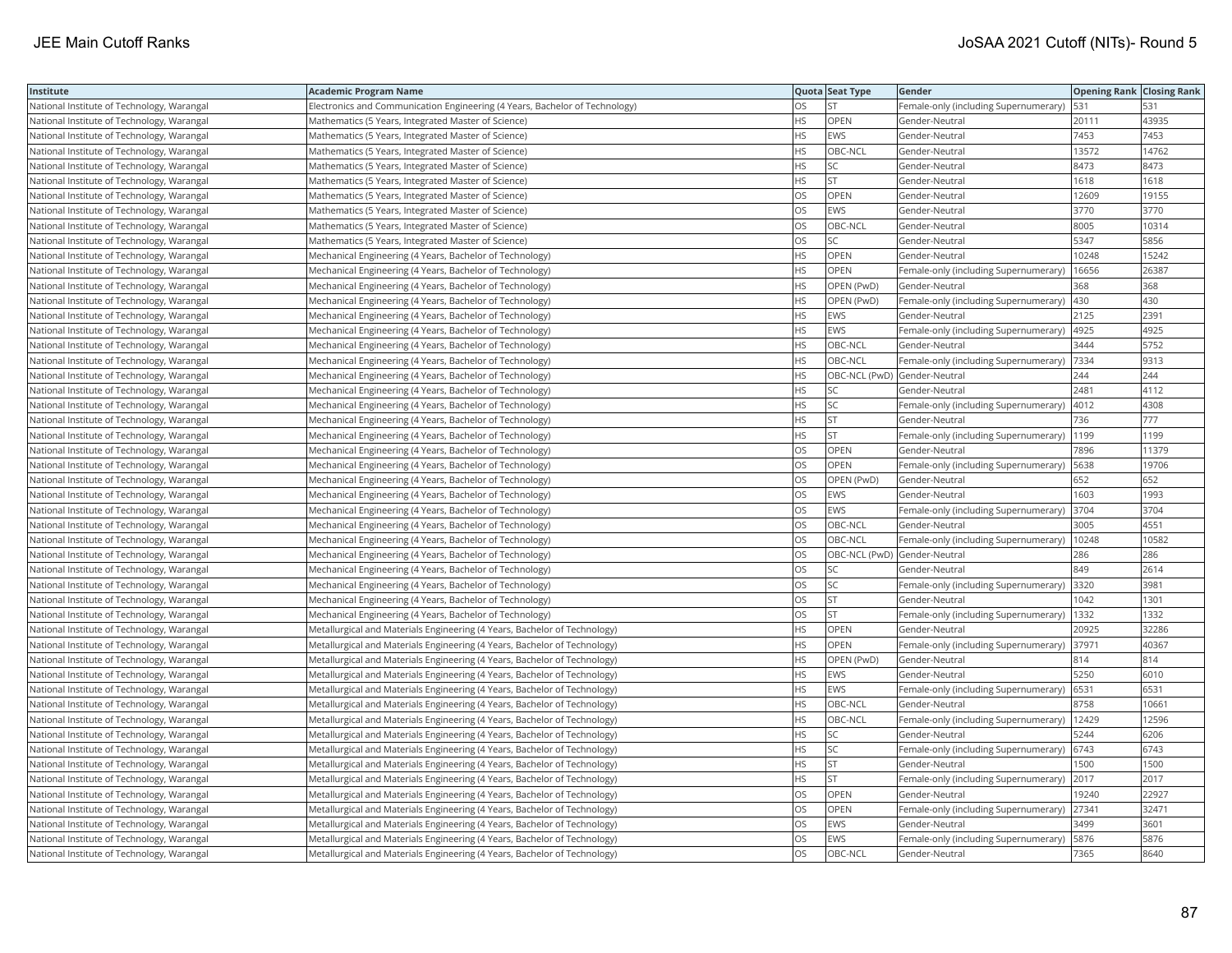| Institute                                  | <b>Academic Program Name</b>                                                |           | Quota Seat Type              | Gender                                      | <b>Opening Rank Closing Rank</b> |       |
|--------------------------------------------|-----------------------------------------------------------------------------|-----------|------------------------------|---------------------------------------------|----------------------------------|-------|
| National Institute of Technology, Warangal | Electronics and Communication Engineering (4 Years, Bachelor of Technology) | OS        | <b>ST</b>                    | Female-only (including Supernumerary)       | 531                              | 531   |
| National Institute of Technology, Warangal | Mathematics (5 Years, Integrated Master of Science)                         | HS.       | <b>OPEN</b>                  | Gender-Neutral                              | 20111                            | 43935 |
| National Institute of Technology, Warangal | Mathematics (5 Years, Integrated Master of Science)                         | HS        | <b>EWS</b>                   | Gender-Neutral                              | 7453                             | 7453  |
| National Institute of Technology, Warangal | Mathematics (5 Years, Integrated Master of Science)                         | HS        | OBC-NCL                      | Gender-Neutral                              | 13572                            | 14762 |
| National Institute of Technology, Warangal | Mathematics (5 Years, Integrated Master of Science)                         | ٦S        | SC                           | Gender-Neutral                              | 8473                             | 8473  |
| National Institute of Technology, Warangal | Mathematics (5 Years, Integrated Master of Science)                         | <b>HS</b> | <b>ST</b>                    | Gender-Neutral                              | 1618                             | 1618  |
| National Institute of Technology, Warangal | Mathematics (5 Years, Integrated Master of Science)                         | OS        | OPEN                         | Gender-Neutral                              | 12609                            | 19155 |
| National Institute of Technology, Warangal | Mathematics (5 Years, Integrated Master of Science)                         | OS        | EWS                          | Gender-Neutral                              | 3770                             | 3770  |
| National Institute of Technology, Warangal | Mathematics (5 Years, Integrated Master of Science)                         | OS        | OBC-NCL                      | Gender-Neutral                              | 8005                             | 10314 |
| National Institute of Technology, Warangal | Mathematics (5 Years, Integrated Master of Science)                         | OS        | SC                           | Gender-Neutral                              | 5347                             | 5856  |
| National Institute of Technology, Warangal | Mechanical Engineering (4 Years, Bachelor of Technology)                    | HS        | OPEN                         | Gender-Neutral                              | 10248                            | 15242 |
| National Institute of Technology, Warangal | Mechanical Engineering (4 Years, Bachelor of Technology)                    | HS        | <b>OPEN</b>                  | Female-only (including Supernumerary)       | 16656                            | 26387 |
| National Institute of Technology, Warangal | Mechanical Engineering (4 Years, Bachelor of Technology)                    | ΗS        | OPEN (PwD)                   | Gender-Neutral                              | 368                              | 368   |
| National Institute of Technology, Warangal | Mechanical Engineering (4 Years, Bachelor of Technology)                    | <b>HS</b> | OPEN (PwD)                   | Female-only (including Supernumerary)       | 430                              | 430   |
| National Institute of Technology, Warangal | Mechanical Engineering (4 Years, Bachelor of Technology)                    | HS        | <b>EWS</b>                   | Gender-Neutral                              | 2125                             | 2391  |
| National Institute of Technology, Warangal | Mechanical Engineering (4 Years, Bachelor of Technology)                    | HS        | EWS                          | Female-only (including Supernumerary)       | 4925                             | 4925  |
| National Institute of Technology, Warangal | Mechanical Engineering (4 Years, Bachelor of Technology)                    | HS        | OBC-NCL                      | Gender-Neutral                              | 3444                             | 5752  |
| National Institute of Technology, Warangal | Mechanical Engineering (4 Years, Bachelor of Technology)                    | HS        | OBC-NCL                      | Female-only (including Supernumerary)       | 7334                             | 9313  |
| National Institute of Technology, Warangal | Mechanical Engineering (4 Years, Bachelor of Technology)                    | HS        | OBC-NCL (PwD) Gender-Neutral |                                             | 244                              | 244   |
| National Institute of Technology, Warangal | Mechanical Engineering (4 Years, Bachelor of Technology)                    | HS        | SC                           | Gender-Neutral                              | 2481                             | 4112  |
| National Institute of Technology, Warangal | Mechanical Engineering (4 Years, Bachelor of Technology)                    | ΗS        | SC                           | Female-only (including Supernumerary)       | 4012                             | 4308  |
| National Institute of Technology, Warangal | Mechanical Engineering (4 Years, Bachelor of Technology)                    | <b>HS</b> | <b>ST</b>                    | Gender-Neutral                              | 736                              | 777   |
| National Institute of Technology, Warangal | Mechanical Engineering (4 Years, Bachelor of Technology)                    | ٦S        | <b>ST</b>                    | Female-only (including Supernumerary)       | 1199                             | 1199  |
| National Institute of Technology, Warangal | Mechanical Engineering (4 Years, Bachelor of Technology)                    | OS        | OPEN                         | Gender-Neutral                              | 7896                             | 11379 |
| National Institute of Technology, Warangal | Mechanical Engineering (4 Years, Bachelor of Technology)                    | OS        | OPEN                         | Female-only (including Supernumerary)       | 5638                             | 19706 |
| National Institute of Technology, Warangal | Mechanical Engineering (4 Years, Bachelor of Technology)                    | OS        | OPEN (PwD)                   | Gender-Neutral                              | 652                              | 652   |
| National Institute of Technology, Warangal | Mechanical Engineering (4 Years, Bachelor of Technology)                    | OS        | <b>EWS</b>                   | Gender-Neutral                              | 1603                             | 1993  |
| National Institute of Technology, Warangal | Mechanical Engineering (4 Years, Bachelor of Technology)                    | OS        | <b>EWS</b>                   | Female-only (including Supernumerary)  3704 |                                  | 3704  |
| National Institute of Technology, Warangal | Mechanical Engineering (4 Years, Bachelor of Technology)                    | OS        | OBC-NCL                      | Gender-Neutral                              | 3005                             | 4551  |
| National Institute of Technology, Warangal | Mechanical Engineering (4 Years, Bachelor of Technology)                    | OS        | OBC-NCL                      | Female-only (including Supernumerary)       | 10248                            | 10582 |
| National Institute of Technology, Warangal | Mechanical Engineering (4 Years, Bachelor of Technology)                    | OS        | OBC-NCL (PwD) Gender-Neutral |                                             | 286                              | 286   |
| National Institute of Technology, Warangal | Mechanical Engineering (4 Years, Bachelor of Technology)                    | OS        | <b>SC</b>                    | Gender-Neutral                              | 849                              | 2614  |
| National Institute of Technology, Warangal | Mechanical Engineering (4 Years, Bachelor of Technology)                    | OS        | SC                           | Female-only (including Supernumerary) 3320  |                                  | 3981  |
| National Institute of Technology, Warangal | Mechanical Engineering (4 Years, Bachelor of Technology)                    | OS        | <b>ST</b>                    | Gender-Neutral                              | 1042                             | 1301  |
| National Institute of Technology, Warangal | Mechanical Engineering (4 Years, Bachelor of Technology)                    | OS        | <b>ST</b>                    | Female-only (including Supernumerary)       | 1332                             | 1332  |
| National Institute of Technology, Warangal | Metallurgical and Materials Engineering (4 Years, Bachelor of Technology)   | HS        | OPEN                         | Gender-Neutral                              | 20925                            | 32286 |
| National Institute of Technology, Warangal | Metallurgical and Materials Engineering (4 Years, Bachelor of Technology)   | HS        | <b>OPEN</b>                  | Female-only (including Supernumerary) 37971 |                                  | 40367 |
| National Institute of Technology, Warangal | Metallurgical and Materials Engineering (4 Years, Bachelor of Technology)   | HS        | OPEN (PwD)                   | Gender-Neutral                              | 814                              | 814   |
| National Institute of Technology, Warangal | Metallurgical and Materials Engineering (4 Years, Bachelor of Technology)   | HS        | <b>EWS</b>                   | Gender-Neutral                              | 5250                             | 6010  |
| National Institute of Technology, Warangal | Metallurgical and Materials Engineering (4 Years, Bachelor of Technology)   | HS        | EWS                          | Female-only (including Supernumerary)       | 6531                             | 6531  |
| National Institute of Technology, Warangal | Metallurgical and Materials Engineering (4 Years, Bachelor of Technology)   | HS        | OBC-NCL                      | Gender-Neutral                              | 8758                             | 10661 |
| National Institute of Technology, Warangal | Metallurgical and Materials Engineering (4 Years, Bachelor of Technology)   | <b>HS</b> | OBC-NCL                      | Female-only (including Supernumerary)       | 12429                            | 12596 |
| National Institute of Technology, Warangal | Metallurgical and Materials Engineering (4 Years, Bachelor of Technology)   | <b>HS</b> | <b>SC</b>                    | Gender-Neutral                              | 5244                             | 6206  |
| National Institute of Technology, Warangal | Metallurgical and Materials Engineering (4 Years, Bachelor of Technology)   | HS        | SC                           | Female-only (including Supernumerary)       | 6743                             | 6743  |
| National Institute of Technology, Warangal | Metallurgical and Materials Engineering (4 Years, Bachelor of Technology)   | HS        | <b>ST</b>                    | Gender-Neutral                              | 1500                             | 1500  |
| National Institute of Technology, Warangal | Metallurgical and Materials Engineering (4 Years, Bachelor of Technology)   | HS        | <b>ST</b>                    | Female-only (including Supernumerary) 2017  |                                  | 2017  |
| National Institute of Technology, Warangal | Metallurgical and Materials Engineering (4 Years, Bachelor of Technology)   | OS        | <b>OPEN</b>                  | Gender-Neutral                              | 19240                            | 22927 |
| National Institute of Technology, Warangal | Metallurgical and Materials Engineering (4 Years, Bachelor of Technology)   | OS        | OPEN                         | Female-only (including Supernumerary)       | 27341                            | 32471 |
| National Institute of Technology, Warangal | Metallurgical and Materials Engineering (4 Years, Bachelor of Technology)   | OS        | <b>EWS</b>                   | Gender-Neutral                              | 3499                             | 3601  |
| National Institute of Technology, Warangal | Metallurgical and Materials Engineering (4 Years, Bachelor of Technology)   | OS        | <b>EWS</b>                   | Female-only (including Supernumerary)       | 5876                             | 5876  |
| National Institute of Technology, Warangal | Metallurgical and Materials Engineering (4 Years, Bachelor of Technology)   | <b>OS</b> | OBC-NCL                      | Gender-Neutral                              | 7365                             | 8640  |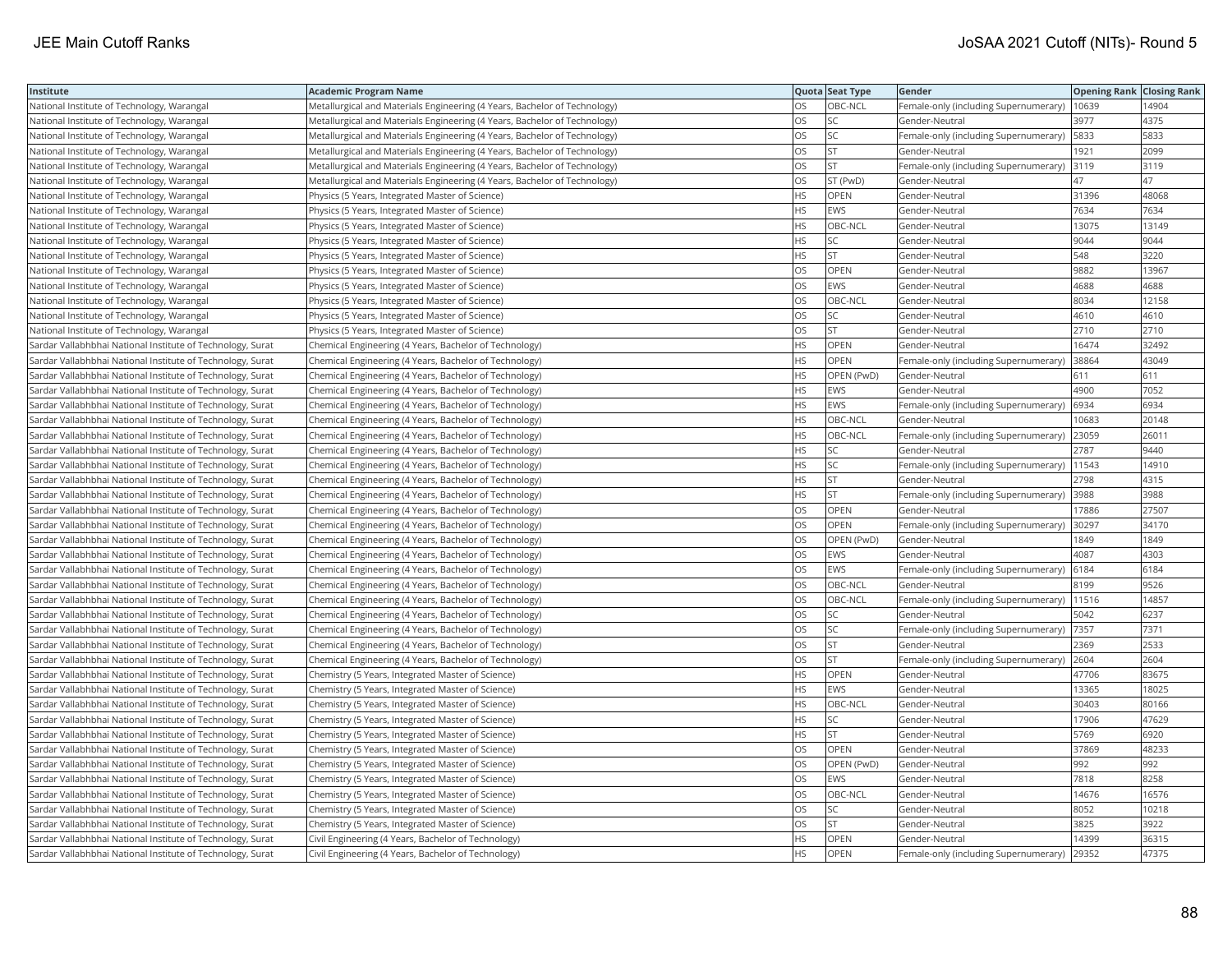| Institute                                                  | <b>Academic Program Name</b>                                              |           | Quota Seat Type | Gender                                      | <b>Opening Rank Closing Rank</b> |       |
|------------------------------------------------------------|---------------------------------------------------------------------------|-----------|-----------------|---------------------------------------------|----------------------------------|-------|
| National Institute of Technology, Warangal                 | Metallurgical and Materials Engineering (4 Years, Bachelor of Technology) | OS        | OBC-NCL         | Female-only (including Supernumerary)       | 10639                            | 14904 |
| National Institute of Technology, Warangal                 | Metallurgical and Materials Engineering (4 Years, Bachelor of Technology) | OS        | <b>SC</b>       | Gender-Neutral                              | 3977                             | 4375  |
| National Institute of Technology, Warangal                 | Metallurgical and Materials Engineering (4 Years, Bachelor of Technology) | <b>OS</b> | <b>SC</b>       | Female-only (including Supernumerary)       | 5833                             | 5833  |
| National Institute of Technology, Warangal                 | Metallurgical and Materials Engineering (4 Years, Bachelor of Technology) | OS        | <b>ST</b>       | Gender-Neutral                              | 1921                             | 2099  |
| National Institute of Technology, Warangal                 | Metallurgical and Materials Engineering (4 Years, Bachelor of Technology) | OS        | <b>ST</b>       | Female-only (including Supernumerary)       | 3119                             | 3119  |
| National Institute of Technology, Warangal                 | Metallurgical and Materials Engineering (4 Years, Bachelor of Technology) | OS        | ST (PwD)        | Gender-Neutral                              | 47                               | 47    |
| National Institute of Technology, Warangal                 | Physics (5 Years, Integrated Master of Science)                           | <b>HS</b> | OPEN            | Gender-Neutral                              | 31396                            | 48068 |
| National Institute of Technology, Warangal                 | Physics (5 Years, Integrated Master of Science)                           | <b>HS</b> | <b>EWS</b>      | Gender-Neutral                              | 7634                             | 7634  |
| National Institute of Technology, Warangal                 | Physics (5 Years, Integrated Master of Science)                           | <b>HS</b> | OBC-NCL         | Gender-Neutral                              | 13075                            | 13149 |
| National Institute of Technology, Warangal                 | Physics (5 Years, Integrated Master of Science)                           | <b>HS</b> | SC              | Gender-Neutral                              | 9044                             | 9044  |
| National Institute of Technology, Warangal                 | Physics (5 Years, Integrated Master of Science)                           | <b>HS</b> | lst.            | Gender-Neutral                              | 548                              | 3220  |
| National Institute of Technology, Warangal                 | Physics (5 Years, Integrated Master of Science)                           | OS        | OPEN            | Gender-Neutral                              | 9882                             | 13967 |
| National Institute of Technology, Warangal                 | Physics (5 Years, Integrated Master of Science)                           | <b>OS</b> | <b>EWS</b>      | Gender-Neutral                              | 4688                             | 4688  |
| National Institute of Technology, Warangal                 | Physics (5 Years, Integrated Master of Science)                           | OS        | OBC-NCL         | Gender-Neutral                              | 8034                             | 12158 |
| National Institute of Technology, Warangal                 | Physics (5 Years, Integrated Master of Science)                           | OS        | <b>SC</b>       | Gender-Neutral                              | 4610                             | 4610  |
| National Institute of Technology, Warangal                 | Physics (5 Years, Integrated Master of Science)                           | OS.       | lst.            | Gender-Neutral                              | 2710                             | 2710  |
| Sardar Vallabhbhai National Institute of Technology, Surat | Chemical Engineering (4 Years, Bachelor of Technology)                    | <b>HS</b> | OPEN            | Gender-Neutral                              | 16474                            | 32492 |
| Sardar Vallabhbhai National Institute of Technology, Surat | Chemical Engineering (4 Years, Bachelor of Technology)                    | <b>HS</b> | OPEN            | Female-only (including Supernumerary)       | 38864                            | 43049 |
| Sardar Vallabhbhai National Institute of Technology, Surat | Chemical Engineering (4 Years, Bachelor of Technology)                    | <b>HS</b> | OPEN (PwD)      | Gender-Neutral                              | 611                              | 611   |
| Sardar Vallabhbhai National Institute of Technology, Surat | Chemical Engineering (4 Years, Bachelor of Technology)                    | <b>HS</b> | <b>EWS</b>      | Gender-Neutral                              | 4900                             | 7052  |
| Sardar Vallabhbhai National Institute of Technology, Surat | Chemical Engineering (4 Years, Bachelor of Technology)                    | <b>HS</b> | <b>EWS</b>      | Female-only (including Supernumerary)       | 6934                             | 6934  |
| Sardar Vallabhbhai National Institute of Technology, Surat | Chemical Engineering (4 Years, Bachelor of Technology)                    | <b>HS</b> | OBC-NCL         | Gender-Neutral                              | 10683                            | 20148 |
| Sardar Vallabhbhai National Institute of Technology, Surat | Chemical Engineering (4 Years, Bachelor of Technology)                    | HS        | OBC-NCL         | Female-only (including Supernumerary)       | 23059                            | 26011 |
| Sardar Vallabhbhai National Institute of Technology, Surat | Chemical Engineering (4 Years, Bachelor of Technology)                    | HS.       | SC.             | Gender-Neutral                              | 2787                             | 9440  |
| Sardar Vallabhbhai National Institute of Technology, Surat | Chemical Engineering (4 Years, Bachelor of Technology)                    | <b>HS</b> | <b>SC</b>       | Female-only (including Supernumerary)       | 11543                            | 14910 |
| Sardar Vallabhbhai National Institute of Technology, Surat | Chemical Engineering (4 Years, Bachelor of Technology)                    | <b>HS</b> | <b>ST</b>       | Gender-Neutral                              | 2798                             | 4315  |
| Sardar Vallabhbhai National Institute of Technology, Surat | Chemical Engineering (4 Years, Bachelor of Technology)                    | <b>HS</b> | <b>ST</b>       | Female-only (including Supernumerary)       | 3988                             | 3988  |
| Sardar Vallabhbhai National Institute of Technology, Surat | Chemical Engineering (4 Years, Bachelor of Technology)                    | OS        | <b>OPEN</b>     | Gender-Neutral                              | 17886                            | 27507 |
| Sardar Vallabhbhai National Institute of Technology, Surat | Chemical Engineering (4 Years, Bachelor of Technology)                    | OS        | OPEN            | Female-only (including Supernumerary) 30297 |                                  | 34170 |
| Sardar Vallabhbhai National Institute of Technology, Surat | Chemical Engineering (4 Years, Bachelor of Technology)                    | OS        | OPEN (PwD)      | Gender-Neutral                              | 1849                             | 1849  |
| Sardar Vallabhbhai National Institute of Technology, Surat | Chemical Engineering (4 Years, Bachelor of Technology)                    | <b>OS</b> | <b>EWS</b>      | Gender-Neutral                              | 4087                             | 4303  |
| Sardar Vallabhbhai National Institute of Technology, Surat | Chemical Engineering (4 Years, Bachelor of Technology)                    | OS        | EWS             | Female-only (including Supernumerary)       | 6184                             | 6184  |
| Sardar Vallabhbhai National Institute of Technology, Surat | Chemical Engineering (4 Years, Bachelor of Technology)                    | OS        | OBC-NCL         | Gender-Neutral                              | 8199                             | 9526  |
| Sardar Vallabhbhai National Institute of Technology, Surat | Chemical Engineering (4 Years, Bachelor of Technology)                    | <b>OS</b> | OBC-NCL         | Female-only (including Supernumerary)       | 11516                            | 14857 |
| Sardar Vallabhbhai National Institute of Technology, Surat | Chemical Engineering (4 Years, Bachelor of Technology)                    | <b>OS</b> | <b>SC</b>       | Gender-Neutral                              | 5042                             | 6237  |
| Sardar Vallabhbhai National Institute of Technology, Surat | Chemical Engineering (4 Years, Bachelor of Technology)                    | OS        | <b>SC</b>       | Female-only (including Supernumerary)       | 7357                             | 7371  |
| Sardar Vallabhbhai National Institute of Technology, Surat | Chemical Engineering (4 Years, Bachelor of Technology)                    | OS        | <b>ST</b>       | Gender-Neutral                              | 2369                             | 2533  |
| Sardar Vallabhbhai National Institute of Technology, Surat | Chemical Engineering (4 Years, Bachelor of Technology)                    | OS        | <b>ST</b>       | Female-only (including Supernumerary) 2604  |                                  | 2604  |
| Sardar Vallabhbhai National Institute of Technology, Surat | Chemistry (5 Years, Integrated Master of Science)                         | HS.       | <b>OPEN</b>     | Gender-Neutral                              | 47706                            | 83675 |
| Sardar Vallabhbhai National Institute of Technology, Surat | Chemistry (5 Years, Integrated Master of Science)                         | HS.       | EWS             | Gender-Neutral                              | 13365                            | 18025 |
| Sardar Vallabhbhai National Institute of Technology, Surat | Chemistry (5 Years, Integrated Master of Science)                         | <b>HS</b> | OBC-NCL         | Gender-Neutral                              | 30403                            | 80166 |
| Sardar Vallabhbhai National Institute of Technology, Surat | Chemistry (5 Years, Integrated Master of Science)                         | HS        | <b>SC</b>       | Gender-Neutral                              | 17906                            | 47629 |
| Sardar Vallabhbhai National Institute of Technology, Surat | Chemistry (5 Years, Integrated Master of Science)                         | <b>HS</b> | <b>ST</b>       | Gender-Neutral                              | 5769                             | 6920  |
| Sardar Vallabhbhai National Institute of Technology, Surat | Chemistry (5 Years, Integrated Master of Science)                         | OS        | <b>OPEN</b>     | Gender-Neutral                              | 37869                            | 48233 |
| Sardar Vallabhbhai National Institute of Technology, Surat | Chemistry (5 Years, Integrated Master of Science)                         | <b>OS</b> | OPEN (PwD)      | Gender-Neutral                              | 992                              | 992   |
| Sardar Vallabhbhai National Institute of Technology, Surat | Chemistry (5 Years, Integrated Master of Science)                         | OS        | <b>EWS</b>      | Gender-Neutral                              | 7818                             | 8258  |
| Sardar Vallabhbhai National Institute of Technology, Surat | Chemistry (5 Years, Integrated Master of Science)                         | <b>OS</b> | OBC-NCL         | Gender-Neutral                              | 14676                            | 16576 |
| Sardar Vallabhbhai National Institute of Technology, Surat | Chemistry (5 Years, Integrated Master of Science)                         | OS        | SC.             | Gender-Neutral                              | 8052                             | 10218 |
| Sardar Vallabhbhai National Institute of Technology, Surat | Chemistry (5 Years, Integrated Master of Science)                         | OS        | <b>ST</b>       | Gender-Neutral                              | 3825                             | 3922  |
| Sardar Vallabhbhai National Institute of Technology, Surat | Civil Engineering (4 Years, Bachelor of Technology)                       | <b>HS</b> | <b>OPEN</b>     | Gender-Neutral                              | 14399                            | 36315 |
| Sardar Vallabhbhai National Institute of Technology, Surat | Civil Engineering (4 Years, Bachelor of Technology)                       | <b>HS</b> | <b>OPEN</b>     | Female-only (including Supernumerary)       | 29352                            | 47375 |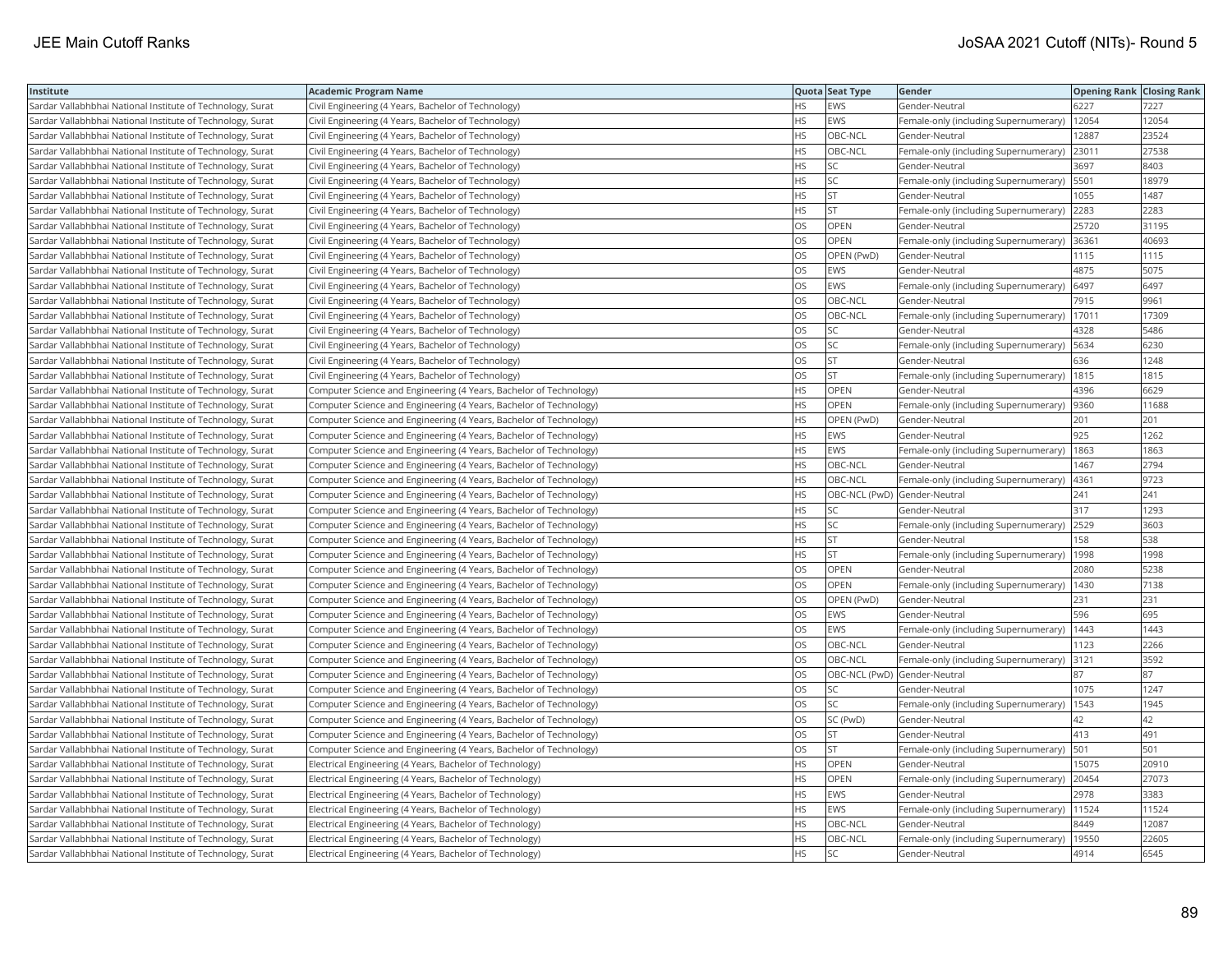| Institute                                                  | <b>Academic Program Name</b>                                       |           | Quota Seat Type              | Gender                                       | <b>Opening Rank Closing Rank</b> |       |
|------------------------------------------------------------|--------------------------------------------------------------------|-----------|------------------------------|----------------------------------------------|----------------------------------|-------|
| Sardar Vallabhbhai National Institute of Technology, Surat | Civil Engineering (4 Years, Bachelor of Technology)                | HS        | <b>EWS</b>                   | Gender-Neutral                               | 6227                             | 7227  |
| Sardar Vallabhbhai National Institute of Technology, Surat | Civil Engineering (4 Years, Bachelor of Technology)                | HS.       | EWS                          | Female-only (including Supernumerary)        | 12054                            | 12054 |
| Sardar Vallabhbhai National Institute of Technology, Surat | Civil Engineering (4 Years, Bachelor of Technology)                | <b>HS</b> | OBC-NCL                      | Gender-Neutral                               | 12887                            | 23524 |
| Sardar Vallabhbhai National Institute of Technology, Surat | Civil Engineering (4 Years, Bachelor of Technology)                | <b>HS</b> | OBC-NCL                      | Female-only (including Supernumerary)        | 23011                            | 27538 |
| Sardar Vallabhbhai National Institute of Technology, Surat | Civil Engineering (4 Years, Bachelor of Technology)                | <b>HS</b> | <b>SC</b>                    | Gender-Neutral                               | 3697                             | 8403  |
| Sardar Vallabhbhai National Institute of Technology, Surat | Civil Engineering (4 Years, Bachelor of Technology)                | <b>HS</b> | <b>SC</b>                    | Female-only (including Supernumerary)   5501 |                                  | 18979 |
| Sardar Vallabhbhai National Institute of Technology, Surat | Civil Engineering (4 Years, Bachelor of Technology)                | <b>HS</b> | <b>ST</b>                    | Gender-Neutral                               | 1055                             | 1487  |
| Sardar Vallabhbhai National Institute of Technology, Surat | Civil Engineering (4 Years, Bachelor of Technology)                | <b>HS</b> | lst                          | Female-only (including Supernumerary)        | 2283                             | 2283  |
| Sardar Vallabhbhai National Institute of Technology, Surat | Civil Engineering (4 Years, Bachelor of Technology)                | OS        | OPEN                         | Gender-Neutral                               | 25720                            | 31195 |
| Sardar Vallabhbhai National Institute of Technology, Surat | Civil Engineering (4 Years, Bachelor of Technology)                | OS        | OPEN                         | Female-only (including Supernumerary)        | 36361                            | 40693 |
| Sardar Vallabhbhai National Institute of Technology, Surat | Civil Engineering (4 Years, Bachelor of Technology)                | <b>OS</b> | OPEN (PwD)                   | Gender-Neutral                               | 1115                             | 1115  |
| Sardar Vallabhbhai National Institute of Technology, Surat | Civil Engineering (4 Years, Bachelor of Technology)                | <b>OS</b> | EWS                          | Gender-Neutral                               | 4875                             | 5075  |
| Sardar Vallabhbhai National Institute of Technology, Surat | Civil Engineering (4 Years, Bachelor of Technology)                | OS        | EWS                          | Female-only (including Supernumerary)        | 6497                             | 6497  |
| Sardar Vallabhbhai National Institute of Technology, Surat | Civil Engineering (4 Years, Bachelor of Technology)                | OS        | OBC-NCL                      | Gender-Neutral                               | 7915                             | 9961  |
| Sardar Vallabhbhai National Institute of Technology, Surat | Civil Engineering (4 Years, Bachelor of Technology)                | OS        | OBC-NCL                      | Female-only (including Supernumerary)        | 17011                            | 17309 |
| Sardar Vallabhbhai National Institute of Technology, Surat | Civil Engineering (4 Years, Bachelor of Technology)                | OS        | SC                           | Gender-Neutral                               | 4328                             | 5486  |
| Sardar Vallabhbhai National Institute of Technology, Surat | Civil Engineering (4 Years, Bachelor of Technology)                | OS        | SC                           | Female-only (including Supernumerary)        | 5634                             | 6230  |
| Sardar Vallabhbhai National Institute of Technology, Surat | Civil Engineering (4 Years, Bachelor of Technology)                | OS        | <b>ST</b>                    | Gender-Neutral                               | 636                              | 1248  |
| Sardar Vallabhbhai National Institute of Technology, Surat | Civil Engineering (4 Years, Bachelor of Technology)                | OS        | <b>ST</b>                    | Female-only (including Supernumerary)        | 1815                             | 1815  |
| Sardar Vallabhbhai National Institute of Technology, Surat | Computer Science and Engineering (4 Years, Bachelor of Technology) | <b>HS</b> | <b>OPEN</b>                  | Gender-Neutral                               | 4396                             | 6629  |
| Sardar Vallabhbhai National Institute of Technology, Surat | Computer Science and Engineering (4 Years, Bachelor of Technology) | <b>HS</b> | <b>OPEN</b>                  | Female-only (including Supernumerary) 9360   |                                  | 11688 |
| Sardar Vallabhbhai National Institute of Technology, Surat | Computer Science and Engineering (4 Years, Bachelor of Technology) | <b>HS</b> | OPEN (PwD)                   | Gender-Neutral                               | 201                              | 201   |
| Sardar Vallabhbhai National Institute of Technology, Surat | Computer Science and Engineering (4 Years, Bachelor of Technology) | <b>HS</b> | EWS                          | Gender-Neutral                               | 925                              | 1262  |
| Sardar Vallabhbhai National Institute of Technology, Surat | Computer Science and Engineering (4 Years, Bachelor of Technology) | <b>HS</b> | EWS                          | Female-only (including Supernumerary)        | 1863                             | 1863  |
| Sardar Vallabhbhai National Institute of Technology, Surat | Computer Science and Engineering (4 Years, Bachelor of Technology) | <b>HS</b> | OBC-NCL                      | Gender-Neutral                               | 1467                             | 2794  |
| Sardar Vallabhbhai National Institute of Technology, Surat | Computer Science and Engineering (4 Years, Bachelor of Technology) | <b>HS</b> | OBC-NCL                      | Female-only (including Supernumerary)        | 4361                             | 9723  |
| Sardar Vallabhbhai National Institute of Technology, Surat | Computer Science and Engineering (4 Years, Bachelor of Technology) | <b>HS</b> | OBC-NCL (PwD) Gender-Neutral |                                              | 241                              | 241   |
| Sardar Vallabhbhai National Institute of Technology, Surat | Computer Science and Engineering (4 Years, Bachelor of Technology) | <b>HS</b> | SC                           | Gender-Neutral                               | 317                              | 1293  |
| Sardar Vallabhbhai National Institute of Technology, Surat | Computer Science and Engineering (4 Years, Bachelor of Technology) | <b>HS</b> | SC.                          | Female-only (including Supernumerary)        | 2529                             | 3603  |
| Sardar Vallabhbhai National Institute of Technology, Surat | Computer Science and Engineering (4 Years, Bachelor of Technology) | <b>HS</b> | <b>ST</b>                    | Gender-Neutral                               | 158                              | 538   |
| Sardar Vallabhbhai National Institute of Technology, Surat | Computer Science and Engineering (4 Years, Bachelor of Technology) | <b>HS</b> | <b>ST</b>                    | Female-only (including Supernumerary)        | 1998                             | 1998  |
| Sardar Vallabhbhai National Institute of Technology, Surat | Computer Science and Engineering (4 Years, Bachelor of Technology) | <b>OS</b> | <b>OPEN</b>                  | Gender-Neutral                               | 2080                             | 5238  |
| Sardar Vallabhbhai National Institute of Technology, Surat | Computer Science and Engineering (4 Years, Bachelor of Technology) | OS        | OPEN                         | Female-only (including Supernumerary)        | 1430                             | 7138  |
| Sardar Vallabhbhai National Institute of Technology, Surat | Computer Science and Engineering (4 Years, Bachelor of Technology) | OS        | OPEN (PwD)                   | Gender-Neutral                               | 231                              | 231   |
| Sardar Vallabhbhai National Institute of Technology, Surat | Computer Science and Engineering (4 Years, Bachelor of Technology) | <b>OS</b> | EWS                          | Gender-Neutral                               | 596                              | 695   |
| Sardar Vallabhbhai National Institute of Technology, Surat | Computer Science and Engineering (4 Years, Bachelor of Technology) | <b>OS</b> | EWS                          | Female-only (including Supernumerary)        | 1443                             | 1443  |
| Sardar Vallabhbhai National Institute of Technology, Surat | Computer Science and Engineering (4 Years, Bachelor of Technology) | OS        | OBC-NCL                      | Gender-Neutral                               | 1123                             | 2266  |
| Sardar Vallabhbhai National Institute of Technology, Surat | Computer Science and Engineering (4 Years, Bachelor of Technology) | OS        | OBC-NCL                      | Female-only (including Supernumerary) 3121   |                                  | 3592  |
| Sardar Vallabhbhai National Institute of Technology, Surat | Computer Science and Engineering (4 Years, Bachelor of Technology) | OS        | OBC-NCL (PwD) Gender-Neutral |                                              | 87                               | 87    |
| Sardar Vallabhbhai National Institute of Technology, Surat | Computer Science and Engineering (4 Years, Bachelor of Technology) | OS        | SC                           | Gender-Neutral                               | 1075                             | 1247  |
| Sardar Vallabhbhai National Institute of Technology, Surat | Computer Science and Engineering (4 Years, Bachelor of Technology) | OS        | SC.                          | Female-only (including Supernumerary)        | 1543                             | 1945  |
| Sardar Vallabhbhai National Institute of Technology, Surat | Computer Science and Engineering (4 Years, Bachelor of Technology) | OS        | SC (PwD)                     | Gender-Neutral                               | 42                               | 42    |
| Sardar Vallabhbhai National Institute of Technology, Surat | Computer Science and Engineering (4 Years, Bachelor of Technology) | OS        | <b>ST</b>                    | Gender-Neutral                               | 413                              | 491   |
| Sardar Vallabhbhai National Institute of Technology, Surat | Computer Science and Engineering (4 Years, Bachelor of Technology) | OS        | lst.                         | Female-only (including Supernumerary)        | 501                              | 501   |
| Sardar Vallabhbhai National Institute of Technology, Surat | Electrical Engineering (4 Years, Bachelor of Technology)           | <b>HS</b> | OPEN                         | Gender-Neutral                               | 15075                            | 20910 |
| Sardar Vallabhbhai National Institute of Technology, Surat | Electrical Engineering (4 Years, Bachelor of Technology)           | <b>HS</b> | OPEN                         | Female-only (including Supernumerary)        | 20454                            | 27073 |
| Sardar Vallabhbhai National Institute of Technology, Surat | Electrical Engineering (4 Years, Bachelor of Technology)           | <b>HS</b> | <b>EWS</b>                   | Gender-Neutral                               | 2978                             | 3383  |
| Sardar Vallabhbhai National Institute of Technology, Surat | Electrical Engineering (4 Years, Bachelor of Technology)           | HS        | EWS                          | Female-only (including Supernumerary)        | 11524                            | 11524 |
| Sardar Vallabhbhai National Institute of Technology, Surat | Electrical Engineering (4 Years, Bachelor of Technology)           | <b>HS</b> | OBC-NCL                      | Gender-Neutral                               | 8449                             | 12087 |
| Sardar Vallabhbhai National Institute of Technology, Surat | Electrical Engineering (4 Years, Bachelor of Technology)           | <b>HS</b> | OBC-NCL                      | Female-only (including Supernumerary)        | 19550                            | 22605 |
| Sardar Vallabhbhai National Institute of Technology, Surat | Electrical Engineering (4 Years, Bachelor of Technology)           | <b>HS</b> | SC                           | Gender-Neutral                               | 4914                             | 6545  |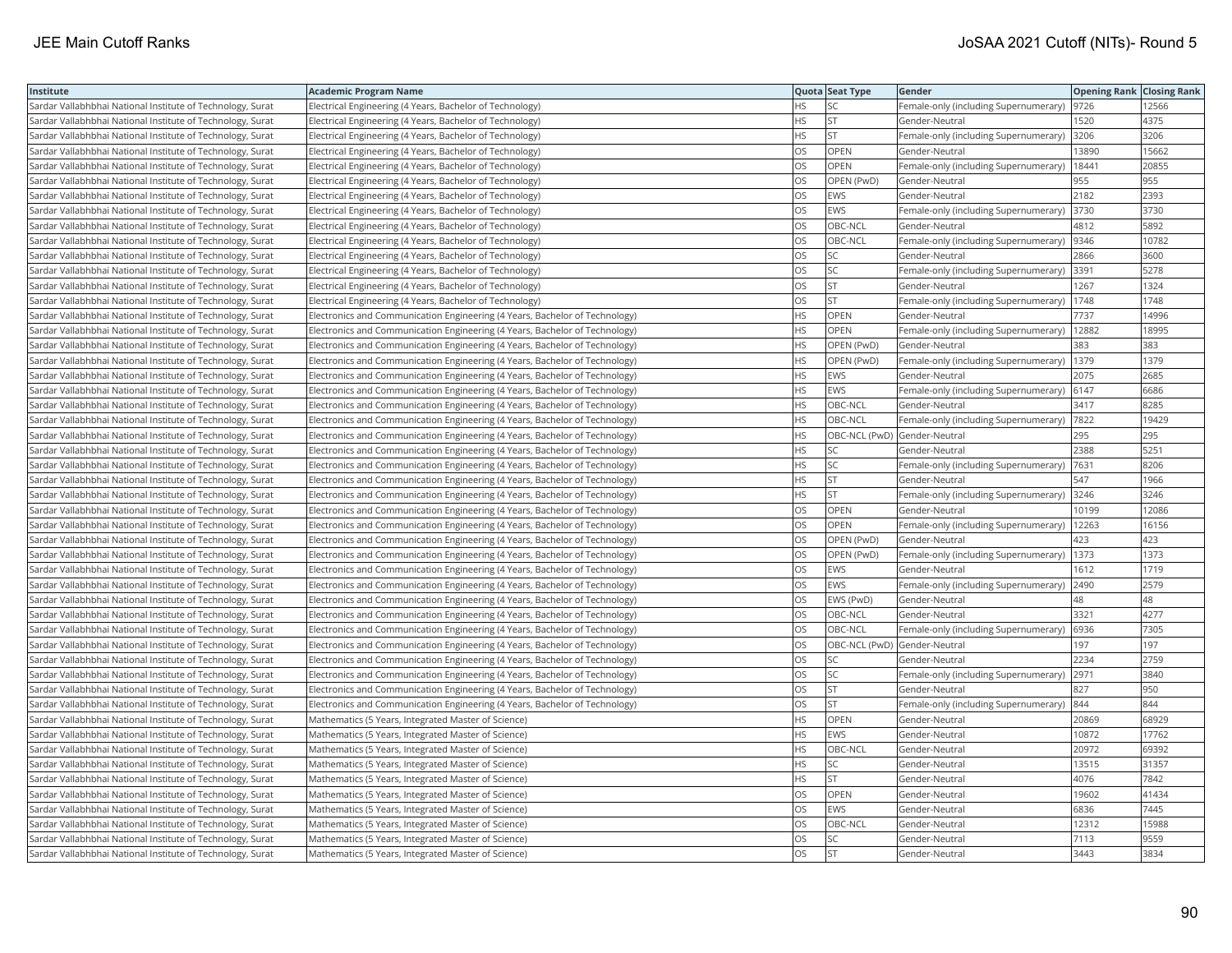| Institute                                                  | Academic Program Name                                                        |           | Quota Seat Type              | <b>Gender</b>                                | <b>Opening Rank Closing Rank</b> |       |
|------------------------------------------------------------|------------------------------------------------------------------------------|-----------|------------------------------|----------------------------------------------|----------------------------------|-------|
| Sardar Vallabhbhai National Institute of Technology, Surat | Electrical Engineering (4 Years, Bachelor of Technology)                     | HS        | SC                           | Female-only (including Supernumerary)        | 9726                             | 12566 |
| Sardar Vallabhbhai National Institute of Technology, Surat | Electrical Engineering (4 Years, Bachelor of Technology)                     | HS.       | <b>ST</b>                    | Gender-Neutral                               | 1520                             | 4375  |
| Sardar Vallabhbhai National Institute of Technology, Surat | Electrical Engineering (4 Years, Bachelor of Technology)                     | HS        | <b>ST</b>                    | Female-only (including Supernumerary)        | 3206                             | 3206  |
| Sardar Vallabhbhai National Institute of Technology, Surat | Electrical Engineering (4 Years, Bachelor of Technology)                     | OS.       | OPEN                         | Gender-Neutral                               | 13890                            | 15662 |
| Sardar Vallabhbhai National Institute of Technology, Surat | Electrical Engineering (4 Years, Bachelor of Technology)                     | OS.       | <b>OPEN</b>                  | Female-only (including Supernumerary)        | 18441                            | 20855 |
| Sardar Vallabhbhai National Institute of Technology, Surat | Electrical Engineering (4 Years, Bachelor of Technology)                     | OS        | OPEN (PwD)                   | Gender-Neutral                               | 955                              | 955   |
| Sardar Vallabhbhai National Institute of Technology, Surat | Electrical Engineering (4 Years, Bachelor of Technology)                     | OS        | EWS                          | Gender-Neutral                               | 2182                             | 2393  |
| Sardar Vallabhbhai National Institute of Technology, Surat | Electrical Engineering (4 Years, Bachelor of Technology)                     | OS.       | <b>EWS</b>                   | Female-only (including Supernumerary)        | 3730                             | 3730  |
| Sardar Vallabhbhai National Institute of Technology, Surat | Electrical Engineering (4 Years, Bachelor of Technology)                     | OS        | OBC-NCL                      | Gender-Neutral                               | 4812                             | 5892  |
| Sardar Vallabhbhai National Institute of Technology, Surat | Electrical Engineering (4 Years, Bachelor of Technology)                     | OS        | OBC-NCL                      | Female-only (including Supernumerary)        | 9346                             | 10782 |
| Sardar Vallabhbhai National Institute of Technology, Surat | Electrical Engineering (4 Years, Bachelor of Technology)                     | OS.       | <b>SC</b>                    | Gender-Neutral                               | 2866                             | 3600  |
| Sardar Vallabhbhai National Institute of Technology, Surat | Electrical Engineering (4 Years, Bachelor of Technology)                     | OS.       | <b>SC</b>                    | Female-only (including Supernumerary) 3391   |                                  | 5278  |
| Sardar Vallabhbhai National Institute of Technology, Surat | Electrical Engineering (4 Years, Bachelor of Technology)                     | OS        | <b>ST</b>                    | Gender-Neutral                               | 1267                             | 1324  |
| Sardar Vallabhbhai National Institute of Technology, Surat | Electrical Engineering (4 Years, Bachelor of Technology)                     | OS        | <b>ST</b>                    | Female-only (including Supernumerary)   1748 |                                  | 1748  |
| Sardar Vallabhbhai National Institute of Technology, Surat | Electronics and Communication Engineering (4 Years, Bachelor of Technology)  | HS        | <b>OPEN</b>                  | Gender-Neutral                               | 7737                             | 14996 |
| Sardar Vallabhbhai National Institute of Technology, Surat | Electronics and Communication Engineering (4 Years, Bachelor of Technology)  | HS        | OPEN                         | Female-only (including Supernumerary)        | 12882                            | 18995 |
| Sardar Vallabhbhai National Institute of Technology, Surat | Electronics and Communication Engineering (4 Years, Bachelor of Technology)  | <b>HS</b> | OPEN (PwD)                   | Gender-Neutral                               | 383                              | 383   |
| Sardar Vallabhbhai National Institute of Technology, Surat | [Electronics and Communication Engineering (4 Years, Bachelor of Technology) | HS        | OPEN (PwD)                   | Female-only (including Supernumerary)        | 1379                             | 1379  |
| Sardar Vallabhbhai National Institute of Technology, Surat | Electronics and Communication Engineering (4 Years, Bachelor of Technology)  | HS.       | EWS                          | Gender-Neutral                               | 2075                             | 2685  |
| Sardar Vallabhbhai National Institute of Technology, Surat | Electronics and Communication Engineering (4 Years, Bachelor of Technology)  | <b>HS</b> | <b>EWS</b>                   | Female-only (including Supernumerary)        | 6147                             | 6686  |
| Sardar Vallabhbhai National Institute of Technology, Surat | Electronics and Communication Engineering (4 Years, Bachelor of Technology)  | HS        | OBC-NCL                      | Gender-Neutral                               | 3417                             | 8285  |
| Sardar Vallabhbhai National Institute of Technology, Surat | Electronics and Communication Engineering (4 Years, Bachelor of Technology)  | HS.       | OBC-NCL                      | Female-only (including Supernumerary) 7822   |                                  | 19429 |
| Sardar Vallabhbhai National Institute of Technology, Surat | Electronics and Communication Engineering (4 Years, Bachelor of Technology)  | HS        | OBC-NCL (PwD) Gender-Neutral |                                              | 295                              | 295   |
| Sardar Vallabhbhai National Institute of Technology, Surat | Electronics and Communication Engineering (4 Years, Bachelor of Technology)  | HS.       | SC                           | Gender-Neutral                               | 2388                             | 5251  |
| Sardar Vallabhbhai National Institute of Technology, Surat | Electronics and Communication Engineering (4 Years, Bachelor of Technology)  | HS        | SC                           | Female-only (including Supernumerary)        | 7631                             | 8206  |
| Sardar Vallabhbhai National Institute of Technology, Surat | Electronics and Communication Engineering (4 Years, Bachelor of Technology)  | <b>HS</b> | <b>ST</b>                    | Gender-Neutral                               | 547                              | 1966  |
| Sardar Vallabhbhai National Institute of Technology, Surat | Electronics and Communication Engineering (4 Years, Bachelor of Technology)  | HS.       | <b>ST</b>                    | Female-only (including Supernumerary)        | 3246                             | 3246  |
| Sardar Vallabhbhai National Institute of Technology, Surat | Electronics and Communication Engineering (4 Years, Bachelor of Technology)  | OS        | <b>OPEN</b>                  | Gender-Neutral                               | 10199                            | 12086 |
| Sardar Vallabhbhai National Institute of Technology, Surat | Electronics and Communication Engineering (4 Years, Bachelor of Technology)  | OS.       | <b>OPEN</b>                  | Female-only (including Supernumerary)        | 12263                            | 16156 |
| Sardar Vallabhbhai National Institute of Technology, Surat | [Electronics and Communication Engineering (4 Years, Bachelor of Technology) | OS        | OPEN (PwD)                   | Gender-Neutral                               | 423                              | 423   |
| Sardar Vallabhbhai National Institute of Technology, Surat | Electronics and Communication Engineering (4 Years, Bachelor of Technology)  | OS        | OPEN (PwD)                   | Female-only (including Supernumerary)   1373 |                                  | 1373  |
| Sardar Vallabhbhai National Institute of Technology, Surat | Electronics and Communication Engineering (4 Years, Bachelor of Technology)  | OS.       | <b>EWS</b>                   | Gender-Neutral                               | 1612                             | 1719  |
| Sardar Vallabhbhai National Institute of Technology, Surat | [Electronics and Communication Engineering (4 Years, Bachelor of Technology) | OS        | EWS                          | Female-only (including Supernumerary)        | 2490                             | 2579  |
| Sardar Vallabhbhai National Institute of Technology, Surat | Electronics and Communication Engineering (4 Years, Bachelor of Technology)  | OS        | EWS (PwD)                    | Gender-Neutral                               | 48                               | 48    |
| Sardar Vallabhbhai National Institute of Technology, Surat | Electronics and Communication Engineering (4 Years, Bachelor of Technology)  | OS.       | OBC-NCL                      | Gender-Neutral                               | 3321                             | 4277  |
| Sardar Vallabhbhai National Institute of Technology, Surat | Electronics and Communication Engineering (4 Years, Bachelor of Technology)  | OS        | OBC-NCL                      | Female-only (including Supernumerary)        | 6936                             | 7305  |
| Sardar Vallabhbhai National Institute of Technology, Surat | Electronics and Communication Engineering (4 Years, Bachelor of Technology)  | OS        | OBC-NCL (PwD) Gender-Neutral |                                              | 197                              | 197   |
| Sardar Vallabhbhai National Institute of Technology, Surat | Electronics and Communication Engineering (4 Years, Bachelor of Technology)  | OS        | SC                           | Gender-Neutral                               | 2234                             | 2759  |
| Sardar Vallabhbhai National Institute of Technology, Surat | Electronics and Communication Engineering (4 Years, Bachelor of Technology)  | OS        | <b>SC</b>                    | Female-only (including Supernumerary)        | 2971                             | 3840  |
| Sardar Vallabhbhai National Institute of Technology, Surat | Electronics and Communication Engineering (4 Years, Bachelor of Technology)  | OS        | <b>ST</b>                    | Gender-Neutral                               | 827                              | 950   |
| Sardar Vallabhbhai National Institute of Technology, Surat | Electronics and Communication Engineering (4 Years, Bachelor of Technology)  | OS        | <b>ST</b>                    | Female-only (including Supernumerary)        | 844                              | 844   |
| Sardar Vallabhbhai National Institute of Technology, Surat | Mathematics (5 Years, Integrated Master of Science)                          | HS.       | OPEN                         | Gender-Neutral                               | 20869                            | 68929 |
| Sardar Vallabhbhai National Institute of Technology, Surat | Mathematics (5 Years, Integrated Master of Science)                          | HS        | EWS                          | Gender-Neutral                               | 10872                            | 17762 |
| Sardar Vallabhbhai National Institute of Technology, Surat | Mathematics (5 Years, Integrated Master of Science)                          | HS        | OBC-NCL                      | Gender-Neutral                               | 20972                            | 69392 |
| Sardar Vallabhbhai National Institute of Technology, Surat | Mathematics (5 Years, Integrated Master of Science)                          | HS        | SC                           | Gender-Neutral                               | 13515                            | 31357 |
| Sardar Vallabhbhai National Institute of Technology, Surat | Mathematics (5 Years, Integrated Master of Science)                          | HS        | <b>ST</b>                    | Gender-Neutral                               | 4076                             | 7842  |
| Sardar Vallabhbhai National Institute of Technology, Surat | Mathematics (5 Years, Integrated Master of Science)                          | OS.       | <b>OPEN</b>                  | Gender-Neutral                               | 19602                            | 41434 |
| Sardar Vallabhbhai National Institute of Technology, Surat | Mathematics (5 Years, Integrated Master of Science)                          | OS        | EWS                          | Gender-Neutral                               | 6836                             | 7445  |
| Sardar Vallabhbhai National Institute of Technology, Surat | Mathematics (5 Years, Integrated Master of Science)                          | OS        | OBC-NCL                      | Gender-Neutral                               | 12312                            | 15988 |
| Sardar Vallabhbhai National Institute of Technology, Surat | Mathematics (5 Years, Integrated Master of Science)                          | OS.       | <b>SC</b>                    | Gender-Neutral                               | 7113                             | 9559  |
| Sardar Vallabhbhai National Institute of Technology, Surat | Mathematics (5 Years, Integrated Master of Science)                          | <b>OS</b> | <b>ST</b>                    | Gender-Neutral                               | 3443                             | 3834  |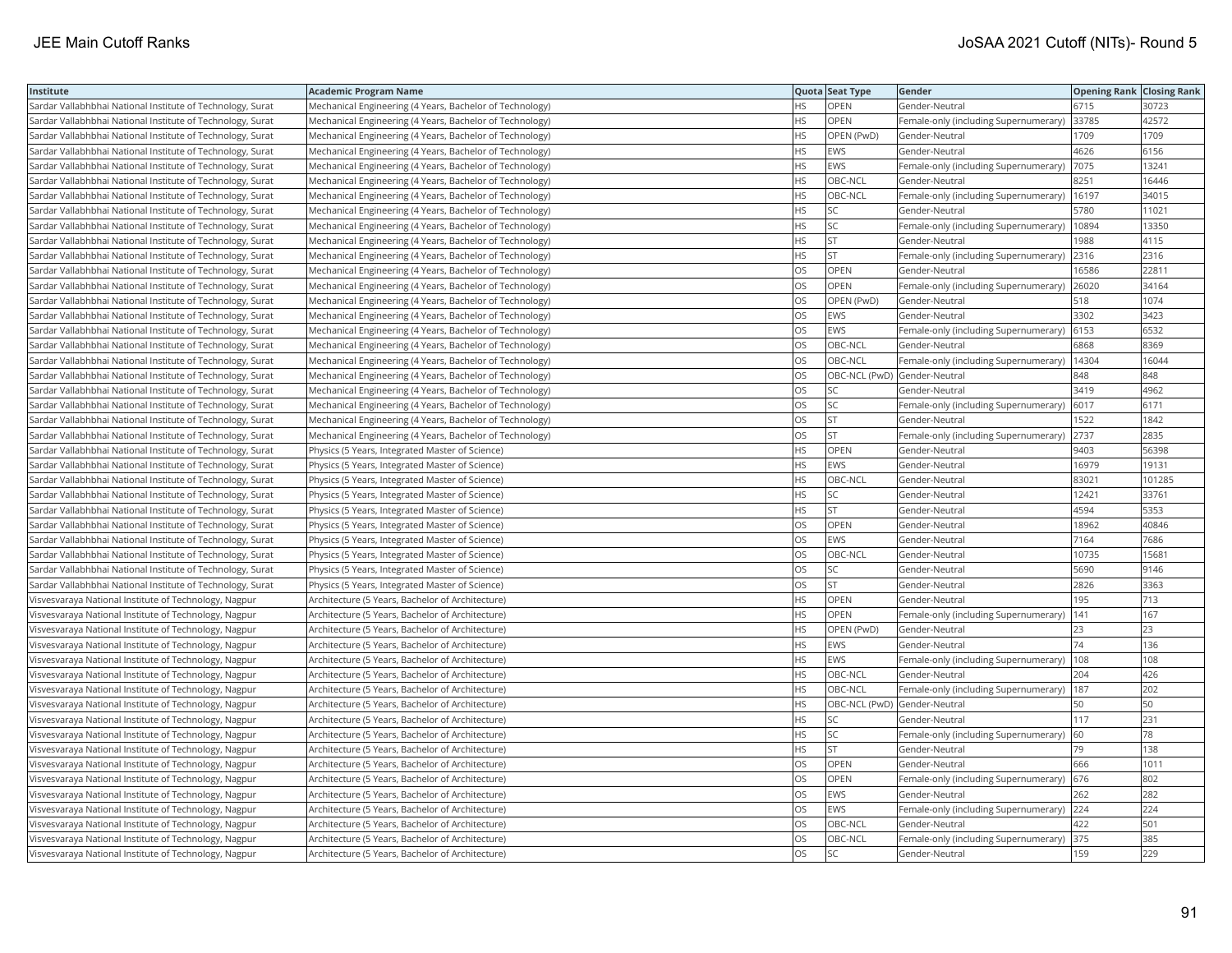| Institute                                                  | <b>Academic Program Name</b>                             |           | Quota Seat Type              | Gender                                        | <b>Opening Rank Closing Rank</b> |        |
|------------------------------------------------------------|----------------------------------------------------------|-----------|------------------------------|-----------------------------------------------|----------------------------------|--------|
| Sardar Vallabhbhai National Institute of Technology, Surat | Mechanical Engineering (4 Years, Bachelor of Technology) | <b>HS</b> | OPEN                         | Gender-Neutral                                | 6715                             | 30723  |
| Sardar Vallabhbhai National Institute of Technology, Surat | Mechanical Engineering (4 Years, Bachelor of Technology) | <b>HS</b> | <b>OPEN</b>                  | Female-only (including Supernumerary)         | 33785                            | 42572  |
| Sardar Vallabhbhai National Institute of Technology, Surat | Mechanical Engineering (4 Years, Bachelor of Technology) | HS        | OPEN (PwD)                   | Gender-Neutral                                | 1709                             | 1709   |
| Sardar Vallabhbhai National Institute of Technology, Surat | Mechanical Engineering (4 Years, Bachelor of Technology) | <b>HS</b> | EWS                          | Gender-Neutral                                | 4626                             | 6156   |
| Sardar Vallabhbhai National Institute of Technology, Surat | Mechanical Engineering (4 Years, Bachelor of Technology) | <b>HS</b> | <b>EWS</b>                   | Female-only (including Supernumerary)         | 7075                             | 13241  |
| Sardar Vallabhbhai National Institute of Technology, Surat | Mechanical Engineering (4 Years, Bachelor of Technology) | HS        | OBC-NCL                      | Gender-Neutral                                | 8251                             | 16446  |
| Sardar Vallabhbhai National Institute of Technology, Surat | Mechanical Engineering (4 Years, Bachelor of Technology) | <b>HS</b> | OBC-NCL                      | Female-only (including Supernumerary)   16197 |                                  | 34015  |
| Sardar Vallabhbhai National Institute of Technology, Surat | Mechanical Engineering (4 Years, Bachelor of Technology) | <b>HS</b> | lsc                          | Gender-Neutral                                | 5780                             | 11021  |
| Sardar Vallabhbhai National Institute of Technology, Surat | Mechanical Engineering (4 Years, Bachelor of Technology) | HS        | <b>SC</b>                    | Female-only (including Supernumerary)         | 10894                            | 13350  |
| Sardar Vallabhbhai National Institute of Technology, Surat | Mechanical Engineering (4 Years, Bachelor of Technology) | <b>HS</b> | <b>ST</b>                    | Gender-Neutral                                | 1988                             | 4115   |
| Sardar Vallabhbhai National Institute of Technology, Surat | Mechanical Engineering (4 Years, Bachelor of Technology) | <b>HS</b> | lst.                         | Female-only (including Supernumerary)         | 2316                             | 2316   |
| Sardar Vallabhbhai National Institute of Technology, Surat | Mechanical Engineering (4 Years, Bachelor of Technology) | <b>OS</b> | <b>OPEN</b>                  | Gender-Neutral                                | 16586                            | 22811  |
| Sardar Vallabhbhai National Institute of Technology, Surat | Mechanical Engineering (4 Years, Bachelor of Technology) | OS        | OPEN                         | Female-only (including Supernumerary)         | 26020                            | 34164  |
| Sardar Vallabhbhai National Institute of Technology, Surat | Mechanical Engineering (4 Years, Bachelor of Technology) | OS        | OPEN (PwD)                   | Gender-Neutral                                | 518                              | 1074   |
| Sardar Vallabhbhai National Institute of Technology, Surat | Mechanical Engineering (4 Years, Bachelor of Technology) | OS        | <b>EWS</b>                   | Gender-Neutral                                | 3302                             | 3423   |
| Sardar Vallabhbhai National Institute of Technology, Surat | Mechanical Engineering (4 Years, Bachelor of Technology) | OS        | <b>EWS</b>                   | Female-only (including Supernumerary)         | 6153                             | 6532   |
| Sardar Vallabhbhai National Institute of Technology, Surat | Mechanical Engineering (4 Years, Bachelor of Technology) | OS        | OBC-NCL                      | Gender-Neutral                                | 6868                             | 8369   |
| Sardar Vallabhbhai National Institute of Technology, Surat | Mechanical Engineering (4 Years, Bachelor of Technology) | OS        | OBC-NCL                      | Female-only (including Supernumerary)         | 14304                            | 16044  |
| Sardar Vallabhbhai National Institute of Technology, Surat | Mechanical Engineering (4 Years, Bachelor of Technology) | OS        | OBC-NCL (PwD) Gender-Neutral |                                               | 848                              | 848    |
| Sardar Vallabhbhai National Institute of Technology, Surat | Mechanical Engineering (4 Years, Bachelor of Technology) | <b>OS</b> | lsc                          | Gender-Neutral                                | 3419                             | 4962   |
| Sardar Vallabhbhai National Institute of Technology, Surat | Mechanical Engineering (4 Years, Bachelor of Technology) | <b>OS</b> | <b>SC</b>                    | Female-only (including Supernumerary)         | 6017                             | 6171   |
| Sardar Vallabhbhai National Institute of Technology, Surat | Mechanical Engineering (4 Years, Bachelor of Technology) | OS        | <b>ST</b>                    | Gender-Neutral                                | 1522                             | 1842   |
| Sardar Vallabhbhai National Institute of Technology, Surat | Mechanical Engineering (4 Years, Bachelor of Technology) | OS        | <b>ST</b>                    | Female-only (including Supernumerary)         | 2737                             | 2835   |
| Sardar Vallabhbhai National Institute of Technology, Surat | Physics (5 Years, Integrated Master of Science)          | HS.       | <b>OPEN</b>                  | Gender-Neutral                                | 9403                             | 56398  |
| Sardar Vallabhbhai National Institute of Technology, Surat | Physics (5 Years, Integrated Master of Science)          | <b>HS</b> | EWS                          | Gender-Neutral                                | 16979                            | 19131  |
| Sardar Vallabhbhai National Institute of Technology, Surat | Physics (5 Years, Integrated Master of Science)          | <b>HS</b> | OBC-NCL                      | Gender-Neutral                                | 83021                            | 101285 |
| Sardar Vallabhbhai National Institute of Technology, Surat | Physics (5 Years, Integrated Master of Science)          | <b>HS</b> | <b>SC</b>                    | Gender-Neutral                                | 12421                            | 33761  |
| Sardar Vallabhbhai National Institute of Technology, Surat | Physics (5 Years, Integrated Master of Science)          | <b>HS</b> | <b>ST</b>                    | Gender-Neutral                                | 4594                             | 5353   |
| Sardar Vallabhbhai National Institute of Technology, Surat | Physics (5 Years, Integrated Master of Science)          | <b>OS</b> | <b>OPEN</b>                  | Gender-Neutral                                | 18962                            | 40846  |
| Sardar Vallabhbhai National Institute of Technology, Surat | Physics (5 Years, Integrated Master of Science)          | OS        | <b>EWS</b>                   | Gender-Neutral                                | 7164                             | 7686   |
| Sardar Vallabhbhai National Institute of Technology, Surat | Physics (5 Years, Integrated Master of Science)          | OS        | OBC-NCL                      | Gender-Neutral                                | 10735                            | 15681  |
| Sardar Vallabhbhai National Institute of Technology, Surat | Physics (5 Years, Integrated Master of Science)          | OS.       | lsc                          | Gender-Neutral                                | 5690                             | 9146   |
| Sardar Vallabhbhai National Institute of Technology, Surat | Physics (5 Years, Integrated Master of Science)          | OS        | <b>ST</b>                    | Gender-Neutral                                | 2826                             | 3363   |
| Visvesvaraya National Institute of Technology, Nagpur      | Architecture (5 Years, Bachelor of Architecture)         | <b>HS</b> | OPEN                         | Gender-Neutral                                | 195                              | 713    |
| Visvesvaraya National Institute of Technology, Nagpur      | Architecture (5 Years, Bachelor of Architecture)         | <b>HS</b> | <b>OPEN</b>                  | Female-only (including Supernumerary)         | 141                              | 167    |
| Visvesvaraya National Institute of Technology, Nagpur      | Architecture (5 Years, Bachelor of Architecture)         | <b>HS</b> | OPEN (PwD)                   | Gender-Neutral                                | 23                               | 23     |
| Visvesvaraya National Institute of Technology, Nagpur      | Architecture (5 Years, Bachelor of Architecture)         | <b>HS</b> | <b>EWS</b>                   | Gender-Neutral                                | 74                               | 136    |
| Visvesvaraya National Institute of Technology, Nagpur      | Architecture (5 Years, Bachelor of Architecture)         | <b>HS</b> | <b>EWS</b>                   | Female-only (including Supernumerary)         | 108                              | 108    |
| Visvesvaraya National Institute of Technology, Nagpur      | Architecture (5 Years, Bachelor of Architecture)         | <b>HS</b> | OBC-NCL                      | Gender-Neutral                                | 204                              | 426    |
| Visvesvaraya National Institute of Technology, Nagpur      | Architecture (5 Years, Bachelor of Architecture)         | HS.       | OBC-NCL                      | Female-only (including Supernumerary)         | 187                              | 202    |
| Visvesvaraya National Institute of Technology, Nagpur      | Architecture (5 Years, Bachelor of Architecture)         | HS        | OBC-NCL (PwD) Gender-Neutral |                                               | 50                               | 50     |
| Visvesvaraya National Institute of Technology, Nagpur      | Architecture (5 Years, Bachelor of Architecture)         | <b>HS</b> | <b>SC</b>                    | Gender-Neutral                                | 117                              | 231    |
| Visvesvaraya National Institute of Technology, Nagpur      | Architecture (5 Years, Bachelor of Architecture)         | <b>HS</b> | <b>SC</b>                    | Female-only (including Supernumerary)         | 60                               | 78     |
| Visvesvaraya National Institute of Technology, Nagpur      | Architecture (5 Years, Bachelor of Architecture)         | <b>HS</b> | <b>ST</b>                    | Gender-Neutral                                | 79                               | 138    |
| Visvesvaraya National Institute of Technology, Nagpur      | Architecture (5 Years, Bachelor of Architecture)         | OS        | OPEN                         | Gender-Neutral                                | 666                              | 1011   |
| Visvesvaraya National Institute of Technology, Nagpur      | Architecture (5 Years, Bachelor of Architecture)         | OS        | OPEN                         | Female-only (including Supernumerary)         | 676                              | 802    |
| Visvesvaraya National Institute of Technology, Nagpur      | Architecture (5 Years, Bachelor of Architecture)         | <b>OS</b> | <b>EWS</b>                   | Gender-Neutral                                | 262                              | 282    |
| Visvesvaraya National Institute of Technology, Nagpur      | Architecture (5 Years, Bachelor of Architecture)         | OS        | EWS                          | Female-only (including Supernumerary)         | 224                              | 224    |
| Visvesvaraya National Institute of Technology, Nagpur      | Architecture (5 Years, Bachelor of Architecture)         | OS        | OBC-NCL                      | Gender-Neutral                                | 422                              | 501    |
| Visvesvaraya National Institute of Technology, Nagpur      | Architecture (5 Years, Bachelor of Architecture)         | OS        | OBC-NCL                      | Female-only (including Supernumerary)         | 375                              | 385    |
| Visvesvaraya National Institute of Technology, Nagpur      | Architecture (5 Years, Bachelor of Architecture)         | <b>OS</b> | lsc                          | Gender-Neutral                                | 159                              | 229    |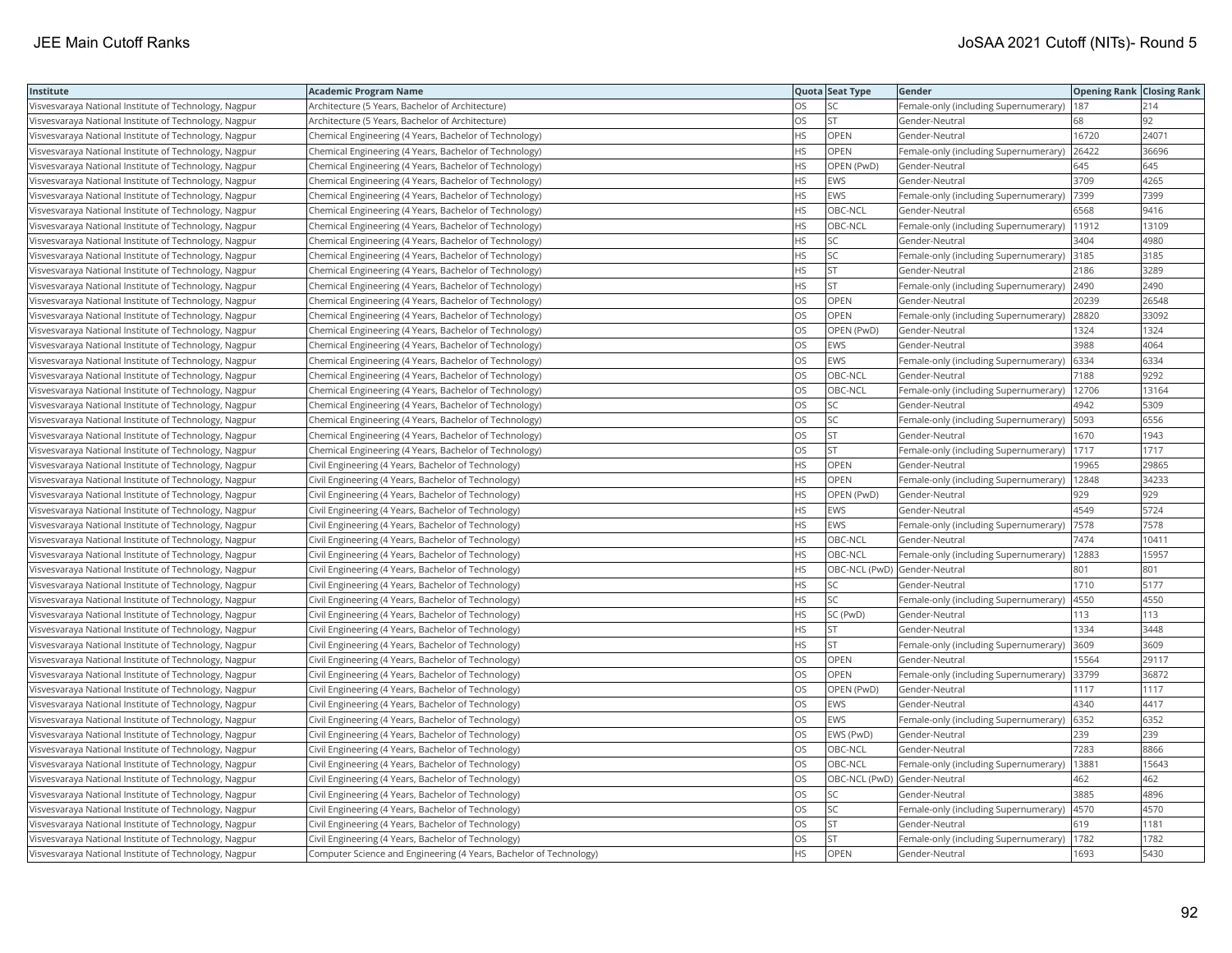| Institute                                             | <b>Academic Program Name</b>                                       |           | Quota Seat Type              | Gender                                        | <b>Opening Rank Closing Rank</b> |       |
|-------------------------------------------------------|--------------------------------------------------------------------|-----------|------------------------------|-----------------------------------------------|----------------------------------|-------|
| Visvesvaraya National Institute of Technology, Nagpur | Architecture (5 Years, Bachelor of Architecture)                   | OS        | SC                           | Female-only (including Supernumerary)         | 187                              | 214   |
| Visvesvaraya National Institute of Technology, Nagpur | Architecture (5 Years, Bachelor of Architecture)                   | OS.       | lst                          | Gender-Neutral                                | 58                               | 92    |
| Visvesvaraya National Institute of Technology, Nagpur | Chemical Engineering (4 Years, Bachelor of Technology)             | HS        | <b>OPEN</b>                  | Gender-Neutral                                | 16720                            | 24071 |
| Visvesvaraya National Institute of Technology, Nagpur | Chemical Engineering (4 Years, Bachelor of Technology)             | HS        | OPEN                         | Female-only (including Supernumerary)         | 26422                            | 36696 |
| Visvesvaraya National Institute of Technology, Nagpur | Chemical Engineering (4 Years, Bachelor of Technology)             | <b>HS</b> | OPEN (PwD)                   | Gender-Neutral                                | 645                              | 645   |
| Visvesvaraya National Institute of Technology, Nagpur | Chemical Engineering (4 Years, Bachelor of Technology)             | HS        | EWS                          | Gender-Neutral                                | 3709                             | 4265  |
| Visvesvaraya National Institute of Technology, Nagpur | Chemical Engineering (4 Years, Bachelor of Technology)             | ΗS        | EWS                          | Female-only (including Supernumerary)         | 7399                             | 7399  |
| Visvesvaraya National Institute of Technology, Nagpur | Chemical Engineering (4 Years, Bachelor of Technology)             | HS.       | OBC-NCL                      | Gender-Neutral                                | 6568                             | 9416  |
| Visvesvaraya National Institute of Technology, Nagpur | Chemical Engineering (4 Years, Bachelor of Technology)             | HS        | OBC-NCL                      | Female-only (including Supernumerary)         | 11912                            | 13109 |
| Visvesvaraya National Institute of Technology, Nagpur | Chemical Engineering (4 Years, Bachelor of Technology)             | HS        | SC                           | Gender-Neutral                                | 3404                             | 4980  |
| Visvesvaraya National Institute of Technology, Nagpur | Chemical Engineering (4 Years, Bachelor of Technology)             | HS        | <b>SC</b>                    | Female-only (including Supernumerary)         | 3185                             | 3185  |
| Visvesvaraya National Institute of Technology, Nagpur | Chemical Engineering (4 Years, Bachelor of Technology)             | HS        | <b>ST</b>                    | Gender-Neutral                                | 2186                             | 3289  |
| Visvesvaraya National Institute of Technology, Nagpur | Chemical Engineering (4 Years, Bachelor of Technology)             | HS        | <b>ST</b>                    | Female-only (including Supernumerary)         | 2490                             | 2490  |
| Visvesvaraya National Institute of Technology, Nagpur | Chemical Engineering (4 Years, Bachelor of Technology)             | OS        | OPEN                         | Gender-Neutral                                | 20239                            | 26548 |
| Visvesvaraya National Institute of Technology, Nagpur | Chemical Engineering (4 Years, Bachelor of Technology)             | OS        | OPEN                         | Female-only (including Supernumerary)         | 28820                            | 33092 |
| Visvesvaraya National Institute of Technology, Nagpur | Chemical Engineering (4 Years, Bachelor of Technology)             | OS        | OPEN (PwD)                   | Gender-Neutral                                | 1324                             | 1324  |
| Visvesvaraya National Institute of Technology, Nagpur | Chemical Engineering (4 Years, Bachelor of Technology)             | OS        | EWS                          | Gender-Neutral                                | 3988                             | 4064  |
| Visvesvaraya National Institute of Technology, Nagpur | Chemical Engineering (4 Years, Bachelor of Technology)             | OS        | EWS                          | Female-only (including Supernumerary)         | 6334                             | 6334  |
| Visvesvaraya National Institute of Technology, Nagpur | Chemical Engineering (4 Years, Bachelor of Technology)             | OS.       | OBC-NCL                      | Gender-Neutral                                | 7188                             | 9292  |
| Visvesvaraya National Institute of Technology, Nagpur | Chemical Engineering (4 Years, Bachelor of Technology)             | OS        | OBC-NCL                      | Female-only (including Supernumerary)         | 12706                            | 13164 |
| Visvesvaraya National Institute of Technology, Nagpur | Chemical Engineering (4 Years, Bachelor of Technology)             | OS        | SC                           | Gender-Neutral                                | 4942                             | 5309  |
| Visvesvaraya National Institute of Technology, Nagpur | Chemical Engineering (4 Years, Bachelor of Technology)             | OS        | <b>SC</b>                    | Female-only (including Supernumerary)   5093  |                                  | 6556  |
| Visvesvaraya National Institute of Technology, Nagpur | Chemical Engineering (4 Years, Bachelor of Technology)             | OS        | <b>ST</b>                    | Gender-Neutral                                | 1670                             | 1943  |
| Visvesvaraya National Institute of Technology, Nagpur | Chemical Engineering (4 Years, Bachelor of Technology)             | OS        | <b>ST</b>                    | Female-only (including Supernumerary)         | 1717                             | 1717  |
| Visvesvaraya National Institute of Technology, Nagpur | Civil Engineering (4 Years, Bachelor of Technology)                | HS.       | OPEN                         | Gender-Neutral                                | 19965                            | 29865 |
| Visvesvaraya National Institute of Technology, Nagpur | Civil Engineering (4 Years, Bachelor of Technology)                | HS        | OPEN                         | Female-only (including Supernumerary)         | 12848                            | 34233 |
| Visvesvaraya National Institute of Technology, Nagpur | Civil Engineering (4 Years, Bachelor of Technology)                | HS        | OPEN (PwD)                   | Gender-Neutral                                | 929                              | 929   |
| Visvesvaraya National Institute of Technology, Nagpur | Civil Engineering (4 Years, Bachelor of Technology)                | HS.       | <b>EWS</b>                   | Gender-Neutral                                | 4549                             | 5724  |
| Visvesvaraya National Institute of Technology, Nagpur | Civil Engineering (4 Years, Bachelor of Technology)                | HS        | EWS                          | Female-only (including Supernumerary)         | 7578                             | 7578  |
| Visvesvaraya National Institute of Technology, Nagpur | Civil Engineering (4 Years, Bachelor of Technology)                | HS        | OBC-NCL                      | Gender-Neutral                                | 7474                             | 10411 |
| Visvesvaraya National Institute of Technology, Nagpur | Civil Engineering (4 Years, Bachelor of Technology)                | HS        | OBC-NCL                      | Female-only (including Supernumerary)   12883 |                                  | 15957 |
| Visvesvaraya National Institute of Technology, Nagpur | Civil Engineering (4 Years, Bachelor of Technology)                | HS        | OBC-NCL (PwD) Gender-Neutral |                                               | 801                              | 801   |
| Visvesvaraya National Institute of Technology, Nagpur | Civil Engineering (4 Years, Bachelor of Technology)                | HS.       | <b>SC</b>                    | Gender-Neutral                                | 1710                             | 5177  |
| Visvesvaraya National Institute of Technology, Nagpur | Civil Engineering (4 Years, Bachelor of Technology)                | HS        | <b>SC</b>                    | Female-only (including Supernumerary)         | 4550                             | 4550  |
| Visvesvaraya National Institute of Technology, Nagpur | Civil Engineering (4 Years, Bachelor of Technology)                | HS        | SC (PwD)                     | Gender-Neutral                                | 113                              | 113   |
| Visvesvaraya National Institute of Technology, Nagpur | Civil Engineering (4 Years, Bachelor of Technology)                | HS.       | <b>IST</b>                   | Gender-Neutral                                | 1334                             | 3448  |
| Visvesvaraya National Institute of Technology, Nagpur | Civil Engineering (4 Years, Bachelor of Technology)                | HS        | <b>ST</b>                    | Female-only (including Supernumerary)         | 3609                             | 3609  |
| Visvesvaraya National Institute of Technology, Nagpur | Civil Engineering (4 Years, Bachelor of Technology)                | OS        | OPEN                         | Gender-Neutral                                | 15564                            | 29117 |
| Visvesvaraya National Institute of Technology, Nagpur | Civil Engineering (4 Years, Bachelor of Technology)                | OS        | <b>OPEN</b>                  | Female-only (including Supernumerary)         | 33799                            | 36872 |
| Visvesvaraya National Institute of Technology, Nagpur | Civil Engineering (4 Years, Bachelor of Technology)                | OS.       | OPEN (PwD)                   | Gender-Neutral                                | 1117                             | 1117  |
| Visvesvaraya National Institute of Technology, Nagpur | Civil Engineering (4 Years, Bachelor of Technology)                | OS        | EWS                          | Gender-Neutral                                | 4340                             | 4417  |
| Visvesvaraya National Institute of Technology, Nagpur | Civil Engineering (4 Years, Bachelor of Technology)                | OS        | <b>EWS</b>                   | Female-only (including Supernumerary)         | 6352                             | 6352  |
| Visvesvaraya National Institute of Technology, Nagpur | Civil Engineering (4 Years, Bachelor of Technology)                | OS        | EWS (PwD)                    | Gender-Neutral                                | 239                              | 239   |
| Visvesvaraya National Institute of Technology, Nagpur | Civil Engineering (4 Years, Bachelor of Technology)                | OS.       | OBC-NCL                      | Gender-Neutral                                | 7283                             | 8866  |
| Visvesvaraya National Institute of Technology, Nagpur | Civil Engineering (4 Years, Bachelor of Technology)                | OS.       | OBC-NCL                      | Female-only (including Supernumerary)         | 13881                            | 15643 |
| Visvesvaraya National Institute of Technology, Nagpur | Civil Engineering (4 Years, Bachelor of Technology)                | OS        | OBC-NCL (PwD) Gender-Neutral |                                               | 462                              | 462   |
| Visvesvaraya National Institute of Technology, Nagpur | Civil Engineering (4 Years, Bachelor of Technology)                | OS        | <b>SC</b>                    | Gender-Neutral                                | 3885                             | 4896  |
| Visvesvaraya National Institute of Technology, Nagpur | Civil Engineering (4 Years, Bachelor of Technology)                | OS        | <b>SC</b>                    | Female-only (including Supernumerary)         | 4570                             | 4570  |
| Visvesvaraya National Institute of Technology, Nagpur | Civil Engineering (4 Years, Bachelor of Technology)                | OS        | <b>ST</b>                    | Gender-Neutral                                | 619                              | 1181  |
| Visvesvaraya National Institute of Technology, Nagpur | Civil Engineering (4 Years, Bachelor of Technology)                | OS.       | <b>ST</b>                    | Female-only (including Supernumerary)         | 1782                             | 1782  |
| Visvesvaraya National Institute of Technology, Nagpur | Computer Science and Engineering (4 Years, Bachelor of Technology) | HS.       | <b>OPEN</b>                  | Gender-Neutral                                | 1693                             | 5430  |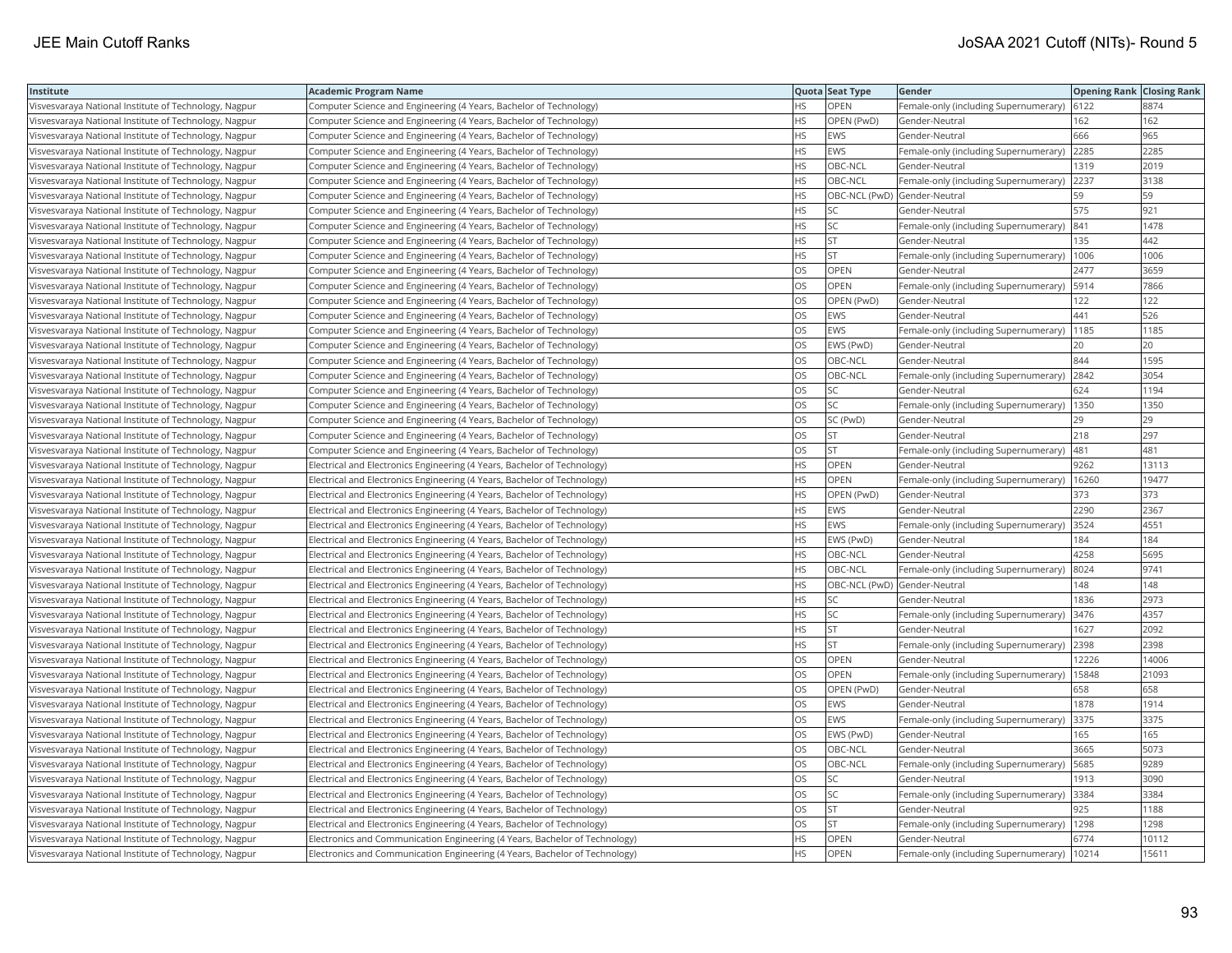| Institute                                             | <b>Academic Program Name</b>                                                |           | Quota Seat Type | Gender                                       | <b>Opening Rank   Closing Rank</b> |       |
|-------------------------------------------------------|-----------------------------------------------------------------------------|-----------|-----------------|----------------------------------------------|------------------------------------|-------|
| Visvesvaraya National Institute of Technology, Nagpur | Computer Science and Engineering (4 Years, Bachelor of Technology)          | HS        | OPEN            | Female-only (including Supernumerary)        | 6122                               | 8874  |
| Visvesvaraya National Institute of Technology, Nagpur | Computer Science and Engineering (4 Years, Bachelor of Technology)          | HS.       | OPEN (PwD)      | Gender-Neutral                               | 162                                | 162   |
| Visvesvaraya National Institute of Technology, Nagpur | Computer Science and Engineering (4 Years, Bachelor of Technology)          | HS.       | <b>EWS</b>      | Gender-Neutral                               | 666                                | 965   |
| Visvesvaraya National Institute of Technology, Nagpur | Computer Science and Engineering (4 Years, Bachelor of Technology)          | HS.       | EWS             | Female-only (including Supernumerary)        | 2285                               | 2285  |
| Visvesvaraya National Institute of Technology, Nagpur | Computer Science and Engineering (4 Years, Bachelor of Technology)          | HS        | OBC-NCL         | Gender-Neutral                               | 1319                               | 2019  |
| Visvesvaraya National Institute of Technology, Nagpur | Computer Science and Engineering (4 Years, Bachelor of Technology)          | HS        | OBC-NCL         | Female-only (including Supernumerary)        | 2237                               | 3138  |
| Visvesvaraya National Institute of Technology, Nagpur | Computer Science and Engineering (4 Years, Bachelor of Technology)          | НS        |                 | OBC-NCL (PwD) Gender-Neutral                 | 59                                 | 59    |
| Visvesvaraya National Institute of Technology, Nagpur | Computer Science and Engineering (4 Years, Bachelor of Technology)          | HS        | SC              | Gender-Neutral                               | 575                                | 921   |
| Visvesvaraya National Institute of Technology, Nagpur | Computer Science and Engineering (4 Years, Bachelor of Technology)          | HS.       | <b>SC</b>       | Female-only (including Supernumerary)        | 841                                | 1478  |
| Visvesvaraya National Institute of Technology, Nagpur | Computer Science and Engineering (4 Years, Bachelor of Technology)          | HS        | <b>ST</b>       | Gender-Neutral                               | 135                                | 442   |
| Visvesvaraya National Institute of Technology, Nagpur | Computer Science and Engineering (4 Years, Bachelor of Technology)          | HS.       | <b>ST</b>       | Female-only (including Supernumerary)        | 1006                               | 1006  |
| Visvesvaraya National Institute of Technology, Nagpur | Computer Science and Engineering (4 Years, Bachelor of Technology)          | OS        | <b>OPEN</b>     | Gender-Neutral                               | 2477                               | 3659  |
| Visvesvaraya National Institute of Technology, Nagpur | Computer Science and Engineering (4 Years, Bachelor of Technology)          | OS        | <b>OPEN</b>     | Female-only (including Supernumerary)        | 5914                               | 7866  |
| Visvesvaraya National Institute of Technology, Nagpur | Computer Science and Engineering (4 Years, Bachelor of Technology)          | OS        | OPEN (PwD)      | Gender-Neutral                               | 122                                | 122   |
| Visvesvaraya National Institute of Technology, Nagpur | Computer Science and Engineering (4 Years, Bachelor of Technology)          | OS        | EWS             | Gender-Neutral                               | 441                                | 526   |
| Visvesvaraya National Institute of Technology, Nagpur | Computer Science and Engineering (4 Years, Bachelor of Technology)          | OS.       | EWS             | Female-only (including Supernumerary)        | 1185                               | 1185  |
| Visvesvaraya National Institute of Technology, Nagpur | Computer Science and Engineering (4 Years, Bachelor of Technology)          | OS        | EWS (PwD)       | Gender-Neutral                               | 20                                 | 20    |
| Visvesvaraya National Institute of Technology, Nagpur | Computer Science and Engineering (4 Years, Bachelor of Technology)          | OS        | OBC-NCL         | Gender-Neutral                               | 844                                | 1595  |
| Visvesvaraya National Institute of Technology, Nagpur | Computer Science and Engineering (4 Years, Bachelor of Technology)          | OS.       | OBC-NCL         | Female-only (including Supernumerary)        | 2842                               | 3054  |
| Visvesvaraya National Institute of Technology, Nagpur | Computer Science and Engineering (4 Years, Bachelor of Technology)          | OS        | lsc             | Gender-Neutral                               | 624                                | 1194  |
| Visvesvaraya National Institute of Technology, Nagpur | Computer Science and Engineering (4 Years, Bachelor of Technology)          | OS.       | lsc             | Female-only (including Supernumerary)        | 1350                               | 1350  |
| Visvesvaraya National Institute of Technology, Nagpur | Computer Science and Engineering (4 Years, Bachelor of Technology)          | OS        | SC (PwD)        | Gender-Neutral                               | 29.                                | 29    |
| Visvesvaraya National Institute of Technology, Nagpur | Computer Science and Engineering (4 Years, Bachelor of Technology)          | OS        | <b>ST</b>       | Gender-Neutral                               | 218                                | 297   |
| Visvesvaraya National Institute of Technology, Nagpur | Computer Science and Engineering (4 Years, Bachelor of Technology)          | OS.       | <b>ST</b>       | Female-only (including Supernumerary)        | 481                                | 481   |
| Visvesvaraya National Institute of Technology, Nagpur | Electrical and Electronics Engineering (4 Years, Bachelor of Technology)    | HS        | OPEN            | Gender-Neutral                               | 9262                               | 13113 |
| Visvesvaraya National Institute of Technology, Nagpur | Electrical and Electronics Engineering (4 Years, Bachelor of Technology)    | HS.       | <b>OPEN</b>     | Female-only (including Supernumerary)        | 16260                              | 19477 |
| Visvesvaraya National Institute of Technology, Nagpur | Electrical and Electronics Engineering (4 Years, Bachelor of Technology)    | HS        | OPEN (PwD)      | Gender-Neutral                               | 373                                | 373   |
| Visvesvaraya National Institute of Technology, Nagpur | Electrical and Electronics Engineering (4 Years, Bachelor of Technology)    | HS        | <b>EWS</b>      | Gender-Neutral                               | 2290                               | 2367  |
| Visvesvaraya National Institute of Technology, Nagpur | Electrical and Electronics Engineering (4 Years, Bachelor of Technology)    | HS.       | <b>EWS</b>      | Female-only (including Supernumerary)        | 3524                               | 4551  |
| Visvesvaraya National Institute of Technology, Nagpur | Electrical and Electronics Engineering (4 Years, Bachelor of Technology)    | HS        | EWS (PwD)       | Gender-Neutral                               | 184                                | 184   |
| Visvesvaraya National Institute of Technology, Nagpur | Electrical and Electronics Engineering (4 Years, Bachelor of Technology)    | HS        | <b>OBC-NCL</b>  | Gender-Neutral                               | 4258                               | 5695  |
| Visvesvaraya National Institute of Technology, Nagpur | Electrical and Electronics Engineering (4 Years, Bachelor of Technology)    | НS        | OBC-NCL         | Female-only (including Supernumerary)        | 8024                               | 9741  |
| Visvesvaraya National Institute of Technology, Nagpur | Electrical and Electronics Engineering (4 Years, Bachelor of Technology)    | <b>HS</b> |                 | OBC-NCL (PwD) Gender-Neutral                 | 148                                | 148   |
| Visvesvaraya National Institute of Technology, Nagpur | Electrical and Electronics Engineering (4 Years, Bachelor of Technology)    | HS        | SC              | Gender-Neutral                               | 836                                | 2973  |
| Visvesvaraya National Institute of Technology, Nagpur | Electrical and Electronics Engineering (4 Years, Bachelor of Technology)    | HS        | <b>SC</b>       | Female-only (including Supernumerary)        | 3476                               | 4357  |
| Visvesvaraya National Institute of Technology, Nagpur | Electrical and Electronics Engineering (4 Years, Bachelor of Technology)    | HS        | <b>ST</b>       | Gender-Neutral                               | 1627                               | 2092  |
| Visvesvaraya National Institute of Technology, Nagpur | Electrical and Electronics Engineering (4 Years, Bachelor of Technology)    | HS        | <b>ST</b>       | Female-only (including Supernumerary)        | 2398                               | 2398  |
| Visvesvaraya National Institute of Technology, Nagpur | Electrical and Electronics Engineering (4 Years, Bachelor of Technology)    | OS        | OPEN            | Gender-Neutral                               | 12226                              | 14006 |
| Visvesvaraya National Institute of Technology, Nagpur | Electrical and Electronics Engineering (4 Years, Bachelor of Technology)    | OS        | <b>OPEN</b>     | Female-only (including Supernumerary)        | 15848                              | 21093 |
| Visvesvaraya National Institute of Technology, Nagpur | Electrical and Electronics Engineering (4 Years, Bachelor of Technology)    | OS        | OPEN (PwD)      | Gender-Neutral                               | 658                                | 658   |
| Visvesvaraya National Institute of Technology, Nagpur | Electrical and Electronics Engineering (4 Years, Bachelor of Technology)    | OS        | EWS             | Gender-Neutral                               | 1878                               | 1914  |
| Visvesvaraya National Institute of Technology, Nagpur | Electrical and Electronics Engineering (4 Years, Bachelor of Technology)    | OS        | EWS             | Female-only (including Supernumerary)        | 3375                               | 3375  |
| Visvesvaraya National Institute of Technology, Nagpur | Electrical and Electronics Engineering (4 Years, Bachelor of Technology)    | OS.       | EWS (PwD)       | Gender-Neutral                               | 165                                | 165   |
| Visvesvaraya National Institute of Technology, Nagpur | Electrical and Electronics Engineering (4 Years, Bachelor of Technology)    | OS        | OBC-NCL         | Gender-Neutral                               | 3665                               | 5073  |
| Visvesvaraya National Institute of Technology, Nagpur | Electrical and Electronics Engineering (4 Years, Bachelor of Technology)    | OS        | OBC-NCL         | Female-only (including Supernumerary)        | 5685                               | 9289  |
| Visvesvaraya National Institute of Technology, Nagpur | Electrical and Electronics Engineering (4 Years, Bachelor of Technology)    | OS.       | <b>SC</b>       | Gender-Neutral                               | 1913                               | 3090  |
| Visvesvaraya National Institute of Technology, Nagpur | Electrical and Electronics Engineering (4 Years, Bachelor of Technology)    | OS        | <b>SC</b>       | Female-only (including Supernumerary)        | 3384                               | 3384  |
| Visvesvaraya National Institute of Technology, Nagpur | Electrical and Electronics Engineering (4 Years, Bachelor of Technology)    | OS        | <b>ST</b>       | Gender-Neutral                               | 925                                | 1188  |
| Visvesvaraya National Institute of Technology, Nagpur | Electrical and Electronics Engineering (4 Years, Bachelor of Technology)    | OS.       | <b>ST</b>       | Female-only (including Supernumerary)   1298 |                                    | 1298  |
| Visvesvaraya National Institute of Technology, Nagpur | Electronics and Communication Engineering (4 Years, Bachelor of Technology) | ΗS        | OPEN            | Gender-Neutral                               | 6774                               | 10112 |
| Visvesvaraya National Institute of Technology, Nagpur | Electronics and Communication Engineering (4 Years, Bachelor of Technology) | HS.       | <b>OPEN</b>     | Female-only (including Supernumerary)        | 10214                              | 15611 |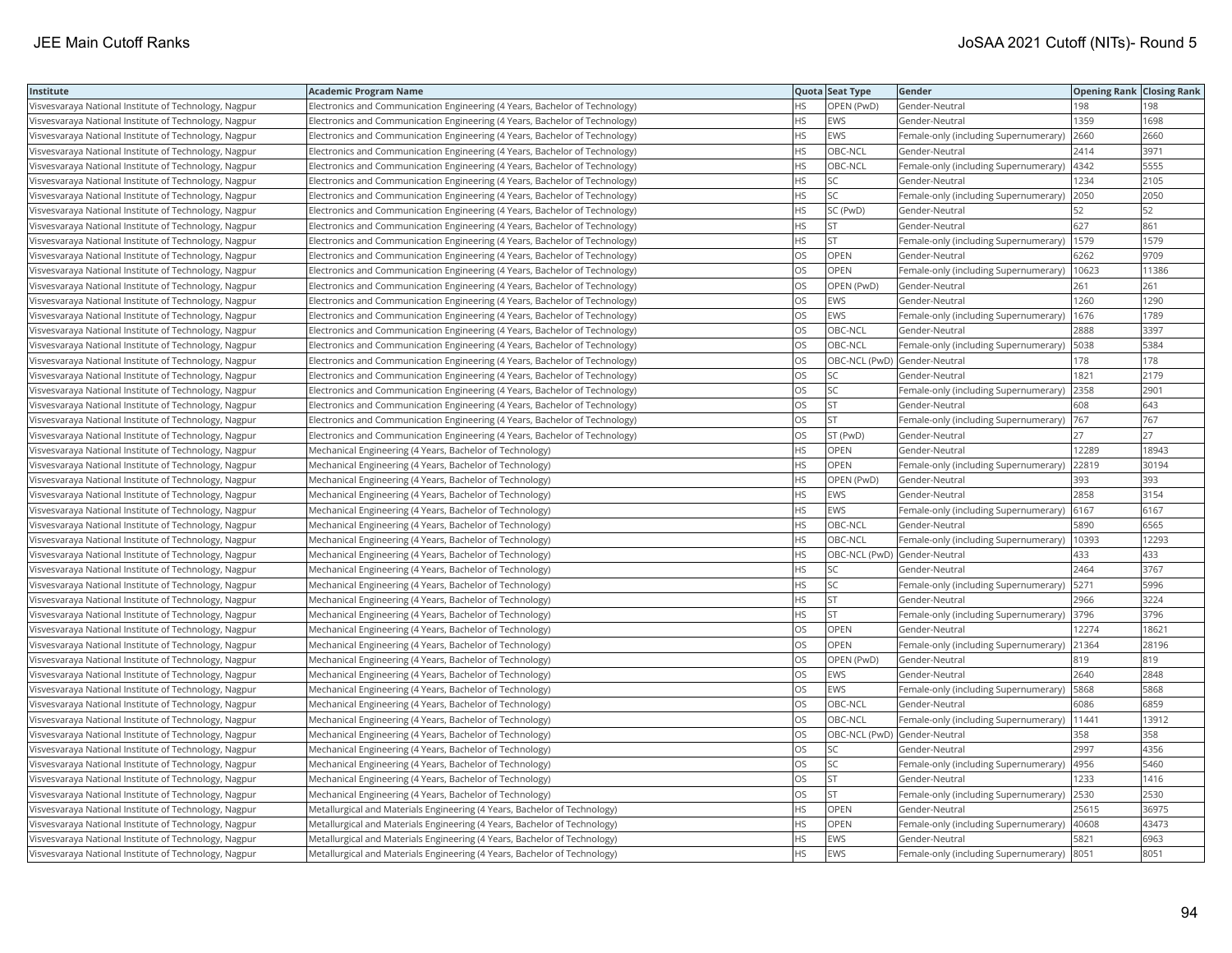| Institute                                             | <b>Academic Program Name</b>                                                |           | Quota Seat Type              | Gender                                        | <b>Opening Rank   Closing Rank</b> |       |
|-------------------------------------------------------|-----------------------------------------------------------------------------|-----------|------------------------------|-----------------------------------------------|------------------------------------|-------|
| Visvesvaraya National Institute of Technology, Nagpur | Electronics and Communication Engineering (4 Years, Bachelor of Technology) | HS        | OPEN (PwD)                   | Gender-Neutral                                | 198                                | 198   |
| Visvesvaraya National Institute of Technology, Nagpur | Electronics and Communication Engineering (4 Years, Bachelor of Technology) | HS.       | <b>EWS</b>                   | Gender-Neutral                                | 1359                               | 1698  |
| Visvesvaraya National Institute of Technology, Nagpur | Electronics and Communication Engineering (4 Years, Bachelor of Technology) | HS        | <b>EWS</b>                   | Female-only (including Supernumerary)         | 2660                               | 2660  |
| Visvesvaraya National Institute of Technology, Nagpur | Electronics and Communication Engineering (4 Years, Bachelor of Technology) | HS.       | OBC-NCL                      | Gender-Neutral                                | 2414                               | 3971  |
| Visvesvaraya National Institute of Technology, Nagpur | Electronics and Communication Engineering (4 Years, Bachelor of Technology) | HS        | OBC-NCL                      | Female-only (including Supernumerary)         | 4342                               | 5555  |
| Visvesvaraya National Institute of Technology, Nagpur | Electronics and Communication Engineering (4 Years, Bachelor of Technology) | ΗS        | <b>SC</b>                    | Gender-Neutral                                | 1234                               | 2105  |
| Visvesvaraya National Institute of Technology, Nagpur | Electronics and Communication Engineering (4 Years, Bachelor of Technology) | HS        | <b>SC</b>                    | Female-only (including Supernumerary)         | 2050                               | 2050  |
| Visvesvaraya National Institute of Technology, Nagpur | Electronics and Communication Engineering (4 Years, Bachelor of Technology) | HS        | SC (PwD)                     | Gender-Neutral                                | 52                                 | 52    |
| Visvesvaraya National Institute of Technology, Nagpur | Electronics and Communication Engineering (4 Years, Bachelor of Technology) | HS.       | lst                          | Gender-Neutral                                | 627                                | 861   |
| Visvesvaraya National Institute of Technology, Nagpur | Electronics and Communication Engineering (4 Years, Bachelor of Technology) | HS        | <b>ST</b>                    | Female-only (including Supernumerary)         | 1579                               | 1579  |
| Visvesvaraya National Institute of Technology, Nagpur | Electronics and Communication Engineering (4 Years, Bachelor of Technology) | OS        | OPEN                         | Gender-Neutral                                | 6262                               | 9709  |
| Visvesvaraya National Institute of Technology, Nagpur | Electronics and Communication Engineering (4 Years, Bachelor of Technology) | OS        | <b>OPEN</b>                  | Female-only (including Supernumerary)         | 10623                              | 11386 |
| Visvesvaraya National Institute of Technology, Nagpur | Electronics and Communication Engineering (4 Years, Bachelor of Technology) | OS        | OPEN (PwD)                   | Gender-Neutral                                | 261                                | 261   |
| Visvesvaraya National Institute of Technology, Nagpur | Electronics and Communication Engineering (4 Years, Bachelor of Technology) | OS        | EWS                          | Gender-Neutral                                | 1260                               | 1290  |
| Visvesvaraya National Institute of Technology, Nagpur | Electronics and Communication Engineering (4 Years, Bachelor of Technology) | OS        | EWS                          | Female-only (including Supernumerary)         | 1676                               | 1789  |
| Visvesvaraya National Institute of Technology, Nagpur | Electronics and Communication Engineering (4 Years, Bachelor of Technology) | OS        | OBC-NCL                      | Gender-Neutral                                | 2888                               | 3397  |
| Visvesvaraya National Institute of Technology, Nagpur | Electronics and Communication Engineering (4 Years, Bachelor of Technology) | OS.       | OBC-NCL                      | Female-only (including Supernumerary)         | 5038                               | 5384  |
| Visvesvaraya National Institute of Technology, Nagpur | Electronics and Communication Engineering (4 Years, Bachelor of Technology) | OS        | OBC-NCL (PwD) Gender-Neutral |                                               | 178                                | 178   |
| Visvesvaraya National Institute of Technology, Nagpur | Electronics and Communication Engineering (4 Years, Bachelor of Technology) | OS        | SC                           | Gender-Neutral                                | 1821                               | 2179  |
| Visvesvaraya National Institute of Technology, Nagpur | Electronics and Communication Engineering (4 Years, Bachelor of Technology) | OS.       | lsc                          | Female-only (including Supernumerary)         | 2358                               | 2901  |
| Visvesvaraya National Institute of Technology, Nagpur | Electronics and Communication Engineering (4 Years, Bachelor of Technology) | OS        | <b>ST</b>                    | Gender-Neutral                                | 608                                | 643   |
| Visvesvaraya National Institute of Technology, Nagpur | Electronics and Communication Engineering (4 Years, Bachelor of Technology) | OS        | <b>ST</b>                    | Female-only (including Supernumerary)         | 767                                | 767   |
| Visvesvaraya National Institute of Technology, Nagpur | Electronics and Communication Engineering (4 Years, Bachelor of Technology) | OS        | ST (PwD)                     | Gender-Neutral                                | 27                                 | 27    |
| Visvesvaraya National Institute of Technology, Nagpur | Mechanical Engineering (4 Years, Bachelor of Technology)                    | HS        | <b>OPEN</b>                  | Gender-Neutral                                | 12289                              | 18943 |
| Visvesvaraya National Institute of Technology, Nagpur | Mechanical Engineering (4 Years, Bachelor of Technology)                    | НS        | OPEN                         | Female-only (including Supernumerary)         | 22819                              | 30194 |
| Visvesvaraya National Institute of Technology, Nagpur | Mechanical Engineering (4 Years, Bachelor of Technology)                    | HS        | OPEN (PwD)                   | Gender-Neutral                                | 393                                | 393   |
| Visvesvaraya National Institute of Technology, Nagpur | Mechanical Engineering (4 Years, Bachelor of Technology)                    | HS.       | EWS                          | Gender-Neutral                                | 2858                               | 3154  |
| Visvesvaraya National Institute of Technology, Nagpur | Mechanical Engineering (4 Years, Bachelor of Technology)                    | HS.       | <b>EWS</b>                   | Female-only (including Supernumerary)         | 6167                               | 6167  |
| Visvesvaraya National Institute of Technology, Nagpur | Mechanical Engineering (4 Years, Bachelor of Technology)                    | HS        | OBC-NCL                      | Gender-Neutral                                | 5890                               | 6565  |
| Visvesvaraya National Institute of Technology, Nagpur | Mechanical Engineering (4 Years, Bachelor of Technology)                    | HS        | OBC-NCL                      | Female-only (including Supernumerary)   10393 |                                    | 12293 |
| Visvesvaraya National Institute of Technology, Nagpur | Mechanical Engineering (4 Years, Bachelor of Technology)                    | HS        | OBC-NCL (PwD) Gender-Neutral |                                               | 433                                | 433   |
| Visvesvaraya National Institute of Technology, Nagpur | Mechanical Engineering (4 Years, Bachelor of Technology)                    | HS        | SC                           | Gender-Neutral                                | 2464                               | 3767  |
| Visvesvaraya National Institute of Technology, Nagpur | Mechanical Engineering (4 Years, Bachelor of Technology)                    | HS        | SC                           | Female-only (including Supernumerary)         | 5271                               | 5996  |
| Visvesvaraya National Institute of Technology, Nagpur | Mechanical Engineering (4 Years, Bachelor of Technology)                    | HS        | <b>ST</b>                    | Gender-Neutral                                | 2966                               | 3224  |
| Visvesvaraya National Institute of Technology, Nagpur | Mechanical Engineering (4 Years, Bachelor of Technology)                    | HS        | <b>ST</b>                    | Female-only (including Supernumerary)         | 3796                               | 3796  |
| Visvesvaraya National Institute of Technology, Nagpur | Mechanical Engineering (4 Years, Bachelor of Technology)                    | OS        | OPEN                         | Gender-Neutral                                | 12274                              | 18621 |
| Visvesvaraya National Institute of Technology, Nagpur | Mechanical Engineering (4 Years, Bachelor of Technology)                    | OS        | OPEN                         | Female-only (including Supernumerary)         | 21364                              | 28196 |
| Visvesvaraya National Institute of Technology, Nagpur | Mechanical Engineering (4 Years, Bachelor of Technology)                    | OS.       | OPEN (PwD)                   | Gender-Neutral                                | 819                                | 819   |
| Visvesvaraya National Institute of Technology, Nagpur | Mechanical Engineering (4 Years, Bachelor of Technology)                    | OS        | EWS                          | Gender-Neutral                                | 2640                               | 2848  |
| Visvesvaraya National Institute of Technology, Nagpur | Mechanical Engineering (4 Years, Bachelor of Technology)                    | OS        | EWS                          | Female-only (including Supernumerary)         | 5868                               | 5868  |
| Visvesvaraya National Institute of Technology, Nagpur | Mechanical Engineering (4 Years, Bachelor of Technology)                    | OS        | OBC-NCL                      | Gender-Neutral                                | 6086                               | 6859  |
| Visvesvaraya National Institute of Technology, Nagpur | Mechanical Engineering (4 Years, Bachelor of Technology)                    | OS        | OBC-NCL                      | Female-only (including Supernumerary)         | 11441                              | 13912 |
| Visvesvaraya National Institute of Technology, Nagpur | Mechanical Engineering (4 Years, Bachelor of Technology)                    | OS        | OBC-NCL (PwD) Gender-Neutral |                                               | 358                                | 358   |
| Visvesvaraya National Institute of Technology, Nagpur | Mechanical Engineering (4 Years, Bachelor of Technology)                    | OS        | <b>SC</b>                    | Gender-Neutral                                | 2997                               | 4356  |
| Visvesvaraya National Institute of Technology, Nagpur | Mechanical Engineering (4 Years, Bachelor of Technology)                    | OS.       | lsc                          | Female-only (including Supernumerary)         | 4956                               | 5460  |
| Visvesvaraya National Institute of Technology, Nagpur | Mechanical Engineering (4 Years, Bachelor of Technology)                    | OS        | <b>ST</b>                    | Gender-Neutral                                | 1233                               | 1416  |
| Visvesvaraya National Institute of Technology, Nagpur | Mechanical Engineering (4 Years, Bachelor of Technology)                    | OS        | <b>ST</b>                    | Female-only (including Supernumerary)         | 2530                               | 2530  |
| Visvesvaraya National Institute of Technology, Nagpur | Metallurgical and Materials Engineering (4 Years, Bachelor of Technology)   | НS        | <b>OPEN</b>                  | Gender-Neutral                                | 25615                              | 36975 |
| Visvesvaraya National Institute of Technology, Nagpur | Metallurgical and Materials Engineering (4 Years, Bachelor of Technology)   | HS        | <b>OPEN</b>                  | Female-only (including Supernumerary)         | 40608                              | 43473 |
| Visvesvaraya National Institute of Technology, Nagpur | Metallurgical and Materials Engineering (4 Years, Bachelor of Technology)   | <b>HS</b> | <b>EWS</b>                   | Gender-Neutral                                | 5821                               | 6963  |
| Visvesvaraya National Institute of Technology, Nagpur | Metallurgical and Materials Engineering (4 Years, Bachelor of Technology)   | HS.       | <b>EWS</b>                   | Female-only (including Supernumerary)         | 8051                               | 8051  |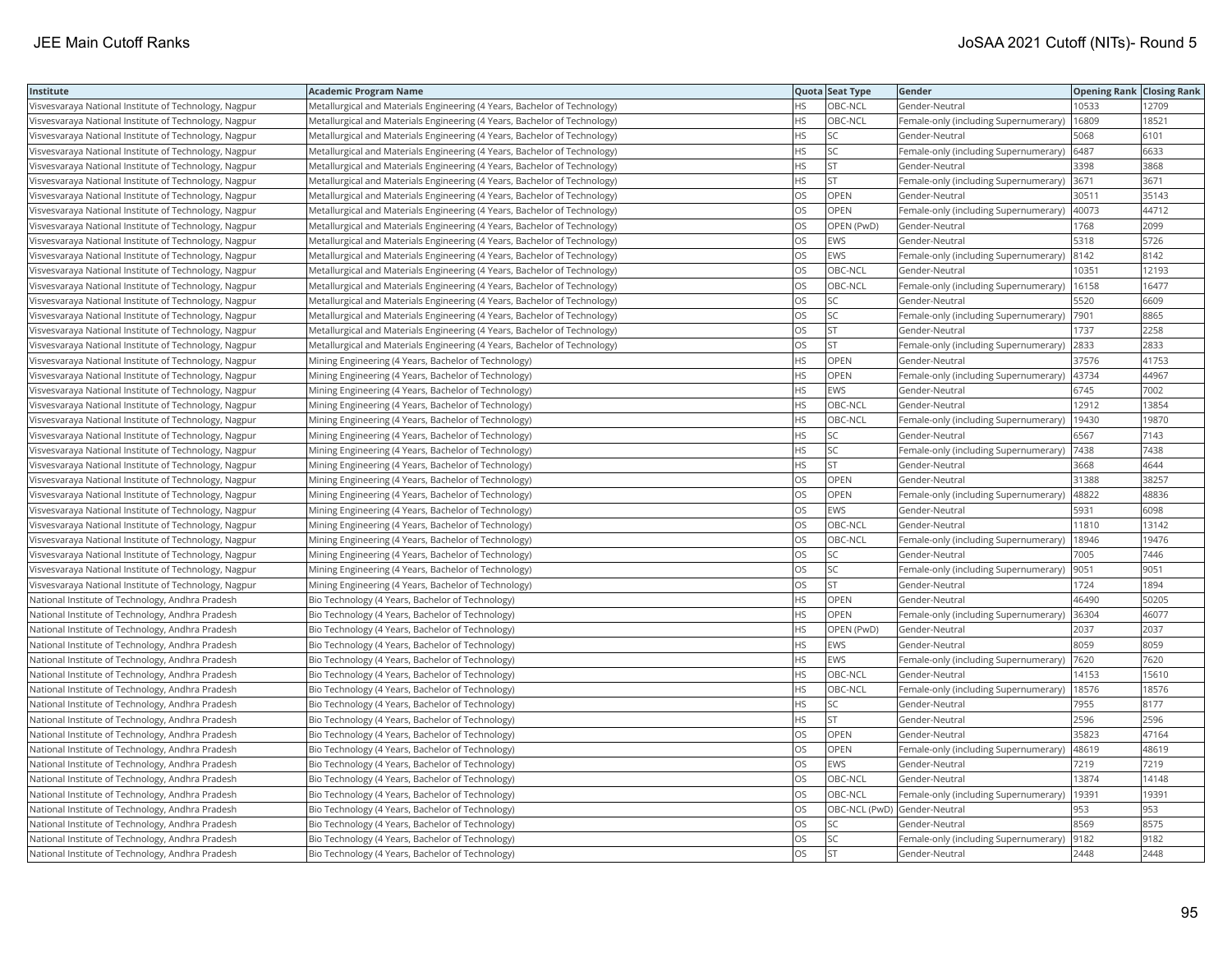| Institute                                             | <b>Academic Program Name</b>                                              |           | Quota Seat Type              | Gender                                        | <b>Opening Rank   Closing Rank</b> |       |
|-------------------------------------------------------|---------------------------------------------------------------------------|-----------|------------------------------|-----------------------------------------------|------------------------------------|-------|
| Visvesvaraya National Institute of Technology, Nagpur | Metallurgical and Materials Engineering (4 Years, Bachelor of Technology) | HS        | OBC-NCL                      | Gender-Neutral                                | 10533                              | 12709 |
| Visvesvaraya National Institute of Technology, Nagpur | Metallurgical and Materials Engineering (4 Years, Bachelor of Technology) | HS        | OBC-NCL                      | Female-only (including Supernumerary)         | 16809                              | 18521 |
| Visvesvaraya National Institute of Technology, Nagpur | Metallurgical and Materials Engineering (4 Years, Bachelor of Technology) | HS        | <b>SC</b>                    | Gender-Neutral                                | 5068                               | 6101  |
| Visvesvaraya National Institute of Technology, Nagpur | Metallurgical and Materials Engineering (4 Years, Bachelor of Technology) | HS.       | <b>SC</b>                    | Female-only (including Supernumerary)         | 6487                               | 6633  |
| Visvesvaraya National Institute of Technology, Nagpur | Metallurgical and Materials Engineering (4 Years, Bachelor of Technology) | HS        | <b>ST</b>                    | Gender-Neutral                                | 3398                               | 3868  |
| Visvesvaraya National Institute of Technology, Nagpur | Metallurgical and Materials Engineering (4 Years, Bachelor of Technology) | HS        | <b>ST</b>                    | Female-only (including Supernumerary)         | 3671                               | 3671  |
| Visvesvaraya National Institute of Technology, Nagpur | Metallurgical and Materials Engineering (4 Years, Bachelor of Technology) | OS.       | <b>OPEN</b>                  | Gender-Neutral                                | 30511                              | 35143 |
| Visvesvaraya National Institute of Technology, Nagpur | Metallurgical and Materials Engineering (4 Years, Bachelor of Technology) | OS        | OPEN                         | Female-only (including Supernumerary)         | 40073                              | 44712 |
| Visvesvaraya National Institute of Technology, Nagpur | Metallurgical and Materials Engineering (4 Years, Bachelor of Technology) | OS        | OPEN (PwD)                   | Gender-Neutral                                | 1768                               | 2099  |
| Visvesvaraya National Institute of Technology, Nagpur | Metallurgical and Materials Engineering (4 Years, Bachelor of Technology) | OS.       | <b>EWS</b>                   | Gender-Neutral                                | 5318                               | 5726  |
| Visvesvaraya National Institute of Technology, Nagpur | Metallurgical and Materials Engineering (4 Years, Bachelor of Technology) | OS        | <b>EWS</b>                   | Female-only (including Supernumerary)         | 8142                               | 8142  |
| Visvesvaraya National Institute of Technology, Nagpur | Metallurgical and Materials Engineering (4 Years, Bachelor of Technology) | OS.       | OBC-NCL                      | Gender-Neutral                                | 10351                              | 12193 |
| Visvesvaraya National Institute of Technology, Nagpur | Metallurgical and Materials Engineering (4 Years, Bachelor of Technology) | OS        | OBC-NCL                      | Female-only (including Supernumerary)   16158 |                                    | 16477 |
| Visvesvaraya National Institute of Technology, Nagpur | Metallurgical and Materials Engineering (4 Years, Bachelor of Technology) | OS        | <b>SC</b>                    | Gender-Neutral                                | 5520                               | 6609  |
| Visvesvaraya National Institute of Technology, Nagpur | Metallurgical and Materials Engineering (4 Years, Bachelor of Technology) | OS.       | SC                           | Female-only (including Supernumerary)         | 7901                               | 8865  |
| Visvesvaraya National Institute of Technology, Nagpur | Metallurgical and Materials Engineering (4 Years, Bachelor of Technology) | OS        | <b>ST</b>                    | Gender-Neutral                                | 1737                               | 2258  |
| Visvesvaraya National Institute of Technology, Nagpur | Metallurgical and Materials Engineering (4 Years, Bachelor of Technology) | OS        | <b>ST</b>                    | Female-only (including Supernumerary)         | 2833                               | 2833  |
| Visvesvaraya National Institute of Technology, Nagpur | Mining Engineering (4 Years, Bachelor of Technology)                      | HS        | OPEN                         | Gender-Neutral                                | 37576                              | 41753 |
| Visvesvaraya National Institute of Technology, Nagpur | Mining Engineering (4 Years, Bachelor of Technology)                      | HS        | OPEN                         | Female-only (including Supernumerary)         | 43734                              | 44967 |
| Visvesvaraya National Institute of Technology, Nagpur | Mining Engineering (4 Years, Bachelor of Technology)                      | HS.       | EWS                          | Gender-Neutral                                | 6745                               | 7002  |
| Visvesvaraya National Institute of Technology, Nagpur | Mining Engineering (4 Years, Bachelor of Technology)                      | HS        | OBC-NCL                      | Gender-Neutral                                | 12912                              | 13854 |
| Visvesvaraya National Institute of Technology, Nagpur | Mining Engineering (4 Years, Bachelor of Technology)                      | HS        | OBC-NCL                      | Female-only (including Supernumerary)         | 19430                              | 19870 |
| Visvesvaraya National Institute of Technology, Nagpur | Mining Engineering (4 Years, Bachelor of Technology)                      | HS.       | <b>SC</b>                    | Gender-Neutral                                | 6567                               | 7143  |
| Visvesvaraya National Institute of Technology, Nagpur | Mining Engineering (4 Years, Bachelor of Technology)                      | HS        | SC                           | Female-only (including Supernumerary)         | 7438                               | 7438  |
| Visvesvaraya National Institute of Technology, Nagpur | Mining Engineering (4 Years, Bachelor of Technology)                      | HS        | <b>ST</b>                    | Gender-Neutral                                | 3668                               | 4644  |
| Visvesvaraya National Institute of Technology, Nagpur | Mining Engineering (4 Years, Bachelor of Technology)                      | OS.       | OPEN                         | Gender-Neutral                                | 31388                              | 38257 |
| Visvesvaraya National Institute of Technology, Nagpur | Mining Engineering (4 Years, Bachelor of Technology)                      | <b>OS</b> | OPEN                         | Female-only (including Supernumerary)         | 48822                              | 48836 |
| Visvesvaraya National Institute of Technology, Nagpur | Mining Engineering (4 Years, Bachelor of Technology)                      | OS.       | EWS                          | Gender-Neutral                                | 5931                               | 6098  |
| Visvesvaraya National Institute of Technology, Nagpur | Mining Engineering (4 Years, Bachelor of Technology)                      | OS        | OBC-NCL                      | Gender-Neutral                                | 11810                              | 13142 |
| Visvesvaraya National Institute of Technology, Nagpur | Mining Engineering (4 Years, Bachelor of Technology)                      | OS        | OBC-NCL                      | Female-only (including Supernumerary)         | 18946                              | 19476 |
| Visvesvaraya National Institute of Technology, Nagpur | Mining Engineering (4 Years, Bachelor of Technology)                      | OS.       | SC                           | Gender-Neutral                                | 7005                               | 7446  |
| Visvesvaraya National Institute of Technology, Nagpur | Mining Engineering (4 Years, Bachelor of Technology)                      | OS        | SC                           | Female-only (including Supernumerary)         | 9051                               | 9051  |
| Visvesvaraya National Institute of Technology, Nagpur | Mining Engineering (4 Years, Bachelor of Technology)                      | OS        | <b>ST</b>                    | Gender-Neutral                                | 1724                               | 1894  |
| National Institute of Technology, Andhra Pradesh      | Bio Technology (4 Years, Bachelor of Technology)                          | HS        | OPEN                         | Gender-Neutral                                | 46490                              | 50205 |
| National Institute of Technology, Andhra Pradesh      | Bio Technology (4 Years, Bachelor of Technology)                          | HS.       | OPEN                         | Female-only (including Supernumerary)         | 36304                              | 46077 |
| National Institute of Technology, Andhra Pradesh      | Bio Technology (4 Years, Bachelor of Technology)                          | HS.       | OPEN (PwD)                   | Gender-Neutral                                | 2037                               | 2037  |
| National Institute of Technology, Andhra Pradesh      | Bio Technology (4 Years, Bachelor of Technology)                          | HS        | EWS                          | Gender-Neutral                                | 8059                               | 8059  |
| National Institute of Technology, Andhra Pradesh      | Bio Technology (4 Years, Bachelor of Technology)                          | HS        | EWS                          | Female-only (including Supernumerary)         | 7620                               | 7620  |
| National Institute of Technology, Andhra Pradesh      | Bio Technology (4 Years, Bachelor of Technology)                          | HS.       | OBC-NCL                      | Gender-Neutral                                | 14153                              | 15610 |
| National Institute of Technology, Andhra Pradesh      | Bio Technology (4 Years, Bachelor of Technology)                          | HS        | OBC-NCL                      | Female-only (including Supernumerary)         | 18576                              | 18576 |
| National Institute of Technology, Andhra Pradesh      | Bio Technology (4 Years, Bachelor of Technology)                          | HS        | <b>SC</b>                    | Gender-Neutral                                | 7955                               | 8177  |
| National Institute of Technology, Andhra Pradesh      | Bio Technology (4 Years, Bachelor of Technology)                          | HS        | <b>ST</b>                    | Gender-Neutral                                | 2596                               | 2596  |
| National Institute of Technology, Andhra Pradesh      | Bio Technology (4 Years, Bachelor of Technology)                          | <b>OS</b> | OPEN                         | Gender-Neutral                                | 35823                              | 47164 |
| National Institute of Technology, Andhra Pradesh      | Bio Technology (4 Years, Bachelor of Technology)                          | OS.       | OPEN                         | Female-only (including Supernumerary)         | 48619                              | 48619 |
| National Institute of Technology, Andhra Pradesh      | Bio Technology (4 Years, Bachelor of Technology)                          | OS        | EWS                          | Gender-Neutral                                | 7219                               | 7219  |
| National Institute of Technology, Andhra Pradesh      | Bio Technology (4 Years, Bachelor of Technology)                          | OS        | OBC-NCL                      | Gender-Neutral                                | 13874                              | 14148 |
| National Institute of Technology, Andhra Pradesh      | Bio Technology (4 Years, Bachelor of Technology)                          | OS.       | OBC-NCL                      | Female-only (including Supernumerary)         | 19391                              | 19391 |
| National Institute of Technology, Andhra Pradesh      | Bio Technology (4 Years, Bachelor of Technology)                          | OS        | OBC-NCL (PwD) Gender-Neutral |                                               | 953                                | 953   |
| National Institute of Technology, Andhra Pradesh      | Bio Technology (4 Years, Bachelor of Technology)                          | OS        | SC                           | Gender-Neutral                                | 8569                               | 8575  |
| National Institute of Technology, Andhra Pradesh      | Bio Technology (4 Years, Bachelor of Technology)                          | OS        | <b>SC</b>                    | Female-only (including Supernumerary)         | 9182                               | 9182  |
| National Institute of Technology, Andhra Pradesh      | Bio Technology (4 Years, Bachelor of Technology)                          | <b>OS</b> | <b>ST</b>                    | Gender-Neutral                                | 2448                               | 2448  |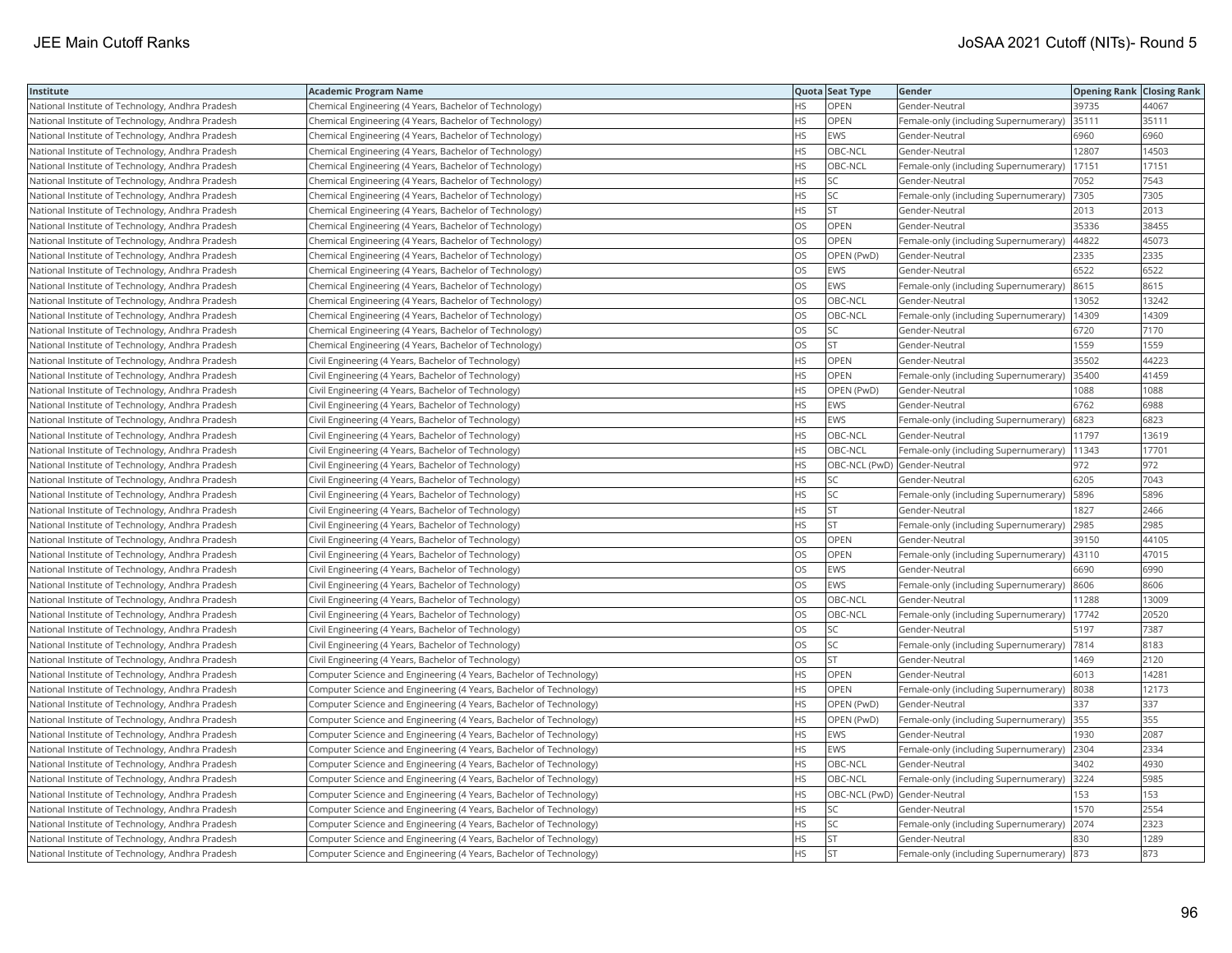| Institute                                        | Academic Program Name                                              |           | Quota Seat Type              | Gender                                       | <b>Opening Rank Closing Rank</b> |       |
|--------------------------------------------------|--------------------------------------------------------------------|-----------|------------------------------|----------------------------------------------|----------------------------------|-------|
| National Institute of Technology, Andhra Pradesh | Chemical Engineering (4 Years, Bachelor of Technology)             | HS        | OPEN                         | Gender-Neutral                               | 39735                            | 44067 |
| National Institute of Technology, Andhra Pradesh | Chemical Engineering (4 Years, Bachelor of Technology)             | <b>HS</b> | OPEN                         | Female-only (including Supernumerary)        | 35111                            | 35111 |
| National Institute of Technology, Andhra Pradesh | Chemical Engineering (4 Years, Bachelor of Technology)             | <b>HS</b> | <b>EWS</b>                   | Gender-Neutral                               | 6960                             | 6960  |
| National Institute of Technology, Andhra Pradesh | Chemical Engineering (4 Years, Bachelor of Technology)             | HS.       | OBC-NCL                      | Gender-Neutral                               | 12807                            | 14503 |
| National Institute of Technology, Andhra Pradesh | Chemical Engineering (4 Years, Bachelor of Technology)             | HS.       | OBC-NCL                      | Female-only (including Supernumerary)        | 17151                            | 17151 |
| National Institute of Technology, Andhra Pradesh | Chemical Engineering (4 Years, Bachelor of Technology)             | HS.       | SC                           | Gender-Neutral                               | 7052                             | 7543  |
| National Institute of Technology, Andhra Pradesh | Chemical Engineering (4 Years, Bachelor of Technology)             | HS        | SC                           | Female-only (including Supernumerary)        | 7305                             | 7305  |
| National Institute of Technology, Andhra Pradesh | Chemical Engineering (4 Years, Bachelor of Technology)             | HS.       | <b>ST</b>                    | Gender-Neutral                               | 2013                             | 2013  |
| National Institute of Technology, Andhra Pradesh | Chemical Engineering (4 Years, Bachelor of Technology)             | OS        | OPEN                         | Gender-Neutral                               | 35336                            | 38455 |
| National Institute of Technology, Andhra Pradesh | Chemical Engineering (4 Years, Bachelor of Technology)             | OS        | OPEN                         | Female-only (including Supernumerary)        | 44822                            | 45073 |
| National Institute of Technology, Andhra Pradesh | Chemical Engineering (4 Years, Bachelor of Technology)             | OS.       | OPEN (PwD)                   | Gender-Neutral                               | 2335                             | 2335  |
| National Institute of Technology, Andhra Pradesh | Chemical Engineering (4 Years, Bachelor of Technology)             | OS        | <b>EWS</b>                   | Gender-Neutral                               | 6522                             | 6522  |
| National Institute of Technology, Andhra Pradesh | Chemical Engineering (4 Years, Bachelor of Technology)             | OS.       | EWS                          | Female-only (including Supernumerary) 8615   |                                  | 8615  |
| National Institute of Technology, Andhra Pradesh | Chemical Engineering (4 Years, Bachelor of Technology)             | OS        | OBC-NCL                      | Gender-Neutral                               | 13052                            | 13242 |
| National Institute of Technology, Andhra Pradesh | Chemical Engineering (4 Years, Bachelor of Technology)             | OS        | OBC-NCL                      | Female-only (including Supernumerary)        | 14309                            | 14309 |
| National Institute of Technology, Andhra Pradesh | Chemical Engineering (4 Years, Bachelor of Technology)             | OS.       | SC                           | Gender-Neutral                               | 6720                             | 7170  |
| National Institute of Technology, Andhra Pradesh | Chemical Engineering (4 Years, Bachelor of Technology)             | OS        | <b>ST</b>                    | Gender-Neutral                               | 1559                             | 1559  |
| National Institute of Technology, Andhra Pradesh | Civil Engineering (4 Years, Bachelor of Technology)                | HS        | OPEN                         | Gender-Neutral                               | 35502                            | 44223 |
| National Institute of Technology, Andhra Pradesh | Civil Engineering (4 Years, Bachelor of Technology)                | <b>HS</b> | <b>OPEN</b>                  | Female-only (including Supernumerary)        | 35400                            | 41459 |
| National Institute of Technology, Andhra Pradesh | Civil Engineering (4 Years, Bachelor of Technology)                | HS        | OPEN (PwD)                   | Gender-Neutral                               | 1088                             | 1088  |
| National Institute of Technology, Andhra Pradesh | Civil Engineering (4 Years, Bachelor of Technology)                | HS.       | EWS                          | Gender-Neutral                               | 6762                             | 6988  |
| National Institute of Technology, Andhra Pradesh | Civil Engineering (4 Years, Bachelor of Technology)                | HS.       | <b>EWS</b>                   | Female-only (including Supernumerary)        | 6823                             | 6823  |
| National Institute of Technology, Andhra Pradesh | Civil Engineering (4 Years, Bachelor of Technology)                | HS        | OBC-NCL                      | Gender-Neutral                               | 11797                            | 13619 |
| National Institute of Technology, Andhra Pradesh | Civil Engineering (4 Years, Bachelor of Technology)                | HS        | OBC-NCL                      | Female-only (including Supernumerary)        | 11343                            | 17701 |
| National Institute of Technology, Andhra Pradesh | Civil Engineering (4 Years, Bachelor of Technology)                | HS.       | OBC-NCL (PwD) Gender-Neutral |                                              | 972                              | 972   |
| National Institute of Technology, Andhra Pradesh | Civil Engineering (4 Years, Bachelor of Technology)                | HS        | SC                           | Gender-Neutral                               | 6205                             | 7043  |
| National Institute of Technology, Andhra Pradesh | Civil Engineering (4 Years, Bachelor of Technology)                | HS.       | <b>SC</b>                    | Female-only (including Supernumerary)        | 5896                             | 5896  |
| National Institute of Technology, Andhra Pradesh | Civil Engineering (4 Years, Bachelor of Technology)                | HS        | <b>ST</b>                    | Gender-Neutral                               | 1827                             | 2466  |
| National Institute of Technology, Andhra Pradesh | Civil Engineering (4 Years, Bachelor of Technology)                | HS        | <b>ST</b>                    | Female-only (including Supernumerary)        | 2985                             | 2985  |
| National Institute of Technology, Andhra Pradesh | Civil Engineering (4 Years, Bachelor of Technology)                | OS        | OPEN                         | Gender-Neutral                               | 39150                            | 44105 |
| National Institute of Technology, Andhra Pradesh | Civil Engineering (4 Years, Bachelor of Technology)                | OS        | <b>OPEN</b>                  | Female-only (including Supernumerary)  43110 |                                  | 47015 |
| National Institute of Technology, Andhra Pradesh | Civil Engineering (4 Years, Bachelor of Technology)                | OS        | EWS                          | Gender-Neutral                               | 6690                             | 6990  |
| National Institute of Technology, Andhra Pradesh | Civil Engineering (4 Years, Bachelor of Technology)                | OS        | <b>EWS</b>                   | Female-only (including Supernumerary)        | 8606                             | 8606  |
| National Institute of Technology, Andhra Pradesh | Civil Engineering (4 Years, Bachelor of Technology)                | OS        | OBC-NCL                      | Gender-Neutral                               | 11288                            | 13009 |
| National Institute of Technology, Andhra Pradesh | Civil Engineering (4 Years, Bachelor of Technology)                | <b>OS</b> | OBC-NCL                      | Female-only (including Supernumerary)        | 17742                            | 20520 |
| National Institute of Technology, Andhra Pradesh | Civil Engineering (4 Years, Bachelor of Technology)                | OS        | SC                           | Gender-Neutral                               | 5197                             | 7387  |
| National Institute of Technology, Andhra Pradesh | Civil Engineering (4 Years, Bachelor of Technology)                | OS        | SC                           | Female-only (including Supernumerary)  7814  |                                  | 8183  |
| National Institute of Technology, Andhra Pradesh | Civil Engineering (4 Years, Bachelor of Technology)                | OS        | <b>ST</b>                    | Gender-Neutral                               | 1469                             | 2120  |
| National Institute of Technology, Andhra Pradesh | Computer Science and Engineering (4 Years, Bachelor of Technology) | <b>HS</b> | OPEN                         | Gender-Neutral                               | 6013                             | 14281 |
| National Institute of Technology, Andhra Pradesh | Computer Science and Engineering (4 Years, Bachelor of Technology) | HS        | OPEN                         | Female-only (including Supernumerary)        | 8038                             | 12173 |
| National Institute of Technology, Andhra Pradesh | Computer Science and Engineering (4 Years, Bachelor of Technology) | <b>HS</b> | OPEN (PwD)                   | Gender-Neutral                               | 337                              | 337   |
| National Institute of Technology, Andhra Pradesh | Computer Science and Engineering (4 Years, Bachelor of Technology) | HS.       | OPEN (PwD)                   | Female-only (including Supernumerary)        | 355                              | 355   |
| National Institute of Technology, Andhra Pradesh | Computer Science and Engineering (4 Years, Bachelor of Technology) | HS        | <b>EWS</b>                   | Gender-Neutral                               | 1930                             | 2087  |
| National Institute of Technology, Andhra Pradesh | Computer Science and Engineering (4 Years, Bachelor of Technology) | HS        | EWS                          | Female-only (including Supernumerary)        | 2304                             | 2334  |
| National Institute of Technology, Andhra Pradesh | Computer Science and Engineering (4 Years, Bachelor of Technology) | HS        | OBC-NCL                      | Gender-Neutral                               | 3402                             | 4930  |
| National Institute of Technology, Andhra Pradesh | Computer Science and Engineering (4 Years, Bachelor of Technology) | HS        | OBC-NCL                      | Female-only (including Supernumerary) 3224   |                                  | 5985  |
| National Institute of Technology, Andhra Pradesh | Computer Science and Engineering (4 Years, Bachelor of Technology) | <b>HS</b> | OBC-NCL (PwD) Gender-Neutral |                                              | 153                              | 153   |
| National Institute of Technology, Andhra Pradesh | Computer Science and Engineering (4 Years, Bachelor of Technology) | HS        | SC                           | Gender-Neutral                               | 1570                             | 2554  |
| National Institute of Technology, Andhra Pradesh | Computer Science and Engineering (4 Years, Bachelor of Technology) | HS        | SC                           | Female-only (including Supernumerary)        | 2074                             | 2323  |
| National Institute of Technology, Andhra Pradesh | Computer Science and Engineering (4 Years, Bachelor of Technology) | HS        | <b>ST</b>                    | Gender-Neutral                               | 830                              | 1289  |
| National Institute of Technology, Andhra Pradesh | Computer Science and Engineering (4 Years, Bachelor of Technology) | <b>HS</b> | İst                          | Female-only (including Supernumerary) 873    |                                  | 873   |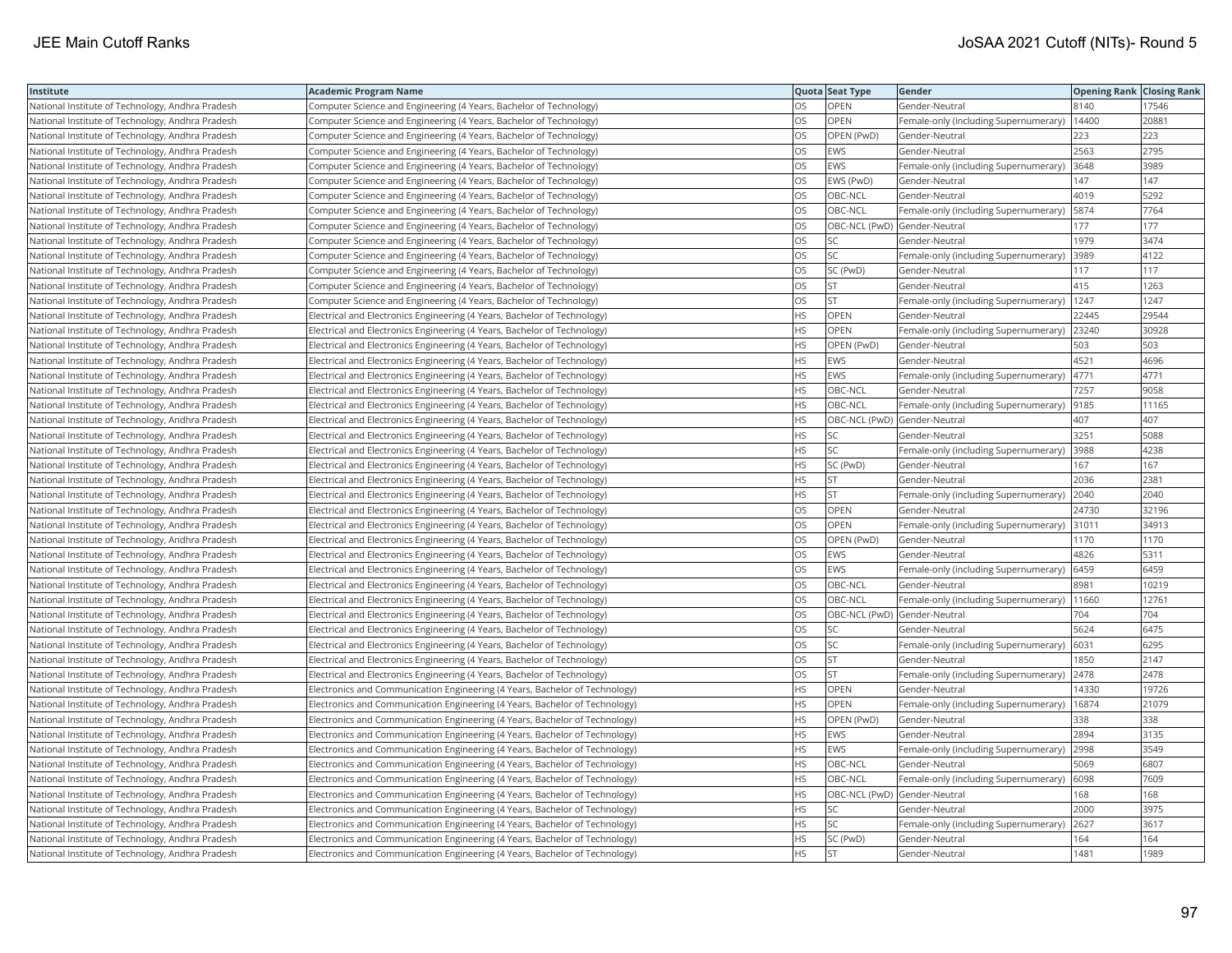| Institute                                        | <b>Academic Program Name</b>                                                |           | Quota Seat Type              | Gender                                      | <b>Opening Rank Closing Rank</b> |       |
|--------------------------------------------------|-----------------------------------------------------------------------------|-----------|------------------------------|---------------------------------------------|----------------------------------|-------|
| National Institute of Technology, Andhra Pradesh | Computer Science and Engineering (4 Years, Bachelor of Technology)          | OS        | OPEN                         | Gender-Neutral                              | 8140                             | 17546 |
| National Institute of Technology, Andhra Pradesh | Computer Science and Engineering (4 Years, Bachelor of Technology)          | OS        | OPEN                         | Female-only (including Supernumerary)       | 14400                            | 20881 |
| National Institute of Technology, Andhra Pradesh | Computer Science and Engineering (4 Years, Bachelor of Technology)          | OS        | OPEN (PwD)                   | Gender-Neutral                              | 223                              | 223   |
| National Institute of Technology, Andhra Pradesh | Computer Science and Engineering (4 Years, Bachelor of Technology)          | OS        | <b>EWS</b>                   | Gender-Neutral                              | 2563                             | 2795  |
| National Institute of Technology, Andhra Pradesh | Computer Science and Engineering (4 Years, Bachelor of Technology)          | OS        | EWS                          | Female-only (including Supernumerary)       | 3648                             | 3989  |
| National Institute of Technology, Andhra Pradesh | Computer Science and Engineering (4 Years, Bachelor of Technology)          | OS        | EWS (PwD)                    | Gender-Neutral                              | 147                              | 147   |
| National Institute of Technology, Andhra Pradesh | Computer Science and Engineering (4 Years, Bachelor of Technology)          | <b>OS</b> | OBC-NCL                      | Gender-Neutral                              | 4019                             | 5292  |
| National Institute of Technology, Andhra Pradesh | Computer Science and Engineering (4 Years, Bachelor of Technology)          | OS        | OBC-NCL                      | Female-only (including Supernumerary)       | 5874                             | 7764  |
| National Institute of Technology, Andhra Pradesh | Computer Science and Engineering (4 Years, Bachelor of Technology)          | OS        | OBC-NCL (PwD) Gender-Neutral |                                             | 177                              | 177   |
| National Institute of Technology, Andhra Pradesh | Computer Science and Engineering (4 Years, Bachelor of Technology)          | <b>OS</b> | SC                           | Gender-Neutral                              | 1979                             | 3474  |
| National Institute of Technology, Andhra Pradesh | Computer Science and Engineering (4 Years, Bachelor of Technology)          | OS        | <b>SC</b>                    | Female-only (including Supernumerary)       | 3989                             | 4122  |
| National Institute of Technology, Andhra Pradesh | Computer Science and Engineering (4 Years, Bachelor of Technology)          | <b>OS</b> | SC (PwD)                     | Gender-Neutral                              | 117                              | 117   |
| National Institute of Technology, Andhra Pradesh | Computer Science and Engineering (4 Years, Bachelor of Technology)          | OS        | <b>ST</b>                    | Gender-Neutral                              | 415                              | 1263  |
| National Institute of Technology, Andhra Pradesh | Computer Science and Engineering (4 Years, Bachelor of Technology)          | OS        | <b>ST</b>                    | Female-only (including Supernumerary)       | 1247                             | 1247  |
| National Institute of Technology, Andhra Pradesh | Electrical and Electronics Engineering (4 Years, Bachelor of Technology)    | <b>HS</b> | <b>OPEN</b>                  | Gender-Neutral                              | 22445                            | 29544 |
| National Institute of Technology, Andhra Pradesh | Electrical and Electronics Engineering (4 Years, Bachelor of Technology)    | HS        | OPEN                         | Female-only (including Supernumerary)       | 23240                            | 30928 |
| National Institute of Technology, Andhra Pradesh | Electrical and Electronics Engineering (4 Years, Bachelor of Technology)    | <b>HS</b> | OPEN (PwD)                   | Gender-Neutral                              | 503                              | 503   |
| National Institute of Technology, Andhra Pradesh | Electrical and Electronics Engineering (4 Years, Bachelor of Technology)    | <b>HS</b> | EWS                          | Gender-Neutral                              | 4521                             | 4696  |
| National Institute of Technology, Andhra Pradesh | Electrical and Electronics Engineering (4 Years, Bachelor of Technology)    | <b>HS</b> | EWS                          | Female-only (including Supernumerary)       | 4771                             | 4771  |
| National Institute of Technology, Andhra Pradesh | Electrical and Electronics Engineering (4 Years, Bachelor of Technology)    | <b>HS</b> | OBC-NCL                      | Gender-Neutral                              | 7257                             | 9058  |
| National Institute of Technology, Andhra Pradesh | Electrical and Electronics Engineering (4 Years, Bachelor of Technology)    | <b>HS</b> | OBC-NCL                      | Female-only (including Supernumerary)       | 9185                             | 11165 |
| National Institute of Technology, Andhra Pradesh | Electrical and Electronics Engineering (4 Years, Bachelor of Technology)    | HS.       | OBC-NCL (PwD) Gender-Neutral |                                             | 407                              | 407   |
| National Institute of Technology, Andhra Pradesh | Electrical and Electronics Engineering (4 Years, Bachelor of Technology)    | HS.       | SC                           | Gender-Neutral                              | 3251                             | 5088  |
| National Institute of Technology, Andhra Pradesh | Electrical and Electronics Engineering (4 Years, Bachelor of Technology)    | <b>HS</b> | SC                           | Female-only (including Supernumerary)       | 3988                             | 4238  |
| National Institute of Technology, Andhra Pradesh | Electrical and Electronics Engineering (4 Years, Bachelor of Technology)    | <b>HS</b> | SC (PwD)                     | Gender-Neutral                              | 167                              | 167   |
| National Institute of Technology, Andhra Pradesh | Electrical and Electronics Engineering (4 Years, Bachelor of Technology)    | <b>HS</b> | lst.                         | Gender-Neutral                              | 2036                             | 2381  |
| National Institute of Technology, Andhra Pradesh | Electrical and Electronics Engineering (4 Years, Bachelor of Technology)    | <b>HS</b> | lst                          | Female-only (including Supernumerary)       | 2040                             | 2040  |
| National Institute of Technology, Andhra Pradesh | Electrical and Electronics Engineering (4 Years, Bachelor of Technology)    | OS        | <b>OPEN</b>                  | Gender-Neutral                              | 24730                            | 32196 |
| National Institute of Technology, Andhra Pradesh | Electrical and Electronics Engineering (4 Years, Bachelor of Technology)    | OS        | <b>OPEN</b>                  | Female-only (including Supernumerary) 31011 |                                  | 34913 |
| National Institute of Technology, Andhra Pradesh | Electrical and Electronics Engineering (4 Years, Bachelor of Technology)    | OS        | OPEN (PwD)                   | Gender-Neutral                              | 1170                             | 1170  |
| National Institute of Technology, Andhra Pradesh | Electrical and Electronics Engineering (4 Years, Bachelor of Technology)    | <b>OS</b> | <b>EWS</b>                   | Gender-Neutral                              | 4826                             | 5311  |
| National Institute of Technology, Andhra Pradesh | Electrical and Electronics Engineering (4 Years, Bachelor of Technology)    | OS        | EWS                          | Female-only (including Supernumerary)       | 6459                             | 6459  |
| National Institute of Technology, Andhra Pradesh | Electrical and Electronics Engineering (4 Years, Bachelor of Technology)    | OS        | OBC-NCL                      | Gender-Neutral                              | 8981                             | 10219 |
| National Institute of Technology, Andhra Pradesh | Electrical and Electronics Engineering (4 Years, Bachelor of Technology)    | OS        | OBC-NCL                      | Female-only (including Supernumerary)       | 11660                            | 12761 |
| National Institute of Technology, Andhra Pradesh | Electrical and Electronics Engineering (4 Years, Bachelor of Technology)    | <b>OS</b> | OBC-NCL (PwD) Gender-Neutral |                                             | 704                              | 704   |
| National Institute of Technology, Andhra Pradesh | Electrical and Electronics Engineering (4 Years, Bachelor of Technology)    | OS        | SC                           | Gender-Neutral                              | 5624                             | 6475  |
| National Institute of Technology, Andhra Pradesh | Electrical and Electronics Engineering (4 Years, Bachelor of Technology)    | OS        | SC.                          | Female-only (including Supernumerary)       | 6031                             | 6295  |
| National Institute of Technology, Andhra Pradesh | Electrical and Electronics Engineering (4 Years, Bachelor of Technology)    | OS        | <b>ST</b>                    | Gender-Neutral                              | 1850                             | 2147  |
| National Institute of Technology, Andhra Pradesh | Electrical and Electronics Engineering (4 Years, Bachelor of Technology)    | <b>OS</b> | lst                          | Female-only (including Supernumerary)       | 2478                             | 2478  |
| National Institute of Technology, Andhra Pradesh | Electronics and Communication Engineering (4 Years, Bachelor of Technology) | <b>HS</b> | OPEN                         | Gender-Neutral                              | 14330                            | 19726 |
| National Institute of Technology, Andhra Pradesh | Electronics and Communication Engineering (4 Years, Bachelor of Technology) | <b>HS</b> | OPEN                         | Female-only (including Supernumerary)       | 16874                            | 21079 |
| National Institute of Technology, Andhra Pradesh | Electronics and Communication Engineering (4 Years, Bachelor of Technology) | <b>HS</b> | OPEN (PwD)                   | Gender-Neutral                              | 338                              | 338   |
| National Institute of Technology, Andhra Pradesh | Electronics and Communication Engineering (4 Years, Bachelor of Technology) | <b>HS</b> | <b>EWS</b>                   | Gender-Neutral                              | 2894                             | 3135  |
| National Institute of Technology, Andhra Pradesh | Electronics and Communication Engineering (4 Years, Bachelor of Technology) | <b>HS</b> | EWS                          | Female-only (including Supernumerary)       | 2998                             | 3549  |
| National Institute of Technology, Andhra Pradesh | Electronics and Communication Engineering (4 Years, Bachelor of Technology) | <b>HS</b> | OBC-NCL                      | Gender-Neutral                              | 5069                             | 6807  |
| National Institute of Technology, Andhra Pradesh | Electronics and Communication Engineering (4 Years, Bachelor of Technology) | <b>HS</b> | OBC-NCL                      | Female-only (including Supernumerary)       | 6098                             | 7609  |
| National Institute of Technology, Andhra Pradesh | Electronics and Communication Engineering (4 Years, Bachelor of Technology) | <b>HS</b> | OBC-NCL (PwD) Gender-Neutral |                                             | 168                              | 168   |
| National Institute of Technology, Andhra Pradesh | Electronics and Communication Engineering (4 Years, Bachelor of Technology) | HS        | SC                           | Gender-Neutral                              | 2000                             | 3975  |
| National Institute of Technology, Andhra Pradesh | Electronics and Communication Engineering (4 Years, Bachelor of Technology) | <b>HS</b> | <b>SC</b>                    | Female-only (including Supernumerary)       | 2627                             | 3617  |
| National Institute of Technology, Andhra Pradesh | Electronics and Communication Engineering (4 Years, Bachelor of Technology) | <b>HS</b> | SC (PwD)                     | Gender-Neutral                              | 164                              | 164   |
| National Institute of Technology, Andhra Pradesh | Electronics and Communication Engineering (4 Years, Bachelor of Technology) | <b>HS</b> | İst                          | lGender-Neutral                             | 1481                             | 1989  |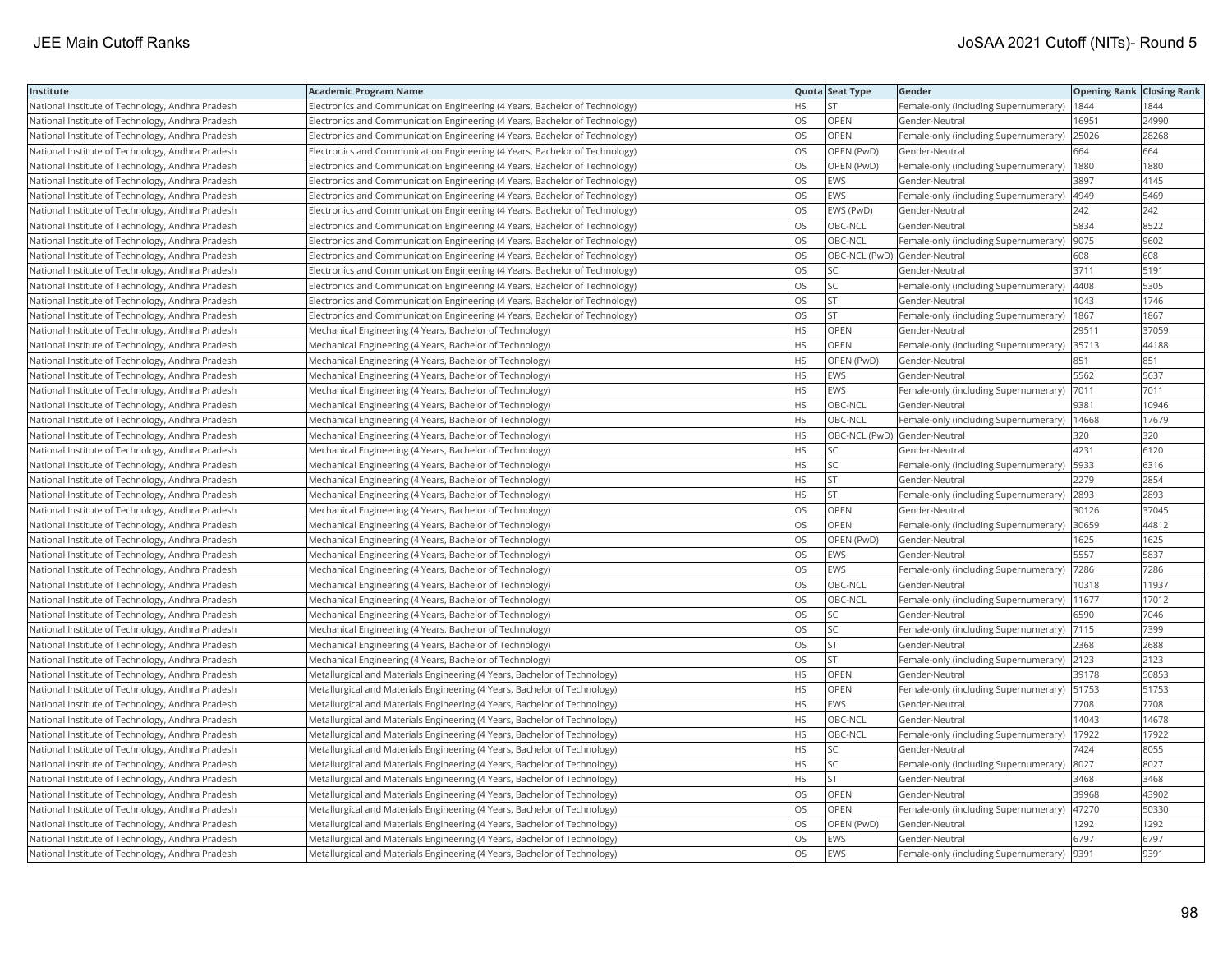| Institute                                        | <b>Academic Program Name</b>                                                |           | Quota Seat Type              | Gender                                     | <b>Opening Rank   Closing Rank</b> |       |
|--------------------------------------------------|-----------------------------------------------------------------------------|-----------|------------------------------|--------------------------------------------|------------------------------------|-------|
| National Institute of Technology, Andhra Pradesh | Electronics and Communication Engineering (4 Years, Bachelor of Technology) | <b>HS</b> | <b>ST</b>                    | Female-only (including Supernumerary)      | 1844                               | 1844  |
| National Institute of Technology, Andhra Pradesh | Electronics and Communication Engineering (4 Years, Bachelor of Technology) | OS        | OPEN                         | Gender-Neutral                             | 16951                              | 24990 |
| National Institute of Technology, Andhra Pradesh | Electronics and Communication Engineering (4 Years, Bachelor of Technology) | OS        | OPEN                         | Female-only (including Supernumerary)      | 25026                              | 28268 |
| National Institute of Technology, Andhra Pradesh | Electronics and Communication Engineering (4 Years, Bachelor of Technology) | OS        | OPEN (PwD)                   | Gender-Neutral                             | 664                                | 664   |
| National Institute of Technology, Andhra Pradesh | Electronics and Communication Engineering (4 Years, Bachelor of Technology) | OS        | OPEN (PwD)                   | Female-only (including Supernumerary)      | 1880                               | 1880  |
| National Institute of Technology, Andhra Pradesh | Electronics and Communication Engineering (4 Years, Bachelor of Technology) | OS        | EWS                          | Gender-Neutral                             | 3897                               | 4145  |
| National Institute of Technology, Andhra Pradesh | Electronics and Communication Engineering (4 Years, Bachelor of Technology) | <b>OS</b> | EWS                          | Female-only (including Supernumerary)      | 4949                               | 5469  |
| National Institute of Technology, Andhra Pradesh | Electronics and Communication Engineering (4 Years, Bachelor of Technology) | OS        | EWS (PwD)                    | Gender-Neutral                             | 242                                | 242   |
| National Institute of Technology, Andhra Pradesh | Electronics and Communication Engineering (4 Years, Bachelor of Technology) | OS        | OBC-NCL                      | Gender-Neutral                             | 5834                               | 8522  |
| National Institute of Technology, Andhra Pradesh | Electronics and Communication Engineering (4 Years, Bachelor of Technology) | <b>OS</b> | OBC-NCL                      | Female-only (including Supernumerary)      | 9075                               | 9602  |
| National Institute of Technology, Andhra Pradesh | Electronics and Communication Engineering (4 Years, Bachelor of Technology) | OS        | OBC-NCL (PwD) Gender-Neutral |                                            | 608                                | 608   |
| National Institute of Technology, Andhra Pradesh | Electronics and Communication Engineering (4 Years, Bachelor of Technology) | OS        | lsc                          | Gender-Neutral                             | 3711                               | 5191  |
| National Institute of Technology, Andhra Pradesh | Electronics and Communication Engineering (4 Years, Bachelor of Technology) | OS        | SC.                          | Female-only (including Supernumerary)      | 4408                               | 5305  |
| National Institute of Technology, Andhra Pradesh | Electronics and Communication Engineering (4 Years, Bachelor of Technology) | OS        | <b>ST</b>                    | Gender-Neutral                             | 1043                               | 1746  |
| National Institute of Technology, Andhra Pradesh | Electronics and Communication Engineering (4 Years, Bachelor of Technology) | <b>OS</b> | lst                          | Female-only (including Supernumerary)      | 1867                               | 1867  |
| National Institute of Technology, Andhra Pradesh | Mechanical Engineering (4 Years, Bachelor of Technology)                    | HS        | OPEN                         | Gender-Neutral                             | 29511                              | 37059 |
| National Institute of Technology, Andhra Pradesh | Mechanical Engineering (4 Years, Bachelor of Technology)                    | <b>HS</b> | OPEN                         | Female-only (including Supernumerary)      | 35713                              | 44188 |
| National Institute of Technology, Andhra Pradesh | Mechanical Engineering (4 Years, Bachelor of Technology)                    | <b>HS</b> | OPEN (PwD)                   | Gender-Neutral                             | 851                                | 851   |
| National Institute of Technology, Andhra Pradesh | Mechanical Engineering (4 Years, Bachelor of Technology)                    | <b>HS</b> | EWS                          | Gender-Neutral                             | 5562                               | 5637  |
| National Institute of Technology, Andhra Pradesh | Mechanical Engineering (4 Years, Bachelor of Technology)                    | <b>HS</b> | EWS                          | Female-only (including Supernumerary)      | 7011                               | 7011  |
| National Institute of Technology, Andhra Pradesh | Mechanical Engineering (4 Years, Bachelor of Technology)                    | <b>HS</b> | OBC-NCL                      | Gender-Neutral                             | 9381                               | 10946 |
| National Institute of Technology, Andhra Pradesh | Mechanical Engineering (4 Years, Bachelor of Technology)                    | <b>HS</b> | OBC-NCL                      | Female-only (including Supernumerary)      | 14668                              | 17679 |
| National Institute of Technology, Andhra Pradesh | Mechanical Engineering (4 Years, Bachelor of Technology)                    | HS.       | OBC-NCL (PwD) Gender-Neutral |                                            | 320                                | 320   |
| National Institute of Technology, Andhra Pradesh | Mechanical Engineering (4 Years, Bachelor of Technology)                    | <b>HS</b> | SC                           | Gender-Neutral                             | 4231                               | 6120  |
| National Institute of Technology, Andhra Pradesh | Mechanical Engineering (4 Years, Bachelor of Technology)                    | <b>HS</b> | SC.                          | Female-only (including Supernumerary)      | 5933                               | 6316  |
| National Institute of Technology, Andhra Pradesh | Mechanical Engineering (4 Years, Bachelor of Technology)                    | <b>HS</b> | lst                          | Gender-Neutral                             | 2279                               | 2854  |
| National Institute of Technology, Andhra Pradesh | Mechanical Engineering (4 Years, Bachelor of Technology)                    | <b>HS</b> | lst                          | Female-only (including Supernumerary)      | 2893                               | 2893  |
| National Institute of Technology, Andhra Pradesh | Mechanical Engineering (4 Years, Bachelor of Technology)                    | OS        | OPEN                         | Gender-Neutral                             | 30126                              | 37045 |
| National Institute of Technology, Andhra Pradesh | Mechanical Engineering (4 Years, Bachelor of Technology)                    | OS        | <b>OPEN</b>                  | Female-only (including Supernumerary)      | 30659                              | 44812 |
| National Institute of Technology, Andhra Pradesh | Mechanical Engineering (4 Years, Bachelor of Technology)                    | OS        | OPEN (PwD)                   | Gender-Neutral                             | 1625                               | 1625  |
| National Institute of Technology, Andhra Pradesh | Mechanical Engineering (4 Years, Bachelor of Technology)                    | <b>OS</b> | <b>EWS</b>                   | Gender-Neutral                             | 5557                               | 5837  |
| National Institute of Technology, Andhra Pradesh | Mechanical Engineering (4 Years, Bachelor of Technology)                    | OS        | EWS                          | Female-only (including Supernumerary)      | 7286                               | 7286  |
| National Institute of Technology, Andhra Pradesh | Mechanical Engineering (4 Years, Bachelor of Technology)                    | OS        | OBC-NCL                      | Gender-Neutral                             | 10318                              | 11937 |
| National Institute of Technology, Andhra Pradesh | Mechanical Engineering (4 Years, Bachelor of Technology)                    | OS        | OBC-NCL                      | Female-only (including Supernumerary)      | 11677                              | 17012 |
| National Institute of Technology, Andhra Pradesh | Mechanical Engineering (4 Years, Bachelor of Technology)                    | <b>OS</b> | lsc                          | Gender-Neutral                             | 6590                               | 7046  |
| National Institute of Technology, Andhra Pradesh | Mechanical Engineering (4 Years, Bachelor of Technology)                    | <b>OS</b> | SC                           | Female-only (including Supernumerary)      | 7115                               | 7399  |
| National Institute of Technology, Andhra Pradesh | Mechanical Engineering (4 Years, Bachelor of Technology)                    | OS        | <b>ST</b>                    | Gender-Neutral                             | 2368                               | 2688  |
| National Institute of Technology, Andhra Pradesh | Mechanical Engineering (4 Years, Bachelor of Technology)                    | OS        | <b>ST</b>                    | Female-only (including Supernumerary) 2123 |                                    | 2123  |
| National Institute of Technology, Andhra Pradesh | Metallurgical and Materials Engineering (4 Years, Bachelor of Technology)   | HS.       | OPEN                         | Gender-Neutral                             | 39178                              | 50853 |
| National Institute of Technology, Andhra Pradesh | Metallurgical and Materials Engineering (4 Years, Bachelor of Technology)   | <b>HS</b> | OPEN                         | Female-only (including Supernumerary)      | 51753                              | 51753 |
| National Institute of Technology, Andhra Pradesh | Metallurgical and Materials Engineering (4 Years, Bachelor of Technology)   | <b>HS</b> | EWS                          | Gender-Neutral                             | 7708                               | 7708  |
| National Institute of Technology, Andhra Pradesh | Metallurgical and Materials Engineering (4 Years, Bachelor of Technology)   | <b>HS</b> | OBC-NCL                      | Gender-Neutral                             | 14043                              | 14678 |
| National Institute of Technology, Andhra Pradesh | Metallurgical and Materials Engineering (4 Years, Bachelor of Technology)   | <b>HS</b> | OBC-NCL                      | Female-only (including Supernumerary)      | 17922                              | 17922 |
| National Institute of Technology, Andhra Pradesh | Metallurgical and Materials Engineering (4 Years, Bachelor of Technology)   | <b>HS</b> | SC                           | Gender-Neutral                             | 7424                               | 8055  |
| National Institute of Technology, Andhra Pradesh | Metallurgical and Materials Engineering (4 Years, Bachelor of Technology)   | <b>HS</b> | SC.                          | Female-only (including Supernumerary)      | 8027                               | 8027  |
| National Institute of Technology, Andhra Pradesh | Metallurgical and Materials Engineering (4 Years, Bachelor of Technology)   | <b>HS</b> | <b>ST</b>                    | Gender-Neutral                             | 3468                               | 3468  |
| National Institute of Technology, Andhra Pradesh | Metallurgical and Materials Engineering (4 Years, Bachelor of Technology)   | <b>OS</b> | <b>OPEN</b>                  | Gender-Neutral                             | 39968                              | 43902 |
| National Institute of Technology, Andhra Pradesh | Metallurgical and Materials Engineering (4 Years, Bachelor of Technology)   | OS        | OPEN                         | Female-only (including Supernumerary)      | 47270                              | 50330 |
| National Institute of Technology, Andhra Pradesh | Metallurgical and Materials Engineering (4 Years, Bachelor of Technology)   | OS        | OPEN (PwD)                   | Gender-Neutral                             | 1292                               | 1292  |
| National Institute of Technology, Andhra Pradesh | Metallurgical and Materials Engineering (4 Years, Bachelor of Technology)   | OS        | EWS                          | Gender-Neutral                             | 6797                               | 6797  |
| National Institute of Technology, Andhra Pradesh | Metallurgical and Materials Engineering (4 Years, Bachelor of Technology)   | <b>OS</b> | <b>EWS</b>                   | Female-only (including Supernumerary)      | 9391                               | 9391  |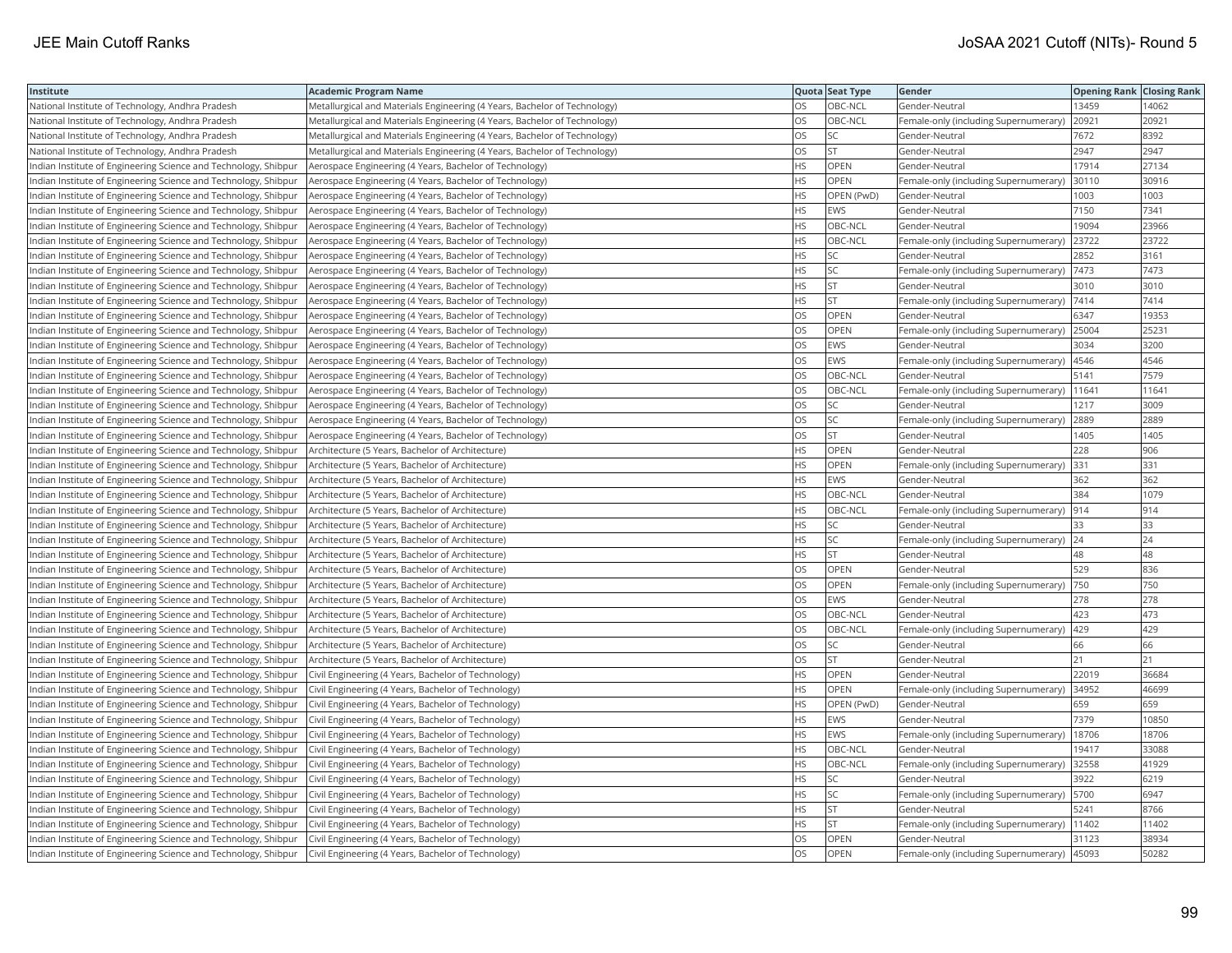| Institute                                                       | <b>Academic Program Name</b>                                              |           | Quota Seat Type | Gender                                       | <b>Opening Rank Closing Rank</b> |       |
|-----------------------------------------------------------------|---------------------------------------------------------------------------|-----------|-----------------|----------------------------------------------|----------------------------------|-------|
| National Institute of Technology, Andhra Pradesh                | Metallurgical and Materials Engineering (4 Years, Bachelor of Technology) | OS        | OBC-NCL         | Gender-Neutral                               | 13459                            | 14062 |
| National Institute of Technology, Andhra Pradesh                | Metallurgical and Materials Engineering (4 Years, Bachelor of Technology) | <b>OS</b> | OBC-NCL         | Female-only (including Supernumerary)        | 20921                            | 20921 |
| National Institute of Technology, Andhra Pradesh                | Metallurgical and Materials Engineering (4 Years, Bachelor of Technology) | OS        | SC              | Gender-Neutral                               | 7672                             | 8392  |
| National Institute of Technology, Andhra Pradesh                | Metallurgical and Materials Engineering (4 Years, Bachelor of Technology) | OS        | <b>ST</b>       | Gender-Neutral                               | 2947                             | 2947  |
| Indian Institute of Engineering Science and Technology, Shibpur | Aerospace Engineering (4 Years, Bachelor of Technology)                   | <b>HS</b> | OPEN            | Gender-Neutral                               | 17914                            | 27134 |
| Indian Institute of Engineering Science and Technology, Shibpur | Aerospace Engineering (4 Years, Bachelor of Technology)                   | <b>HS</b> | <b>OPEN</b>     | Female-only (including Supernumerary)        | 30110                            | 30916 |
| Indian Institute of Engineering Science and Technology, Shibpur | Aerospace Engineering (4 Years, Bachelor of Technology)                   | <b>HS</b> | OPEN (PwD)      | Gender-Neutral                               | 1003                             | 1003  |
| Indian Institute of Engineering Science and Technology, Shibpur | Aerospace Engineering (4 Years, Bachelor of Technology)                   | <b>HS</b> | EWS             | Gender-Neutral                               | 7150                             | 7341  |
| Indian Institute of Engineering Science and Technology, Shibpur | Aerospace Engineering (4 Years, Bachelor of Technology)                   | HS.       | OBC-NCL         | Gender-Neutral                               | 19094                            | 23966 |
| Indian Institute of Engineering Science and Technology, Shibpur | Aerospace Engineering (4 Years, Bachelor of Technology)                   | <b>HS</b> | OBC-NCL         | Female-only (including Supernumerary)        | 23722                            | 23722 |
| Indian Institute of Engineering Science and Technology, Shibpur | Aerospace Engineering (4 Years, Bachelor of Technology)                   | <b>HS</b> | SC.             | Gender-Neutral                               | 2852                             | 3161  |
| Indian Institute of Engineering Science and Technology, Shibpur | Aerospace Engineering (4 Years, Bachelor of Technology)                   | <b>HS</b> | SC.             | Female-only (including Supernumerary) 7473   |                                  | 7473  |
| Indian Institute of Engineering Science and Technology, Shibpur | Aerospace Engineering (4 Years, Bachelor of Technology)                   | HS.       | ST              | Gender-Neutral                               | 3010                             | 3010  |
| Indian Institute of Engineering Science and Technology, Shibpur | Aerospace Engineering (4 Years, Bachelor of Technology)                   | <b>HS</b> | <b>ST</b>       | Female-only (including Supernumerary)  7414  |                                  | 7414  |
| Indian Institute of Engineering Science and Technology, Shibpur | Aerospace Engineering (4 Years, Bachelor of Technology)                   | OS        | <b>OPEN</b>     | Gender-Neutral                               | 6347                             | 19353 |
| Indian Institute of Engineering Science and Technology, Shibpur | Aerospace Engineering (4 Years, Bachelor of Technology)                   | OS        | OPEN            | Female-only (including Supernumerary)        | 25004                            | 25231 |
| Indian Institute of Engineering Science and Technology, Shibpur | Aerospace Engineering (4 Years, Bachelor of Technology)                   | OS        | <b>EWS</b>      | Gender-Neutral                               | 3034                             | 3200  |
| ndian Institute of Engineering Science and Technology, Shibpur  | Aerospace Engineering (4 Years, Bachelor of Technology)                   | OS        | EWS             | Female-only (including Supernumerary)        | 4546                             | 4546  |
| Indian Institute of Engineering Science and Technology, Shibpur | Aerospace Engineering (4 Years, Bachelor of Technology)                   | OS        | OBC-NCL         | Gender-Neutral                               | 5141                             | 7579  |
| Indian Institute of Engineering Science and Technology, Shibpur | Aerospace Engineering (4 Years, Bachelor of Technology)                   | <b>OS</b> | OBC-NCL         | Female-only (including Supernumerary)        | 11641                            | 11641 |
| Indian Institute of Engineering Science and Technology, Shibpur | Aerospace Engineering (4 Years, Bachelor of Technology)                   | OS        | SC              | Gender-Neutral                               | 1217                             | 3009  |
| Indian Institute of Engineering Science and Technology, Shibpur | Aerospace Engineering (4 Years, Bachelor of Technology)                   | OS        | SC.             | Female-only (including Supernumerary)        | 2889                             | 2889  |
| Indian Institute of Engineering Science and Technology, Shibpur | Aerospace Engineering (4 Years, Bachelor of Technology)                   | OS        | <b>ST</b>       | Gender-Neutral                               | 1405                             | 1405  |
| Indian Institute of Engineering Science and Technology, Shibpur | Architecture (5 Years, Bachelor of Architecture)                          | <b>HS</b> | OPEN            | Gender-Neutral                               | 228                              | 906   |
| Indian Institute of Engineering Science and Technology, Shibpur | Architecture (5 Years, Bachelor of Architecture)                          | HS.       | OPEN            | Female-only (including Supernumerary)        | 331                              | 331   |
| Indian Institute of Engineering Science and Technology, Shibpur | Architecture (5 Years, Bachelor of Architecture)                          | <b>HS</b> | EWS             | Gender-Neutral                               | 362                              | 362   |
| Indian Institute of Engineering Science and Technology, Shibpur | Architecture (5 Years, Bachelor of Architecture)                          | <b>HS</b> | OBC-NCL         | Gender-Neutral                               | 384                              | 1079  |
| Indian Institute of Engineering Science and Technology, Shibpur | Architecture (5 Years, Bachelor of Architecture)                          | <b>HS</b> | OBC-NCL         | Female-only (including Supernumerary)        | 914                              | 914   |
| Indian Institute of Engineering Science and Technology, Shibpur | Architecture (5 Years, Bachelor of Architecture)                          | <b>HS</b> | SC.             | Gender-Neutral                               | 33                               | 33    |
| Indian Institute of Engineering Science and Technology, Shibpur | Architecture (5 Years, Bachelor of Architecture)                          | <b>HS</b> | SC.             | Female-only (including Supernumerary)        | 24                               | 24    |
| Indian Institute of Engineering Science and Technology, Shibpur | Architecture (5 Years, Bachelor of Architecture)                          | <b>HS</b> | <b>ST</b>       | Gender-Neutral                               | 48                               | 48    |
| Indian Institute of Engineering Science and Technology, Shibpur | Architecture (5 Years, Bachelor of Architecture)                          | OS        | OPEN            | Gender-Neutral                               | 529                              | 836   |
| Indian Institute of Engineering Science and Technology, Shibpur | Architecture (5 Years, Bachelor of Architecture)                          | OS        | OPEN            | Female-only (including Supernumerary)        | 750                              | 750   |
| Indian Institute of Engineering Science and Technology, Shibpur | Architecture (5 Years, Bachelor of Architecture)                          | OS        | EWS             | Gender-Neutral                               | 278                              | 278   |
| Indian Institute of Engineering Science and Technology, Shibpur | Architecture (5 Years, Bachelor of Architecture)                          | OS        | OBC-NCL         | Gender-Neutral                               | 423                              | 473   |
| Indian Institute of Engineering Science and Technology, Shibpur | Architecture (5 Years, Bachelor of Architecture)                          | <b>OS</b> | OBC-NCL         | Female-only (including Supernumerary)        | 429                              | 429   |
| Indian Institute of Engineering Science and Technology, Shibpur | Architecture (5 Years, Bachelor of Architecture)                          | OS        | SC              | Gender-Neutral                               | 66                               | 66    |
| Indian Institute of Engineering Science and Technology, Shibpur | Architecture (5 Years, Bachelor of Architecture)                          | OS        | <b>ST</b>       | Gender-Neutral                               | 21                               | 21    |
| Indian Institute of Engineering Science and Technology, Shibpur | Civil Engineering (4 Years, Bachelor of Technology)                       | <b>HS</b> | OPEN            | Gender-Neutral                               | 22019                            | 36684 |
| Indian Institute of Engineering Science and Technology, Shibpur | Civil Engineering (4 Years, Bachelor of Technology)                       | <b>HS</b> | OPEN            | Female-only (including Supernumerary)        | 34952                            | 46699 |
| Indian Institute of Engineering Science and Technology, Shibpur | Civil Engineering (4 Years, Bachelor of Technology)                       | <b>HS</b> | OPEN (PwD)      | Gender-Neutral                               | 659                              | 659   |
| Indian Institute of Engineering Science and Technology, Shibpur | Civil Engineering (4 Years, Bachelor of Technology)                       | <b>HS</b> | <b>EWS</b>      | Gender-Neutral                               | 7379                             | 10850 |
| Indian Institute of Engineering Science and Technology, Shibpur | Civil Engineering (4 Years, Bachelor of Technology)                       | <b>HS</b> | EWS             | Female-only (including Supernumerary)        | 18706                            | 18706 |
| Indian Institute of Engineering Science and Technology, Shibpur | Civil Engineering (4 Years, Bachelor of Technology)                       | <b>HS</b> | OBC-NCL         | Gender-Neutral                               | 19417                            | 33088 |
| Indian Institute of Engineering Science and Technology, Shibpur | Civil Engineering (4 Years, Bachelor of Technology)                       | <b>HS</b> | OBC-NCL         | Female-only (including Supernumerary)        | 32558                            | 41929 |
| Indian Institute of Engineering Science and Technology, Shibpur | Civil Engineering (4 Years, Bachelor of Technology)                       | <b>HS</b> | SC              | Gender-Neutral                               | 3922                             | 6219  |
| Indian Institute of Engineering Science and Technology, Shibpur | Civil Engineering (4 Years, Bachelor of Technology)                       | <b>HS</b> | SC.             | Female-only (including Supernumerary)   5700 |                                  | 6947  |
| Indian Institute of Engineering Science and Technology, Shibpur | Civil Engineering (4 Years, Bachelor of Technology)                       | HS        | <b>ST</b>       | Gender-Neutral                               | 5241                             | 8766  |
| Indian Institute of Engineering Science and Technology, Shibpur | Civil Engineering (4 Years, Bachelor of Technology)                       | HS        | <b>ST</b>       | Female-only (including Supernumerary)        | 11402                            | 11402 |
| Indian Institute of Engineering Science and Technology, Shibpur | Civil Engineering (4 Years, Bachelor of Technology)                       | OS        | OPEN            | Gender-Neutral                               | 31123                            | 38934 |
| Indian Institute of Engineering Science and Technology, Shibpur | Civil Engineering (4 Years, Bachelor of Technology)                       | <b>OS</b> | OPEN            | Female-only (including Supernumerary)        | 45093                            | 50282 |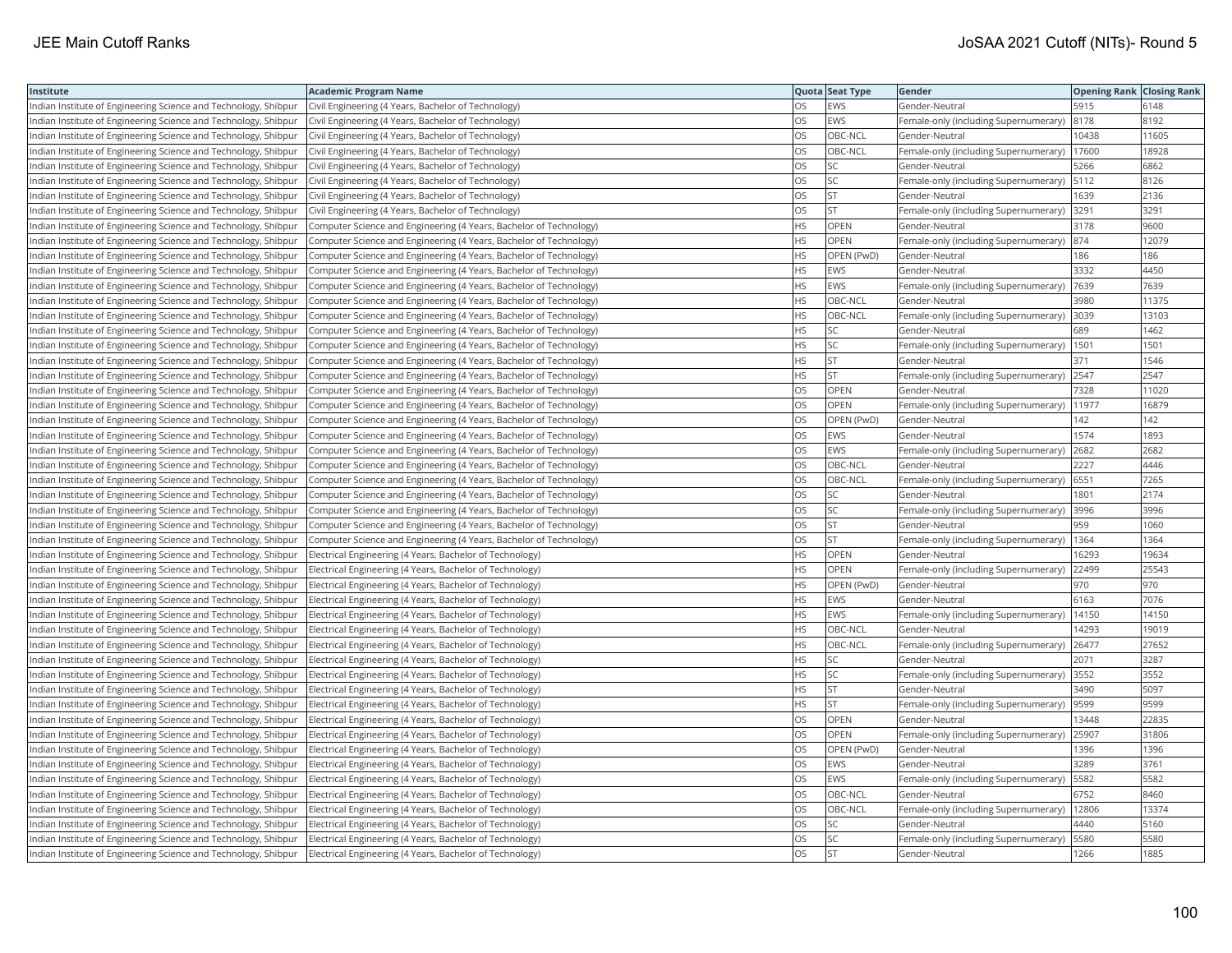| Institute                                                       | <b>Academic Program Name</b>                                       |     | Quota Seat Type | Gender                                        | <b>Opening Rank Closing Rank</b> |       |
|-----------------------------------------------------------------|--------------------------------------------------------------------|-----|-----------------|-----------------------------------------------|----------------------------------|-------|
| Indian Institute of Engineering Science and Technology, Shibpur | Civil Engineering (4 Years, Bachelor of Technology)                | OS  | EWS             | Gender-Neutral                                | 5915                             | 6148  |
| Indian Institute of Engineering Science and Technology, Shibpur | Civil Engineering (4 Years, Bachelor of Technology)                | OS  | <b>EWS</b>      | Female-only (including Supernumerary)         | 8178                             | 8192  |
| Indian Institute of Engineering Science and Technology, Shibpur | Civil Engineering (4 Years, Bachelor of Technology)                | OS  | OBC-NCL         | Gender-Neutral                                | 10438                            | 11605 |
| Indian Institute of Engineering Science and Technology, Shibpur | Civil Engineering (4 Years, Bachelor of Technology)                | OS  | OBC-NCL         | Female-only (including Supernumerary)         | 17600                            | 18928 |
| Indian Institute of Engineering Science and Technology, Shibpur | Civil Engineering (4 Years, Bachelor of Technology)                | OS  | <b>SC</b>       | Gender-Neutral                                | 5266                             | 6862  |
| Indian Institute of Engineering Science and Technology, Shibpur | Civil Engineering (4 Years, Bachelor of Technology)                | OS  | SC.             | Female-only (including Supernumerary)  5112   |                                  | 8126  |
| Indian Institute of Engineering Science and Technology, Shibpur | Civil Engineering (4 Years, Bachelor of Technology)                | OS  | <b>ST</b>       | Gender-Neutral                                | 1639                             | 2136  |
| Indian Institute of Engineering Science and Technology, Shibpur | Civil Engineering (4 Years, Bachelor of Technology)                | OS  | <b>ST</b>       | Female-only (including Supernumerary)         | 3291                             | 3291  |
| Indian Institute of Engineering Science and Technology, Shibpur | Computer Science and Engineering (4 Years, Bachelor of Technology) | HS  | OPEN            | Gender-Neutral                                | 3178                             | 9600  |
| Indian Institute of Engineering Science and Technology, Shibpur | Computer Science and Engineering (4 Years, Bachelor of Technology) | HS  | OPEN            | Female-only (including Supernumerary)  874    |                                  | 12079 |
| Indian Institute of Engineering Science and Technology, Shibpur | Computer Science and Engineering (4 Years, Bachelor of Technology) | HS  | OPEN (PwD)      | Gender-Neutral                                | 186                              | 186   |
| Indian Institute of Engineering Science and Technology, Shibpur | Computer Science and Engineering (4 Years, Bachelor of Technology) | HS  | EWS             | Gender-Neutral                                | 3332                             | 4450  |
| Indian Institute of Engineering Science and Technology, Shibpur | Computer Science and Engineering (4 Years, Bachelor of Technology) | HS  | <b>EWS</b>      | Female-only (including Supernumerary)  7639   |                                  | 7639  |
| Indian Institute of Engineering Science and Technology, Shibpur | Computer Science and Engineering (4 Years, Bachelor of Technology) | ΗS  | OBC-NCL         | Gender-Neutral                                | 3980                             | 11375 |
| Indian Institute of Engineering Science and Technology, Shibpur | Computer Science and Engineering (4 Years, Bachelor of Technology) | HS  | OBC-NCL         | Female-only (including Supernumerary)         | 3039                             | 13103 |
| Indian Institute of Engineering Science and Technology, Shibpur | Computer Science and Engineering (4 Years, Bachelor of Technology) | ΗS  | SC              | Gender-Neutral                                | 689                              | 1462  |
| Indian Institute of Engineering Science and Technology, Shibpur | Computer Science and Engineering (4 Years, Bachelor of Technology) | HS  | SC              | Female-only (including Supernumerary)         | 1501                             | 1501  |
| Indian Institute of Engineering Science and Technology, Shibpur | Computer Science and Engineering (4 Years, Bachelor of Technology) | HS  | <b>ST</b>       | Gender-Neutral                                | 371                              | 1546  |
| Indian Institute of Engineering Science and Technology, Shibpur | Computer Science and Engineering (4 Years, Bachelor of Technology) | HS  | <b>ST</b>       | Female-only (including Supernumerary)         | 2547                             | 2547  |
| Indian Institute of Engineering Science and Technology, Shibpur | Computer Science and Engineering (4 Years, Bachelor of Technology) | OS  | OPEN            | Gender-Neutral                                | 7328                             | 11020 |
| Indian Institute of Engineering Science and Technology, Shibpur | Computer Science and Engineering (4 Years, Bachelor of Technology) | OS  | <b>OPEN</b>     | Female-only (including Supernumerary)         | 11977                            | 16879 |
| Indian Institute of Engineering Science and Technology, Shibpur | Computer Science and Engineering (4 Years, Bachelor of Technology) | OS  | OPEN (PwD)      | Gender-Neutral                                | 142                              | 142   |
| Indian Institute of Engineering Science and Technology, Shibpur | Computer Science and Engineering (4 Years, Bachelor of Technology) | OS  | <b>EWS</b>      | Gender-Neutral                                | 1574                             | 1893  |
| Indian Institute of Engineering Science and Technology, Shibpur | Computer Science and Engineering (4 Years, Bachelor of Technology) | OS  | <b>EWS</b>      | Female-only (including Supernumerary)         | 2682                             | 2682  |
| Indian Institute of Engineering Science and Technology, Shibpur | Computer Science and Engineering (4 Years, Bachelor of Technology) | OS  | OBC-NCL         | Gender-Neutral                                | 2227                             | 4446  |
| Indian Institute of Engineering Science and Technology, Shibpur | Computer Science and Engineering (4 Years, Bachelor of Technology) | OS  | OBC-NCL         | Female-only (including Supernumerary) 6551    |                                  | 7265  |
| Indian Institute of Engineering Science and Technology, Shibpur | Computer Science and Engineering (4 Years, Bachelor of Technology) | OS  | SC              | Gender-Neutral                                | 1801                             | 2174  |
| Indian Institute of Engineering Science and Technology, Shibpur | Computer Science and Engineering (4 Years, Bachelor of Technology) | OS  | SC              | Female-only (including Supernumerary)  3996   |                                  | 3996  |
| Indian Institute of Engineering Science and Technology, Shibpur | Computer Science and Engineering (4 Years, Bachelor of Technology) | OS  | <b>ST</b>       | Gender-Neutral                                | 959                              | 1060  |
| Indian Institute of Engineering Science and Technology, Shibpur | Computer Science and Engineering (4 Years, Bachelor of Technology) | OS  | <b>ST</b>       | Female-only (including Supernumerary)   1364  |                                  | 1364  |
| Indian Institute of Engineering Science and Technology, Shibpur | Electrical Engineering (4 Years, Bachelor of Technology)           | ΗS  | OPEN            | Gender-Neutral                                | 16293                            | 19634 |
| Indian Institute of Engineering Science and Technology, Shibpur | Electrical Engineering (4 Years, Bachelor of Technology)           | НS  | <b>OPEN</b>     | Female-only (including Supernumerary)         | 22499                            | 25543 |
| Indian Institute of Engineering Science and Technology, Shibpur | Electrical Engineering (4 Years, Bachelor of Technology)           | HS  | OPEN (PwD)      | Gender-Neutral                                | 970                              | 970   |
| Indian Institute of Engineering Science and Technology, Shibpur | Electrical Engineering (4 Years, Bachelor of Technology)           | HS  | EWS             | Gender-Neutral                                | 6163                             | 7076  |
| Indian Institute of Engineering Science and Technology, Shibpur | Electrical Engineering (4 Years, Bachelor of Technology)           | HS  | EWS             | Female-only (including Supernumerary)         | 14150                            | 14150 |
| Indian Institute of Engineering Science and Technology, Shibpur | Electrical Engineering (4 Years, Bachelor of Technology)           | HS. | OBC-NCL         | Gender-Neutral                                | 14293                            | 19019 |
| Indian Institute of Engineering Science and Technology, Shibpur | Electrical Engineering (4 Years, Bachelor of Technology)           | HS  | OBC-NCL         | Female-only (including Supernumerary)         | 26477                            | 27652 |
| Indian Institute of Engineering Science and Technology, Shibpur | Electrical Engineering (4 Years, Bachelor of Technology)           | HS  | SC              | Gender-Neutral                                | 2071                             | 3287  |
| Indian Institute of Engineering Science and Technology, Shibpur | Electrical Engineering (4 Years, Bachelor of Technology)           | ΗS  | SC              | Female-only (including Supernumerary)  3552   |                                  | 3552  |
| Indian Institute of Engineering Science and Technology, Shibpur | Electrical Engineering (4 Years, Bachelor of Technology)           | HS. | <b>ST</b>       | Gender-Neutral                                | 3490                             | 5097  |
| Indian Institute of Engineering Science and Technology, Shibpur | Electrical Engineering (4 Years, Bachelor of Technology)           | ΗS  | <b>ST</b>       | Female-only (including Supernumerary)         | 9599                             | 9599  |
| Indian Institute of Engineering Science and Technology, Shibpur | Electrical Engineering (4 Years, Bachelor of Technology)           | OS  | OPEN            | Gender-Neutral                                | 13448                            | 22835 |
| Indian Institute of Engineering Science and Technology, Shibpur | Electrical Engineering (4 Years, Bachelor of Technology)           | OS  | <b>OPEN</b>     | Female-only (including Supernumerary)         | 25907                            | 31806 |
| Indian Institute of Engineering Science and Technology, Shibpur | Electrical Engineering (4 Years, Bachelor of Technology)           | OS  | OPEN (PwD)      | Gender-Neutral                                | 1396                             | 1396  |
| Indian Institute of Engineering Science and Technology, Shibpur | Electrical Engineering (4 Years, Bachelor of Technology)           | OS  | EWS             | Gender-Neutral                                | 3289                             | 3761  |
| Indian Institute of Engineering Science and Technology, Shibpur | Electrical Engineering (4 Years, Bachelor of Technology)           | OS  | EWS             | Female-only (including Supernumerary)         | 5582                             | 5582  |
| Indian Institute of Engineering Science and Technology, Shibpur | Electrical Engineering (4 Years, Bachelor of Technology)           | OS. | OBC-NCL         | Gender-Neutral                                | 6752                             | 8460  |
| Indian Institute of Engineering Science and Technology, Shibpur | Electrical Engineering (4 Years, Bachelor of Technology)           | OS  | OBC-NCL         | Female-only (including Supernumerary)   12806 |                                  | 13374 |
| Indian Institute of Engineering Science and Technology, Shibpur | Electrical Engineering (4 Years, Bachelor of Technology)           | OS  | SC              | Gender-Neutral                                | 4440                             | 5160  |
| Indian Institute of Engineering Science and Technology, Shibpur | Electrical Engineering (4 Years, Bachelor of Technology)           | OS  | SC              | Female-only (including Supernumerary)         | 5580                             | 5580  |
| Indian Institute of Engineering Science and Technology, Shibpur | Electrical Engineering (4 Years, Bachelor of Technology)           | OS  | İst             | Gender-Neutral                                | 1266                             | 1885  |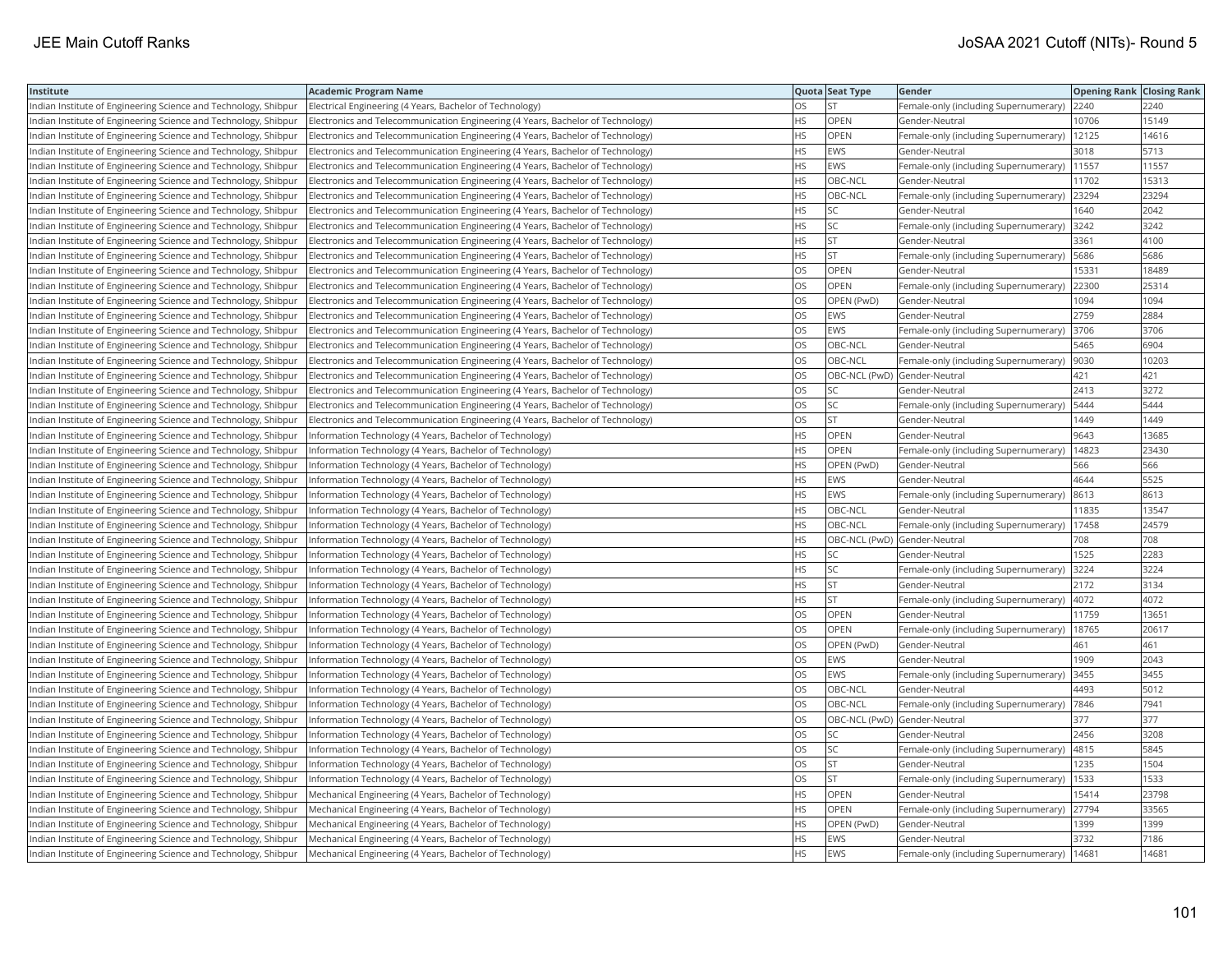| Institute                                                       | Academic Program Name                                                            |           | Quota Seat Type              | Gender                                        | <b>Opening Rank Closing Rank</b> |       |
|-----------------------------------------------------------------|----------------------------------------------------------------------------------|-----------|------------------------------|-----------------------------------------------|----------------------------------|-------|
| Indian Institute of Engineering Science and Technology, Shibpur | Electrical Engineering (4 Years, Bachelor of Technology)                         | OS.       | <b>ST</b>                    | Female-only (including Supernumerary)         | 2240                             | 2240  |
| Indian Institute of Engineering Science and Technology, Shibpur | Electronics and Telecommunication Engineering (4 Years, Bachelor of Technology)  | HS        | OPEN                         | Gender-Neutral                                | 10706                            | 15149 |
| Indian Institute of Engineering Science and Technology, Shibpur | Electronics and Telecommunication Engineering (4 Years, Bachelor of Technology)  | HS        | OPEN                         | Female-only (including Supernumerary)   12125 |                                  | 14616 |
| Indian Institute of Engineering Science and Technology, Shibpur | Electronics and Telecommunication Engineering (4 Years, Bachelor of Technology)  | HS.       | <b>EWS</b>                   | Gender-Neutral                                | 3018                             | 5713  |
| Indian Institute of Engineering Science and Technology, Shibpur | Electronics and Telecommunication Engineering (4 Years, Bachelor of Technology)  | HS.       | EWS                          | Female-only (including Supernumerary)         | 11557                            | 11557 |
| Indian Institute of Engineering Science and Technology, Shibpur | Electronics and Telecommunication Engineering (4 Years, Bachelor of Technology)  | <b>HS</b> | OBC-NCL                      | Gender-Neutral                                | 11702                            | 15313 |
| Indian Institute of Engineering Science and Technology, Shibpur | [Electronics and Telecommunication Engineering (4 Years, Bachelor of Technology) | HS.       | OBC-NCL                      | Female-only (including Supernumerary) 23294   |                                  | 23294 |
| Indian Institute of Engineering Science and Technology, Shibpur | Electronics and Telecommunication Engineering (4 Years, Bachelor of Technology)  | ΗS        | <b>SC</b>                    | Gender-Neutral                                | 1640                             | 2042  |
| Indian Institute of Engineering Science and Technology, Shibpur | Electronics and Telecommunication Engineering (4 Years, Bachelor of Technology)  | HS        | <b>SC</b>                    | Female-only (including Supernumerary)         | 3242                             | 3242  |
| Indian Institute of Engineering Science and Technology, Shibpur | Electronics and Telecommunication Engineering (4 Years, Bachelor of Technology)  | HS        | <b>ST</b>                    | Gender-Neutral                                | 3361                             | 4100  |
| Indian Institute of Engineering Science and Technology, Shibpur | Electronics and Telecommunication Engineering (4 Years, Bachelor of Technology)  | <b>HS</b> | <b>ST</b>                    | Female-only (including Supernumerary)         | 5686                             | 5686  |
| Indian Institute of Engineering Science and Technology, Shibpur | Electronics and Telecommunication Engineering (4 Years, Bachelor of Technology)  | OS        | <b>OPEN</b>                  | Gender-Neutral                                | 15331                            | 18489 |
| Indian Institute of Engineering Science and Technology, Shibpur | Electronics and Telecommunication Engineering (4 Years, Bachelor of Technology)  | <b>OS</b> | <b>OPEN</b>                  | Female-only (including Supernumerary)         | 22300                            | 25314 |
| Indian Institute of Engineering Science and Technology, Shibpur | Electronics and Telecommunication Engineering (4 Years, Bachelor of Technology)  | OS        | OPEN (PwD)                   | Gender-Neutral                                | 1094                             | 1094  |
| Indian Institute of Engineering Science and Technology, Shibpur | Electronics and Telecommunication Engineering (4 Years, Bachelor of Technology)  | OS        | EWS                          | Gender-Neutral                                | 2759                             | 2884  |
| Indian Institute of Engineering Science and Technology, Shibpur | Electronics and Telecommunication Engineering (4 Years, Bachelor of Technology)  | OS        | EWS                          | Female-only (including Supernumerary)  3706   |                                  | 3706  |
| Indian Institute of Engineering Science and Technology, Shibpur | Electronics and Telecommunication Engineering (4 Years, Bachelor of Technology)  | OS.       | OBC-NCL                      | Gender-Neutral                                | 5465                             | 6904  |
| Indian Institute of Engineering Science and Technology, Shibpur | Electronics and Telecommunication Engineering (4 Years, Bachelor of Technology)  | OS        | OBC-NCL                      | Female-only (including Supernumerary)         | 9030                             | 10203 |
| Indian Institute of Engineering Science and Technology, Shibpur | Electronics and Telecommunication Engineering (4 Years, Bachelor of Technology)  | OS        | OBC-NCL (PwD) Gender-Neutral |                                               | 421                              | 421   |
| Indian Institute of Engineering Science and Technology, Shibpur | Electronics and Telecommunication Engineering (4 Years, Bachelor of Technology)  | OS.       | <b>SC</b>                    | Gender-Neutral                                | 2413                             | 3272  |
| Indian Institute of Engineering Science and Technology, Shibpur | Electronics and Telecommunication Engineering (4 Years, Bachelor of Technology)  | OS.       | <b>SC</b>                    | Female-only (including Supernumerary)         | 5444                             | 5444  |
| Indian Institute of Engineering Science and Technology, Shibpur | (Electronics and Telecommunication Engineering (4 Years, Bachelor of Technology) | OS        | <b>ST</b>                    | Gender-Neutral                                | 1449                             | 1449  |
| Indian Institute of Engineering Science and Technology, Shibpur | Information Technology (4 Years, Bachelor of Technology)                         | ΗS        | OPEN                         | Gender-Neutral                                | 9643                             | 13685 |
| Indian Institute of Engineering Science and Technology, Shibpur | Information Technology (4 Years, Bachelor of Technology)                         | HS        | OPEN                         | Female-only (including Supernumerary)   14823 |                                  | 23430 |
| Indian Institute of Engineering Science and Technology, Shibpur | Information Technology (4 Years, Bachelor of Technology)                         | HS        | OPEN (PwD)                   | Gender-Neutral                                | 566                              | 566   |
| Indian Institute of Engineering Science and Technology, Shibpur | Information Technology (4 Years, Bachelor of Technology)                         | <b>HS</b> | <b>EWS</b>                   | Gender-Neutral                                | 4644                             | 5525  |
| Indian Institute of Engineering Science and Technology, Shibpur | Information Technology (4 Years, Bachelor of Technology)                         | НS        | EWS                          | Female-only (including Supernumerary)         | 8613                             | 8613  |
| Indian Institute of Engineering Science and Technology, Shibpur | Information Technology (4 Years, Bachelor of Technology)                         | HS        | OBC-NCL                      | Gender-Neutral                                | 11835                            | 13547 |
| Indian Institute of Engineering Science and Technology, Shibpur | Information Technology (4 Years, Bachelor of Technology)                         | <b>HS</b> | OBC-NCL                      | Female-only (including Supernumerary)         | 17458                            | 24579 |
| Indian Institute of Engineering Science and Technology, Shibpur | Information Technology (4 Years, Bachelor of Technology)                         | HS        | OBC-NCL (PwD) Gender-Neutral |                                               | 708                              | 708   |
| Indian Institute of Engineering Science and Technology, Shibpur | Information Technology (4 Years, Bachelor of Technology)                         | ΗS        | SC                           | Gender-Neutral                                | 1525                             | 2283  |
| Indian Institute of Engineering Science and Technology, Shibpur | Information Technology (4 Years, Bachelor of Technology)                         | ΗS        | <b>SC</b>                    | Female-only (including Supernumerary)         | 3224                             | 3224  |
| Indian Institute of Engineering Science and Technology, Shibpur | Information Technology (4 Years, Bachelor of Technology)                         | НS        | <b>ST</b>                    | Gender-Neutral                                | 2172                             | 3134  |
| Indian Institute of Engineering Science and Technology, Shibpur | Information Technology (4 Years, Bachelor of Technology)                         | HS        | <b>ST</b>                    | Female-only (including Supernumerary)         | 4072                             | 4072  |
| Indian Institute of Engineering Science and Technology, Shibpur | Information Technology (4 Years, Bachelor of Technology)                         | OS        | OPEN                         | Gender-Neutral                                | 11759                            | 1365  |
| Indian Institute of Engineering Science and Technology, Shibpur | Information Technology (4 Years, Bachelor of Technology)                         | OS.       | <b>OPEN</b>                  | Female-only (including Supernumerary)         | 18765                            | 20617 |
| Indian Institute of Engineering Science and Technology, Shibpur | Information Technology (4 Years, Bachelor of Technology)                         | OS        | OPEN (PwD)                   | Gender-Neutral                                | 461                              | 461   |
| Indian Institute of Engineering Science and Technology, Shibpur | Information Technology (4 Years, Bachelor of Technology)                         | OS        | <b>EWS</b>                   | Gender-Neutral                                | 1909                             | 2043  |
| Indian Institute of Engineering Science and Technology, Shibpur | Information Technology (4 Years, Bachelor of Technology)                         | OS        | EWS                          | Female-only (including Supernumerary) 3455    |                                  | 3455  |
| Indian Institute of Engineering Science and Technology, Shibpur | Information Technology (4 Years, Bachelor of Technology)                         | OS        | OBC-NCL                      | Gender-Neutral                                | 4493                             | 5012  |
| Indian Institute of Engineering Science and Technology, Shibpur | Information Technology (4 Years, Bachelor of Technology)                         | OS        | OBC-NCL                      | Female-only (including Supernumerary)         | 7846                             | 7941  |
| Indian Institute of Engineering Science and Technology, Shibpur | Information Technology (4 Years, Bachelor of Technology)                         | OS        | OBC-NCL (PwD) Gender-Neutral |                                               | 377                              | 377   |
| Indian Institute of Engineering Science and Technology, Shibpur | Information Technology (4 Years, Bachelor of Technology)                         | OS        | SC                           | Gender-Neutral                                | 2456                             | 3208  |
| Indian Institute of Engineering Science and Technology, Shibpur | Information Technology (4 Years, Bachelor of Technology)                         | OS.       | <b>SC</b>                    | Female-only (including Supernumerary)         | 4815                             | 5845  |
| Indian Institute of Engineering Science and Technology, Shibpur | Information Technology (4 Years, Bachelor of Technology)                         | OS        | <b>ST</b>                    | Gender-Neutral                                | 1235                             | 1504  |
| Indian Institute of Engineering Science and Technology, Shibpur | Information Technology (4 Years, Bachelor of Technology)                         | OS        | <b>ST</b>                    | Female-only (including Supernumerary)         | 1533                             | 1533  |
| Indian Institute of Engineering Science and Technology, Shibpur | Mechanical Engineering (4 Years, Bachelor of Technology)                         | HS        | <b>OPEN</b>                  | Gender-Neutral                                | 15414                            | 23798 |
| Indian Institute of Engineering Science and Technology, Shibpur | Mechanical Engineering (4 Years, Bachelor of Technology)                         | НS        | <b>OPEN</b>                  | Female-only (including Supernumerary)         | 27794                            | 33565 |
| Indian Institute of Engineering Science and Technology, Shibpur | Mechanical Engineering (4 Years, Bachelor of Technology)                         | HS        | OPEN (PwD)                   | Gender-Neutral                                | 1399                             | 1399  |
| Indian Institute of Engineering Science and Technology, Shibpur | Mechanical Engineering (4 Years, Bachelor of Technology)                         | <b>HS</b> | <b>EWS</b>                   | Gender-Neutral                                | 3732                             | 7186  |
| Indian Institute of Engineering Science and Technology, Shibpur | Mechanical Engineering (4 Years, Bachelor of Technology)                         | <b>HS</b> | EWS                          | Female-only (including Supernumerary)         | 1468'                            | 1468  |